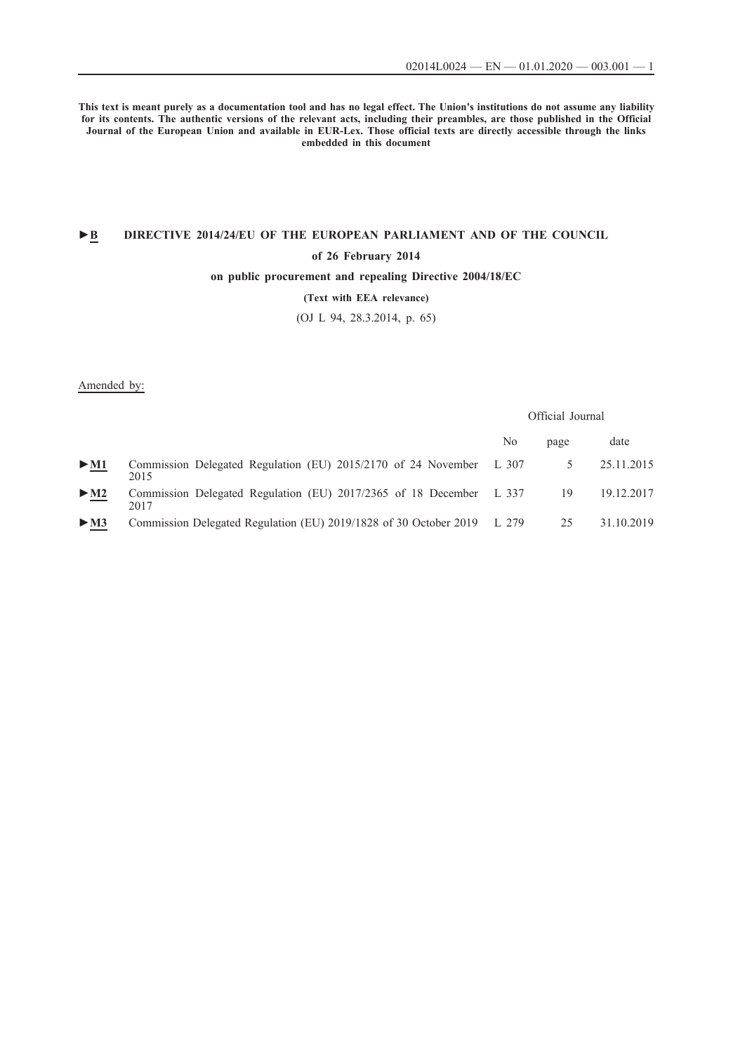**This text is meant purely as a documentation tool and has no legal effect. The Union's institutions do not assume any liability for its contents. The authentic versions of the relevant acts, including their preambles, are those published in the Official Journal of the European Union and available in EUR-Lex. Those official texts are directly accessible through the links embedded in this document**

# **►B [DIRECTIVE 2014/24/EU OF THE EUROPEAN PARLIAMENT AND OF THE COUNCIL](http://data.europa.eu/eli/dir/2014/24/oj/eng)**

# **[of 26 February 2014](http://data.europa.eu/eli/dir/2014/24/oj/eng)**

# **[on public procurement and repealing Directive 2004/18/EC](http://data.europa.eu/eli/dir/2014/24/oj/eng)**

# **[\(Text with EEA relevance\)](http://data.europa.eu/eli/dir/2014/24/oj/eng)**

[\(OJ L 94, 28.3.2014, p. 65\)](http://data.europa.eu/eli/dir/2014/24/oj/eng)

# Amended by:

### Official Journal

|                                 |                                                                             | No | page | date       |
|---------------------------------|-----------------------------------------------------------------------------|----|------|------------|
| $\blacktriangleright$ <u>M1</u> | Commission Delegated Regulation (EU) 2015/2170 of 24 November L 307<br>2015 |    |      | 25.11.2015 |
| $\blacktriangleright$ <u>M2</u> | Commission Delegated Regulation (EU) 2017/2365 of 18 December L 337<br>2017 |    | -19  | 19.12.2017 |
| $>$ M3                          | Commission Delegated Regulation (EU) 2019/1828 of 30 October 2019 L 279     |    | 25   | 31.10.2019 |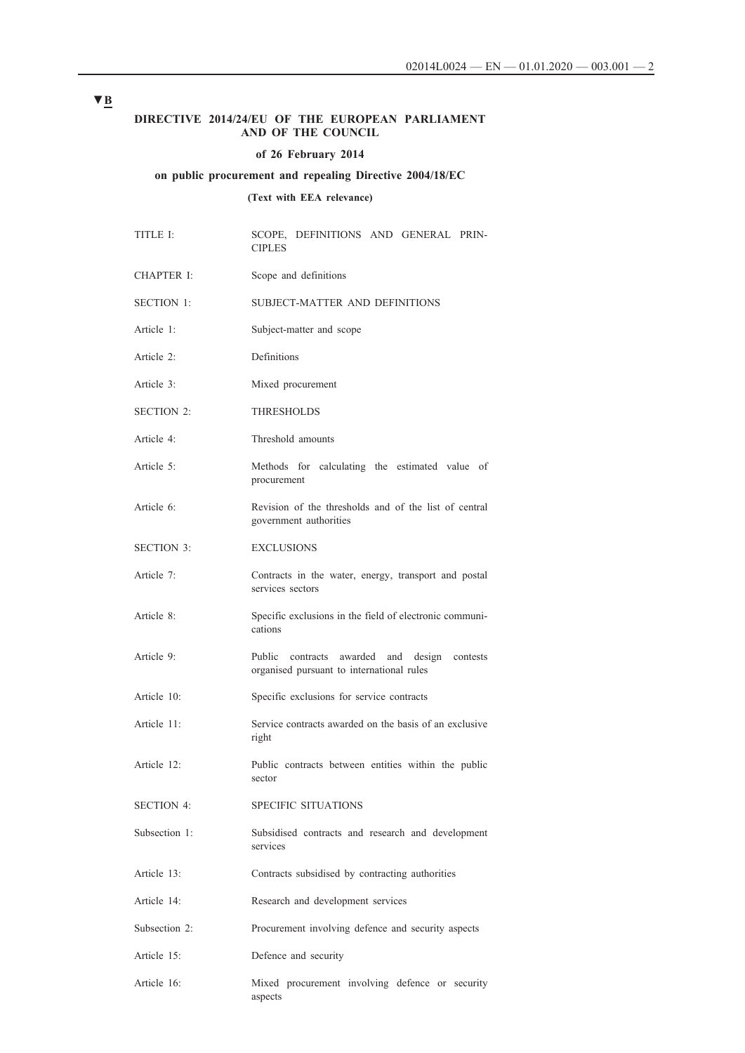## **DIRECTIVE 2014/24/EU OF THE EUROPEAN PARLIAMENT AND OF THE COUNCIL**

# **of 26 February 2014**

# **on public procurement and repealing Directive 2004/18/EC**

# **(Text with EEA relevance)**

| TITLE I:          | SCOPE, DEFINITIONS AND GENERAL PRIN-<br><b>CIPLES</b>                                     |
|-------------------|-------------------------------------------------------------------------------------------|
| <b>CHAPTER I:</b> | Scope and definitions                                                                     |
| <b>SECTION 1:</b> | SUBJECT-MATTER AND DEFINITIONS                                                            |
| Article 1:        | Subject-matter and scope                                                                  |
| Article 2:        | Definitions                                                                               |
| Article 3:        | Mixed procurement                                                                         |
| <b>SECTION 2:</b> | <b>THRESHOLDS</b>                                                                         |
| Article 4:        | Threshold amounts                                                                         |
| Article 5:        | Methods for calculating the estimated value of<br>procurement                             |
| Article 6:        | Revision of the thresholds and of the list of central<br>government authorities           |
| <b>SECTION 3:</b> | <b>EXCLUSIONS</b>                                                                         |
| Article 7:        | Contracts in the water, energy, transport and postal<br>services sectors                  |
| Article 8:        | Specific exclusions in the field of electronic communi-<br>cations                        |
| Article 9:        | Public contracts awarded and design contests<br>organised pursuant to international rules |
| Article 10:       | Specific exclusions for service contracts                                                 |
| Article 11:       | Service contracts awarded on the basis of an exclusive<br>right                           |
| Article 12:       | Public contracts between entities within the public<br>sector                             |
| <b>SECTION 4:</b> | SPECIFIC SITUATIONS                                                                       |
| Subsection 1:     | Subsidised contracts and research and development<br>services                             |
| Article 13:       | Contracts subsidised by contracting authorities                                           |
| Article 14:       | Research and development services                                                         |
| Subsection 2:     | Procurement involving defence and security aspects                                        |
| Article 15:       | Defence and security                                                                      |
| Article 16:       | Mixed procurement involving defence or security<br>aspects                                |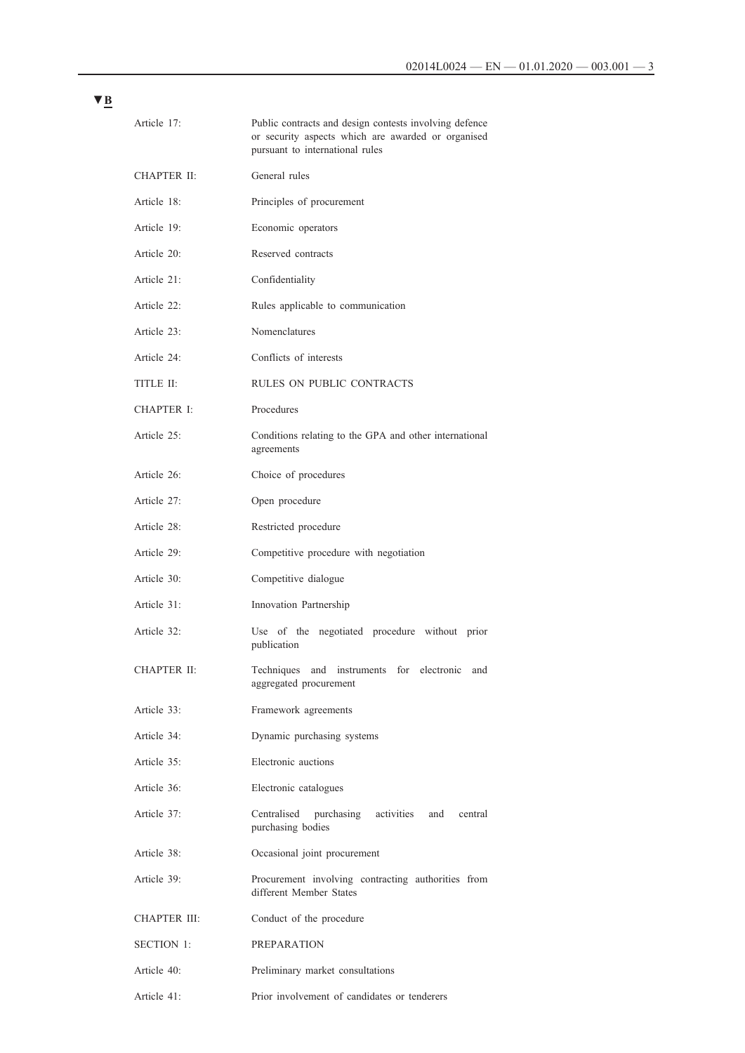| Article 17:        | Public contracts and design contests involving defence<br>or security aspects which are awarded or organised<br>pursuant to international rules |
|--------------------|-------------------------------------------------------------------------------------------------------------------------------------------------|
| CHAPTER II:        | General rules                                                                                                                                   |
| Article 18:        | Principles of procurement                                                                                                                       |
| Article 19:        | Economic operators                                                                                                                              |
| Article 20:        | Reserved contracts                                                                                                                              |
| Article 21:        | Confidentiality                                                                                                                                 |
| Article 22:        | Rules applicable to communication                                                                                                               |
| Article 23:        | Nomenclatures                                                                                                                                   |
| Article 24:        | Conflicts of interests                                                                                                                          |
| TITLE II:          | RULES ON PUBLIC CONTRACTS                                                                                                                       |
| <b>CHAPTER I:</b>  | Procedures                                                                                                                                      |
| Article 25:        | Conditions relating to the GPA and other international<br>agreements                                                                            |
| Article 26:        | Choice of procedures                                                                                                                            |
| Article 27:        | Open procedure                                                                                                                                  |
| Article 28:        | Restricted procedure                                                                                                                            |
| Article 29:        | Competitive procedure with negotiation                                                                                                          |
| Article 30:        | Competitive dialogue                                                                                                                            |
| Article 31:        | Innovation Partnership                                                                                                                          |
| Article 32:        | Use of the negotiated procedure without prior<br>publication                                                                                    |
| <b>CHAPTER II:</b> | Techniques<br>for<br>electronic<br>and<br>instruments<br>and<br>aggregated procurement                                                          |
| Article 33:        | Framework agreements                                                                                                                            |
| Article 34:        | Dynamic purchasing systems                                                                                                                      |
| Article 35:        | Electronic auctions                                                                                                                             |
| Article 36:        | Electronic catalogues                                                                                                                           |
| Article 37:        | Centralised<br>purchasing activities<br>and<br>central<br>purchasing bodies                                                                     |
| Article 38:        | Occasional joint procurement                                                                                                                    |
| Article 39:        | Procurement involving contracting authorities from<br>different Member States                                                                   |
| CHAPTER III:       | Conduct of the procedure                                                                                                                        |
| <b>SECTION 1:</b>  | <b>PREPARATION</b>                                                                                                                              |
| Article 40:        | Preliminary market consultations                                                                                                                |
| Article 41:        | Prior involvement of candidates or tenderers                                                                                                    |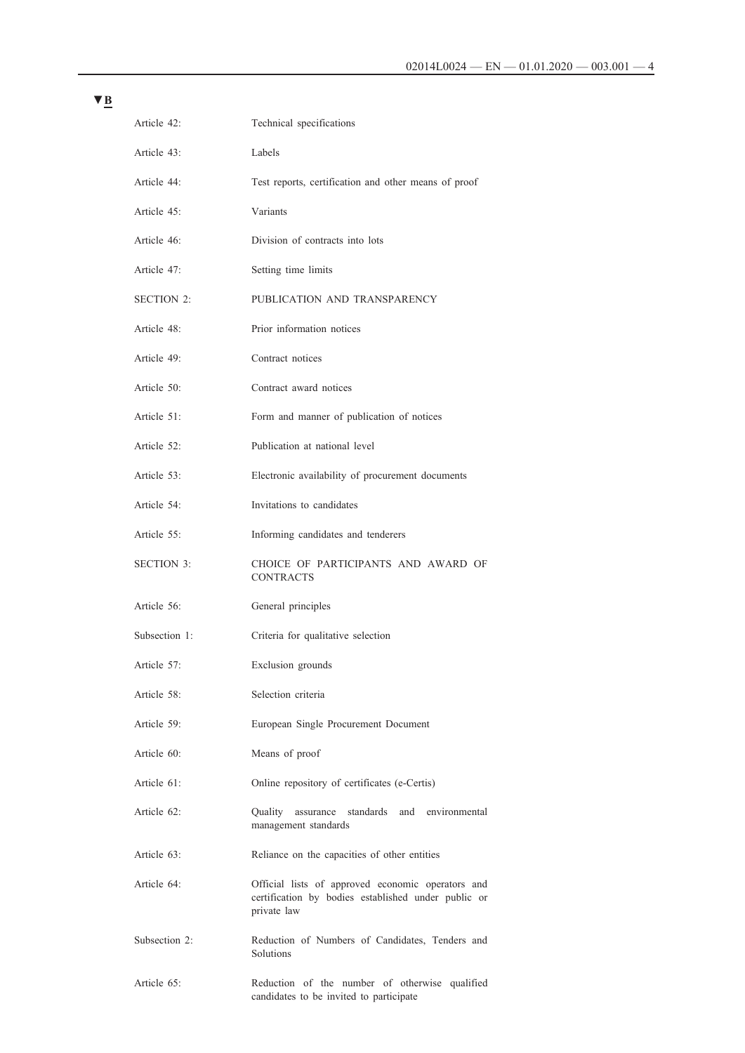| Article 42:   | Technical specifications                                                                                                |
|---------------|-------------------------------------------------------------------------------------------------------------------------|
| Article 43:   | Labels                                                                                                                  |
| Article 44:   | Test reports, certification and other means of proof                                                                    |
| Article 45:   | Variants                                                                                                                |
| Article 46:   | Division of contracts into lots                                                                                         |
| Article 47:   | Setting time limits                                                                                                     |
| SECTION 2:    | PUBLICATION AND TRANSPARENCY                                                                                            |
| Article 48:   | Prior information notices                                                                                               |
| Article 49:   | Contract notices                                                                                                        |
| Article 50:   | Contract award notices                                                                                                  |
| Article 51:   | Form and manner of publication of notices                                                                               |
| Article 52:   | Publication at national level                                                                                           |
| Article 53:   | Electronic availability of procurement documents                                                                        |
| Article 54:   | Invitations to candidates                                                                                               |
| Article 55:   | Informing candidates and tenderers                                                                                      |
| SECTION 3:    | CHOICE OF PARTICIPANTS AND AWARD OF<br><b>CONTRACTS</b>                                                                 |
| Article 56:   | General principles                                                                                                      |
| Subsection 1: | Criteria for qualitative selection                                                                                      |
| Article 57:   | Exclusion grounds                                                                                                       |
| Article 58:   | Selection criteria                                                                                                      |
| Article 59:   | European Single Procurement Document                                                                                    |
| Article 60:   | Means of proof                                                                                                          |
| Article 61:   | Online repository of certificates (e-Certis)                                                                            |
| Article 62:   | Quality assurance standards and environmental<br>management standards                                                   |
| Article 63:   | Reliance on the capacities of other entities                                                                            |
| Article 64:   | Official lists of approved economic operators and<br>certification by bodies established under public or<br>private law |
| Subsection 2: | Reduction of Numbers of Candidates, Tenders and<br>Solutions                                                            |
| Article 65:   | Reduction of the number of otherwise qualified<br>candidates to be invited to participate                               |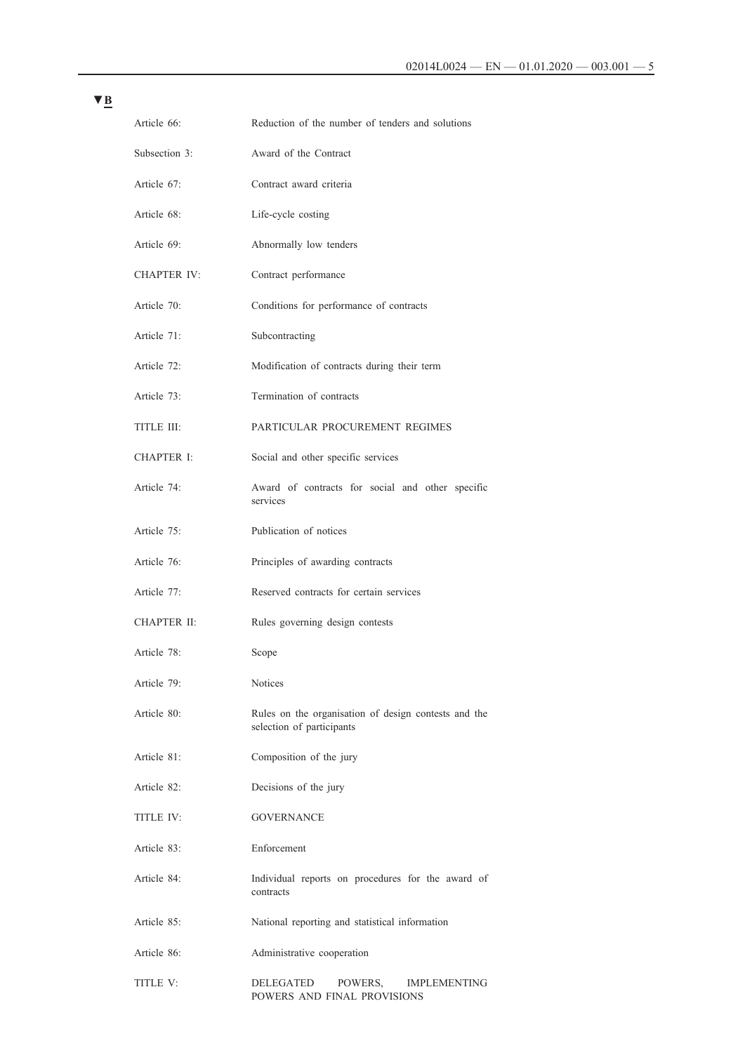| Article 66:   | Reduction of the number of tenders and solutions                                  |
|---------------|-----------------------------------------------------------------------------------|
| Subsection 3: | Award of the Contract                                                             |
| Article 67:   | Contract award criteria                                                           |
| Article 68:   | Life-cycle costing                                                                |
| Article 69:   | Abnormally low tenders                                                            |
| CHAPTER IV:   | Contract performance                                                              |
| Article 70:   | Conditions for performance of contracts                                           |
| Article 71:   | Subcontracting                                                                    |
| Article 72:   | Modification of contracts during their term                                       |
| Article 73:   | Termination of contracts                                                          |
| TITLE III:    | PARTICULAR PROCUREMENT REGIMES                                                    |
| CHAPTER I:    | Social and other specific services                                                |
| Article 74:   | Award of contracts for social and other specific<br>services                      |
| Article 75:   | Publication of notices                                                            |
| Article 76:   | Principles of awarding contracts                                                  |
| Article 77:   | Reserved contracts for certain services                                           |
| CHAPTER II:   | Rules governing design contests                                                   |
| Article 78:   | Scope                                                                             |
| Article 79:   | Notices                                                                           |
| Article 80:   | Rules on the organisation of design contests and the<br>selection of participants |
| Article 81:   | Composition of the jury                                                           |
| Article 82:   | Decisions of the jury                                                             |
| TITLE IV:     | <b>GOVERNANCE</b>                                                                 |
| Article 83:   | Enforcement                                                                       |
| Article 84:   | Individual reports on procedures for the award of<br>contracts                    |
| Article 85:   | National reporting and statistical information                                    |
| Article 86:   | Administrative cooperation                                                        |
| TITLE V:      | DELEGATED<br>POWERS,<br>IMPLEMENTING<br>POWERS AND FINAL PROVISIONS               |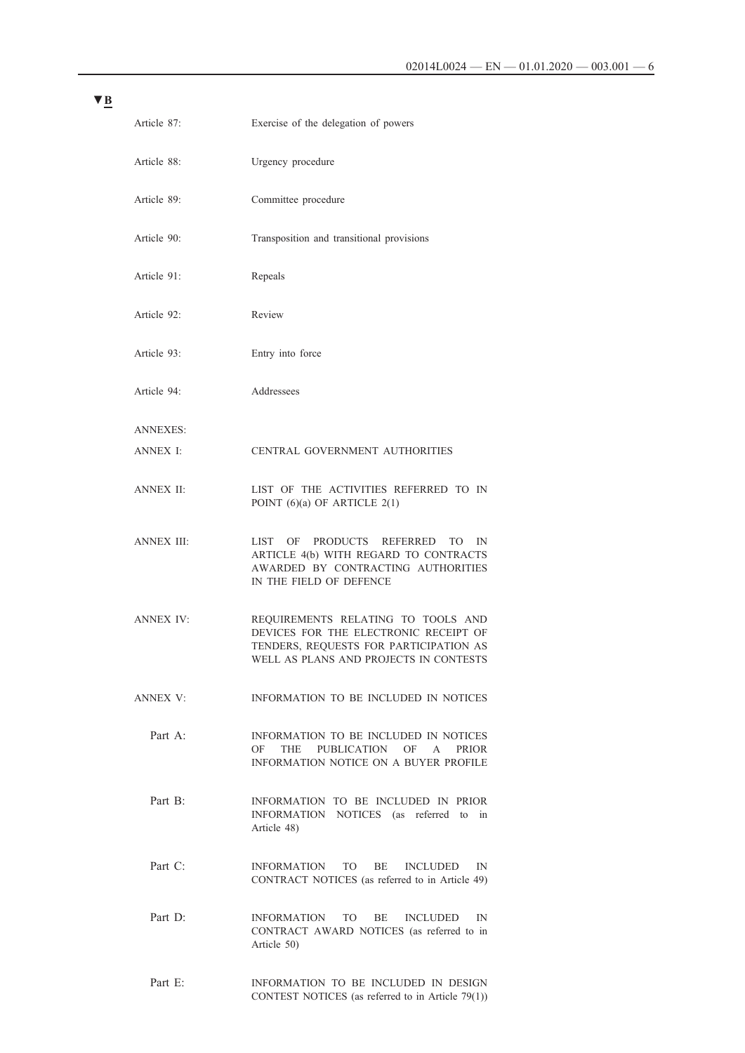| Article 87:      | Exercise of the delegation of powers                                                                                                                            |
|------------------|-----------------------------------------------------------------------------------------------------------------------------------------------------------------|
| Article 88:      | Urgency procedure                                                                                                                                               |
| Article 89.      | Committee procedure                                                                                                                                             |
| Article 90:      | Transposition and transitional provisions                                                                                                                       |
| Article 91:      | Repeals                                                                                                                                                         |
| Article 92:      | Review                                                                                                                                                          |
| Article 93:      | Entry into force                                                                                                                                                |
| Article 94:      | Addressees                                                                                                                                                      |
|                  |                                                                                                                                                                 |
| <b>ANNEXES:</b>  |                                                                                                                                                                 |
| ANNEX I:         | CENTRAL GOVERNMENT AUTHORITIES                                                                                                                                  |
| ANNEX II:        | LIST OF THE ACTIVITIES REFERRED TO IN<br>POINT (6)(a) OF ARTICLE 2(1)                                                                                           |
| ANNEX III:       | LIST OF PRODUCTS REFERRED TO<br>IN<br>ARTICLE 4(b) WITH REGARD TO CONTRACTS<br>AWARDED BY CONTRACTING AUTHORITIES<br>IN THE FIELD OF DEFENCE                    |
| <b>ANNEX IV:</b> | REQUIREMENTS RELATING TO TOOLS AND<br>DEVICES FOR THE ELECTRONIC RECEIPT OF<br>TENDERS, REQUESTS FOR PARTICIPATION AS<br>WELL AS PLANS AND PROJECTS IN CONTESTS |
| <b>ANNEX V:</b>  | INFORMATION TO BE INCLUDED IN NOTICES                                                                                                                           |
| Part A:          | INFORMATION TO BE INCLUDED IN NOTICES<br>PUBLICATION<br>OF<br>OF<br>THE<br>A<br><b>PRIOR</b><br>INFORMATION NOTICE ON A BUYER PROFILE                           |
| Part B:          | INFORMATION TO BE INCLUDED IN PRIOR<br>INFORMATION NOTICES (as<br>referred<br>to<br>in<br>Article 48)                                                           |
| Part C:          | INFORMATION<br>TO T<br>BE INCLUDED<br>IN<br>CONTRACT NOTICES (as referred to in Article 49)                                                                     |
| Part D:          | INFORMATION TO BE<br>INCLUDED<br>IN<br>CONTRACT AWARD NOTICES (as referred to in<br>Article 50)                                                                 |
| Part E:          | INFORMATION TO BE INCLUDED IN DESIGN                                                                                                                            |

CONTEST NOTICES (as referred to in Article 79(1))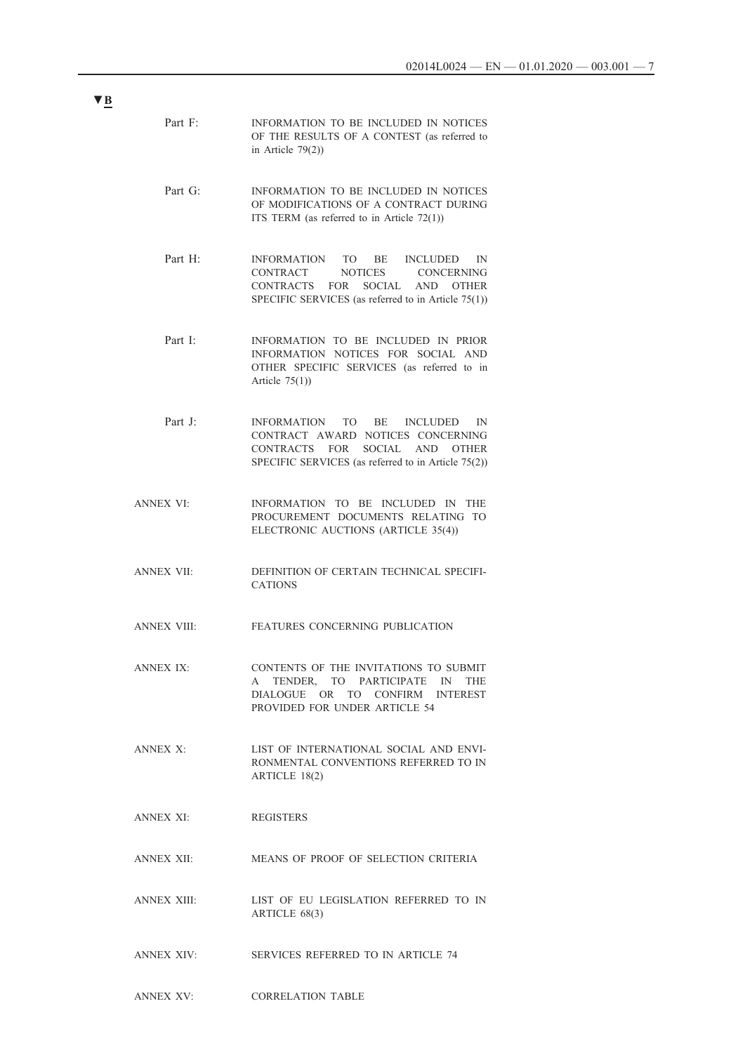- Part F: **INFORMATION TO BE INCLUDED IN NOTICES** OF THE RESULTS OF A CONTEST (as referred to in Article 79(2))
- Part G: **INFORMATION TO BE INCLUDED IN NOTICES** OF MODIFICATIONS OF A CONTRACT DURING ITS TERM (as referred to in Article 72(1))
- Part H: **INFORMATION** TO BE INCLUDED IN CONTRACT NOTICES CONCERNING CONTRACTS FOR SOCIAL AND OTHER SPECIFIC SERVICES (as referred to in Article 75(1))
- Part I: **INFORMATION TO BE INCLUDED IN PRIOR** INFORMATION NOTICES FOR SOCIAL AND OTHER SPECIFIC SERVICES (as referred to in Article 75(1))
- Part J: **INFORMATION** TO BE INCLUDED IN CONTRACT AWARD NOTICES CONCERNING CONTRACTS FOR SOCIAL AND OTHER SPECIFIC SERVICES (as referred to in Article 75(2))
- ANNEX VI: **INFORMATION TO BE INCLUDED IN THE** PROCUREMENT DOCUMENTS RELATING TO ELECTRONIC AUCTIONS (ARTICLE 35(4))
- ANNEX VII: DEFINITION OF CERTAIN TECHNICAL SPECIFI-CATIONS
- ANNEX VIII: FEATURES CONCERNING PUBLICATION
- ANNEX IX: CONTENTS OF THE INVITATIONS TO SUBMIT A TENDER, TO PARTICIPATE IN THE DIALOGUE OR TO CONFIRM INTEREST PROVIDED FOR UNDER ARTICLE 54
- ANNEX X: LIST OF INTERNATIONAL SOCIAL AND ENVI-RONMENTAL CONVENTIONS REFERRED TO IN ARTICLE 18(2)
- ANNEX XI: REGISTERS
- ANNEX XII: MEANS OF PROOF OF SELECTION CRITERIA
- ANNEX XIII: LIST OF EU LEGISLATION REFERRED TO IN ARTICLE 68(3)
- ANNEX XIV: SERVICES REFERRED TO IN ARTICLE 74
- ANNEX XV: CORRELATION TABLE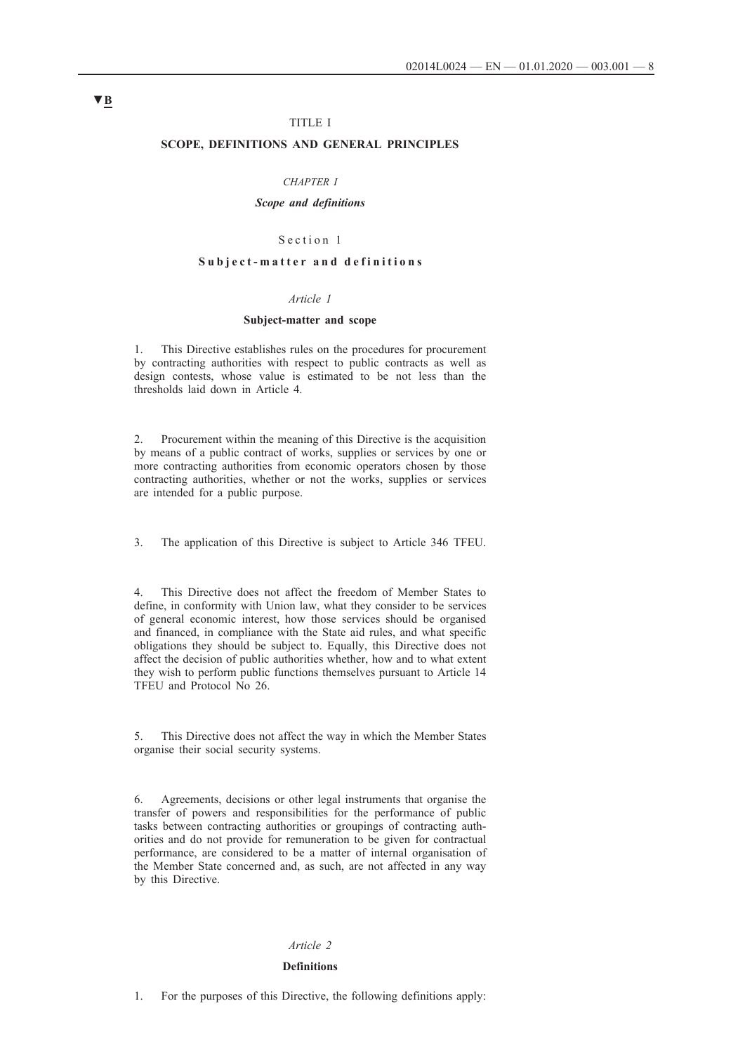### TITLE I

## **SCOPE, DEFINITIONS AND GENERAL PRINCIPLES**

#### *CHAPTER I*

### *Scope and definitions*

### Section 1

### Subject-matter and definitions

### *Article 1*

### **Subject-matter and scope**

1. This Directive establishes rules on the procedures for procurement by contracting authorities with respect to public contracts as well as design contests, whose value is estimated to be not less than the thresholds laid down in Article 4.

2. Procurement within the meaning of this Directive is the acquisition by means of a public contract of works, supplies or services by one or more contracting authorities from economic operators chosen by those contracting authorities, whether or not the works, supplies or services are intended for a public purpose.

3. The application of this Directive is subject to Article 346 TFEU.

4. This Directive does not affect the freedom of Member States to define, in conformity with Union law, what they consider to be services of general economic interest, how those services should be organised and financed, in compliance with the State aid rules, and what specific obligations they should be subject to. Equally, this Directive does not affect the decision of public authorities whether, how and to what extent they wish to perform public functions themselves pursuant to Article 14 TFEU and Protocol No 26.

5. This Directive does not affect the way in which the Member States organise their social security systems.

6. Agreements, decisions or other legal instruments that organise the transfer of powers and responsibilities for the performance of public tasks between contracting authorities or groupings of contracting authorities and do not provide for remuneration to be given for contractual performance, are considered to be a matter of internal organisation of the Member State concerned and, as such, are not affected in any way by this Directive.

### *Article 2*

#### **Definitions**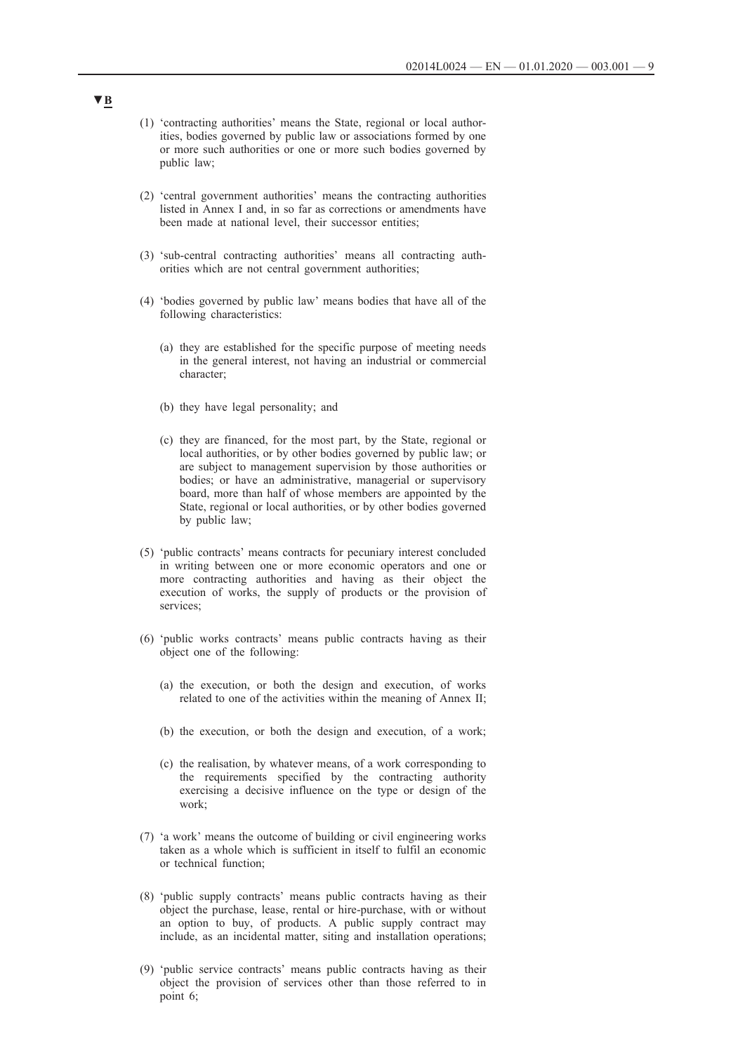- (1) 'contracting authorities' means the State, regional or local authorities, bodies governed by public law or associations formed by one or more such authorities or one or more such bodies governed by public law;
- (2) 'central government authorities' means the contracting authorities listed in Annex I and, in so far as corrections or amendments have been made at national level, their successor entities;
- (3) 'sub-central contracting authorities' means all contracting authorities which are not central government authorities;
- (4) 'bodies governed by public law' means bodies that have all of the following characteristics:
	- (a) they are established for the specific purpose of meeting needs in the general interest, not having an industrial or commercial character;
	- (b) they have legal personality; and
	- (c) they are financed, for the most part, by the State, regional or local authorities, or by other bodies governed by public law; or are subject to management supervision by those authorities or bodies; or have an administrative, managerial or supervisory board, more than half of whose members are appointed by the State, regional or local authorities, or by other bodies governed by public law;
- (5) 'public contracts' means contracts for pecuniary interest concluded in writing between one or more economic operators and one or more contracting authorities and having as their object the execution of works, the supply of products or the provision of services;
- (6) 'public works contracts' means public contracts having as their object one of the following:
	- (a) the execution, or both the design and execution, of works related to one of the activities within the meaning of Annex II;
	- (b) the execution, or both the design and execution, of a work;
	- (c) the realisation, by whatever means, of a work corresponding to the requirements specified by the contracting authority exercising a decisive influence on the type or design of the work;
- (7) 'a work' means the outcome of building or civil engineering works taken as a whole which is sufficient in itself to fulfil an economic or technical function;
- (8) 'public supply contracts' means public contracts having as their object the purchase, lease, rental or hire-purchase, with or without an option to buy, of products. A public supply contract may include, as an incidental matter, siting and installation operations;
- (9) 'public service contracts' means public contracts having as their object the provision of services other than those referred to in point 6;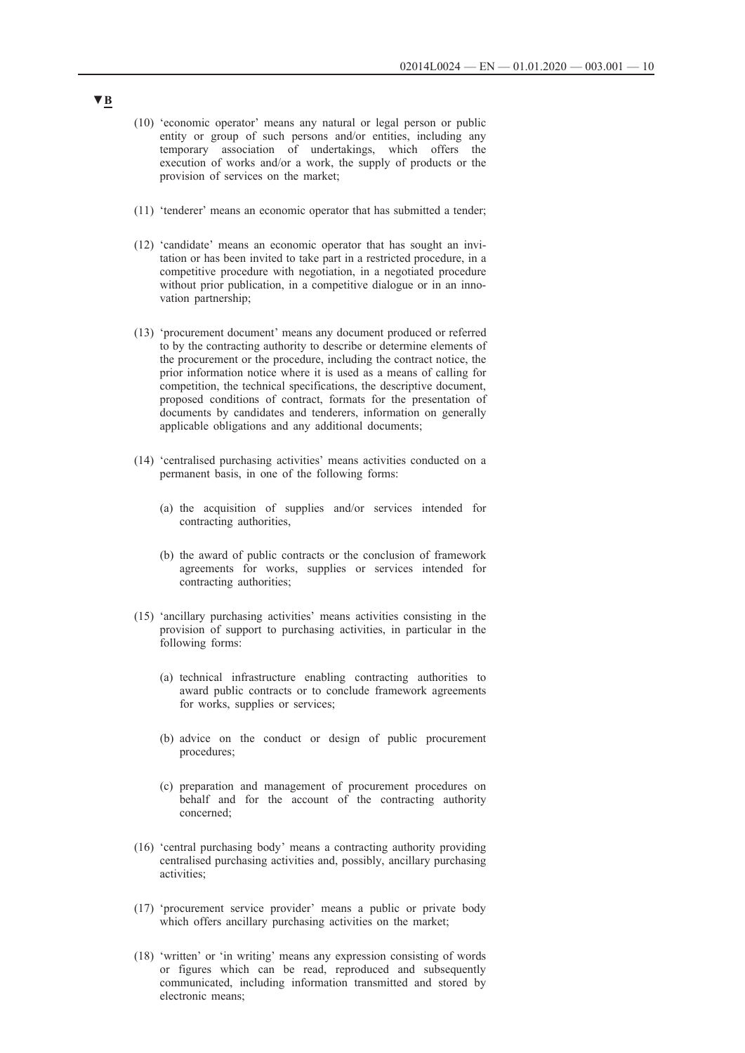- (10) 'economic operator' means any natural or legal person or public entity or group of such persons and/or entities, including any temporary association of undertakings, which offers the execution of works and/or a work, the supply of products or the provision of services on the market;
- (11) 'tenderer' means an economic operator that has submitted a tender;
- (12) 'candidate' means an economic operator that has sought an invitation or has been invited to take part in a restricted procedure, in a competitive procedure with negotiation, in a negotiated procedure without prior publication, in a competitive dialogue or in an innovation partnership;
- (13) 'procurement document' means any document produced or referred to by the contracting authority to describe or determine elements of the procurement or the procedure, including the contract notice, the prior information notice where it is used as a means of calling for competition, the technical specifications, the descriptive document, proposed conditions of contract, formats for the presentation of documents by candidates and tenderers, information on generally applicable obligations and any additional documents;
- (14) 'centralised purchasing activities' means activities conducted on a permanent basis, in one of the following forms:
	- (a) the acquisition of supplies and/or services intended for contracting authorities,
	- (b) the award of public contracts or the conclusion of framework agreements for works, supplies or services intended for contracting authorities;
- (15) 'ancillary purchasing activities' means activities consisting in the provision of support to purchasing activities, in particular in the following forms:
	- (a) technical infrastructure enabling contracting authorities to award public contracts or to conclude framework agreements for works, supplies or services;
	- (b) advice on the conduct or design of public procurement procedures;
	- (c) preparation and management of procurement procedures on behalf and for the account of the contracting authority concerned;
- (16) 'central purchasing body' means a contracting authority providing centralised purchasing activities and, possibly, ancillary purchasing activities;
- (17) 'procurement service provider' means a public or private body which offers ancillary purchasing activities on the market;
- (18) 'written' or 'in writing' means any expression consisting of words or figures which can be read, reproduced and subsequently communicated, including information transmitted and stored by electronic means;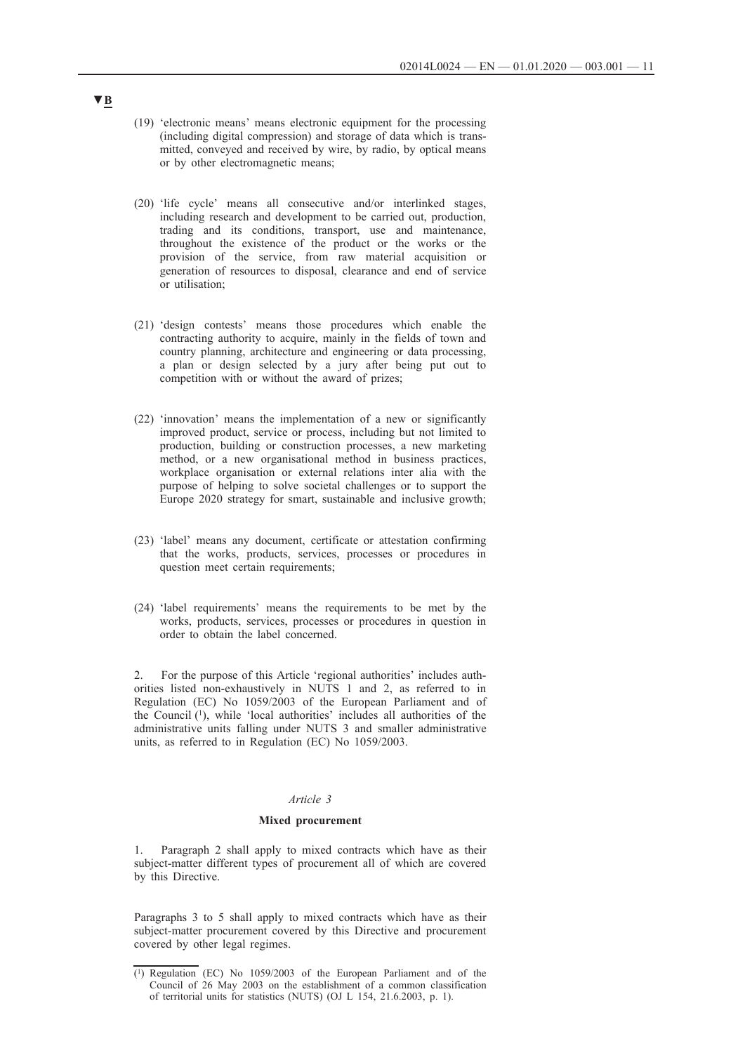- (19) 'electronic means' means electronic equipment for the processing (including digital compression) and storage of data which is transmitted, conveyed and received by wire, by radio, by optical means or by other electromagnetic means;
- (20) 'life cycle' means all consecutive and/or interlinked stages, including research and development to be carried out, production, trading and its conditions, transport, use and maintenance, throughout the existence of the product or the works or the provision of the service, from raw material acquisition or generation of resources to disposal, clearance and end of service or utilisation;
- (21) 'design contests' means those procedures which enable the contracting authority to acquire, mainly in the fields of town and country planning, architecture and engineering or data processing, a plan or design selected by a jury after being put out to competition with or without the award of prizes;
- (22) 'innovation' means the implementation of a new or significantly improved product, service or process, including but not limited to production, building or construction processes, a new marketing method, or a new organisational method in business practices, workplace organisation or external relations inter alia with the purpose of helping to solve societal challenges or to support the Europe 2020 strategy for smart, sustainable and inclusive growth;
- (23) 'label' means any document, certificate or attestation confirming that the works, products, services, processes or procedures in question meet certain requirements;
- (24) 'label requirements' means the requirements to be met by the works, products, services, processes or procedures in question in order to obtain the label concerned.

2. For the purpose of this Article 'regional authorities' includes authorities listed non-exhaustively in NUTS 1 and 2, as referred to in Regulation (EC) No 1059/2003 of the European Parliament and of the Council  $(1)$ , while 'local authorities' includes all authorities of the administrative units falling under NUTS 3 and smaller administrative units, as referred to in Regulation (EC) No 1059/2003.

# *Article 3*

#### **Mixed procurement**

1. Paragraph 2 shall apply to mixed contracts which have as their subject-matter different types of procurement all of which are covered by this Directive.

Paragraphs 3 to 5 shall apply to mixed contracts which have as their subject-matter procurement covered by this Directive and procurement covered by other legal regimes.

<sup>(1)</sup> Regulation (EC) No 1059/2003 of the European Parliament and of the Council of 26 May 2003 on the establishment of a common classification of territorial units for statistics (NUTS) (OJ L 154, 21.6.2003, p. 1).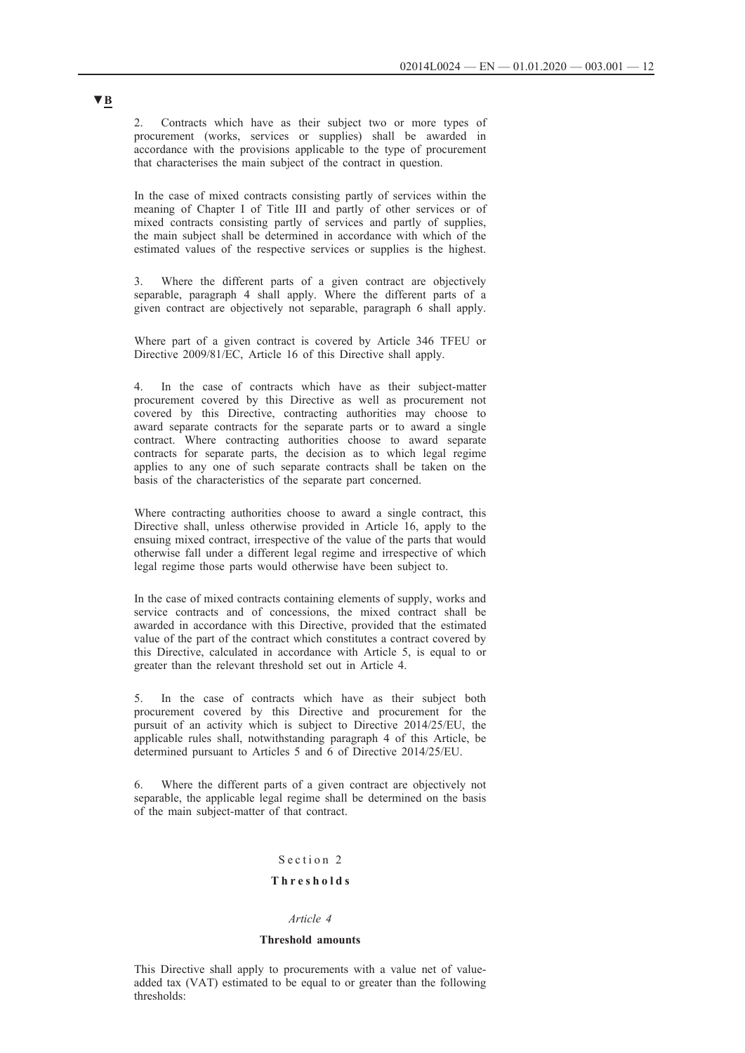2. Contracts which have as their subject two or more types of procurement (works, services or supplies) shall be awarded in accordance with the provisions applicable to the type of procurement that characterises the main subject of the contract in question.

In the case of mixed contracts consisting partly of services within the meaning of Chapter I of Title III and partly of other services or of mixed contracts consisting partly of services and partly of supplies, the main subject shall be determined in accordance with which of the estimated values of the respective services or supplies is the highest.

3. Where the different parts of a given contract are objectively separable, paragraph 4 shall apply. Where the different parts of a given contract are objectively not separable, paragraph 6 shall apply.

Where part of a given contract is covered by Article 346 TFEU or Directive 2009/81/EC, Article 16 of this Directive shall apply.

4. In the case of contracts which have as their subject-matter procurement covered by this Directive as well as procurement not covered by this Directive, contracting authorities may choose to award separate contracts for the separate parts or to award a single contract. Where contracting authorities choose to award separate contracts for separate parts, the decision as to which legal regime applies to any one of such separate contracts shall be taken on the basis of the characteristics of the separate part concerned.

Where contracting authorities choose to award a single contract, this Directive shall, unless otherwise provided in Article 16, apply to the ensuing mixed contract, irrespective of the value of the parts that would otherwise fall under a different legal regime and irrespective of which legal regime those parts would otherwise have been subject to.

In the case of mixed contracts containing elements of supply, works and service contracts and of concessions, the mixed contract shall be awarded in accordance with this Directive, provided that the estimated value of the part of the contract which constitutes a contract covered by this Directive, calculated in accordance with Article 5, is equal to or greater than the relevant threshold set out in Article 4.

5. In the case of contracts which have as their subject both procurement covered by this Directive and procurement for the pursuit of an activity which is subject to Directive 2014/25/EU, the applicable rules shall, notwithstanding paragraph 4 of this Article, be determined pursuant to Articles 5 and 6 of Directive 2014/25/EU.

6. Where the different parts of a given contract are objectively not separable, the applicable legal regime shall be determined on the basis of the main subject-matter of that contract.

# Section 2 **T h r e s h o l d s**

#### *Article 4*

### **Threshold amounts**

This Directive shall apply to procurements with a value net of valueadded tax (VAT) estimated to be equal to or greater than the following thresholds: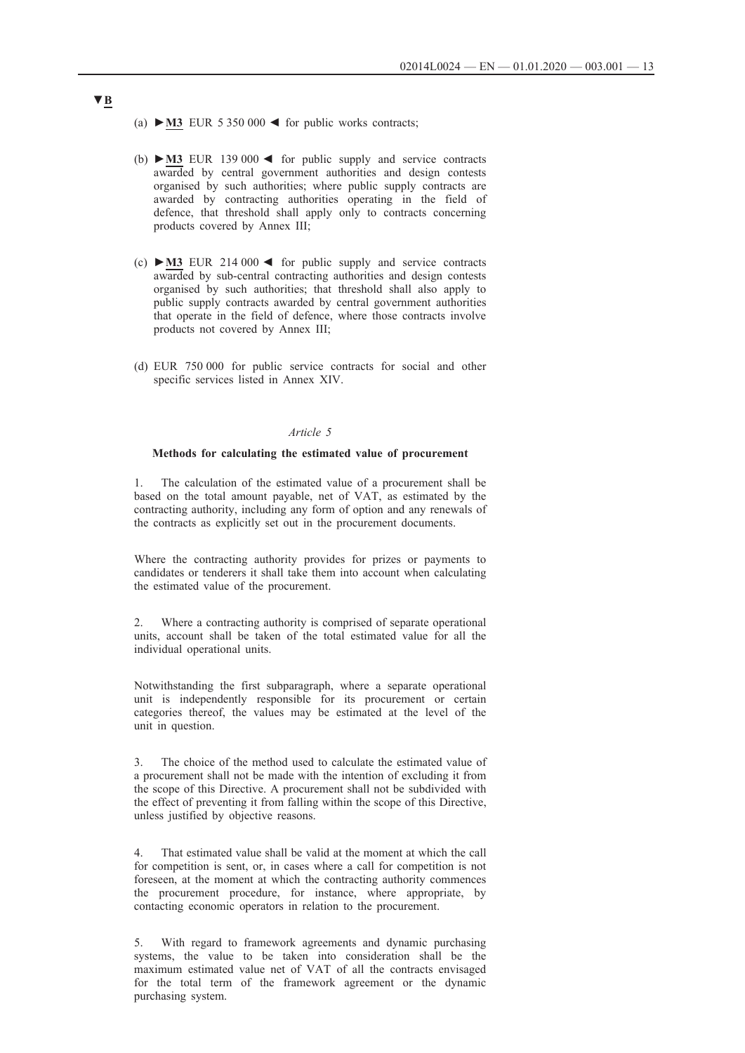- (a) **►M3** EUR 5 350 000 ◄ for public works contracts;
- (b) **►M3** EUR 139 000 ◄ for public supply and service contracts awarded by central government authorities and design contests organised by such authorities; where public supply contracts are awarded by contracting authorities operating in the field of defence, that threshold shall apply only to contracts concerning products covered by Annex III;
- (c) **►M3** EUR 214 000 ◄ for public supply and service contracts awarded by sub-central contracting authorities and design contests organised by such authorities; that threshold shall also apply to public supply contracts awarded by central government authorities that operate in the field of defence, where those contracts involve products not covered by Annex III;
- (d) EUR 750 000 for public service contracts for social and other specific services listed in Annex XIV.

### **Methods for calculating the estimated value of procurement**

The calculation of the estimated value of a procurement shall be based on the total amount payable, net of VAT, as estimated by the contracting authority, including any form of option and any renewals of the contracts as explicitly set out in the procurement documents.

Where the contracting authority provides for prizes or payments to candidates or tenderers it shall take them into account when calculating the estimated value of the procurement.

2. Where a contracting authority is comprised of separate operational units, account shall be taken of the total estimated value for all the individual operational units.

Notwithstanding the first subparagraph, where a separate operational unit is independently responsible for its procurement or certain categories thereof, the values may be estimated at the level of the unit in question.

3. The choice of the method used to calculate the estimated value of a procurement shall not be made with the intention of excluding it from the scope of this Directive. A procurement shall not be subdivided with the effect of preventing it from falling within the scope of this Directive, unless justified by objective reasons.

4. That estimated value shall be valid at the moment at which the call for competition is sent, or, in cases where a call for competition is not foreseen, at the moment at which the contracting authority commences the procurement procedure, for instance, where appropriate, by contacting economic operators in relation to the procurement.

5. With regard to framework agreements and dynamic purchasing systems, the value to be taken into consideration shall be the maximum estimated value net of VAT of all the contracts envisaged for the total term of the framework agreement or the dynamic purchasing system.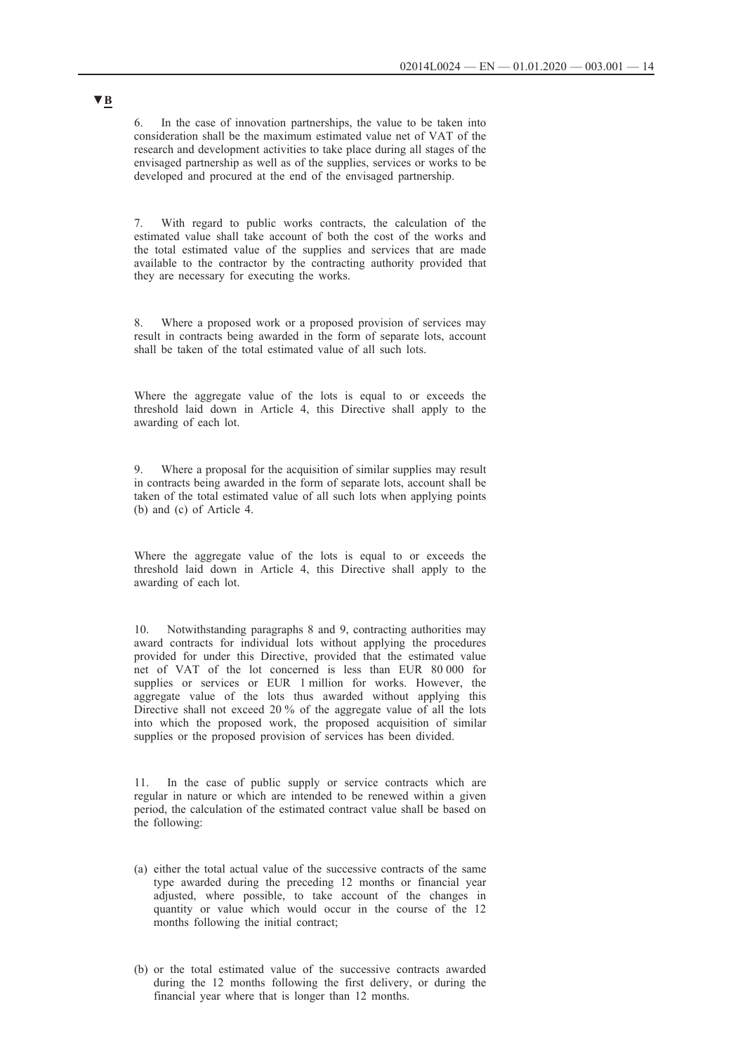6. In the case of innovation partnerships, the value to be taken into consideration shall be the maximum estimated value net of VAT of the research and development activities to take place during all stages of the envisaged partnership as well as of the supplies, services or works to be developed and procured at the end of the envisaged partnership.

7. With regard to public works contracts, the calculation of the estimated value shall take account of both the cost of the works and the total estimated value of the supplies and services that are made available to the contractor by the contracting authority provided that they are necessary for executing the works.

8. Where a proposed work or a proposed provision of services may result in contracts being awarded in the form of separate lots, account shall be taken of the total estimated value of all such lots.

Where the aggregate value of the lots is equal to or exceeds the threshold laid down in Article 4, this Directive shall apply to the awarding of each lot.

9. Where a proposal for the acquisition of similar supplies may result in contracts being awarded in the form of separate lots, account shall be taken of the total estimated value of all such lots when applying points (b) and (c) of Article 4.

Where the aggregate value of the lots is equal to or exceeds the threshold laid down in Article 4, this Directive shall apply to the awarding of each lot.

10. Notwithstanding paragraphs 8 and 9, contracting authorities may award contracts for individual lots without applying the procedures provided for under this Directive, provided that the estimated value net of VAT of the lot concerned is less than EUR 80 000 for supplies or services or EUR 1 million for works. However, the aggregate value of the lots thus awarded without applying this Directive shall not exceed 20 % of the aggregate value of all the lots into which the proposed work, the proposed acquisition of similar supplies or the proposed provision of services has been divided.

11. In the case of public supply or service contracts which are regular in nature or which are intended to be renewed within a given period, the calculation of the estimated contract value shall be based on the following:

- (a) either the total actual value of the successive contracts of the same type awarded during the preceding 12 months or financial year adjusted, where possible, to take account of the changes in quantity or value which would occur in the course of the 12 months following the initial contract;
- (b) or the total estimated value of the successive contracts awarded during the 12 months following the first delivery, or during the financial year where that is longer than 12 months.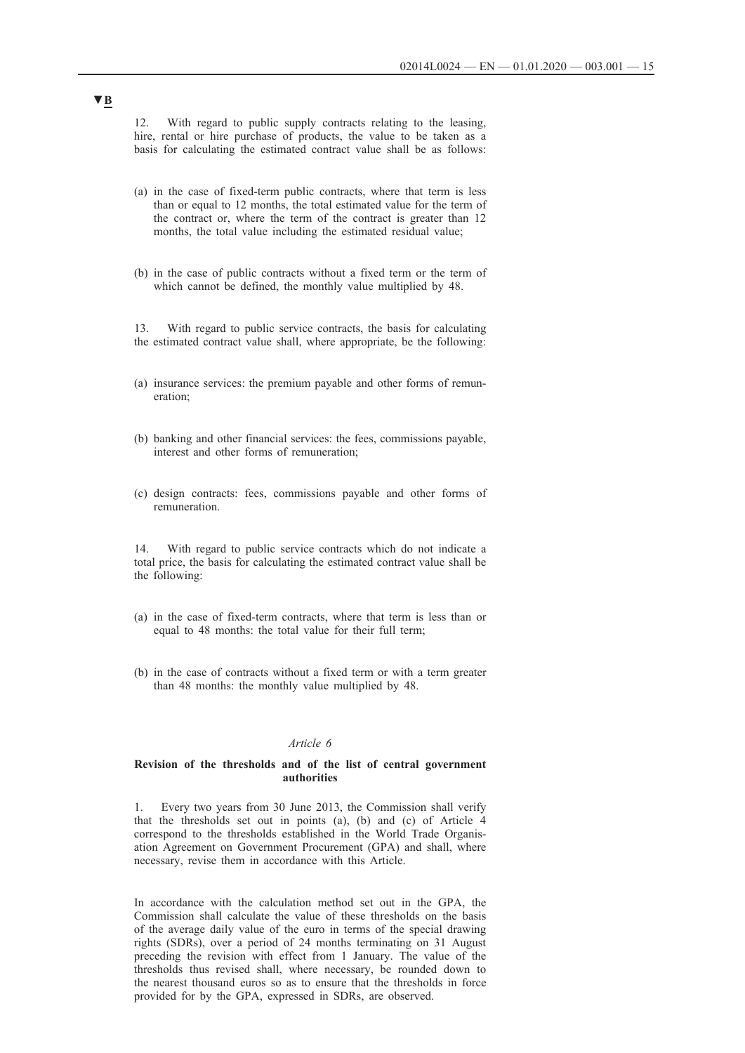12. With regard to public supply contracts relating to the leasing, hire, rental or hire purchase of products, the value to be taken as a basis for calculating the estimated contract value shall be as follows:

- (a) in the case of fixed-term public contracts, where that term is less than or equal to 12 months, the total estimated value for the term of the contract or, where the term of the contract is greater than 12 months, the total value including the estimated residual value;
- (b) in the case of public contracts without a fixed term or the term of which cannot be defined, the monthly value multiplied by 48.

13. With regard to public service contracts, the basis for calculating the estimated contract value shall, where appropriate, be the following:

- (a) insurance services: the premium payable and other forms of remuneration;
- (b) banking and other financial services: the fees, commissions payable, interest and other forms of remuneration;
- (c) design contracts: fees, commissions payable and other forms of remuneration.

14. With regard to public service contracts which do not indicate a total price, the basis for calculating the estimated contract value shall be the following:

- (a) in the case of fixed-term contracts, where that term is less than or equal to 48 months: the total value for their full term;
- (b) in the case of contracts without a fixed term or with a term greater than 48 months: the monthly value multiplied by 48.

#### *Article 6*

### **Revision of the thresholds and of the list of central government authorities**

1. Every two years from 30 June 2013, the Commission shall verify that the thresholds set out in points (a), (b) and (c) of Article 4 correspond to the thresholds established in the World Trade Organisation Agreement on Government Procurement (GPA) and shall, where necessary, revise them in accordance with this Article.

In accordance with the calculation method set out in the GPA, the Commission shall calculate the value of these thresholds on the basis of the average daily value of the euro in terms of the special drawing rights (SDRs), over a period of 24 months terminating on 31 August preceding the revision with effect from 1 January. The value of the thresholds thus revised shall, where necessary, be rounded down to the nearest thousand euros so as to ensure that the thresholds in force provided for by the GPA, expressed in SDRs, are observed.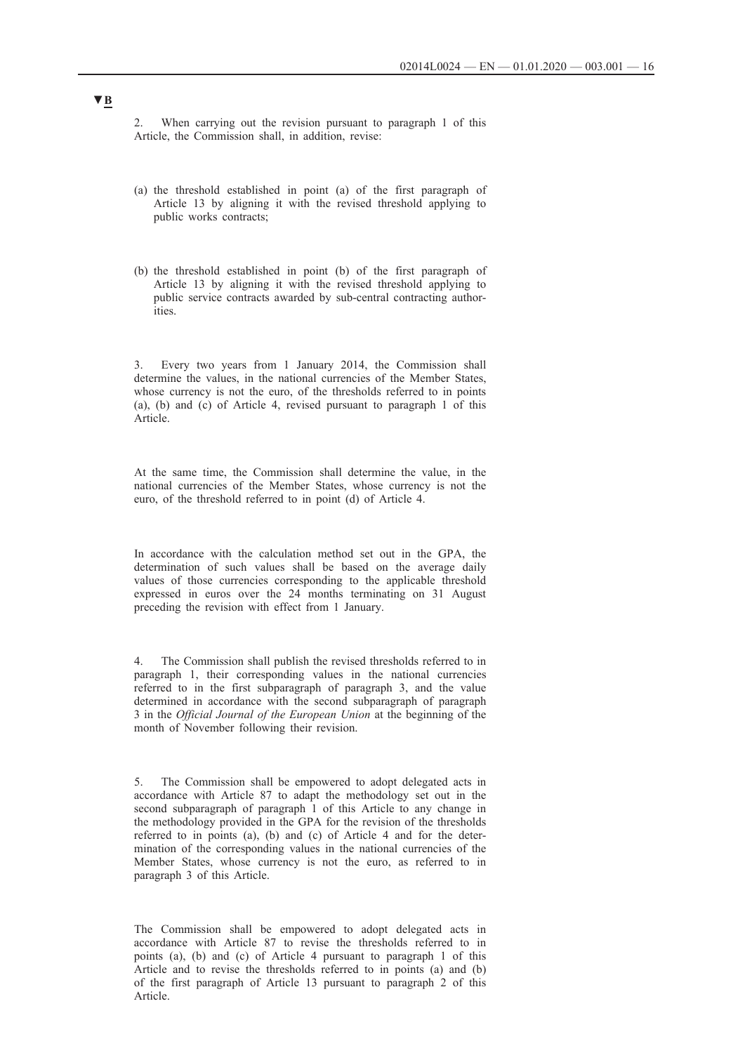2. When carrying out the revision pursuant to paragraph 1 of this Article, the Commission shall, in addition, revise:

- (a) the threshold established in point (a) of the first paragraph of Article 13 by aligning it with the revised threshold applying to public works contracts;
- (b) the threshold established in point (b) of the first paragraph of Article 13 by aligning it with the revised threshold applying to public service contracts awarded by sub-central contracting authorities.

3. Every two years from 1 January 2014, the Commission shall determine the values, in the national currencies of the Member States, whose currency is not the euro, of the thresholds referred to in points (a), (b) and (c) of Article 4, revised pursuant to paragraph 1 of this Article.

At the same time, the Commission shall determine the value, in the national currencies of the Member States, whose currency is not the euro, of the threshold referred to in point (d) of Article 4.

In accordance with the calculation method set out in the GPA, the determination of such values shall be based on the average daily values of those currencies corresponding to the applicable threshold expressed in euros over the 24 months terminating on 31 August preceding the revision with effect from 1 January.

4. The Commission shall publish the revised thresholds referred to in paragraph 1, their corresponding values in the national currencies referred to in the first subparagraph of paragraph 3, and the value determined in accordance with the second subparagraph of paragraph 3 in the *Official Journal of the European Union* at the beginning of the month of November following their revision.

5. The Commission shall be empowered to adopt delegated acts in accordance with Article 87 to adapt the methodology set out in the second subparagraph of paragraph 1 of this Article to any change in the methodology provided in the GPA for the revision of the thresholds referred to in points (a), (b) and (c) of Article 4 and for the determination of the corresponding values in the national currencies of the Member States, whose currency is not the euro, as referred to in paragraph 3 of this Article.

The Commission shall be empowered to adopt delegated acts in accordance with Article 87 to revise the thresholds referred to in points (a), (b) and (c) of Article 4 pursuant to paragraph 1 of this Article and to revise the thresholds referred to in points (a) and (b) of the first paragraph of Article 13 pursuant to paragraph 2 of this Article.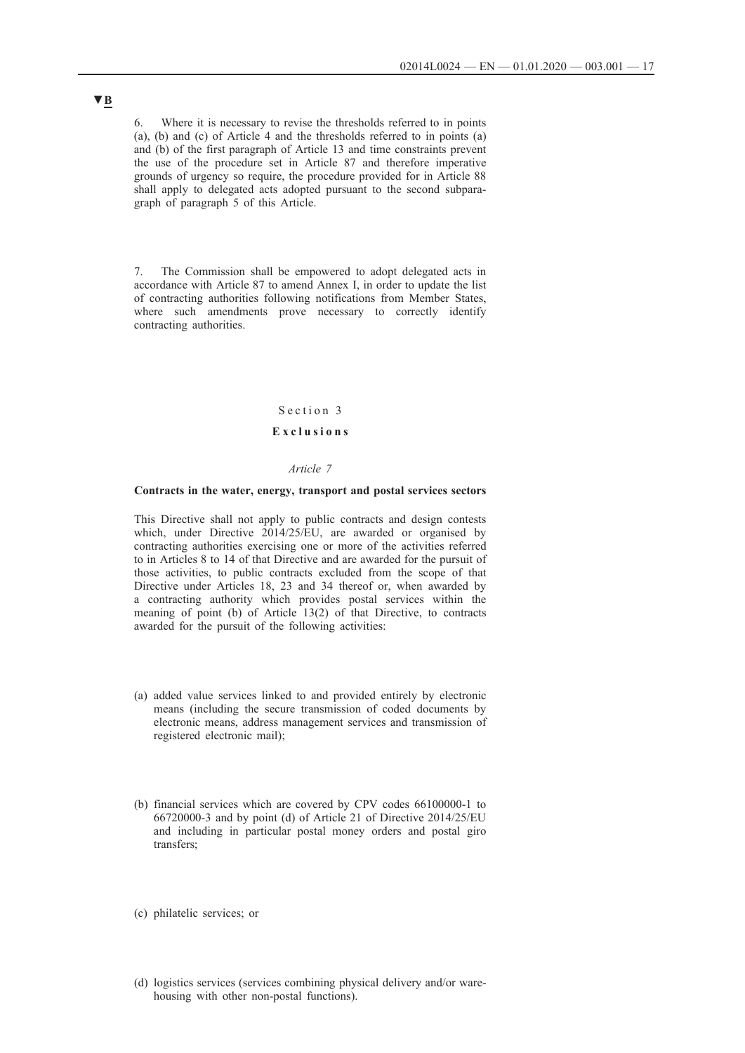6. Where it is necessary to revise the thresholds referred to in points (a), (b) and (c) of Article 4 and the thresholds referred to in points (a) and (b) of the first paragraph of Article 13 and time constraints prevent the use of the procedure set in Article 87 and therefore imperative grounds of urgency so require, the procedure provided for in Article 88 shall apply to delegated acts adopted pursuant to the second subparagraph of paragraph 5 of this Article.

7. The Commission shall be empowered to adopt delegated acts in accordance with Article 87 to amend Annex I, in order to update the list of contracting authorities following notifications from Member States, where such amendments prove necessary to correctly identify contracting authorities.

#### Section 3

### **E x c l u s i o n s**

### *Article 7*

#### **Contracts in the water, energy, transport and postal services sectors**

This Directive shall not apply to public contracts and design contests which, under Directive 2014/25/EU, are awarded or organised by contracting authorities exercising one or more of the activities referred to in Articles 8 to 14 of that Directive and are awarded for the pursuit of those activities, to public contracts excluded from the scope of that Directive under Articles 18, 23 and 34 thereof or, when awarded by a contracting authority which provides postal services within the meaning of point (b) of Article 13(2) of that Directive, to contracts awarded for the pursuit of the following activities:

- (a) added value services linked to and provided entirely by electronic means (including the secure transmission of coded documents by electronic means, address management services and transmission of registered electronic mail);
- (b) financial services which are covered by CPV codes 66100000-1 to 66720000-3 and by point (d) of Article 21 of Directive 2014/25/EU and including in particular postal money orders and postal giro transfers;

(c) philatelic services; or

(d) logistics services (services combining physical delivery and/or warehousing with other non-postal functions).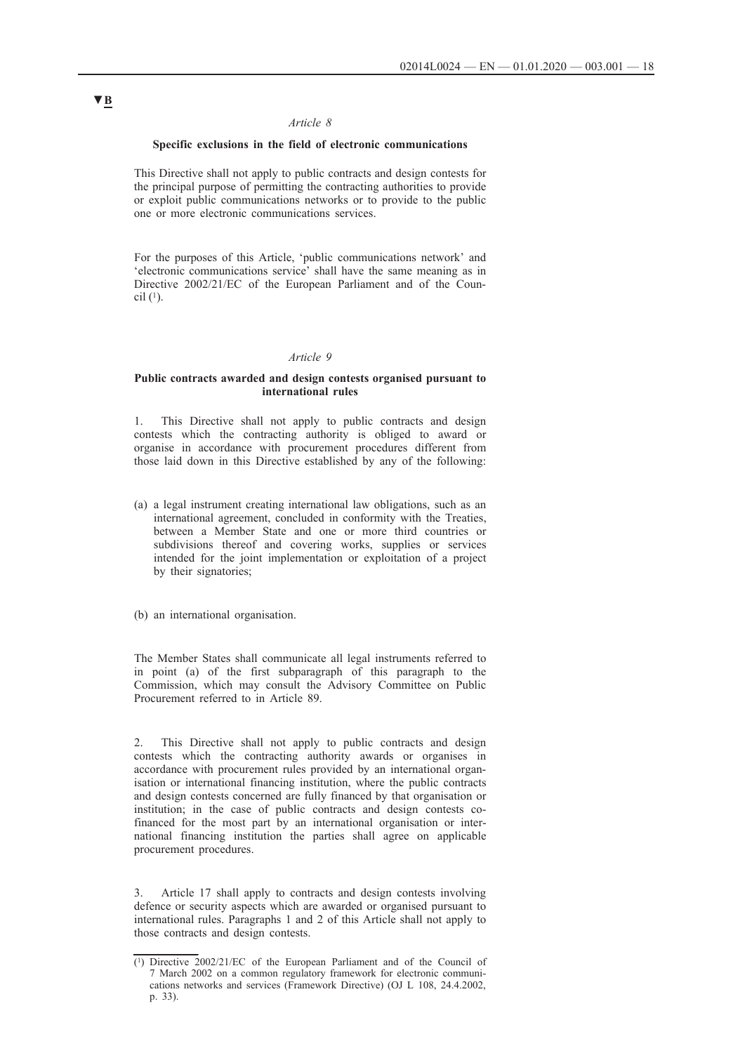## **Specific exclusions in the field of electronic communications**

This Directive shall not apply to public contracts and design contests for the principal purpose of permitting the contracting authorities to provide or exploit public communications networks or to provide to the public one or more electronic communications services.

For the purposes of this Article, 'public communications network' and 'electronic communications service' shall have the same meaning as in Directive 2002/21/EC of the European Parliament and of the Council  $(1)$ .

#### *Article 9*

### **Public contracts awarded and design contests organised pursuant to international rules**

1. This Directive shall not apply to public contracts and design contests which the contracting authority is obliged to award or organise in accordance with procurement procedures different from those laid down in this Directive established by any of the following:

- (a) a legal instrument creating international law obligations, such as an international agreement, concluded in conformity with the Treaties, between a Member State and one or more third countries or subdivisions thereof and covering works, supplies or services intended for the joint implementation or exploitation of a project by their signatories;
- (b) an international organisation.

The Member States shall communicate all legal instruments referred to in point (a) of the first subparagraph of this paragraph to the Commission, which may consult the Advisory Committee on Public Procurement referred to in Article 89.

2. This Directive shall not apply to public contracts and design contests which the contracting authority awards or organises in accordance with procurement rules provided by an international organisation or international financing institution, where the public contracts and design contests concerned are fully financed by that organisation or institution; in the case of public contracts and design contests cofinanced for the most part by an international organisation or international financing institution the parties shall agree on applicable procurement procedures.

3. Article 17 shall apply to contracts and design contests involving defence or security aspects which are awarded or organised pursuant to international rules. Paragraphs 1 and 2 of this Article shall not apply to those contracts and design contests.

<sup>(1)</sup> Directive 2002/21/EC of the European Parliament and of the Council of 7 March 2002 on a common regulatory framework for electronic communications networks and services (Framework Directive) (OJ L 108, 24.4.2002, p. 33).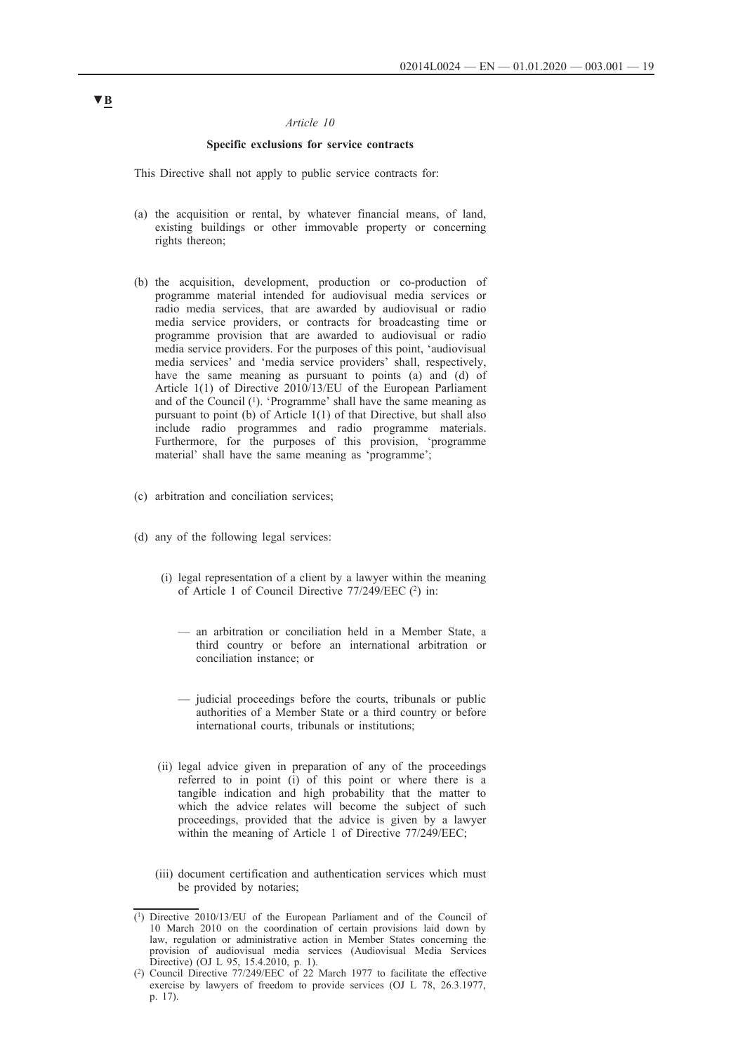## **Specific exclusions for service contracts**

This Directive shall not apply to public service contracts for:

- (a) the acquisition or rental, by whatever financial means, of land, existing buildings or other immovable property or concerning rights thereon;
- (b) the acquisition, development, production or co-production of programme material intended for audiovisual media services or radio media services, that are awarded by audiovisual or radio media service providers, or contracts for broadcasting time or programme provision that are awarded to audiovisual or radio media service providers. For the purposes of this point, 'audiovisual media services' and 'media service providers' shall, respectively, have the same meaning as pursuant to points (a) and (d) of Article 1(1) of Directive 2010/13/EU of the European Parliament and of the Council (1). 'Programme' shall have the same meaning as pursuant to point (b) of Article 1(1) of that Directive, but shall also include radio programmes and radio programme materials. Furthermore, for the purposes of this provision, 'programme material' shall have the same meaning as 'programme';
- (c) arbitration and conciliation services;
- (d) any of the following legal services:
	- (i) legal representation of a client by a lawyer within the meaning of Article 1 of Council Directive 77/249/EEC (2) in:
		- an arbitration or conciliation held in a Member State, a third country or before an international arbitration or conciliation instance; or
		- judicial proceedings before the courts, tribunals or public authorities of a Member State or a third country or before international courts, tribunals or institutions;
	- (ii) legal advice given in preparation of any of the proceedings referred to in point (i) of this point or where there is a tangible indication and high probability that the matter to which the advice relates will become the subject of such proceedings, provided that the advice is given by a lawyer within the meaning of Article 1 of Directive 77/249/EEC;
	- (iii) document certification and authentication services which must be provided by notaries;

<sup>(1)</sup> Directive 2010/13/EU of the European Parliament and of the Council of 10 March 2010 on the coordination of certain provisions laid down by law, regulation or administrative action in Member States concerning the provision of audiovisual media services (Audiovisual Media Services Directive) (OJ L 95, 15.4.2010, p. 1).

<sup>(2)</sup> Council Directive 77/249/EEC of 22 March 1977 to facilitate the effective exercise by lawyers of freedom to provide services (OJ L 78, 26.3.1977, p. 17).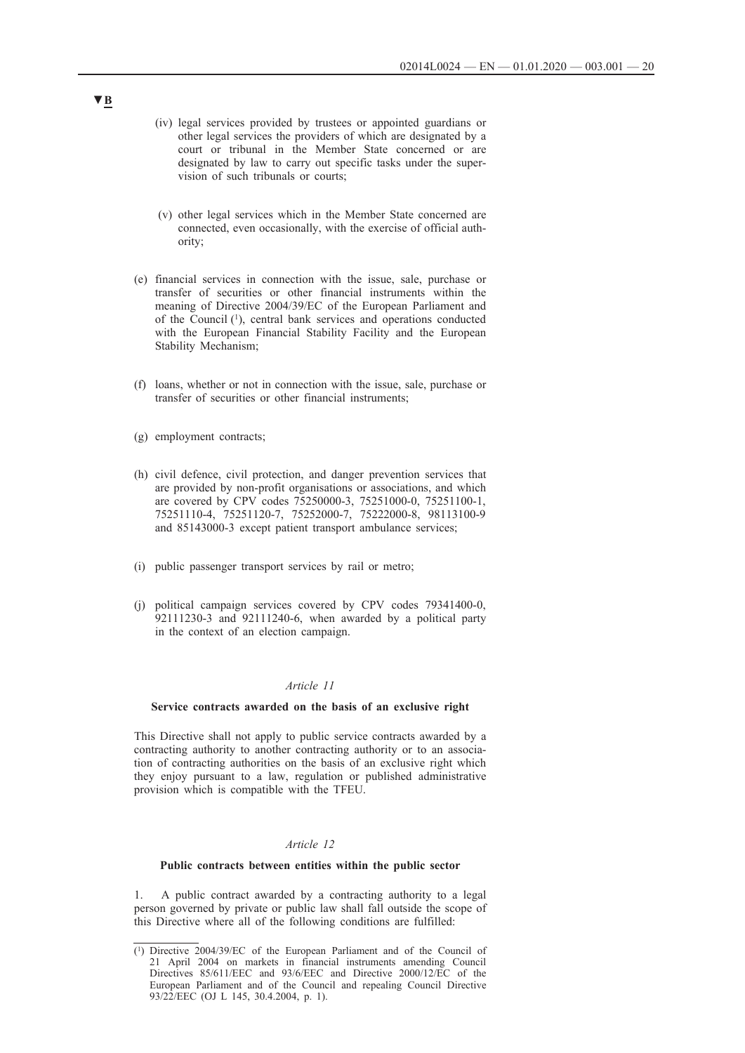- (iv) legal services provided by trustees or appointed guardians or other legal services the providers of which are designated by a court or tribunal in the Member State concerned or are designated by law to carry out specific tasks under the supervision of such tribunals or courts;
- (v) other legal services which in the Member State concerned are connected, even occasionally, with the exercise of official authority;
- (e) financial services in connection with the issue, sale, purchase or transfer of securities or other financial instruments within the meaning of Directive 2004/39/EC of the European Parliament and of the Council (1), central bank services and operations conducted with the European Financial Stability Facility and the European Stability Mechanism;
- (f) loans, whether or not in connection with the issue, sale, purchase or transfer of securities or other financial instruments;
- (g) employment contracts;
- (h) civil defence, civil protection, and danger prevention services that are provided by non-profit organisations or associations, and which are covered by CPV codes 75250000-3, 75251000-0, 75251100-1, 75251110-4, 75251120-7, 75252000-7, 75222000-8, 98113100-9 and 85143000-3 except patient transport ambulance services;
- (i) public passenger transport services by rail or metro;
- (j) political campaign services covered by CPV codes 79341400-0, 92111230-3 and 92111240-6, when awarded by a political party in the context of an election campaign.

#### **Service contracts awarded on the basis of an exclusive right**

This Directive shall not apply to public service contracts awarded by a contracting authority to another contracting authority or to an association of contracting authorities on the basis of an exclusive right which they enjoy pursuant to a law, regulation or published administrative provision which is compatible with the TFEU.

# *Article 12*

#### **Public contracts between entities within the public sector**

1. A public contract awarded by a contracting authority to a legal person governed by private or public law shall fall outside the scope of this Directive where all of the following conditions are fulfilled:

<sup>(1)</sup> Directive 2004/39/EC of the European Parliament and of the Council of 21 April 2004 on markets in financial instruments amending Council Directives 85/611/EEC and 93/6/EEC and Directive 2000/12/EC of the European Parliament and of the Council and repealing Council Directive 93/22/EEC (OJ L 145, 30.4.2004, p. 1).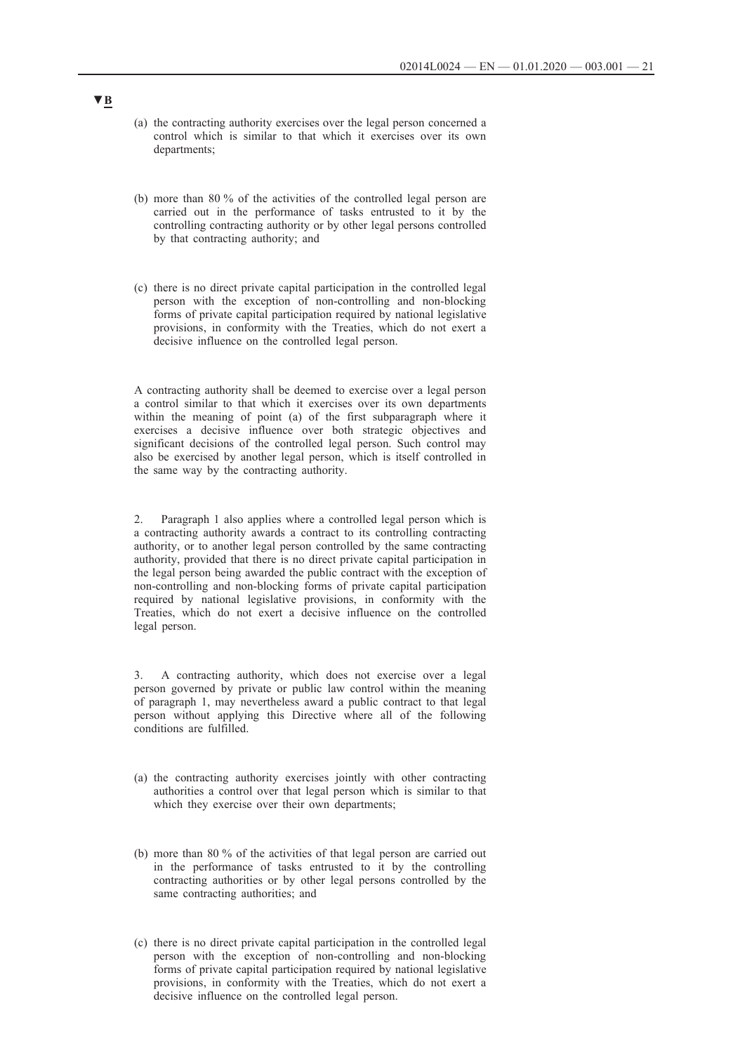- (a) the contracting authority exercises over the legal person concerned a control which is similar to that which it exercises over its own departments;
- (b) more than 80 % of the activities of the controlled legal person are carried out in the performance of tasks entrusted to it by the controlling contracting authority or by other legal persons controlled by that contracting authority; and
- (c) there is no direct private capital participation in the controlled legal person with the exception of non-controlling and non-blocking forms of private capital participation required by national legislative provisions, in conformity with the Treaties, which do not exert a decisive influence on the controlled legal person.

A contracting authority shall be deemed to exercise over a legal person a control similar to that which it exercises over its own departments within the meaning of point (a) of the first subparagraph where it exercises a decisive influence over both strategic objectives and significant decisions of the controlled legal person. Such control may also be exercised by another legal person, which is itself controlled in the same way by the contracting authority.

2. Paragraph 1 also applies where a controlled legal person which is a contracting authority awards a contract to its controlling contracting authority, or to another legal person controlled by the same contracting authority, provided that there is no direct private capital participation in the legal person being awarded the public contract with the exception of non-controlling and non-blocking forms of private capital participation required by national legislative provisions, in conformity with the Treaties, which do not exert a decisive influence on the controlled legal person.

3. A contracting authority, which does not exercise over a legal person governed by private or public law control within the meaning of paragraph 1, may nevertheless award a public contract to that legal person without applying this Directive where all of the following conditions are fulfilled.

- (a) the contracting authority exercises jointly with other contracting authorities a control over that legal person which is similar to that which they exercise over their own departments;
- (b) more than 80 % of the activities of that legal person are carried out in the performance of tasks entrusted to it by the controlling contracting authorities or by other legal persons controlled by the same contracting authorities; and
- (c) there is no direct private capital participation in the controlled legal person with the exception of non-controlling and non-blocking forms of private capital participation required by national legislative provisions, in conformity with the Treaties, which do not exert a decisive influence on the controlled legal person.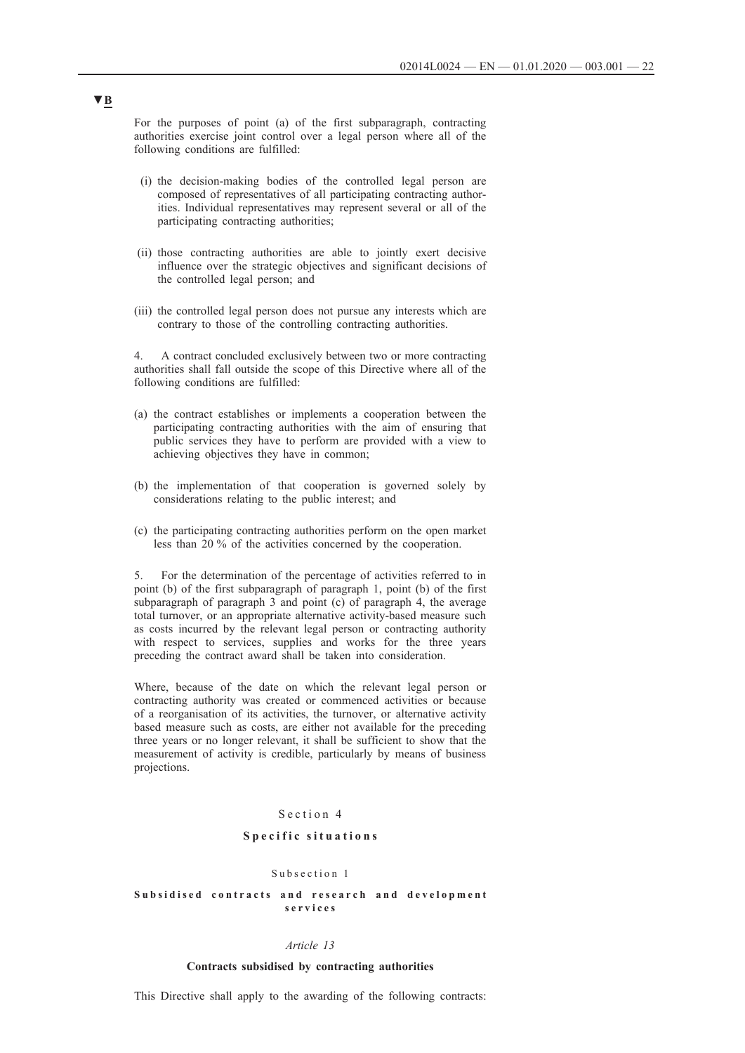For the purposes of point (a) of the first subparagraph, contracting authorities exercise joint control over a legal person where all of the following conditions are fulfilled:

- (i) the decision-making bodies of the controlled legal person are composed of representatives of all participating contracting authorities. Individual representatives may represent several or all of the participating contracting authorities;
- (ii) those contracting authorities are able to jointly exert decisive influence over the strategic objectives and significant decisions of the controlled legal person; and
- (iii) the controlled legal person does not pursue any interests which are contrary to those of the controlling contracting authorities.

4. A contract concluded exclusively between two or more contracting authorities shall fall outside the scope of this Directive where all of the following conditions are fulfilled:

- (a) the contract establishes or implements a cooperation between the participating contracting authorities with the aim of ensuring that public services they have to perform are provided with a view to achieving objectives they have in common;
- (b) the implementation of that cooperation is governed solely by considerations relating to the public interest; and
- (c) the participating contracting authorities perform on the open market less than 20 % of the activities concerned by the cooperation.

5. For the determination of the percentage of activities referred to in point (b) of the first subparagraph of paragraph 1, point (b) of the first subparagraph of paragraph 3 and point (c) of paragraph 4, the average total turnover, or an appropriate alternative activity-based measure such as costs incurred by the relevant legal person or contracting authority with respect to services, supplies and works for the three years preceding the contract award shall be taken into consideration.

Where, because of the date on which the relevant legal person or contracting authority was created or commenced activities or because of a reorganisation of its activities, the turnover, or alternative activity based measure such as costs, are either not available for the preceding three years or no longer relevant, it shall be sufficient to show that the measurement of activity is credible, particularly by means of business projections.

## Section 4

# Specific situations

#### Subsection 1

### Subsidised contracts and research and development **s e r v i c e s**

#### *Article 13*

#### **Contracts subsidised by contracting authorities**

This Directive shall apply to the awarding of the following contracts: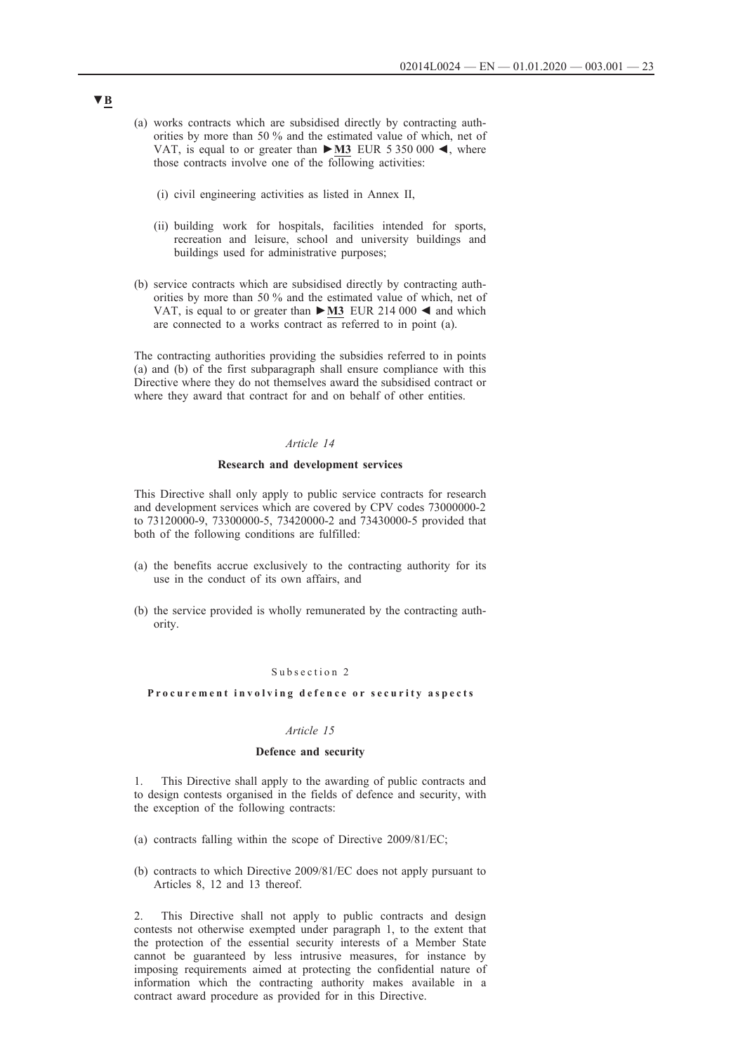- (a) works contracts which are subsidised directly by contracting authorities by more than 50 % and the estimated value of which, net of VAT, is equal to or greater than **►M3** EUR 5 350 000 ◄, where those contracts involve one of the following activities:
	- (i) civil engineering activities as listed in Annex II,
	- (ii) building work for hospitals, facilities intended for sports, recreation and leisure, school and university buildings and buildings used for administrative purposes;
- (b) service contracts which are subsidised directly by contracting authorities by more than 50 % and the estimated value of which, net of VAT, is equal to or greater than **►M3** EUR 214 000 ◄ and which are connected to a works contract as referred to in point (a).

The contracting authorities providing the subsidies referred to in points (a) and (b) of the first subparagraph shall ensure compliance with this Directive where they do not themselves award the subsidised contract or where they award that contract for and on behalf of other entities.

## *Article 14*

#### **Research and development services**

This Directive shall only apply to public service contracts for research and development services which are covered by CPV codes 73000000-2 to 73120000-9, 73300000-5, 73420000-2 and 73430000-5 provided that both of the following conditions are fulfilled:

- (a) the benefits accrue exclusively to the contracting authority for its use in the conduct of its own affairs, and
- (b) the service provided is wholly remunerated by the contracting authority.

#### Subsection 2

### P ro curement involving defence or security aspects

### *Article 15*

### **Defence and security**

1. This Directive shall apply to the awarding of public contracts and to design contests organised in the fields of defence and security, with the exception of the following contracts:

- (a) contracts falling within the scope of Directive 2009/81/EC;
- (b) contracts to which Directive 2009/81/EC does not apply pursuant to Articles 8, 12 and 13 thereof.

2. This Directive shall not apply to public contracts and design contests not otherwise exempted under paragraph 1, to the extent that the protection of the essential security interests of a Member State cannot be guaranteed by less intrusive measures, for instance by imposing requirements aimed at protecting the confidential nature of information which the contracting authority makes available in a contract award procedure as provided for in this Directive.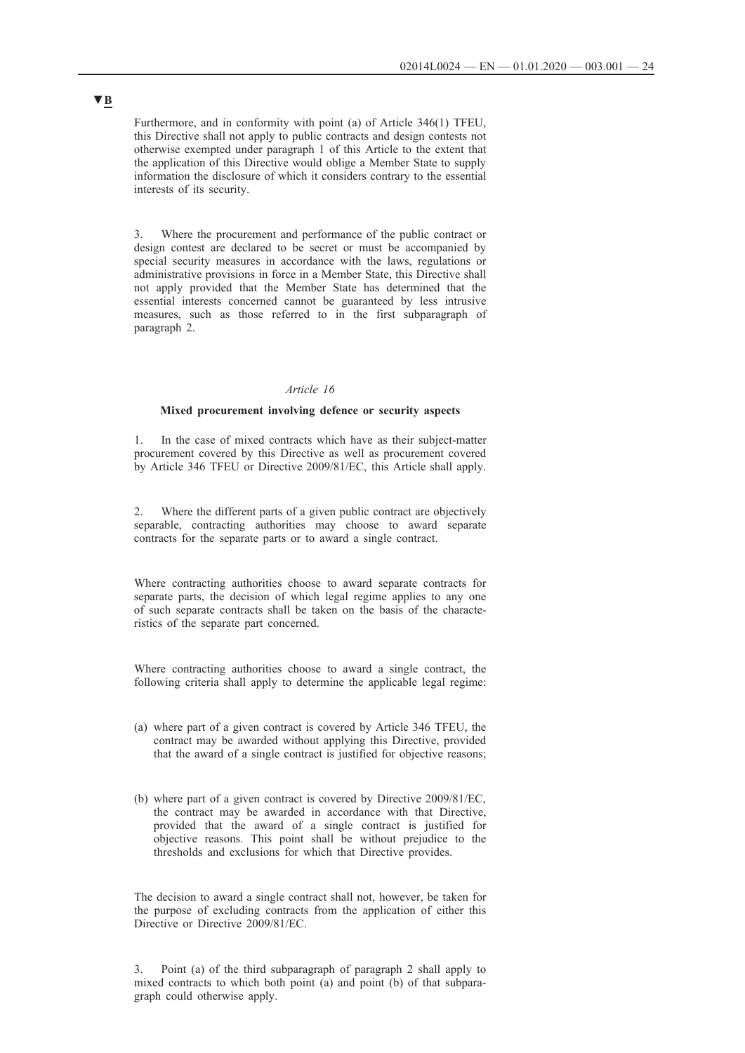Furthermore, and in conformity with point (a) of Article 346(1) TFEU, this Directive shall not apply to public contracts and design contests not otherwise exempted under paragraph 1 of this Article to the extent that the application of this Directive would oblige a Member State to supply information the disclosure of which it considers contrary to the essential interests of its security.

3. Where the procurement and performance of the public contract or design contest are declared to be secret or must be accompanied by special security measures in accordance with the laws, regulations or administrative provisions in force in a Member State, this Directive shall not apply provided that the Member State has determined that the essential interests concerned cannot be guaranteed by less intrusive measures, such as those referred to in the first subparagraph of paragraph 2.

### *Article 16*

## **Mixed procurement involving defence or security aspects**

1. In the case of mixed contracts which have as their subject-matter procurement covered by this Directive as well as procurement covered by Article 346 TFEU or Directive 2009/81/EC, this Article shall apply.

Where the different parts of a given public contract are objectively separable, contracting authorities may choose to award separate contracts for the separate parts or to award a single contract.

Where contracting authorities choose to award separate contracts for separate parts, the decision of which legal regime applies to any one of such separate contracts shall be taken on the basis of the characteristics of the separate part concerned.

Where contracting authorities choose to award a single contract, the following criteria shall apply to determine the applicable legal regime:

- (a) where part of a given contract is covered by Article 346 TFEU, the contract may be awarded without applying this Directive, provided that the award of a single contract is justified for objective reasons;
- (b) where part of a given contract is covered by Directive 2009/81/EC, the contract may be awarded in accordance with that Directive, provided that the award of a single contract is justified for objective reasons. This point shall be without prejudice to the thresholds and exclusions for which that Directive provides.

The decision to award a single contract shall not, however, be taken for the purpose of excluding contracts from the application of either this Directive or Directive 2009/81/EC.

3. Point (a) of the third subparagraph of paragraph 2 shall apply to mixed contracts to which both point (a) and point (b) of that subparagraph could otherwise apply.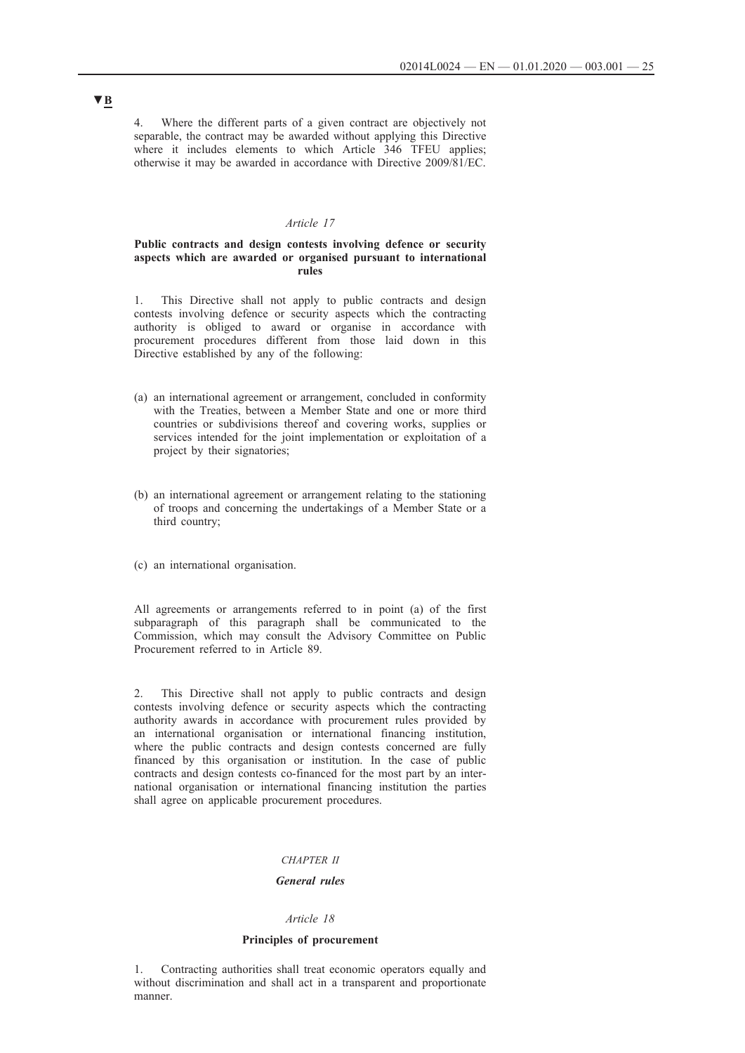4. Where the different parts of a given contract are objectively not separable, the contract may be awarded without applying this Directive where it includes elements to which Article 346 TFEU applies; otherwise it may be awarded in accordance with Directive 2009/81/EC.

#### *Article 17*

#### **Public contracts and design contests involving defence or security aspects which are awarded or organised pursuant to international rules**

1. This Directive shall not apply to public contracts and design contests involving defence or security aspects which the contracting authority is obliged to award or organise in accordance with procurement procedures different from those laid down in this Directive established by any of the following:

- (a) an international agreement or arrangement, concluded in conformity with the Treaties, between a Member State and one or more third countries or subdivisions thereof and covering works, supplies or services intended for the joint implementation or exploitation of a project by their signatories;
- (b) an international agreement or arrangement relating to the stationing of troops and concerning the undertakings of a Member State or a third country;
- (c) an international organisation.

All agreements or arrangements referred to in point (a) of the first subparagraph of this paragraph shall be communicated to the Commission, which may consult the Advisory Committee on Public Procurement referred to in Article 89.

2. This Directive shall not apply to public contracts and design contests involving defence or security aspects which the contracting authority awards in accordance with procurement rules provided by an international organisation or international financing institution, where the public contracts and design contests concerned are fully financed by this organisation or institution. In the case of public contracts and design contests co-financed for the most part by an international organisation or international financing institution the parties shall agree on applicable procurement procedures.

# *CHAPTER II*

# *General rules*

### *Article 18*

### **Principles of procurement**

1. Contracting authorities shall treat economic operators equally and without discrimination and shall act in a transparent and proportionate manner.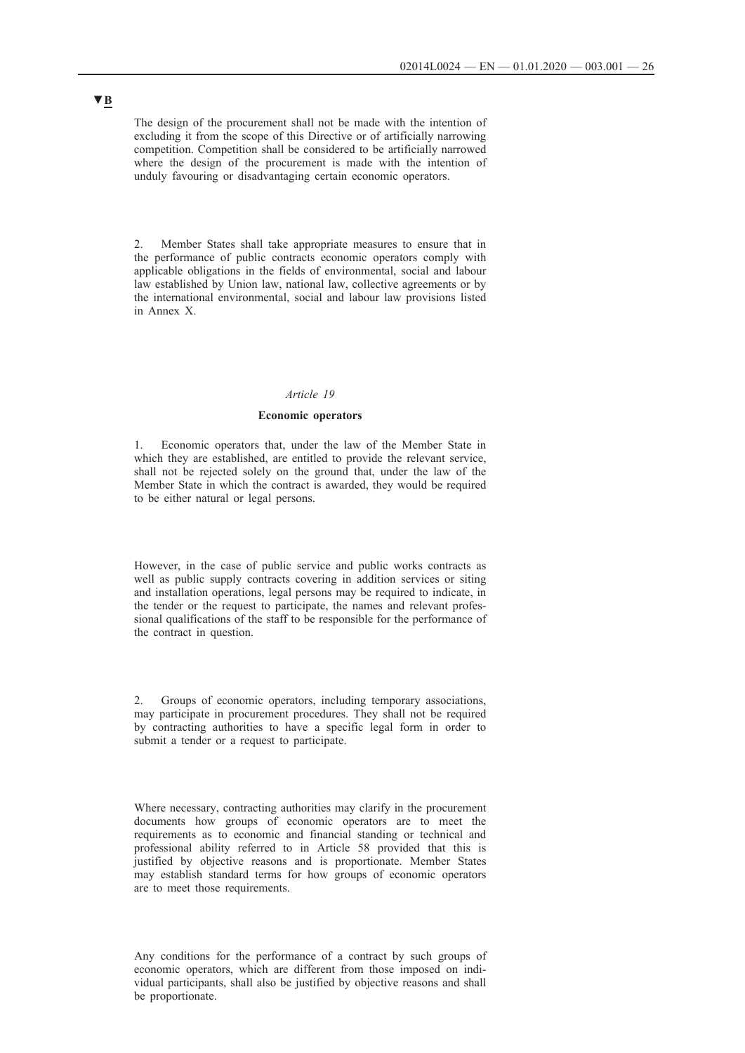The design of the procurement shall not be made with the intention of excluding it from the scope of this Directive or of artificially narrowing competition. Competition shall be considered to be artificially narrowed where the design of the procurement is made with the intention of unduly favouring or disadvantaging certain economic operators.

2. Member States shall take appropriate measures to ensure that in the performance of public contracts economic operators comply with applicable obligations in the fields of environmental, social and labour law established by Union law, national law, collective agreements or by the international environmental, social and labour law provisions listed in Annex X.

### *Article 19*

# **Economic operators**

1. Economic operators that, under the law of the Member State in which they are established, are entitled to provide the relevant service, shall not be rejected solely on the ground that, under the law of the Member State in which the contract is awarded, they would be required to be either natural or legal persons.

However, in the case of public service and public works contracts as well as public supply contracts covering in addition services or siting and installation operations, legal persons may be required to indicate, in the tender or the request to participate, the names and relevant professional qualifications of the staff to be responsible for the performance of the contract in question.

2. Groups of economic operators, including temporary associations, may participate in procurement procedures. They shall not be required by contracting authorities to have a specific legal form in order to submit a tender or a request to participate.

Where necessary, contracting authorities may clarify in the procurement documents how groups of economic operators are to meet the requirements as to economic and financial standing or technical and professional ability referred to in Article 58 provided that this is justified by objective reasons and is proportionate. Member States may establish standard terms for how groups of economic operators are to meet those requirements.

Any conditions for the performance of a contract by such groups of economic operators, which are different from those imposed on individual participants, shall also be justified by objective reasons and shall be proportionate.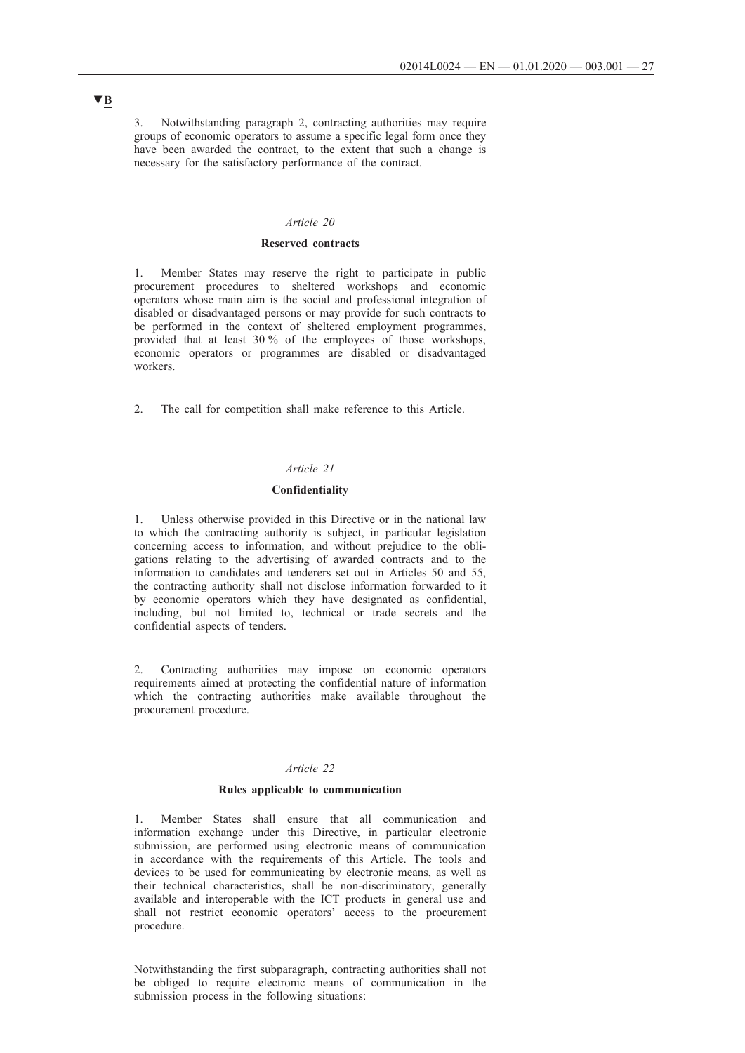3. Notwithstanding paragraph 2, contracting authorities may require groups of economic operators to assume a specific legal form once they have been awarded the contract, to the extent that such a change is necessary for the satisfactory performance of the contract.

#### *Article 20*

# **Reserved contracts**

1. Member States may reserve the right to participate in public procurement procedures to sheltered workshops and economic operators whose main aim is the social and professional integration of disabled or disadvantaged persons or may provide for such contracts to be performed in the context of sheltered employment programmes, provided that at least 30 % of the employees of those workshops, economic operators or programmes are disabled or disadvantaged workers.

2. The call for competition shall make reference to this Article.

## *Article 21*

### **Confidentiality**

1. Unless otherwise provided in this Directive or in the national law to which the contracting authority is subject, in particular legislation concerning access to information, and without prejudice to the obligations relating to the advertising of awarded contracts and to the information to candidates and tenderers set out in Articles 50 and 55, the contracting authority shall not disclose information forwarded to it by economic operators which they have designated as confidential, including, but not limited to, technical or trade secrets and the confidential aspects of tenders.

2. Contracting authorities may impose on economic operators requirements aimed at protecting the confidential nature of information which the contracting authorities make available throughout the procurement procedure.

#### *Article 22*

#### **Rules applicable to communication**

1. Member States shall ensure that all communication and information exchange under this Directive, in particular electronic submission, are performed using electronic means of communication in accordance with the requirements of this Article. The tools and devices to be used for communicating by electronic means, as well as their technical characteristics, shall be non-discriminatory, generally available and interoperable with the ICT products in general use and shall not restrict economic operators' access to the procurement procedure.

Notwithstanding the first subparagraph, contracting authorities shall not be obliged to require electronic means of communication in the submission process in the following situations: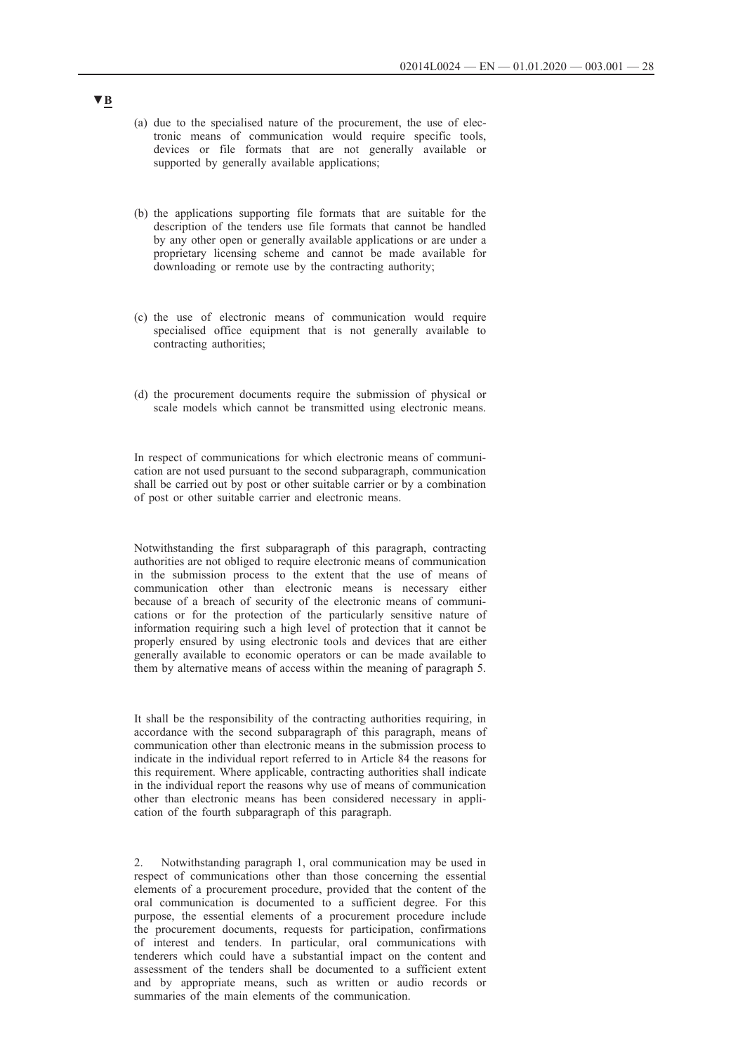- (a) due to the specialised nature of the procurement, the use of electronic means of communication would require specific tools, devices or file formats that are not generally available or supported by generally available applications;
- (b) the applications supporting file formats that are suitable for the description of the tenders use file formats that cannot be handled by any other open or generally available applications or are under a proprietary licensing scheme and cannot be made available for downloading or remote use by the contracting authority;
- (c) the use of electronic means of communication would require specialised office equipment that is not generally available to contracting authorities;
- (d) the procurement documents require the submission of physical or scale models which cannot be transmitted using electronic means.

In respect of communications for which electronic means of communication are not used pursuant to the second subparagraph, communication shall be carried out by post or other suitable carrier or by a combination of post or other suitable carrier and electronic means.

Notwithstanding the first subparagraph of this paragraph, contracting authorities are not obliged to require electronic means of communication in the submission process to the extent that the use of means of communication other than electronic means is necessary either because of a breach of security of the electronic means of communications or for the protection of the particularly sensitive nature of information requiring such a high level of protection that it cannot be properly ensured by using electronic tools and devices that are either generally available to economic operators or can be made available to them by alternative means of access within the meaning of paragraph 5.

It shall be the responsibility of the contracting authorities requiring, in accordance with the second subparagraph of this paragraph, means of communication other than electronic means in the submission process to indicate in the individual report referred to in Article 84 the reasons for this requirement. Where applicable, contracting authorities shall indicate in the individual report the reasons why use of means of communication other than electronic means has been considered necessary in application of the fourth subparagraph of this paragraph.

2. Notwithstanding paragraph 1, oral communication may be used in respect of communications other than those concerning the essential elements of a procurement procedure, provided that the content of the oral communication is documented to a sufficient degree. For this purpose, the essential elements of a procurement procedure include the procurement documents, requests for participation, confirmations of interest and tenders. In particular, oral communications with tenderers which could have a substantial impact on the content and assessment of the tenders shall be documented to a sufficient extent and by appropriate means, such as written or audio records or summaries of the main elements of the communication.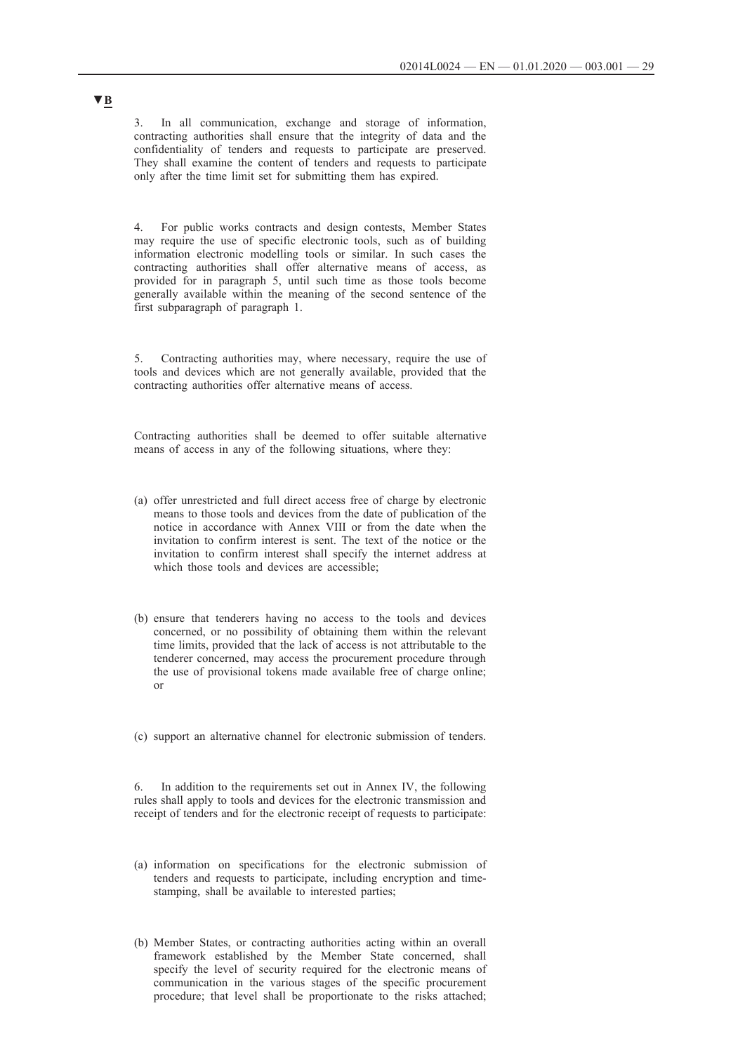3. In all communication, exchange and storage of information, contracting authorities shall ensure that the integrity of data and the confidentiality of tenders and requests to participate are preserved. They shall examine the content of tenders and requests to participate only after the time limit set for submitting them has expired.

4. For public works contracts and design contests, Member States may require the use of specific electronic tools, such as of building information electronic modelling tools or similar. In such cases the contracting authorities shall offer alternative means of access, as provided for in paragraph 5, until such time as those tools become generally available within the meaning of the second sentence of the first subparagraph of paragraph 1.

5. Contracting authorities may, where necessary, require the use of tools and devices which are not generally available, provided that the contracting authorities offer alternative means of access.

Contracting authorities shall be deemed to offer suitable alternative means of access in any of the following situations, where they:

- (a) offer unrestricted and full direct access free of charge by electronic means to those tools and devices from the date of publication of the notice in accordance with Annex VIII or from the date when the invitation to confirm interest is sent. The text of the notice or the invitation to confirm interest shall specify the internet address at which those tools and devices are accessible;
- (b) ensure that tenderers having no access to the tools and devices concerned, or no possibility of obtaining them within the relevant time limits, provided that the lack of access is not attributable to the tenderer concerned, may access the procurement procedure through the use of provisional tokens made available free of charge online; or

(c) support an alternative channel for electronic submission of tenders.

6. In addition to the requirements set out in Annex IV, the following rules shall apply to tools and devices for the electronic transmission and receipt of tenders and for the electronic receipt of requests to participate:

- (a) information on specifications for the electronic submission of tenders and requests to participate, including encryption and timestamping, shall be available to interested parties;
- (b) Member States, or contracting authorities acting within an overall framework established by the Member State concerned, shall specify the level of security required for the electronic means of communication in the various stages of the specific procurement procedure; that level shall be proportionate to the risks attached;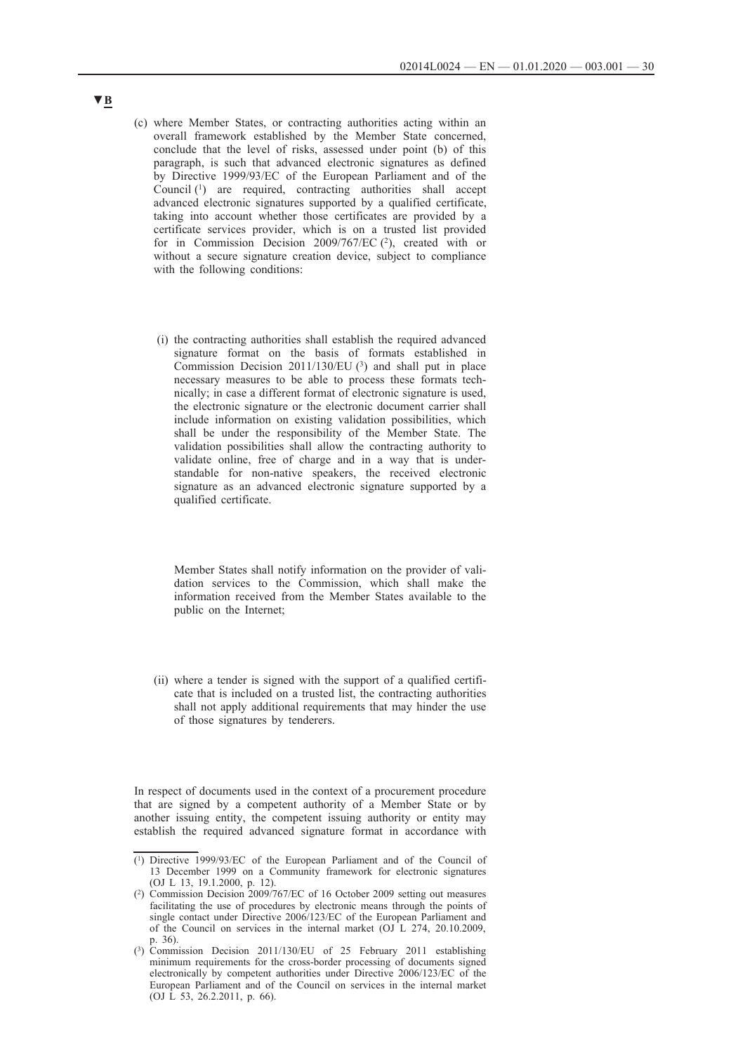- (c) where Member States, or contracting authorities acting within an overall framework established by the Member State concerned, conclude that the level of risks, assessed under point (b) of this paragraph, is such that advanced electronic signatures as defined by Directive 1999/93/EC of the European Parliament and of the Council (1) are required, contracting authorities shall accept advanced electronic signatures supported by a qualified certificate, taking into account whether those certificates are provided by a certificate services provider, which is on a trusted list provided for in Commission Decision 2009/767/EC (2), created with or without a secure signature creation device, subject to compliance with the following conditions:
	- (i) the contracting authorities shall establish the required advanced signature format on the basis of formats established in Commission Decision  $2011/130/EU$  (3) and shall put in place necessary measures to be able to process these formats technically; in case a different format of electronic signature is used, the electronic signature or the electronic document carrier shall include information on existing validation possibilities, which shall be under the responsibility of the Member State. The validation possibilities shall allow the contracting authority to validate online, free of charge and in a way that is understandable for non-native speakers, the received electronic signature as an advanced electronic signature supported by a qualified certificate.

Member States shall notify information on the provider of validation services to the Commission, which shall make the information received from the Member States available to the public on the Internet;

(ii) where a tender is signed with the support of a qualified certificate that is included on a trusted list, the contracting authorities shall not apply additional requirements that may hinder the use of those signatures by tenderers.

In respect of documents used in the context of a procurement procedure that are signed by a competent authority of a Member State or by another issuing entity, the competent issuing authority or entity may establish the required advanced signature format in accordance with

<sup>(1)</sup> Directive 1999/93/EC of the European Parliament and of the Council of 13 December 1999 on a Community framework for electronic signatures (OJ L 13, 19.1.2000, p. 12).

<sup>(2)</sup> Commission Decision 2009/767/EC of 16 October 2009 setting out measures facilitating the use of procedures by electronic means through the points of single contact under Directive 2006/123/EC of the European Parliament and of the Council on services in the internal market (OJ L 274, 20.10.2009, p. 36).

 $(3)$  Commission Decision 2011/130/EU of 25 February 2011 establishing minimum requirements for the cross-border processing of documents signed electronically by competent authorities under Directive 2006/123/EC of the European Parliament and of the Council on services in the internal market (OJ L 53, 26.2.2011, p. 66).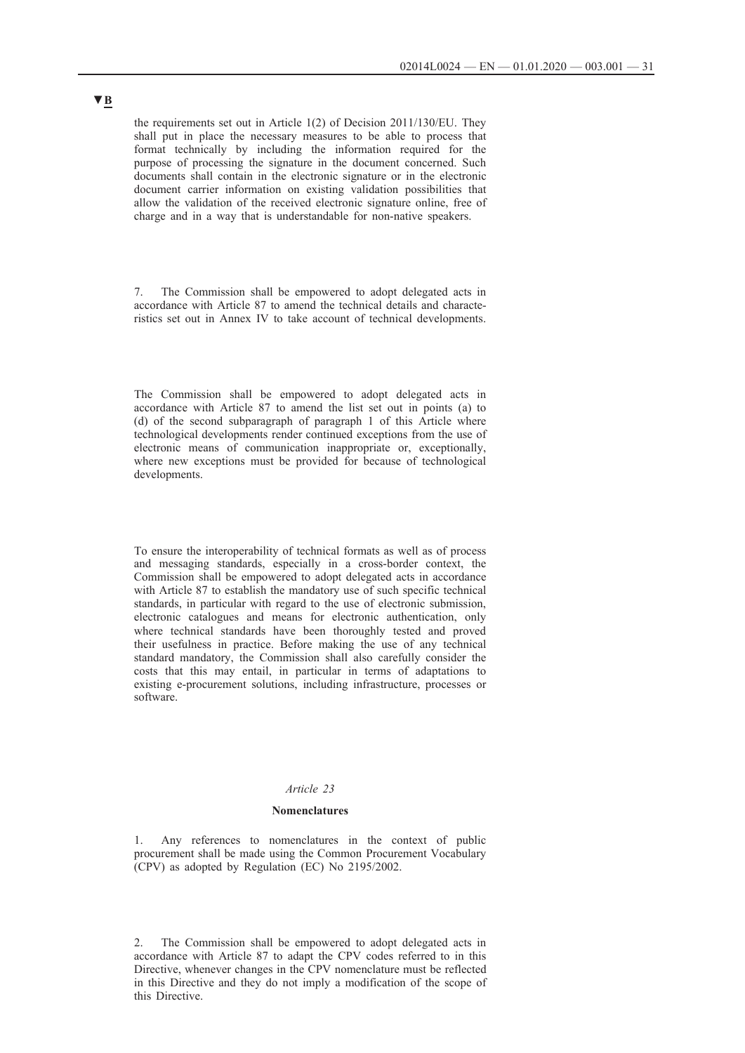the requirements set out in Article 1(2) of Decision 2011/130/EU. They shall put in place the necessary measures to be able to process that format technically by including the information required for the purpose of processing the signature in the document concerned. Such documents shall contain in the electronic signature or in the electronic document carrier information on existing validation possibilities that allow the validation of the received electronic signature online, free of charge and in a way that is understandable for non-native speakers.

7. The Commission shall be empowered to adopt delegated acts in accordance with Article 87 to amend the technical details and characteristics set out in Annex IV to take account of technical developments.

The Commission shall be empowered to adopt delegated acts in accordance with Article 87 to amend the list set out in points (a) to (d) of the second subparagraph of paragraph 1 of this Article where technological developments render continued exceptions from the use of electronic means of communication inappropriate or, exceptionally, where new exceptions must be provided for because of technological developments.

To ensure the interoperability of technical formats as well as of process and messaging standards, especially in a cross-border context, the Commission shall be empowered to adopt delegated acts in accordance with Article 87 to establish the mandatory use of such specific technical standards, in particular with regard to the use of electronic submission, electronic catalogues and means for electronic authentication, only where technical standards have been thoroughly tested and proved their usefulness in practice. Before making the use of any technical standard mandatory, the Commission shall also carefully consider the costs that this may entail, in particular in terms of adaptations to existing e-procurement solutions, including infrastructure, processes or software.

### *Article 23*

#### **Nomenclatures**

1. Any references to nomenclatures in the context of public procurement shall be made using the Common Procurement Vocabulary (CPV) as adopted by Regulation (EC) No 2195/2002.

2. The Commission shall be empowered to adopt delegated acts in accordance with Article 87 to adapt the CPV codes referred to in this Directive, whenever changes in the CPV nomenclature must be reflected in this Directive and they do not imply a modification of the scope of this Directive.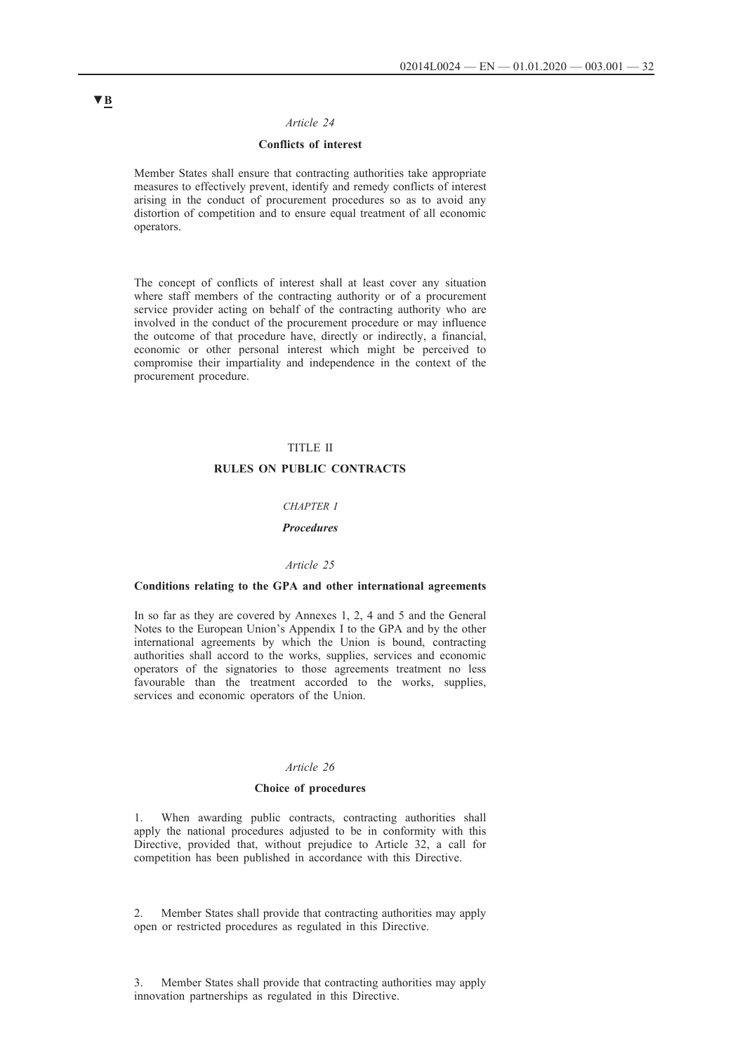## **Conflicts of interest**

Member States shall ensure that contracting authorities take appropriate measures to effectively prevent, identify and remedy conflicts of interest arising in the conduct of procurement procedures so as to avoid any distortion of competition and to ensure equal treatment of all economic operators.

The concept of conflicts of interest shall at least cover any situation where staff members of the contracting authority or of a procurement service provider acting on behalf of the contracting authority who are involved in the conduct of the procurement procedure or may influence the outcome of that procedure have, directly or indirectly, a financial, economic or other personal interest which might be perceived to compromise their impartiality and independence in the context of the procurement procedure.

# TITLE II

# **RULES ON PUBLIC CONTRACTS**

### *CHAPTER I*

### *Procedures*

#### *Article 25*

#### **Conditions relating to the GPA and other international agreements**

In so far as they are covered by Annexes 1, 2, 4 and 5 and the General Notes to the European Union's Appendix I to the GPA and by the other international agreements by which the Union is bound, contracting authorities shall accord to the works, supplies, services and economic operators of the signatories to those agreements treatment no less favourable than the treatment accorded to the works, supplies, services and economic operators of the Union.

### *Article 26*

### **Choice of procedures**

1. When awarding public contracts, contracting authorities shall apply the national procedures adjusted to be in conformity with this Directive, provided that, without prejudice to Article 32, a call for competition has been published in accordance with this Directive.

2. Member States shall provide that contracting authorities may apply open or restricted procedures as regulated in this Directive.

3. Member States shall provide that contracting authorities may apply innovation partnerships as regulated in this Directive.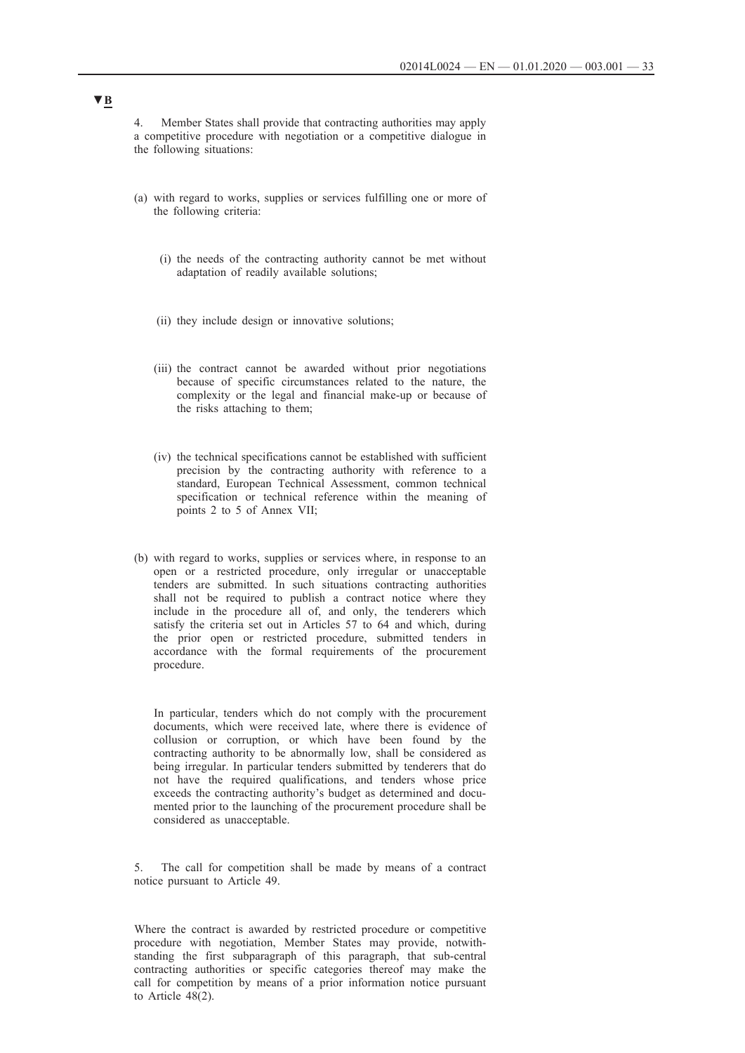4. Member States shall provide that contracting authorities may apply a competitive procedure with negotiation or a competitive dialogue in the following situations:

- (a) with regard to works, supplies or services fulfilling one or more of the following criteria:
	- (i) the needs of the contracting authority cannot be met without adaptation of readily available solutions;
	- (ii) they include design or innovative solutions;
	- (iii) the contract cannot be awarded without prior negotiations because of specific circumstances related to the nature, the complexity or the legal and financial make-up or because of the risks attaching to them;
	- (iv) the technical specifications cannot be established with sufficient precision by the contracting authority with reference to a standard, European Technical Assessment, common technical specification or technical reference within the meaning of points 2 to 5 of Annex VII;
- (b) with regard to works, supplies or services where, in response to an open or a restricted procedure, only irregular or unacceptable tenders are submitted. In such situations contracting authorities shall not be required to publish a contract notice where they include in the procedure all of, and only, the tenderers which satisfy the criteria set out in Articles 57 to 64 and which, during the prior open or restricted procedure, submitted tenders in accordance with the formal requirements of the procurement procedure.

In particular, tenders which do not comply with the procurement documents, which were received late, where there is evidence of collusion or corruption, or which have been found by the contracting authority to be abnormally low, shall be considered as being irregular. In particular tenders submitted by tenderers that do not have the required qualifications, and tenders whose price exceeds the contracting authority's budget as determined and documented prior to the launching of the procurement procedure shall be considered as unacceptable.

5. The call for competition shall be made by means of a contract notice pursuant to Article 49.

Where the contract is awarded by restricted procedure or competitive procedure with negotiation, Member States may provide, notwithstanding the first subparagraph of this paragraph, that sub-central contracting authorities or specific categories thereof may make the call for competition by means of a prior information notice pursuant to Article 48(2).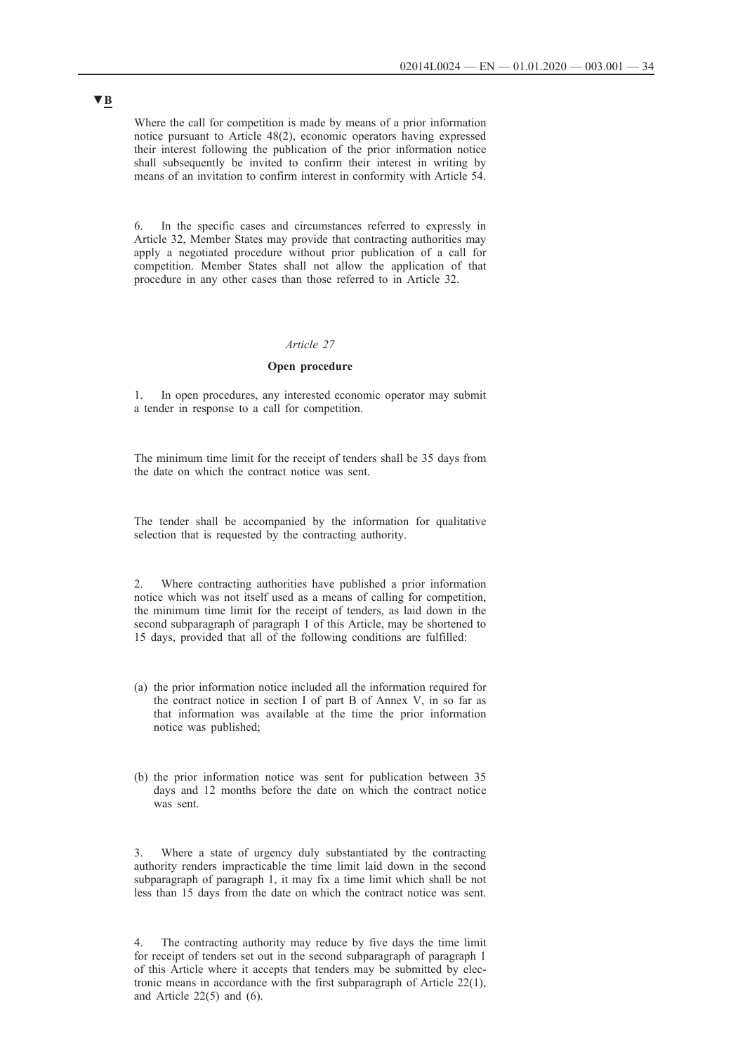Where the call for competition is made by means of a prior information notice pursuant to Article 48(2), economic operators having expressed their interest following the publication of the prior information notice shall subsequently be invited to confirm their interest in writing by means of an invitation to confirm interest in conformity with Article 54.

6. In the specific cases and circumstances referred to expressly in Article 32, Member States may provide that contracting authorities may apply a negotiated procedure without prior publication of a call for competition. Member States shall not allow the application of that procedure in any other cases than those referred to in Article 32.

### *Article 27*

### **Open procedure**

1. In open procedures, any interested economic operator may submit a tender in response to a call for competition.

The minimum time limit for the receipt of tenders shall be 35 days from the date on which the contract notice was sent.

The tender shall be accompanied by the information for qualitative selection that is requested by the contracting authority.

2. Where contracting authorities have published a prior information notice which was not itself used as a means of calling for competition, the minimum time limit for the receipt of tenders, as laid down in the second subparagraph of paragraph 1 of this Article, may be shortened to 15 days, provided that all of the following conditions are fulfilled:

- (a) the prior information notice included all the information required for the contract notice in section I of part B of Annex V, in so far as that information was available at the time the prior information notice was published;
- (b) the prior information notice was sent for publication between 35 days and 12 months before the date on which the contract notice was sent.

3. Where a state of urgency duly substantiated by the contracting authority renders impracticable the time limit laid down in the second subparagraph of paragraph 1, it may fix a time limit which shall be not less than 15 days from the date on which the contract notice was sent.

4. The contracting authority may reduce by five days the time limit for receipt of tenders set out in the second subparagraph of paragraph 1 of this Article where it accepts that tenders may be submitted by electronic means in accordance with the first subparagraph of Article 22(1), and Article  $22(5)$  and  $(6)$ .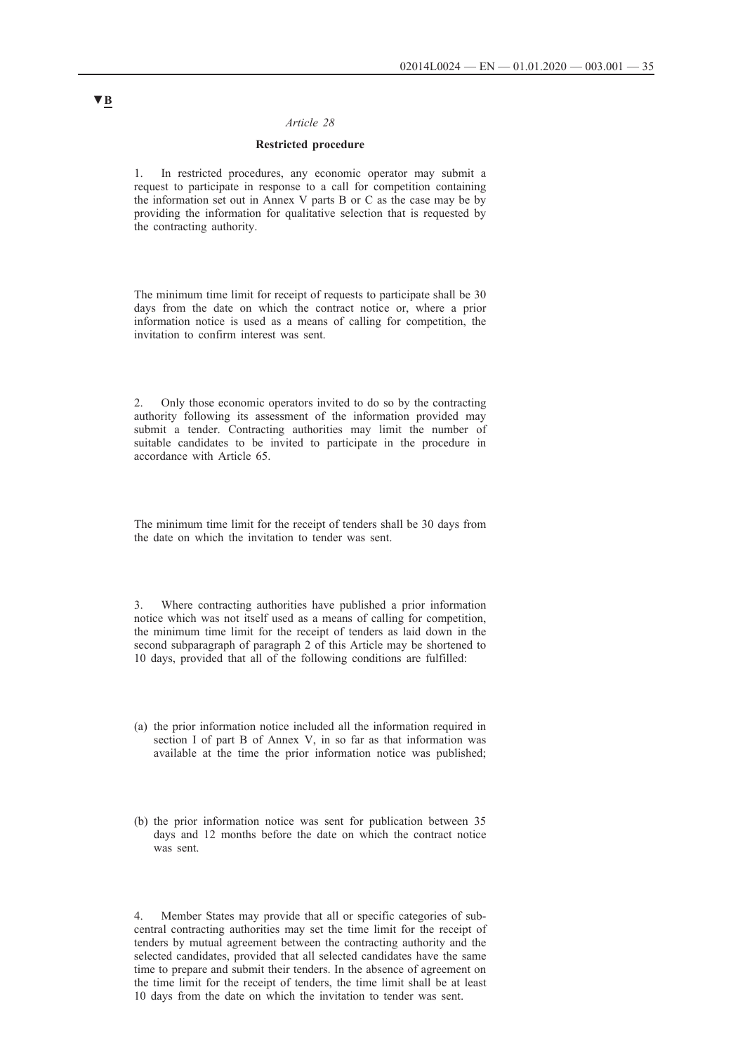# **Restricted procedure**

1. In restricted procedures, any economic operator may submit a request to participate in response to a call for competition containing the information set out in Annex V parts B or C as the case may be by providing the information for qualitative selection that is requested by the contracting authority.

The minimum time limit for receipt of requests to participate shall be 30 days from the date on which the contract notice or, where a prior information notice is used as a means of calling for competition, the invitation to confirm interest was sent.

2. Only those economic operators invited to do so by the contracting authority following its assessment of the information provided may submit a tender. Contracting authorities may limit the number of suitable candidates to be invited to participate in the procedure in accordance with Article 65.

The minimum time limit for the receipt of tenders shall be 30 days from the date on which the invitation to tender was sent.

3. Where contracting authorities have published a prior information notice which was not itself used as a means of calling for competition, the minimum time limit for the receipt of tenders as laid down in the second subparagraph of paragraph 2 of this Article may be shortened to 10 days, provided that all of the following conditions are fulfilled:

- (a) the prior information notice included all the information required in section I of part B of Annex V, in so far as that information was available at the time the prior information notice was published;
- (b) the prior information notice was sent for publication between 35 days and 12 months before the date on which the contract notice was sent.

Member States may provide that all or specific categories of subcentral contracting authorities may set the time limit for the receipt of tenders by mutual agreement between the contracting authority and the selected candidates, provided that all selected candidates have the same time to prepare and submit their tenders. In the absence of agreement on the time limit for the receipt of tenders, the time limit shall be at least 10 days from the date on which the invitation to tender was sent.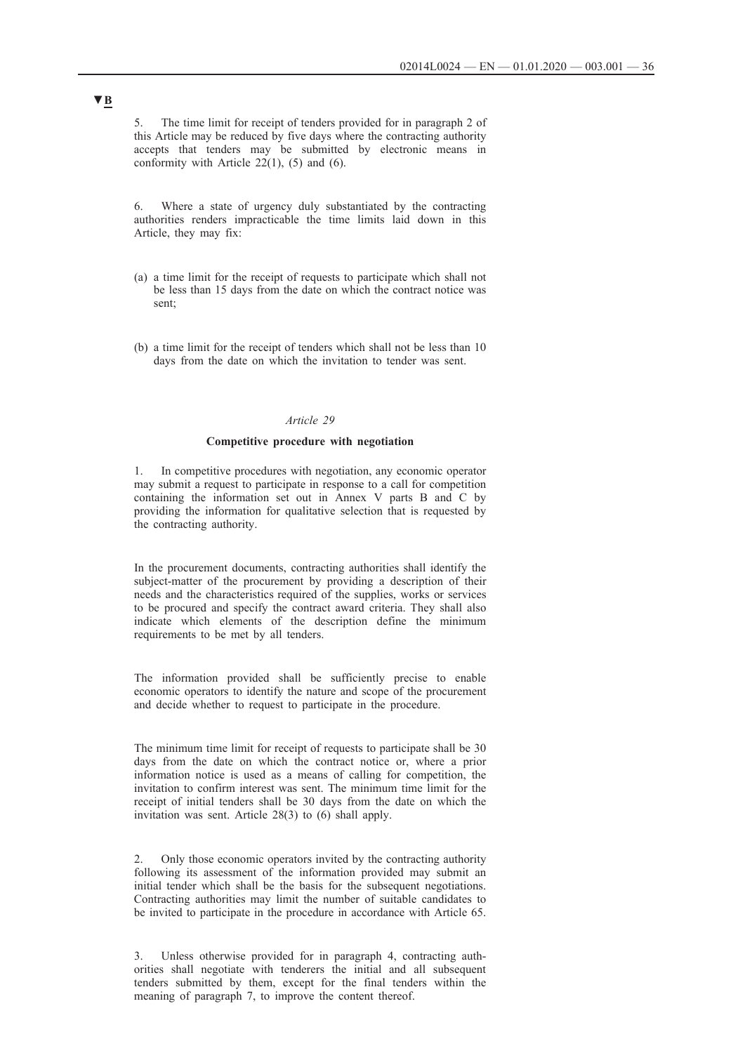5. The time limit for receipt of tenders provided for in paragraph 2 of this Article may be reduced by five days where the contracting authority accepts that tenders may be submitted by electronic means in conformity with Article  $22(1)$ ,  $(5)$  and  $(6)$ .

6. Where a state of urgency duly substantiated by the contracting authorities renders impracticable the time limits laid down in this Article, they may fix:

- (a) a time limit for the receipt of requests to participate which shall not be less than 15 days from the date on which the contract notice was sent;
- (b) a time limit for the receipt of tenders which shall not be less than 10 days from the date on which the invitation to tender was sent.

### *Article 29*

#### **Competitive procedure with negotiation**

1. In competitive procedures with negotiation, any economic operator may submit a request to participate in response to a call for competition containing the information set out in Annex V parts B and C by providing the information for qualitative selection that is requested by the contracting authority.

In the procurement documents, contracting authorities shall identify the subject-matter of the procurement by providing a description of their needs and the characteristics required of the supplies, works or services to be procured and specify the contract award criteria. They shall also indicate which elements of the description define the minimum requirements to be met by all tenders.

The information provided shall be sufficiently precise to enable economic operators to identify the nature and scope of the procurement and decide whether to request to participate in the procedure.

The minimum time limit for receipt of requests to participate shall be 30 days from the date on which the contract notice or, where a prior information notice is used as a means of calling for competition, the invitation to confirm interest was sent. The minimum time limit for the receipt of initial tenders shall be 30 days from the date on which the invitation was sent. Article 28(3) to (6) shall apply.

2. Only those economic operators invited by the contracting authority following its assessment of the information provided may submit an initial tender which shall be the basis for the subsequent negotiations. Contracting authorities may limit the number of suitable candidates to be invited to participate in the procedure in accordance with Article 65.

3. Unless otherwise provided for in paragraph 4, contracting authorities shall negotiate with tenderers the initial and all subsequent tenders submitted by them, except for the final tenders within the meaning of paragraph 7, to improve the content thereof.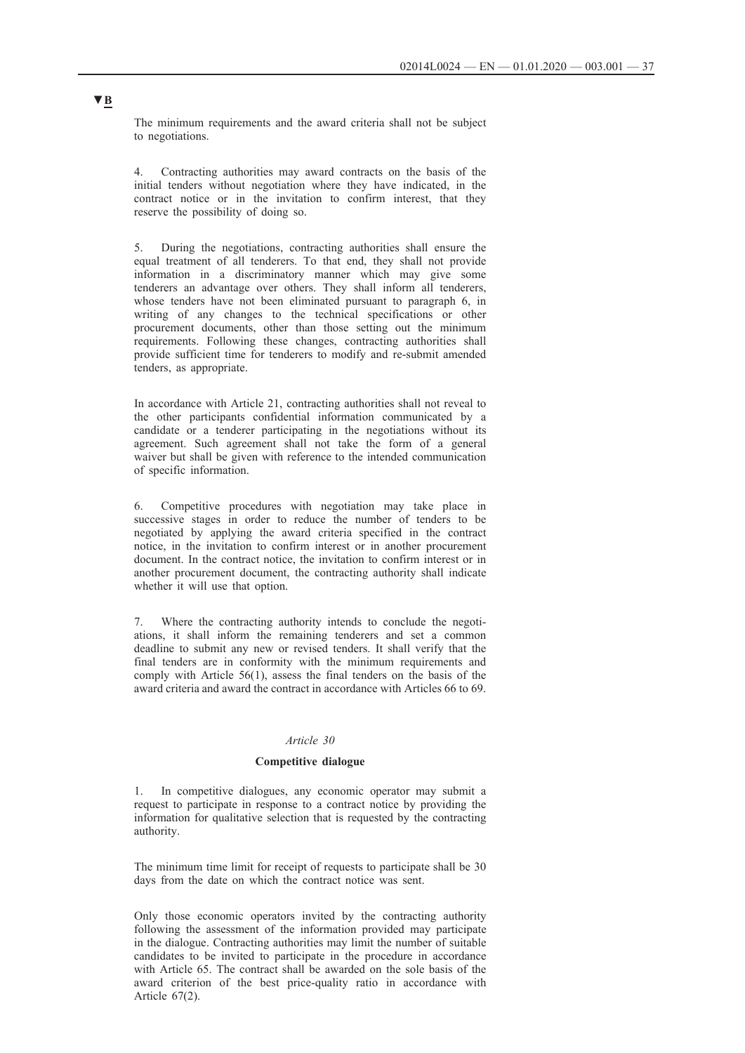The minimum requirements and the award criteria shall not be subject to negotiations.

4. Contracting authorities may award contracts on the basis of the initial tenders without negotiation where they have indicated, in the contract notice or in the invitation to confirm interest, that they reserve the possibility of doing so.

5. During the negotiations, contracting authorities shall ensure the equal treatment of all tenderers. To that end, they shall not provide information in a discriminatory manner which may give some tenderers an advantage over others. They shall inform all tenderers, whose tenders have not been eliminated pursuant to paragraph 6, in writing of any changes to the technical specifications or other procurement documents, other than those setting out the minimum requirements. Following these changes, contracting authorities shall provide sufficient time for tenderers to modify and re-submit amended tenders, as appropriate.

In accordance with Article 21, contracting authorities shall not reveal to the other participants confidential information communicated by a candidate or a tenderer participating in the negotiations without its agreement. Such agreement shall not take the form of a general waiver but shall be given with reference to the intended communication of specific information.

6. Competitive procedures with negotiation may take place in successive stages in order to reduce the number of tenders to be negotiated by applying the award criteria specified in the contract notice, in the invitation to confirm interest or in another procurement document. In the contract notice, the invitation to confirm interest or in another procurement document, the contracting authority shall indicate whether it will use that option.

7. Where the contracting authority intends to conclude the negotiations, it shall inform the remaining tenderers and set a common deadline to submit any new or revised tenders. It shall verify that the final tenders are in conformity with the minimum requirements and comply with Article 56(1), assess the final tenders on the basis of the award criteria and award the contract in accordance with Articles 66 to 69.

#### *Article 30*

## **Competitive dialogue**

1. In competitive dialogues, any economic operator may submit a request to participate in response to a contract notice by providing the information for qualitative selection that is requested by the contracting authority.

The minimum time limit for receipt of requests to participate shall be 30 days from the date on which the contract notice was sent.

Only those economic operators invited by the contracting authority following the assessment of the information provided may participate in the dialogue. Contracting authorities may limit the number of suitable candidates to be invited to participate in the procedure in accordance with Article 65. The contract shall be awarded on the sole basis of the award criterion of the best price-quality ratio in accordance with Article 67(2).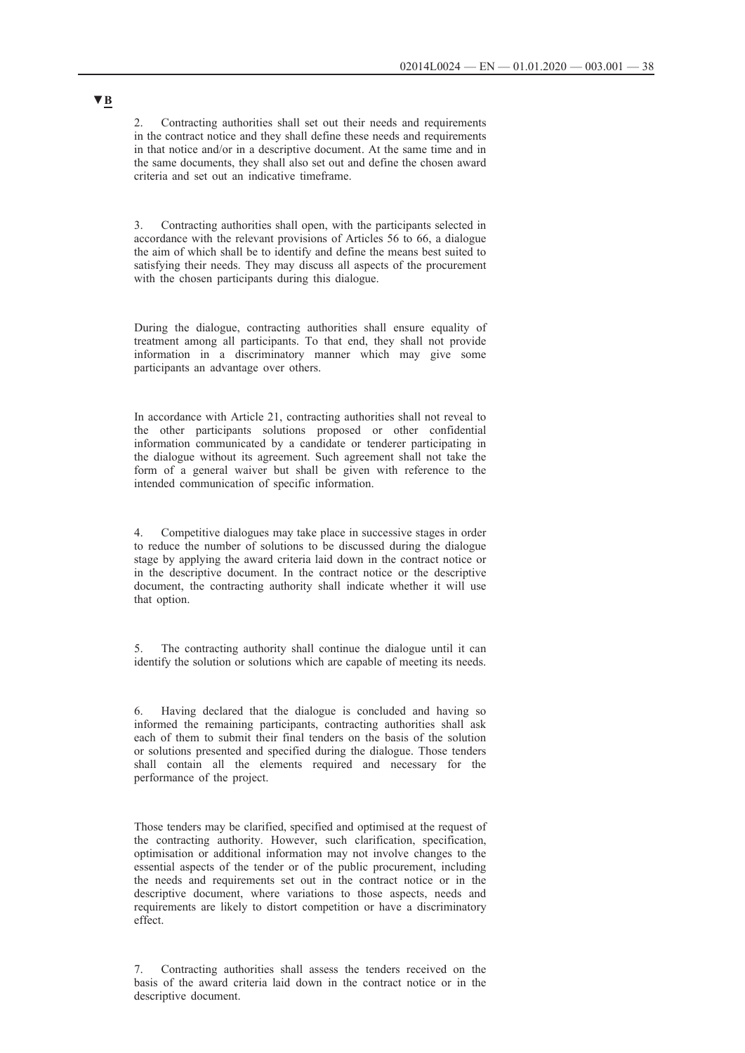2. Contracting authorities shall set out their needs and requirements in the contract notice and they shall define these needs and requirements in that notice and/or in a descriptive document. At the same time and in the same documents, they shall also set out and define the chosen award criteria and set out an indicative timeframe.

3. Contracting authorities shall open, with the participants selected in accordance with the relevant provisions of Articles 56 to 66, a dialogue the aim of which shall be to identify and define the means best suited to satisfying their needs. They may discuss all aspects of the procurement with the chosen participants during this dialogue.

During the dialogue, contracting authorities shall ensure equality of treatment among all participants. To that end, they shall not provide information in a discriminatory manner which may give some participants an advantage over others.

In accordance with Article 21, contracting authorities shall not reveal to the other participants solutions proposed or other confidential information communicated by a candidate or tenderer participating in the dialogue without its agreement. Such agreement shall not take the form of a general waiver but shall be given with reference to the intended communication of specific information.

4. Competitive dialogues may take place in successive stages in order to reduce the number of solutions to be discussed during the dialogue stage by applying the award criteria laid down in the contract notice or in the descriptive document. In the contract notice or the descriptive document, the contracting authority shall indicate whether it will use that option.

The contracting authority shall continue the dialogue until it can identify the solution or solutions which are capable of meeting its needs.

6. Having declared that the dialogue is concluded and having so informed the remaining participants, contracting authorities shall ask each of them to submit their final tenders on the basis of the solution or solutions presented and specified during the dialogue. Those tenders shall contain all the elements required and necessary for the performance of the project.

Those tenders may be clarified, specified and optimised at the request of the contracting authority. However, such clarification, specification, optimisation or additional information may not involve changes to the essential aspects of the tender or of the public procurement, including the needs and requirements set out in the contract notice or in the descriptive document, where variations to those aspects, needs and requirements are likely to distort competition or have a discriminatory effect.

7. Contracting authorities shall assess the tenders received on the basis of the award criteria laid down in the contract notice or in the descriptive document.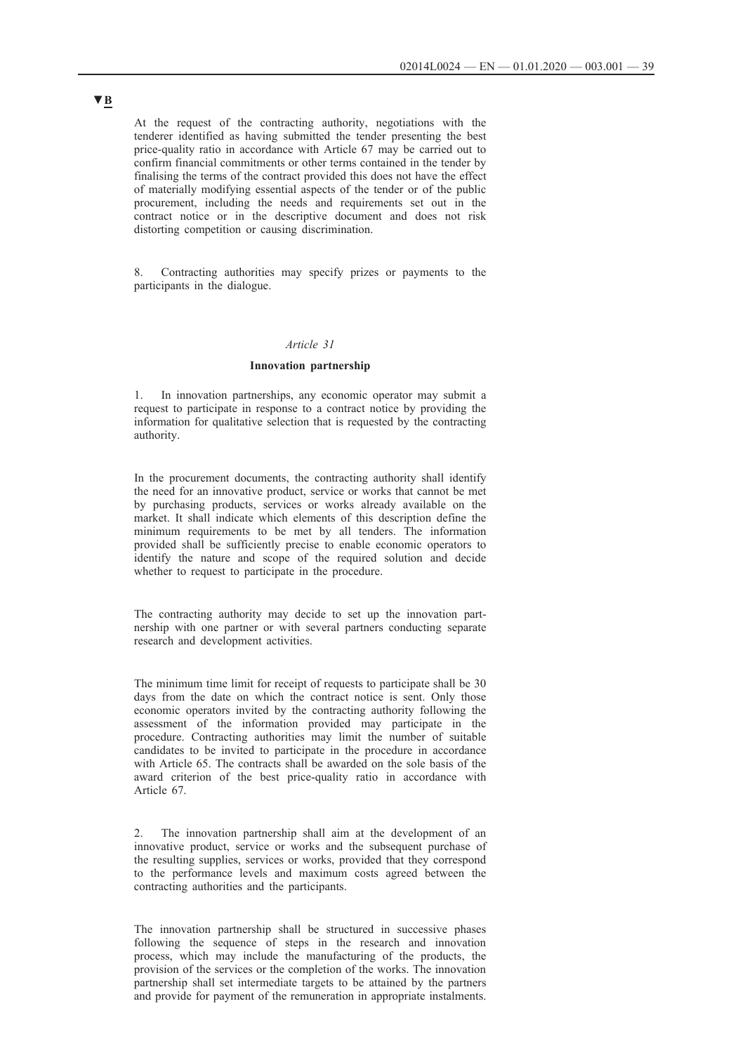At the request of the contracting authority, negotiations with the tenderer identified as having submitted the tender presenting the best price-quality ratio in accordance with Article 67 may be carried out to confirm financial commitments or other terms contained in the tender by finalising the terms of the contract provided this does not have the effect of materially modifying essential aspects of the tender or of the public procurement, including the needs and requirements set out in the contract notice or in the descriptive document and does not risk distorting competition or causing discrimination.

8. Contracting authorities may specify prizes or payments to the participants in the dialogue.

### *Article 31*

## **Innovation partnership**

1. In innovation partnerships, any economic operator may submit a request to participate in response to a contract notice by providing the information for qualitative selection that is requested by the contracting authority.

In the procurement documents, the contracting authority shall identify the need for an innovative product, service or works that cannot be met by purchasing products, services or works already available on the market. It shall indicate which elements of this description define the minimum requirements to be met by all tenders. The information provided shall be sufficiently precise to enable economic operators to identify the nature and scope of the required solution and decide whether to request to participate in the procedure.

The contracting authority may decide to set up the innovation partnership with one partner or with several partners conducting separate research and development activities.

The minimum time limit for receipt of requests to participate shall be 30 days from the date on which the contract notice is sent. Only those economic operators invited by the contracting authority following the assessment of the information provided may participate in the procedure. Contracting authorities may limit the number of suitable candidates to be invited to participate in the procedure in accordance with Article 65. The contracts shall be awarded on the sole basis of the award criterion of the best price-quality ratio in accordance with Article 67.

2. The innovation partnership shall aim at the development of an innovative product, service or works and the subsequent purchase of the resulting supplies, services or works, provided that they correspond to the performance levels and maximum costs agreed between the contracting authorities and the participants.

The innovation partnership shall be structured in successive phases following the sequence of steps in the research and innovation process, which may include the manufacturing of the products, the provision of the services or the completion of the works. The innovation partnership shall set intermediate targets to be attained by the partners and provide for payment of the remuneration in appropriate instalments.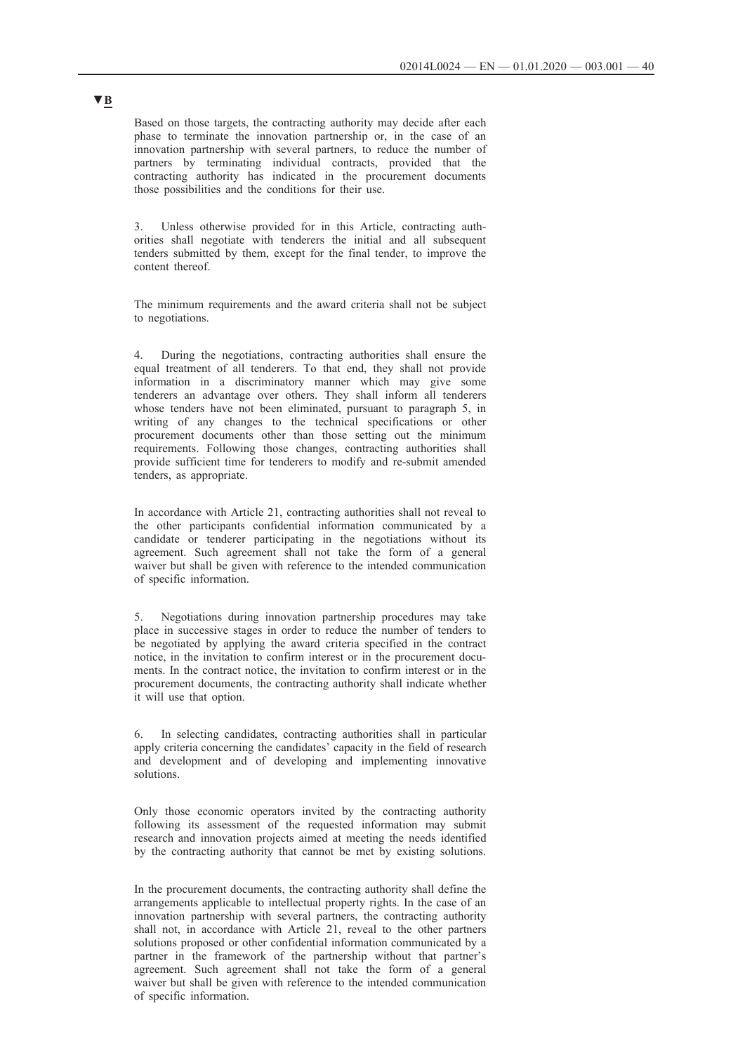Based on those targets, the contracting authority may decide after each phase to terminate the innovation partnership or, in the case of an innovation partnership with several partners, to reduce the number of partners by terminating individual contracts, provided that the contracting authority has indicated in the procurement documents those possibilities and the conditions for their use.

3. Unless otherwise provided for in this Article, contracting authorities shall negotiate with tenderers the initial and all subsequent tenders submitted by them, except for the final tender, to improve the content thereof.

The minimum requirements and the award criteria shall not be subject to negotiations.

4. During the negotiations, contracting authorities shall ensure the equal treatment of all tenderers. To that end, they shall not provide information in a discriminatory manner which may give some tenderers an advantage over others. They shall inform all tenderers whose tenders have not been eliminated, pursuant to paragraph 5, in writing of any changes to the technical specifications or other procurement documents other than those setting out the minimum requirements. Following those changes, contracting authorities shall provide sufficient time for tenderers to modify and re-submit amended tenders, as appropriate.

In accordance with Article 21, contracting authorities shall not reveal to the other participants confidential information communicated by a candidate or tenderer participating in the negotiations without its agreement. Such agreement shall not take the form of a general waiver but shall be given with reference to the intended communication of specific information.

5. Negotiations during innovation partnership procedures may take place in successive stages in order to reduce the number of tenders to be negotiated by applying the award criteria specified in the contract notice, in the invitation to confirm interest or in the procurement documents. In the contract notice, the invitation to confirm interest or in the procurement documents, the contracting authority shall indicate whether it will use that option.

6. In selecting candidates, contracting authorities shall in particular apply criteria concerning the candidates' capacity in the field of research and development and of developing and implementing innovative solutions.

Only those economic operators invited by the contracting authority following its assessment of the requested information may submit research and innovation projects aimed at meeting the needs identified by the contracting authority that cannot be met by existing solutions.

In the procurement documents, the contracting authority shall define the arrangements applicable to intellectual property rights. In the case of an innovation partnership with several partners, the contracting authority shall not, in accordance with Article 21, reveal to the other partners solutions proposed or other confidential information communicated by a partner in the framework of the partnership without that partner's agreement. Such agreement shall not take the form of a general waiver but shall be given with reference to the intended communication of specific information.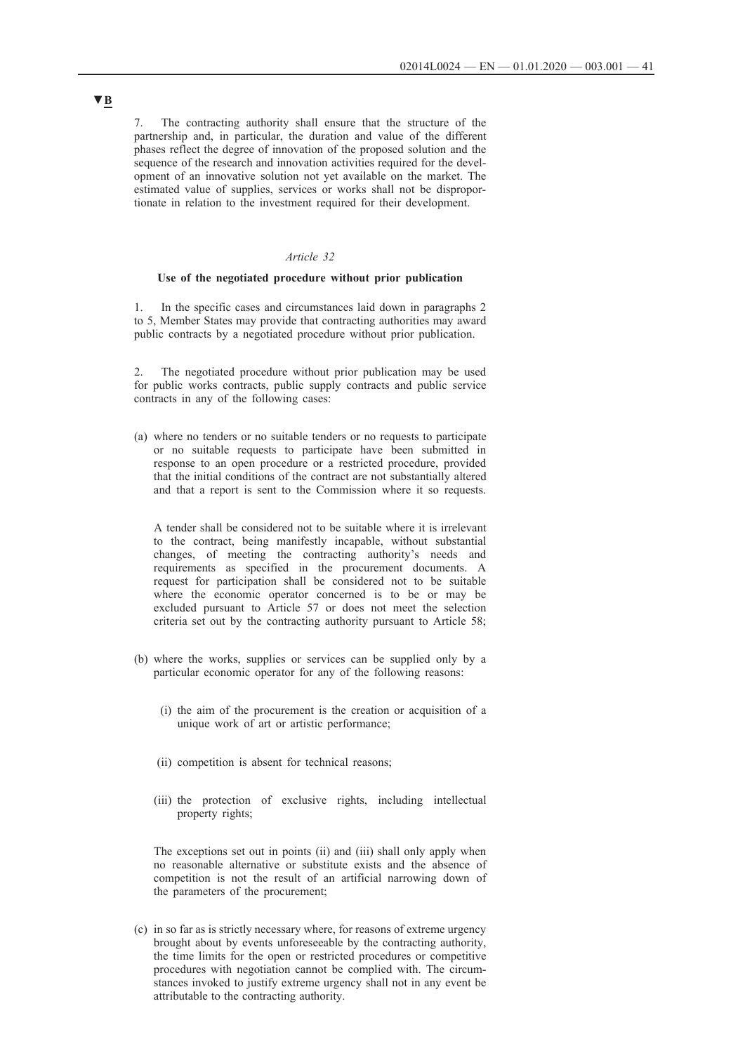7. The contracting authority shall ensure that the structure of the partnership and, in particular, the duration and value of the different phases reflect the degree of innovation of the proposed solution and the sequence of the research and innovation activities required for the development of an innovative solution not yet available on the market. The estimated value of supplies, services or works shall not be disproportionate in relation to the investment required for their development.

## *Article 32*

## **Use of the negotiated procedure without prior publication**

In the specific cases and circumstances laid down in paragraphs 2 to 5, Member States may provide that contracting authorities may award public contracts by a negotiated procedure without prior publication.

2. The negotiated procedure without prior publication may be used for public works contracts, public supply contracts and public service contracts in any of the following cases:

(a) where no tenders or no suitable tenders or no requests to participate or no suitable requests to participate have been submitted in response to an open procedure or a restricted procedure, provided that the initial conditions of the contract are not substantially altered and that a report is sent to the Commission where it so requests.

A tender shall be considered not to be suitable where it is irrelevant to the contract, being manifestly incapable, without substantial changes, of meeting the contracting authority's needs and requirements as specified in the procurement documents. A request for participation shall be considered not to be suitable where the economic operator concerned is to be or may be excluded pursuant to Article 57 or does not meet the selection criteria set out by the contracting authority pursuant to Article 58;

- (b) where the works, supplies or services can be supplied only by a particular economic operator for any of the following reasons:
	- (i) the aim of the procurement is the creation or acquisition of a unique work of art or artistic performance;
	- (ii) competition is absent for technical reasons;
	- (iii) the protection of exclusive rights, including intellectual property rights;

The exceptions set out in points (ii) and (iii) shall only apply when no reasonable alternative or substitute exists and the absence of competition is not the result of an artificial narrowing down of the parameters of the procurement;

(c) in so far as is strictly necessary where, for reasons of extreme urgency brought about by events unforeseeable by the contracting authority, the time limits for the open or restricted procedures or competitive procedures with negotiation cannot be complied with. The circumstances invoked to justify extreme urgency shall not in any event be attributable to the contracting authority.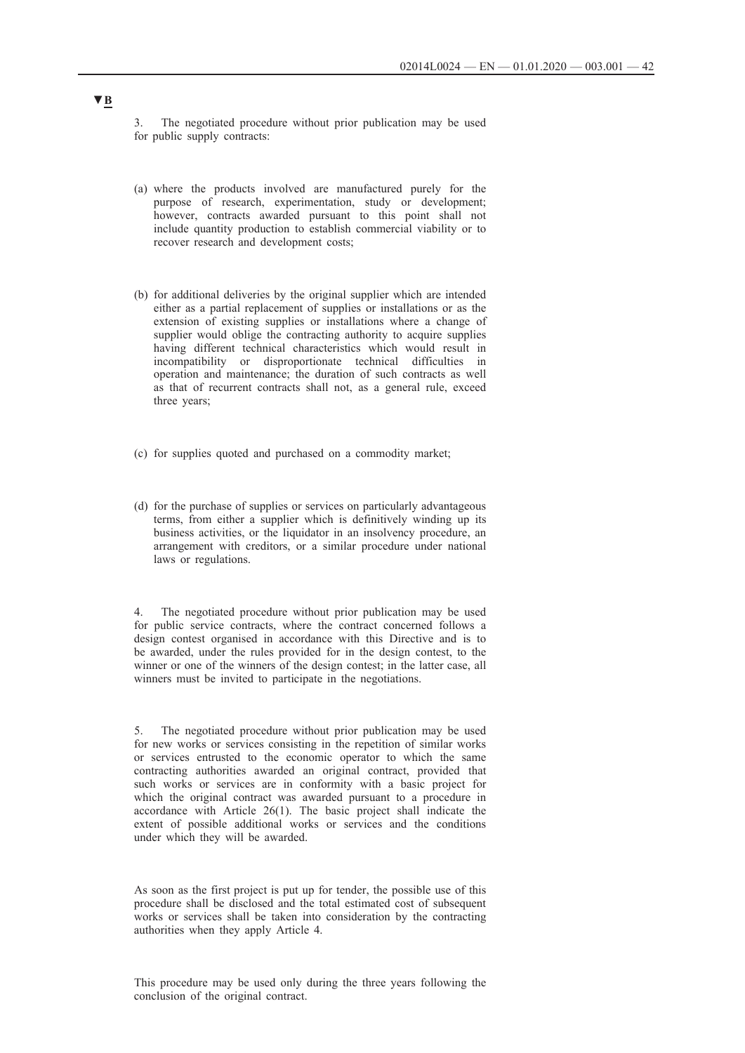3. The negotiated procedure without prior publication may be used for public supply contracts:

- (a) where the products involved are manufactured purely for the purpose of research, experimentation, study or development; however, contracts awarded pursuant to this point shall not include quantity production to establish commercial viability or to recover research and development costs;
- (b) for additional deliveries by the original supplier which are intended either as a partial replacement of supplies or installations or as the extension of existing supplies or installations where a change of supplier would oblige the contracting authority to acquire supplies having different technical characteristics which would result in incompatibility or disproportionate technical difficulties in operation and maintenance; the duration of such contracts as well as that of recurrent contracts shall not, as a general rule, exceed three years;
- (c) for supplies quoted and purchased on a commodity market;
- (d) for the purchase of supplies or services on particularly advantageous terms, from either a supplier which is definitively winding up its business activities, or the liquidator in an insolvency procedure, an arrangement with creditors, or a similar procedure under national laws or regulations.

4. The negotiated procedure without prior publication may be used for public service contracts, where the contract concerned follows a design contest organised in accordance with this Directive and is to be awarded, under the rules provided for in the design contest, to the winner or one of the winners of the design contest; in the latter case, all winners must be invited to participate in the negotiations.

5. The negotiated procedure without prior publication may be used for new works or services consisting in the repetition of similar works or services entrusted to the economic operator to which the same contracting authorities awarded an original contract, provided that such works or services are in conformity with a basic project for which the original contract was awarded pursuant to a procedure in accordance with Article 26(1). The basic project shall indicate the extent of possible additional works or services and the conditions under which they will be awarded.

As soon as the first project is put up for tender, the possible use of this procedure shall be disclosed and the total estimated cost of subsequent works or services shall be taken into consideration by the contracting authorities when they apply Article 4.

This procedure may be used only during the three years following the conclusion of the original contract.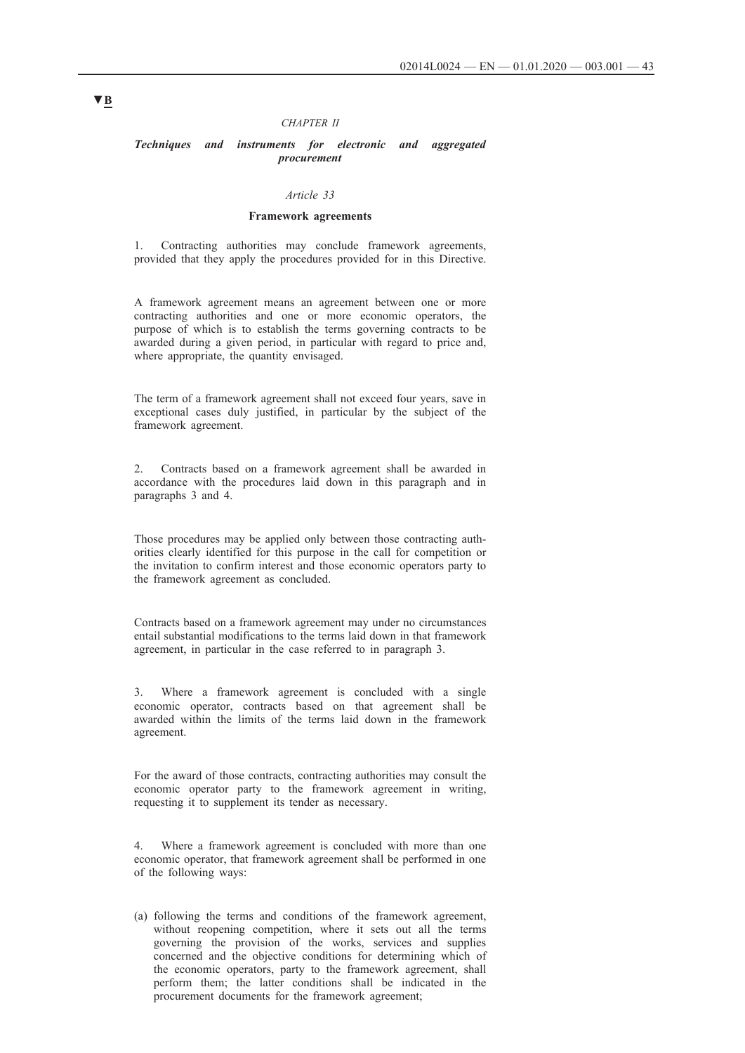#### *CHAPTER II*

## *Techniques and instruments for electronic and aggregated procurement*

#### *Article 33*

## **Framework agreements**

1. Contracting authorities may conclude framework agreements, provided that they apply the procedures provided for in this Directive.

A framework agreement means an agreement between one or more contracting authorities and one or more economic operators, the purpose of which is to establish the terms governing contracts to be awarded during a given period, in particular with regard to price and, where appropriate, the quantity envisaged.

The term of a framework agreement shall not exceed four years, save in exceptional cases duly justified, in particular by the subject of the framework agreement.

2. Contracts based on a framework agreement shall be awarded in accordance with the procedures laid down in this paragraph and in paragraphs 3 and 4.

Those procedures may be applied only between those contracting authorities clearly identified for this purpose in the call for competition or the invitation to confirm interest and those economic operators party to the framework agreement as concluded.

Contracts based on a framework agreement may under no circumstances entail substantial modifications to the terms laid down in that framework agreement, in particular in the case referred to in paragraph 3.

3. Where a framework agreement is concluded with a single economic operator, contracts based on that agreement shall be awarded within the limits of the terms laid down in the framework agreement.

For the award of those contracts, contracting authorities may consult the economic operator party to the framework agreement in writing, requesting it to supplement its tender as necessary.

4. Where a framework agreement is concluded with more than one economic operator, that framework agreement shall be performed in one of the following ways:

(a) following the terms and conditions of the framework agreement, without reopening competition, where it sets out all the terms governing the provision of the works, services and supplies concerned and the objective conditions for determining which of the economic operators, party to the framework agreement, shall perform them; the latter conditions shall be indicated in the procurement documents for the framework agreement;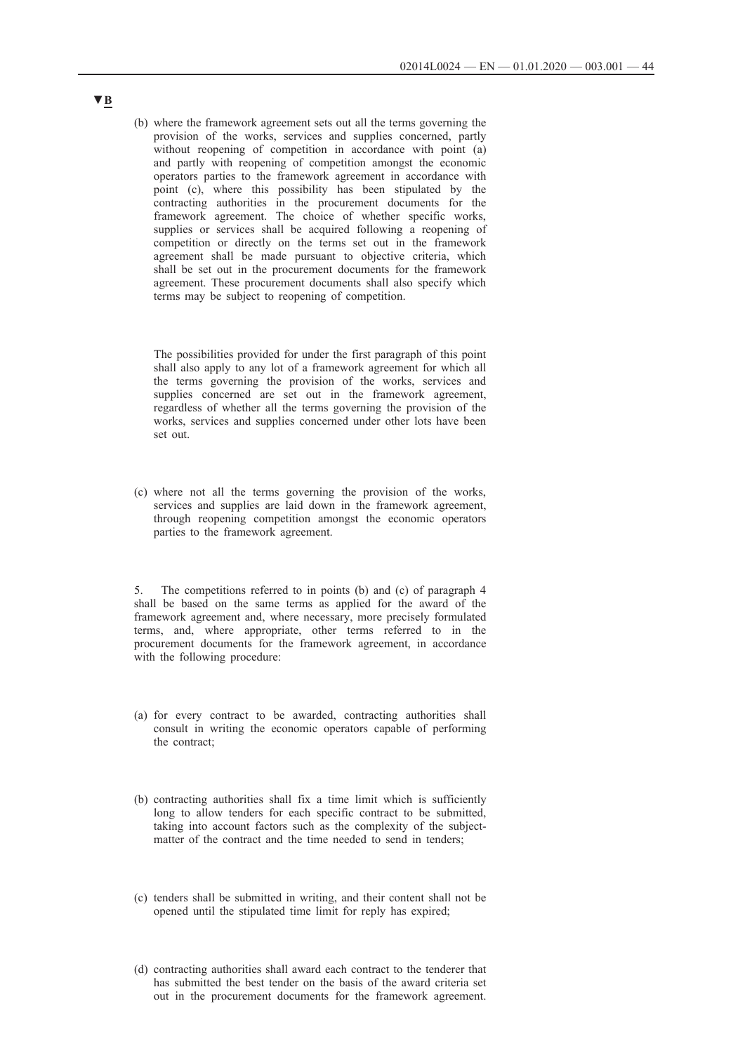(b) where the framework agreement sets out all the terms governing the provision of the works, services and supplies concerned, partly without reopening of competition in accordance with point (a) and partly with reopening of competition amongst the economic operators parties to the framework agreement in accordance with point (c), where this possibility has been stipulated by the contracting authorities in the procurement documents for the framework agreement. The choice of whether specific works, supplies or services shall be acquired following a reopening of competition or directly on the terms set out in the framework agreement shall be made pursuant to objective criteria, which shall be set out in the procurement documents for the framework agreement. These procurement documents shall also specify which terms may be subject to reopening of competition.

The possibilities provided for under the first paragraph of this point shall also apply to any lot of a framework agreement for which all the terms governing the provision of the works, services and supplies concerned are set out in the framework agreement, regardless of whether all the terms governing the provision of the works, services and supplies concerned under other lots have been set out.

(c) where not all the terms governing the provision of the works, services and supplies are laid down in the framework agreement, through reopening competition amongst the economic operators parties to the framework agreement.

5. The competitions referred to in points (b) and (c) of paragraph 4 shall be based on the same terms as applied for the award of the framework agreement and, where necessary, more precisely formulated terms, and, where appropriate, other terms referred to in the procurement documents for the framework agreement, in accordance with the following procedure:

- (a) for every contract to be awarded, contracting authorities shall consult in writing the economic operators capable of performing the contract;
- (b) contracting authorities shall fix a time limit which is sufficiently long to allow tenders for each specific contract to be submitted, taking into account factors such as the complexity of the subjectmatter of the contract and the time needed to send in tenders;
- (c) tenders shall be submitted in writing, and their content shall not be opened until the stipulated time limit for reply has expired;
- (d) contracting authorities shall award each contract to the tenderer that has submitted the best tender on the basis of the award criteria set out in the procurement documents for the framework agreement.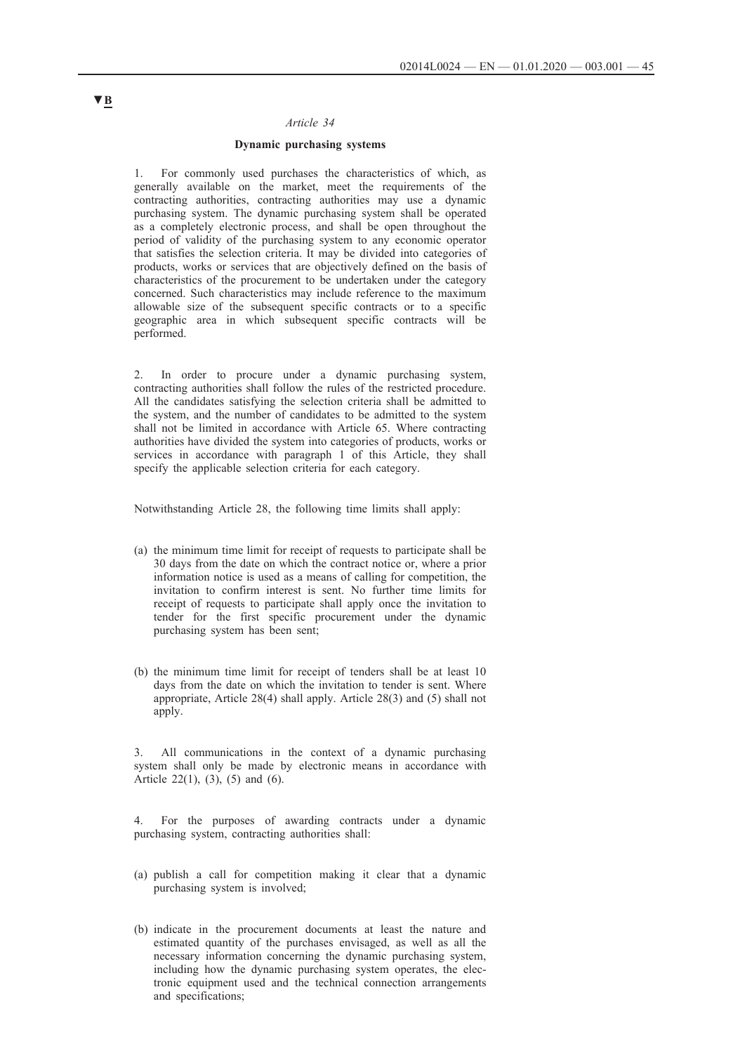## *Article 34*

## **Dynamic purchasing systems**

1. For commonly used purchases the characteristics of which, as generally available on the market, meet the requirements of the contracting authorities, contracting authorities may use a dynamic purchasing system. The dynamic purchasing system shall be operated as a completely electronic process, and shall be open throughout the period of validity of the purchasing system to any economic operator that satisfies the selection criteria. It may be divided into categories of products, works or services that are objectively defined on the basis of characteristics of the procurement to be undertaken under the category concerned. Such characteristics may include reference to the maximum allowable size of the subsequent specific contracts or to a specific geographic area in which subsequent specific contracts will be performed.

2. In order to procure under a dynamic purchasing system, contracting authorities shall follow the rules of the restricted procedure. All the candidates satisfying the selection criteria shall be admitted to the system, and the number of candidates to be admitted to the system shall not be limited in accordance with Article 65. Where contracting authorities have divided the system into categories of products, works or services in accordance with paragraph 1 of this Article, they shall specify the applicable selection criteria for each category.

Notwithstanding Article 28, the following time limits shall apply:

- (a) the minimum time limit for receipt of requests to participate shall be 30 days from the date on which the contract notice or, where a prior information notice is used as a means of calling for competition, the invitation to confirm interest is sent. No further time limits for receipt of requests to participate shall apply once the invitation to tender for the first specific procurement under the dynamic purchasing system has been sent;
- (b) the minimum time limit for receipt of tenders shall be at least 10 days from the date on which the invitation to tender is sent. Where appropriate, Article 28(4) shall apply. Article 28(3) and (5) shall not apply.

3. All communications in the context of a dynamic purchasing system shall only be made by electronic means in accordance with Article 22(1),  $(3)$ ,  $(5)$  and  $(6)$ .

4. For the purposes of awarding contracts under a dynamic purchasing system, contracting authorities shall:

- (a) publish a call for competition making it clear that a dynamic purchasing system is involved;
- (b) indicate in the procurement documents at least the nature and estimated quantity of the purchases envisaged, as well as all the necessary information concerning the dynamic purchasing system, including how the dynamic purchasing system operates, the electronic equipment used and the technical connection arrangements and specifications;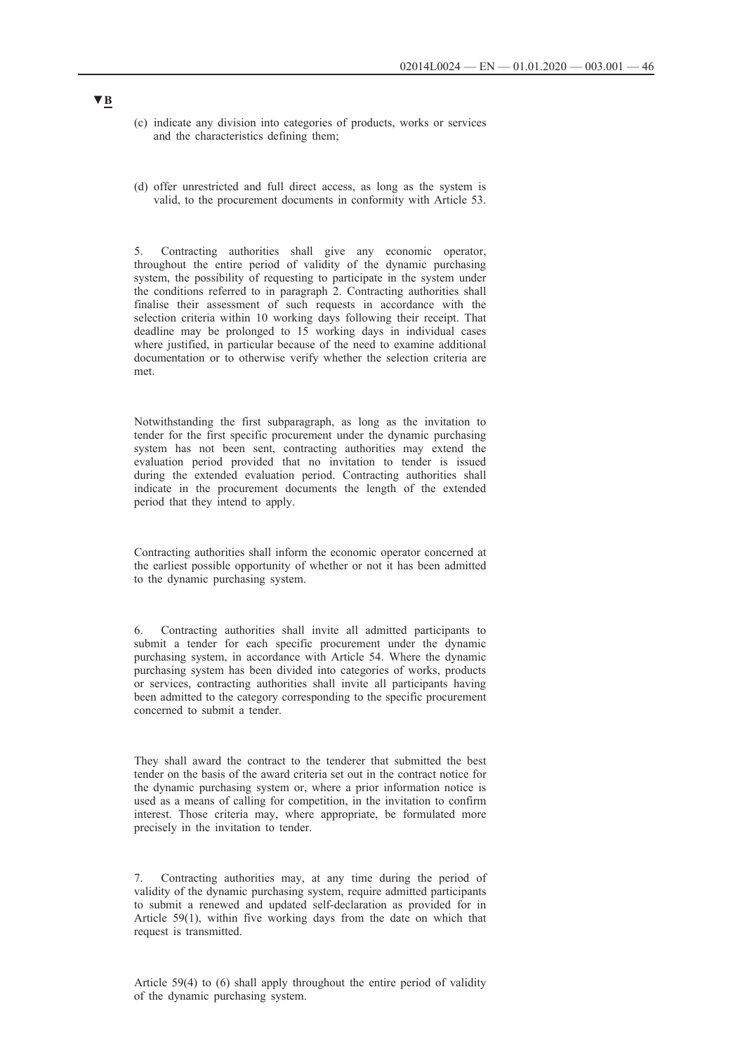- (c) indicate any division into categories of products, works or services and the characteristics defining them;
- (d) offer unrestricted and full direct access, as long as the system is valid, to the procurement documents in conformity with Article 53.

5. Contracting authorities shall give any economic operator, throughout the entire period of validity of the dynamic purchasing system, the possibility of requesting to participate in the system under the conditions referred to in paragraph 2. Contracting authorities shall finalise their assessment of such requests in accordance with the selection criteria within 10 working days following their receipt. That deadline may be prolonged to 15 working days in individual cases where justified, in particular because of the need to examine additional documentation or to otherwise verify whether the selection criteria are met.

Notwithstanding the first subparagraph, as long as the invitation to tender for the first specific procurement under the dynamic purchasing system has not been sent, contracting authorities may extend the evaluation period provided that no invitation to tender is issued during the extended evaluation period. Contracting authorities shall indicate in the procurement documents the length of the extended period that they intend to apply.

Contracting authorities shall inform the economic operator concerned at the earliest possible opportunity of whether or not it has been admitted to the dynamic purchasing system.

6. Contracting authorities shall invite all admitted participants to submit a tender for each specific procurement under the dynamic purchasing system, in accordance with Article 54. Where the dynamic purchasing system has been divided into categories of works, products or services, contracting authorities shall invite all participants having been admitted to the category corresponding to the specific procurement concerned to submit a tender.

They shall award the contract to the tenderer that submitted the best tender on the basis of the award criteria set out in the contract notice for the dynamic purchasing system or, where a prior information notice is used as a means of calling for competition, in the invitation to confirm interest. Those criteria may, where appropriate, be formulated more precisely in the invitation to tender.

7. Contracting authorities may, at any time during the period of validity of the dynamic purchasing system, require admitted participants to submit a renewed and updated self-declaration as provided for in Article 59(1), within five working days from the date on which that request is transmitted.

Article 59(4) to (6) shall apply throughout the entire period of validity of the dynamic purchasing system.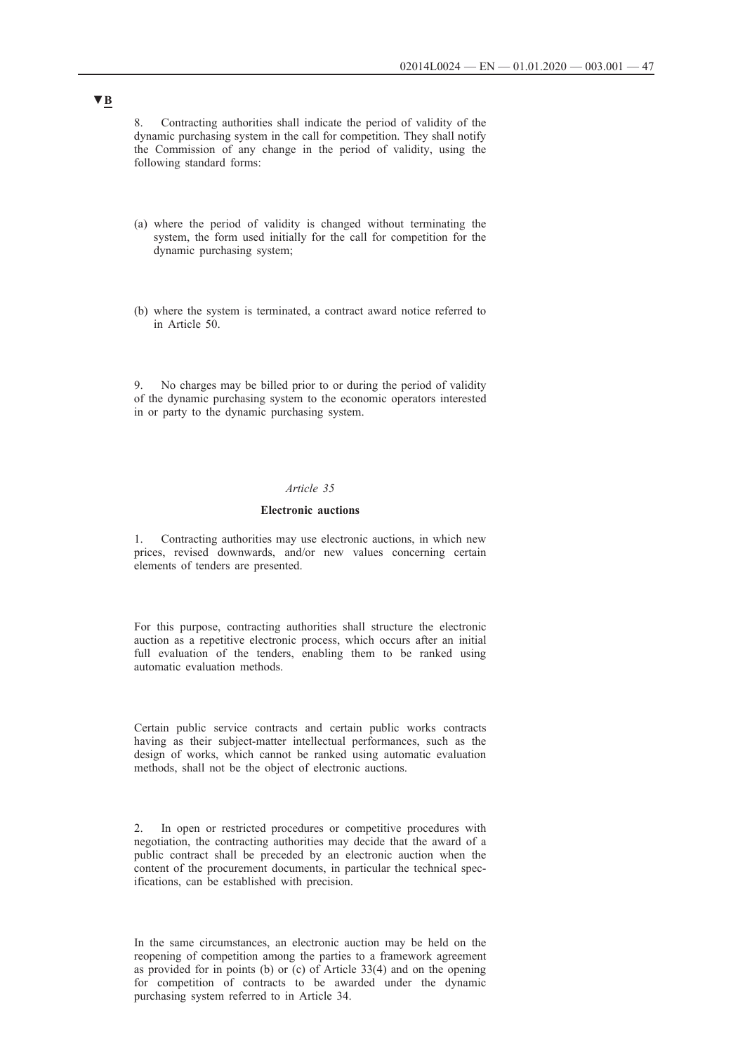8. Contracting authorities shall indicate the period of validity of the dynamic purchasing system in the call for competition. They shall notify the Commission of any change in the period of validity, using the following standard forms:

- (a) where the period of validity is changed without terminating the system, the form used initially for the call for competition for the dynamic purchasing system;
- (b) where the system is terminated, a contract award notice referred to in Article 50.

9. No charges may be billed prior to or during the period of validity of the dynamic purchasing system to the economic operators interested in or party to the dynamic purchasing system.

## *Article 35*

## **Electronic auctions**

1. Contracting authorities may use electronic auctions, in which new prices, revised downwards, and/or new values concerning certain elements of tenders are presented.

For this purpose, contracting authorities shall structure the electronic auction as a repetitive electronic process, which occurs after an initial full evaluation of the tenders, enabling them to be ranked using automatic evaluation methods.

Certain public service contracts and certain public works contracts having as their subject-matter intellectual performances, such as the design of works, which cannot be ranked using automatic evaluation methods, shall not be the object of electronic auctions.

2. In open or restricted procedures or competitive procedures with negotiation, the contracting authorities may decide that the award of a public contract shall be preceded by an electronic auction when the content of the procurement documents, in particular the technical specifications, can be established with precision.

In the same circumstances, an electronic auction may be held on the reopening of competition among the parties to a framework agreement as provided for in points (b) or (c) of Article 33(4) and on the opening for competition of contracts to be awarded under the dynamic purchasing system referred to in Article 34.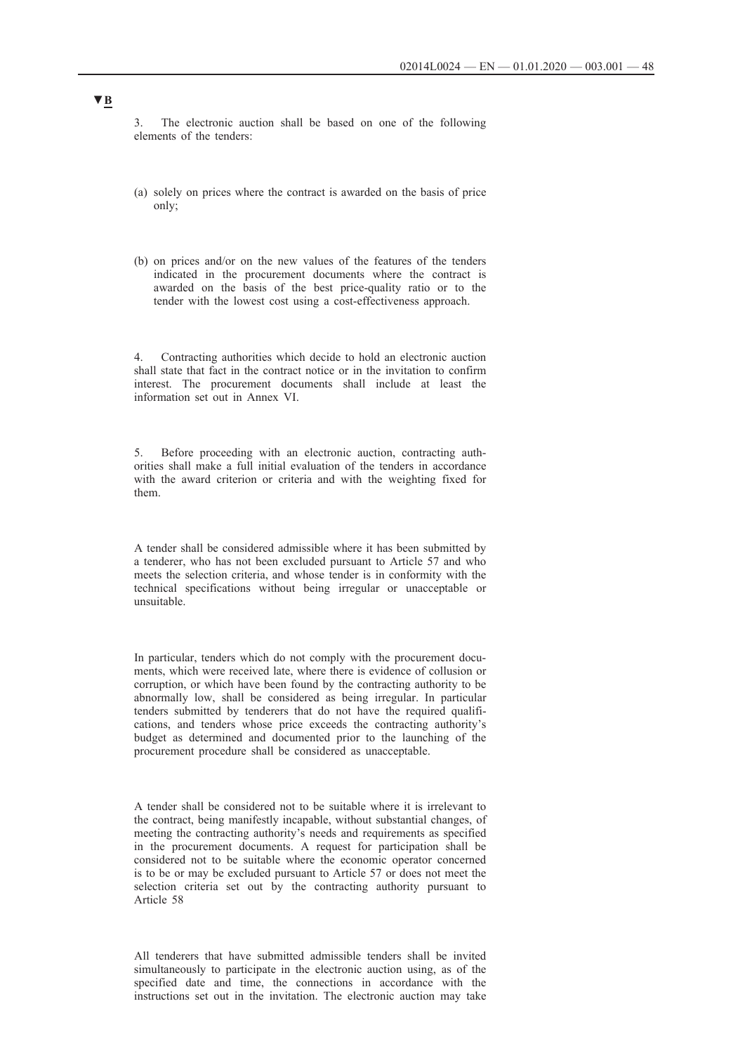3. The electronic auction shall be based on one of the following elements of the tenders:

- (a) solely on prices where the contract is awarded on the basis of price only;
- (b) on prices and/or on the new values of the features of the tenders indicated in the procurement documents where the contract is awarded on the basis of the best price-quality ratio or to the tender with the lowest cost using a cost-effectiveness approach.

4. Contracting authorities which decide to hold an electronic auction shall state that fact in the contract notice or in the invitation to confirm interest. The procurement documents shall include at least the information set out in Annex VI.

5. Before proceeding with an electronic auction, contracting authorities shall make a full initial evaluation of the tenders in accordance with the award criterion or criteria and with the weighting fixed for them.

A tender shall be considered admissible where it has been submitted by a tenderer, who has not been excluded pursuant to Article 57 and who meets the selection criteria, and whose tender is in conformity with the technical specifications without being irregular or unacceptable or unsuitable.

In particular, tenders which do not comply with the procurement documents, which were received late, where there is evidence of collusion or corruption, or which have been found by the contracting authority to be abnormally low, shall be considered as being irregular. In particular tenders submitted by tenderers that do not have the required qualifications, and tenders whose price exceeds the contracting authority's budget as determined and documented prior to the launching of the procurement procedure shall be considered as unacceptable.

A tender shall be considered not to be suitable where it is irrelevant to the contract, being manifestly incapable, without substantial changes, of meeting the contracting authority's needs and requirements as specified in the procurement documents. A request for participation shall be considered not to be suitable where the economic operator concerned is to be or may be excluded pursuant to Article 57 or does not meet the selection criteria set out by the contracting authority pursuant to Article 58

All tenderers that have submitted admissible tenders shall be invited simultaneously to participate in the electronic auction using, as of the specified date and time, the connections in accordance with the instructions set out in the invitation. The electronic auction may take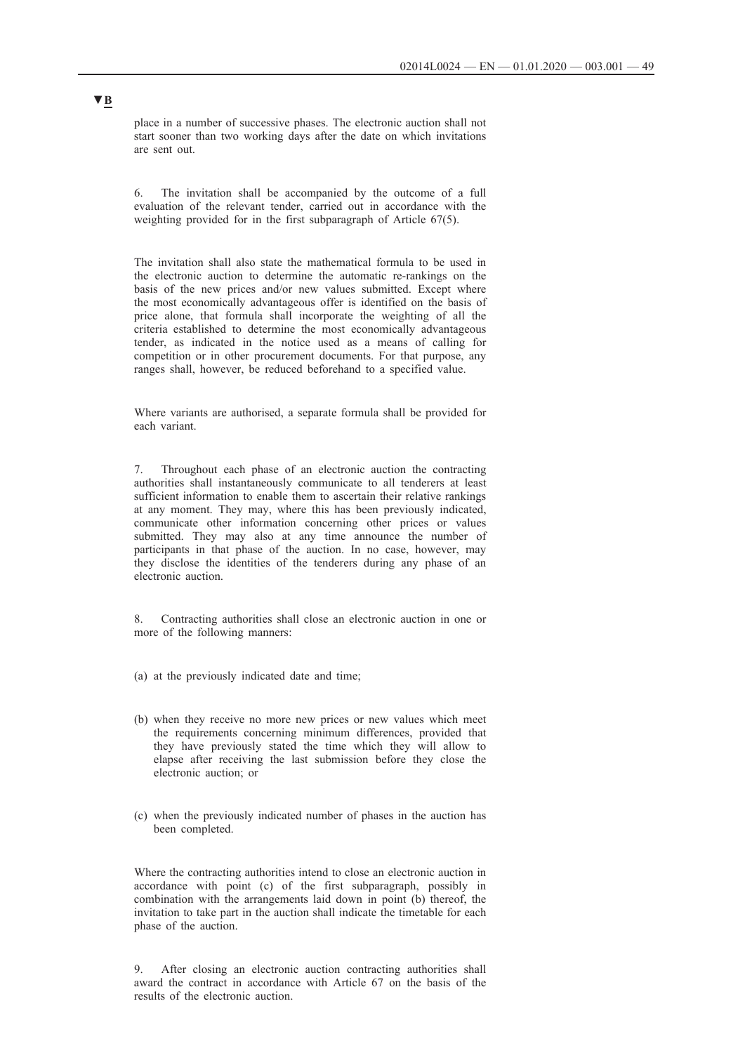place in a number of successive phases. The electronic auction shall not start sooner than two working days after the date on which invitations are sent out.

6. The invitation shall be accompanied by the outcome of a full evaluation of the relevant tender, carried out in accordance with the weighting provided for in the first subparagraph of Article 67(5).

The invitation shall also state the mathematical formula to be used in the electronic auction to determine the automatic re-rankings on the basis of the new prices and/or new values submitted. Except where the most economically advantageous offer is identified on the basis of price alone, that formula shall incorporate the weighting of all the criteria established to determine the most economically advantageous tender, as indicated in the notice used as a means of calling for competition or in other procurement documents. For that purpose, any ranges shall, however, be reduced beforehand to a specified value.

Where variants are authorised, a separate formula shall be provided for each variant.

7. Throughout each phase of an electronic auction the contracting authorities shall instantaneously communicate to all tenderers at least sufficient information to enable them to ascertain their relative rankings at any moment. They may, where this has been previously indicated, communicate other information concerning other prices or values submitted. They may also at any time announce the number of participants in that phase of the auction. In no case, however, may they disclose the identities of the tenderers during any phase of an electronic auction.

8. Contracting authorities shall close an electronic auction in one or more of the following manners:

- (a) at the previously indicated date and time;
- (b) when they receive no more new prices or new values which meet the requirements concerning minimum differences, provided that they have previously stated the time which they will allow to elapse after receiving the last submission before they close the electronic auction; or
- (c) when the previously indicated number of phases in the auction has been completed.

Where the contracting authorities intend to close an electronic auction in accordance with point (c) of the first subparagraph, possibly in combination with the arrangements laid down in point (b) thereof, the invitation to take part in the auction shall indicate the timetable for each phase of the auction.

9. After closing an electronic auction contracting authorities shall award the contract in accordance with Article 67 on the basis of the results of the electronic auction.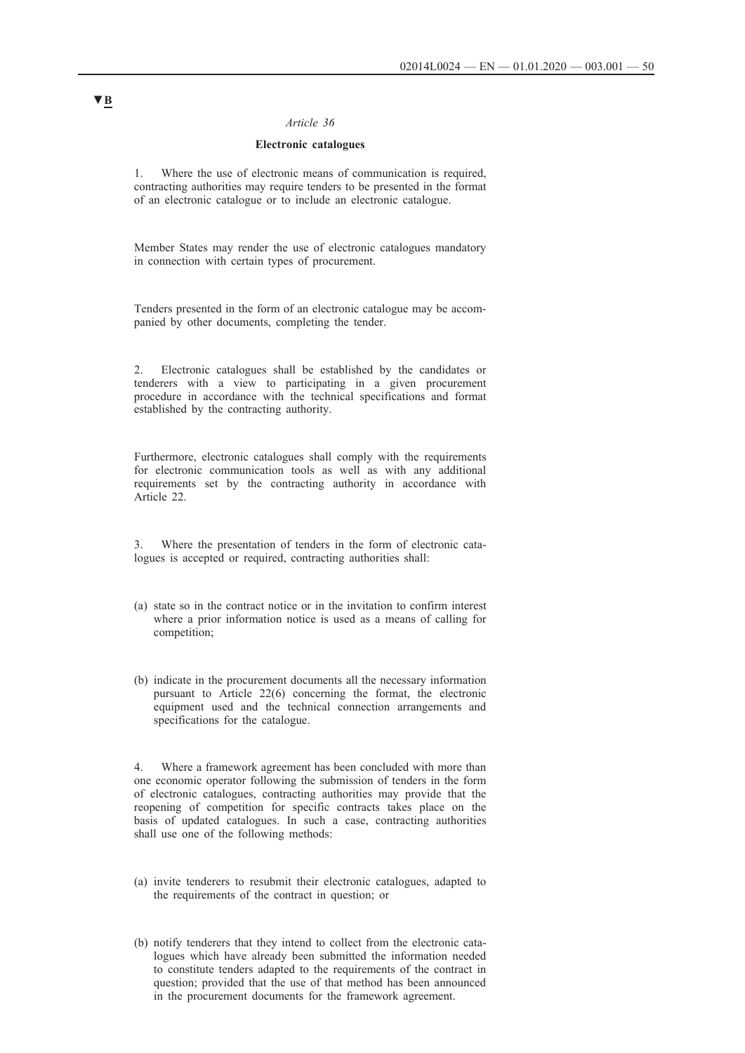## *Article 36*

## **Electronic catalogues**

1. Where the use of electronic means of communication is required, contracting authorities may require tenders to be presented in the format of an electronic catalogue or to include an electronic catalogue.

Member States may render the use of electronic catalogues mandatory in connection with certain types of procurement.

Tenders presented in the form of an electronic catalogue may be accompanied by other documents, completing the tender.

2. Electronic catalogues shall be established by the candidates or tenderers with a view to participating in a given procurement procedure in accordance with the technical specifications and format established by the contracting authority.

Furthermore, electronic catalogues shall comply with the requirements for electronic communication tools as well as with any additional requirements set by the contracting authority in accordance with Article 22.

3. Where the presentation of tenders in the form of electronic catalogues is accepted or required, contracting authorities shall:

- (a) state so in the contract notice or in the invitation to confirm interest where a prior information notice is used as a means of calling for competition;
- (b) indicate in the procurement documents all the necessary information pursuant to Article 22(6) concerning the format, the electronic equipment used and the technical connection arrangements and specifications for the catalogue.

4. Where a framework agreement has been concluded with more than one economic operator following the submission of tenders in the form of electronic catalogues, contracting authorities may provide that the reopening of competition for specific contracts takes place on the basis of updated catalogues. In such a case, contracting authorities shall use one of the following methods:

- (a) invite tenderers to resubmit their electronic catalogues, adapted to the requirements of the contract in question; or
- (b) notify tenderers that they intend to collect from the electronic catalogues which have already been submitted the information needed to constitute tenders adapted to the requirements of the contract in question; provided that the use of that method has been announced in the procurement documents for the framework agreement.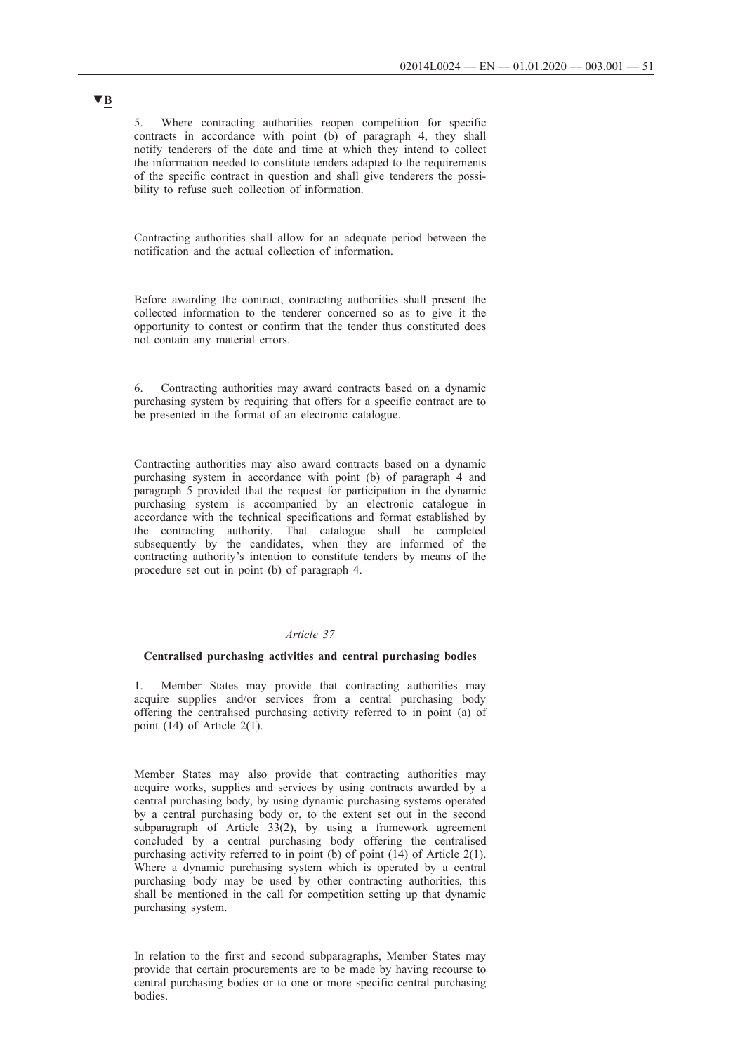5. Where contracting authorities reopen competition for specific contracts in accordance with point (b) of paragraph 4, they shall notify tenderers of the date and time at which they intend to collect the information needed to constitute tenders adapted to the requirements of the specific contract in question and shall give tenderers the possibility to refuse such collection of information.

Contracting authorities shall allow for an adequate period between the notification and the actual collection of information.

Before awarding the contract, contracting authorities shall present the collected information to the tenderer concerned so as to give it the opportunity to contest or confirm that the tender thus constituted does not contain any material errors.

6. Contracting authorities may award contracts based on a dynamic purchasing system by requiring that offers for a specific contract are to be presented in the format of an electronic catalogue.

Contracting authorities may also award contracts based on a dynamic purchasing system in accordance with point (b) of paragraph 4 and paragraph 5 provided that the request for participation in the dynamic purchasing system is accompanied by an electronic catalogue in accordance with the technical specifications and format established by the contracting authority. That catalogue shall be completed subsequently by the candidates, when they are informed of the contracting authority's intention to constitute tenders by means of the procedure set out in point (b) of paragraph 4.

### *Article 37*

## **Centralised purchasing activities and central purchasing bodies**

1. Member States may provide that contracting authorities may acquire supplies and/or services from a central purchasing body offering the centralised purchasing activity referred to in point (a) of point (14) of Article 2(1).

Member States may also provide that contracting authorities may acquire works, supplies and services by using contracts awarded by a central purchasing body, by using dynamic purchasing systems operated by a central purchasing body or, to the extent set out in the second subparagraph of Article 33(2), by using a framework agreement concluded by a central purchasing body offering the centralised purchasing activity referred to in point (b) of point  $(14)$  of Article 2(1). Where a dynamic purchasing system which is operated by a central purchasing body may be used by other contracting authorities, this shall be mentioned in the call for competition setting up that dynamic purchasing system.

In relation to the first and second subparagraphs, Member States may provide that certain procurements are to be made by having recourse to central purchasing bodies or to one or more specific central purchasing **bodies**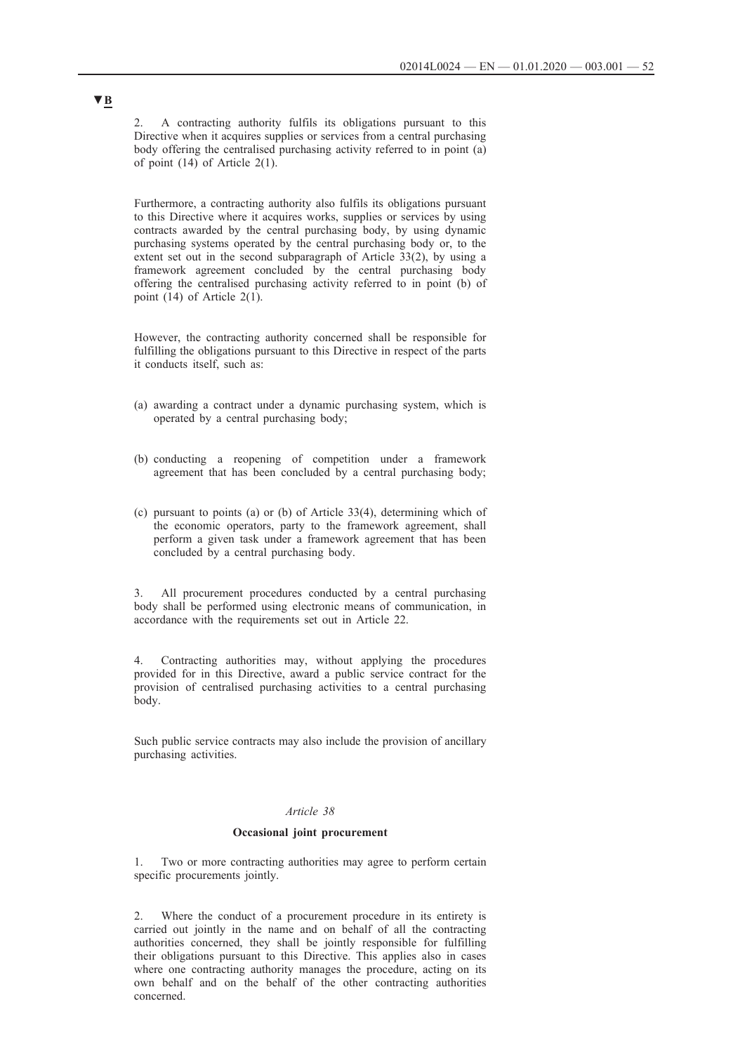2. A contracting authority fulfils its obligations pursuant to this Directive when it acquires supplies or services from a central purchasing body offering the centralised purchasing activity referred to in point (a) of point (14) of Article 2(1).

Furthermore, a contracting authority also fulfils its obligations pursuant to this Directive where it acquires works, supplies or services by using contracts awarded by the central purchasing body, by using dynamic purchasing systems operated by the central purchasing body or, to the extent set out in the second subparagraph of Article 33(2), by using a framework agreement concluded by the central purchasing body offering the centralised purchasing activity referred to in point (b) of point  $(14)$  of Article  $2(1)$ .

However, the contracting authority concerned shall be responsible for fulfilling the obligations pursuant to this Directive in respect of the parts it conducts itself, such as:

- (a) awarding a contract under a dynamic purchasing system, which is operated by a central purchasing body;
- (b) conducting a reopening of competition under a framework agreement that has been concluded by a central purchasing body;
- (c) pursuant to points (a) or (b) of Article 33(4), determining which of the economic operators, party to the framework agreement, shall perform a given task under a framework agreement that has been concluded by a central purchasing body.

All procurement procedures conducted by a central purchasing body shall be performed using electronic means of communication, in accordance with the requirements set out in Article 22.

4. Contracting authorities may, without applying the procedures provided for in this Directive, award a public service contract for the provision of centralised purchasing activities to a central purchasing body.

Such public service contracts may also include the provision of ancillary purchasing activities.

#### *Article 38*

## **Occasional joint procurement**

1. Two or more contracting authorities may agree to perform certain specific procurements jointly.

2. Where the conduct of a procurement procedure in its entirety is carried out jointly in the name and on behalf of all the contracting authorities concerned, they shall be jointly responsible for fulfilling their obligations pursuant to this Directive. This applies also in cases where one contracting authority manages the procedure, acting on its own behalf and on the behalf of the other contracting authorities concerned.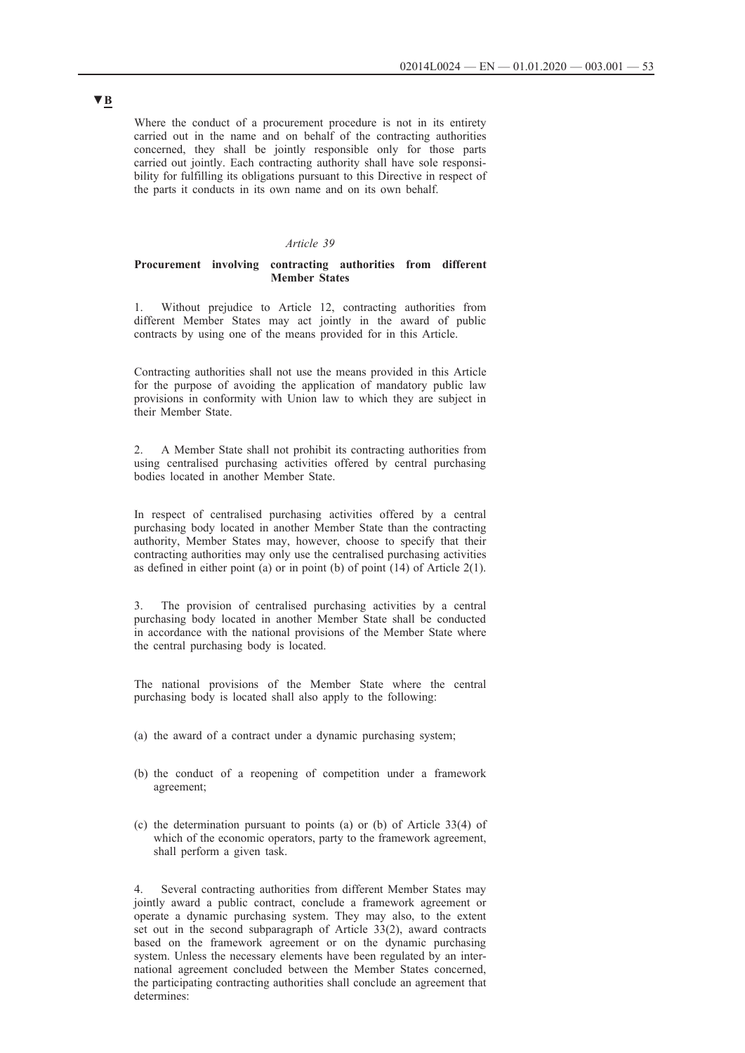Where the conduct of a procurement procedure is not in its entirety carried out in the name and on behalf of the contracting authorities concerned, they shall be jointly responsible only for those parts carried out jointly. Each contracting authority shall have sole responsibility for fulfilling its obligations pursuant to this Directive in respect of the parts it conducts in its own name and on its own behalf.

## *Article 39*

## **Procurement involving contracting authorities from different Member States**

Without prejudice to Article 12, contracting authorities from different Member States may act jointly in the award of public contracts by using one of the means provided for in this Article.

Contracting authorities shall not use the means provided in this Article for the purpose of avoiding the application of mandatory public law provisions in conformity with Union law to which they are subject in their Member State.

2. A Member State shall not prohibit its contracting authorities from using centralised purchasing activities offered by central purchasing bodies located in another Member State.

In respect of centralised purchasing activities offered by a central purchasing body located in another Member State than the contracting authority, Member States may, however, choose to specify that their contracting authorities may only use the centralised purchasing activities as defined in either point (a) or in point (b) of point  $(14)$  of Article 2(1).

3. The provision of centralised purchasing activities by a central purchasing body located in another Member State shall be conducted in accordance with the national provisions of the Member State where the central purchasing body is located.

The national provisions of the Member State where the central purchasing body is located shall also apply to the following:

- (a) the award of a contract under a dynamic purchasing system;
- (b) the conduct of a reopening of competition under a framework agreement;
- (c) the determination pursuant to points (a) or (b) of Article 33(4) of which of the economic operators, party to the framework agreement, shall perform a given task.

Several contracting authorities from different Member States may jointly award a public contract, conclude a framework agreement or operate a dynamic purchasing system. They may also, to the extent set out in the second subparagraph of Article 33(2), award contracts based on the framework agreement or on the dynamic purchasing system. Unless the necessary elements have been regulated by an international agreement concluded between the Member States concerned, the participating contracting authorities shall conclude an agreement that determines: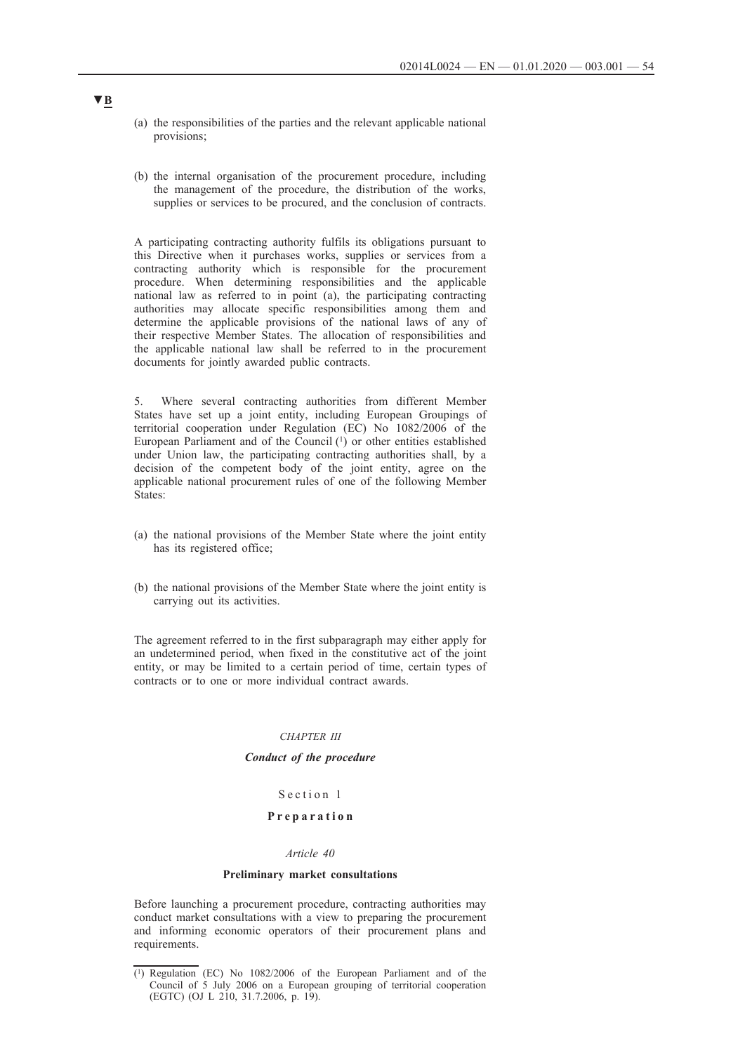- (a) the responsibilities of the parties and the relevant applicable national provisions;
- (b) the internal organisation of the procurement procedure, including the management of the procedure, the distribution of the works, supplies or services to be procured, and the conclusion of contracts.

A participating contracting authority fulfils its obligations pursuant to this Directive when it purchases works, supplies or services from a contracting authority which is responsible for the procurement procedure. When determining responsibilities and the applicable national law as referred to in point (a), the participating contracting authorities may allocate specific responsibilities among them and determine the applicable provisions of the national laws of any of their respective Member States. The allocation of responsibilities and the applicable national law shall be referred to in the procurement documents for jointly awarded public contracts.

5. Where several contracting authorities from different Member States have set up a joint entity, including European Groupings of territorial cooperation under Regulation (EC) No 1082/2006 of the European Parliament and of the Council  $(1)$  or other entities established under Union law, the participating contracting authorities shall, by a decision of the competent body of the joint entity, agree on the applicable national procurement rules of one of the following Member States:

- (a) the national provisions of the Member State where the joint entity has its registered office;
- (b) the national provisions of the Member State where the joint entity is carrying out its activities.

The agreement referred to in the first subparagraph may either apply for an undetermined period, when fixed in the constitutive act of the joint entity, or may be limited to a certain period of time, certain types of contracts or to one or more individual contract awards.

## *CHAPTER III*

## *Conduct of the procedure*

## Section 1

## **P r e p a r a t i o n**

### *Article 40*

## **Preliminary market consultations**

Before launching a procurement procedure, contracting authorities may conduct market consultations with a view to preparing the procurement and informing economic operators of their procurement plans and requirements.

<sup>(1)</sup> Regulation (EC) No 1082/2006 of the European Parliament and of the Council of 5 July 2006 on a European grouping of territorial cooperation (EGTC) (OJ L 210, 31.7.2006, p. 19).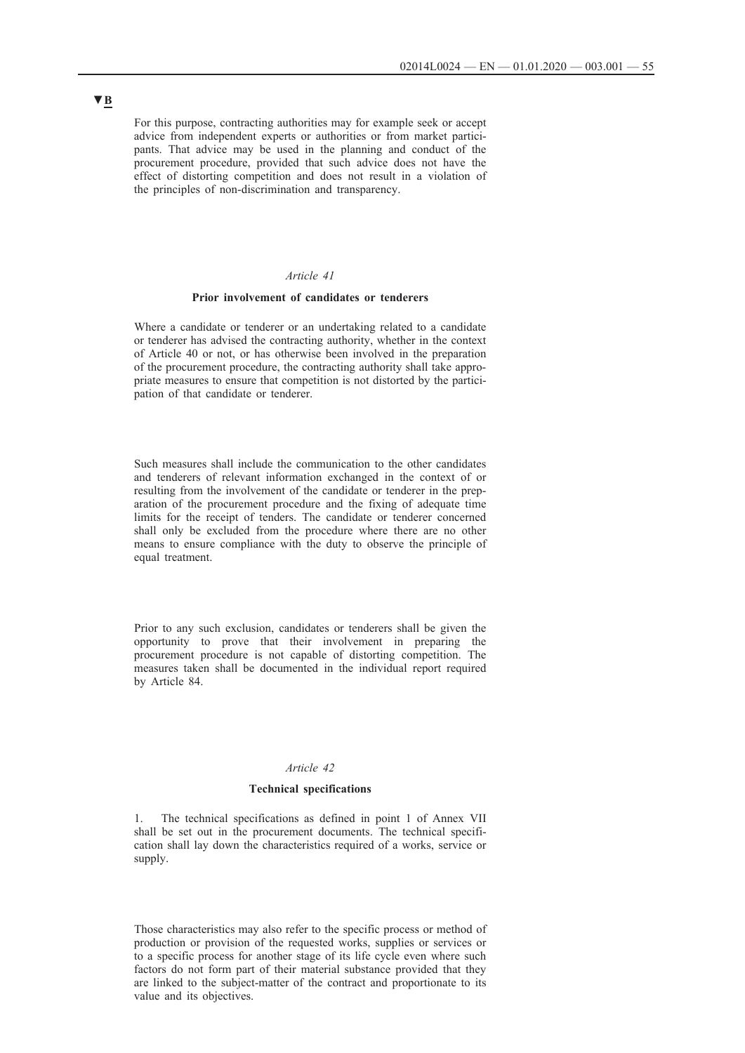For this purpose, contracting authorities may for example seek or accept advice from independent experts or authorities or from market participants. That advice may be used in the planning and conduct of the procurement procedure, provided that such advice does not have the effect of distorting competition and does not result in a violation of the principles of non-discrimination and transparency.

## *Article 41*

## **Prior involvement of candidates or tenderers**

Where a candidate or tenderer or an undertaking related to a candidate or tenderer has advised the contracting authority, whether in the context of Article 40 or not, or has otherwise been involved in the preparation of the procurement procedure, the contracting authority shall take appropriate measures to ensure that competition is not distorted by the participation of that candidate or tenderer.

Such measures shall include the communication to the other candidates and tenderers of relevant information exchanged in the context of or resulting from the involvement of the candidate or tenderer in the preparation of the procurement procedure and the fixing of adequate time limits for the receipt of tenders. The candidate or tenderer concerned shall only be excluded from the procedure where there are no other means to ensure compliance with the duty to observe the principle of equal treatment.

Prior to any such exclusion, candidates or tenderers shall be given the opportunity to prove that their involvement in preparing the procurement procedure is not capable of distorting competition. The measures taken shall be documented in the individual report required by Article 84.

## *Article 42*

## **Technical specifications**

1. The technical specifications as defined in point 1 of Annex VII shall be set out in the procurement documents. The technical specification shall lay down the characteristics required of a works, service or supply.

Those characteristics may also refer to the specific process or method of production or provision of the requested works, supplies or services or to a specific process for another stage of its life cycle even where such factors do not form part of their material substance provided that they are linked to the subject-matter of the contract and proportionate to its value and its objectives.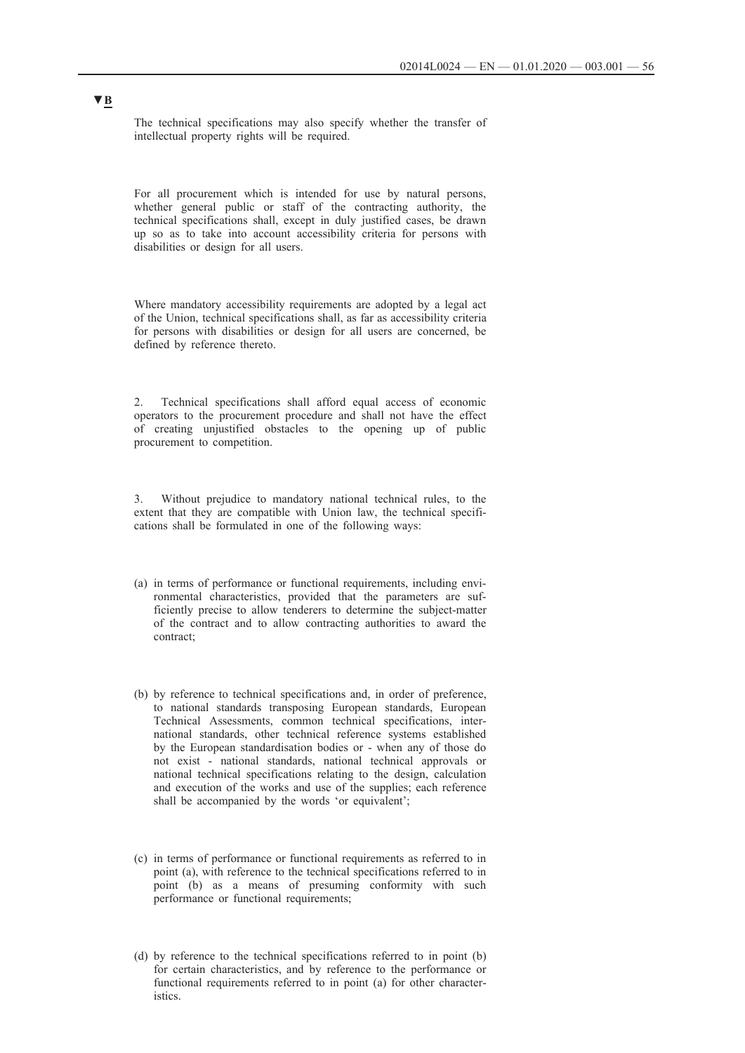The technical specifications may also specify whether the transfer of intellectual property rights will be required.

For all procurement which is intended for use by natural persons, whether general public or staff of the contracting authority, the technical specifications shall, except in duly justified cases, be drawn up so as to take into account accessibility criteria for persons with disabilities or design for all users.

Where mandatory accessibility requirements are adopted by a legal act of the Union, technical specifications shall, as far as accessibility criteria for persons with disabilities or design for all users are concerned, be defined by reference thereto.

2. Technical specifications shall afford equal access of economic operators to the procurement procedure and shall not have the effect of creating unjustified obstacles to the opening up of public procurement to competition.

3. Without prejudice to mandatory national technical rules, to the extent that they are compatible with Union law, the technical specifications shall be formulated in one of the following ways:

- (a) in terms of performance or functional requirements, including environmental characteristics, provided that the parameters are sufficiently precise to allow tenderers to determine the subject-matter of the contract and to allow contracting authorities to award the contract;
- (b) by reference to technical specifications and, in order of preference, to national standards transposing European standards, European Technical Assessments, common technical specifications, international standards, other technical reference systems established by the European standardisation bodies or - when any of those do not exist - national standards, national technical approvals or national technical specifications relating to the design, calculation and execution of the works and use of the supplies; each reference shall be accompanied by the words 'or equivalent';
- (c) in terms of performance or functional requirements as referred to in point (a), with reference to the technical specifications referred to in point (b) as a means of presuming conformity with such performance or functional requirements;
- (d) by reference to the technical specifications referred to in point (b) for certain characteristics, and by reference to the performance or functional requirements referred to in point (a) for other characteristics.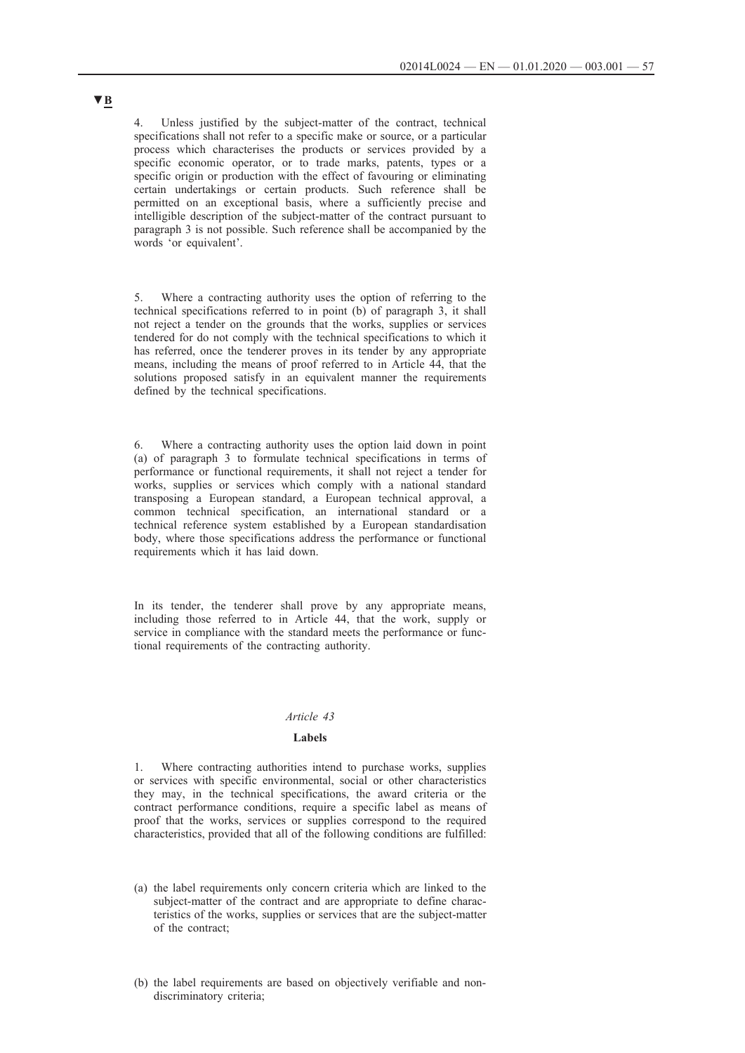4. Unless justified by the subject-matter of the contract, technical specifications shall not refer to a specific make or source, or a particular process which characterises the products or services provided by a specific economic operator, or to trade marks, patents, types or a specific origin or production with the effect of favouring or eliminating certain undertakings or certain products. Such reference shall be permitted on an exceptional basis, where a sufficiently precise and intelligible description of the subject-matter of the contract pursuant to paragraph 3 is not possible. Such reference shall be accompanied by the words 'or equivalent'.

5. Where a contracting authority uses the option of referring to the technical specifications referred to in point (b) of paragraph 3, it shall not reject a tender on the grounds that the works, supplies or services tendered for do not comply with the technical specifications to which it has referred, once the tenderer proves in its tender by any appropriate means, including the means of proof referred to in Article 44, that the solutions proposed satisfy in an equivalent manner the requirements defined by the technical specifications.

6. Where a contracting authority uses the option laid down in point (a) of paragraph 3 to formulate technical specifications in terms of performance or functional requirements, it shall not reject a tender for works, supplies or services which comply with a national standard transposing a European standard, a European technical approval, a common technical specification, an international standard or a technical reference system established by a European standardisation body, where those specifications address the performance or functional requirements which it has laid down.

In its tender, the tenderer shall prove by any appropriate means, including those referred to in Article 44, that the work, supply or service in compliance with the standard meets the performance or functional requirements of the contracting authority.

#### *Article 43*

## **Labels**

1. Where contracting authorities intend to purchase works, supplies or services with specific environmental, social or other characteristics they may, in the technical specifications, the award criteria or the contract performance conditions, require a specific label as means of proof that the works, services or supplies correspond to the required characteristics, provided that all of the following conditions are fulfilled:

- (a) the label requirements only concern criteria which are linked to the subject-matter of the contract and are appropriate to define characteristics of the works, supplies or services that are the subject-matter of the contract;
- (b) the label requirements are based on objectively verifiable and nondiscriminatory criteria;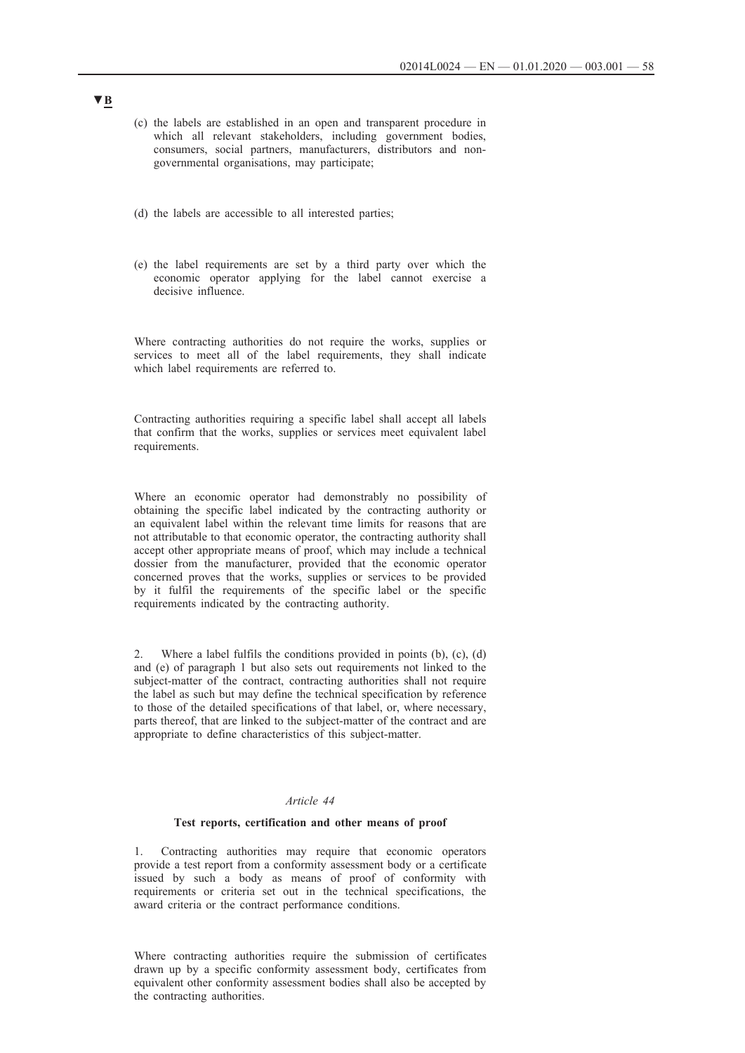- (c) the labels are established in an open and transparent procedure in which all relevant stakeholders, including government bodies, consumers, social partners, manufacturers, distributors and nongovernmental organisations, may participate;
- (d) the labels are accessible to all interested parties;
- (e) the label requirements are set by a third party over which the economic operator applying for the label cannot exercise a decisive influence.

Where contracting authorities do not require the works, supplies or services to meet all of the label requirements, they shall indicate which label requirements are referred to.

Contracting authorities requiring a specific label shall accept all labels that confirm that the works, supplies or services meet equivalent label requirements.

Where an economic operator had demonstrably no possibility of obtaining the specific label indicated by the contracting authority or an equivalent label within the relevant time limits for reasons that are not attributable to that economic operator, the contracting authority shall accept other appropriate means of proof, which may include a technical dossier from the manufacturer, provided that the economic operator concerned proves that the works, supplies or services to be provided by it fulfil the requirements of the specific label or the specific requirements indicated by the contracting authority.

2. Where a label fulfils the conditions provided in points (b), (c), (d) and (e) of paragraph 1 but also sets out requirements not linked to the subject-matter of the contract, contracting authorities shall not require the label as such but may define the technical specification by reference to those of the detailed specifications of that label, or, where necessary, parts thereof, that are linked to the subject-matter of the contract and are appropriate to define characteristics of this subject-matter.

## *Article 44*

## **Test reports, certification and other means of proof**

1. Contracting authorities may require that economic operators provide a test report from a conformity assessment body or a certificate issued by such a body as means of proof of conformity with requirements or criteria set out in the technical specifications, the award criteria or the contract performance conditions.

Where contracting authorities require the submission of certificates drawn up by a specific conformity assessment body, certificates from equivalent other conformity assessment bodies shall also be accepted by the contracting authorities.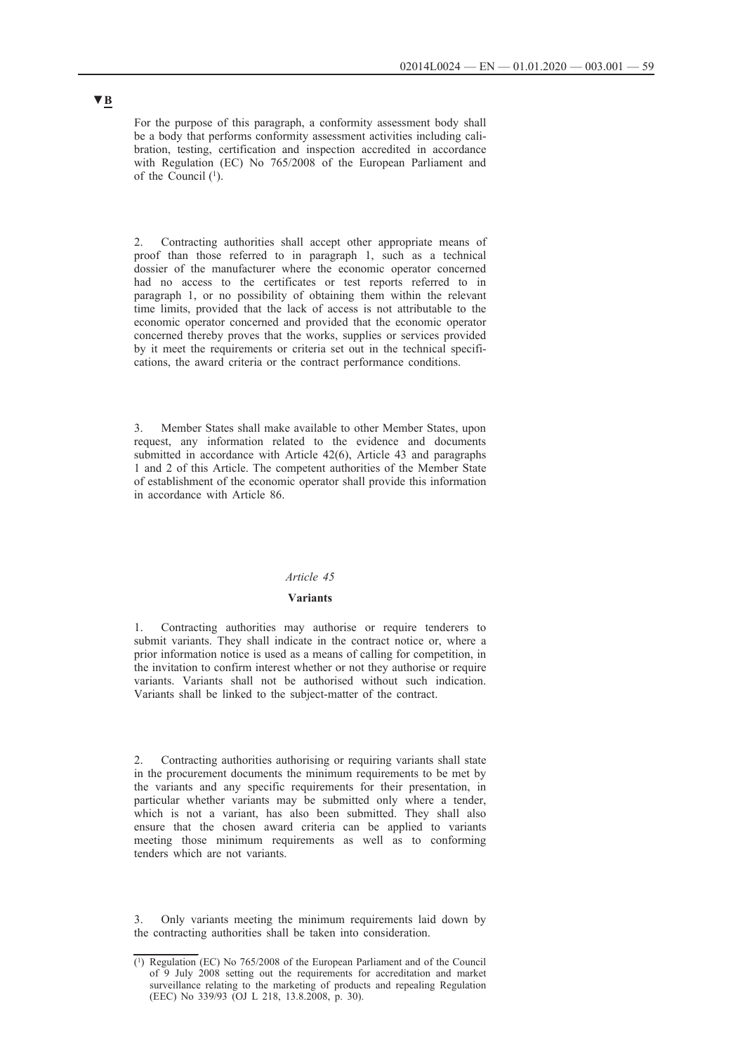For the purpose of this paragraph, a conformity assessment body shall be a body that performs conformity assessment activities including calibration, testing, certification and inspection accredited in accordance with Regulation (EC) No 765/2008 of the European Parliament and of the Council (1).

2. Contracting authorities shall accept other appropriate means of proof than those referred to in paragraph 1, such as a technical dossier of the manufacturer where the economic operator concerned had no access to the certificates or test reports referred to in paragraph 1, or no possibility of obtaining them within the relevant time limits, provided that the lack of access is not attributable to the economic operator concerned and provided that the economic operator concerned thereby proves that the works, supplies or services provided by it meet the requirements or criteria set out in the technical specifications, the award criteria or the contract performance conditions.

3. Member States shall make available to other Member States, upon request, any information related to the evidence and documents submitted in accordance with Article 42(6), Article 43 and paragraphs 1 and 2 of this Article. The competent authorities of the Member State of establishment of the economic operator shall provide this information in accordance with Article 86.

#### *Article 45*

### **Variants**

1. Contracting authorities may authorise or require tenderers to submit variants. They shall indicate in the contract notice or, where a prior information notice is used as a means of calling for competition, in the invitation to confirm interest whether or not they authorise or require variants. Variants shall not be authorised without such indication. Variants shall be linked to the subject-matter of the contract.

2. Contracting authorities authorising or requiring variants shall state in the procurement documents the minimum requirements to be met by the variants and any specific requirements for their presentation, in particular whether variants may be submitted only where a tender, which is not a variant, has also been submitted. They shall also ensure that the chosen award criteria can be applied to variants meeting those minimum requirements as well as to conforming tenders which are not variants.

3. Only variants meeting the minimum requirements laid down by the contracting authorities shall be taken into consideration.

<sup>(1)</sup> Regulation (EC) No 765/2008 of the European Parliament and of the Council of 9 July 2008 setting out the requirements for accreditation and market surveillance relating to the marketing of products and repealing Regulation (EEC) No 339/93 (OJ L 218, 13.8.2008, p. 30).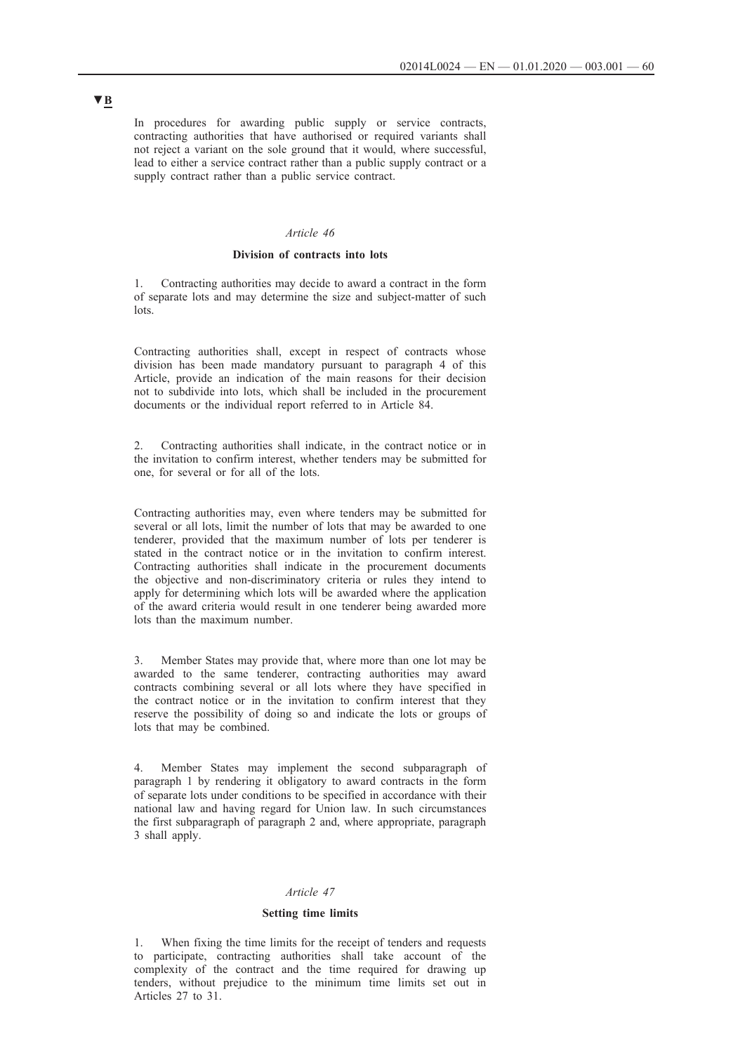In procedures for awarding public supply or service contracts, contracting authorities that have authorised or required variants shall not reject a variant on the sole ground that it would, where successful, lead to either a service contract rather than a public supply contract or a supply contract rather than a public service contract.

## *Article 46*

### **Division of contracts into lots**

1. Contracting authorities may decide to award a contract in the form of separate lots and may determine the size and subject-matter of such lots.

Contracting authorities shall, except in respect of contracts whose division has been made mandatory pursuant to paragraph 4 of this Article, provide an indication of the main reasons for their decision not to subdivide into lots, which shall be included in the procurement documents or the individual report referred to in Article 84.

2. Contracting authorities shall indicate, in the contract notice or in the invitation to confirm interest, whether tenders may be submitted for one, for several or for all of the lots.

Contracting authorities may, even where tenders may be submitted for several or all lots, limit the number of lots that may be awarded to one tenderer, provided that the maximum number of lots per tenderer is stated in the contract notice or in the invitation to confirm interest. Contracting authorities shall indicate in the procurement documents the objective and non-discriminatory criteria or rules they intend to apply for determining which lots will be awarded where the application of the award criteria would result in one tenderer being awarded more lots than the maximum number.

3. Member States may provide that, where more than one lot may be awarded to the same tenderer, contracting authorities may award contracts combining several or all lots where they have specified in the contract notice or in the invitation to confirm interest that they reserve the possibility of doing so and indicate the lots or groups of lots that may be combined.

4. Member States may implement the second subparagraph of paragraph 1 by rendering it obligatory to award contracts in the form of separate lots under conditions to be specified in accordance with their national law and having regard for Union law. In such circumstances the first subparagraph of paragraph 2 and, where appropriate, paragraph 3 shall apply.

#### *Article 47*

### **Setting time limits**

1. When fixing the time limits for the receipt of tenders and requests to participate, contracting authorities shall take account of the complexity of the contract and the time required for drawing up tenders, without prejudice to the minimum time limits set out in Articles 27 to 31.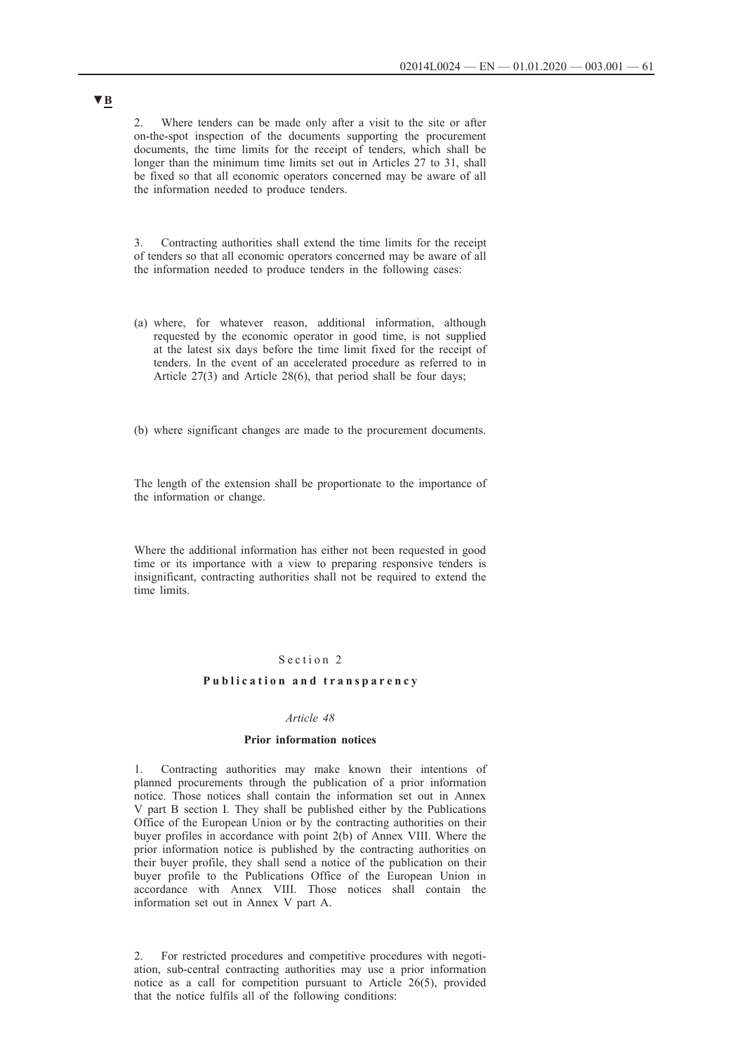2. Where tenders can be made only after a visit to the site or after on-the-spot inspection of the documents supporting the procurement documents, the time limits for the receipt of tenders, which shall be longer than the minimum time limits set out in Articles 27 to 31, shall be fixed so that all economic operators concerned may be aware of all the information needed to produce tenders.

3. Contracting authorities shall extend the time limits for the receipt of tenders so that all economic operators concerned may be aware of all the information needed to produce tenders in the following cases:

(a) where, for whatever reason, additional information, although requested by the economic operator in good time, is not supplied at the latest six days before the time limit fixed for the receipt of tenders. In the event of an accelerated procedure as referred to in Article 27(3) and Article 28(6), that period shall be four days;

(b) where significant changes are made to the procurement documents.

The length of the extension shall be proportionate to the importance of the information or change.

Where the additional information has either not been requested in good time or its importance with a view to preparing responsive tenders is insignificant, contracting authorities shall not be required to extend the time limits.

### Section 2

## **P u b l i c a t i o n a n d t r a n s p a r e n c y**

### *Article 48*

## **Prior information notices**

1. Contracting authorities may make known their intentions of planned procurements through the publication of a prior information notice. Those notices shall contain the information set out in Annex V part B section I. They shall be published either by the Publications Office of the European Union or by the contracting authorities on their buyer profiles in accordance with point 2(b) of Annex VIII. Where the prior information notice is published by the contracting authorities on their buyer profile, they shall send a notice of the publication on their buyer profile to the Publications Office of the European Union in accordance with Annex VIII. Those notices shall contain the information set out in Annex V part A.

2. For restricted procedures and competitive procedures with negotiation, sub-central contracting authorities may use a prior information notice as a call for competition pursuant to Article 26(5), provided that the notice fulfils all of the following conditions: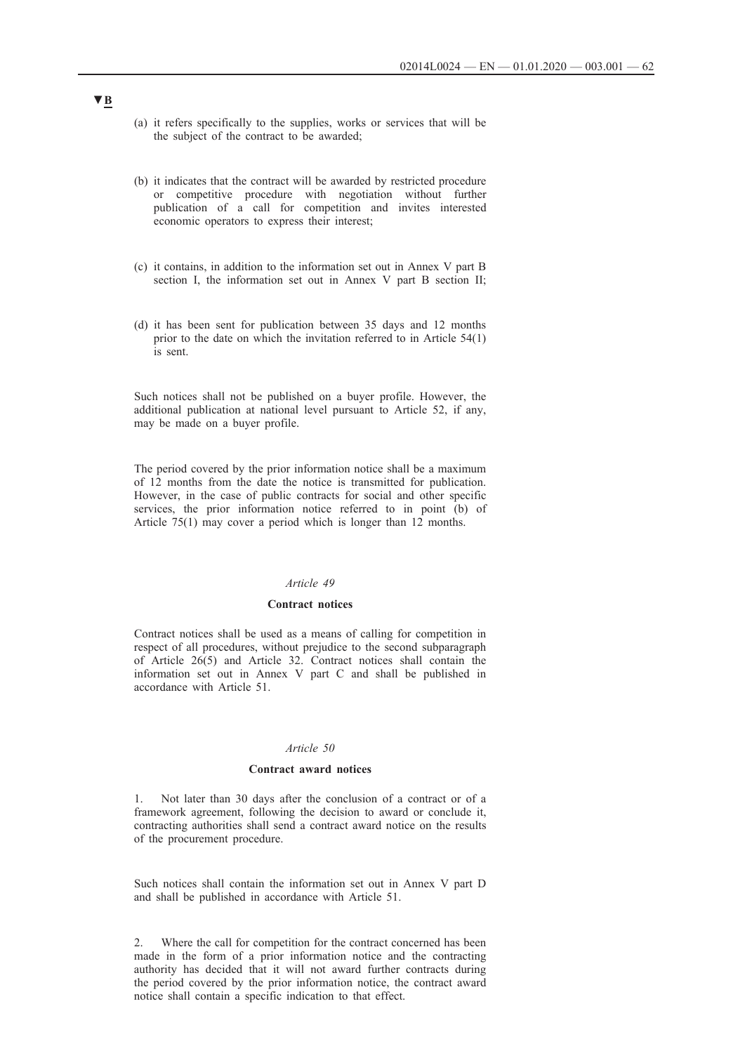- (a) it refers specifically to the supplies, works or services that will be the subject of the contract to be awarded;
- (b) it indicates that the contract will be awarded by restricted procedure or competitive procedure with negotiation without further publication of a call for competition and invites interested economic operators to express their interest;
- (c) it contains, in addition to the information set out in Annex V part B section I, the information set out in Annex V part B section II;
- (d) it has been sent for publication between 35 days and 12 months prior to the date on which the invitation referred to in Article 54(1) is sent.

Such notices shall not be published on a buyer profile. However, the additional publication at national level pursuant to Article 52, if any, may be made on a buyer profile.

The period covered by the prior information notice shall be a maximum of 12 months from the date the notice is transmitted for publication. However, in the case of public contracts for social and other specific services, the prior information notice referred to in point (b) of Article 75(1) may cover a period which is longer than 12 months.

## *Article 49*

## **Contract notices**

Contract notices shall be used as a means of calling for competition in respect of all procedures, without prejudice to the second subparagraph of Article 26(5) and Article 32. Contract notices shall contain the information set out in Annex V part C and shall be published in accordance with Article 51.

## *Article 50*

## **Contract award notices**

1. Not later than 30 days after the conclusion of a contract or of a framework agreement, following the decision to award or conclude it, contracting authorities shall send a contract award notice on the results of the procurement procedure.

Such notices shall contain the information set out in Annex V part D and shall be published in accordance with Article 51.

2. Where the call for competition for the contract concerned has been made in the form of a prior information notice and the contracting authority has decided that it will not award further contracts during the period covered by the prior information notice, the contract award notice shall contain a specific indication to that effect.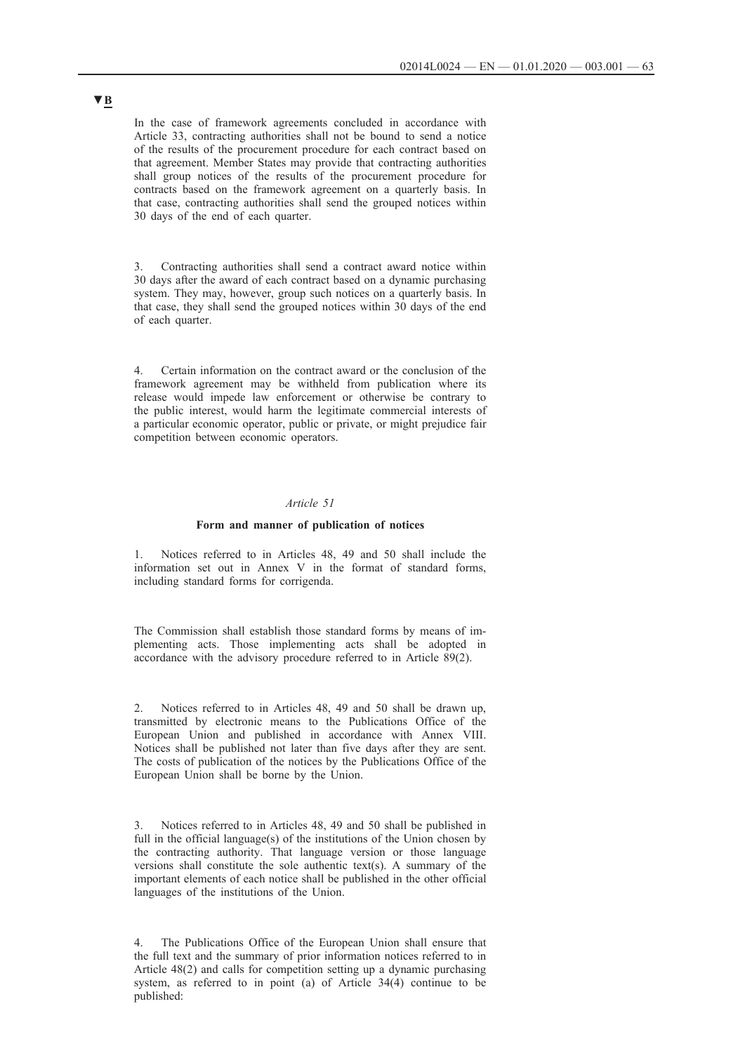In the case of framework agreements concluded in accordance with Article 33, contracting authorities shall not be bound to send a notice of the results of the procurement procedure for each contract based on that agreement. Member States may provide that contracting authorities shall group notices of the results of the procurement procedure for contracts based on the framework agreement on a quarterly basis. In that case, contracting authorities shall send the grouped notices within 30 days of the end of each quarter.

3. Contracting authorities shall send a contract award notice within 30 days after the award of each contract based on a dynamic purchasing system. They may, however, group such notices on a quarterly basis. In that case, they shall send the grouped notices within 30 days of the end of each quarter.

4. Certain information on the contract award or the conclusion of the framework agreement may be withheld from publication where its release would impede law enforcement or otherwise be contrary to the public interest, would harm the legitimate commercial interests of a particular economic operator, public or private, or might prejudice fair competition between economic operators.

## *Article 51*

## **Form and manner of publication of notices**

1. Notices referred to in Articles 48, 49 and 50 shall include the information set out in Annex V in the format of standard forms, including standard forms for corrigenda.

The Commission shall establish those standard forms by means of implementing acts. Those implementing acts shall be adopted in accordance with the advisory procedure referred to in Article 89(2).

2. Notices referred to in Articles 48, 49 and 50 shall be drawn up, transmitted by electronic means to the Publications Office of the European Union and published in accordance with Annex VIII. Notices shall be published not later than five days after they are sent. The costs of publication of the notices by the Publications Office of the European Union shall be borne by the Union.

3. Notices referred to in Articles 48, 49 and 50 shall be published in full in the official language $(s)$  of the institutions of the Union chosen by the contracting authority. That language version or those language versions shall constitute the sole authentic text(s). A summary of the important elements of each notice shall be published in the other official languages of the institutions of the Union.

4. The Publications Office of the European Union shall ensure that the full text and the summary of prior information notices referred to in Article 48(2) and calls for competition setting up a dynamic purchasing system, as referred to in point (a) of Article 34(4) continue to be published: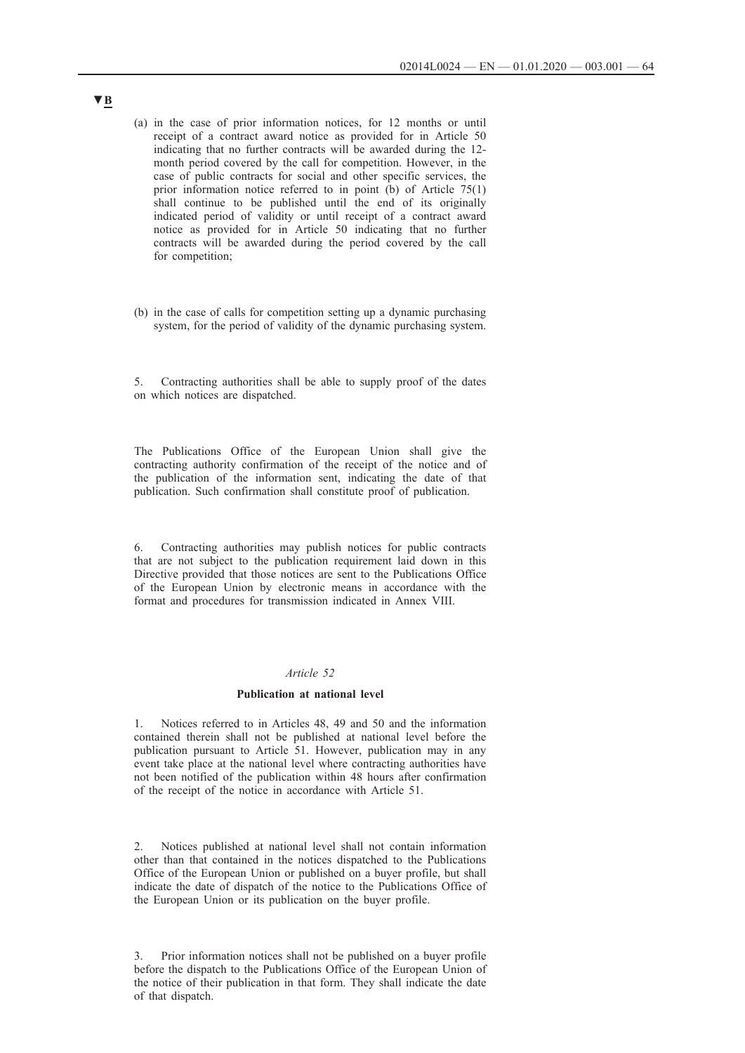- (a) in the case of prior information notices, for 12 months or until receipt of a contract award notice as provided for in Article 50 indicating that no further contracts will be awarded during the 12 month period covered by the call for competition. However, in the case of public contracts for social and other specific services, the prior information notice referred to in point (b) of Article 75(1) shall continue to be published until the end of its originally indicated period of validity or until receipt of a contract award notice as provided for in Article 50 indicating that no further contracts will be awarded during the period covered by the call for competition;
- (b) in the case of calls for competition setting up a dynamic purchasing system, for the period of validity of the dynamic purchasing system.

5. Contracting authorities shall be able to supply proof of the dates on which notices are dispatched.

The Publications Office of the European Union shall give the contracting authority confirmation of the receipt of the notice and of the publication of the information sent, indicating the date of that publication. Such confirmation shall constitute proof of publication.

6. Contracting authorities may publish notices for public contracts that are not subject to the publication requirement laid down in this Directive provided that those notices are sent to the Publications Office of the European Union by electronic means in accordance with the format and procedures for transmission indicated in Annex VIII.

### *Article 52*

### **Publication at national level**

1. Notices referred to in Articles 48, 49 and 50 and the information contained therein shall not be published at national level before the publication pursuant to Article 51. However, publication may in any event take place at the national level where contracting authorities have not been notified of the publication within 48 hours after confirmation of the receipt of the notice in accordance with Article 51.

2. Notices published at national level shall not contain information other than that contained in the notices dispatched to the Publications Office of the European Union or published on a buyer profile, but shall indicate the date of dispatch of the notice to the Publications Office of the European Union or its publication on the buyer profile.

3. Prior information notices shall not be published on a buyer profile before the dispatch to the Publications Office of the European Union of the notice of their publication in that form. They shall indicate the date of that dispatch.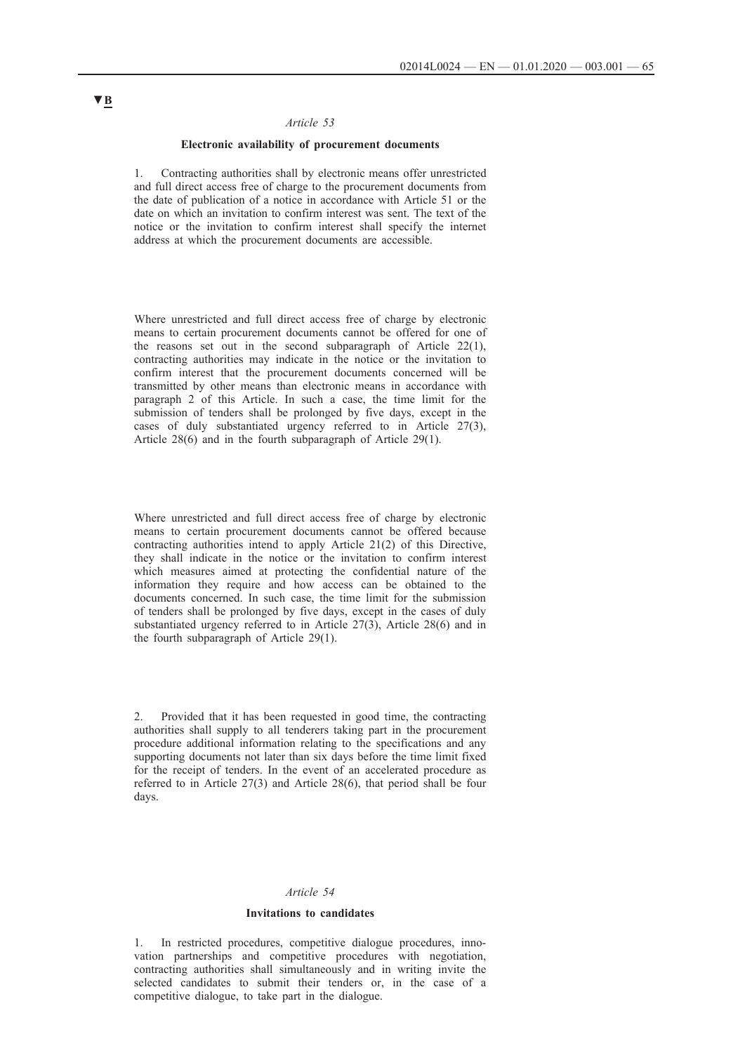## *Article 53*

### **Electronic availability of procurement documents**

1. Contracting authorities shall by electronic means offer unrestricted and full direct access free of charge to the procurement documents from the date of publication of a notice in accordance with Article 51 or the date on which an invitation to confirm interest was sent. The text of the notice or the invitation to confirm interest shall specify the internet address at which the procurement documents are accessible.

Where unrestricted and full direct access free of charge by electronic means to certain procurement documents cannot be offered for one of the reasons set out in the second subparagraph of Article 22(1), contracting authorities may indicate in the notice or the invitation to confirm interest that the procurement documents concerned will be transmitted by other means than electronic means in accordance with paragraph 2 of this Article. In such a case, the time limit for the submission of tenders shall be prolonged by five days, except in the cases of duly substantiated urgency referred to in Article 27(3), Article 28(6) and in the fourth subparagraph of Article 29(1).

Where unrestricted and full direct access free of charge by electronic means to certain procurement documents cannot be offered because contracting authorities intend to apply Article 21(2) of this Directive, they shall indicate in the notice or the invitation to confirm interest which measures aimed at protecting the confidential nature of the information they require and how access can be obtained to the documents concerned. In such case, the time limit for the submission of tenders shall be prolonged by five days, except in the cases of duly substantiated urgency referred to in Article 27(3), Article 28(6) and in the fourth subparagraph of Article 29(1).

2. Provided that it has been requested in good time, the contracting authorities shall supply to all tenderers taking part in the procurement procedure additional information relating to the specifications and any supporting documents not later than six days before the time limit fixed for the receipt of tenders. In the event of an accelerated procedure as referred to in Article 27(3) and Article 28(6), that period shall be four days.

#### *Article 54*

### **Invitations to candidates**

1. In restricted procedures, competitive dialogue procedures, innovation partnerships and competitive procedures with negotiation, contracting authorities shall simultaneously and in writing invite the selected candidates to submit their tenders or, in the case of a competitive dialogue, to take part in the dialogue.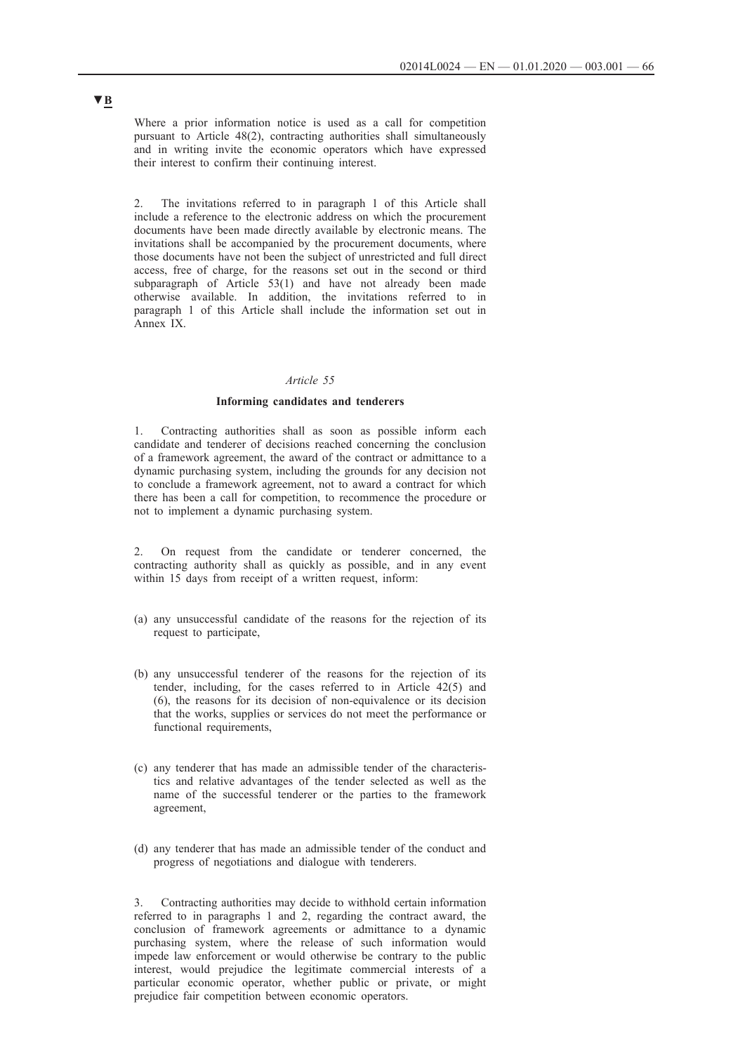Where a prior information notice is used as a call for competition pursuant to Article 48(2), contracting authorities shall simultaneously and in writing invite the economic operators which have expressed their interest to confirm their continuing interest.

2. The invitations referred to in paragraph 1 of this Article shall include a reference to the electronic address on which the procurement documents have been made directly available by electronic means. The invitations shall be accompanied by the procurement documents, where those documents have not been the subject of unrestricted and full direct access, free of charge, for the reasons set out in the second or third subparagraph of Article 53(1) and have not already been made otherwise available. In addition, the invitations referred to in paragraph 1 of this Article shall include the information set out in Annex IX.

## *Article 55*

## **Informing candidates and tenderers**

1. Contracting authorities shall as soon as possible inform each candidate and tenderer of decisions reached concerning the conclusion of a framework agreement, the award of the contract or admittance to a dynamic purchasing system, including the grounds for any decision not to conclude a framework agreement, not to award a contract for which there has been a call for competition, to recommence the procedure or not to implement a dynamic purchasing system.

2. On request from the candidate or tenderer concerned, the contracting authority shall as quickly as possible, and in any event within 15 days from receipt of a written request, inform:

- (a) any unsuccessful candidate of the reasons for the rejection of its request to participate,
- (b) any unsuccessful tenderer of the reasons for the rejection of its tender, including, for the cases referred to in Article 42(5) and (6), the reasons for its decision of non-equivalence or its decision that the works, supplies or services do not meet the performance or functional requirements,
- (c) any tenderer that has made an admissible tender of the characteristics and relative advantages of the tender selected as well as the name of the successful tenderer or the parties to the framework agreement,
- (d) any tenderer that has made an admissible tender of the conduct and progress of negotiations and dialogue with tenderers.

3. Contracting authorities may decide to withhold certain information referred to in paragraphs 1 and 2, regarding the contract award, the conclusion of framework agreements or admittance to a dynamic purchasing system, where the release of such information would impede law enforcement or would otherwise be contrary to the public interest, would prejudice the legitimate commercial interests of a particular economic operator, whether public or private, or might prejudice fair competition between economic operators.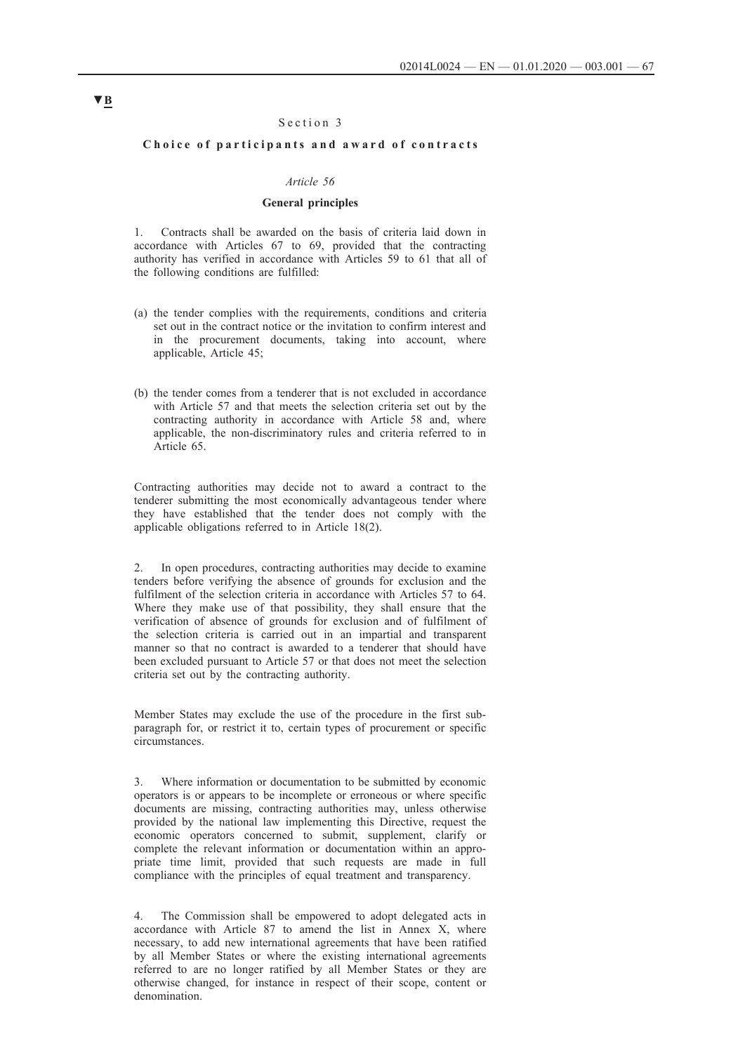#### Section 3

## **Choice of participants and award of contracts**

#### *Article 56*

## **General principles**

1. Contracts shall be awarded on the basis of criteria laid down in accordance with Articles 67 to 69, provided that the contracting authority has verified in accordance with Articles 59 to 61 that all of the following conditions are fulfilled:

- (a) the tender complies with the requirements, conditions and criteria set out in the contract notice or the invitation to confirm interest and in the procurement documents, taking into account, where applicable, Article 45;
- (b) the tender comes from a tenderer that is not excluded in accordance with Article 57 and that meets the selection criteria set out by the contracting authority in accordance with Article 58 and, where applicable, the non-discriminatory rules and criteria referred to in Article 65.

Contracting authorities may decide not to award a contract to the tenderer submitting the most economically advantageous tender where they have established that the tender does not comply with the applicable obligations referred to in Article 18(2).

2. In open procedures, contracting authorities may decide to examine tenders before verifying the absence of grounds for exclusion and the fulfilment of the selection criteria in accordance with Articles 57 to 64. Where they make use of that possibility, they shall ensure that the verification of absence of grounds for exclusion and of fulfilment of the selection criteria is carried out in an impartial and transparent manner so that no contract is awarded to a tenderer that should have been excluded pursuant to Article 57 or that does not meet the selection criteria set out by the contracting authority.

Member States may exclude the use of the procedure in the first subparagraph for, or restrict it to, certain types of procurement or specific circumstances.

3. Where information or documentation to be submitted by economic operators is or appears to be incomplete or erroneous or where specific documents are missing, contracting authorities may, unless otherwise provided by the national law implementing this Directive, request the economic operators concerned to submit, supplement, clarify or complete the relevant information or documentation within an appropriate time limit, provided that such requests are made in full compliance with the principles of equal treatment and transparency.

4. The Commission shall be empowered to adopt delegated acts in accordance with Article 87 to amend the list in Annex X, where necessary, to add new international agreements that have been ratified by all Member States or where the existing international agreements referred to are no longer ratified by all Member States or they are otherwise changed, for instance in respect of their scope, content or denomination.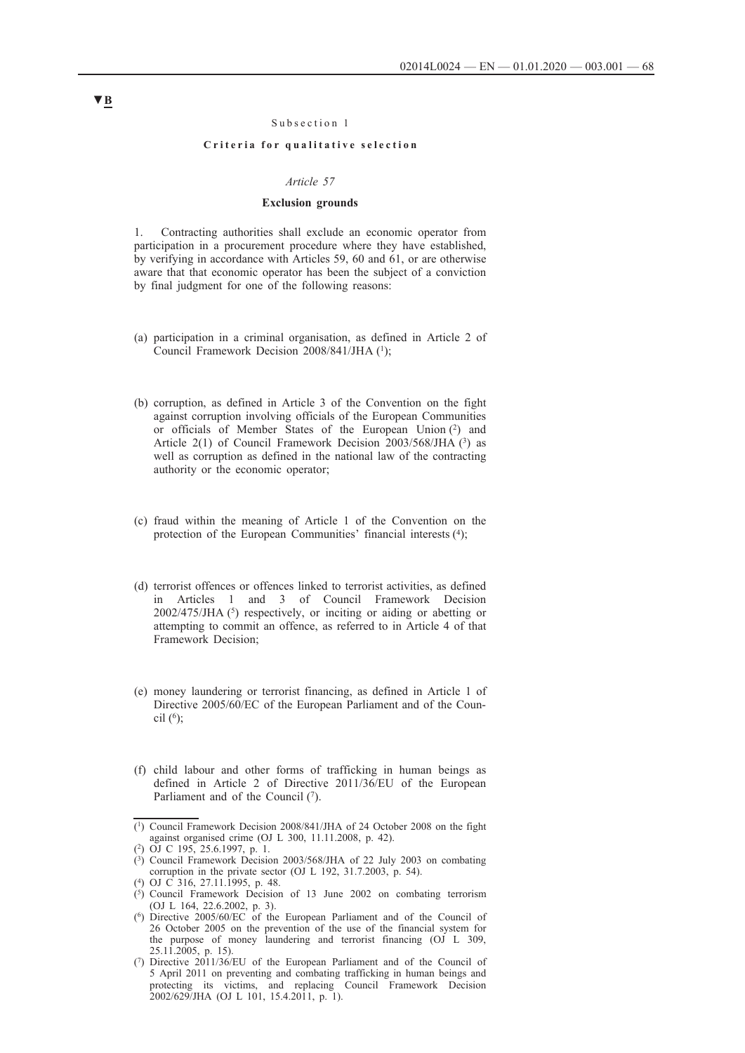#### Subsection 1

## **Criteria for qualitative selection**

#### *Article 57*

## **Exclusion grounds**

1. Contracting authorities shall exclude an economic operator from participation in a procurement procedure where they have established, by verifying in accordance with Articles 59, 60 and 61, or are otherwise aware that that economic operator has been the subject of a conviction by final judgment for one of the following reasons:

- (a) participation in a criminal organisation, as defined in Article 2 of Council Framework Decision 2008/841/JHA (1);
- (b) corruption, as defined in Article 3 of the Convention on the fight against corruption involving officials of the European Communities or officials of Member States of the European Union (2) and Article 2(1) of Council Framework Decision 2003/568/JHA (3) as well as corruption as defined in the national law of the contracting authority or the economic operator;
- (c) fraud within the meaning of Article 1 of the Convention on the protection of the European Communities' financial interests (4);
- (d) terrorist offences or offences linked to terrorist activities, as defined in Articles 1 and 3 of Council Framework Decision  $2002/475/JHA$  (<sup>5</sup>) respectively, or inciting or aiding or abetting or attempting to commit an offence, as referred to in Article 4 of that Framework Decision;
- (e) money laundering or terrorist financing, as defined in Article 1 of Directive 2005/60/EC of the European Parliament and of the Council  $(6)$ ;
- (f) child labour and other forms of trafficking in human beings as defined in Article 2 of Directive 2011/36/EU of the European Parliament and of the Council  $(7)$ .

<sup>(1)</sup> Council Framework Decision 2008/841/JHA of 24 October 2008 on the fight against organised crime (OJ L 300, 11.11.2008, p. 42).

<sup>(2)</sup> OJ C 195, 25.6.1997, p. 1.

 $(3)$  Council Framework Decision 2003/568/JHA of 22 July 2003 on combating corruption in the private sector (OJ L 192, 31.7.2003, p. 54).

<sup>(4)</sup> OJ C 316, 27.11.1995, p. 48.

 $(5)$  Council Framework Decision of 13 June 2002 on combating terrorism (OJ L 164, 22.6.2002, p. 3).

<sup>(6)</sup> Directive 2005/60/EC of the European Parliament and of the Council of 26 October 2005 on the prevention of the use of the financial system for the purpose of money laundering and terrorist financing (OJ L 309,  $25.1\overline{1}$ .2005, p. 15).

<sup>(7)</sup> Directive 2011/36/EU of the European Parliament and of the Council of 5 April 2011 on preventing and combating trafficking in human beings and protecting its victims, and replacing Council Framework Decision 2002/629/JHA (OJ L 101, 15.4.2011, p. 1).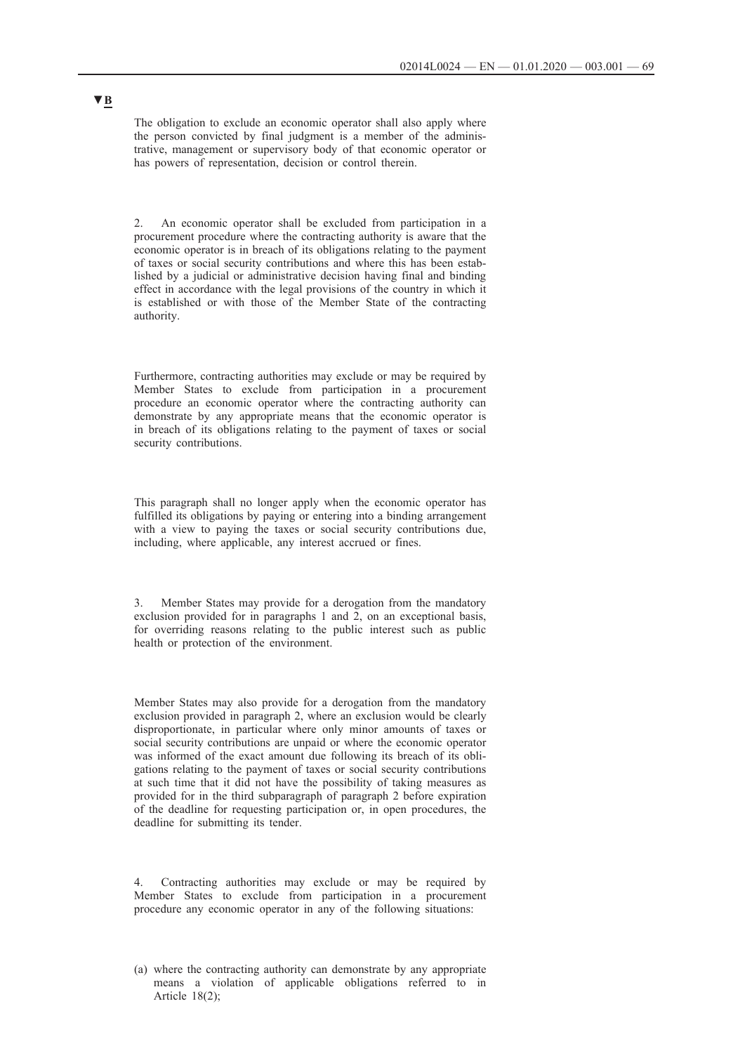The obligation to exclude an economic operator shall also apply where the person convicted by final judgment is a member of the administrative, management or supervisory body of that economic operator or has powers of representation, decision or control therein.

2. An economic operator shall be excluded from participation in a procurement procedure where the contracting authority is aware that the economic operator is in breach of its obligations relating to the payment of taxes or social security contributions and where this has been established by a judicial or administrative decision having final and binding effect in accordance with the legal provisions of the country in which it is established or with those of the Member State of the contracting authority.

Furthermore, contracting authorities may exclude or may be required by Member States to exclude from participation in a procurement procedure an economic operator where the contracting authority can demonstrate by any appropriate means that the economic operator is in breach of its obligations relating to the payment of taxes or social security contributions.

This paragraph shall no longer apply when the economic operator has fulfilled its obligations by paying or entering into a binding arrangement with a view to paying the taxes or social security contributions due, including, where applicable, any interest accrued or fines.

3. Member States may provide for a derogation from the mandatory exclusion provided for in paragraphs 1 and 2, on an exceptional basis, for overriding reasons relating to the public interest such as public health or protection of the environment.

Member States may also provide for a derogation from the mandatory exclusion provided in paragraph 2, where an exclusion would be clearly disproportionate, in particular where only minor amounts of taxes or social security contributions are unpaid or where the economic operator was informed of the exact amount due following its breach of its obligations relating to the payment of taxes or social security contributions at such time that it did not have the possibility of taking measures as provided for in the third subparagraph of paragraph 2 before expiration of the deadline for requesting participation or, in open procedures, the deadline for submitting its tender.

4. Contracting authorities may exclude or may be required by Member States to exclude from participation in a procurement procedure any economic operator in any of the following situations:

(a) where the contracting authority can demonstrate by any appropriate means a violation of applicable obligations referred to in Article 18(2);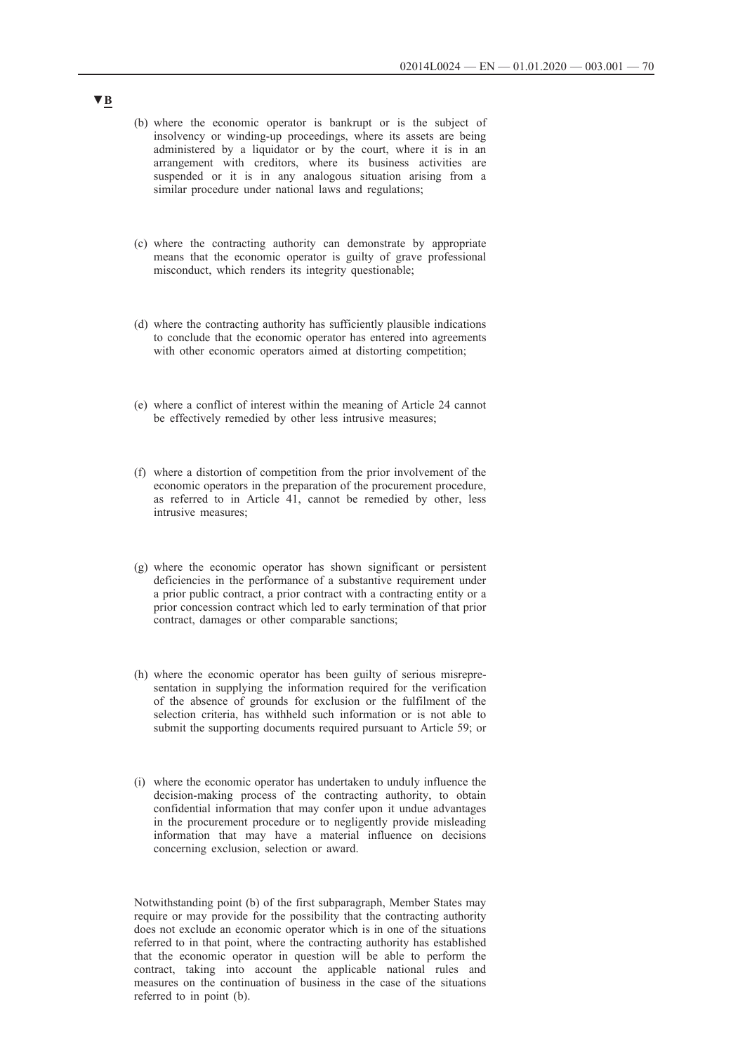- (b) where the economic operator is bankrupt or is the subject of insolvency or winding-up proceedings, where its assets are being administered by a liquidator or by the court, where it is in an arrangement with creditors, where its business activities are suspended or it is in any analogous situation arising from a similar procedure under national laws and regulations;
- (c) where the contracting authority can demonstrate by appropriate means that the economic operator is guilty of grave professional misconduct, which renders its integrity questionable;
- (d) where the contracting authority has sufficiently plausible indications to conclude that the economic operator has entered into agreements with other economic operators aimed at distorting competition;
- (e) where a conflict of interest within the meaning of Article 24 cannot be effectively remedied by other less intrusive measures;
- (f) where a distortion of competition from the prior involvement of the economic operators in the preparation of the procurement procedure, as referred to in Article 41, cannot be remedied by other, less intrusive measures;
- (g) where the economic operator has shown significant or persistent deficiencies in the performance of a substantive requirement under a prior public contract, a prior contract with a contracting entity or a prior concession contract which led to early termination of that prior contract, damages or other comparable sanctions;
- (h) where the economic operator has been guilty of serious misrepresentation in supplying the information required for the verification of the absence of grounds for exclusion or the fulfilment of the selection criteria, has withheld such information or is not able to submit the supporting documents required pursuant to Article 59; or
- (i) where the economic operator has undertaken to unduly influence the decision-making process of the contracting authority, to obtain confidential information that may confer upon it undue advantages in the procurement procedure or to negligently provide misleading information that may have a material influence on decisions concerning exclusion, selection or award.

Notwithstanding point (b) of the first subparagraph, Member States may require or may provide for the possibility that the contracting authority does not exclude an economic operator which is in one of the situations referred to in that point, where the contracting authority has established that the economic operator in question will be able to perform the contract, taking into account the applicable national rules and measures on the continuation of business in the case of the situations referred to in point (b).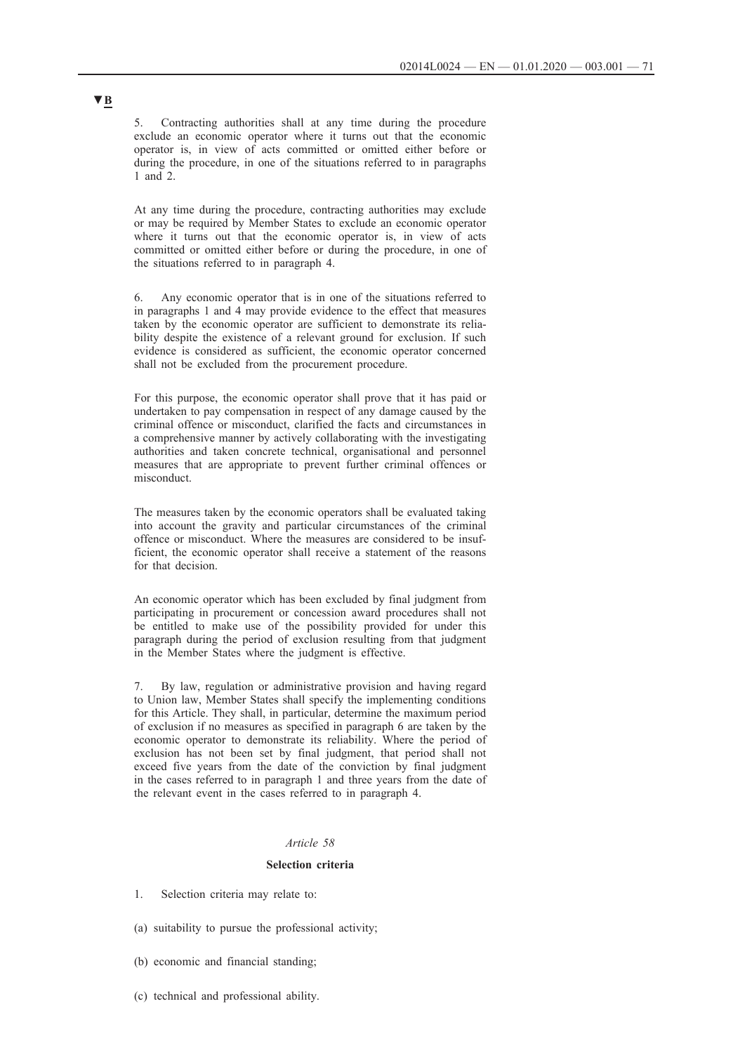5. Contracting authorities shall at any time during the procedure exclude an economic operator where it turns out that the economic operator is, in view of acts committed or omitted either before or during the procedure, in one of the situations referred to in paragraphs 1 and 2.

At any time during the procedure, contracting authorities may exclude or may be required by Member States to exclude an economic operator where it turns out that the economic operator is, in view of acts committed or omitted either before or during the procedure, in one of the situations referred to in paragraph 4.

6. Any economic operator that is in one of the situations referred to in paragraphs 1 and 4 may provide evidence to the effect that measures taken by the economic operator are sufficient to demonstrate its reliability despite the existence of a relevant ground for exclusion. If such evidence is considered as sufficient, the economic operator concerned shall not be excluded from the procurement procedure.

For this purpose, the economic operator shall prove that it has paid or undertaken to pay compensation in respect of any damage caused by the criminal offence or misconduct, clarified the facts and circumstances in a comprehensive manner by actively collaborating with the investigating authorities and taken concrete technical, organisational and personnel measures that are appropriate to prevent further criminal offences or misconduct.

The measures taken by the economic operators shall be evaluated taking into account the gravity and particular circumstances of the criminal offence or misconduct. Where the measures are considered to be insufficient, the economic operator shall receive a statement of the reasons for that decision.

An economic operator which has been excluded by final judgment from participating in procurement or concession award procedures shall not be entitled to make use of the possibility provided for under this paragraph during the period of exclusion resulting from that judgment in the Member States where the judgment is effective.

7. By law, regulation or administrative provision and having regard to Union law, Member States shall specify the implementing conditions for this Article. They shall, in particular, determine the maximum period of exclusion if no measures as specified in paragraph 6 are taken by the economic operator to demonstrate its reliability. Where the period of exclusion has not been set by final judgment, that period shall not exceed five years from the date of the conviction by final judgment in the cases referred to in paragraph 1 and three years from the date of the relevant event in the cases referred to in paragraph 4.

#### *Article 58*

### **Selection criteria**

- 1. Selection criteria may relate to:
- (a) suitability to pursue the professional activity;
- (b) economic and financial standing;
- (c) technical and professional ability.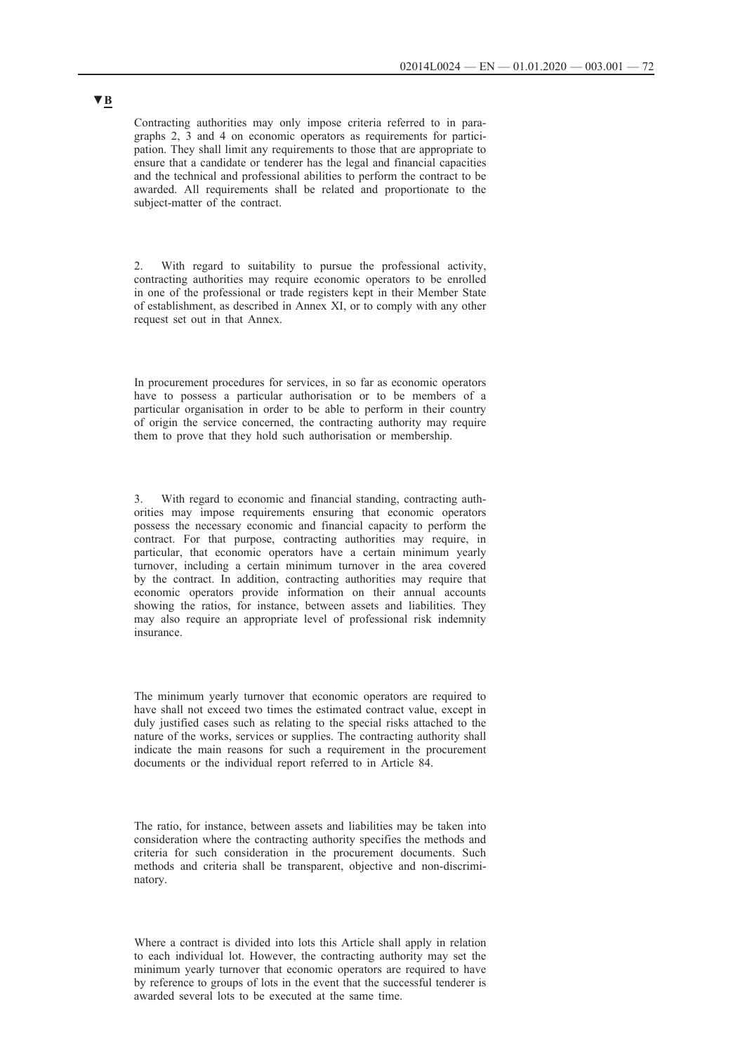Contracting authorities may only impose criteria referred to in paragraphs 2, 3 and 4 on economic operators as requirements for participation. They shall limit any requirements to those that are appropriate to ensure that a candidate or tenderer has the legal and financial capacities and the technical and professional abilities to perform the contract to be awarded. All requirements shall be related and proportionate to the subject-matter of the contract.

2. With regard to suitability to pursue the professional activity, contracting authorities may require economic operators to be enrolled in one of the professional or trade registers kept in their Member State of establishment, as described in Annex XI, or to comply with any other request set out in that Annex.

In procurement procedures for services, in so far as economic operators have to possess a particular authorisation or to be members of a particular organisation in order to be able to perform in their country of origin the service concerned, the contracting authority may require them to prove that they hold such authorisation or membership.

3. With regard to economic and financial standing, contracting authorities may impose requirements ensuring that economic operators possess the necessary economic and financial capacity to perform the contract. For that purpose, contracting authorities may require, in particular, that economic operators have a certain minimum yearly turnover, including a certain minimum turnover in the area covered by the contract. In addition, contracting authorities may require that economic operators provide information on their annual accounts showing the ratios, for instance, between assets and liabilities. They may also require an appropriate level of professional risk indemnity insurance.

The minimum yearly turnover that economic operators are required to have shall not exceed two times the estimated contract value, except in duly justified cases such as relating to the special risks attached to the nature of the works, services or supplies. The contracting authority shall indicate the main reasons for such a requirement in the procurement documents or the individual report referred to in Article 84.

The ratio, for instance, between assets and liabilities may be taken into consideration where the contracting authority specifies the methods and criteria for such consideration in the procurement documents. Such methods and criteria shall be transparent, objective and non-discriminatory.

Where a contract is divided into lots this Article shall apply in relation to each individual lot. However, the contracting authority may set the minimum yearly turnover that economic operators are required to have by reference to groups of lots in the event that the successful tenderer is awarded several lots to be executed at the same time.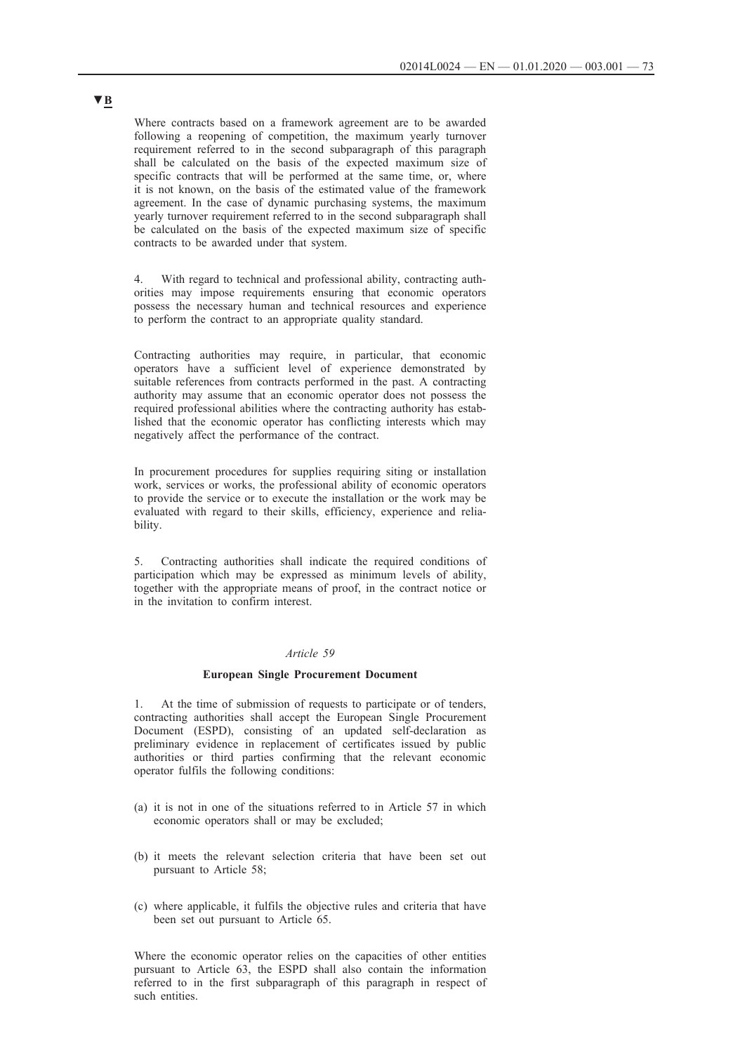Where contracts based on a framework agreement are to be awarded following a reopening of competition, the maximum yearly turnover requirement referred to in the second subparagraph of this paragraph shall be calculated on the basis of the expected maximum size of specific contracts that will be performed at the same time, or, where it is not known, on the basis of the estimated value of the framework agreement. In the case of dynamic purchasing systems, the maximum yearly turnover requirement referred to in the second subparagraph shall be calculated on the basis of the expected maximum size of specific contracts to be awarded under that system.

4. With regard to technical and professional ability, contracting authorities may impose requirements ensuring that economic operators possess the necessary human and technical resources and experience to perform the contract to an appropriate quality standard.

Contracting authorities may require, in particular, that economic operators have a sufficient level of experience demonstrated by suitable references from contracts performed in the past. A contracting authority may assume that an economic operator does not possess the required professional abilities where the contracting authority has established that the economic operator has conflicting interests which may negatively affect the performance of the contract.

In procurement procedures for supplies requiring siting or installation work, services or works, the professional ability of economic operators to provide the service or to execute the installation or the work may be evaluated with regard to their skills, efficiency, experience and reliability.

5. Contracting authorities shall indicate the required conditions of participation which may be expressed as minimum levels of ability, together with the appropriate means of proof, in the contract notice or in the invitation to confirm interest.

#### *Article 59*

#### **European Single Procurement Document**

1. At the time of submission of requests to participate or of tenders, contracting authorities shall accept the European Single Procurement Document (ESPD), consisting of an updated self-declaration as preliminary evidence in replacement of certificates issued by public authorities or third parties confirming that the relevant economic operator fulfils the following conditions:

- (a) it is not in one of the situations referred to in Article 57 in which economic operators shall or may be excluded;
- (b) it meets the relevant selection criteria that have been set out pursuant to Article 58;
- (c) where applicable, it fulfils the objective rules and criteria that have been set out pursuant to Article 65.

Where the economic operator relies on the capacities of other entities pursuant to Article 63, the ESPD shall also contain the information referred to in the first subparagraph of this paragraph in respect of such entities.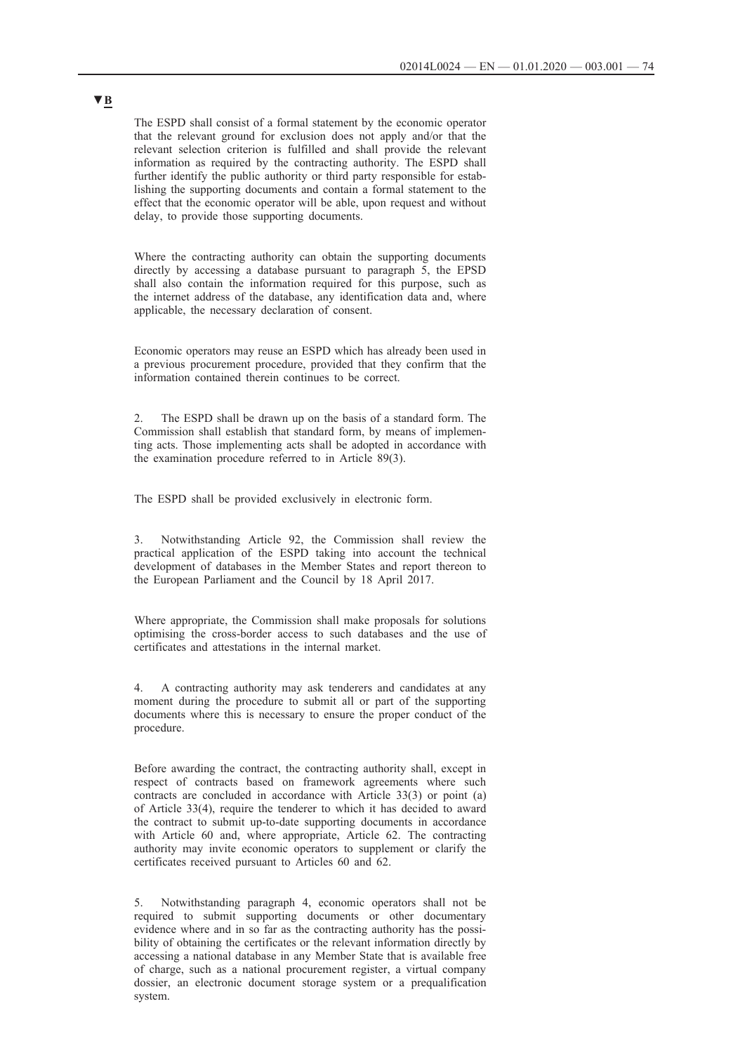The ESPD shall consist of a formal statement by the economic operator that the relevant ground for exclusion does not apply and/or that the relevant selection criterion is fulfilled and shall provide the relevant information as required by the contracting authority. The ESPD shall further identify the public authority or third party responsible for establishing the supporting documents and contain a formal statement to the effect that the economic operator will be able, upon request and without delay, to provide those supporting documents.

Where the contracting authority can obtain the supporting documents directly by accessing a database pursuant to paragraph 5, the EPSD shall also contain the information required for this purpose, such as the internet address of the database, any identification data and, where applicable, the necessary declaration of consent.

Economic operators may reuse an ESPD which has already been used in a previous procurement procedure, provided that they confirm that the information contained therein continues to be correct.

2. The ESPD shall be drawn up on the basis of a standard form. The Commission shall establish that standard form, by means of implementing acts. Those implementing acts shall be adopted in accordance with the examination procedure referred to in Article 89(3).

The ESPD shall be provided exclusively in electronic form.

3. Notwithstanding Article 92, the Commission shall review the practical application of the ESPD taking into account the technical development of databases in the Member States and report thereon to the European Parliament and the Council by 18 April 2017.

Where appropriate, the Commission shall make proposals for solutions optimising the cross-border access to such databases and the use of certificates and attestations in the internal market.

4. A contracting authority may ask tenderers and candidates at any moment during the procedure to submit all or part of the supporting documents where this is necessary to ensure the proper conduct of the procedure.

Before awarding the contract, the contracting authority shall, except in respect of contracts based on framework agreements where such contracts are concluded in accordance with Article 33(3) or point (a) of Article 33(4), require the tenderer to which it has decided to award the contract to submit up-to-date supporting documents in accordance with Article 60 and, where appropriate, Article 62. The contracting authority may invite economic operators to supplement or clarify the certificates received pursuant to Articles 60 and 62.

5. Notwithstanding paragraph 4, economic operators shall not be required to submit supporting documents or other documentary evidence where and in so far as the contracting authority has the possibility of obtaining the certificates or the relevant information directly by accessing a national database in any Member State that is available free of charge, such as a national procurement register, a virtual company dossier, an electronic document storage system or a prequalification system.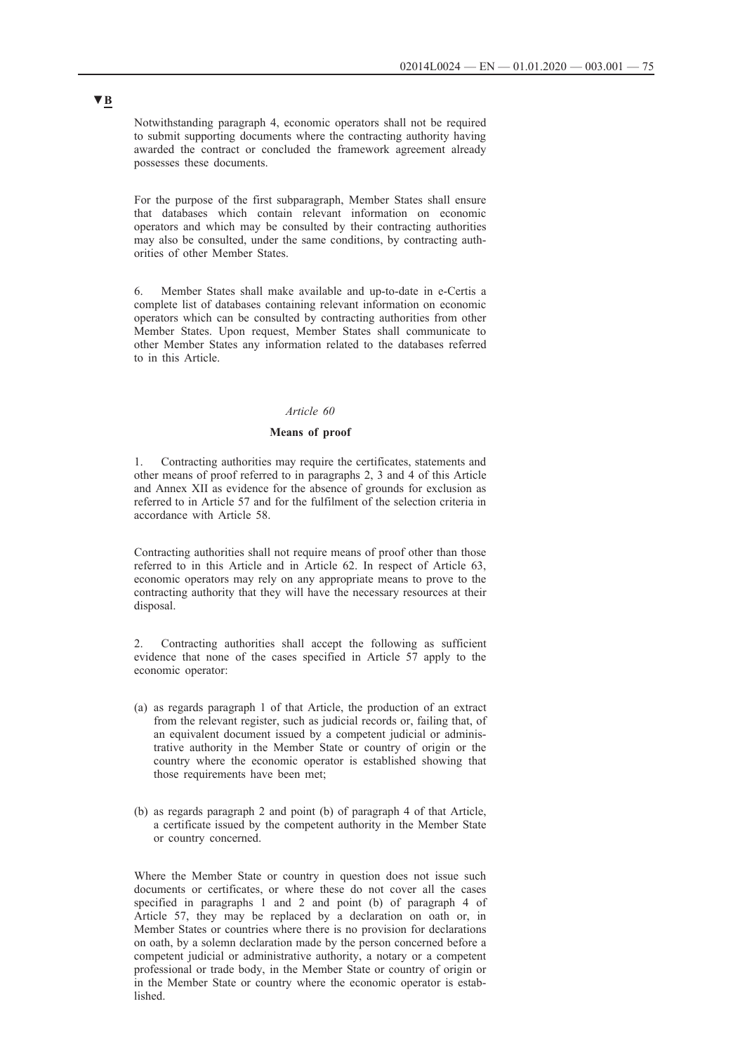Notwithstanding paragraph 4, economic operators shall not be required to submit supporting documents where the contracting authority having awarded the contract or concluded the framework agreement already possesses these documents.

For the purpose of the first subparagraph, Member States shall ensure that databases which contain relevant information on economic operators and which may be consulted by their contracting authorities may also be consulted, under the same conditions, by contracting authorities of other Member States.

6. Member States shall make available and up-to-date in e-Certis a complete list of databases containing relevant information on economic operators which can be consulted by contracting authorities from other Member States. Upon request, Member States shall communicate to other Member States any information related to the databases referred to in this Article.

#### *Article 60*

### **Means of proof**

1. Contracting authorities may require the certificates, statements and other means of proof referred to in paragraphs 2, 3 and 4 of this Article and Annex XII as evidence for the absence of grounds for exclusion as referred to in Article 57 and for the fulfilment of the selection criteria in accordance with Article 58.

Contracting authorities shall not require means of proof other than those referred to in this Article and in Article 62. In respect of Article 63, economic operators may rely on any appropriate means to prove to the contracting authority that they will have the necessary resources at their disposal.

2. Contracting authorities shall accept the following as sufficient evidence that none of the cases specified in Article 57 apply to the economic operator:

- (a) as regards paragraph 1 of that Article, the production of an extract from the relevant register, such as judicial records or, failing that, of an equivalent document issued by a competent judicial or administrative authority in the Member State or country of origin or the country where the economic operator is established showing that those requirements have been met;
- (b) as regards paragraph 2 and point (b) of paragraph 4 of that Article, a certificate issued by the competent authority in the Member State or country concerned.

Where the Member State or country in question does not issue such documents or certificates, or where these do not cover all the cases specified in paragraphs 1 and 2 and point (b) of paragraph 4 of Article 57, they may be replaced by a declaration on oath or, in Member States or countries where there is no provision for declarations on oath, by a solemn declaration made by the person concerned before a competent judicial or administrative authority, a notary or a competent professional or trade body, in the Member State or country of origin or in the Member State or country where the economic operator is estab**lished**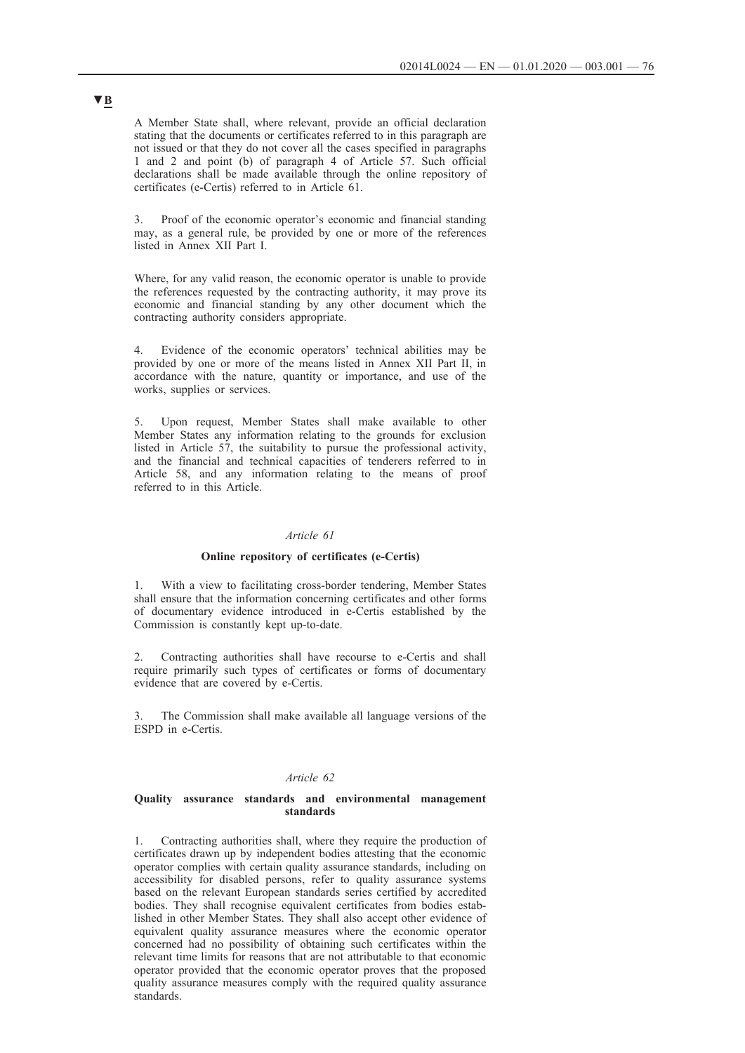A Member State shall, where relevant, provide an official declaration stating that the documents or certificates referred to in this paragraph are not issued or that they do not cover all the cases specified in paragraphs 1 and 2 and point (b) of paragraph 4 of Article 57. Such official declarations shall be made available through the online repository of certificates (e-Certis) referred to in Article 61.

3. Proof of the economic operator's economic and financial standing may, as a general rule, be provided by one or more of the references listed in Annex XII Part I.

Where, for any valid reason, the economic operator is unable to provide the references requested by the contracting authority, it may prove its economic and financial standing by any other document which the contracting authority considers appropriate.

4. Evidence of the economic operators' technical abilities may be provided by one or more of the means listed in Annex XII Part II, in accordance with the nature, quantity or importance, and use of the works, supplies or services.

5. Upon request, Member States shall make available to other Member States any information relating to the grounds for exclusion listed in Article 57, the suitability to pursue the professional activity, and the financial and technical capacities of tenderers referred to in Article 58, and any information relating to the means of proof referred to in this Article.

#### *Article 61*

#### **Online repository of certificates (e-Certis)**

With a view to facilitating cross-border tendering, Member States shall ensure that the information concerning certificates and other forms of documentary evidence introduced in e-Certis established by the Commission is constantly kept up-to-date.

2. Contracting authorities shall have recourse to e-Certis and shall require primarily such types of certificates or forms of documentary evidence that are covered by e-Certis.

The Commission shall make available all language versions of the ESPD in e-Certis.

#### *Article 62*

### **Quality assurance standards and environmental management standards**

1. Contracting authorities shall, where they require the production of certificates drawn up by independent bodies attesting that the economic operator complies with certain quality assurance standards, including on accessibility for disabled persons, refer to quality assurance systems based on the relevant European standards series certified by accredited bodies. They shall recognise equivalent certificates from bodies established in other Member States. They shall also accept other evidence of equivalent quality assurance measures where the economic operator concerned had no possibility of obtaining such certificates within the relevant time limits for reasons that are not attributable to that economic operator provided that the economic operator proves that the proposed quality assurance measures comply with the required quality assurance standards.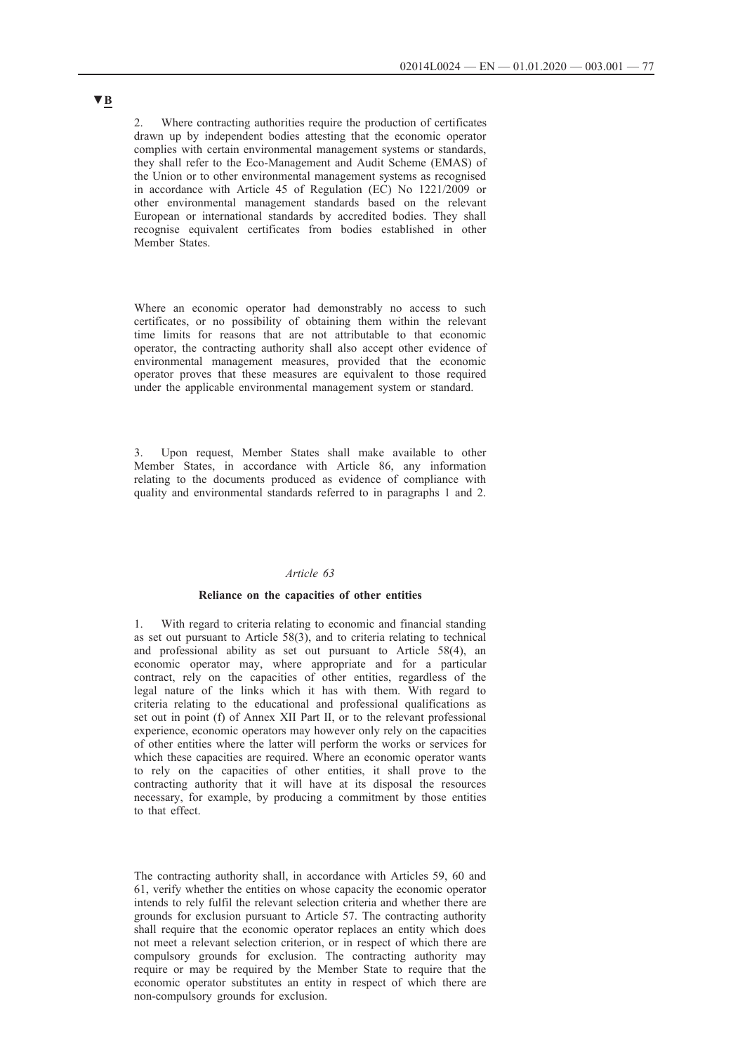2. Where contracting authorities require the production of certificates drawn up by independent bodies attesting that the economic operator complies with certain environmental management systems or standards, they shall refer to the Eco-Management and Audit Scheme (EMAS) of the Union or to other environmental management systems as recognised in accordance with Article 45 of Regulation (EC) No 1221/2009 or other environmental management standards based on the relevant European or international standards by accredited bodies. They shall recognise equivalent certificates from bodies established in other Member States.

Where an economic operator had demonstrably no access to such certificates, or no possibility of obtaining them within the relevant time limits for reasons that are not attributable to that economic operator, the contracting authority shall also accept other evidence of environmental management measures, provided that the economic operator proves that these measures are equivalent to those required under the applicable environmental management system or standard.

Upon request, Member States shall make available to other Member States, in accordance with Article 86, any information relating to the documents produced as evidence of compliance with quality and environmental standards referred to in paragraphs 1 and 2.

### *Article 63*

#### **Reliance on the capacities of other entities**

1. With regard to criteria relating to economic and financial standing as set out pursuant to Article 58(3), and to criteria relating to technical and professional ability as set out pursuant to Article 58(4), an economic operator may, where appropriate and for a particular contract, rely on the capacities of other entities, regardless of the legal nature of the links which it has with them. With regard to criteria relating to the educational and professional qualifications as set out in point (f) of Annex XII Part II, or to the relevant professional experience, economic operators may however only rely on the capacities of other entities where the latter will perform the works or services for which these capacities are required. Where an economic operator wants to rely on the capacities of other entities, it shall prove to the contracting authority that it will have at its disposal the resources necessary, for example, by producing a commitment by those entities to that effect.

The contracting authority shall, in accordance with Articles 59, 60 and 61, verify whether the entities on whose capacity the economic operator intends to rely fulfil the relevant selection criteria and whether there are grounds for exclusion pursuant to Article 57. The contracting authority shall require that the economic operator replaces an entity which does not meet a relevant selection criterion, or in respect of which there are compulsory grounds for exclusion. The contracting authority may require or may be required by the Member State to require that the economic operator substitutes an entity in respect of which there are non-compulsory grounds for exclusion.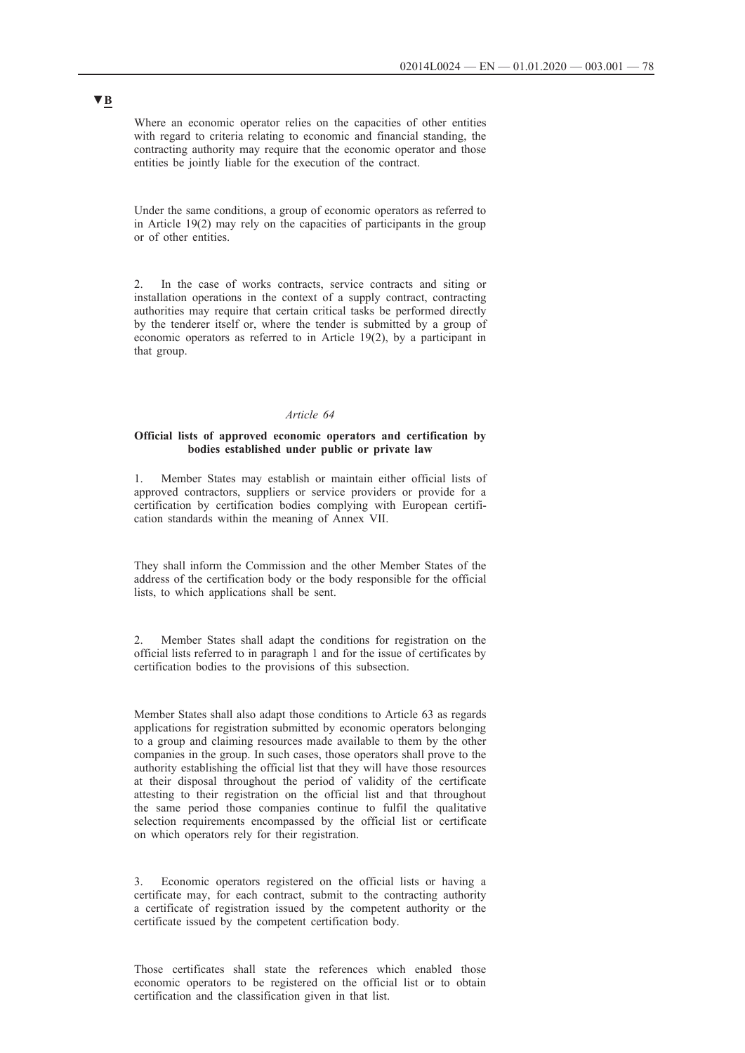Where an economic operator relies on the capacities of other entities with regard to criteria relating to economic and financial standing, the contracting authority may require that the economic operator and those entities be jointly liable for the execution of the contract.

Under the same conditions, a group of economic operators as referred to in Article 19(2) may rely on the capacities of participants in the group or of other entities.

2. In the case of works contracts, service contracts and siting or installation operations in the context of a supply contract, contracting authorities may require that certain critical tasks be performed directly by the tenderer itself or, where the tender is submitted by a group of economic operators as referred to in Article 19(2), by a participant in that group.

#### *Article 64*

### **Official lists of approved economic operators and certification by bodies established under public or private law**

1. Member States may establish or maintain either official lists of approved contractors, suppliers or service providers or provide for a certification by certification bodies complying with European certification standards within the meaning of Annex VII.

They shall inform the Commission and the other Member States of the address of the certification body or the body responsible for the official lists, to which applications shall be sent.

2. Member States shall adapt the conditions for registration on the official lists referred to in paragraph 1 and for the issue of certificates by certification bodies to the provisions of this subsection.

Member States shall also adapt those conditions to Article 63 as regards applications for registration submitted by economic operators belonging to a group and claiming resources made available to them by the other companies in the group. In such cases, those operators shall prove to the authority establishing the official list that they will have those resources at their disposal throughout the period of validity of the certificate attesting to their registration on the official list and that throughout the same period those companies continue to fulfil the qualitative selection requirements encompassed by the official list or certificate on which operators rely for their registration.

3. Economic operators registered on the official lists or having a certificate may, for each contract, submit to the contracting authority a certificate of registration issued by the competent authority or the certificate issued by the competent certification body.

Those certificates shall state the references which enabled those economic operators to be registered on the official list or to obtain certification and the classification given in that list.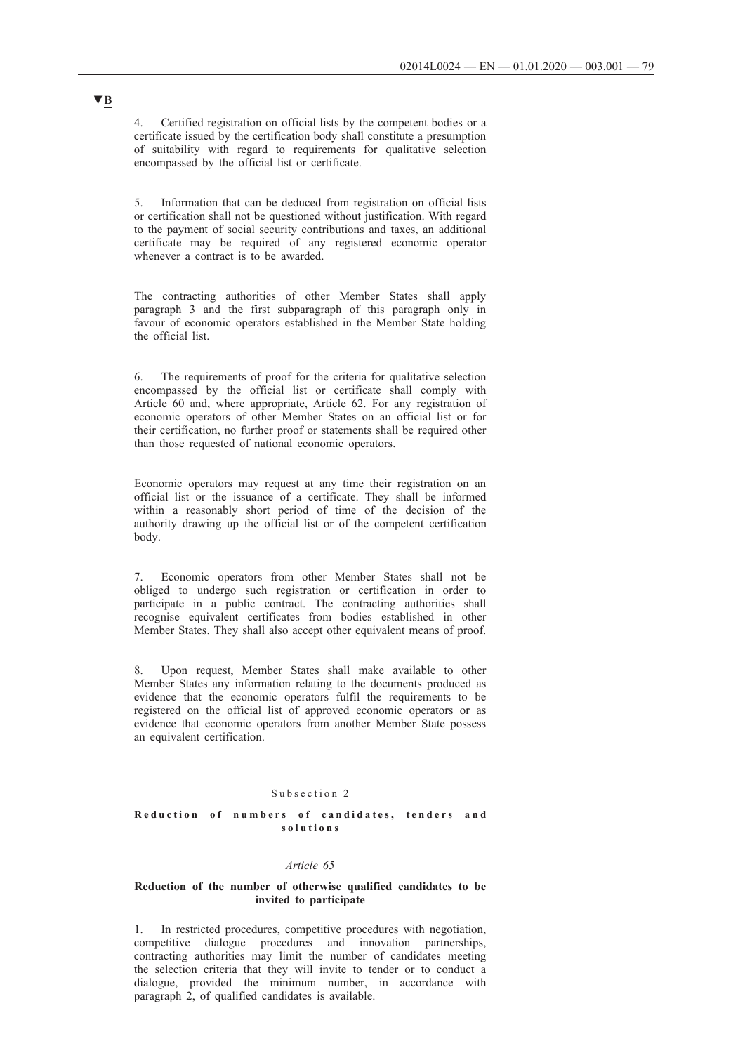4. Certified registration on official lists by the competent bodies or a certificate issued by the certification body shall constitute a presumption of suitability with regard to requirements for qualitative selection encompassed by the official list or certificate.

5. Information that can be deduced from registration on official lists or certification shall not be questioned without justification. With regard to the payment of social security contributions and taxes, an additional certificate may be required of any registered economic operator whenever a contract is to be awarded.

The contracting authorities of other Member States shall apply paragraph 3 and the first subparagraph of this paragraph only in favour of economic operators established in the Member State holding the official list.

6. The requirements of proof for the criteria for qualitative selection encompassed by the official list or certificate shall comply with Article 60 and, where appropriate, Article 62. For any registration of economic operators of other Member States on an official list or for their certification, no further proof or statements shall be required other than those requested of national economic operators.

Economic operators may request at any time their registration on an official list or the issuance of a certificate. They shall be informed within a reasonably short period of time of the decision of the authority drawing up the official list or of the competent certification body.

7. Economic operators from other Member States shall not be obliged to undergo such registration or certification in order to participate in a public contract. The contracting authorities shall recognise equivalent certificates from bodies established in other Member States. They shall also accept other equivalent means of proof.

Upon request, Member States shall make available to other Member States any information relating to the documents produced as evidence that the economic operators fulfil the requirements to be registered on the official list of approved economic operators or as evidence that economic operators from another Member State possess an equivalent certification.

#### Subsection 2

#### Reduction of numbers of candidates, tenders and **s o l u t i o n s**

### *Article 65*

#### **Reduction of the number of otherwise qualified candidates to be invited to participate**

1. In restricted procedures, competitive procedures with negotiation, competitive dialogue procedures and innovation partnerships, contracting authorities may limit the number of candidates meeting the selection criteria that they will invite to tender or to conduct a dialogue, provided the minimum number, in accordance with paragraph 2, of qualified candidates is available.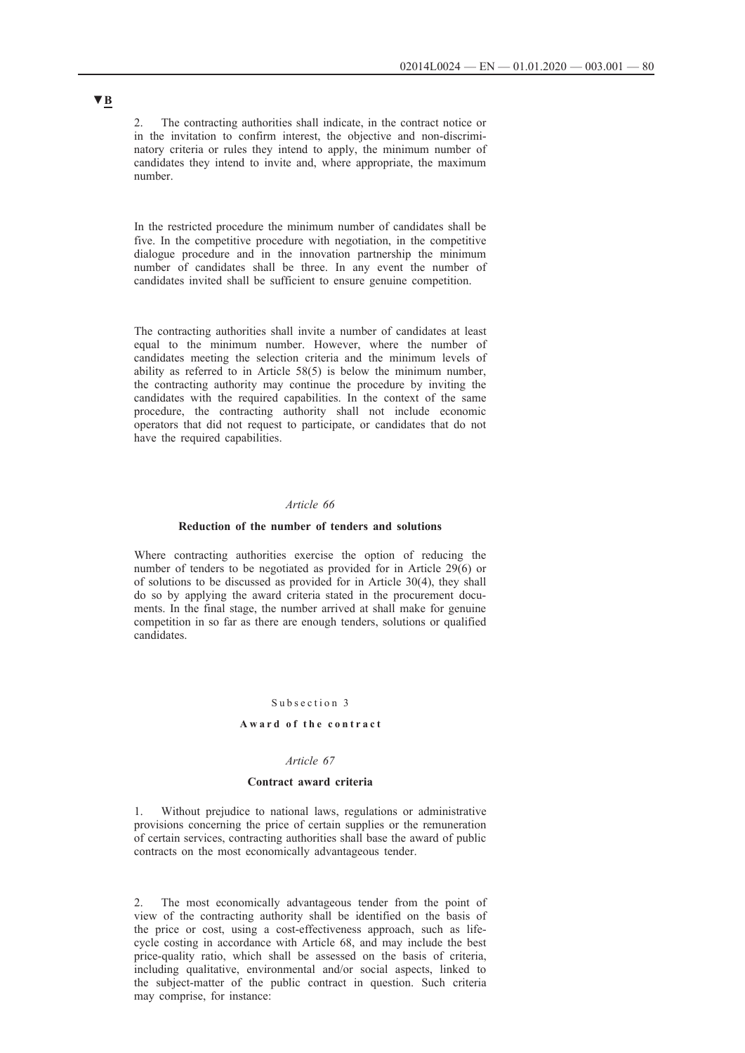2. The contracting authorities shall indicate, in the contract notice or in the invitation to confirm interest, the objective and non-discriminatory criteria or rules they intend to apply, the minimum number of candidates they intend to invite and, where appropriate, the maximum number.

In the restricted procedure the minimum number of candidates shall be five. In the competitive procedure with negotiation, in the competitive dialogue procedure and in the innovation partnership the minimum number of candidates shall be three. In any event the number of candidates invited shall be sufficient to ensure genuine competition.

The contracting authorities shall invite a number of candidates at least equal to the minimum number. However, where the number of candidates meeting the selection criteria and the minimum levels of ability as referred to in Article 58(5) is below the minimum number, the contracting authority may continue the procedure by inviting the candidates with the required capabilities. In the context of the same procedure, the contracting authority shall not include economic operators that did not request to participate, or candidates that do not have the required capabilities.

#### *Article 66*

#### **Reduction of the number of tenders and solutions**

Where contracting authorities exercise the option of reducing the number of tenders to be negotiated as provided for in Article 29(6) or of solutions to be discussed as provided for in Article 30(4), they shall do so by applying the award criteria stated in the procurement documents. In the final stage, the number arrived at shall make for genuine competition in so far as there are enough tenders, solutions or qualified candidates.

#### Subsection 3

### A ward of the contract

#### *Article 67*

#### **Contract award criteria**

1. Without prejudice to national laws, regulations or administrative provisions concerning the price of certain supplies or the remuneration of certain services, contracting authorities shall base the award of public contracts on the most economically advantageous tender.

2. The most economically advantageous tender from the point of view of the contracting authority shall be identified on the basis of the price or cost, using a cost-effectiveness approach, such as lifecycle costing in accordance with Article 68, and may include the best price-quality ratio, which shall be assessed on the basis of criteria, including qualitative, environmental and/or social aspects, linked to the subject-matter of the public contract in question. Such criteria may comprise, for instance: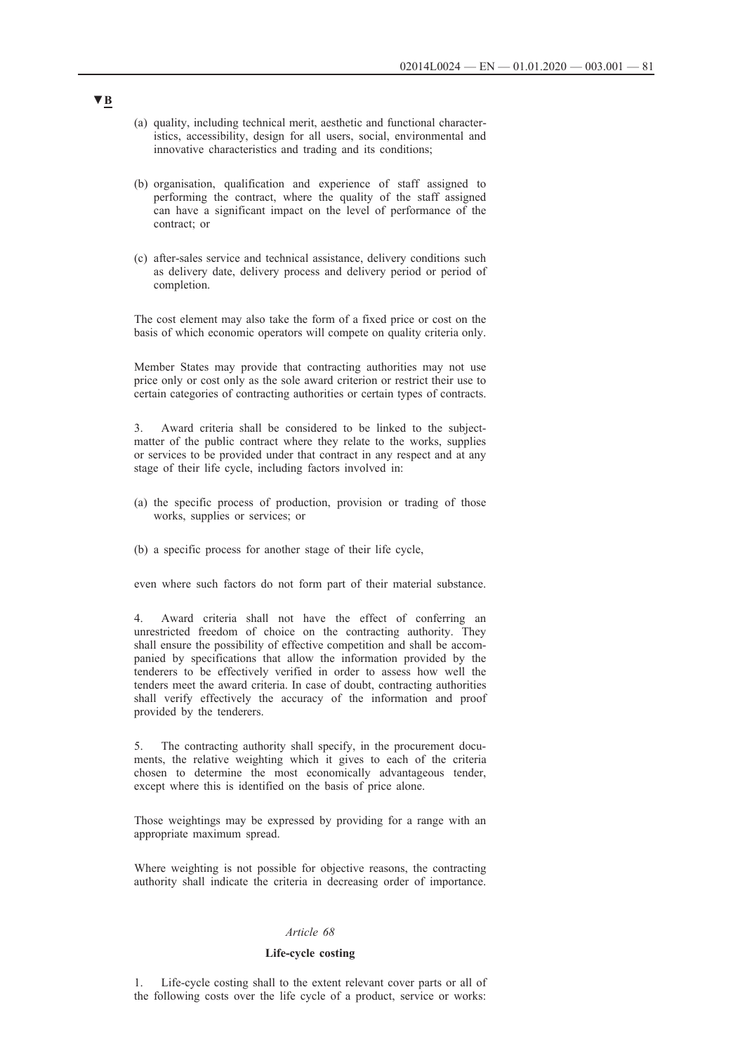- (a) quality, including technical merit, aesthetic and functional characteristics, accessibility, design for all users, social, environmental and innovative characteristics and trading and its conditions;
- (b) organisation, qualification and experience of staff assigned to performing the contract, where the quality of the staff assigned can have a significant impact on the level of performance of the contract; or
- (c) after-sales service and technical assistance, delivery conditions such as delivery date, delivery process and delivery period or period of completion.

The cost element may also take the form of a fixed price or cost on the basis of which economic operators will compete on quality criteria only.

Member States may provide that contracting authorities may not use price only or cost only as the sole award criterion or restrict their use to certain categories of contracting authorities or certain types of contracts.

3. Award criteria shall be considered to be linked to the subjectmatter of the public contract where they relate to the works, supplies or services to be provided under that contract in any respect and at any stage of their life cycle, including factors involved in:

- (a) the specific process of production, provision or trading of those works, supplies or services; or
- (b) a specific process for another stage of their life cycle,

even where such factors do not form part of their material substance.

4. Award criteria shall not have the effect of conferring an unrestricted freedom of choice on the contracting authority. They shall ensure the possibility of effective competition and shall be accompanied by specifications that allow the information provided by the tenderers to be effectively verified in order to assess how well the tenders meet the award criteria. In case of doubt, contracting authorities shall verify effectively the accuracy of the information and proof provided by the tenderers.

5. The contracting authority shall specify, in the procurement documents, the relative weighting which it gives to each of the criteria chosen to determine the most economically advantageous tender, except where this is identified on the basis of price alone.

Those weightings may be expressed by providing for a range with an appropriate maximum spread.

Where weighting is not possible for objective reasons, the contracting authority shall indicate the criteria in decreasing order of importance.

#### *Article 68*

#### **Life-cycle costing**

1. Life-cycle costing shall to the extent relevant cover parts or all of the following costs over the life cycle of a product, service or works: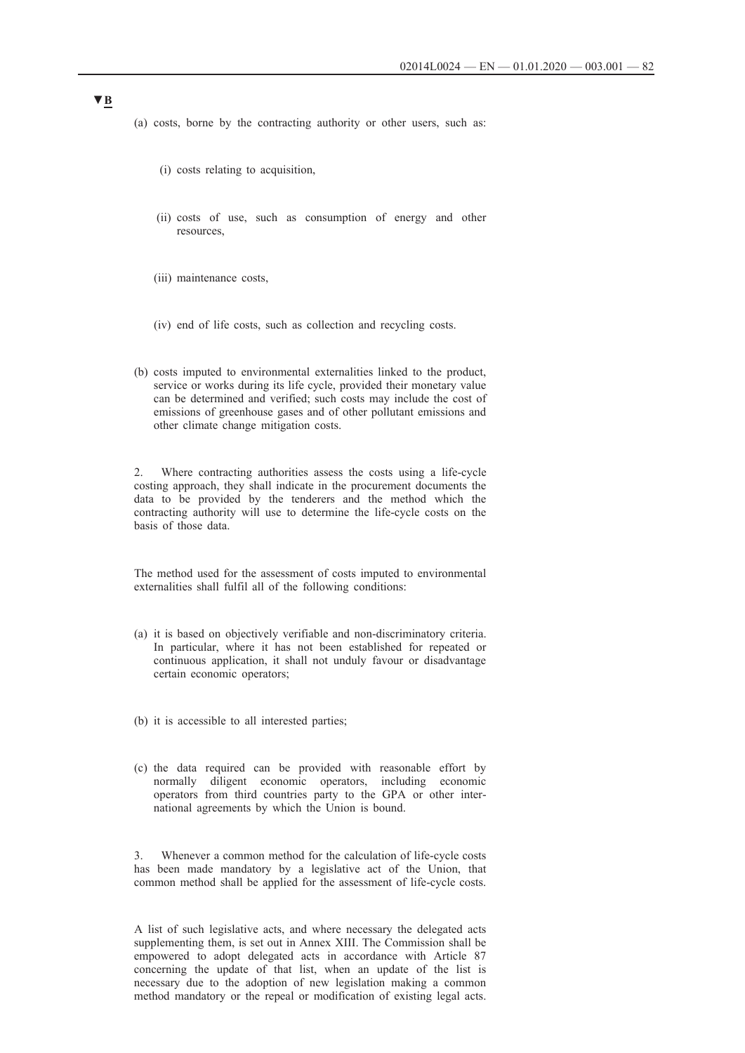(a) costs, borne by the contracting authority or other users, such as:

- (i) costs relating to acquisition,
- (ii) costs of use, such as consumption of energy and other resources,
- (iii) maintenance costs,
- (iv) end of life costs, such as collection and recycling costs.
- (b) costs imputed to environmental externalities linked to the product, service or works during its life cycle, provided their monetary value can be determined and verified; such costs may include the cost of emissions of greenhouse gases and of other pollutant emissions and other climate change mitigation costs.

2. Where contracting authorities assess the costs using a life-cycle costing approach, they shall indicate in the procurement documents the data to be provided by the tenderers and the method which the contracting authority will use to determine the life-cycle costs on the basis of those data.

The method used for the assessment of costs imputed to environmental externalities shall fulfil all of the following conditions:

- (a) it is based on objectively verifiable and non-discriminatory criteria. In particular, where it has not been established for repeated or continuous application, it shall not unduly favour or disadvantage certain economic operators;
- (b) it is accessible to all interested parties;
- (c) the data required can be provided with reasonable effort by normally diligent economic operators, including economic operators from third countries party to the GPA or other international agreements by which the Union is bound.

3. Whenever a common method for the calculation of life-cycle costs has been made mandatory by a legislative act of the Union, that common method shall be applied for the assessment of life-cycle costs.

A list of such legislative acts, and where necessary the delegated acts supplementing them, is set out in Annex XIII. The Commission shall be empowered to adopt delegated acts in accordance with Article 87 concerning the update of that list, when an update of the list is necessary due to the adoption of new legislation making a common method mandatory or the repeal or modification of existing legal acts.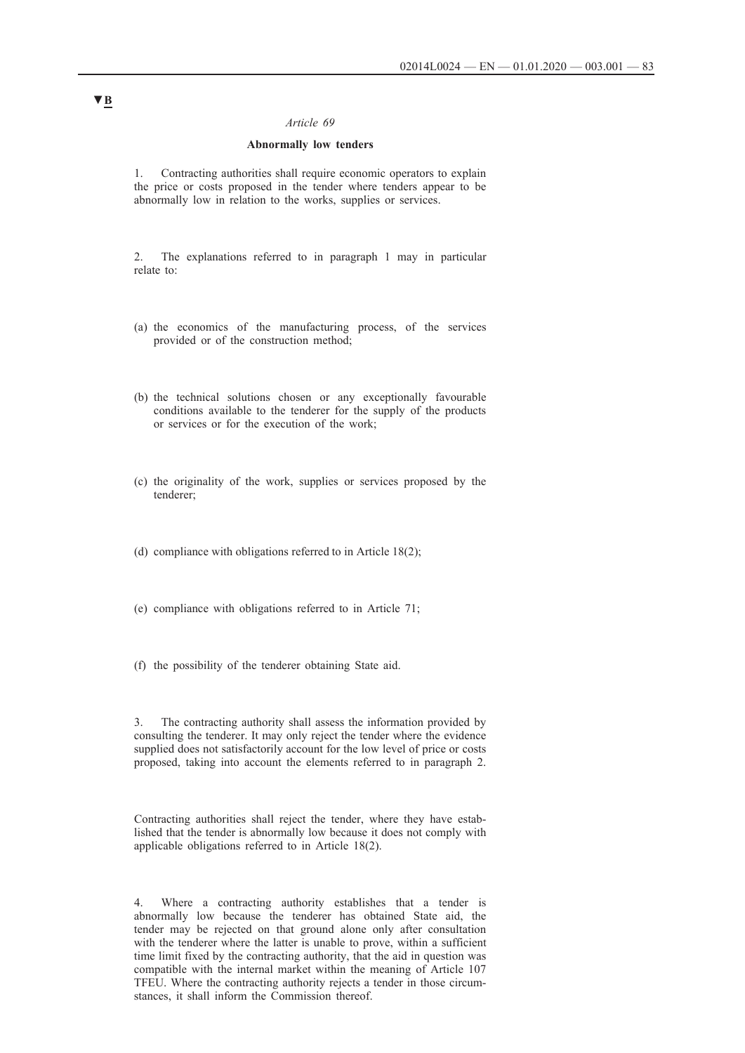#### *Article 69*

### **Abnormally low tenders**

1. Contracting authorities shall require economic operators to explain the price or costs proposed in the tender where tenders appear to be abnormally low in relation to the works, supplies or services.

2. The explanations referred to in paragraph 1 may in particular relate to:

- (a) the economics of the manufacturing process, of the services provided or of the construction method;
- (b) the technical solutions chosen or any exceptionally favourable conditions available to the tenderer for the supply of the products or services or for the execution of the work;
- (c) the originality of the work, supplies or services proposed by the tenderer;
- (d) compliance with obligations referred to in Article 18(2);
- (e) compliance with obligations referred to in Article 71;
- (f) the possibility of the tenderer obtaining State aid.

3. The contracting authority shall assess the information provided by consulting the tenderer. It may only reject the tender where the evidence supplied does not satisfactorily account for the low level of price or costs proposed, taking into account the elements referred to in paragraph 2.

Contracting authorities shall reject the tender, where they have established that the tender is abnormally low because it does not comply with applicable obligations referred to in Article 18(2).

4. Where a contracting authority establishes that a tender is abnormally low because the tenderer has obtained State aid, the tender may be rejected on that ground alone only after consultation with the tenderer where the latter is unable to prove, within a sufficient time limit fixed by the contracting authority, that the aid in question was compatible with the internal market within the meaning of Article 107 TFEU. Where the contracting authority rejects a tender in those circumstances, it shall inform the Commission thereof.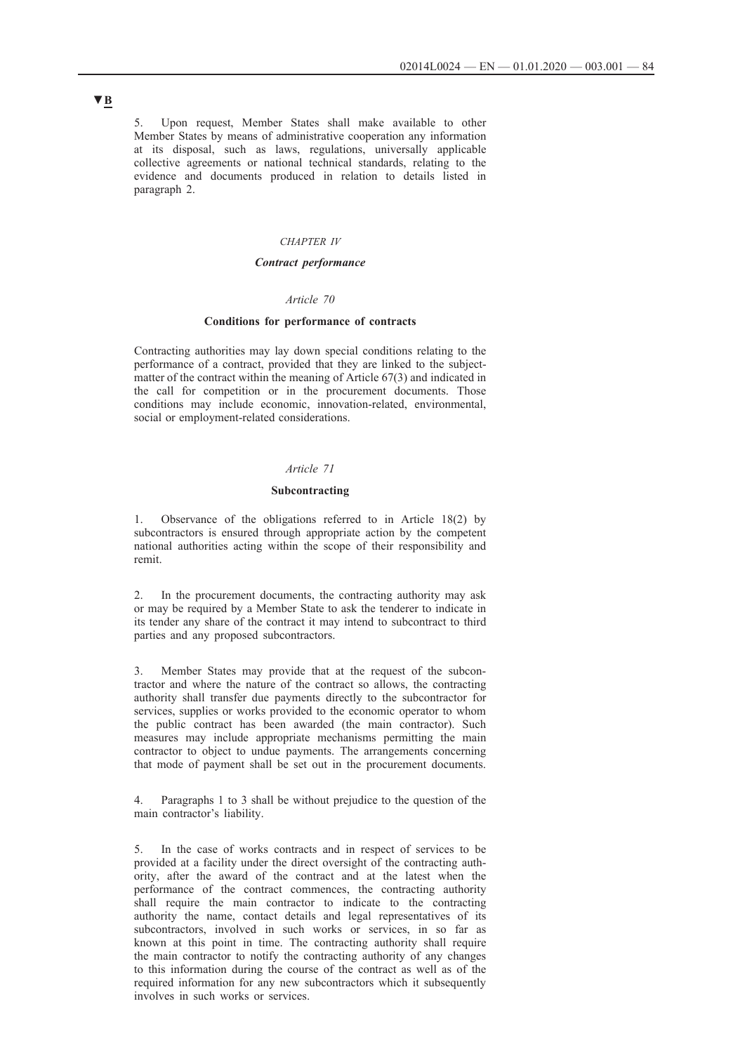Upon request, Member States shall make available to other Member States by means of administrative cooperation any information at its disposal, such as laws, regulations, universally applicable collective agreements or national technical standards, relating to the evidence and documents produced in relation to details listed in paragraph 2.

#### *CHAPTER IV*

#### *Contract performance*

### *Article 70*

#### **Conditions for performance of contracts**

Contracting authorities may lay down special conditions relating to the performance of a contract, provided that they are linked to the subjectmatter of the contract within the meaning of Article 67(3) and indicated in the call for competition or in the procurement documents. Those conditions may include economic, innovation-related, environmental, social or employment-related considerations.

### *Article 71*

#### **Subcontracting**

1. Observance of the obligations referred to in Article 18(2) by subcontractors is ensured through appropriate action by the competent national authorities acting within the scope of their responsibility and remit.

2. In the procurement documents, the contracting authority may ask or may be required by a Member State to ask the tenderer to indicate in its tender any share of the contract it may intend to subcontract to third parties and any proposed subcontractors.

3. Member States may provide that at the request of the subcontractor and where the nature of the contract so allows, the contracting authority shall transfer due payments directly to the subcontractor for services, supplies or works provided to the economic operator to whom the public contract has been awarded (the main contractor). Such measures may include appropriate mechanisms permitting the main contractor to object to undue payments. The arrangements concerning that mode of payment shall be set out in the procurement documents.

4. Paragraphs 1 to 3 shall be without prejudice to the question of the main contractor's liability.

5. In the case of works contracts and in respect of services to be provided at a facility under the direct oversight of the contracting authority, after the award of the contract and at the latest when the performance of the contract commences, the contracting authority shall require the main contractor to indicate to the contracting authority the name, contact details and legal representatives of its subcontractors, involved in such works or services, in so far as known at this point in time. The contracting authority shall require the main contractor to notify the contracting authority of any changes to this information during the course of the contract as well as of the required information for any new subcontractors which it subsequently involves in such works or services.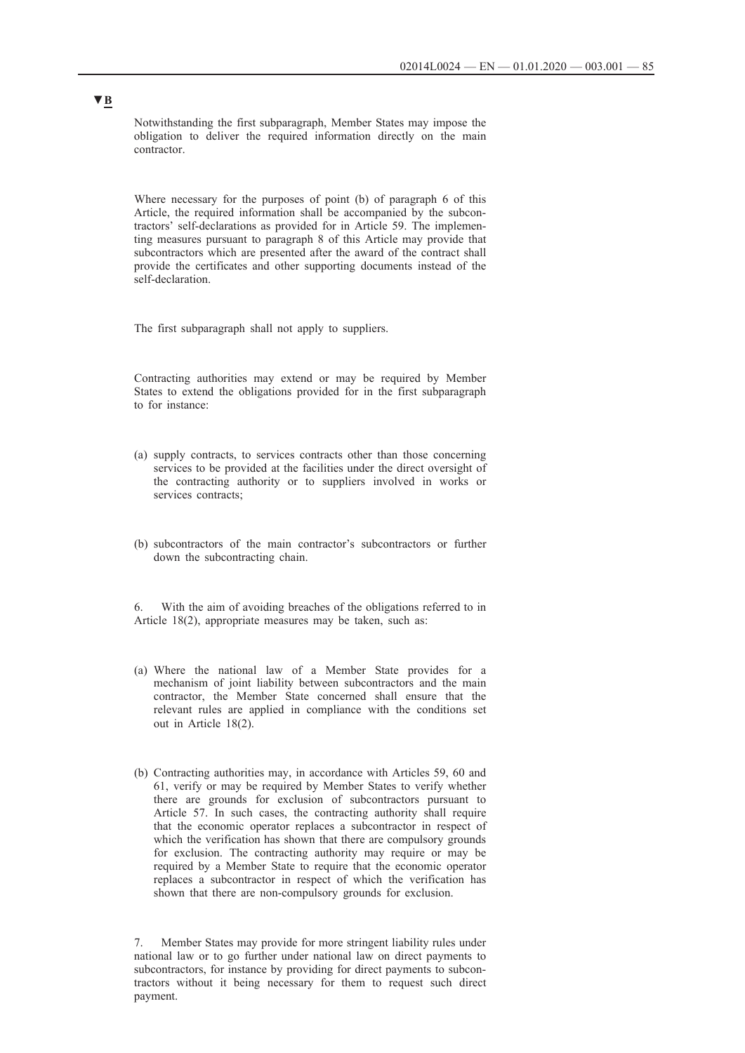Notwithstanding the first subparagraph, Member States may impose the obligation to deliver the required information directly on the main contractor.

Where necessary for the purposes of point (b) of paragraph 6 of this Article, the required information shall be accompanied by the subcontractors' self-declarations as provided for in Article 59. The implementing measures pursuant to paragraph 8 of this Article may provide that subcontractors which are presented after the award of the contract shall provide the certificates and other supporting documents instead of the self-declaration.

The first subparagraph shall not apply to suppliers.

Contracting authorities may extend or may be required by Member States to extend the obligations provided for in the first subparagraph to for instance:

- (a) supply contracts, to services contracts other than those concerning services to be provided at the facilities under the direct oversight of the contracting authority or to suppliers involved in works or services contracts;
- (b) subcontractors of the main contractor's subcontractors or further down the subcontracting chain.

With the aim of avoiding breaches of the obligations referred to in Article 18(2), appropriate measures may be taken, such as:

- (a) Where the national law of a Member State provides for a mechanism of joint liability between subcontractors and the main contractor, the Member State concerned shall ensure that the relevant rules are applied in compliance with the conditions set out in Article 18(2).
- (b) Contracting authorities may, in accordance with Articles 59, 60 and 61, verify or may be required by Member States to verify whether there are grounds for exclusion of subcontractors pursuant to Article 57. In such cases, the contracting authority shall require that the economic operator replaces a subcontractor in respect of which the verification has shown that there are compulsory grounds for exclusion. The contracting authority may require or may be required by a Member State to require that the economic operator replaces a subcontractor in respect of which the verification has shown that there are non-compulsory grounds for exclusion.

7. Member States may provide for more stringent liability rules under national law or to go further under national law on direct payments to subcontractors, for instance by providing for direct payments to subcontractors without it being necessary for them to request such direct payment.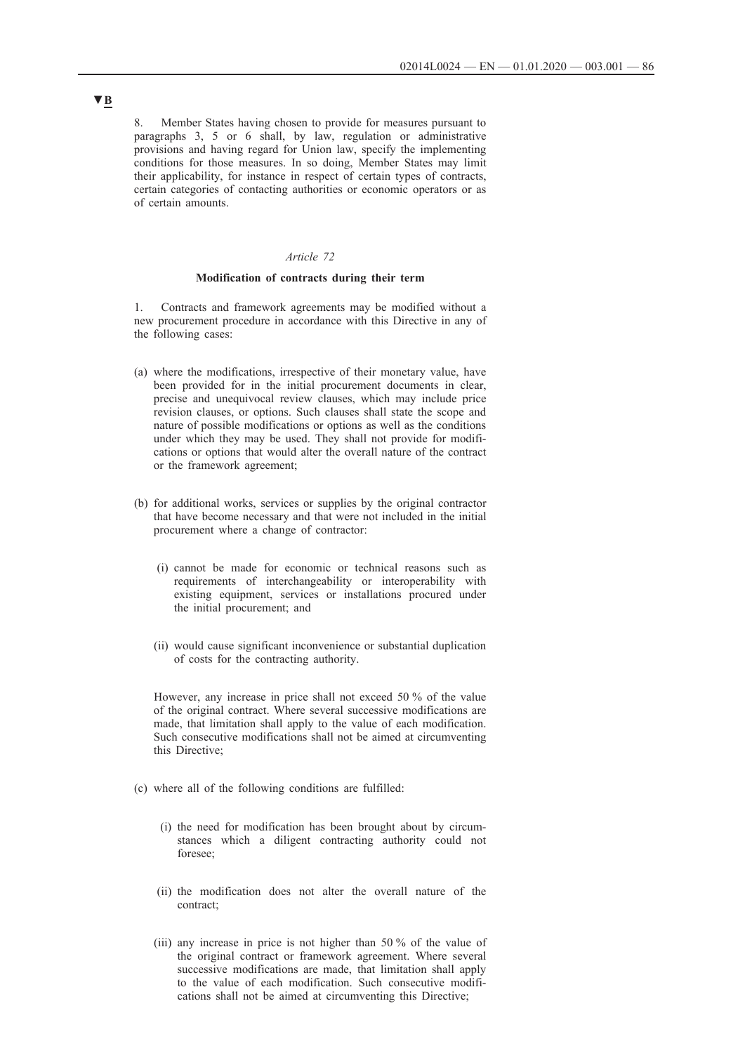8. Member States having chosen to provide for measures pursuant to paragraphs 3, 5 or 6 shall, by law, regulation or administrative provisions and having regard for Union law, specify the implementing conditions for those measures. In so doing, Member States may limit their applicability, for instance in respect of certain types of contracts, certain categories of contacting authorities or economic operators or as of certain amounts.

### *Article 72*

### **Modification of contracts during their term**

1. Contracts and framework agreements may be modified without a new procurement procedure in accordance with this Directive in any of the following cases:

- (a) where the modifications, irrespective of their monetary value, have been provided for in the initial procurement documents in clear, precise and unequivocal review clauses, which may include price revision clauses, or options. Such clauses shall state the scope and nature of possible modifications or options as well as the conditions under which they may be used. They shall not provide for modifications or options that would alter the overall nature of the contract or the framework agreement;
- (b) for additional works, services or supplies by the original contractor that have become necessary and that were not included in the initial procurement where a change of contractor:
	- (i) cannot be made for economic or technical reasons such as requirements of interchangeability or interoperability with existing equipment, services or installations procured under the initial procurement; and
	- (ii) would cause significant inconvenience or substantial duplication of costs for the contracting authority.

However, any increase in price shall not exceed 50 % of the value of the original contract. Where several successive modifications are made, that limitation shall apply to the value of each modification. Such consecutive modifications shall not be aimed at circumventing this Directive;

- (c) where all of the following conditions are fulfilled:
	- (i) the need for modification has been brought about by circumstances which a diligent contracting authority could not foresee;
	- (ii) the modification does not alter the overall nature of the contract;
	- (iii) any increase in price is not higher than 50 % of the value of the original contract or framework agreement. Where several successive modifications are made, that limitation shall apply to the value of each modification. Such consecutive modifications shall not be aimed at circumventing this Directive;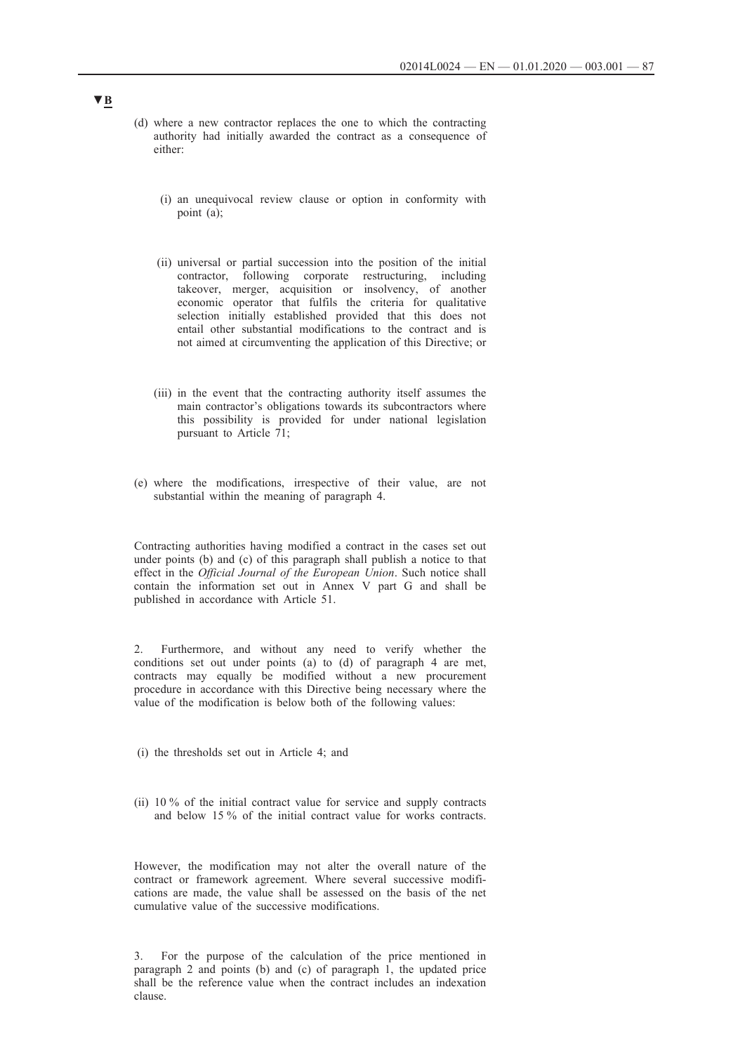- (d) where a new contractor replaces the one to which the contracting authority had initially awarded the contract as a consequence of either:
	- (i) an unequivocal review clause or option in conformity with point (a);
	- (ii) universal or partial succession into the position of the initial contractor, following corporate restructuring, including takeover, merger, acquisition or insolvency, of another economic operator that fulfils the criteria for qualitative selection initially established provided that this does not entail other substantial modifications to the contract and is not aimed at circumventing the application of this Directive; or
	- (iii) in the event that the contracting authority itself assumes the main contractor's obligations towards its subcontractors where this possibility is provided for under national legislation pursuant to Article 71;
- (e) where the modifications, irrespective of their value, are not substantial within the meaning of paragraph 4.

Contracting authorities having modified a contract in the cases set out under points (b) and (c) of this paragraph shall publish a notice to that effect in the *Official Journal of the European Union*. Such notice shall contain the information set out in Annex V part G and shall be published in accordance with Article 51.

Furthermore, and without any need to verify whether the conditions set out under points (a) to (d) of paragraph 4 are met, contracts may equally be modified without a new procurement procedure in accordance with this Directive being necessary where the value of the modification is below both of the following values:

(i) the thresholds set out in Article 4; and

(ii) 10 % of the initial contract value for service and supply contracts and below 15 % of the initial contract value for works contracts.

However, the modification may not alter the overall nature of the contract or framework agreement. Where several successive modifications are made, the value shall be assessed on the basis of the net cumulative value of the successive modifications.

3. For the purpose of the calculation of the price mentioned in paragraph 2 and points (b) and (c) of paragraph 1, the updated price shall be the reference value when the contract includes an indexation clause.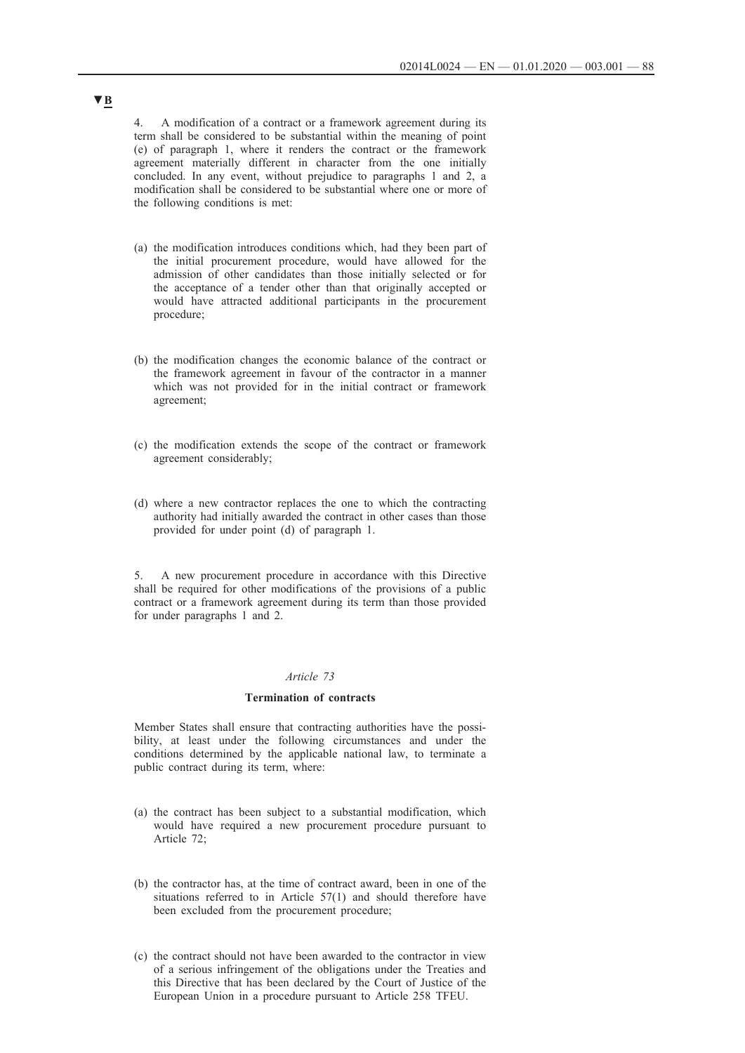4. A modification of a contract or a framework agreement during its term shall be considered to be substantial within the meaning of point (e) of paragraph 1, where it renders the contract or the framework agreement materially different in character from the one initially concluded. In any event, without prejudice to paragraphs 1 and 2, a modification shall be considered to be substantial where one or more of the following conditions is met:

- (a) the modification introduces conditions which, had they been part of the initial procurement procedure, would have allowed for the admission of other candidates than those initially selected or for the acceptance of a tender other than that originally accepted or would have attracted additional participants in the procurement procedure;
- (b) the modification changes the economic balance of the contract or the framework agreement in favour of the contractor in a manner which was not provided for in the initial contract or framework agreement;
- (c) the modification extends the scope of the contract or framework agreement considerably;
- (d) where a new contractor replaces the one to which the contracting authority had initially awarded the contract in other cases than those provided for under point (d) of paragraph 1.

5. A new procurement procedure in accordance with this Directive shall be required for other modifications of the provisions of a public contract or a framework agreement during its term than those provided for under paragraphs 1 and 2.

#### *Article 73*

#### **Termination of contracts**

Member States shall ensure that contracting authorities have the possibility, at least under the following circumstances and under the conditions determined by the applicable national law, to terminate a public contract during its term, where:

- (a) the contract has been subject to a substantial modification, which would have required a new procurement procedure pursuant to Article 72;
- (b) the contractor has, at the time of contract award, been in one of the situations referred to in Article 57(1) and should therefore have been excluded from the procurement procedure;
- (c) the contract should not have been awarded to the contractor in view of a serious infringement of the obligations under the Treaties and this Directive that has been declared by the Court of Justice of the European Union in a procedure pursuant to Article 258 TFEU.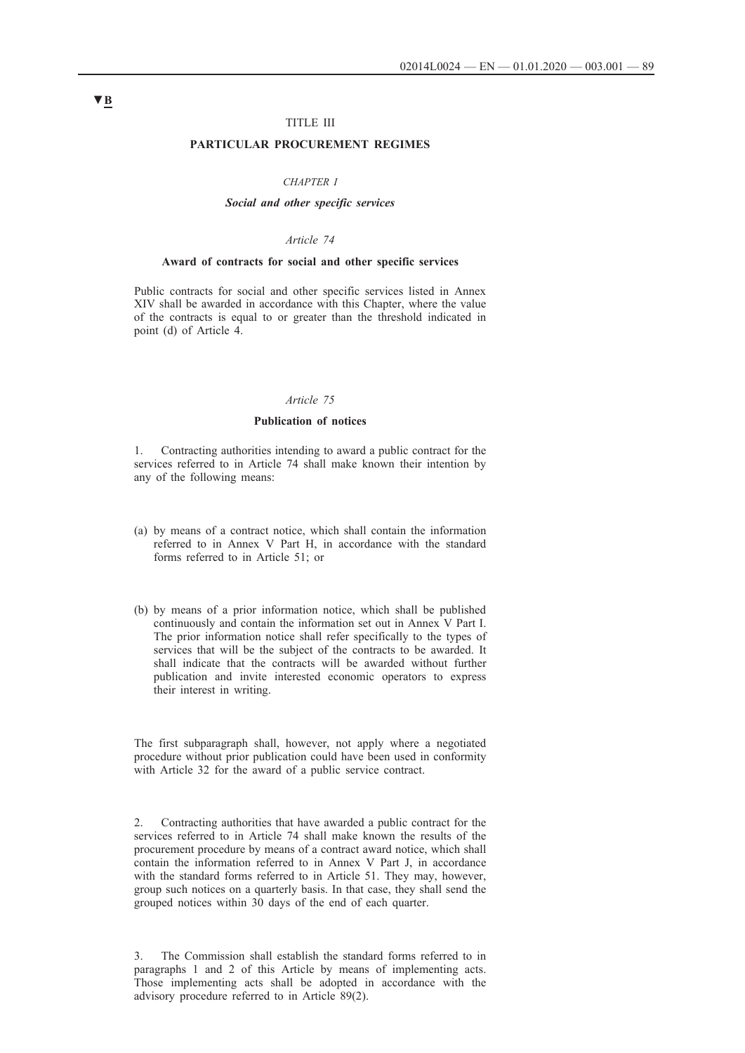#### TITLE III

### **PARTICULAR PROCUREMENT REGIMES**

#### *CHAPTER I*

#### *Social and other specific services*

#### *Article 74*

#### **Award of contracts for social and other specific services**

Public contracts for social and other specific services listed in Annex XIV shall be awarded in accordance with this Chapter, where the value of the contracts is equal to or greater than the threshold indicated in point (d) of Article 4.

#### *Article 75*

### **Publication of notices**

1. Contracting authorities intending to award a public contract for the services referred to in Article 74 shall make known their intention by any of the following means:

- (a) by means of a contract notice, which shall contain the information referred to in Annex V Part H, in accordance with the standard forms referred to in Article 51; or
- (b) by means of a prior information notice, which shall be published continuously and contain the information set out in Annex V Part I. The prior information notice shall refer specifically to the types of services that will be the subject of the contracts to be awarded. It shall indicate that the contracts will be awarded without further publication and invite interested economic operators to express their interest in writing.

The first subparagraph shall, however, not apply where a negotiated procedure without prior publication could have been used in conformity with Article 32 for the award of a public service contract.

2. Contracting authorities that have awarded a public contract for the services referred to in Article 74 shall make known the results of the procurement procedure by means of a contract award notice, which shall contain the information referred to in Annex V Part J, in accordance with the standard forms referred to in Article 51. They may, however, group such notices on a quarterly basis. In that case, they shall send the grouped notices within 30 days of the end of each quarter.

3. The Commission shall establish the standard forms referred to in paragraphs 1 and 2 of this Article by means of implementing acts. Those implementing acts shall be adopted in accordance with the advisory procedure referred to in Article 89(2).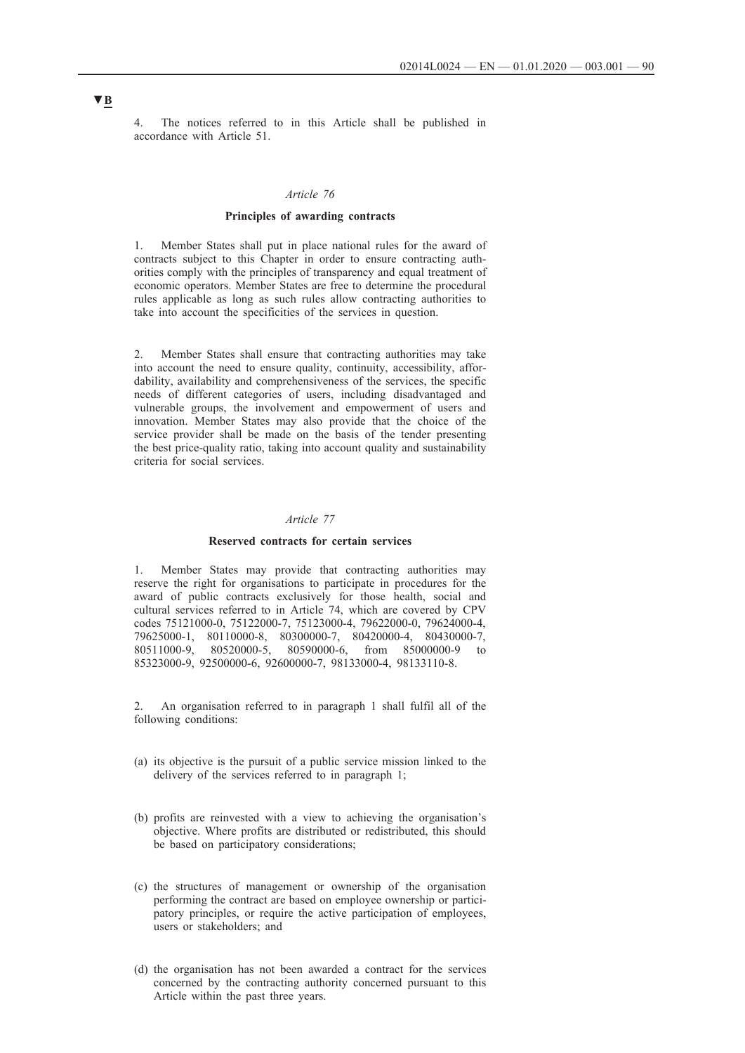4. The notices referred to in this Article shall be published in accordance with Article 51.

### *Article 76*

#### **Principles of awarding contracts**

1. Member States shall put in place national rules for the award of contracts subject to this Chapter in order to ensure contracting authorities comply with the principles of transparency and equal treatment of economic operators. Member States are free to determine the procedural rules applicable as long as such rules allow contracting authorities to take into account the specificities of the services in question.

2. Member States shall ensure that contracting authorities may take into account the need to ensure quality, continuity, accessibility, affordability, availability and comprehensiveness of the services, the specific needs of different categories of users, including disadvantaged and vulnerable groups, the involvement and empowerment of users and innovation. Member States may also provide that the choice of the service provider shall be made on the basis of the tender presenting the best price-quality ratio, taking into account quality and sustainability criteria for social services.

### *Article 77*

#### **Reserved contracts for certain services**

1. Member States may provide that contracting authorities may reserve the right for organisations to participate in procedures for the award of public contracts exclusively for those health, social and cultural services referred to in Article 74, which are covered by CPV codes 75121000-0, 75122000-7, 75123000-4, 79622000-0, 79624000-4, 79625000-1, 80110000-8, 80300000-7, 80420000-4, 80430000-7, 80511000-9, 80520000-5, 80590000-6, from 85000000-9 to 85323000-9, 92500000-6, 92600000-7, 98133000-4, 98133110-8.

2. An organisation referred to in paragraph 1 shall fulfil all of the following conditions:

- (a) its objective is the pursuit of a public service mission linked to the delivery of the services referred to in paragraph 1;
- (b) profits are reinvested with a view to achieving the organisation's objective. Where profits are distributed or redistributed, this should be based on participatory considerations;
- (c) the structures of management or ownership of the organisation performing the contract are based on employee ownership or participatory principles, or require the active participation of employees, users or stakeholders; and
- (d) the organisation has not been awarded a contract for the services concerned by the contracting authority concerned pursuant to this Article within the past three years.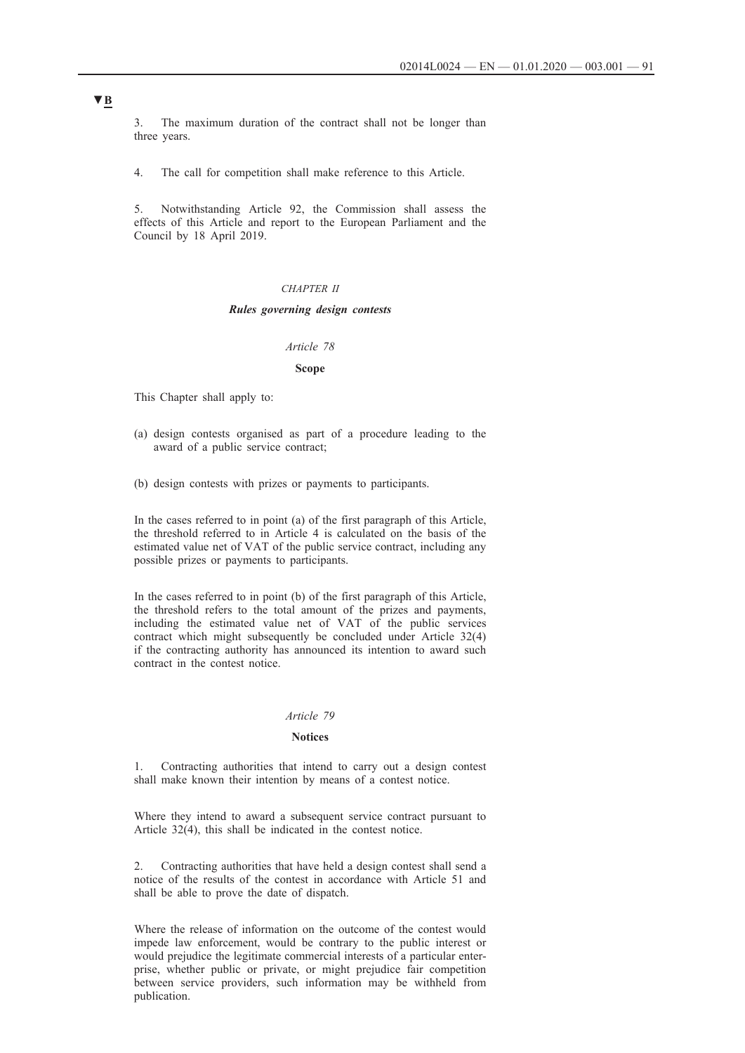3. The maximum duration of the contract shall not be longer than three years.

4. The call for competition shall make reference to this Article.

5. Notwithstanding Article 92, the Commission shall assess the effects of this Article and report to the European Parliament and the Council by 18 April 2019.

### *CHAPTER II*

### *Rules governing design contests*

### *Article 78*

#### **Scope**

This Chapter shall apply to:

- (a) design contests organised as part of a procedure leading to the award of a public service contract;
- (b) design contests with prizes or payments to participants.

In the cases referred to in point (a) of the first paragraph of this Article, the threshold referred to in Article 4 is calculated on the basis of the estimated value net of VAT of the public service contract, including any possible prizes or payments to participants.

In the cases referred to in point (b) of the first paragraph of this Article, the threshold refers to the total amount of the prizes and payments, including the estimated value net of VAT of the public services contract which might subsequently be concluded under Article 32(4) if the contracting authority has announced its intention to award such contract in the contest notice.

### *Article 79*

### **Notices**

1. Contracting authorities that intend to carry out a design contest shall make known their intention by means of a contest notice.

Where they intend to award a subsequent service contract pursuant to Article 32(4), this shall be indicated in the contest notice.

2. Contracting authorities that have held a design contest shall send a notice of the results of the contest in accordance with Article 51 and shall be able to prove the date of dispatch.

Where the release of information on the outcome of the contest would impede law enforcement, would be contrary to the public interest or would prejudice the legitimate commercial interests of a particular enterprise, whether public or private, or might prejudice fair competition between service providers, such information may be withheld from publication.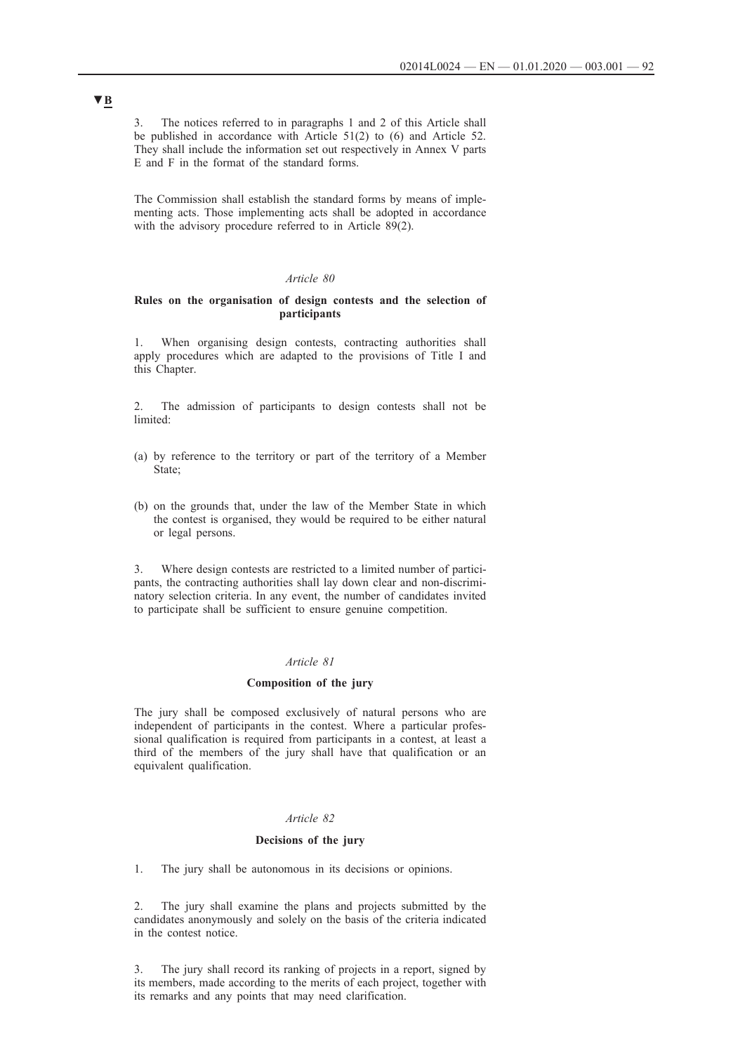3. The notices referred to in paragraphs 1 and 2 of this Article shall be published in accordance with Article 51(2) to (6) and Article 52. They shall include the information set out respectively in Annex V parts E and F in the format of the standard forms.

The Commission shall establish the standard forms by means of implementing acts. Those implementing acts shall be adopted in accordance with the advisory procedure referred to in Article  $89(2)$ .

#### *Article 80*

### **Rules on the organisation of design contests and the selection of participants**

When organising design contests, contracting authorities shall apply procedures which are adapted to the provisions of Title I and this Chapter.

2. The admission of participants to design contests shall not be limited:

- (a) by reference to the territory or part of the territory of a Member State;
- (b) on the grounds that, under the law of the Member State in which the contest is organised, they would be required to be either natural or legal persons.

3. Where design contests are restricted to a limited number of participants, the contracting authorities shall lay down clear and non-discriminatory selection criteria. In any event, the number of candidates invited to participate shall be sufficient to ensure genuine competition.

#### *Article 81*

#### **Composition of the jury**

The jury shall be composed exclusively of natural persons who are independent of participants in the contest. Where a particular professional qualification is required from participants in a contest, at least a third of the members of the jury shall have that qualification or an equivalent qualification.

### *Article 82*

### **Decisions of the jury**

1. The jury shall be autonomous in its decisions or opinions.

2. The jury shall examine the plans and projects submitted by the candidates anonymously and solely on the basis of the criteria indicated in the contest notice.

3. The jury shall record its ranking of projects in a report, signed by its members, made according to the merits of each project, together with its remarks and any points that may need clarification.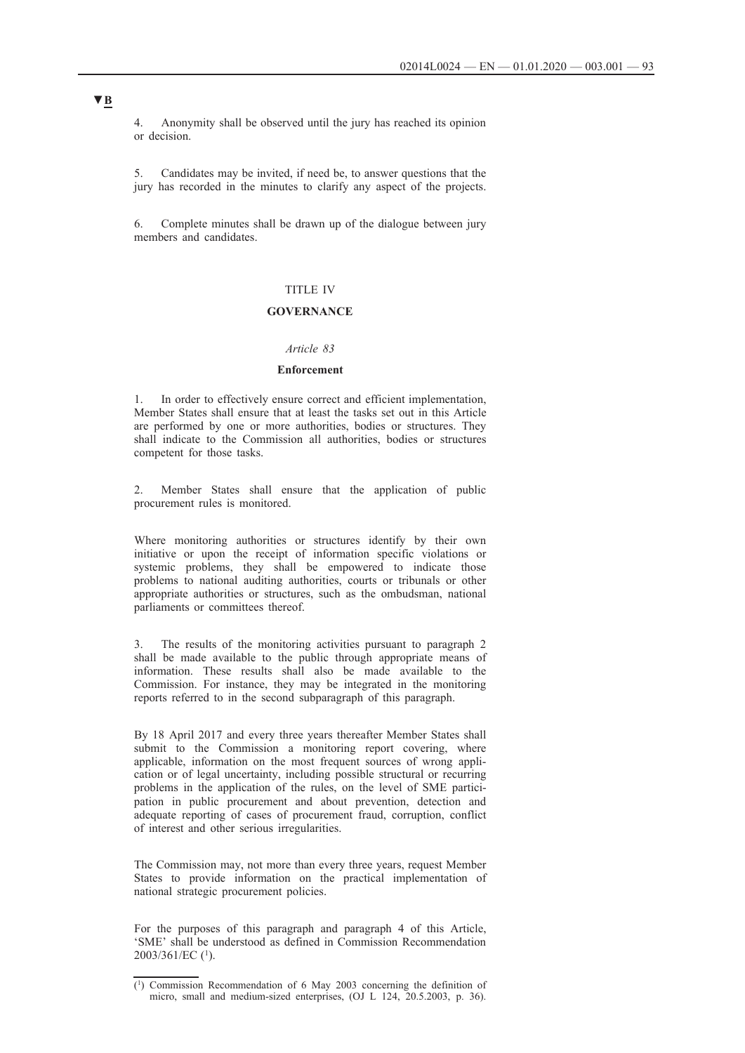4. Anonymity shall be observed until the jury has reached its opinion or decision.

5. Candidates may be invited, if need be, to answer questions that the jury has recorded in the minutes to clarify any aspect of the projects.

6. Complete minutes shall be drawn up of the dialogue between jury members and candidates.

### TITLE IV

### **GOVERNANCE**

### *Article 83*

### **Enforcement**

1. In order to effectively ensure correct and efficient implementation, Member States shall ensure that at least the tasks set out in this Article are performed by one or more authorities, bodies or structures. They shall indicate to the Commission all authorities, bodies or structures competent for those tasks.

2. Member States shall ensure that the application of public procurement rules is monitored.

Where monitoring authorities or structures identify by their own initiative or upon the receipt of information specific violations or systemic problems, they shall be empowered to indicate those problems to national auditing authorities, courts or tribunals or other appropriate authorities or structures, such as the ombudsman, national parliaments or committees thereof.

3. The results of the monitoring activities pursuant to paragraph 2 shall be made available to the public through appropriate means of information. These results shall also be made available to the Commission. For instance, they may be integrated in the monitoring reports referred to in the second subparagraph of this paragraph.

By 18 April 2017 and every three years thereafter Member States shall submit to the Commission a monitoring report covering, where applicable, information on the most frequent sources of wrong application or of legal uncertainty, including possible structural or recurring problems in the application of the rules, on the level of SME participation in public procurement and about prevention, detection and adequate reporting of cases of procurement fraud, corruption, conflict of interest and other serious irregularities.

The Commission may, not more than every three years, request Member States to provide information on the practical implementation of national strategic procurement policies.

For the purposes of this paragraph and paragraph 4 of this Article, 'SME' shall be understood as defined in Commission Recommendation 2003/361/EC (1).

<sup>(1)</sup> Commission Recommendation of 6 May 2003 concerning the definition of micro, small and medium-sized enterprises, (OJ L 124, 20.5.2003, p. 36).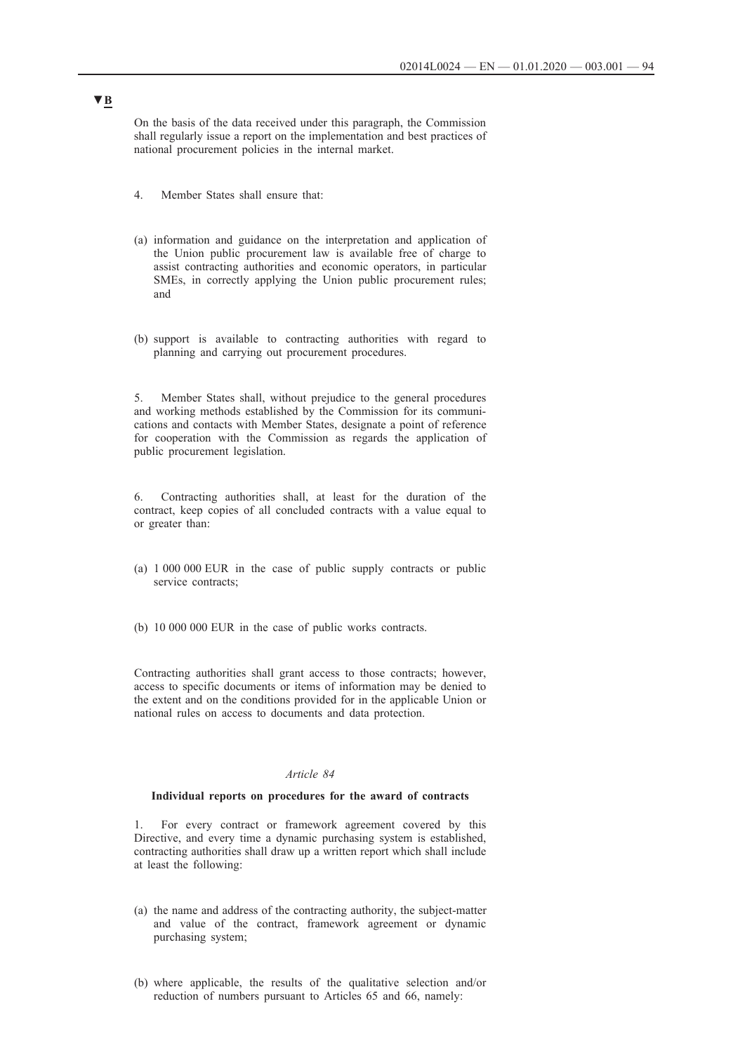On the basis of the data received under this paragraph, the Commission shall regularly issue a report on the implementation and best practices of national procurement policies in the internal market.

- 4. Member States shall ensure that:
- (a) information and guidance on the interpretation and application of the Union public procurement law is available free of charge to assist contracting authorities and economic operators, in particular SMEs, in correctly applying the Union public procurement rules; and
- (b) support is available to contracting authorities with regard to planning and carrying out procurement procedures.

5. Member States shall, without prejudice to the general procedures and working methods established by the Commission for its communications and contacts with Member States, designate a point of reference for cooperation with the Commission as regards the application of public procurement legislation.

6. Contracting authorities shall, at least for the duration of the contract, keep copies of all concluded contracts with a value equal to or greater than:

- (a) 1 000 000 EUR in the case of public supply contracts or public service contracts;
- (b) 10 000 000 EUR in the case of public works contracts.

Contracting authorities shall grant access to those contracts; however, access to specific documents or items of information may be denied to the extent and on the conditions provided for in the applicable Union or national rules on access to documents and data protection.

### *Article 84*

#### **Individual reports on procedures for the award of contracts**

1. For every contract or framework agreement covered by this Directive, and every time a dynamic purchasing system is established, contracting authorities shall draw up a written report which shall include at least the following:

- (a) the name and address of the contracting authority, the subject-matter and value of the contract, framework agreement or dynamic purchasing system;
- (b) where applicable, the results of the qualitative selection and/or reduction of numbers pursuant to Articles 65 and 66, namely: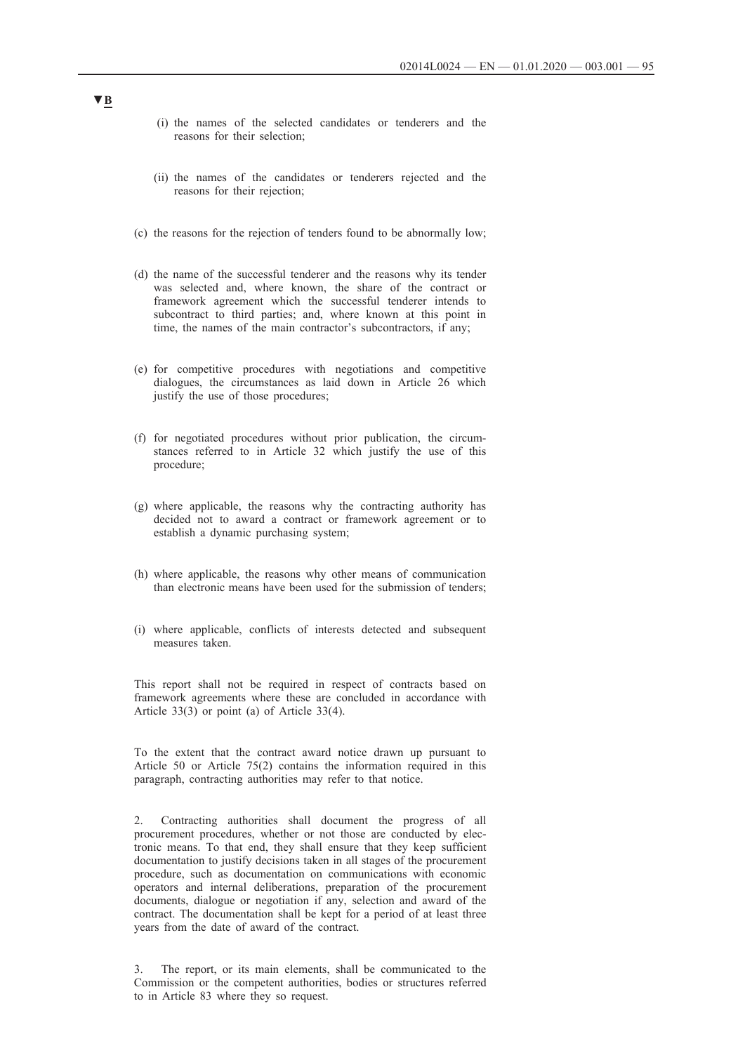- (i) the names of the selected candidates or tenderers and the reasons for their selection;
- (ii) the names of the candidates or tenderers rejected and the reasons for their rejection;
- (c) the reasons for the rejection of tenders found to be abnormally low;
- (d) the name of the successful tenderer and the reasons why its tender was selected and, where known, the share of the contract or framework agreement which the successful tenderer intends to subcontract to third parties; and, where known at this point in time, the names of the main contractor's subcontractors, if any;
- (e) for competitive procedures with negotiations and competitive dialogues, the circumstances as laid down in Article 26 which justify the use of those procedures;
- (f) for negotiated procedures without prior publication, the circumstances referred to in Article 32 which justify the use of this procedure;
- (g) where applicable, the reasons why the contracting authority has decided not to award a contract or framework agreement or to establish a dynamic purchasing system;
- (h) where applicable, the reasons why other means of communication than electronic means have been used for the submission of tenders;
- (i) where applicable, conflicts of interests detected and subsequent measures taken.

This report shall not be required in respect of contracts based on framework agreements where these are concluded in accordance with Article 33(3) or point (a) of Article 33(4).

To the extent that the contract award notice drawn up pursuant to Article 50 or Article 75(2) contains the information required in this paragraph, contracting authorities may refer to that notice.

2. Contracting authorities shall document the progress of all procurement procedures, whether or not those are conducted by electronic means. To that end, they shall ensure that they keep sufficient documentation to justify decisions taken in all stages of the procurement procedure, such as documentation on communications with economic operators and internal deliberations, preparation of the procurement documents, dialogue or negotiation if any, selection and award of the contract. The documentation shall be kept for a period of at least three years from the date of award of the contract.

3. The report, or its main elements, shall be communicated to the Commission or the competent authorities, bodies or structures referred to in Article 83 where they so request.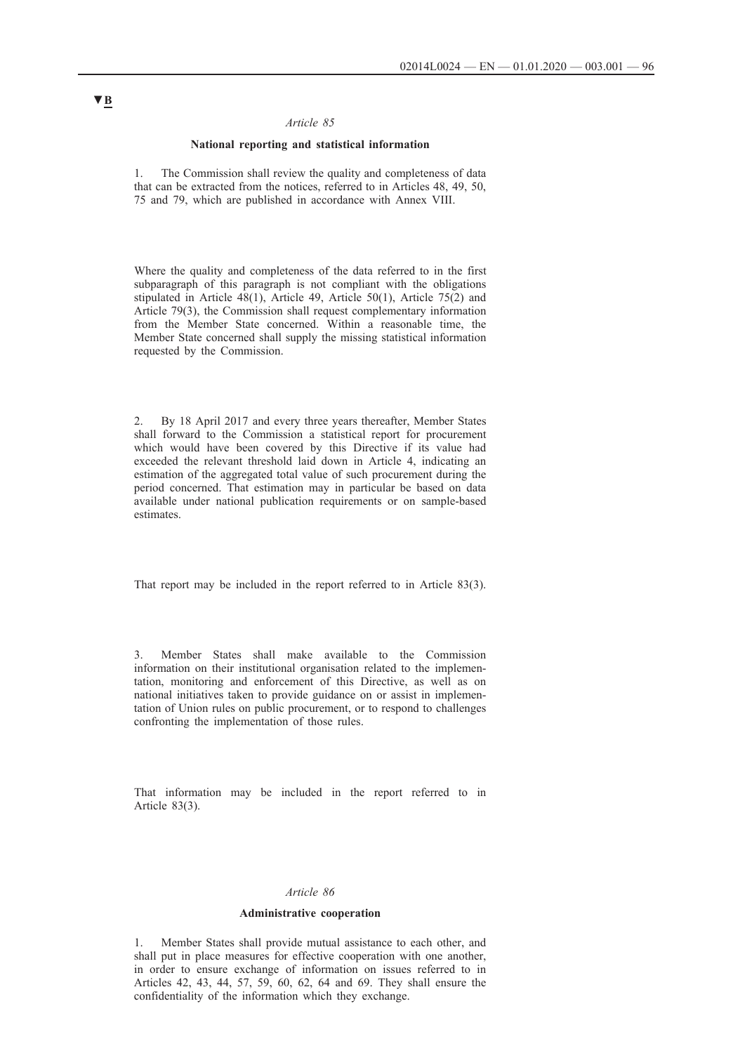#### *Article 85*

### **National reporting and statistical information**

1. The Commission shall review the quality and completeness of data that can be extracted from the notices, referred to in Articles 48, 49, 50, 75 and 79, which are published in accordance with Annex VIII.

Where the quality and completeness of the data referred to in the first subparagraph of this paragraph is not compliant with the obligations stipulated in Article 48(1), Article 49, Article 50(1), Article 75(2) and Article 79(3), the Commission shall request complementary information from the Member State concerned. Within a reasonable time, the Member State concerned shall supply the missing statistical information requested by the Commission.

2. By 18 April 2017 and every three years thereafter, Member States shall forward to the Commission a statistical report for procurement which would have been covered by this Directive if its value had exceeded the relevant threshold laid down in Article 4, indicating an estimation of the aggregated total value of such procurement during the period concerned. That estimation may in particular be based on data available under national publication requirements or on sample-based estimates.

That report may be included in the report referred to in Article 83(3).

3. Member States shall make available to the Commission information on their institutional organisation related to the implementation, monitoring and enforcement of this Directive, as well as on national initiatives taken to provide guidance on or assist in implementation of Union rules on public procurement, or to respond to challenges confronting the implementation of those rules.

That information may be included in the report referred to in Article 83(3).

#### *Article 86*

#### **Administrative cooperation**

1. Member States shall provide mutual assistance to each other, and shall put in place measures for effective cooperation with one another, in order to ensure exchange of information on issues referred to in Articles 42, 43, 44, 57, 59, 60, 62, 64 and 69. They shall ensure the confidentiality of the information which they exchange.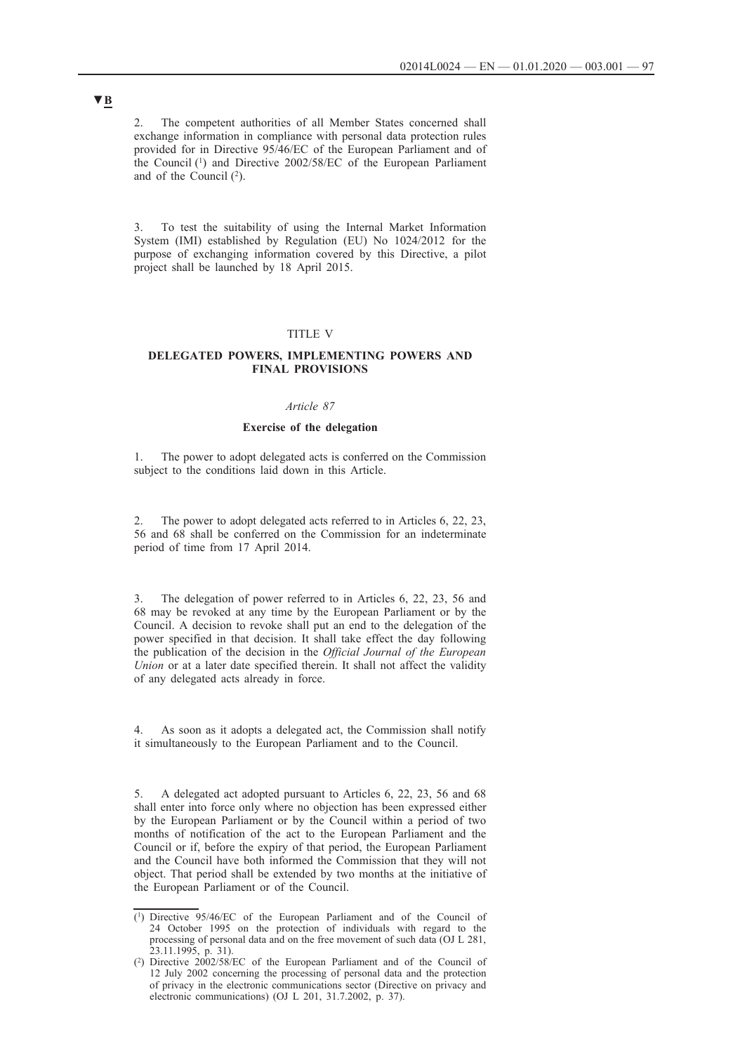2. The competent authorities of all Member States concerned shall exchange information in compliance with personal data protection rules provided for in Directive 95/46/EC of the European Parliament and of the Council (1) and Directive 2002/58/EC of the European Parliament and of the Council  $(2)$ .

3. To test the suitability of using the Internal Market Information System (IMI) established by Regulation (EU) No 1024/2012 for the purpose of exchanging information covered by this Directive, a pilot project shall be launched by 18 April 2015.

### TITLE V

### **DELEGATED POWERS, IMPLEMENTING POWERS AND FINAL PROVISIONS**

### *Article 87*

#### **Exercise of the delegation**

1. The power to adopt delegated acts is conferred on the Commission subject to the conditions laid down in this Article.

2. The power to adopt delegated acts referred to in Articles 6, 22, 23, 56 and 68 shall be conferred on the Commission for an indeterminate period of time from 17 April 2014.

3. The delegation of power referred to in Articles 6, 22, 23, 56 and 68 may be revoked at any time by the European Parliament or by the Council. A decision to revoke shall put an end to the delegation of the power specified in that decision. It shall take effect the day following the publication of the decision in the *Official Journal of the European Union* or at a later date specified therein. It shall not affect the validity of any delegated acts already in force.

4. As soon as it adopts a delegated act, the Commission shall notify it simultaneously to the European Parliament and to the Council.

5. A delegated act adopted pursuant to Articles 6, 22, 23, 56 and 68 shall enter into force only where no objection has been expressed either by the European Parliament or by the Council within a period of two months of notification of the act to the European Parliament and the Council or if, before the expiry of that period, the European Parliament and the Council have both informed the Commission that they will not object. That period shall be extended by two months at the initiative of the European Parliament or of the Council.

<sup>(1)</sup> Directive 95/46/EC of the European Parliament and of the Council of 24 October 1995 on the protection of individuals with regard to the processing of personal data and on the free movement of such data (OJ L 281, 23.11.1995, p. 31).

<sup>(2)</sup> Directive 2002/58/EC of the European Parliament and of the Council of 12 July 2002 concerning the processing of personal data and the protection of privacy in the electronic communications sector (Directive on privacy and electronic communications) (OJ L 201, 31.7.2002, p. 37).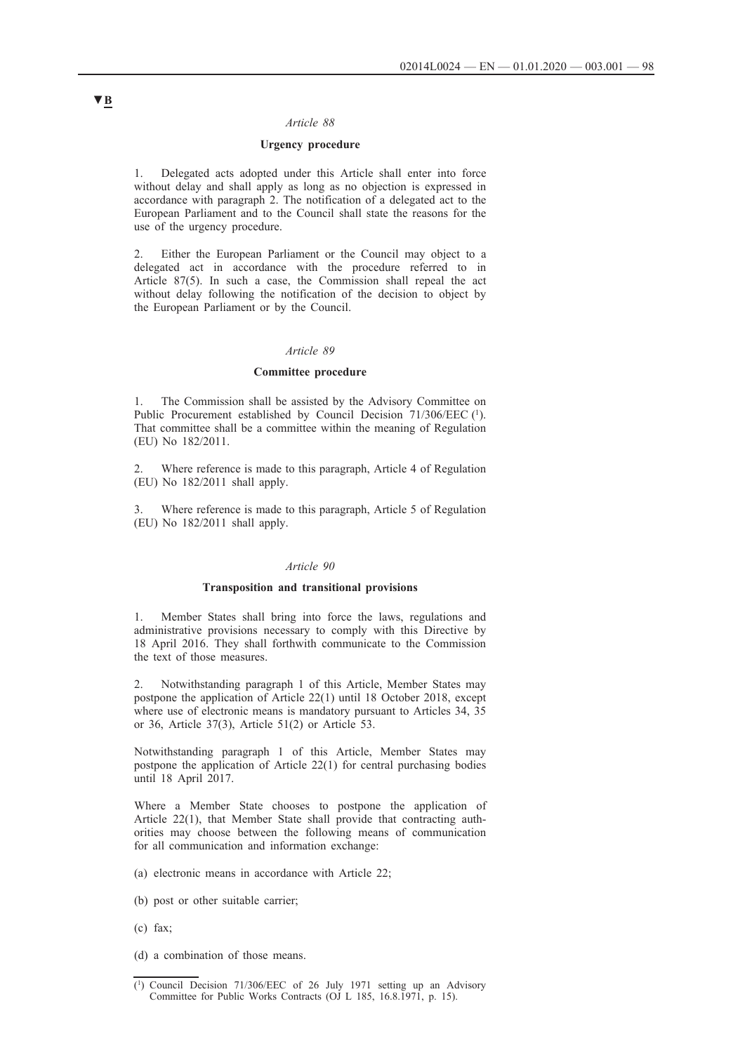#### *Article 88*

### **Urgency procedure**

1. Delegated acts adopted under this Article shall enter into force without delay and shall apply as long as no objection is expressed in accordance with paragraph 2. The notification of a delegated act to the European Parliament and to the Council shall state the reasons for the use of the urgency procedure.

2. Either the European Parliament or the Council may object to a delegated act in accordance with the procedure referred to in Article 87(5). In such a case, the Commission shall repeal the act without delay following the notification of the decision to object by the European Parliament or by the Council.

#### *Article 89*

### **Committee procedure**

1. The Commission shall be assisted by the Advisory Committee on Public Procurement established by Council Decision 71/306/EEC (1). That committee shall be a committee within the meaning of Regulation (EU) No 182/2011.

2. Where reference is made to this paragraph, Article 4 of Regulation (EU) No 182/2011 shall apply.

3. Where reference is made to this paragraph, Article 5 of Regulation (EU) No 182/2011 shall apply.

#### *Article 90*

#### **Transposition and transitional provisions**

1. Member States shall bring into force the laws, regulations and administrative provisions necessary to comply with this Directive by 18 April 2016. They shall forthwith communicate to the Commission the text of those measures.

2. Notwithstanding paragraph 1 of this Article, Member States may postpone the application of Article 22(1) until 18 October 2018, except where use of electronic means is mandatory pursuant to Articles 34, 35 or 36, Article 37(3), Article 51(2) or Article 53.

Notwithstanding paragraph 1 of this Article, Member States may postpone the application of Article 22(1) for central purchasing bodies until 18 April 2017.

Where a Member State chooses to postpone the application of Article 22(1), that Member State shall provide that contracting authorities may choose between the following means of communication for all communication and information exchange:

- (a) electronic means in accordance with Article 22;
- (b) post or other suitable carrier;
- (c) fax;
- (d) a combination of those means.

<sup>(1)</sup> Council Decision 71/306/EEC of 26 July 1971 setting up an Advisory Committee for Public Works Contracts (OJ L 185, 16.8.1971, p. 15).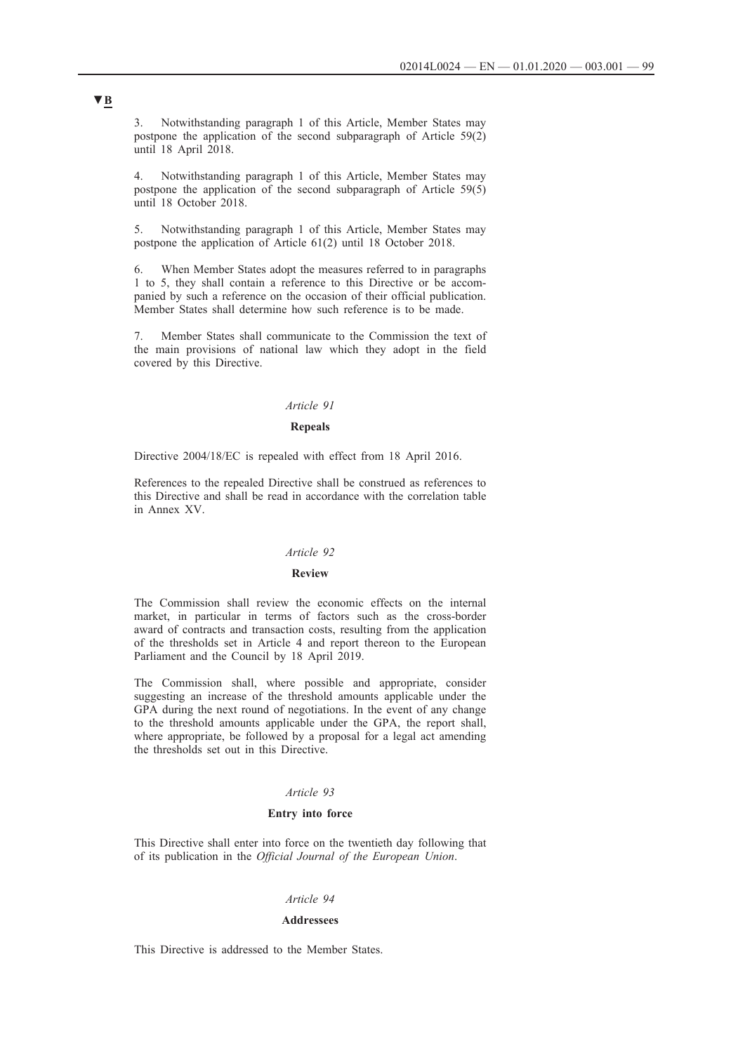3. Notwithstanding paragraph 1 of this Article, Member States may postpone the application of the second subparagraph of Article 59(2) until 18 April 2018.

4. Notwithstanding paragraph 1 of this Article, Member States may postpone the application of the second subparagraph of Article 59(5) until 18 October 2018.

5. Notwithstanding paragraph 1 of this Article, Member States may postpone the application of Article 61(2) until 18 October 2018.

6. When Member States adopt the measures referred to in paragraphs 1 to 5, they shall contain a reference to this Directive or be accompanied by such a reference on the occasion of their official publication. Member States shall determine how such reference is to be made.

7. Member States shall communicate to the Commission the text of the main provisions of national law which they adopt in the field covered by this Directive.

# *Article 91*

#### **Repeals**

Directive 2004/18/EC is repealed with effect from 18 April 2016.

References to the repealed Directive shall be construed as references to this Directive and shall be read in accordance with the correlation table in Annex XV.

#### *Article 92*

#### **Review**

The Commission shall review the economic effects on the internal market, in particular in terms of factors such as the cross-border award of contracts and transaction costs, resulting from the application of the thresholds set in Article 4 and report thereon to the European Parliament and the Council by 18 April 2019.

The Commission shall, where possible and appropriate, consider suggesting an increase of the threshold amounts applicable under the GPA during the next round of negotiations. In the event of any change to the threshold amounts applicable under the GPA, the report shall, where appropriate, be followed by a proposal for a legal act amending the thresholds set out in this Directive.

### *Article 93*

### **Entry into force**

This Directive shall enter into force on the twentieth day following that of its publication in the *Official Journal of the European Union*.

#### *Article 94*

#### **Addressees**

This Directive is addressed to the Member States.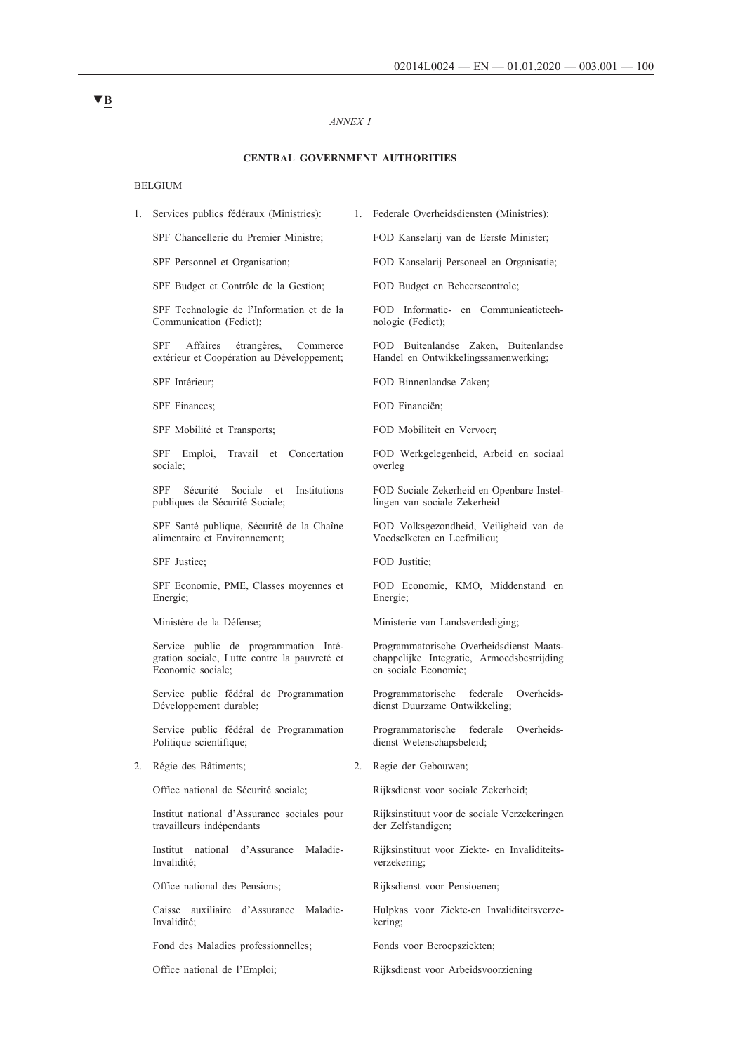#### *ANNEX I*

#### **CENTRAL GOVERNMENT AUTHORITIES**

#### BELGIUM

SPF Budget et Contrôle de la Gestion; FOD Budget en Beheerscontrole;

SPF Technologie de l'Information et de la Communication (Fedict);

SPF Affaires étrangères, Commerce extérieur et Coopération au Développement;

SPF Emploi, Travail et Concertation sociale;

SPF Sécurité Sociale et Institutions publiques de Sécurité Sociale;

SPF Santé publique, Sécurité de la Chaîne alimentaire et Environnement;

SPF Economie, PME, Classes moyennes et Energie;

Service public de programmation Intégration sociale, Lutte contre la pauvreté et Economie sociale;

Service public fédéral de Programmation Développement durable;

Service public fédéral de Programmation Politique scientifique;

2. Régie des Bâtiments; 2. Regie der Gebouwen;

Institut national d'Assurance sociales pour travailleurs indépendants

Institut national d'Assurance Maladie-Invalidité;

Office national des Pensions; Rijksdienst voor Pensioenen;

Caisse auxiliaire d'Assurance Maladie-Invalidité;

Fond des Maladies professionnelles; Fonds voor Beroepsziekten;

1. Services publics fédéraux (Ministries): 1. Federale Overheidsdiensten (Ministries):

SPF Chancellerie du Premier Ministre; FOD Kanselarij van de Eerste Minister;

SPF Personnel et Organisation; FOD Kanselarij Personeel en Organisatie;

FOD Informatie- en Communicatietechnologie (Fedict);

FOD Buitenlandse Zaken, Buitenlandse Handel en Ontwikkelingssamenwerking;

SPF Intérieur; FOD Binnenlandse Zaken;

SPF Finances; FOD Financiën;

SPF Mobilité et Transports; FOD Mobiliteit en Vervoer;

FOD Werkgelegenheid, Arbeid en sociaal overleg

FOD Sociale Zekerheid en Openbare Instellingen van sociale Zekerheid

FOD Volksgezondheid, Veiligheid van de Voedselketen en Leefmilieu;

SPF Justice; FOD Justitie;

FOD Economie, KMO, Middenstand en Energie;

Ministère de la Défense; Ministerie van Landsverdediging;

Programmatorische Overheidsdienst Maatschappelijke Integratie, Armoedsbestrijding en sociale Economie;

Programmatorische federale Overheidsdienst Duurzame Ontwikkeling;

Programmatorische federale Overheidsdienst Wetenschapsbeleid;

Office national de Sécurité sociale; Rijksdienst voor sociale Zekerheid;

Rijksinstituut voor de sociale Verzekeringen der Zelfstandigen;

Rijksinstituut voor Ziekte- en Invaliditeitsverzekering;

Hulpkas voor Ziekte-en Invaliditeitsverzekering;

Office national de l'Emploi; Rijksdienst voor Arbeidsvoorziening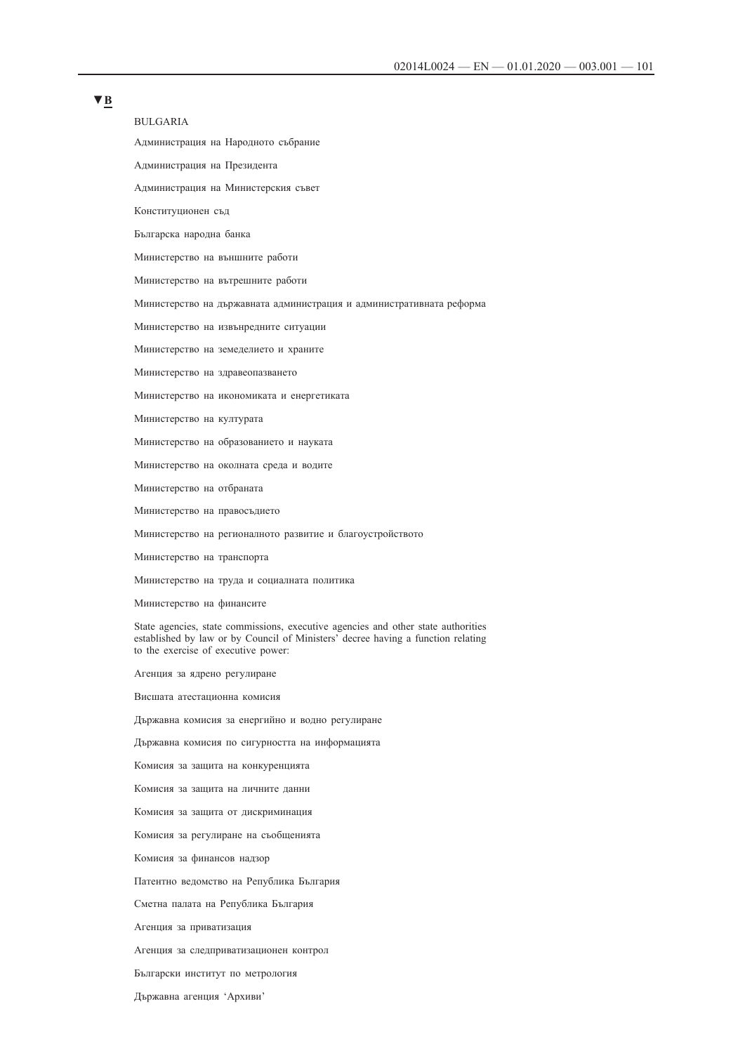### **▼B**

#### BULGARIA

Администрация на Народното събрание

Aдминистрация на Президента

Администрация на Министерския съвет

Конституционен съд

Българска народна банка

Министерство на външните работи

Министерство на вътрешните работи

Министерство на държавната администрация и административната реформа

Министерство на извънредните ситуации

Министерство на земеделието и храните

Министерство на здравеопазването

Министерство на икономиката и енергетиката

Министерство на културата

Министерство на образованието и науката

Министерство на околната среда и водите

Министерство на отбраната

Министерство на правосъдието

Министерство на регионалното развитие и благоустройството

Министерство на транспорта

Министерство на труда и социалната политика

Министерство на финансите

State agencies, state commissions, executive agencies and other state authorities established by law or by Council of Ministers' decree having a function relating to the exercise of executive power:

Агенция за ядрено регулиране

Висшата атестационна комисия

Държавна комисия за енергийно и водно регулиране

Държавна комисия по сигурността на информацията

Комисия за защита на конкуренцията

Комисия за защита на личните данни

Комисия за защита от дискриминация

Комисия за регулиране на съобщенията

Комисия за финансов надзор

Патентно ведомство на Република България

Сметна палата на Република България

Агенция за приватизация

Агенция за следприватизационен контрол

Български институт по метрология

Държавна агенция 'Архиви'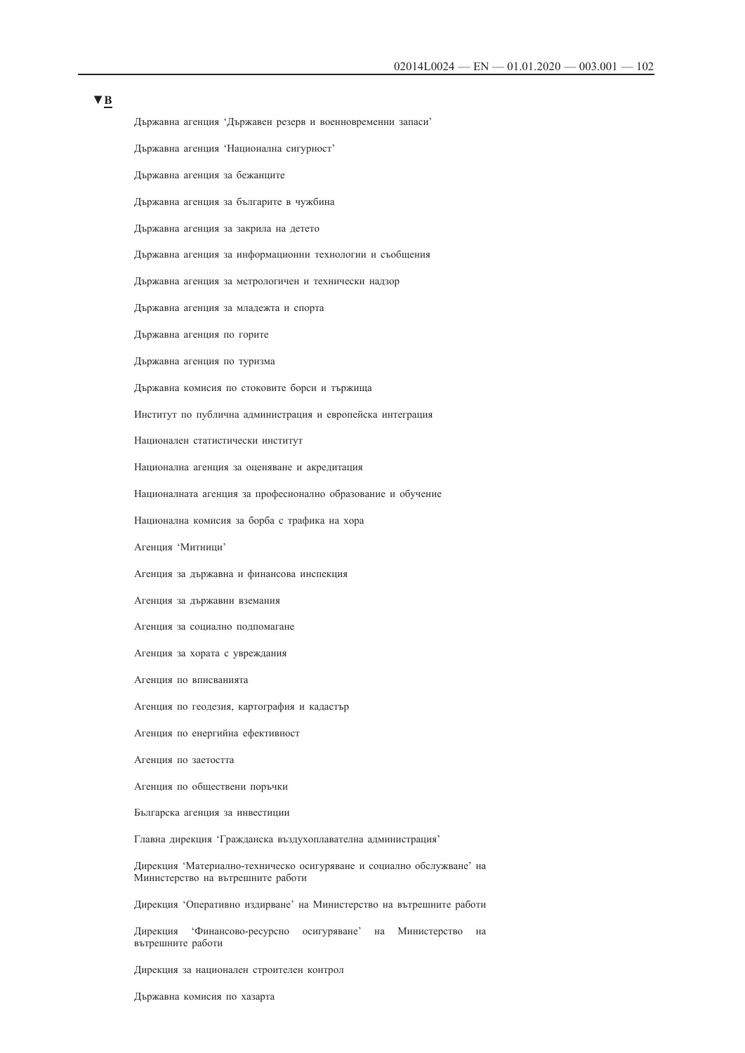Държавна агенция 'Държавен резерв и военновременни запаси' Държавна агенция 'Национална сигурност' Държавна агенция за бежанците Държавна агенция за българите в чужбина Държавна агенция за закрила на детето Държавна агенция за информационни технологии и съобщения Държавна агенция за метрологичен и технически надзор Държавна агенция за младежта и спорта Държавна агенция по горите Държавна агенция по туризма Държавна комисия по стоковите борси и тържища Институт по публична администрация и европейска интеграция Национален статистически институт Национална агенция за оценяване и акредитация Националната агенция за професионално образование и обучение Национална комисия за борба с трафика на хора Агенция 'Митници' Агенция за държавна и финансова инспекция Агенция за държавни вземания Агенция за социално подпомагане Агенция за хората с увреждания Агенция по вписванията Агенция по геодезия, картография и кадастър Агенция по енергийна ефективност Агенция по заетостта Агенция по обществени поръчки Българска агенция за инвестиции Главна дирекция 'Гражданска въздухоплавателна администрация' Дирекция 'Материално-техническо осигуряване и социално обслужване' на Министерство на вътрешните работи Дирекция 'Оперативно издирване' на Министерство на вътрешните работи Дирекция 'Финансово-ресурсно осигуряване' на Министерство на

вътрешните работи

Дирекция за национален строителен контрол

Държавна комисия по хазарта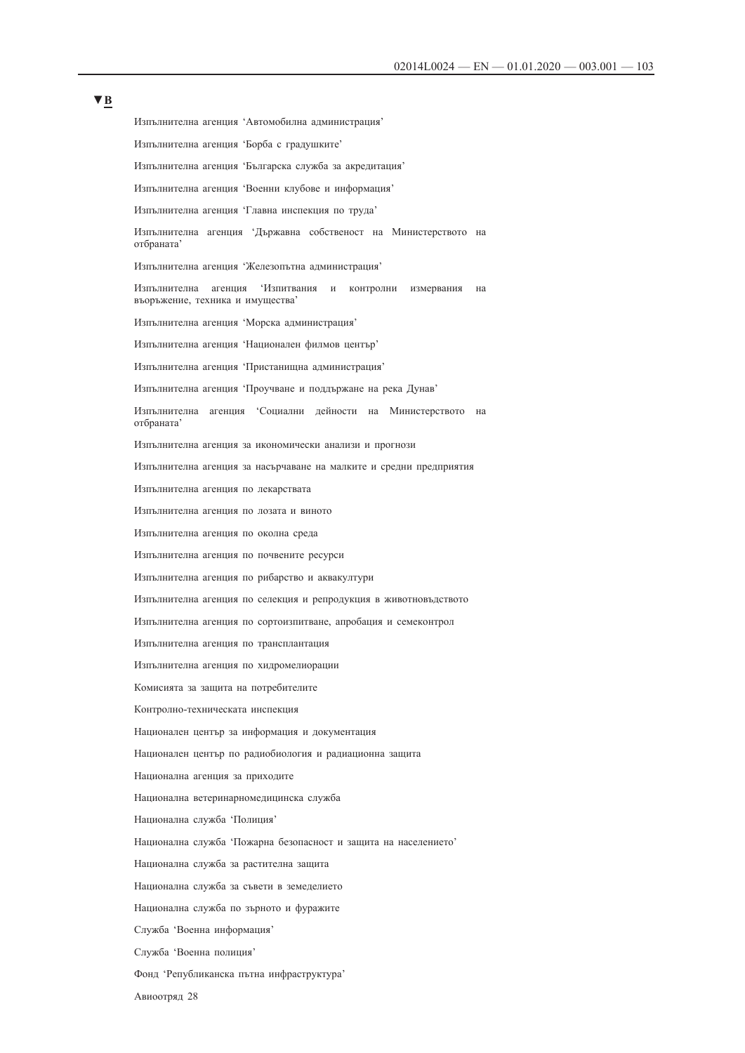Изпълнителна агенция 'Автомобилна администрация' Изпълнителна агенция 'Борба с градушките' Изпълнителна агенция 'Българска служба за акредитация' Изпълнителна агенция 'Военни клубове и информация' Изпълнителна агенция 'Главна инспекция по труда' Изпълнителна агенция 'Държавна собственост на Министерството на отбраната' Изпълнителна агенция 'Железопътна администрация' Изпълнителна агенция 'Изпитвания и контролни измервания на въоръжение, техника и имущества' Изпълнителна агенция 'Морска администрация' Изпълнителна агенция 'Национален филмов център' Изпълнителна агенция 'Пристанищна администрация' Изпълнителна агенция 'Проучване и поддържане на река Дунав' Изпълнителна агенция 'Социални дейности на Министерството на отбраната' Изпълнителна агенция за икономически анализи и прогнози Изпълнителна агенция за насърчаване на малките и средни предприятия Изпълнителна агенция по лекарствата Изпълнителна агенция по лозата и виното Изпълнителна агенция по околна среда Изпълнителна агенция по почвените ресурси Изпълнителна агенция по рибарство и аквакултури Изпълнителна агенция по селекция и репродукция в животновъдството Изпълнителна агенция по сортоизпитване, апробация и семеконтрол Изпълнителна агенция по трансплантация Изпълнителна агенция по хидромелиорации Комисията за защита на потребителите Контролно-техническата инспекция Национален център за информация и документация Национален център по радиобиология и радиационна защита Национална агенция за приходите Национална ветеринарномедицинска служба Национална служба 'Полиция' Национална служба 'Пожарна безопасност и защита на населението' Национална служба за растителна защита Национална служба за съвети в земеделието Национална служба по зърното и фуражите Служба 'Военна информация' Служба 'Военна полиция' Фонд 'Републиканска пътна инфраструктура'

Авиоотряд 28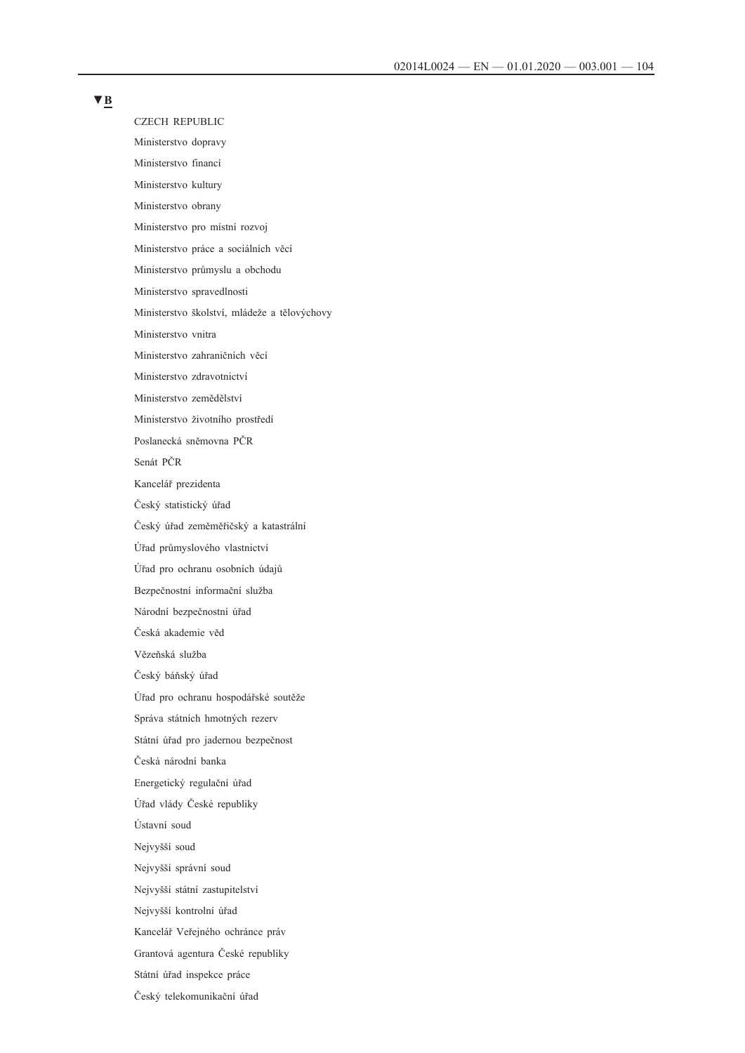### **▼B**

CZECH REPUBLIC

Ministerstvo dopravy Ministerstvo financí Ministerstvo kultury Ministerstvo obrany Ministerstvo pro místní rozvoj Ministerstvo práce a sociálních věcí Ministerstvo průmyslu a obchodu Ministerstvo spravedlnosti Ministerstvo školství, mládeže a tělovýchovy Ministerstvo vnitra Ministerstvo zahraničních věcí Ministerstvo zdravotnictví Ministerstvo zemědělství Ministerstvo životního prostředí Poslanecká sněmovna PČR Senát PČR Kancelář prezidenta Český statistický úřad Český úřad zeměměřičský a katastrální Úřad průmyslového vlastnictví Úřad pro ochranu osobních údajů Bezpečnostní informační služba Národní bezpečnostní úřad Česká akademie věd Vězeňská služba Český báňský úřad Úřad pro ochranu hospodářské soutěže Správa státních hmotných rezerv Státní úřad pro jadernou bezpečnost Česká národní banka Energetický regulační úřad Úřad vlády České republiky Ústavní soud Nejvyšší soud Nejvyšší správní soud Nejvyšší státní zastupitelství Nejvyšší kontrolní úřad Kancelář Veřejného ochránce práv Grantová agentura České republiky Státní úřad inspekce práce Český telekomunikační úřad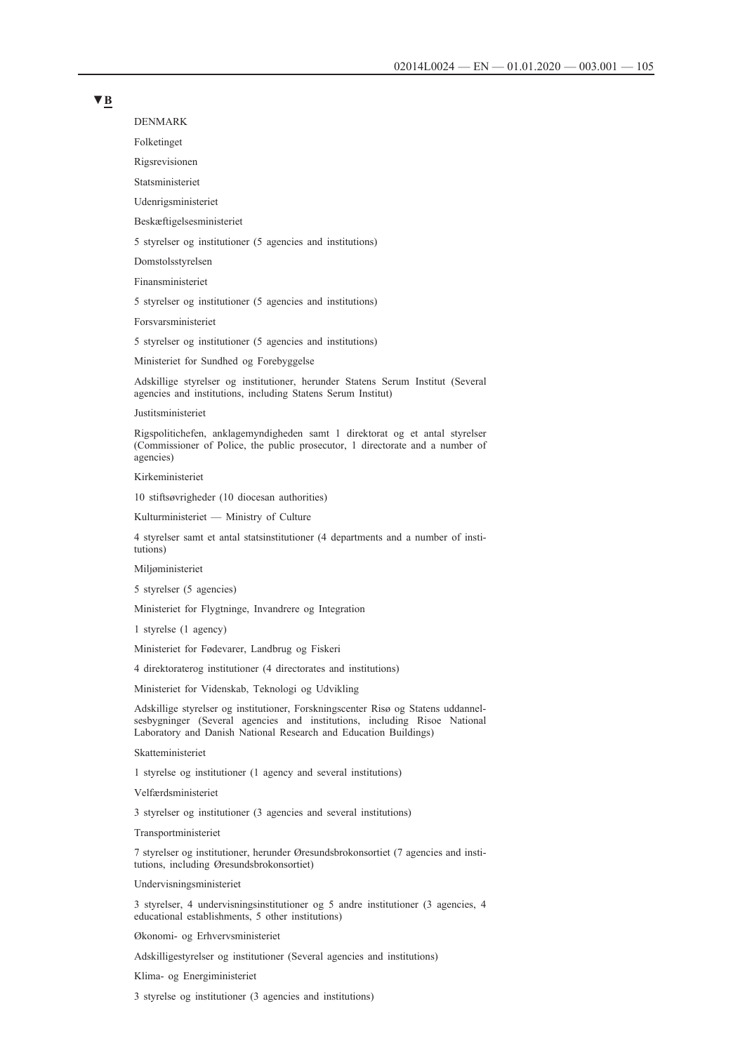### **▼B**

DENMARK

Folketinget Rigsrevisionen

Statsministeriet

Udenrigsministeriet

Beskæftigelsesministeriet

5 styrelser og institutioner (5 agencies and institutions)

Domstolsstyrelsen

Finansministeriet

5 styrelser og institutioner (5 agencies and institutions)

Forsvarsministeriet

5 styrelser og institutioner (5 agencies and institutions)

Ministeriet for Sundhed og Forebyggelse

Adskillige styrelser og institutioner, herunder Statens Serum Institut (Several agencies and institutions, including Statens Serum Institut)

#### Justitsministeriet

Rigspolitichefen, anklagemyndigheden samt 1 direktorat og et antal styrelser (Commissioner of Police, the public prosecutor, 1 directorate and a number of agencies)

Kirkeministeriet

10 stiftsøvrigheder (10 diocesan authorities)

Kulturministeriet — Ministry of Culture

4 styrelser samt et antal statsinstitutioner (4 departments and a number of institutions)

Miljøministeriet

5 styrelser (5 agencies)

Ministeriet for Flygtninge, Invandrere og Integration

1 styrelse (1 agency)

Ministeriet for Fødevarer, Landbrug og Fiskeri

4 direktoraterog institutioner (4 directorates and institutions)

Ministeriet for Videnskab, Teknologi og Udvikling

Adskillige styrelser og institutioner, Forskningscenter Risø og Statens uddannelsesbygninger (Several agencies and institutions, including Risoe National Laboratory and Danish National Research and Education Buildings)

#### Skatteministeriet

1 styrelse og institutioner (1 agency and several institutions)

Velfærdsministeriet

3 styrelser og institutioner (3 agencies and several institutions)

Transportministeriet

7 styrelser og institutioner, herunder Øresundsbrokonsortiet (7 agencies and institutions, including Øresundsbrokonsortiet)

Undervisningsministeriet

3 styrelser, 4 undervisningsinstitutioner og 5 andre institutioner (3 agencies, 4 educational establishments, 5 other institutions)

Økonomi- og Erhvervsministeriet

Adskilligestyrelser og institutioner (Several agencies and institutions)

Klima- og Energiministeriet

3 styrelse og institutioner (3 agencies and institutions)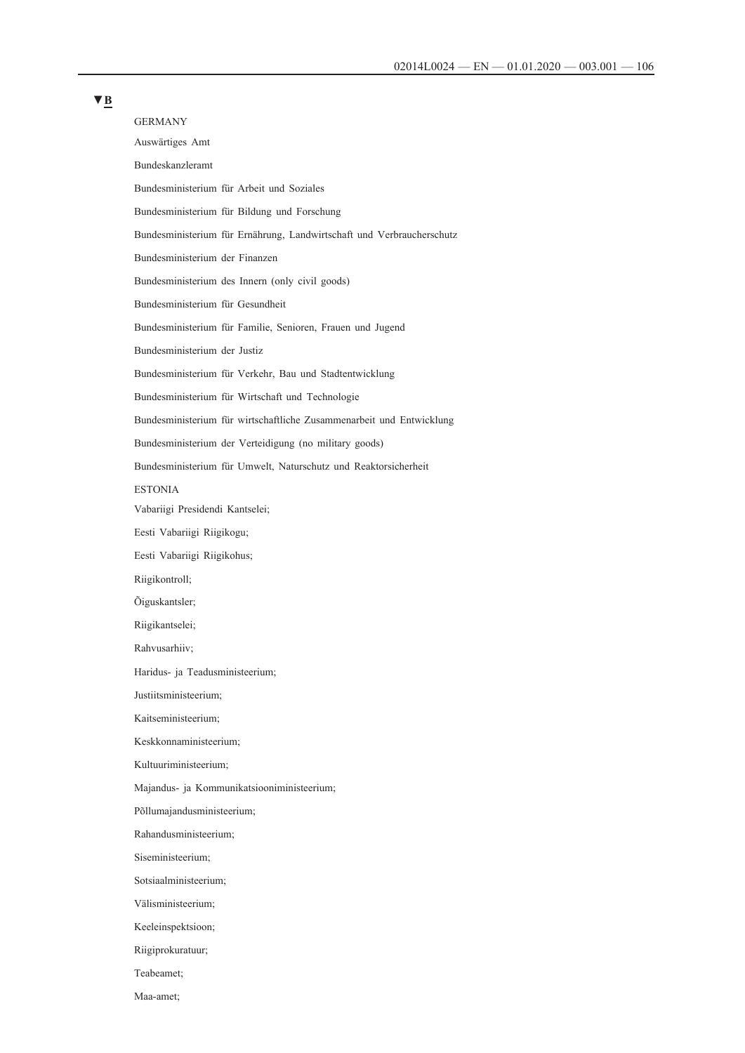# GERMANY Auswärtiges Amt Bundeskanzleramt Bundesministerium für Arbeit und Soziales Bundesministerium für Bildung und Forschung Bundesministerium für Ernährung, Landwirtschaft und Verbraucherschutz Bundesministerium der Finanzen Bundesministerium des Innern (only civil goods) Bundesministerium für Gesundheit Bundesministerium für Familie, Senioren, Frauen und Jugend Bundesministerium der Justiz Bundesministerium für Verkehr, Bau und Stadtentwicklung Bundesministerium für Wirtschaft und Technologie Bundesministerium für wirtschaftliche Zusammenarbeit und Entwicklung Bundesministerium der Verteidigung (no military goods) Bundesministerium für Umwelt, Naturschutz und Reaktorsicherheit ESTONIA Vabariigi Presidendi Kantselei; Eesti Vabariigi Riigikogu; Eesti Vabariigi Riigikohus; Riigikontroll; Õiguskantsler; Riigikantselei; Rahvusarhiiv; Haridus- ja Teadusministeerium; Justiitsministeerium; Kaitseministeerium; Keskkonnaministeerium; Kultuuriministeerium; Majandus- ja Kommunikatsiooniministeerium; Põllumajandusministeerium; Rahandusministeerium; Siseministeerium; Sotsiaalministeerium;

Välisministeerium;

Keeleinspektsioon;

Riigiprokuratuur;

Teabeamet;

Maa-amet;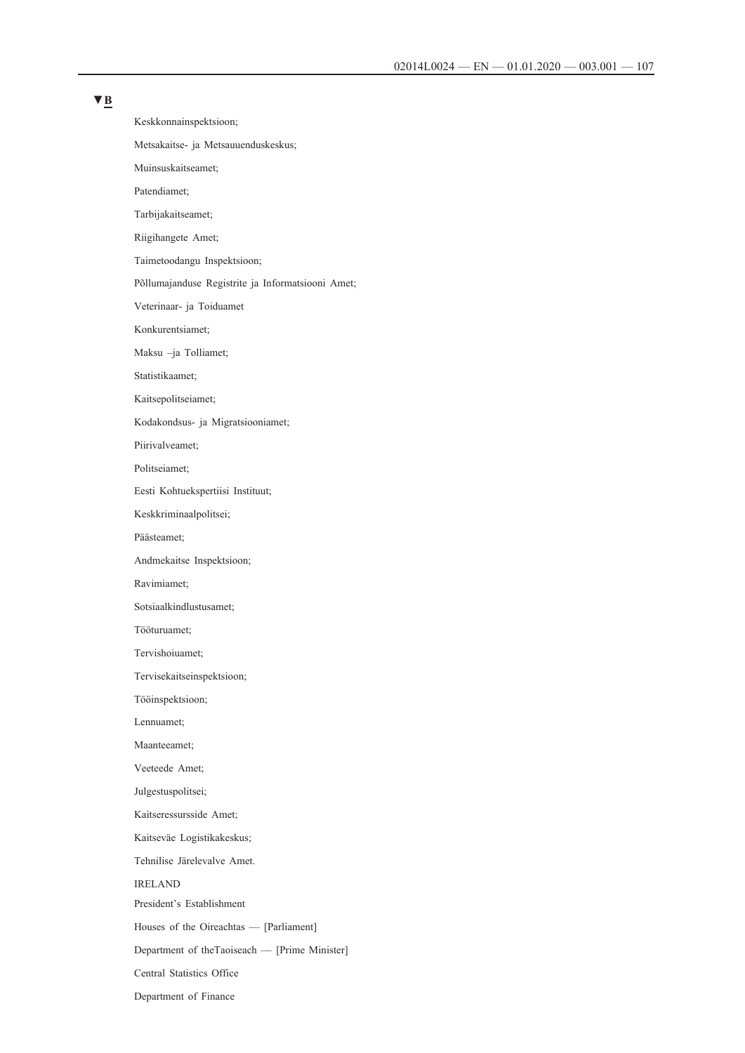Keskkonnainspektsioon; Metsakaitse- ja Metsauuenduskeskus; Muinsuskaitseamet; Patendiamet; Tarbijakaitseamet; Riigihangete Amet; Taimetoodangu Inspektsioon; Põllumajanduse Registrite ja Informatsiooni Amet; Veterinaar- ja Toiduamet Konkurentsiamet; Maksu –ja Tolliamet; Statistikaamet; Kaitsepolitseiamet; Kodakondsus- ja Migratsiooniamet; Piirivalveamet; Politseiamet; Eesti Kohtuekspertiisi Instituut; Keskkriminaalpolitsei; Päästeamet; Andmekaitse Inspektsioon; Ravimiamet; Sotsiaalkindlustusamet; Tööturuamet; Tervishoiuamet; Tervisekaitseinspektsioon; Tööinspektsioon; Lennuamet; Maanteeamet; Veeteede Amet; Julgestuspolitsei; Kaitseressursside Amet; Kaitseväe Logistikakeskus; Tehnilise Järelevalve Amet. IRELAND President's Establishment Houses of the Oireachtas — [Parliament] Department of theTaoiseach — [Prime Minister] Central Statistics Office

Department of Finance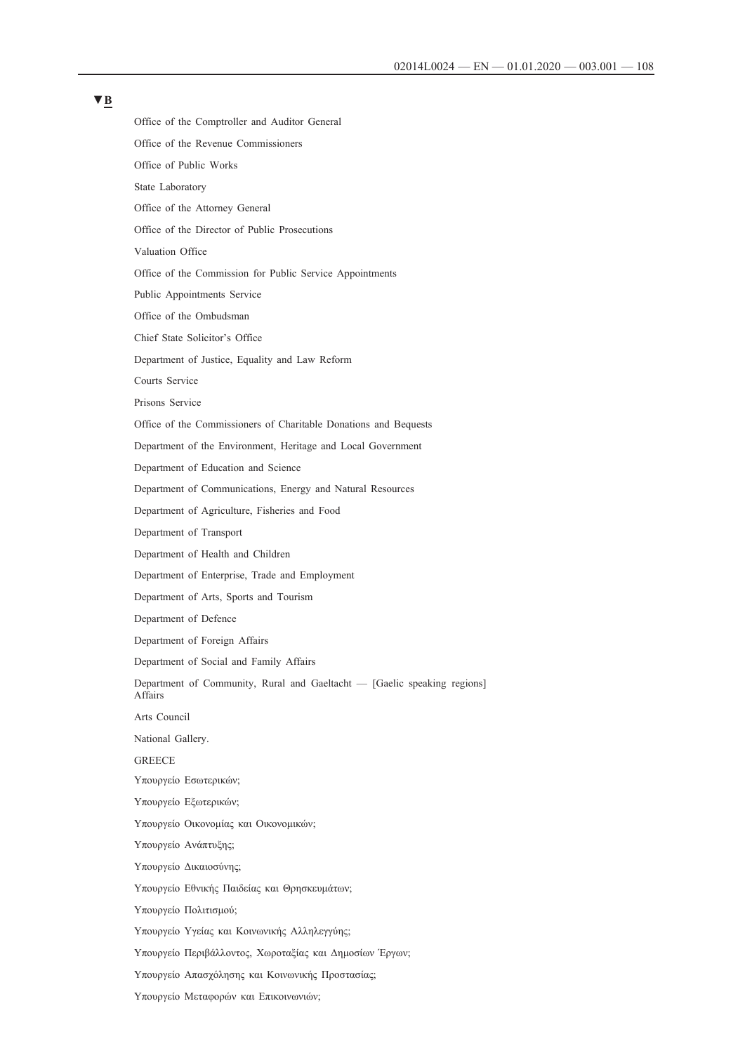Office of the Comptroller and Auditor General Office of the Revenue Commissioners Office of Public Works State Laboratory Office of the Attorney General Office of the Director of Public Prosecutions Valuation Office Office of the Commission for Public Service Appointments Public Appointments Service Office of the Ombudsman Chief State Solicitor's Office Department of Justice, Equality and Law Reform Courts Service Prisons Service Office of the Commissioners of Charitable Donations and Bequests Department of the Environment, Heritage and Local Government Department of Education and Science Department of Communications, Energy and Natural Resources Department of Agriculture, Fisheries and Food Department of Transport Department of Health and Children Department of Enterprise, Trade and Employment Department of Arts, Sports and Tourism Department of Defence Department of Foreign Affairs Department of Social and Family Affairs Department of Community, Rural and Gaeltacht — [Gaelic speaking regions] Affairs Arts Council National Gallery. **GREECE** Υπουργείο Εσωτερικών; Υπουργείο Εξωτερικών; Υπουργείο Οικονομίας και Οικονομικών; Υπουργείο Ανάπτυξης; Υπουργείο Δικαιοσύνης; Υπουργείο Εθνικής Παιδείας και Θρησκευμάτων; Υπουργείο Πολιτισμού; Υπουργείο Υγείας και Κοινωνικής Αλληλεγγύης; Υπουργείο Περιβάλλοντος, Χωροταξίας και Δημοσίων Έργων; Υπουργείο Απασχόλησης και Κοινωνικής Προστασίας;

Υπουργείο Μεταφορών και Επικοινωνιών;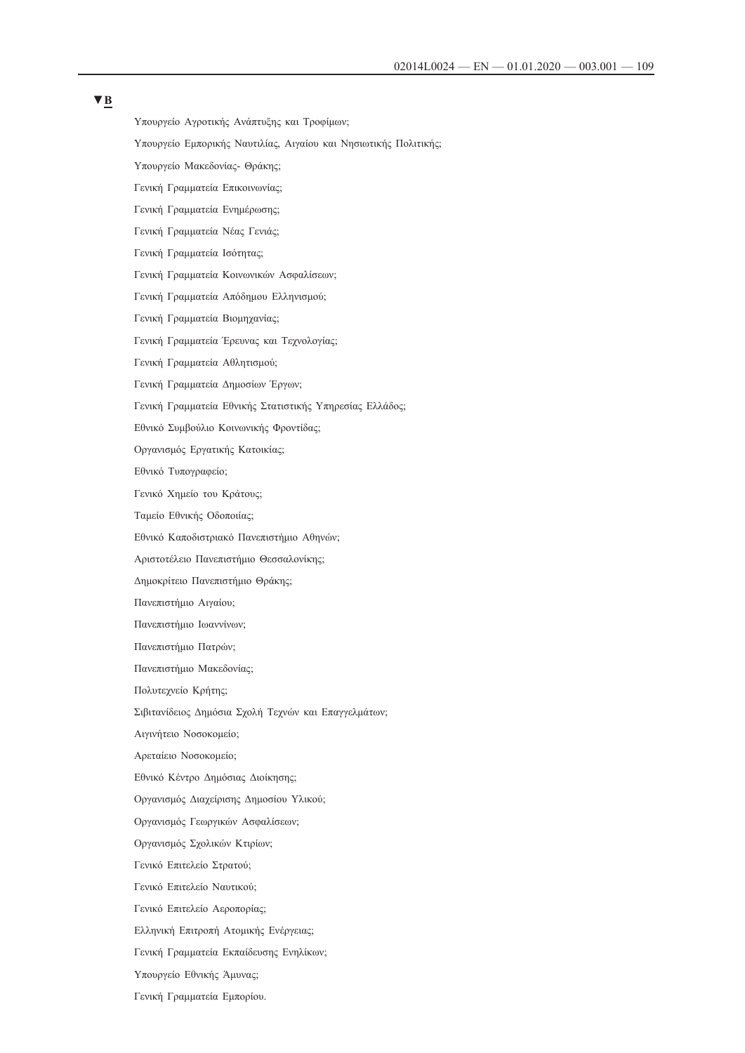Υπουργείο Αγροτικής Ανάπτυξης και Τροφίμων;

Υπουργείο Εμπορικής Ναυτιλίας, Αιγαίου και Νησιωτικής Πολιτικής;

Υπουργείο Μακεδονίας- Θράκης;

Γενική Γραμματεία Επικοινωνίας;

Γενική Γραμματεία Ενημέρωσης;

Γενική Γραμματεία Νέας Γενιάς;

Γενική Γραμματεία Ισότητας;

Γενική Γραμματεία Κοινωνικών Ασφαλίσεων;

Γενική Γραμματεία Απόδημου Ελληνισμού;

Γενική Γραμματεία Βιομηχανίας;

Γενική Γραμματεία Έρευνας και Τεχνολογίας;

Γενική Γραμματεία Αθλητισμού;

Γενική Γραμματεία Δημοσίων Έργων;

Γενική Γραμματεία Εθνικής Στατιστικής Υπηρεσίας Ελλάδος;

Εθνικό Συμβούλιο Κοινωνικής Φροντίδας;

Οργανισμός Εργατικής Κατοικίας;

Εθνικό Τυπογραφείο;

Γενικό Χημείο του Κράτους;

Ταμείο Εθνικής Οδοποιίας;

Εθνικό Καποδιστριακό Πανεπιστήμιο Αθηνών;

Αριστοτέλειο Πανεπιστήμιο Θεσσαλονίκης;

Δημοκρίτειο Πανεπιστήμιο Θράκης;

Πανεπιστήμιο Αιγαίου;

Πανεπιστήμιο Ιωαννίνων;

Πανεπιστήμιο Πατρών;

Πανεπιστήμιο Μακεδονίας;

Πολυτεχνείο Κρήτης;

Σιβιτανίδειος Δημόσια Σχολή Τεχνών και Επαγγελμάτων;

Αιγινήτειο Νοσοκομείο;

Αρεταίειο Νοσοκομείο;

Εθνικό Κέντρο Δημόσιας Διοίκησης;

Οργανισμός Διαχείρισης Δημοσίου Υλικού;

Οργανισμός Γεωργικών Ασφαλίσεων;

Οργανισμός Σχολικών Κτιρίων;

Γενικό Επιτελείο Στρατού;

Γενικό Επιτελείο Ναυτικού;

Γενικό Επιτελείο Αεροπορίας;

Ελληνική Επιτροπή Ατομικής Ενέργειας;

Γενική Γραμματεία Εκπαίδευσης Ενηλίκων;

Υπουργείο Εθνικής Άμυνας;

Γενική Γραμματεία Εμπορίου.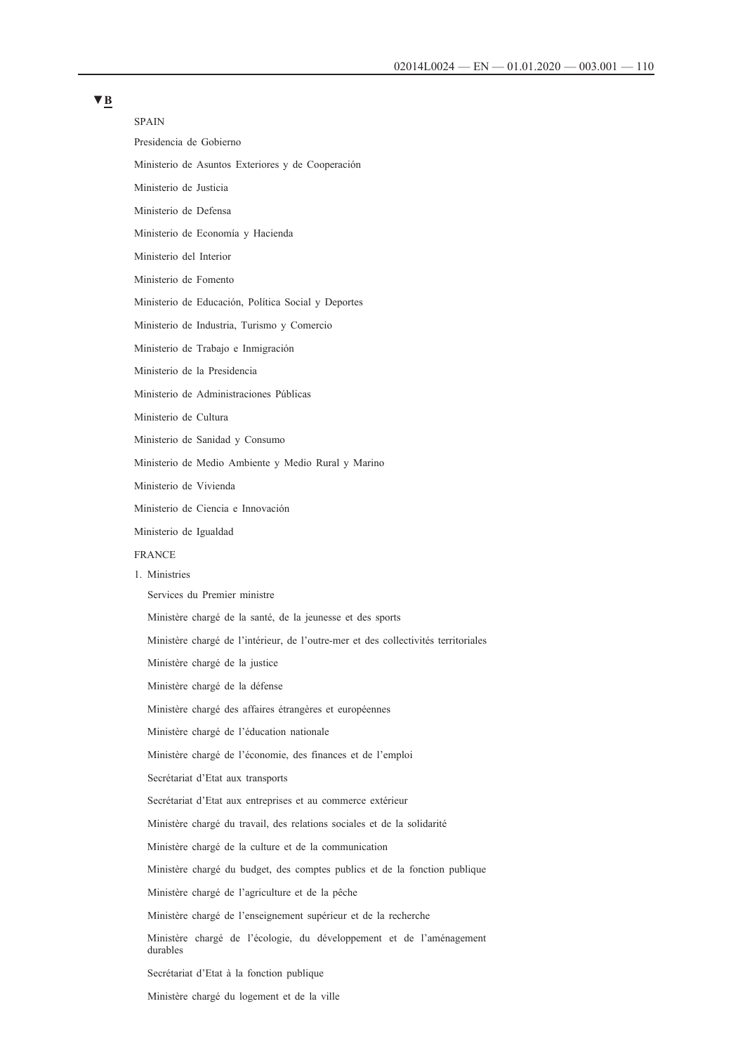### **▼B**

SPAIN Presidencia de Gobierno Ministerio de Asuntos Exteriores y de Cooperación Ministerio de Justicia Ministerio de Defensa Ministerio de Economía y Hacienda Ministerio del Interior Ministerio de Fomento Ministerio de Educación, Política Social y Deportes Ministerio de Industria, Turismo y Comercio Ministerio de Trabajo e Inmigración Ministerio de la Presidencia Ministerio de Administraciones Públicas Ministerio de Cultura Ministerio de Sanidad y Consumo Ministerio de Medio Ambiente y Medio Rural y Marino Ministerio de Vivienda Ministerio de Ciencia e Innovación Ministerio de Igualdad FRANCE 1. Ministries Services du Premier ministre Ministère chargé de la santé, de la jeunesse et des sports Ministère chargé de l'intérieur, de l'outre-mer et des collectivités territoriales Ministère chargé de la justice Ministère chargé de la défense Ministère chargé des affaires étrangères et européennes Ministère chargé de l'éducation nationale Ministère chargé de l'économie, des finances et de l'emploi Secrétariat d'Etat aux transports Secrétariat d'Etat aux entreprises et au commerce extérieur Ministère chargé du travail, des relations sociales et de la solidarité Ministère chargé de la culture et de la communication Ministère chargé du budget, des comptes publics et de la fonction publique Ministère chargé de l'agriculture et de la pêche Ministère chargé de l'enseignement supérieur et de la recherche Ministère chargé de l'écologie, du développement et de l'aménagement durables Secrétariat d'Etat à la fonction publique

Ministère chargé du logement et de la ville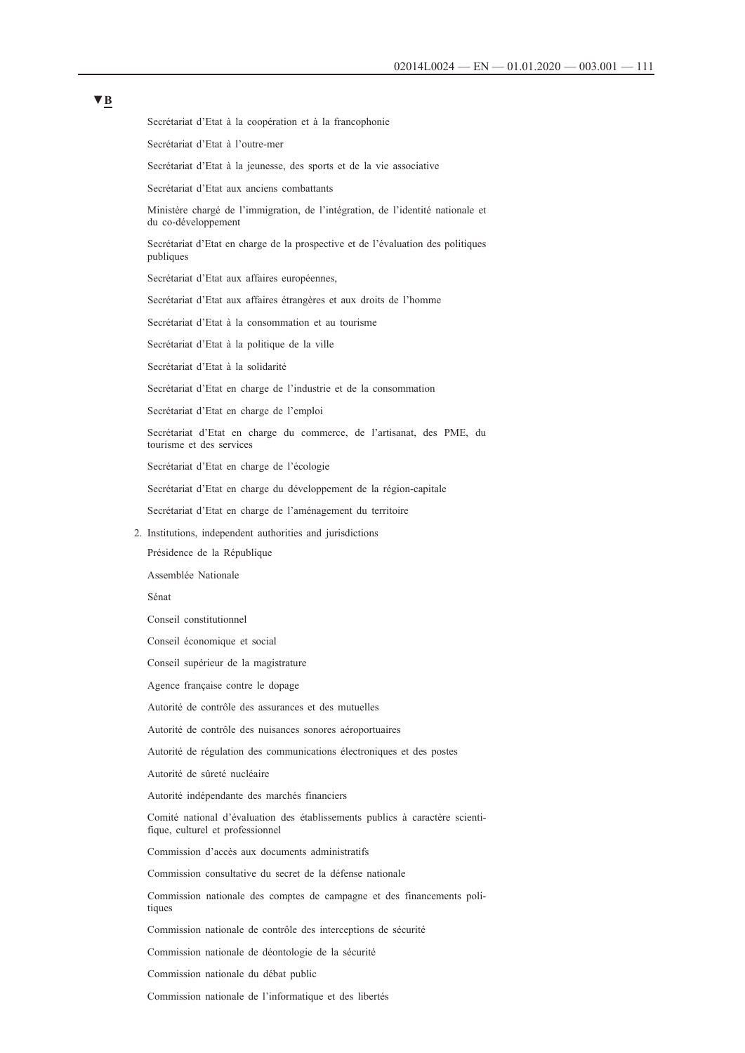Secrétariat d'Etat à la coopération et à la francophonie Secrétariat d'Etat à l'outre-mer Secrétariat d'Etat à la jeunesse, des sports et de la vie associative Secrétariat d'Etat aux anciens combattants Ministère chargé de l'immigration, de l'intégration, de l'identité nationale et du co-développement Secrétariat d'Etat en charge de la prospective et de l'évaluation des politiques publiques Secrétariat d'Etat aux affaires européennes, Secrétariat d'Etat aux affaires étrangères et aux droits de l'homme Secrétariat d'Etat à la consommation et au tourisme Secrétariat d'Etat à la politique de la ville Secrétariat d'Etat à la solidarité Secrétariat d'Etat en charge de l'industrie et de la consommation Secrétariat d'Etat en charge de l'emploi Secrétariat d'Etat en charge du commerce, de l'artisanat, des PME, du tourisme et des services Secrétariat d'Etat en charge de l'écologie Secrétariat d'Etat en charge du développement de la région-capitale Secrétariat d'Etat en charge de l'aménagement du territoire 2. Institutions, independent authorities and jurisdictions Présidence de la République Assemblée Nationale Sénat Conseil constitutionnel Conseil économique et social Conseil supérieur de la magistrature Agence française contre le dopage Autorité de contrôle des assurances et des mutuelles Autorité de contrôle des nuisances sonores aéroportuaires Autorité de régulation des communications électroniques et des postes Autorité de sûreté nucléaire Autorité indépendante des marchés financiers Comité national d'évaluation des établissements publics à caractère scientifique, culturel et professionnel Commission d'accès aux documents administratifs Commission consultative du secret de la défense nationale Commission nationale des comptes de campagne et des financements politiques Commission nationale de contrôle des interceptions de sécurité Commission nationale de déontologie de la sécurité

Commission nationale du débat public

Commission nationale de l'informatique et des libertés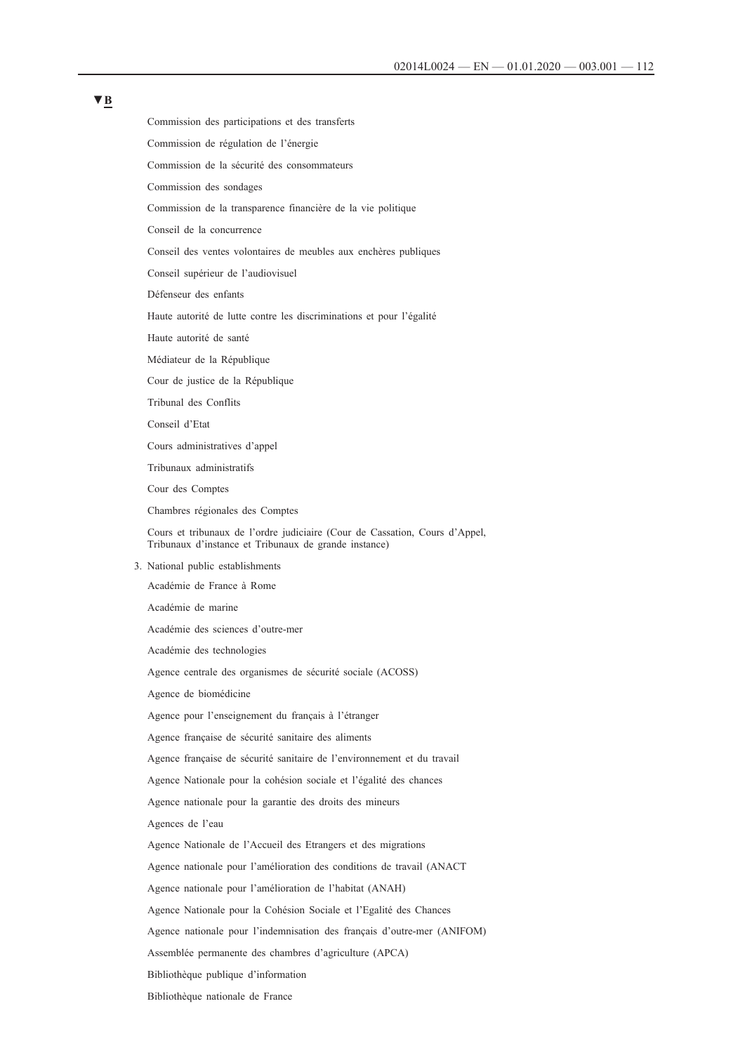Commission des participations et des transferts

Commission de régulation de l'énergie

Commission de la sécurité des consommateurs

Commission des sondages

Commission de la transparence financière de la vie politique

Conseil de la concurrence

Conseil des ventes volontaires de meubles aux enchères publiques

Conseil supérieur de l'audiovisuel

Défenseur des enfants

Haute autorité de lutte contre les discriminations et pour l'égalité

Haute autorité de santé

Médiateur de la République

Cour de justice de la République

Tribunal des Conflits

Conseil d'Etat

Cours administratives d'appel

Tribunaux administratifs

Cour des Comptes

Chambres régionales des Comptes

Cours et tribunaux de l'ordre judiciaire (Cour de Cassation, Cours d'Appel, Tribunaux d'instance et Tribunaux de grande instance)

3. National public establishments

Académie de France à Rome Académie de marine

Académie des sciences d'outre-mer

Académie des technologies

Agence centrale des organismes de sécurité sociale (ACOSS)

Agence de biomédicine

Agence pour l'enseignement du français à l'étranger

Agence française de sécurité sanitaire des aliments

Agence française de sécurité sanitaire de l'environnement et du travail

Agence Nationale pour la cohésion sociale et l'égalité des chances

Agence nationale pour la garantie des droits des mineurs

Agences de l'eau

Agence Nationale de l'Accueil des Etrangers et des migrations

Agence nationale pour l'amélioration des conditions de travail (ANACT

Agence nationale pour l'amélioration de l'habitat (ANAH)

Agence Nationale pour la Cohésion Sociale et l'Egalité des Chances

Agence nationale pour l'indemnisation des français d'outre-mer (ANIFOM)

Assemblée permanente des chambres d'agriculture (APCA)

Bibliothèque publique d'information

Bibliothèque nationale de France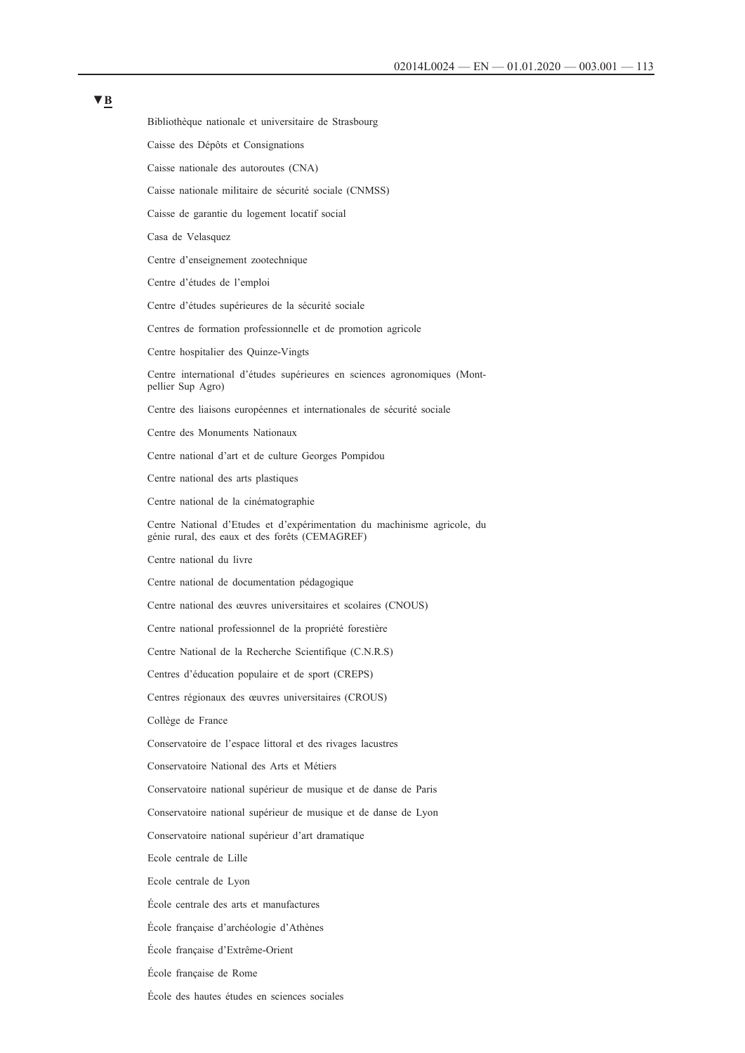Bibliothèque nationale et universitaire de Strasbourg Caisse des Dépôts et Consignations Caisse nationale des autoroutes (CNA) Caisse nationale militaire de sécurité sociale (CNMSS) Caisse de garantie du logement locatif social Casa de Velasquez Centre d'enseignement zootechnique Centre d'études de l'emploi Centre d'études supérieures de la sécurité sociale Centres de formation professionnelle et de promotion agricole Centre hospitalier des Quinze-Vingts Centre international d'études supérieures en sciences agronomiques (Montpellier Sup Agro) Centre des liaisons européennes et internationales de sécurité sociale Centre des Monuments Nationaux Centre national d'art et de culture Georges Pompidou Centre national des arts plastiques Centre national de la cinématographie Centre National d'Etudes et d'expérimentation du machinisme agricole, du génie rural, des eaux et des forêts (CEMAGREF) Centre national du livre Centre national de documentation pédagogique Centre national des œuvres universitaires et scolaires (CNOUS) Centre national professionnel de la propriété forestière Centre National de la Recherche Scientifique (C.N.R.S) Centres d'éducation populaire et de sport (CREPS) Centres régionaux des œuvres universitaires (CROUS) Collège de France Conservatoire de l'espace littoral et des rivages lacustres Conservatoire National des Arts et Métiers Conservatoire national supérieur de musique et de danse de Paris Conservatoire national supérieur de musique et de danse de Lyon Conservatoire national supérieur d'art dramatique Ecole centrale de Lille Ecole centrale de Lyon École centrale des arts et manufactures École française d'archéologie d'Athènes École française d'Extrême-Orient École française de Rome

École des hautes études en sciences sociales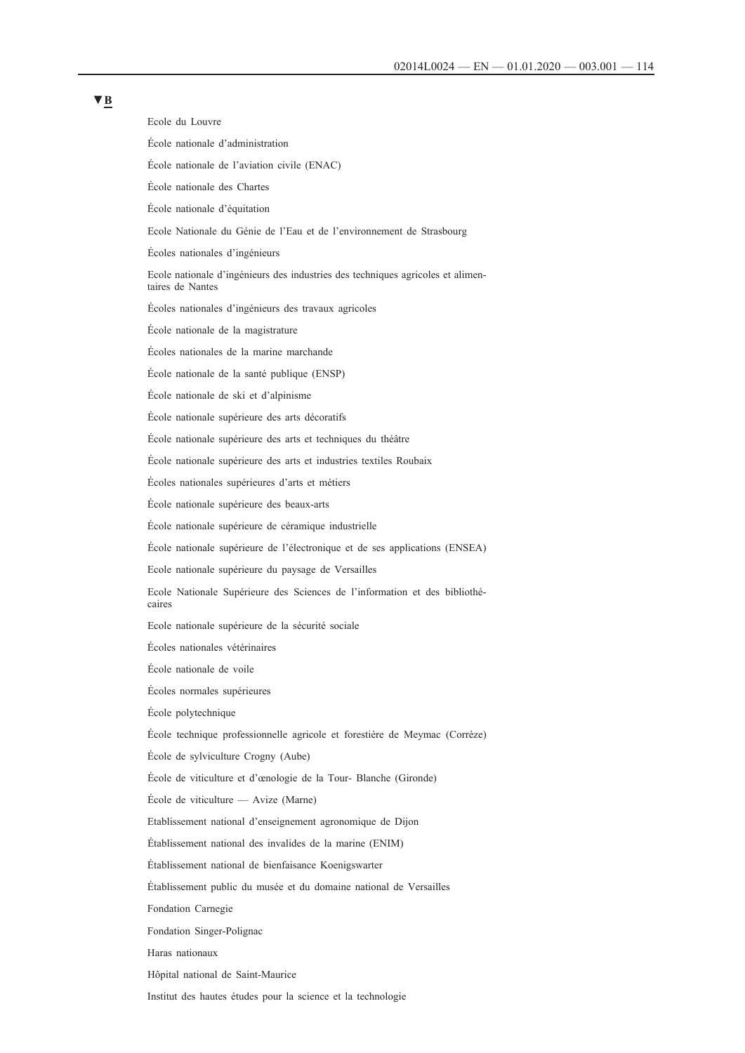| Ecole du Louvre                                                                                     |
|-----------------------------------------------------------------------------------------------------|
| École nationale d'administration                                                                    |
| École nationale de l'aviation civile (ENAC)                                                         |
| Ecole nationale des Chartes                                                                         |
| École nationale d'équitation                                                                        |
| Ecole Nationale du Génie de l'Eau et de l'environnement de Strasbourg                               |
| Écoles nationales d'ingénieurs                                                                      |
| Ecole nationale d'ingénieurs des industries des techniques agricoles et alimen-<br>taires de Nantes |
| Écoles nationales d'ingénieurs des travaux agricoles                                                |
| École nationale de la magistrature                                                                  |
| Ecoles nationales de la marine marchande                                                            |
| École nationale de la santé publique (ENSP)                                                         |
| École nationale de ski et d'alpinisme                                                               |
| École nationale supérieure des arts décoratifs                                                      |
| Ecole nationale supérieure des arts et techniques du théâtre                                        |
| École nationale supérieure des arts et industries textiles Roubaix                                  |
| Écoles nationales supérieures d'arts et métiers                                                     |
| École nationale supérieure des beaux-arts                                                           |
| École nationale supérieure de céramique industrielle                                                |
| École nationale supérieure de l'électronique et de ses applications (ENSEA)                         |
| Ecole nationale supérieure du paysage de Versailles                                                 |
| Ecole Nationale Supérieure des Sciences de l'information et des bibliothé-<br>caires                |
| Ecole nationale supérieure de la sécurité sociale                                                   |
| Écoles nationales vétérinaires                                                                      |
| Ecole nationale de voile                                                                            |
| Écoles normales supérieures                                                                         |
| École polytechnique                                                                                 |
| École technique professionnelle agricole et forestière de Meymac (Corrèze)                          |
| École de sylviculture Crogny (Aube)                                                                 |
| École de viticulture et d'œnologie de la Tour-Blanche (Gironde)                                     |
| École de viticulture — Avize (Marne)                                                                |
| Etablissement national d'enseignement agronomique de Dijon                                          |
| Établissement national des invalides de la marine (ENIM)                                            |
| Etablissement national de bienfaisance Koenigswarter                                                |
| Établissement public du musée et du domaine national de Versailles                                  |
| Fondation Carnegie                                                                                  |
| Fondation Singer-Polignac                                                                           |
| Haras nationaux                                                                                     |
| Hôpital national de Saint-Maurice                                                                   |

Institut des hautes études pour la science et la technologie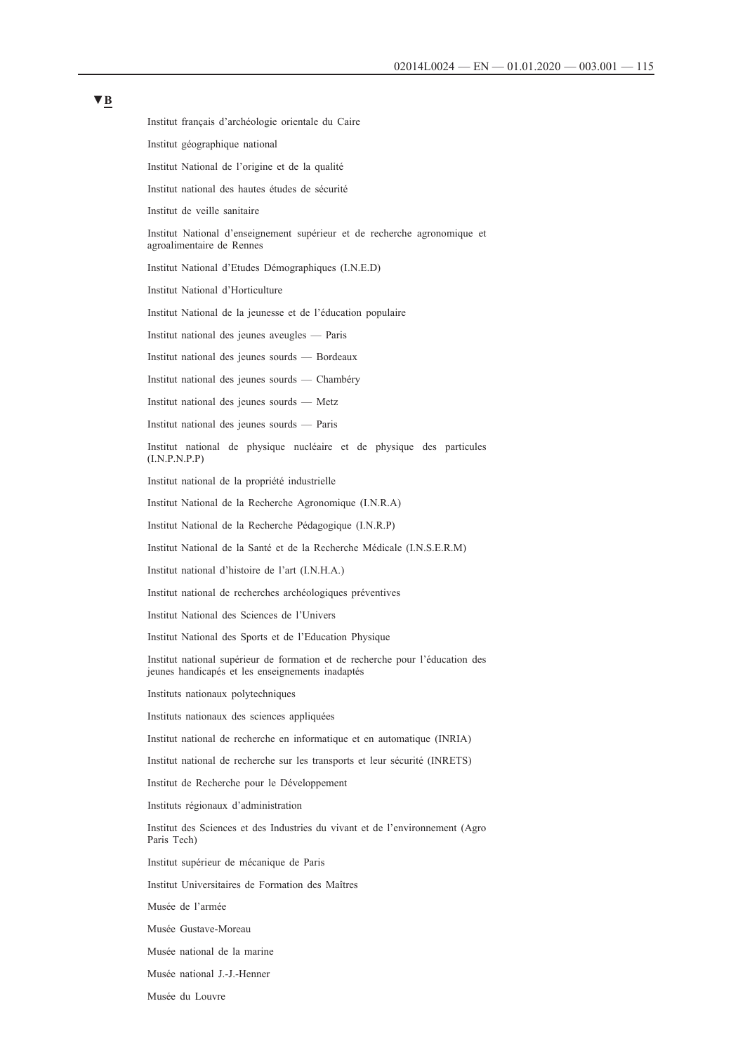Institut français d'archéologie orientale du Caire

Institut géographique national

Institut National de l'origine et de la qualité

Institut national des hautes études de sécurité

Institut de veille sanitaire

Institut National d'enseignement supérieur et de recherche agronomique et agroalimentaire de Rennes

Institut National d'Etudes Démographiques (I.N.E.D)

Institut National d'Horticulture

Institut National de la jeunesse et de l'éducation populaire

Institut national des jeunes aveugles — Paris

Institut national des jeunes sourds — Bordeaux

Institut national des jeunes sourds — Chambéry

Institut national des jeunes sourds — Metz

Institut national des jeunes sourds — Paris

Institut national de physique nucléaire et de physique des particules (I.N.P.N.P.P)

Institut national de la propriété industrielle

Institut National de la Recherche Agronomique (I.N.R.A)

Institut National de la Recherche Pédagogique (I.N.R.P)

Institut National de la Santé et de la Recherche Médicale (I.N.S.E.R.M)

Institut national d'histoire de l'art (I.N.H.A.)

Institut national de recherches archéologiques préventives

Institut National des Sciences de l'Univers

Institut National des Sports et de l'Education Physique

Institut national supérieur de formation et de recherche pour l'éducation des jeunes handicapés et les enseignements inadaptés

Instituts nationaux polytechniques

Instituts nationaux des sciences appliquées

Institut national de recherche en informatique et en automatique (INRIA)

Institut national de recherche sur les transports et leur sécurité (INRETS)

Institut de Recherche pour le Développement

Instituts régionaux d'administration

Institut des Sciences et des Industries du vivant et de l'environnement (Agro Paris Tech)

Institut supérieur de mécanique de Paris

Institut Universitaires de Formation des Maîtres

Musée de l'armée

Musée Gustave-Moreau

Musée national de la marine

Musée national J.-J.-Henner

Musée du Louvre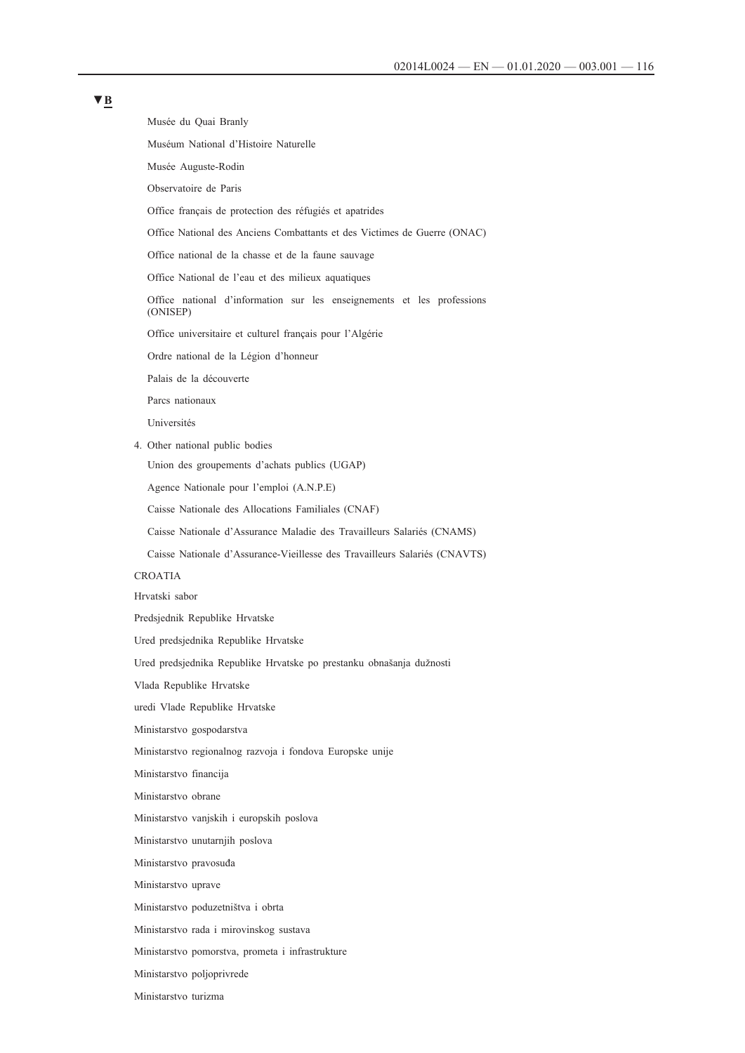Musée du Quai Branly Muséum National d'Histoire Naturelle Musée Auguste-Rodin Observatoire de Paris Office français de protection des réfugiés et apatrides Office National des Anciens Combattants et des Victimes de Guerre (ONAC) Office national de la chasse et de la faune sauvage Office National de l'eau et des milieux aquatiques Office national d'information sur les enseignements et les professions (ONISEP) Office universitaire et culturel français pour l'Algérie Ordre national de la Légion d'honneur Palais de la découverte Parcs nationaux Universités 4. Other national public bodies Union des groupements d'achats publics (UGAP) Agence Nationale pour l'emploi (A.N.P.E) Caisse Nationale des Allocations Familiales (CNAF) Caisse Nationale d'Assurance Maladie des Travailleurs Salariés (CNAMS) Caisse Nationale d'Assurance-Vieillesse des Travailleurs Salariés (CNAVTS) CROATIA Hrvatski sabor Predsjednik Republike Hrvatske Ured predsjednika Republike Hrvatske Ured predsjednika Republike Hrvatske po prestanku obnašanja dužnosti Vlada Republike Hrvatske uredi Vlade Republike Hrvatske Ministarstvo gospodarstva Ministarstvo regionalnog razvoja i fondova Europske unije Ministarstvo financija Ministarstvo obrane Ministarstvo vanjskih i europskih poslova Ministarstvo unutarnjih poslova Ministarstvo pravosuđa Ministarstvo uprave Ministarstvo poduzetništva i obrta Ministarstvo rada i mirovinskog sustava Ministarstvo pomorstva, prometa i infrastrukture

Ministarstvo poljoprivrede

Ministarstvo turizma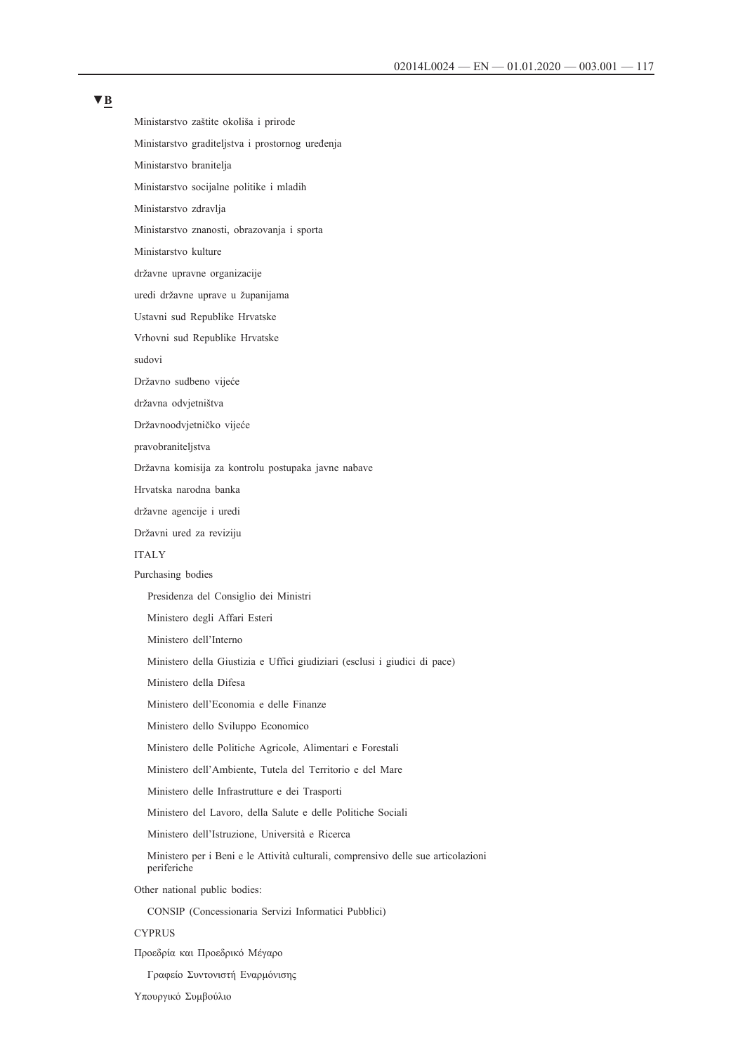Ministarstvo zaštite okoliša i prirode

Ministarstvo graditeljstva i prostornog uređenja

Ministarstvo branitelja

Ministarstvo socijalne politike i mladih

Ministarstvo zdravlja

Ministarstvo znanosti, obrazovanja i sporta

Ministarstvo kulture

državne upravne organizacije

uredi državne uprave u županijama

Ustavni sud Republike Hrvatske

Vrhovni sud Republike Hrvatske

sudovi

Državno sudbeno vijeće

državna odvjetništva

Državnoodvjetničko vijeće

pravobraniteljstva

Državna komisija za kontrolu postupaka javne nabave

Hrvatska narodna banka

državne agencije i uredi

Državni ured za reviziju

#### ITALY

#### Purchasing bodies

Presidenza del Consiglio dei Ministri

Ministero degli Affari Esteri

Ministero dell'Interno

Ministero della Giustizia e Uffici giudiziari (esclusi i giudici di pace)

Ministero della Difesa

Ministero dell'Economia e delle Finanze

Ministero dello Sviluppo Economico

Ministero delle Politiche Agricole, Alimentari e Forestali

Ministero dell'Ambiente, Tutela del Territorio e del Mare

Ministero delle Infrastrutture e dei Trasporti

Ministero del Lavoro, della Salute e delle Politiche Sociali

Ministero dell'Istruzione, Università e Ricerca

Ministero per i Beni e le Attività culturali, comprensivo delle sue articolazioni periferiche

Other national public bodies:

CONSIP (Concessionaria Servizi Informatici Pubblici)

#### **CYPRUS**

Προεδρία και Προεδρικό Μέγαρο

Γραφείο Συντονιστή Εναρμόνισης

Υπουργικό Συμβούλιο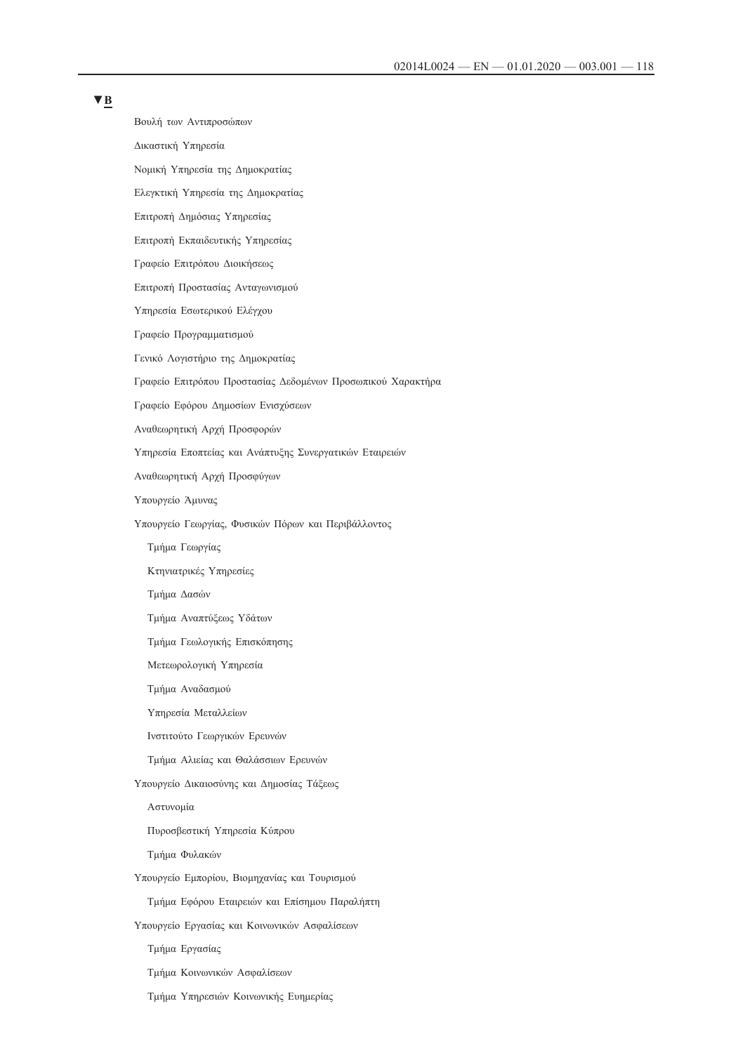Βουλή των Αντιπροσώπων Δικαστική Υπηρεσία Νομική Υπηρεσία της Δημοκρατίας Ελεγκτική Υπηρεσία της Δημοκρατίας Επιτροπή Δημόσιας Υπηρεσίας Επιτροπή Εκπαιδευτικής Υπηρεσίας Γραφείο Επιτρόπου Διοικήσεως Επιτροπή Προστασίας Ανταγωνισμού Υπηρεσία Εσωτερικού Ελέγχου Γραφείο Προγραμματισμού Γενικό Λογιστήριο της Δημοκρατίας Γραφείο Επιτρόπου Προστασίας Δεδομένων Προσωπικού Χαρακτήρα Γραφείο Εφόρου Δημοσίων Ενισχύσεων Αναθεωρητική Αρχή Προσφορών Υπηρεσία Εποπτείας και Ανάπτυξης Συνεργατικών Εταιρειών Αναθεωρητική Αρχή Προσφύγων Υπουργείο Άμυνας Υπουργείο Γεωργίας, Φυσικών Πόρων και Περιβάλλοντος Τμήμα Γεωργίας Κτηνιατρικές Υπηρεσίες Τμήμα Δασών Τμήμα Αναπτύξεως Υδάτων Τμήμα Γεωλογικής Επισκόπησης Μετεωρολογική Υπηρεσία Τμήμα Αναδασμού Υπηρεσία Μεταλλείων Ινστιτούτο Γεωργικών Ερευνών Τμήμα Αλιείας και Θαλάσσιων Ερευνών Υπουργείο Δικαιοσύνης και Δημοσίας Τάξεως Αστυνομία Πυροσβεστική Υπηρεσία Κύπρου Τμήμα Φυλακών Υπουργείο Εμπορίου, Βιομηχανίας και Τουρισμού Τμήμα Εφόρου Εταιρειών και Επίσημου Παραλήπτη Υπουργείο Εργασίας και Κοινωνικών Ασφαλίσεων Τμήμα Εργασίας Τμήμα Κοινωνικών Ασφαλίσεων

Τμήμα Υπηρεσιών Κοινωνικής Ευημερίας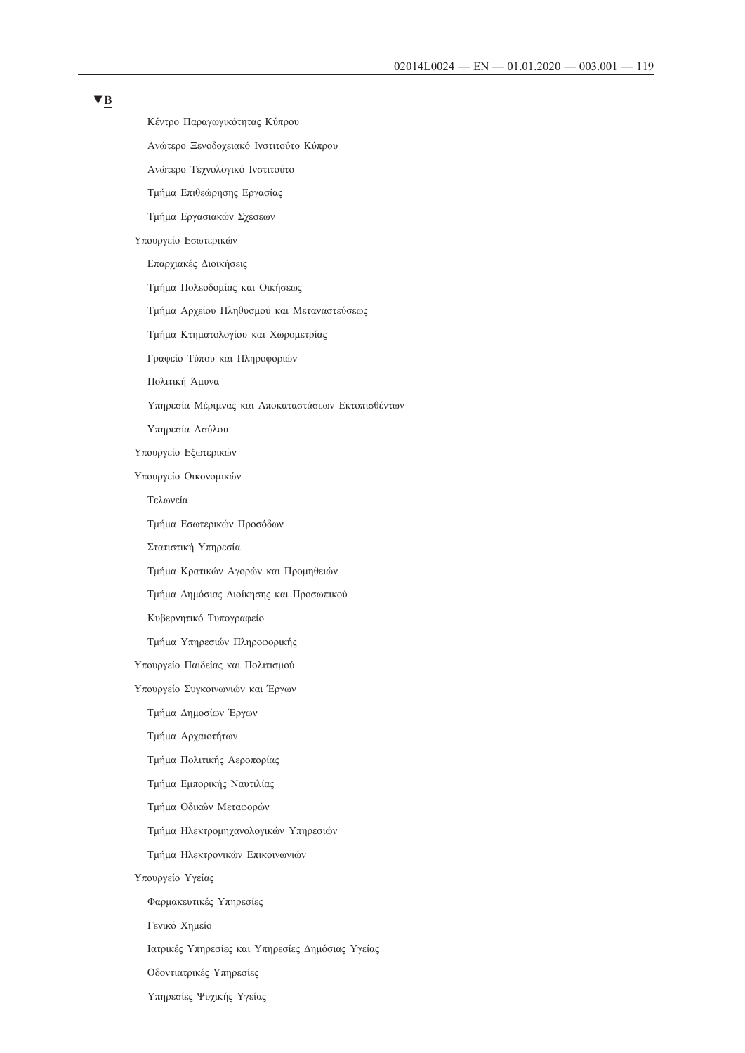Κέντρο Παραγωγικότητας Κύπρου Ανώτερο Ξενοδοχειακό Ινστιτούτο Κύπρου Ανώτερο Τεχνολογικό Ινστιτούτο Τμήμα Επιθεώρησης Εργασίας Τμήμα Εργασιακών Σχέσεων Υπουργείο Εσωτερικών Επαρχιακές Διοικήσεις Τμήμα Πολεοδομίας και Οικήσεως Τμήμα Αρχείου Πληθυσμού και Μεταναστεύσεως Τμήμα Κτηματολογίου και Χωρομετρίας Γραφείο Τύπου και Πληροφοριών Πολιτική Άμυνα Υπηρεσία Μέριμνας και Αποκαταστάσεων Εκτοπισθέντων Υπηρεσία Ασύλου Υπουργείο Εξωτερικών Υπουργείο Οικονομικών Τελωνεία Τμήμα Εσωτερικών Προσόδων Στατιστική Υπηρεσία Τμήμα Κρατικών Αγορών και Προμηθειών Τμήμα Δημόσιας Διοίκησης και Προσωπικού Κυβερνητικό Τυπογραφείο Τμήμα Υπηρεσιών Πληροφορικής Υπουργείο Παιδείας και Πολιτισμού Υπουργείο Συγκοινωνιών και Έργων Τμήμα Δημοσίων Έργων Τμήμα Αρχαιοτήτων Τμήμα Πολιτικής Αεροπορίας Τμήμα Εμπορικής Ναυτιλίας Τμήμα Οδικών Μεταφορών Τμήμα Ηλεκτρομηχανολογικών Υπηρεσιών Τμήμα Ηλεκτρονικών Επικοινωνιών Υπουργείο Υγείας Φαρμακευτικές Υπηρεσίες Γενικό Χημείο Ιατρικές Υπηρεσίες και Υπηρεσίες Δημόσιας Υγείας

Οδοντιατρικές Υπηρεσίες

Υπηρεσίες Ψυχικής Υγείας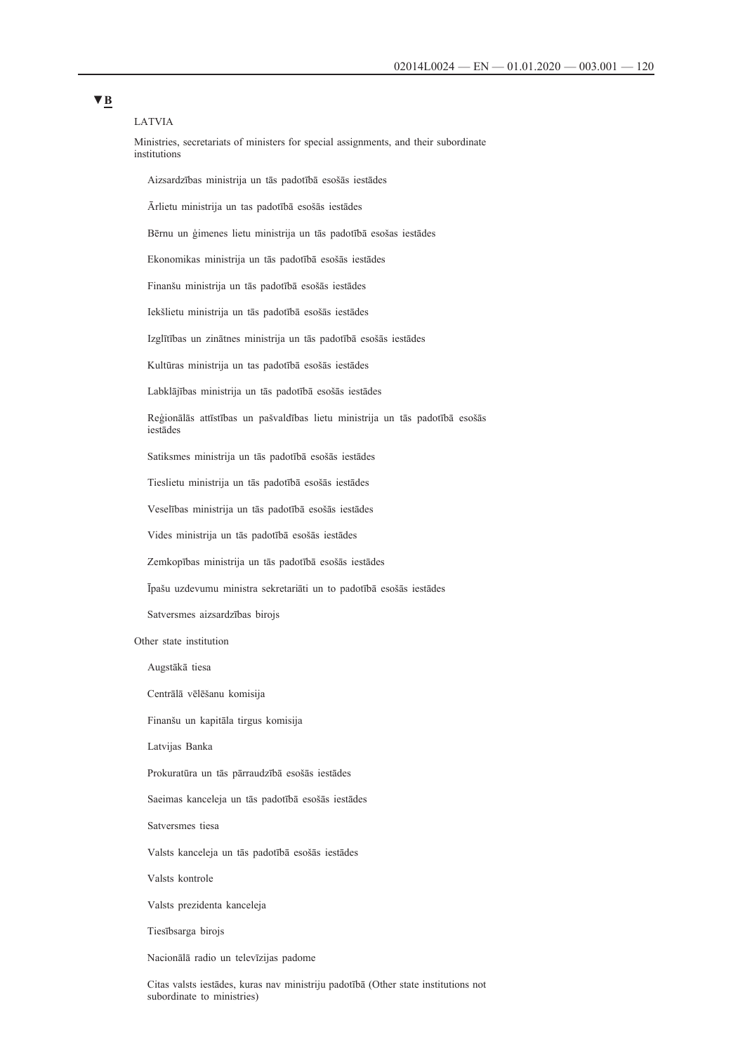#### LATVIA

Aizsardzības ministrija un tās padotībā esošās iestādes

Ārlietu ministrija un tas padotībā esošās iestādes

Bērnu un ģimenes lietu ministrija un tās padotībā esošas iestādes

Ekonomikas ministrija un tās padotībā esošās iestādes

Finanšu ministrija un tās padotībā esošās iestādes

Iekšlietu ministrija un tās padotībā esošās iestādes

Izglītības un zinātnes ministrija un tās padotībā esošās iestādes

Kultūras ministrija un tas padotībā esošās iestādes

Labklājības ministrija un tās padotībā esošās iestādes

Reģionālās attīstības un pašvaldības lietu ministrija un tās padotībā esošās iestādes

Satiksmes ministrija un tās padotībā esošās iestādes

Tieslietu ministrija un tās padotībā esošās iestādes

Veselības ministrija un tās padotībā esošās iestādes

Vides ministrija un tās padotībā esošās iestādes

Zemkopības ministrija un tās padotībā esošās iestādes

Īpašu uzdevumu ministra sekretariāti un to padotībā esošās iestādes

Satversmes aizsardzības birojs

#### Other state institution

Augstākā tiesa

Centrālā vēlēšanu komisija

Finanšu un kapitāla tirgus komisija

Latvijas Banka

Prokuratūra un tās pārraudzībā esošās iestādes

Saeimas kanceleja un tās padotībā esošās iestādes

Satversmes tiesa

Valsts kanceleja un tās padotībā esošās iestādes

Valsts kontrole

Valsts prezidenta kanceleja

Tiesībsarga birojs

Nacionālā radio un televīzijas padome

Citas valsts iestādes, kuras nav ministriju padotībā (Other state institutions not subordinate to ministries)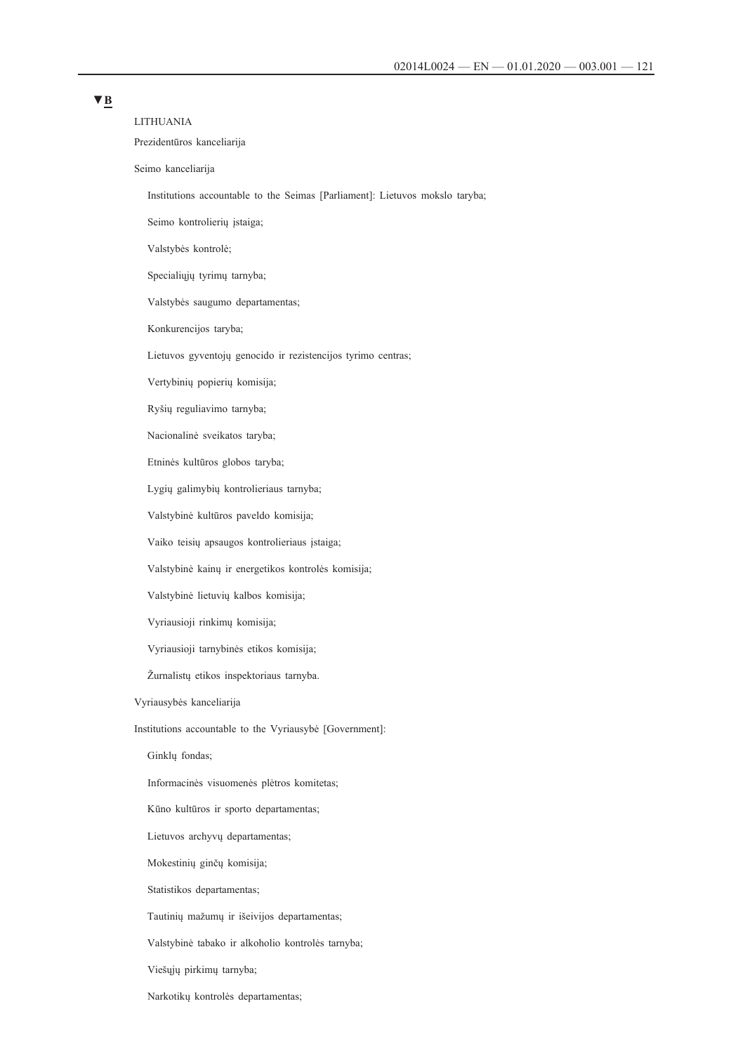### **▼B**

#### LITHUANIA

Prezidentūros kanceliarija

Seimo kanceliarija

Institutions accountable to the Seimas [Parliament]: Lietuvos mokslo taryba;

Seimo kontrolierių įstaiga;

Valstybės kontrolė;

Specialiųjų tyrimų tarnyba;

Valstybės saugumo departamentas;

Konkurencijos taryba;

Lietuvos gyventojų genocido ir rezistencijos tyrimo centras;

Vertybinių popierių komisija;

Ryšių reguliavimo tarnyba;

Nacionalinė sveikatos taryba;

Etninės kultūros globos taryba;

Lygių galimybių kontrolieriaus tarnyba;

Valstybinė kultūros paveldo komisija;

Vaiko teisių apsaugos kontrolieriaus įstaiga;

Valstybinė kainų ir energetikos kontrolės komisija;

Valstybinė lietuvių kalbos komisija;

Vyriausioji rinkimų komisija;

Vyriausioji tarnybinės etikos komisija;

Žurnalistų etikos inspektoriaus tarnyba.

Vyriausybės kanceliarija

Institutions accountable to the Vyriausybė [Government]:

Ginklų fondas;

Informacinės visuomenės plėtros komitetas;

Kūno kultūros ir sporto departamentas;

Lietuvos archyvų departamentas;

Mokestinių ginčų komisija;

Statistikos departamentas;

Tautinių mažumų ir išeivijos departamentas;

Valstybinė tabako ir alkoholio kontrolės tarnyba;

Viešųjų pirkimų tarnyba;

Narkotikų kontrolės departamentas;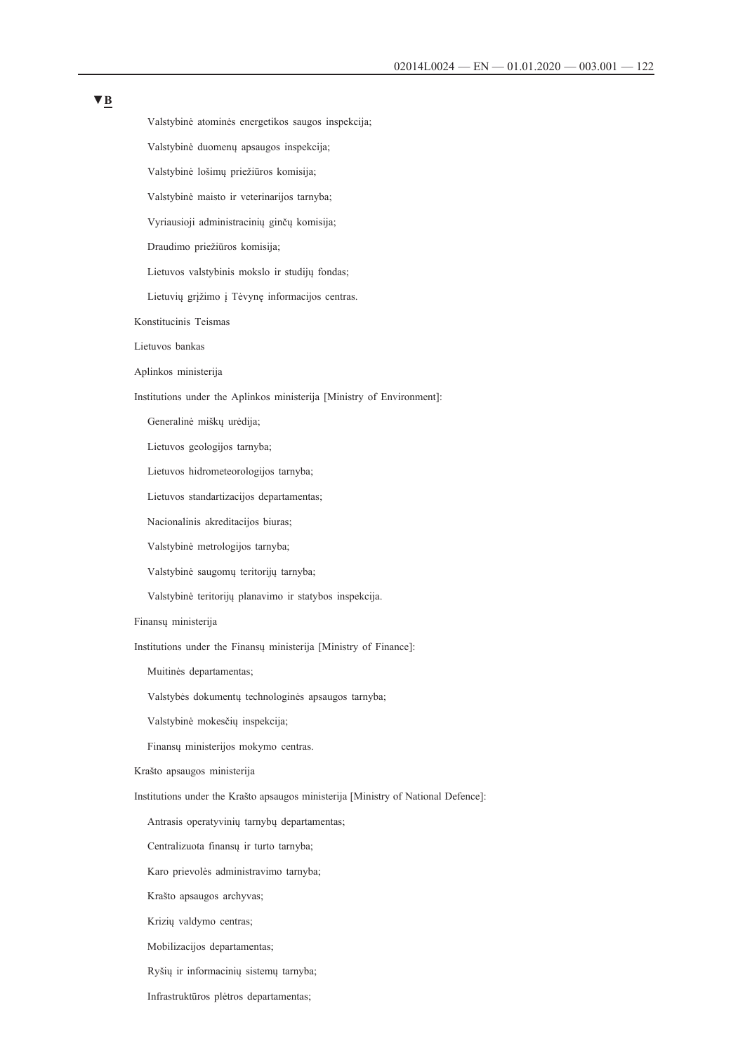Valstybinė atominės energetikos saugos inspekcija; Valstybinė duomenų apsaugos inspekcija; Valstybinė lošimų priežiūros komisija; Valstybinė maisto ir veterinarijos tarnyba; Vyriausioji administracinių ginčų komisija; Draudimo priežiūros komisija; Lietuvos valstybinis mokslo ir studijų fondas; Lietuvių grįžimo į Tėvynę informacijos centras. Konstitucinis Teismas Lietuvos bankas Aplinkos ministerija Institutions under the Aplinkos ministerija [Ministry of Environment]: Generalinė miškų urėdija; Lietuvos geologijos tarnyba; Lietuvos hidrometeorologijos tarnyba; Lietuvos standartizacijos departamentas; Nacionalinis akreditacijos biuras; Valstybinė metrologijos tarnyba; Valstybinė saugomų teritorijų tarnyba; Valstybinė teritorijų planavimo ir statybos inspekcija. Finansų ministerija Institutions under the Finansų ministerija [Ministry of Finance]: Muitinės departamentas; Valstybės dokumentų technologinės apsaugos tarnyba; Valstybinė mokesčių inspekcija; Finansų ministerijos mokymo centras. Krašto apsaugos ministerija Institutions under the Krašto apsaugos ministerija [Ministry of National Defence]: Antrasis operatyvinių tarnybų departamentas; Centralizuota finansų ir turto tarnyba; Karo prievolės administravimo tarnyba; Krašto apsaugos archyvas; Krizių valdymo centras;

Mobilizacijos departamentas;

Ryšių ir informacinių sistemų tarnyba;

Infrastruktūros plėtros departamentas;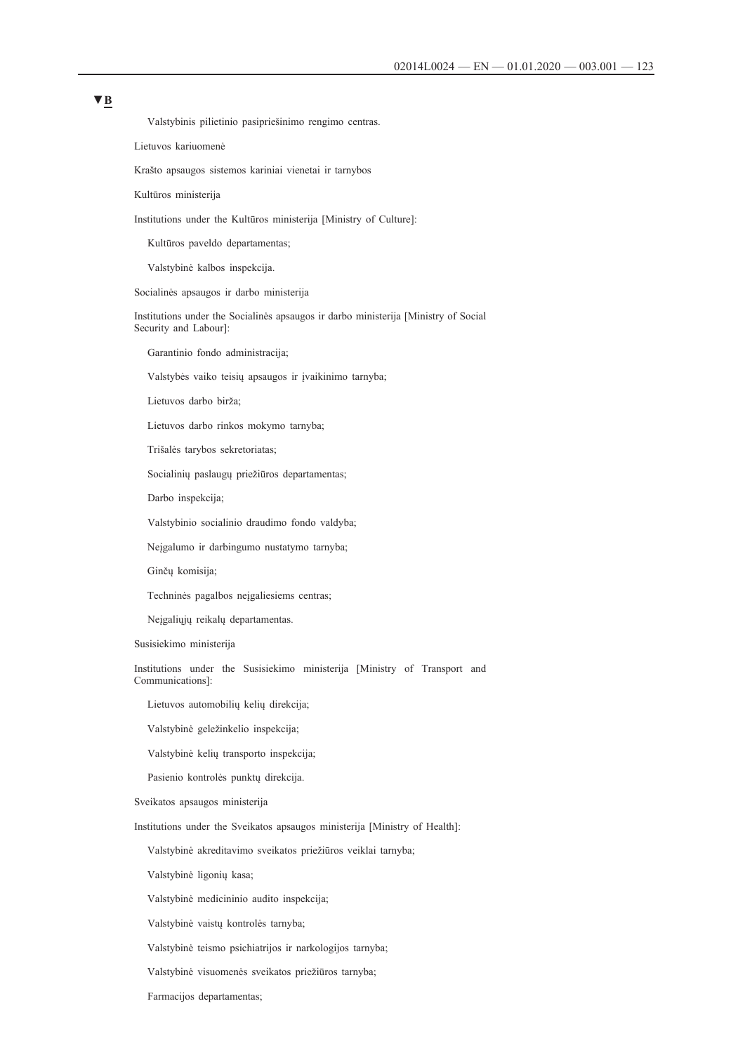Valstybinis pilietinio pasipriešinimo rengimo centras.

Lietuvos kariuomenė

Krašto apsaugos sistemos kariniai vienetai ir tarnybos

Kultūros ministerija

Institutions under the Kultūros ministerija [Ministry of Culture]:

Kultūros paveldo departamentas;

Valstybinė kalbos inspekcija.

Socialinės apsaugos ir darbo ministerija

Institutions under the Socialinės apsaugos ir darbo ministerija [Ministry of Social Security and Labour]:

Garantinio fondo administracija;

Valstybės vaiko teisių apsaugos ir įvaikinimo tarnyba;

Lietuvos darbo birža;

Lietuvos darbo rinkos mokymo tarnyba;

Trišalės tarybos sekretoriatas;

Socialinių paslaugų priežiūros departamentas;

Darbo inspekcija;

Valstybinio socialinio draudimo fondo valdyba;

Neįgalumo ir darbingumo nustatymo tarnyba;

Ginčų komisija;

Techninės pagalbos neįgaliesiems centras;

Neįgaliųjų reikalų departamentas.

Susisiekimo ministerija

Institutions under the Susisiekimo ministerija [Ministry of Transport and Communications]:

Lietuvos automobilių kelių direkcija;

Valstybinė geležinkelio inspekcija;

Valstybinė kelių transporto inspekcija;

Pasienio kontrolės punktų direkcija.

Sveikatos apsaugos ministerija

Institutions under the Sveikatos apsaugos ministerija [Ministry of Health]:

Valstybinė akreditavimo sveikatos priežiūros veiklai tarnyba;

Valstybinė ligonių kasa;

Valstybinė medicininio audito inspekcija;

Valstybinė vaistų kontrolės tarnyba;

Valstybinė teismo psichiatrijos ir narkologijos tarnyba;

Valstybinė visuomenės sveikatos priežiūros tarnyba;

Farmacijos departamentas;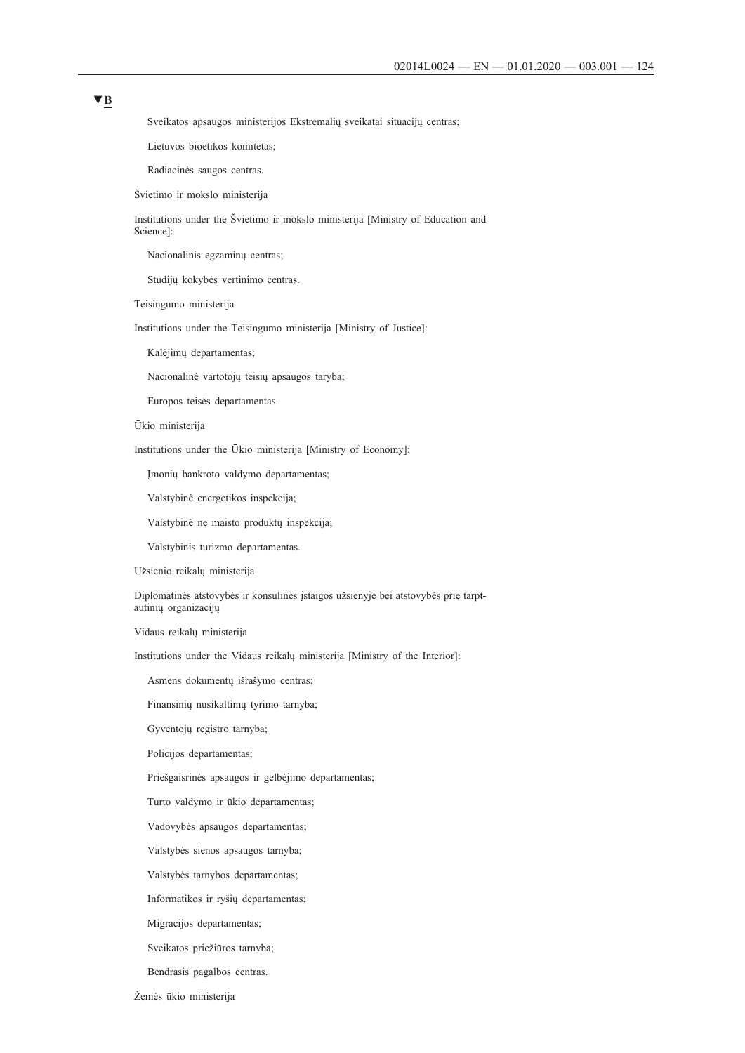Sveikatos apsaugos ministerijos Ekstremalių sveikatai situacijų centras;

Lietuvos bioetikos komitetas;

Radiacinės saugos centras.

Švietimo ir mokslo ministerija

Institutions under the Švietimo ir mokslo ministerija [Ministry of Education and Science]:

Nacionalinis egzaminų centras;

Studijų kokybės vertinimo centras.

Teisingumo ministerija

Institutions under the Teisingumo ministerija [Ministry of Justice]:

Kalėjimų departamentas;

Nacionalinė vartotojų teisių apsaugos taryba;

Europos teisės departamentas.

#### Ūkio ministerija

Institutions under the Ūkio ministerija [Ministry of Economy]:

Įmonių bankroto valdymo departamentas;

Valstybinė energetikos inspekcija;

Valstybinė ne maisto produktų inspekcija;

Valstybinis turizmo departamentas.

Užsienio reikalų ministerija

Diplomatinės atstovybės ir konsulinės įstaigos užsienyje bei atstovybės prie tarptautinių organizacijų

Vidaus reikalų ministerija

Institutions under the Vidaus reikalų ministerija [Ministry of the Interior]:

Asmens dokumentų išrašymo centras;

Finansinių nusikaltimų tyrimo tarnyba;

Gyventojų registro tarnyba;

Policijos departamentas;

Priešgaisrinės apsaugos ir gelbėjimo departamentas;

Turto valdymo ir ūkio departamentas;

Vadovybės apsaugos departamentas;

Valstybės sienos apsaugos tarnyba;

Valstybės tarnybos departamentas;

Informatikos ir ryšių departamentas;

Migracijos departamentas;

Sveikatos priežiūros tarnyba;

Bendrasis pagalbos centras.

Žemės ūkio ministerija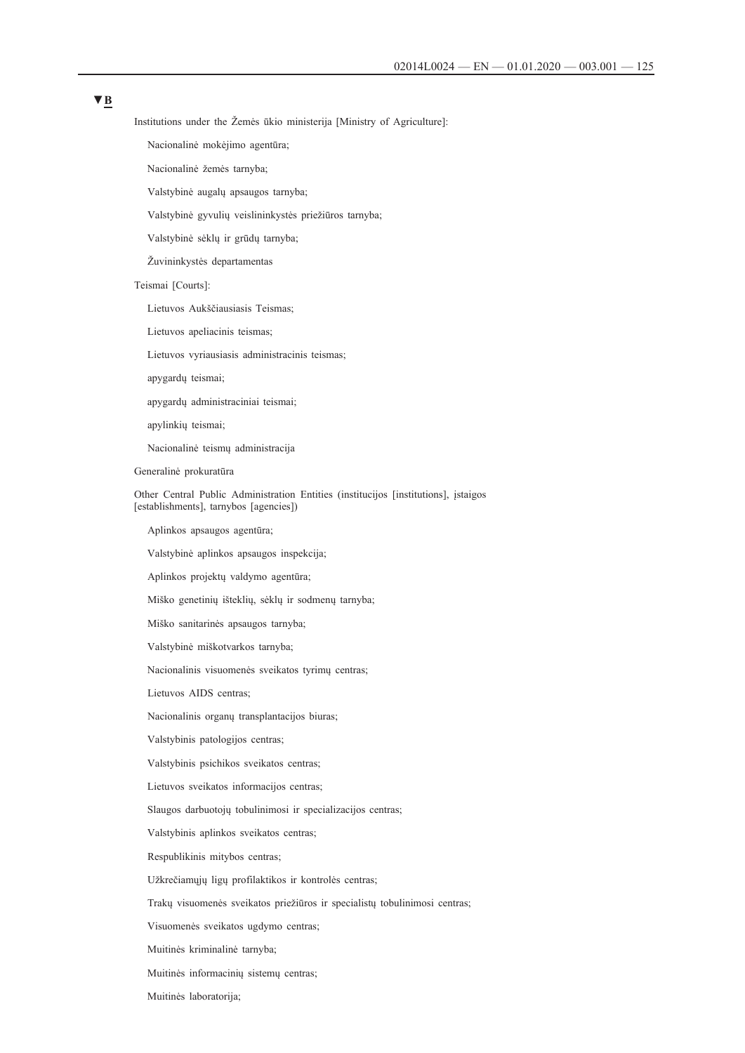Institutions under the Žemės ūkio ministerija [Ministry of Agriculture]:

Nacionalinė mokėjimo agentūra;

Nacionalinė žemės tarnyba;

Valstybinė augalų apsaugos tarnyba;

Valstybinė gyvulių veislininkystės priežiūros tarnyba;

Valstybinė sėklų ir grūdų tarnyba;

Žuvininkystės departamentas

#### Teismai [Courts]:

Lietuvos Aukščiausiasis Teismas;

Lietuvos apeliacinis teismas;

Lietuvos vyriausiasis administracinis teismas;

apygardų teismai;

apygardų administraciniai teismai;

apylinkių teismai;

Nacionalinė teismų administracija

Generalinė prokuratūra

Other Central Public Administration Entities (institucijos [institutions], įstaigos [establishments], tarnybos [agencies])

Aplinkos apsaugos agentūra;

Valstybinė aplinkos apsaugos inspekcija;

Aplinkos projektų valdymo agentūra;

Miško genetinių išteklių, sėklų ir sodmenų tarnyba;

Miško sanitarinės apsaugos tarnyba;

Valstybinė miškotvarkos tarnyba;

Nacionalinis visuomenės sveikatos tyrimų centras;

Lietuvos AIDS centras;

Nacionalinis organų transplantacijos biuras;

Valstybinis patologijos centras;

Valstybinis psichikos sveikatos centras;

Lietuvos sveikatos informacijos centras;

Slaugos darbuotojų tobulinimosi ir specializacijos centras;

Valstybinis aplinkos sveikatos centras;

Respublikinis mitybos centras;

Užkrečiamųjų ligų profilaktikos ir kontrolės centras;

Trakų visuomenės sveikatos priežiūros ir specialistų tobulinimosi centras;

Visuomenės sveikatos ugdymo centras;

Muitinės kriminalinė tarnyba;

Muitinės informacinių sistemų centras;

Muitinės laboratorija;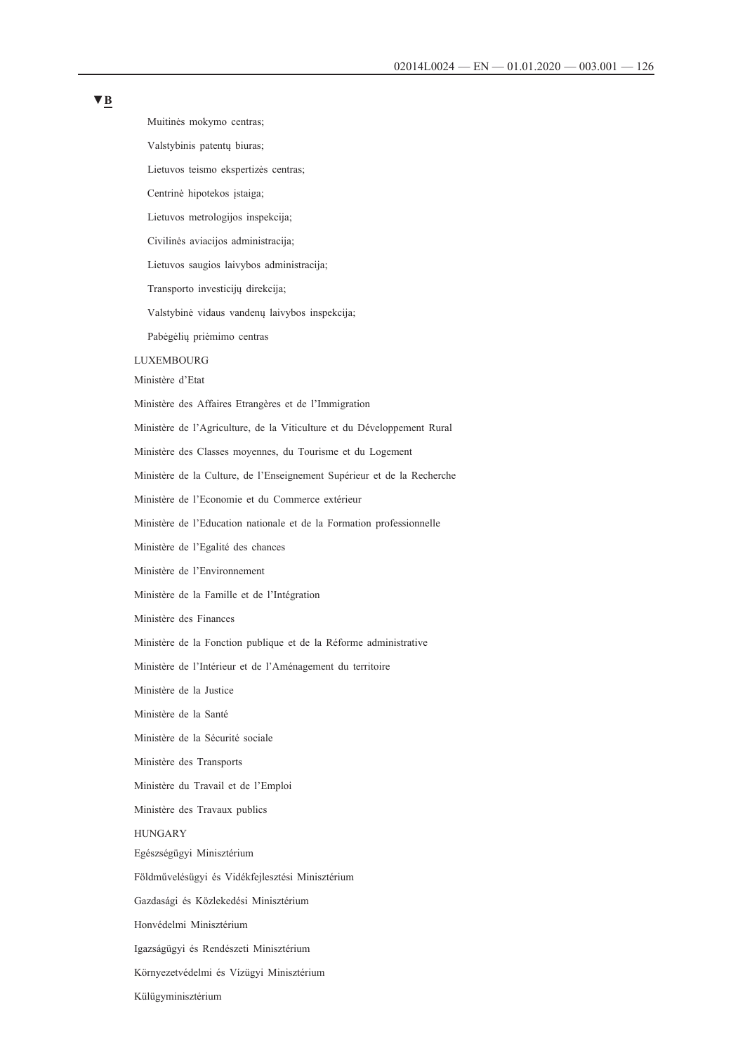| уВ |                                                                         |
|----|-------------------------------------------------------------------------|
|    | Muitinės mokymo centras;                                                |
|    | Valstybinis patentų biuras;                                             |
|    | Lietuvos teismo ekspertizės centras;                                    |
|    | Centrinė hipotekos įstaiga;                                             |
|    | Lietuvos metrologijos inspekcija;                                       |
|    | Civilinės aviacijos administracija;                                     |
|    | Lietuvos saugios laivybos administracija;                               |
|    | Transporto investicijų direkcija;                                       |
|    | Valstybinė vidaus vandenų laivybos inspekcija;                          |
|    | Pabėgėlių priėmimo centras                                              |
|    | LUXEMBOURG                                                              |
|    | Ministère d'Etat                                                        |
|    | Ministère des Affaires Etrangères et de l'Immigration                   |
|    | Ministère de l'Agriculture, de la Viticulture et du Développement Rural |
|    | Ministère des Classes moyennes, du Tourisme et du Logement              |
|    | Ministère de la Culture, de l'Enseignement Supérieur et de la Recherche |
|    | Ministère de l'Economie et du Commerce extérieur                        |
|    | Ministère de l'Education nationale et de la Formation professionnelle   |
|    | Ministère de l'Egalité des chances                                      |
|    | Ministère de l'Environnement                                            |
|    | Ministère de la Famille et de l'Intégration                             |
|    | Ministère des Finances                                                  |
|    | Ministère de la Fonction publique et de la Réforme administrative       |
|    | Ministère de l'Intérieur et de l'Aménagement du territoire              |
|    | Ministère de la Justice                                                 |
|    | Ministère de la Santé                                                   |
|    | Ministère de la Sécurité sociale                                        |
|    | Ministère des Transports                                                |
|    | Ministère du Travail et de l'Emploi                                     |
|    | Ministère des Travaux publics                                           |
|    | <b>HUNGARY</b>                                                          |
|    | Egészségügyi Minisztérium                                               |
|    | Földművelésügyi és Vidékfejlesztési Minisztérium                        |
|    | Gazdasági és Közlekedési Minisztérium                                   |
|    | Honvédelmi Minisztérium                                                 |
|    | Igazságügyi és Rendészeti Minisztérium                                  |
|    | Környezetvédelmi és Vízügyi Minisztérium                                |

# **▼B**

Külügyminisztérium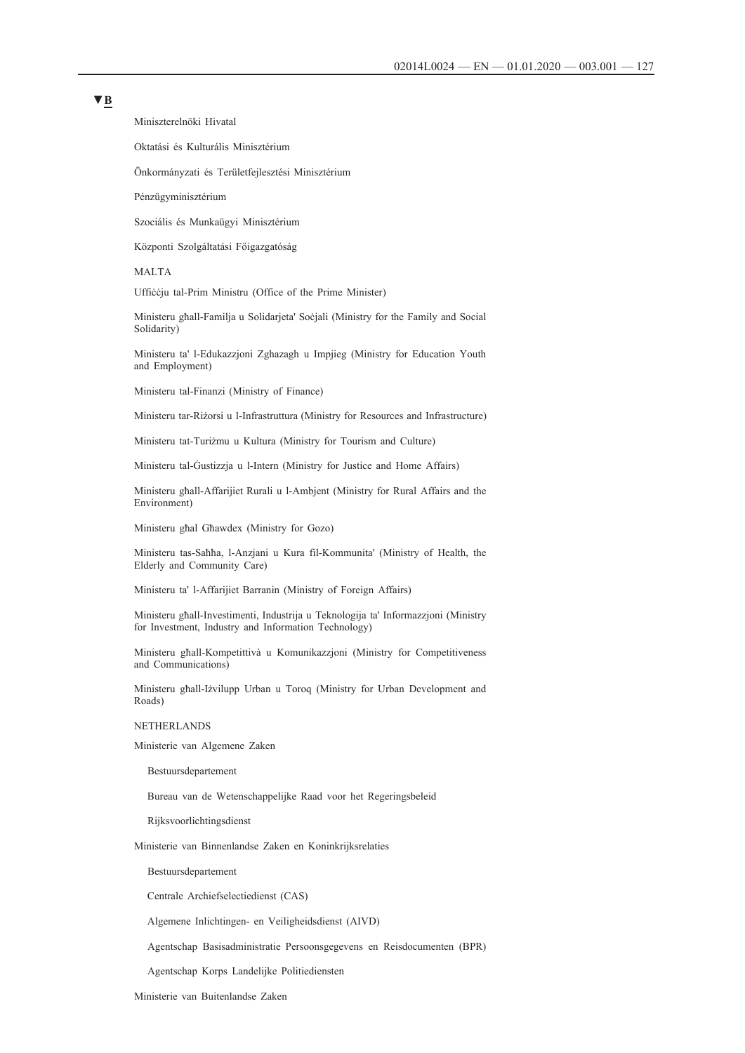Miniszterelnöki Hivatal

Oktatási és Kulturális Minisztérium

Önkormányzati és Területfejlesztési Minisztérium

Pénzügyminisztérium

Szociális és Munkaügyi Minisztérium

Központi Szolgáltatási Főigazgatóság

#### MALTA

Uffiċċju tal-Prim Ministru (Office of the Prime Minister)

Ministeru għall-Familja u Solidarjeta' Soċjali (Ministry for the Family and Social Solidarity)

Ministeru ta' l-Edukazzjoni Zghazagh u Impjieg (Ministry for Education Youth and Employment)

Ministeru tal-Finanzi (Ministry of Finance)

Ministeru tar-Riżorsi u l-Infrastruttura (Ministry for Resources and Infrastructure)

Ministeru tat-Turiżmu u Kultura (Ministry for Tourism and Culture)

Ministeru tal-Ġustizzja u l-Intern (Ministry for Justice and Home Affairs)

Ministeru għall-Affarijiet Rurali u l-Ambjent (Ministry for Rural Affairs and the Environment)

Ministeru għal Għawdex (Ministry for Gozo)

Ministeru tas-Saħħa, l-Anzjani u Kura fil-Kommunita' (Ministry of Health, the Elderly and Community Care)

Ministeru ta' l-Affarijiet Barranin (Ministry of Foreign Affairs)

Ministeru għall-Investimenti, Industrija u Teknologija ta' Informazzjoni (Ministry for Investment, Industry and Information Technology)

Ministeru għall-Kompetittivà u Komunikazzjoni (Ministry for Competitiveness and Communications)

Ministeru għall-Iżvilupp Urban u Toroq (Ministry for Urban Development and Roads)

#### NETHERLANDS

Ministerie van Algemene Zaken

Bestuursdepartement

Bureau van de Wetenschappelijke Raad voor het Regeringsbeleid

Rijksvoorlichtingsdienst

Ministerie van Binnenlandse Zaken en Koninkrijksrelaties

Bestuursdepartement

Centrale Archiefselectiedienst (CAS)

Algemene Inlichtingen- en Veiligheidsdienst (AIVD)

Agentschap Basisadministratie Persoonsgegevens en Reisdocumenten (BPR)

Agentschap Korps Landelijke Politiediensten

Ministerie van Buitenlandse Zaken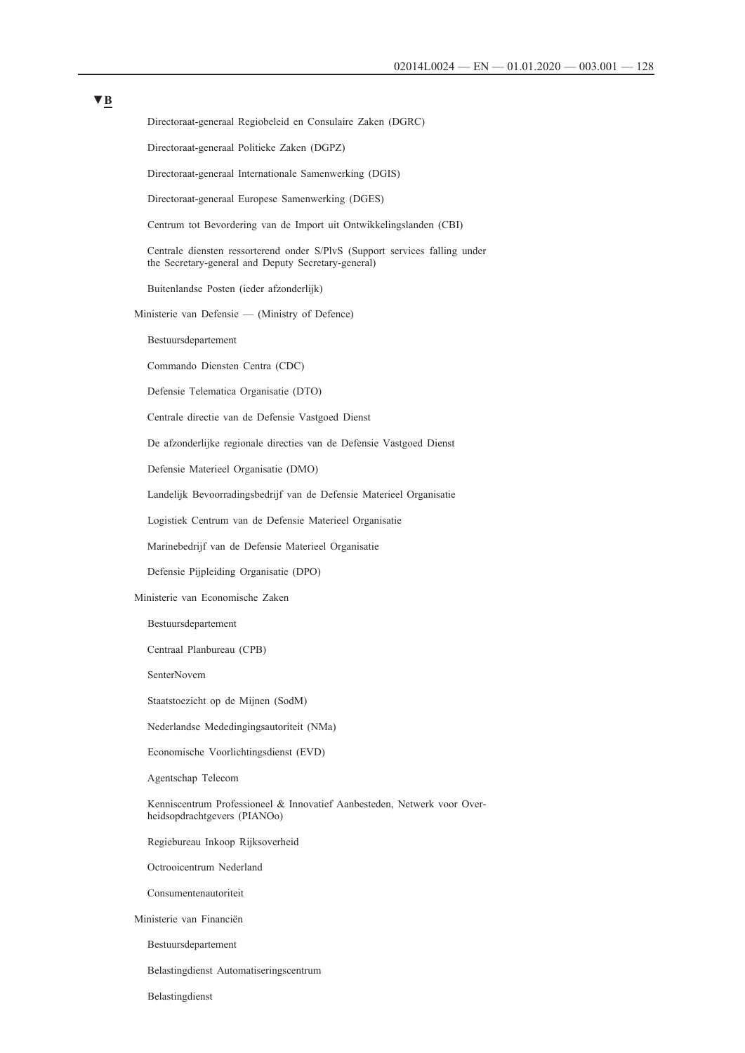Directoraat-generaal Regiobeleid en Consulaire Zaken (DGRC)

Directoraat-generaal Politieke Zaken (DGPZ)

Directoraat-generaal Internationale Samenwerking (DGIS)

Directoraat-generaal Europese Samenwerking (DGES)

Centrum tot Bevordering van de Import uit Ontwikkelingslanden (CBI)

Centrale diensten ressorterend onder S/PlvS (Support services falling under the Secretary-general and Deputy Secretary-general)

Buitenlandse Posten (ieder afzonderlijk)

Ministerie van Defensie — (Ministry of Defence)

Bestuursdepartement

Commando Diensten Centra (CDC)

Defensie Telematica Organisatie (DTO)

Centrale directie van de Defensie Vastgoed Dienst

De afzonderlijke regionale directies van de Defensie Vastgoed Dienst

Defensie Materieel Organisatie (DMO)

Landelijk Bevoorradingsbedrijf van de Defensie Materieel Organisatie

Logistiek Centrum van de Defensie Materieel Organisatie

Marinebedrijf van de Defensie Materieel Organisatie

Defensie Pijpleiding Organisatie (DPO)

Ministerie van Economische Zaken

Bestuursdepartement

Centraal Planbureau (CPB)

SenterNovem

Staatstoezicht op de Mijnen (SodM)

Nederlandse Mededingingsautoriteit (NMa)

Economische Voorlichtingsdienst (EVD)

Agentschap Telecom

Kenniscentrum Professioneel & Innovatief Aanbesteden, Netwerk voor Overheidsopdrachtgevers (PIANOo)

Regiebureau Inkoop Rijksoverheid

Octrooicentrum Nederland

Consumentenautoriteit

Ministerie van Financiën

Bestuursdepartement

Belastingdienst Automatiseringscentrum

Belastingdienst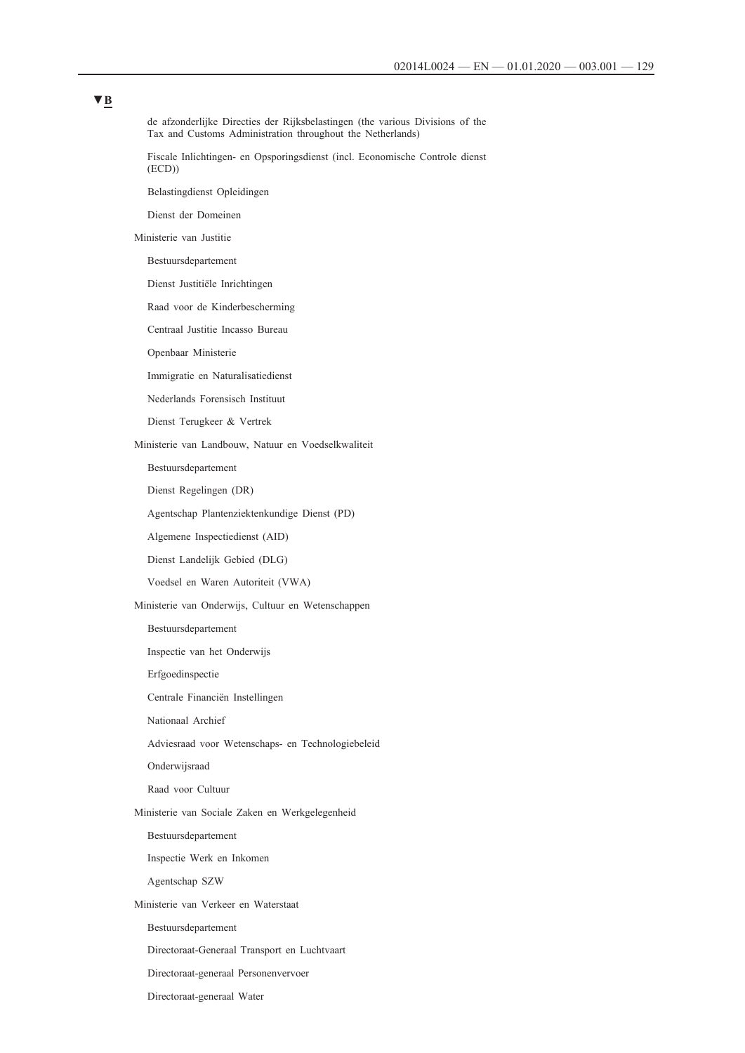de afzonderlijke Directies der Rijksbelastingen (the various Divisions of the Tax and Customs Administration throughout the Netherlands)

Fiscale Inlichtingen- en Opsporingsdienst (incl. Economische Controle dienst (ECD))

Belastingdienst Opleidingen

Dienst der Domeinen

Ministerie van Justitie

Bestuursdepartement

Dienst Justitiële Inrichtingen

Raad voor de Kinderbescherming

Centraal Justitie Incasso Bureau

Openbaar Ministerie

Immigratie en Naturalisatiedienst

Nederlands Forensisch Instituut

Dienst Terugkeer & Vertrek

Ministerie van Landbouw, Natuur en Voedselkwaliteit

Bestuursdepartement

Dienst Regelingen (DR)

Agentschap Plantenziektenkundige Dienst (PD)

Algemene Inspectiedienst (AID)

Dienst Landelijk Gebied (DLG)

Voedsel en Waren Autoriteit (VWA)

Ministerie van Onderwijs, Cultuur en Wetenschappen

Bestuursdepartement

Inspectie van het Onderwijs

Erfgoedinspectie

Centrale Financiën Instellingen

Nationaal Archief

Adviesraad voor Wetenschaps- en Technologiebeleid

Onderwijsraad

Raad voor Cultuur

Ministerie van Sociale Zaken en Werkgelegenheid

Bestuursdepartement

Inspectie Werk en Inkomen

Agentschap SZW

Ministerie van Verkeer en Waterstaat

Bestuursdepartement

Directoraat-Generaal Transport en Luchtvaart

Directoraat-generaal Personenvervoer

Directoraat-generaal Water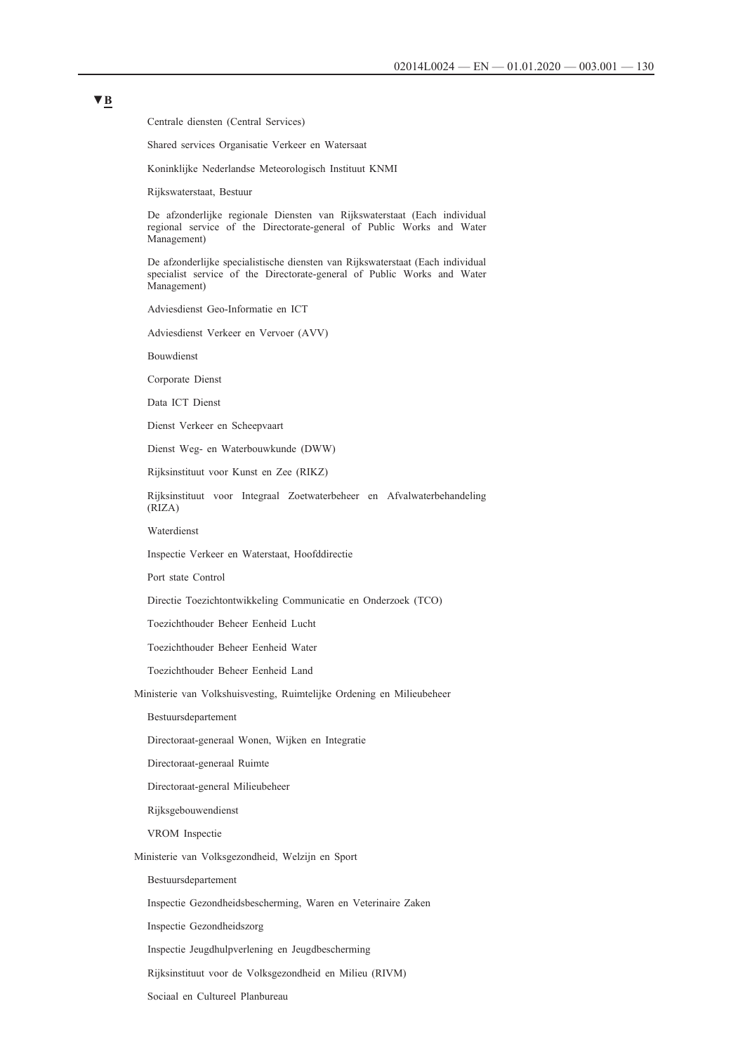Centrale diensten (Central Services)

Shared services Organisatie Verkeer en Watersaat

Koninklijke Nederlandse Meteorologisch Instituut KNMI

Rijkswaterstaat, Bestuur

De afzonderlijke regionale Diensten van Rijkswaterstaat (Each individual regional service of the Directorate-general of Public Works and Water Management)

De afzonderlijke specialistische diensten van Rijkswaterstaat (Each individual specialist service of the Directorate-general of Public Works and Water Management)

Adviesdienst Geo-Informatie en ICT

Adviesdienst Verkeer en Vervoer (AVV)

Bouwdienst

Corporate Dienst

Data ICT Dienst

Dienst Verkeer en Scheepvaart

Dienst Weg- en Waterbouwkunde (DWW)

Rijksinstituut voor Kunst en Zee (RIKZ)

Rijksinstituut voor Integraal Zoetwaterbeheer en Afvalwaterbehandeling (RIZA)

Waterdienst

Inspectie Verkeer en Waterstaat, Hoofddirectie

Port state Control

Directie Toezichtontwikkeling Communicatie en Onderzoek (TCO)

Toezichthouder Beheer Eenheid Lucht

Toezichthouder Beheer Eenheid Water

Toezichthouder Beheer Eenheid Land

Ministerie van Volkshuisvesting, Ruimtelijke Ordening en Milieubeheer

Bestuursdepartement

Directoraat-generaal Wonen, Wijken en Integratie

Directoraat-generaal Ruimte

Directoraat-general Milieubeheer

Rijksgebouwendienst

VROM Inspectie

Ministerie van Volksgezondheid, Welzijn en Sport

Bestuursdepartement

Inspectie Gezondheidsbescherming, Waren en Veterinaire Zaken

Inspectie Gezondheidszorg

Inspectie Jeugdhulpverlening en Jeugdbescherming

Rijksinstituut voor de Volksgezondheid en Milieu (RIVM)

Sociaal en Cultureel Planbureau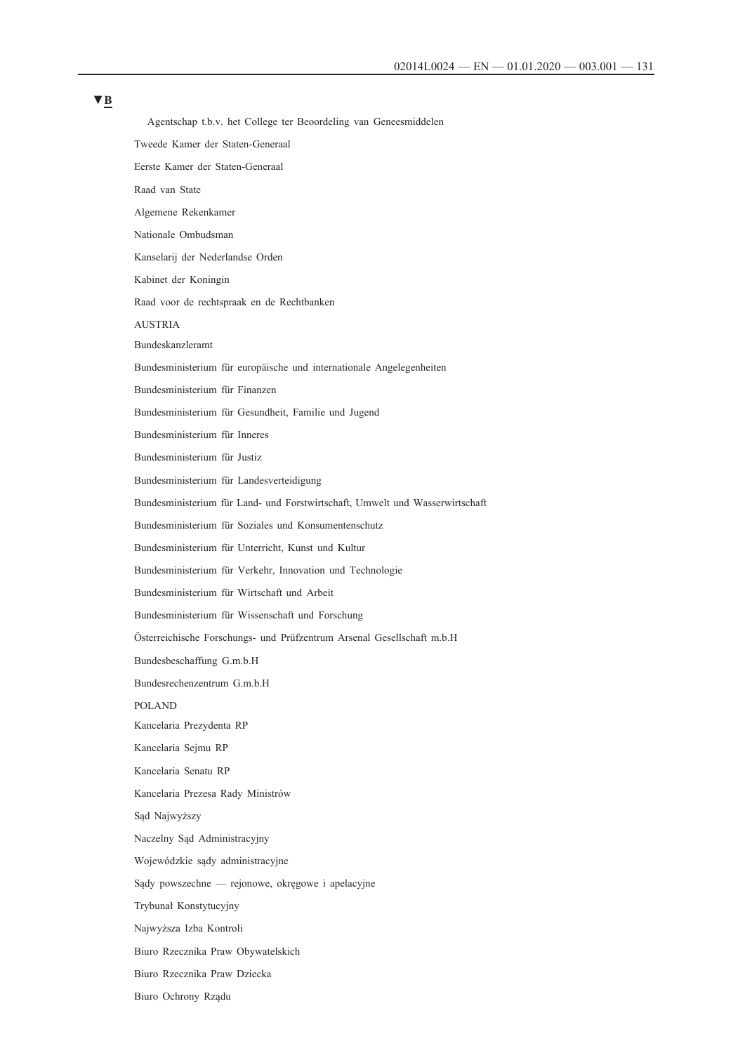Agentschap t.b.v. het College ter Beoordeling van Geneesmiddelen Tweede Kamer der Staten-Generaal Eerste Kamer der Staten-Generaal Raad van State Algemene Rekenkamer Nationale Ombudsman Kanselarij der Nederlandse Orden Kabinet der Koningin Raad voor de rechtspraak en de Rechtbanken AUSTRIA Bundeskanzleramt Bundesministerium für europäische und internationale Angelegenheiten Bundesministerium für Finanzen Bundesministerium für Gesundheit, Familie und Jugend Bundesministerium für Inneres Bundesministerium für Justiz Bundesministerium für Landesverteidigung Bundesministerium für Land- und Forstwirtschaft, Umwelt und Wasserwirtschaft Bundesministerium für Soziales und Konsumentenschutz Bundesministerium für Unterricht, Kunst und Kultur Bundesministerium für Verkehr, Innovation und Technologie Bundesministerium für Wirtschaft und Arbeit Bundesministerium für Wissenschaft und Forschung Österreichische Forschungs- und Prüfzentrum Arsenal Gesellschaft m.b.H Bundesbeschaffung G.m.b.H Bundesrechenzentrum G.m.b.H POLAND Kancelaria Prezydenta RP Kancelaria Sejmu RP Kancelaria Senatu RP Kancelaria Prezesa Rady Ministrów Sąd Najwyższy Naczelny Sąd Administracyjny Wojewódzkie sądy administracyjne Sądy powszechne — rejonowe, okręgowe i apelacyjne Trybunał Konstytucyjny Najwyższa Izba Kontroli Biuro Rzecznika Praw Obywatelskich Biuro Rzecznika Praw Dziecka Biuro Ochrony Rządu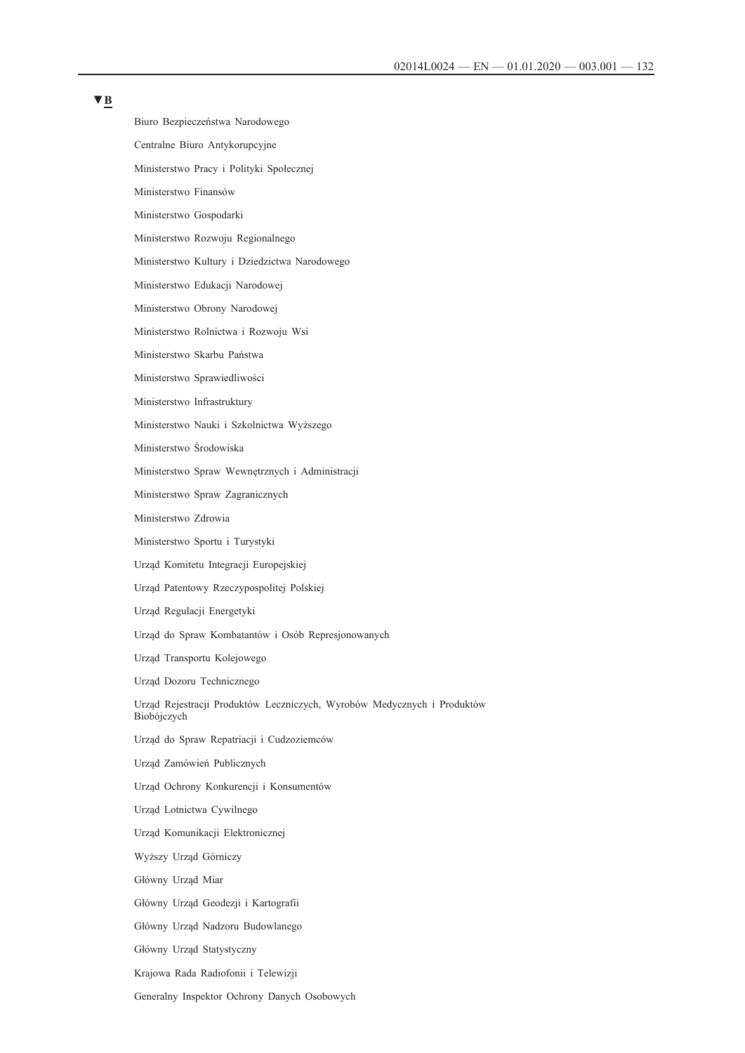### **▼B**

Biuro Bezpieczeństwa Narodowego

- Centralne Biuro Antykorupcyjne
- Ministerstwo Pracy i Polityki Społecznej
- Ministerstwo Finansów
- Ministerstwo Gospodarki
- Ministerstwo Rozwoju Regionalnego
- Ministerstwo Kultury i Dziedzictwa Narodowego
- Ministerstwo Edukacji Narodowej
- Ministerstwo Obrony Narodowej
- Ministerstwo Rolnictwa i Rozwoju Wsi
- Ministerstwo Skarbu Państwa
- Ministerstwo Sprawiedliwości
- Ministerstwo Infrastruktury
- Ministerstwo Nauki i Szkolnictwa Wyższego
- Ministerstwo Środowiska
- Ministerstwo Spraw Wewnętrznych i Administracji
- Ministerstwo Spraw Zagranicznych
- Ministerstwo Zdrowia
- Ministerstwo Sportu i Turystyki
- Urząd Komitetu Integracji Europejskiej
- Urząd Patentowy Rzeczypospolitej Polskiej
- Urząd Regulacji Energetyki
- Urząd do Spraw Kombatantów i Osób Represjonowanych
- Urząd Transportu Kolejowego
- Urząd Dozoru Technicznego
- Urząd Rejestracji Produktów Leczniczych, Wyrobów Medycznych i Produktów Biobójczych
- Urząd do Spraw Repatriacji i Cudzoziemców
- Urząd Zamówień Publicznych
- Urząd Ochrony Konkurencji i Konsumentów
- Urząd Lotnictwa Cywilnego
- Urząd Komunikacji Elektronicznej
- Wyższy Urząd Górniczy
- Główny Urząd Miar
- Główny Urząd Geodezji i Kartografii
- Główny Urząd Nadzoru Budowlanego
- Główny Urząd Statystyczny
- Krajowa Rada Radiofonii i Telewizji
- Generalny Inspektor Ochrony Danych Osobowych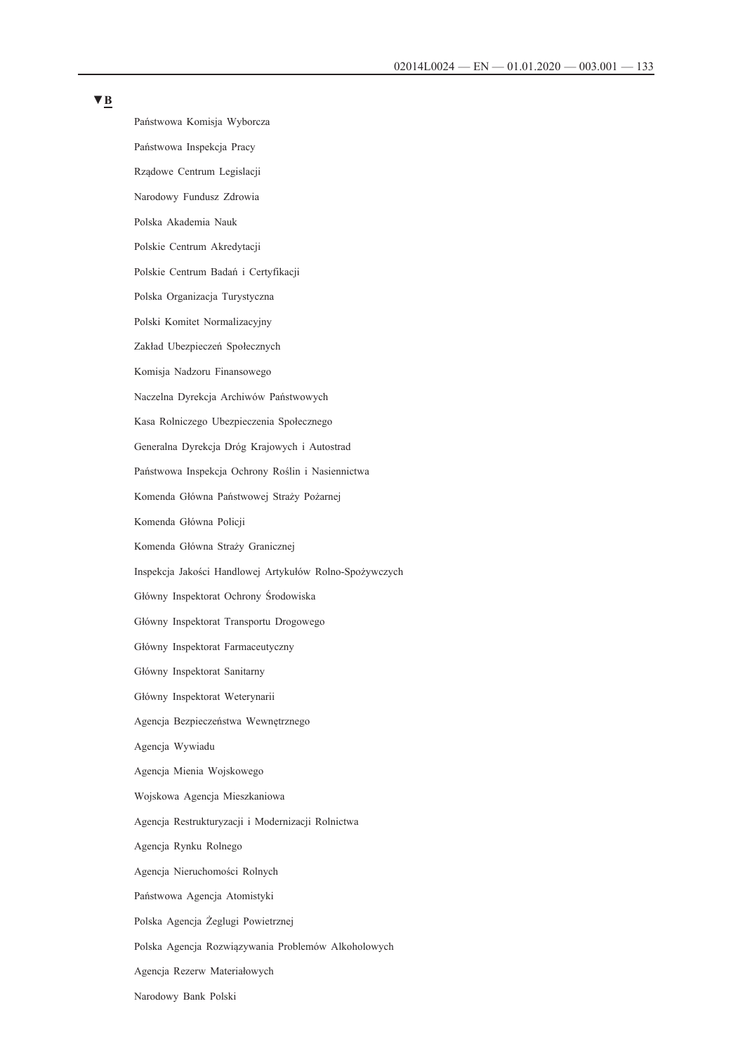Państwowa Komisja Wyborcza Państwowa Inspekcja Pracy Rządowe Centrum Legislacji Narodowy Fundusz Zdrowia Polska Akademia Nauk Polskie Centrum Akredytacji Polskie Centrum Badań i Certyfikacji Polska Organizacja Turystyczna Polski Komitet Normalizacyjny Zakład Ubezpieczeń Społecznych Komisja Nadzoru Finansowego Naczelna Dyrekcja Archiwów Państwowych Kasa Rolniczego Ubezpieczenia Społecznego Generalna Dyrekcja Dróg Krajowych i Autostrad Państwowa Inspekcja Ochrony Roślin i Nasiennictwa Komenda Główna Państwowej Straży Pożarnej Komenda Główna Policji Komenda Główna Straży Granicznej Inspekcja Jakości Handlowej Artykułów Rolno-Spożywczych Główny Inspektorat Ochrony Środowiska Główny Inspektorat Transportu Drogowego Główny Inspektorat Farmaceutyczny Główny Inspektorat Sanitarny Główny Inspektorat Weterynarii Agencja Bezpieczeństwa Wewnętrznego Agencja Wywiadu Agencja Mienia Wojskowego Wojskowa Agencja Mieszkaniowa Agencja Restrukturyzacji i Modernizacji Rolnictwa Agencja Rynku Rolnego Agencja Nieruchomości Rolnych Państwowa Agencja Atomistyki Polska Agencja Żeglugi Powietrznej Polska Agencja Rozwiązywania Problemów Alkoholowych Agencja Rezerw Materiałowych

Narodowy Bank Polski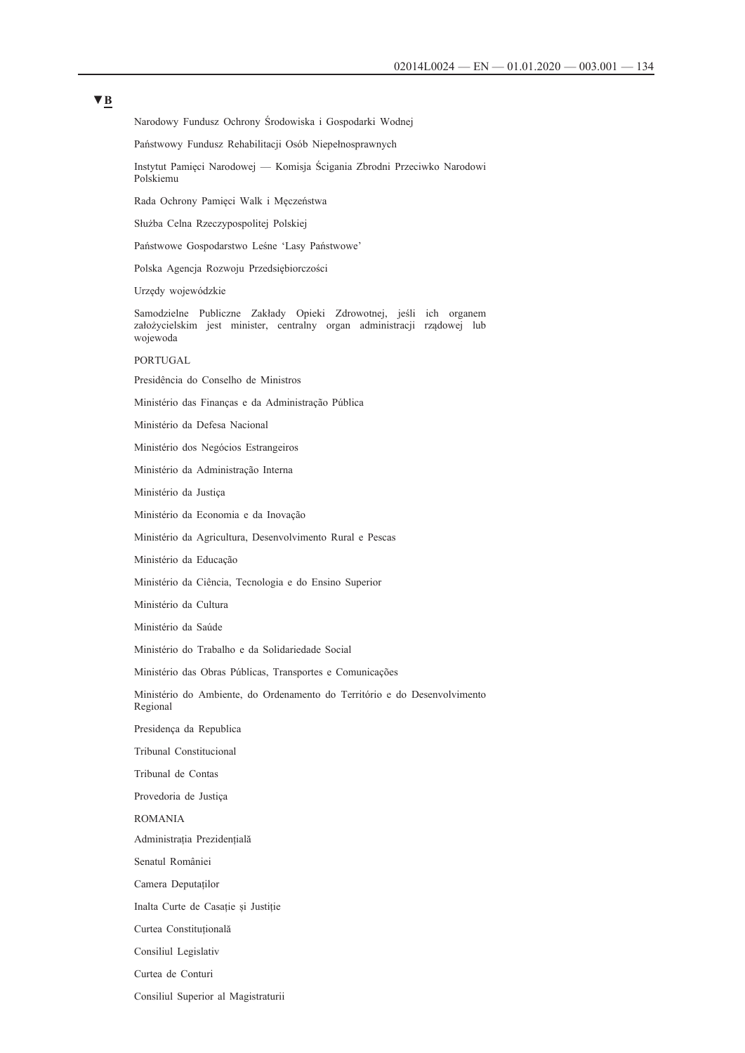Narodowy Fundusz Ochrony Środowiska i Gospodarki Wodnej

Państwowy Fundusz Rehabilitacji Osób Niepełnosprawnych

Instytut Pamięci Narodowej — Komisja Ścigania Zbrodni Przeciwko Narodowi Polskiemu

Rada Ochrony Pamięci Walk i Męczeństwa

Służba Celna Rzeczypospolitej Polskiej

Państwowe Gospodarstwo Leśne 'Lasy Państwowe'

Polska Agencja Rozwoju Przedsiębiorczości

Urzędy wojewódzkie

Samodzielne Publiczne Zakłady Opieki Zdrowotnej, jeśli ich organem założycielskim jest minister, centralny organ administracji rządowej lub wojewoda

#### PORTUGAL

Presidência do Conselho de Ministros

Ministério das Finanças e da Administração Pública

Ministério da Defesa Nacional

Ministério dos Negócios Estrangeiros

Ministério da Administração Interna

Ministério da Justiça

Ministério da Economia e da Inovação

Ministério da Agricultura, Desenvolvimento Rural e Pescas

Ministério da Educação

Ministério da Ciência, Tecnologia e do Ensino Superior

Ministério da Cultura

Ministério da Saúde

Ministério do Trabalho e da Solidariedade Social

Ministério das Obras Públicas, Transportes e Comunicações

Ministério do Ambiente, do Ordenamento do Território e do Desenvolvimento Regional

Presidença da Republica

Tribunal Constitucional

Tribunal de Contas

Provedoria de Justiça

ROMANIA

Administrația Prezidențială

Senatul României

Camera Deputaților

Inalta Curte de Casație și Justiție

Curtea Constituțională

Consiliul Legislativ

Curtea de Conturi

Consiliul Superior al Magistraturii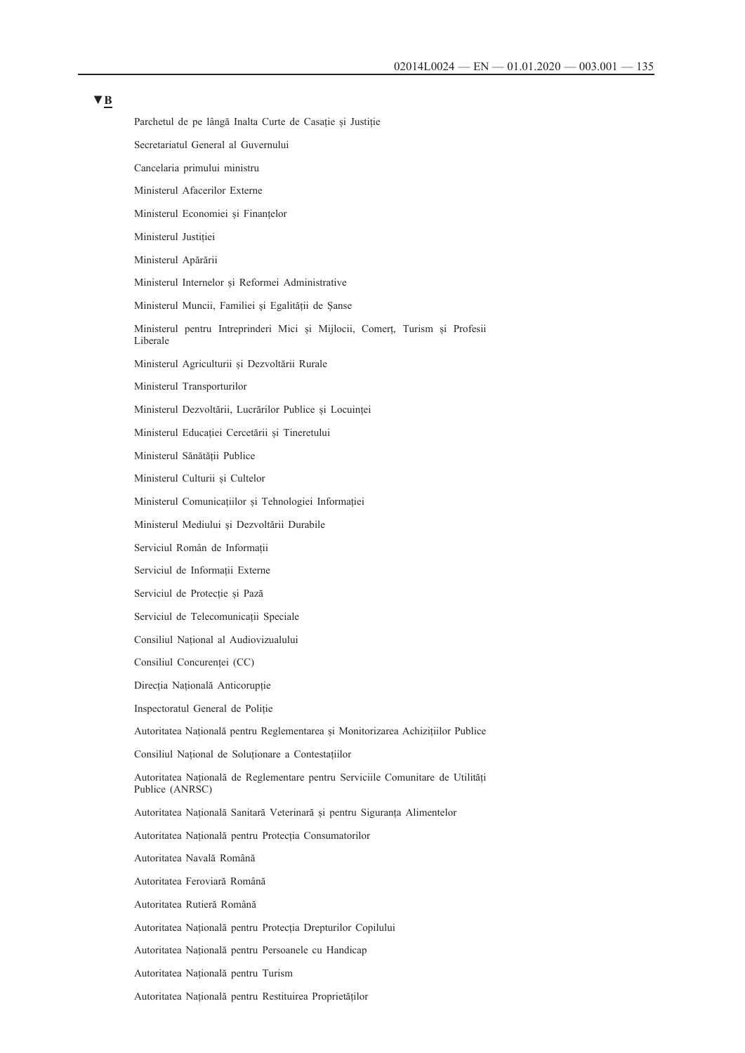Parchetul de pe lângă Inalta Curte de Casație și Justiție Secretariatul General al Guvernului Cancelaria primului ministru Ministerul Afacerilor Externe Ministerul Economiei și Finanțelor Ministerul Justiției Ministerul Apărării Ministerul Internelor și Reformei Administrative Ministerul Muncii, Familiei și Egalității de Șanse Ministerul pentru Intreprinderi Mici și Mijlocii, Comerț, Turism și Profesii Liberale Ministerul Agriculturii și Dezvoltării Rurale Ministerul Transporturilor Ministerul Dezvoltării, Lucrărilor Publice și Locuinței Ministerul Educației Cercetării și Tineretului Ministerul Sănătății Publice Ministerul Culturii și Cultelor Ministerul Comunicațiilor și Tehnologiei Informației Ministerul Mediului și Dezvoltării Durabile Serviciul Român de Informații Serviciul de Informații Externe Serviciul de Protecție și Pază Serviciul de Telecomunicații Speciale Consiliul Național al Audiovizualului Consiliul Concurenței (CC) Direcția Națională Anticorupție Inspectoratul General de Poliție Autoritatea Națională pentru Reglementarea și Monitorizarea Achizițiilor Publice Consiliul Național de Soluționare a Contestațiilor Autoritatea Națională de Reglementare pentru Serviciile Comunitare de Utilități Publice (ANRSC) Autoritatea Națională Sanitară Veterinară și pentru Siguranța Alimentelor Autoritatea Națională pentru Protecția Consumatorilor Autoritatea Navală Română Autoritatea Feroviară Română Autoritatea Rutieră Română Autoritatea Națională pentru Protecția Drepturilor Copilului Autoritatea Națională pentru Persoanele cu Handicap Autoritatea Națională pentru Turism

Autoritatea Națională pentru Restituirea Proprietăților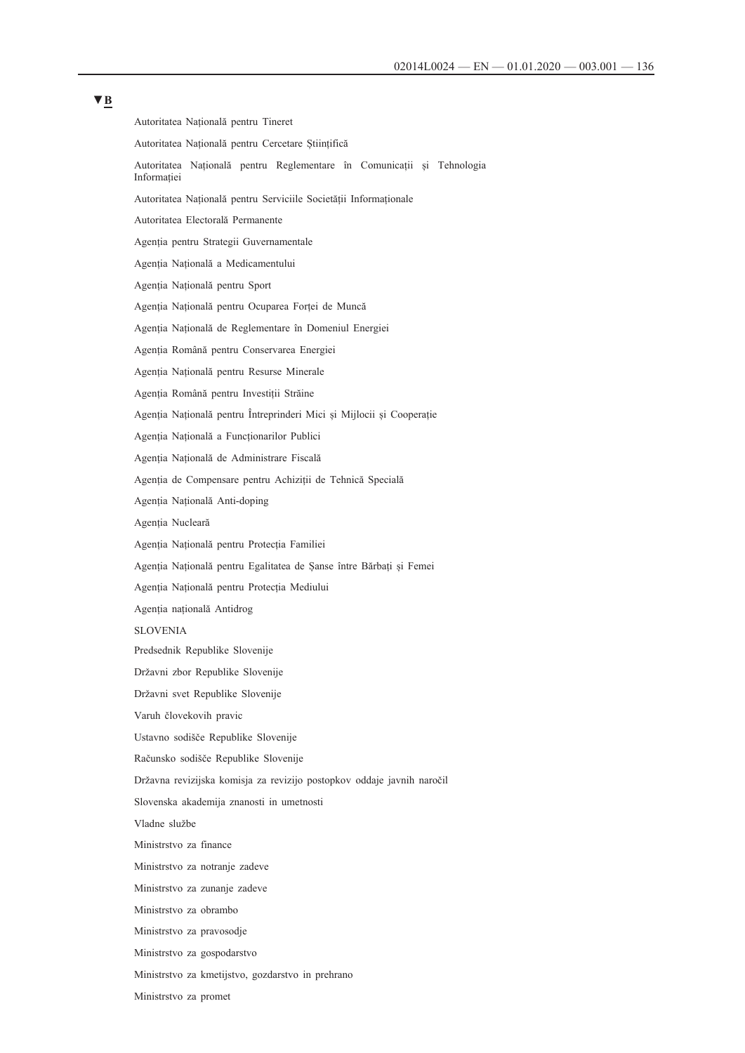Autoritatea Națională pentru Tineret Autoritatea Națională pentru Cercetare Științifică Autoritatea Națională pentru Reglementare în Comunicații și Tehnologia Informației Autoritatea Națională pentru Serviciile Societății Informaționale Autoritatea Electorală Permanente Agenția pentru Strategii Guvernamentale Agenția Națională a Medicamentului Agenția Națională pentru Sport Agenția Națională pentru Ocuparea Forței de Muncă Agenția Națională de Reglementare în Domeniul Energiei Agenția Română pentru Conservarea Energiei Agenția Națională pentru Resurse Minerale Agenția Română pentru Investiții Străine Agenția Națională pentru Întreprinderi Mici și Mijlocii și Cooperație Agenția Națională a Funcționarilor Publici Agenția Națională de Administrare Fiscală Agenția de Compensare pentru Achiziții de Tehnică Specială Agenția Națională Anti-doping Agenția Nucleară Agenția Națională pentru Protecția Familiei Agenția Națională pentru Egalitatea de Șanse între Bărbați și Femei Agenția Națională pentru Protecția Mediului Agenția națională Antidrog SLOVENIA Predsednik Republike Slovenije Državni zbor Republike Slovenije Državni svet Republike Slovenije Varuh človekovih pravic Ustavno sodišče Republike Slovenije Računsko sodišče Republike Slovenije Državna revizijska komisja za revizijo postopkov oddaje javnih naročil Slovenska akademija znanosti in umetnosti Vladne službe Ministrstvo za finance Ministrstvo za notranje zadeve Ministrstvo za zunanje zadeve Ministrstvo za obrambo Ministrstvo za pravosodje Ministrstvo za gospodarstvo Ministrstvo za kmetijstvo, gozdarstvo in prehrano Ministrstvo za promet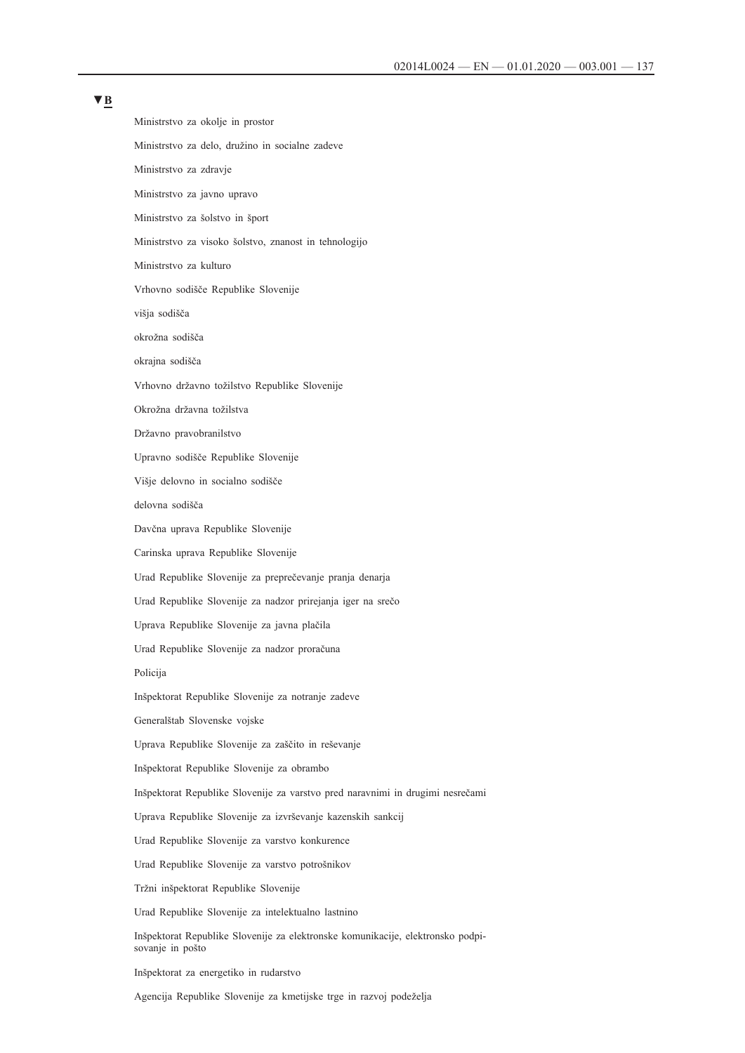Ministrstvo za okolje in prostor Ministrstvo za delo, družino in socialne zadeve Ministrstvo za zdravje Ministrstvo za javno upravo Ministrstvo za šolstvo in šport Ministrstvo za visoko šolstvo, znanost in tehnologijo Ministrstvo za kulturo Vrhovno sodišče Republike Slovenije višja sodišča okrožna sodišča okrajna sodišča Vrhovno državno tožilstvo Republike Slovenije Okrožna državna tožilstva Državno pravobranilstvo Upravno sodišče Republike Slovenije Višje delovno in socialno sodišče delovna sodišča Davčna uprava Republike Slovenije Carinska uprava Republike Slovenije Urad Republike Slovenije za preprečevanje pranja denarja Urad Republike Slovenije za nadzor prirejanja iger na srečo Uprava Republike Slovenije za javna plačila Urad Republike Slovenije za nadzor proračuna Policija Inšpektorat Republike Slovenije za notranje zadeve Generalštab Slovenske vojske Uprava Republike Slovenije za zaščito in reševanje Inšpektorat Republike Slovenije za obrambo Inšpektorat Republike Slovenije za varstvo pred naravnimi in drugimi nesrečami Uprava Republike Slovenije za izvrševanje kazenskih sankcij Urad Republike Slovenije za varstvo konkurence Urad Republike Slovenije za varstvo potrošnikov Tržni inšpektorat Republike Slovenije Urad Republike Slovenije za intelektualno lastnino Inšpektorat Republike Slovenije za elektronske komunikacije, elektronsko podpisovanje in pošto Inšpektorat za energetiko in rudarstvo

Agencija Republike Slovenije za kmetijske trge in razvoj podeželja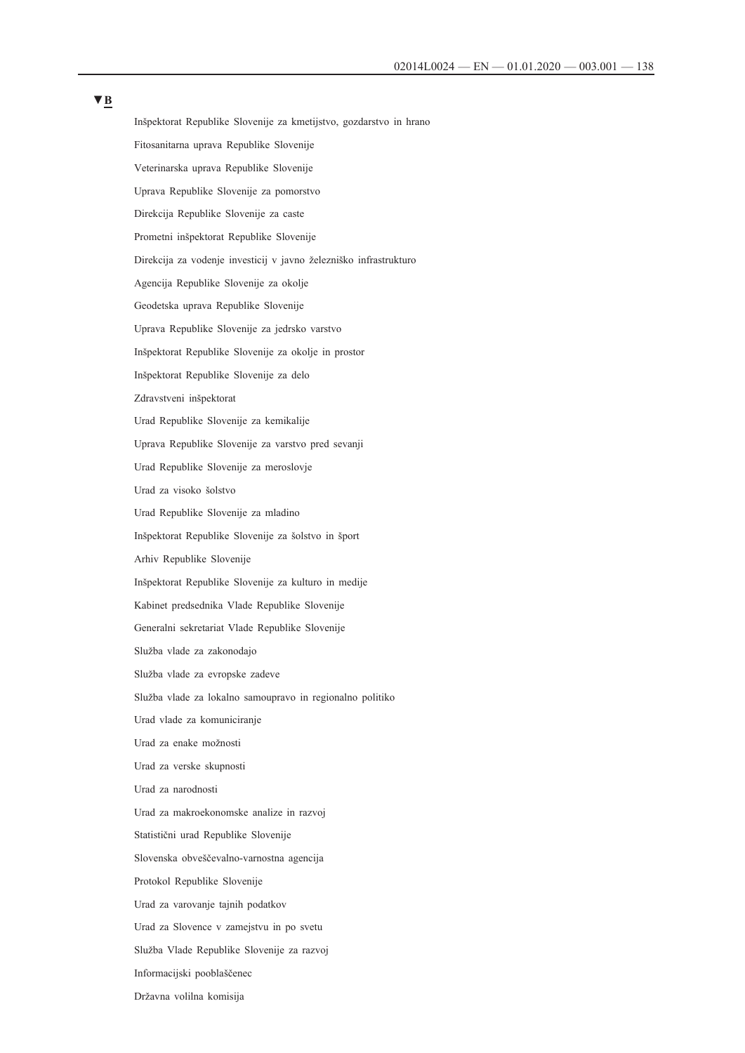Inšpektorat Republike Slovenije za kmetijstvo, gozdarstvo in hrano Fitosanitarna uprava Republike Slovenije Veterinarska uprava Republike Slovenije Uprava Republike Slovenije za pomorstvo Direkcija Republike Slovenije za caste Prometni inšpektorat Republike Slovenije Direkcija za vodenje investicij v javno železniško infrastrukturo Agencija Republike Slovenije za okolje Geodetska uprava Republike Slovenije Uprava Republike Slovenije za jedrsko varstvo Inšpektorat Republike Slovenije za okolje in prostor Inšpektorat Republike Slovenije za delo Zdravstveni inšpektorat Urad Republike Slovenije za kemikalije Uprava Republike Slovenije za varstvo pred sevanji Urad Republike Slovenije za meroslovje Urad za visoko šolstvo Urad Republike Slovenije za mladino Inšpektorat Republike Slovenije za šolstvo in šport Arhiv Republike Slovenije Inšpektorat Republike Slovenije za kulturo in medije Kabinet predsednika Vlade Republike Slovenije Generalni sekretariat Vlade Republike Slovenije Služba vlade za zakonodajo Služba vlade za evropske zadeve Služba vlade za lokalno samoupravo in regionalno politiko Urad vlade za komuniciranje Urad za enake možnosti Urad za verske skupnosti Urad za narodnosti Urad za makroekonomske analize in razvoj Statistični urad Republike Slovenije Slovenska obveščevalno-varnostna agencija Protokol Republike Slovenije Urad za varovanje tajnih podatkov Urad za Slovence v zamejstvu in po svetu Služba Vlade Republike Slovenije za razvoj Informacijski pooblaščenec Državna volilna komisija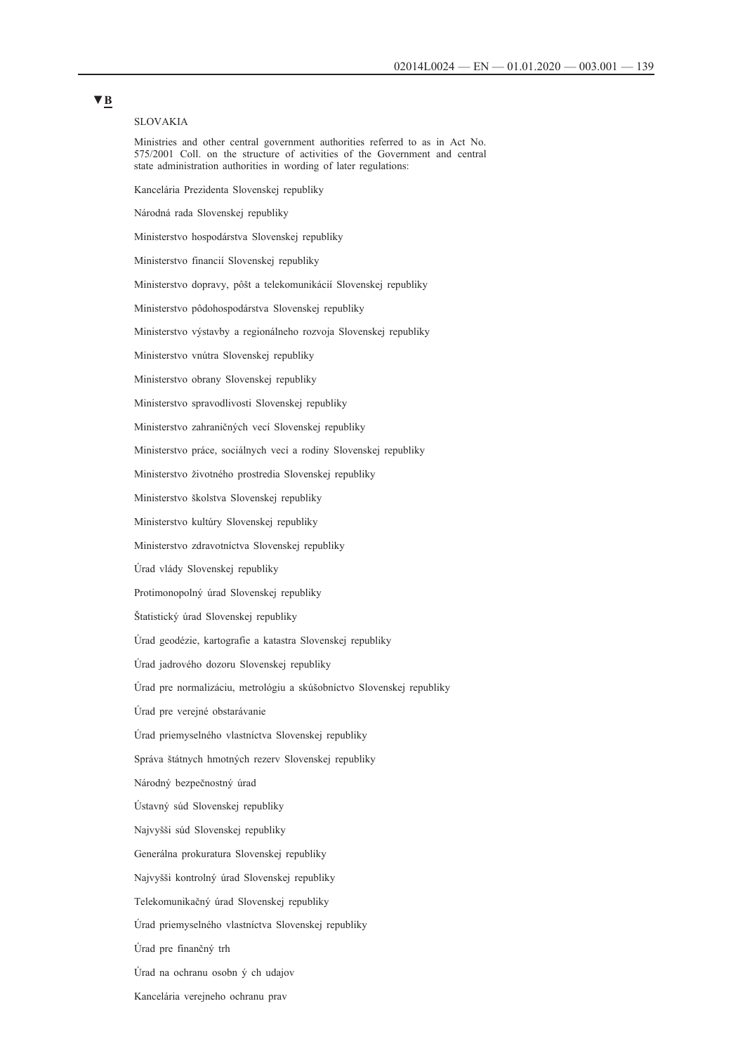# SLOVAKIA Ministries and other central government authorities referred to as in Act No. state administration authorities in wording of later regulations: Kancelária Prezidenta Slovenskej republiky Národná rada Slovenskej republiky Ministerstvo hospodárstva Slovenskej republiky Ministerstvo financií Slovenskej republiky Ministerstvo dopravy, pôšt a telekomunikácií Slovenskej republiky Ministerstvo pôdohospodárstva Slovenskej republiky Ministerstvo vnútra Slovenskej republiky Ministerstvo obrany Slovenskej republiky Ministerstvo spravodlivosti Slovenskej republiky Ministerstvo zahraničných vecí Slovenskej republiky Ministerstvo práce, sociálnych vecí a rodiny Slovenskej republiky Ministerstvo životného prostredia Slovenskej republiky Ministerstvo školstva Slovenskej republiky Ministerstvo kultúry Slovenskej republiky Ministerstvo zdravotníctva Slovenskej republiky Úrad vlády Slovenskej republiky Protimonopolný úrad Slovenskej republiky Štatistický úrad Slovenskej republiky Úrad geodézie, kartografie a katastra Slovenskej republiky Úrad jadrového dozoru Slovenskej republiky Úrad pre verejné obstarávanie Úrad priemyselného vlastníctva Slovenskej republiky Správa štátnych hmotných rezerv Slovenskej republiky Národný bezpečnostný úrad Ústavný súd Slovenskej republiky Najvyšši súd Slovenskej republiky Generálna prokuratura Slovenskej republiky Najvyšši kontrolný úrad Slovenskej republiky Telekomunikačný úrad Slovenskej republiky Úrad priemyselného vlastníctva Slovenskej republiky Úrad pre finančný trh

### **▼B**

575/2001 Coll. on the structure of activities of the Government and central

Ministerstvo výstavby a regionálneho rozvoja Slovenskej republiky

Úrad pre normalizáciu, metrológiu a skúšobníctvo Slovenskej republiky

Úrad na ochranu osobn ý ch udajov

Kancelária verejneho ochranu prav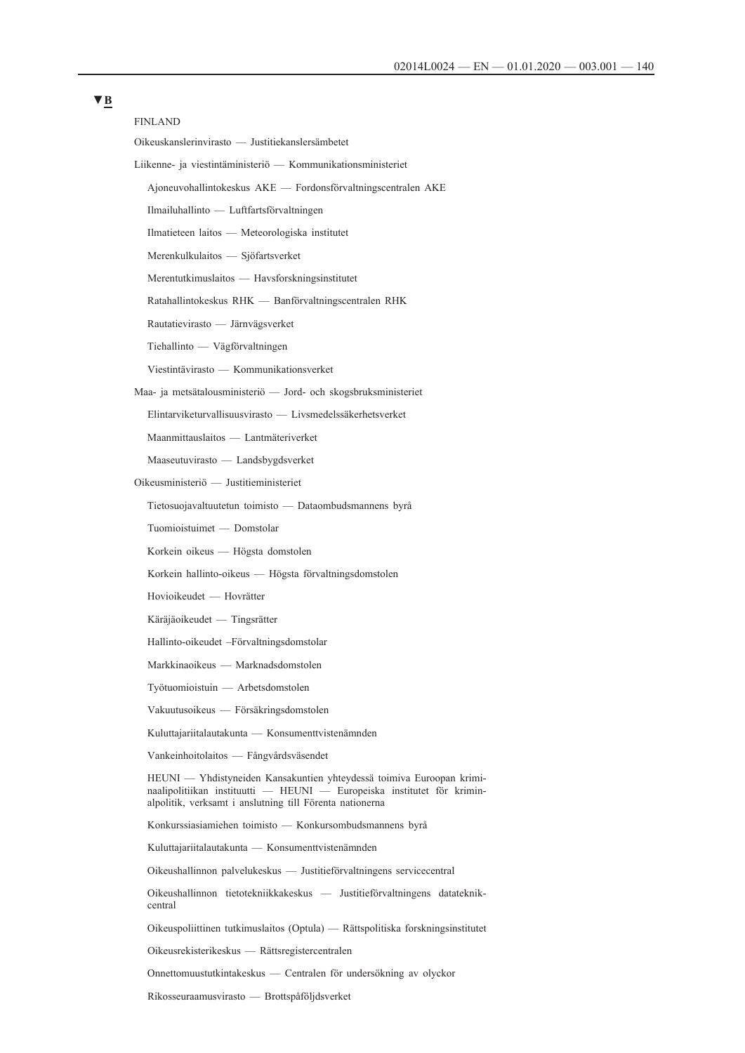# FINLAND

Oikeuskanslerinvirasto — Justitiekanslersämbetet

Liikenne- ja viestintäministeriö — Kommunikationsministeriet

Ajoneuvohallintokeskus AKE — Fordonsförvaltningscentralen AKE

Ilmailuhallinto — Luftfartsförvaltningen

Ilmatieteen laitos — Meteorologiska institutet

Merenkulkulaitos — Sjöfartsverket

Merentutkimuslaitos — Havsforskningsinstitutet

Ratahallintokeskus RHK — Banförvaltningscentralen RHK

Rautatievirasto — Järnvägsverket

Tiehallinto — Vägförvaltningen

Viestintävirasto — Kommunikationsverket

Maa- ja metsätalousministeriö — Jord- och skogsbruksministeriet

Elintarviketurvallisuusvirasto — Livsmedelssäkerhetsverket

Maanmittauslaitos — Lantmäteriverket

Maaseutuvirasto — Landsbygdsverket

Oikeusministeriö — Justitieministeriet

Tietosuojavaltuutetun toimisto — Dataombudsmannens byrå

Tuomioistuimet — Domstolar

Korkein oikeus — Högsta domstolen

Korkein hallinto-oikeus — Högsta förvaltningsdomstolen

Hovioikeudet — Hovrätter

Käräjäoikeudet — Tingsrätter

Hallinto-oikeudet –Förvaltningsdomstolar

Markkinaoikeus — Marknadsdomstolen

Työtuomioistuin — Arbetsdomstolen

Vakuutusoikeus — Försäkringsdomstolen

Kuluttajariitalautakunta — Konsumenttvistenämnden

Vankeinhoitolaitos — Fångvårdsväsendet

HEUNI — Yhdistyneiden Kansakuntien yhteydessä toimiva Euroopan kriminaalipolitiikan instituutti — HEUNI — Europeiska institutet för kriminalpolitik, verksamt i anslutning till Förenta nationerna

Konkurssiasiamiehen toimisto — Konkursombudsmannens byrå

Kuluttajariitalautakunta — Konsumenttvistenämnden

Oikeushallinnon palvelukeskus — Justitieförvaltningens servicecentral

Oikeushallinnon tietotekniikkakeskus — Justitieförvaltningens datateknikcentral

Oikeuspoliittinen tutkimuslaitos (Optula) — Rättspolitiska forskningsinstitutet

Oikeusrekisterikeskus — Rättsregistercentralen

Onnettomuustutkintakeskus — Centralen för undersökning av olyckor

Rikosseuraamusvirasto — Brottspåföljdsverket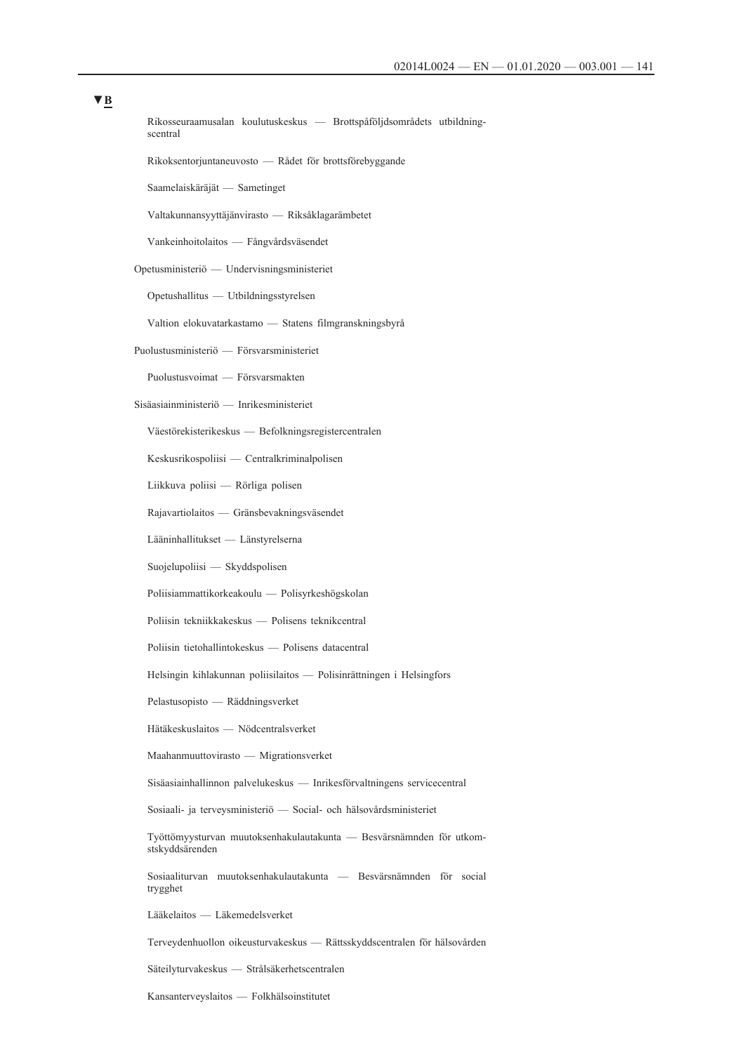Rikosseuraamusalan koulutuskeskus — Brottspåföljdsområdets utbildningscentral

Rikoksentorjuntaneuvosto — Rådet för brottsförebyggande

Saamelaiskäräjät — Sametinget

Valtakunnansyyttäjänvirasto — Riksåklagarämbetet

Vankeinhoitolaitos — Fångvårdsväsendet

Opetusministeriö — Undervisningsministeriet

Opetushallitus — Utbildningsstyrelsen

Valtion elokuvatarkastamo — Statens filmgranskningsbyrå

Puolustusministeriö — Försvarsministeriet

Puolustusvoimat — Försvarsmakten

Sisäasiainministeriö — Inrikesministeriet

Väestörekisterikeskus — Befolkningsregistercentralen

Keskusrikospoliisi — Centralkriminalpolisen

Liikkuva poliisi — Rörliga polisen

Rajavartiolaitos — Gränsbevakningsväsendet

Lääninhallitukset — Länstyrelserna

Suojelupoliisi — Skyddspolisen

Poliisiammattikorkeakoulu — Polisyrkeshögskolan

Poliisin tekniikkakeskus — Polisens teknikcentral

Poliisin tietohallintokeskus — Polisens datacentral

Helsingin kihlakunnan poliisilaitos — Polisinrättningen i Helsingfors

Pelastusopisto — Räddningsverket

Hätäkeskuslaitos — Nödcentralsverket

Maahanmuuttovirasto — Migrationsverket

Sisäasiainhallinnon palvelukeskus — Inrikesförvaltningens servicecentral

Sosiaali- ja terveysministeriö — Social- och hälsovårdsministeriet

Työttömyysturvan muutoksenhakulautakunta — Besvärsnämnden för utkomstskyddsärenden

Sosiaaliturvan muutoksenhakulautakunta — Besvärsnämnden för social trygghet

Lääkelaitos — Läkemedelsverket

Terveydenhuollon oikeusturvakeskus — Rättsskyddscentralen för hälsovården

Säteilyturvakeskus — Strålsäkerhetscentralen

Kansanterveyslaitos — Folkhälsoinstitutet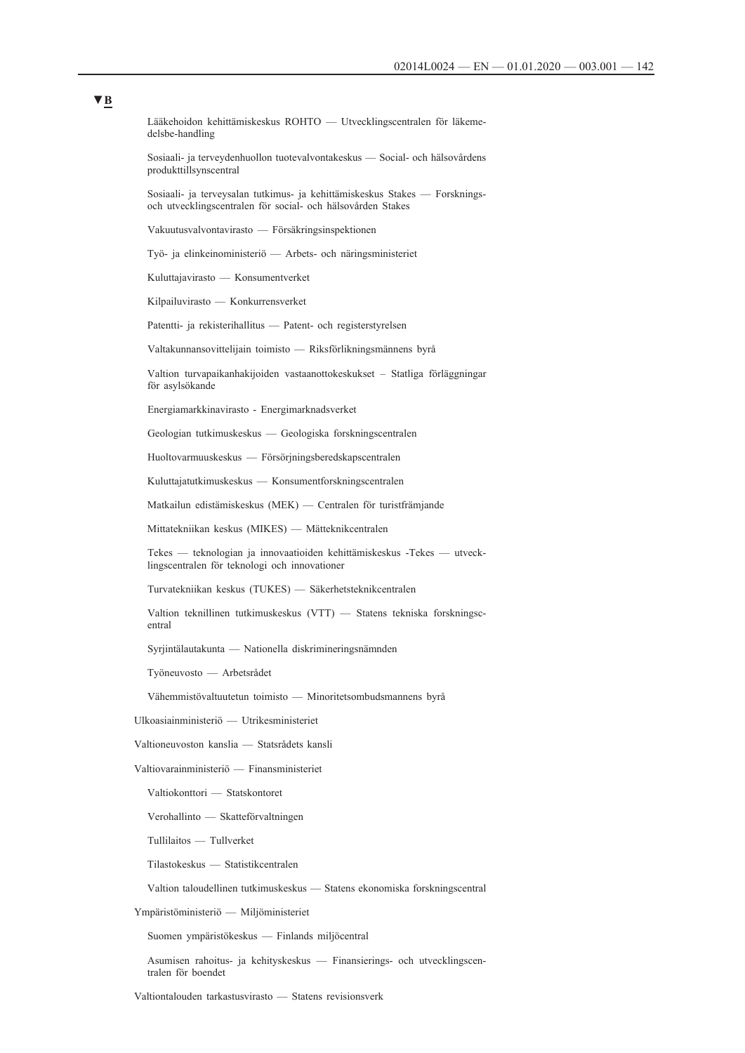Lääkehoidon kehittämiskeskus ROHTO — Utvecklingscentralen för läkemedelsbe-handling

Sosiaali- ja terveydenhuollon tuotevalvontakeskus — Social- och hälsovårdens produkttillsynscentral

Sosiaali- ja terveysalan tutkimus- ja kehittämiskeskus Stakes — Forskningsoch utvecklingscentralen för social- och hälsovården Stakes

Vakuutusvalvontavirasto — Försäkringsinspektionen

Työ- ja elinkeinoministeriö — Arbets- och näringsministeriet

Kuluttajavirasto — Konsumentverket

Kilpailuvirasto — Konkurrensverket

Patentti- ja rekisterihallitus — Patent- och registerstyrelsen

Valtakunnansovittelijain toimisto — Riksförlikningsmännens byrå

Valtion turvapaikanhakijoiden vastaanottokeskukset – Statliga förläggningar för asylsökande

Energiamarkkinavirasto - Energimarknadsverket

Geologian tutkimuskeskus — Geologiska forskningscentralen

Huoltovarmuuskeskus — Försörjningsberedskapscentralen

Kuluttajatutkimuskeskus — Konsumentforskningscentralen

Matkailun edistämiskeskus (MEK) — Centralen för turistfrämjande

Mittatekniikan keskus (MIKES) — Mätteknikcentralen

Tekes — teknologian ja innovaatioiden kehittämiskeskus -Tekes — utvecklingscentralen för teknologi och innovationer

Turvatekniikan keskus (TUKES) — Säkerhetsteknikcentralen

Valtion teknillinen tutkimuskeskus (VTT) — Statens tekniska forskningscentral

Syrjintälautakunta — Nationella diskrimineringsnämnden

Työneuvosto — Arbetsrådet

Vähemmistövaltuutetun toimisto — Minoritetsombudsmannens byrå

Ulkoasiainministeriö — Utrikesministeriet

Valtioneuvoston kanslia — Statsrådets kansli

Valtiovarainministeriö — Finansministeriet

Valtiokonttori — Statskontoret

Verohallinto — Skatteförvaltningen

Tullilaitos — Tullverket

Tilastokeskus — Statistikcentralen

Valtion taloudellinen tutkimuskeskus — Statens ekonomiska forskningscentral

Ympäristöministeriö — Miljöministeriet

Suomen ympäristökeskus — Finlands miljöcentral

Asumisen rahoitus- ja kehityskeskus — Finansierings- och utvecklingscentralen för boendet

Valtiontalouden tarkastusvirasto — Statens revisionsverk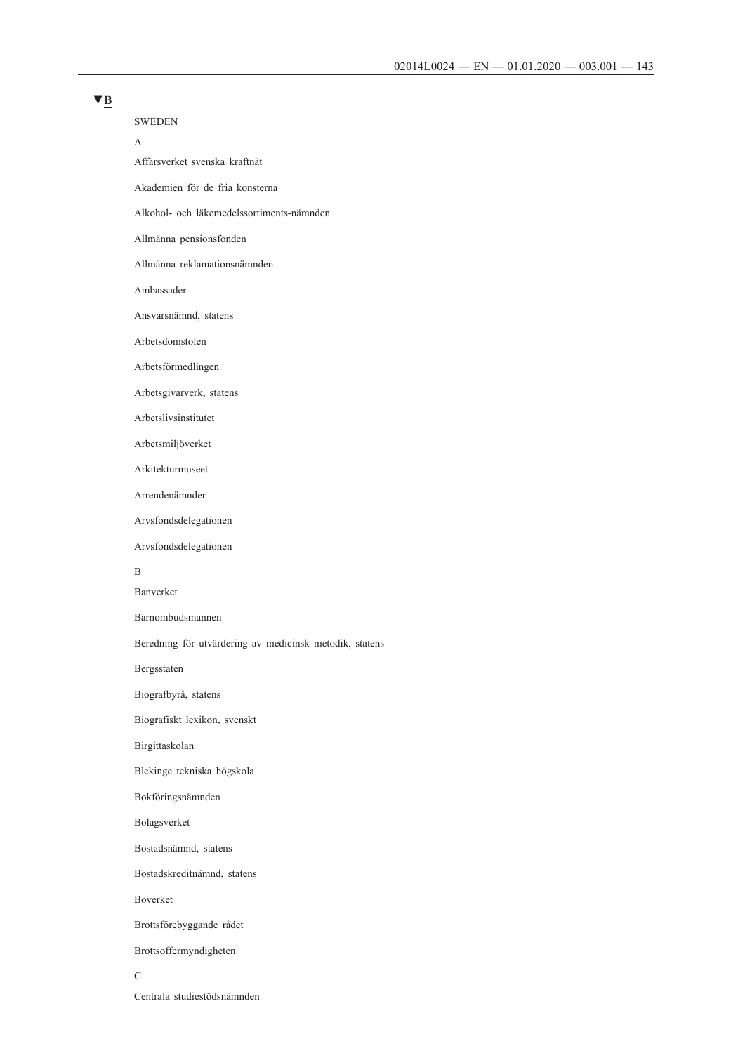SWEDEN A Affärsverket svenska kraftnät Akademien för de fria konsterna Alkohol- och läkemedelssortiments-nämnden Allmänna pensionsfonden Allmänna reklamationsnämnden Ambassader Ansvarsnämnd, statens Arbetsdomstolen Arbetsförmedlingen Arbetsgivarverk, statens Arbetslivsinstitutet Arbetsmiljöverket Arkitekturmuseet Arrendenämnder Arvsfondsdelegationen Arvsfondsdelegationen B Banverket Barnombudsmannen Beredning för utvärdering av medicinsk metodik, statens Bergsstaten Biografbyrå, statens Biografiskt lexikon, svenskt Birgittaskolan Blekinge tekniska högskola Bokföringsnämnden Bolagsverket Bostadsnämnd, statens Bostadskreditnämnd, statens Boverket Brottsförebyggande rådet Brottsoffermyndigheten C

### **▼B**

Centrala studiestödsnämnden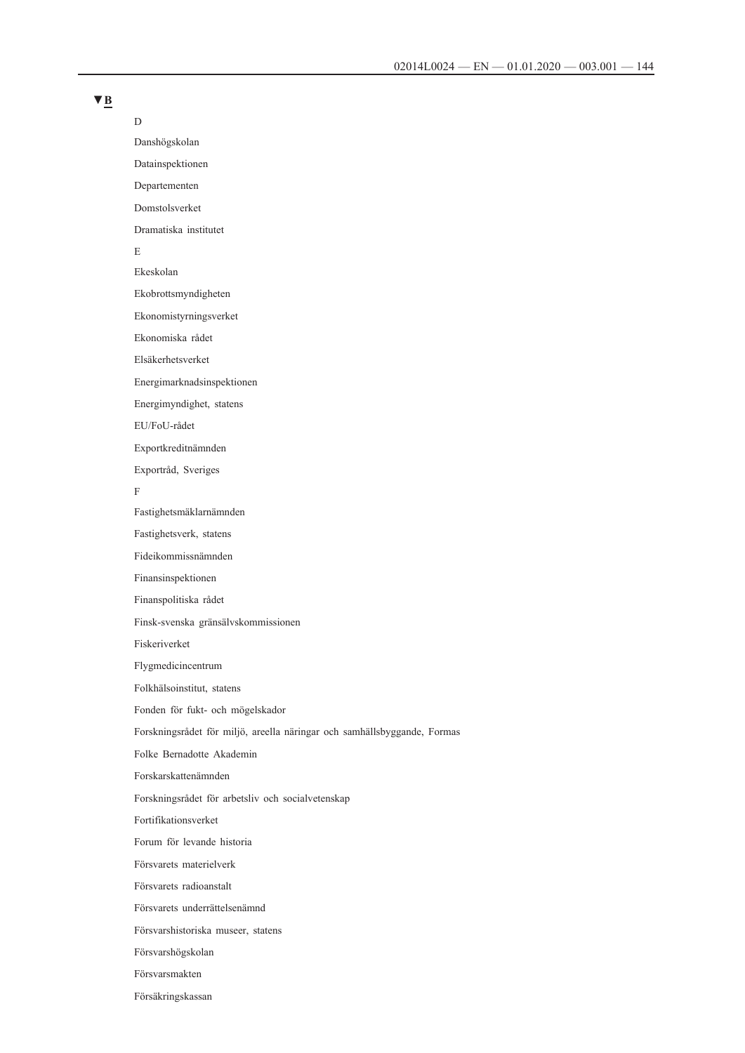## **▼B**

D Danshögskolan

Datainspektionen

Departementen

Domstolsverket

Dramatiska institutet

E

Ekeskolan

Ekobrottsmyndigheten

Ekonomistyrningsverket

Ekonomiska rådet

Elsäkerhetsverket

Energimarknadsinspektionen

Energimyndighet, statens

EU/FoU-rådet

Exportkreditnämnden

Exportråd, Sveriges

F

Fastighetsmäklarnämnden

Fastighetsverk, statens

Fideikommissnämnden

Finansinspektionen

Finanspolitiska rådet

Finsk-svenska gränsälvskommissionen

Fiskeriverket

Flygmedicincentrum

Folkhälsoinstitut, statens

Fonden för fukt- och mögelskador

Forskningsrådet för miljö, areella näringar och samhällsbyggande, Formas

Folke Bernadotte Akademin

Forskarskattenämnden

Forskningsrådet för arbetsliv och socialvetenskap

Fortifikationsverket

Forum för levande historia

Försvarets materielverk

Försvarets radioanstalt

Försvarets underrättelsenämnd

Försvarshistoriska museer, statens

Försvarshögskolan

Försvarsmakten

Försäkringskassan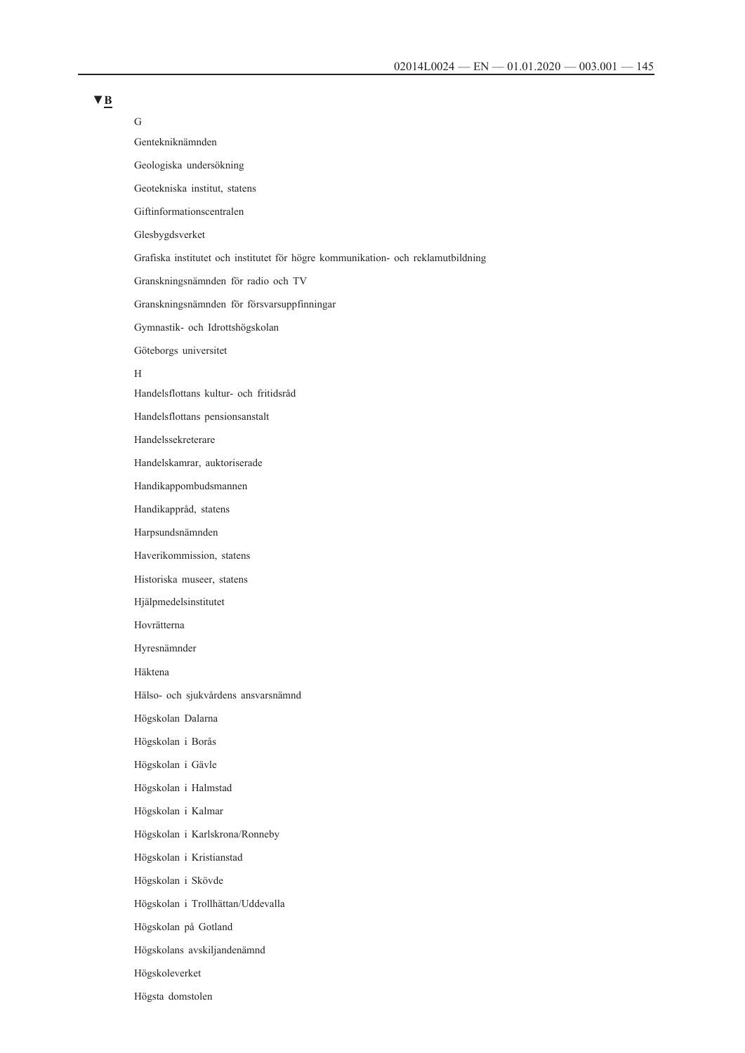| G                                                                                |
|----------------------------------------------------------------------------------|
| Gentekniknämnden                                                                 |
| Geologiska undersökning                                                          |
| Geotekniska institut, statens                                                    |
| Giftinformationscentralen                                                        |
| Glesbygdsverket                                                                  |
| Grafiska institutet och institutet för högre kommunikation- och reklamutbildning |
| Granskningsnämnden för radio och TV                                              |
| Granskningsnämnden för försvarsuppfinningar                                      |
| Gymnastik- och Idrottshögskolan                                                  |
| Göteborgs universitet                                                            |
| H                                                                                |
| Handelsflottans kultur- och fritidsråd                                           |
| Handelsflottans pensionsanstalt                                                  |
| Handelssekreterare                                                               |
| Handelskamrar, auktoriserade                                                     |
| Handikappombudsmannen                                                            |
| Handikappråd, statens                                                            |
| Harpsundsnämnden                                                                 |
| Haverikommission, statens                                                        |
| Historiska museer, statens                                                       |
| Hjälpmedelsinstitutet                                                            |
| Hovrätterna                                                                      |
| Hyresnämnder                                                                     |
| Häktena                                                                          |
| Hälso- och sjukvårdens ansvarsnämnd                                              |
| Högskolan Dalarna                                                                |
| Högskolan i Borås                                                                |
| Högskolan i Gävle                                                                |
| Högskolan i Halmstad                                                             |
| Högskolan i Kalmar                                                               |
| Högskolan i Karlskrona/Ronneby                                                   |
| Högskolan i Kristianstad                                                         |
| Högskolan i Skövde                                                               |
| Högskolan i Trollhättan/Uddevalla                                                |
| Högskolan på Gotland                                                             |
| Högskolans avskiljandenämnd                                                      |
| Högskoleverket                                                                   |
|                                                                                  |

Högsta domstolen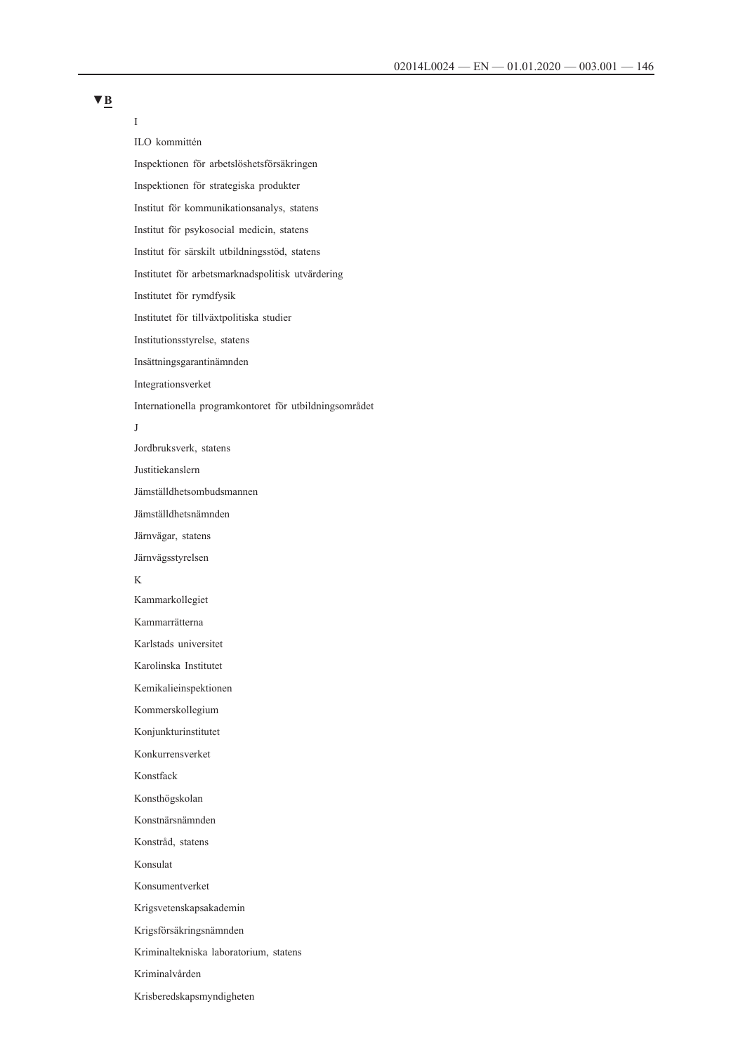I ILO kommittén Inspektionen för arbetslöshetsförsäkringen Inspektionen för strategiska produkter Institut för kommunikationsanalys, statens Institut för psykosocial medicin, statens Institut för särskilt utbildningsstöd, statens Institutet för arbetsmarknadspolitisk utvärdering Institutet för rymdfysik Institutet för tillväxtpolitiska studier Institutionsstyrelse, statens Insättningsgarantinämnden Integrationsverket Internationella programkontoret för utbildningsområdet J Jordbruksverk, statens Justitiekanslern Jämställdhetsombudsmannen Jämställdhetsnämnden Järnvägar, statens Järnvägsstyrelsen K Kammarkollegiet Kammarrätterna Karlstads universitet Karolinska Institutet Kemikalieinspektionen Kommerskollegium Konjunkturinstitutet Konkurrensverket Konstfack Konsthögskolan Konstnärsnämnden Konstråd, statens Konsulat Konsumentverket Krigsvetenskapsakademin Krigsförsäkringsnämnden Kriminaltekniska laboratorium, statens Kriminalvården Krisberedskapsmyndigheten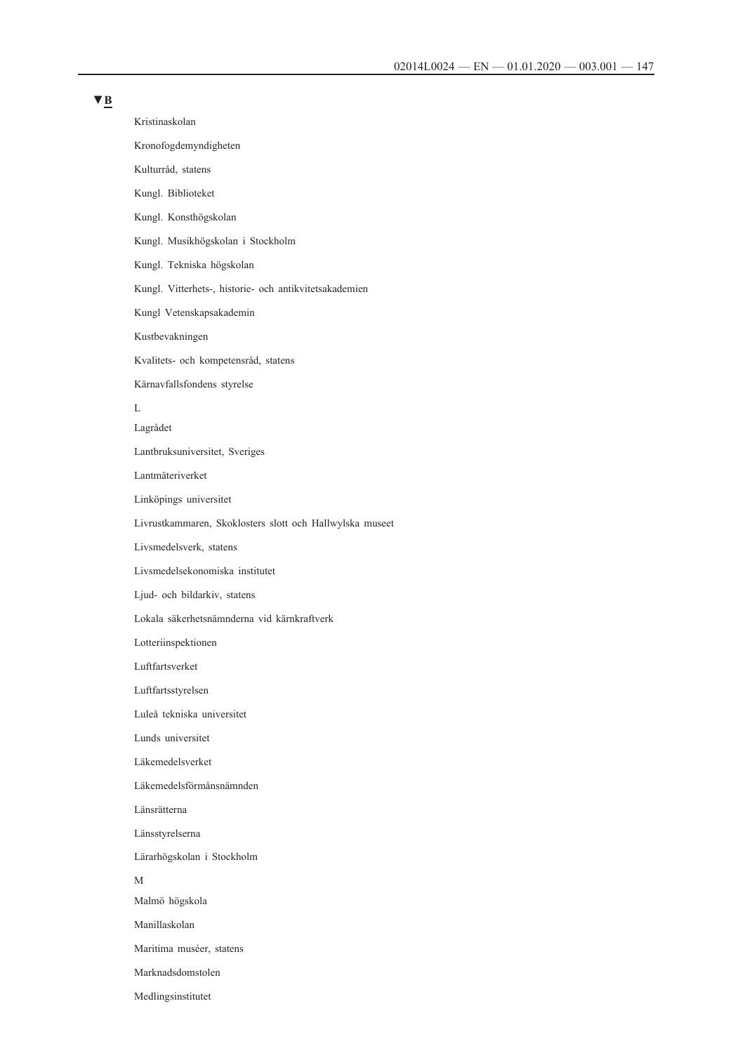| Kristinaskolan                                           |
|----------------------------------------------------------|
| Kronofogdemyndigheten                                    |
| Kulturråd, statens                                       |
| Kungl. Biblioteket                                       |
| Kungl. Konsthögskolan                                    |
| Kungl. Musikhögskolan i Stockholm                        |
| Kungl. Tekniska högskolan                                |
| Kungl. Vitterhets-, historie- och antikvitetsakademien   |
| Kungl Vetenskapsakademin                                 |
| Kustbevakningen                                          |
| Kvalitets- och kompetensråd, statens                     |
| Kärnavfallsfondens styrelse                              |
| L                                                        |
| Lagrådet                                                 |
| Lantbruksuniversitet, Sveriges                           |
| Lantmäteriverket                                         |
| Linköpings universitet                                   |
| Livrustkammaren, Skoklosters slott och Hallwylska museet |
| Livsmedelsverk, statens                                  |
| Livsmedelsekonomiska institutet                          |
| Ljud- och bildarkiv, statens                             |
| Lokala säkerhetsnämnderna vid kärnkraftverk              |
| Lotteriinspektionen                                      |
| Luftfartsverket                                          |
| Luftfartsstyrelsen                                       |
| Luleå tekniska universitet                               |
| Lunds universitet                                        |
| Läkemedelsverket                                         |
| Läkemedelsförmånsnämnden                                 |
| Länsrätterna                                             |
| Länsstyrelserna                                          |
| Lärarhögskolan i Stockholm                               |
| M                                                        |
| Malmö högskola                                           |
| Manillaskolan                                            |
| Maritima muséer, statens                                 |
| Marknadsdomstolen                                        |
| Medlingsinstitutet                                       |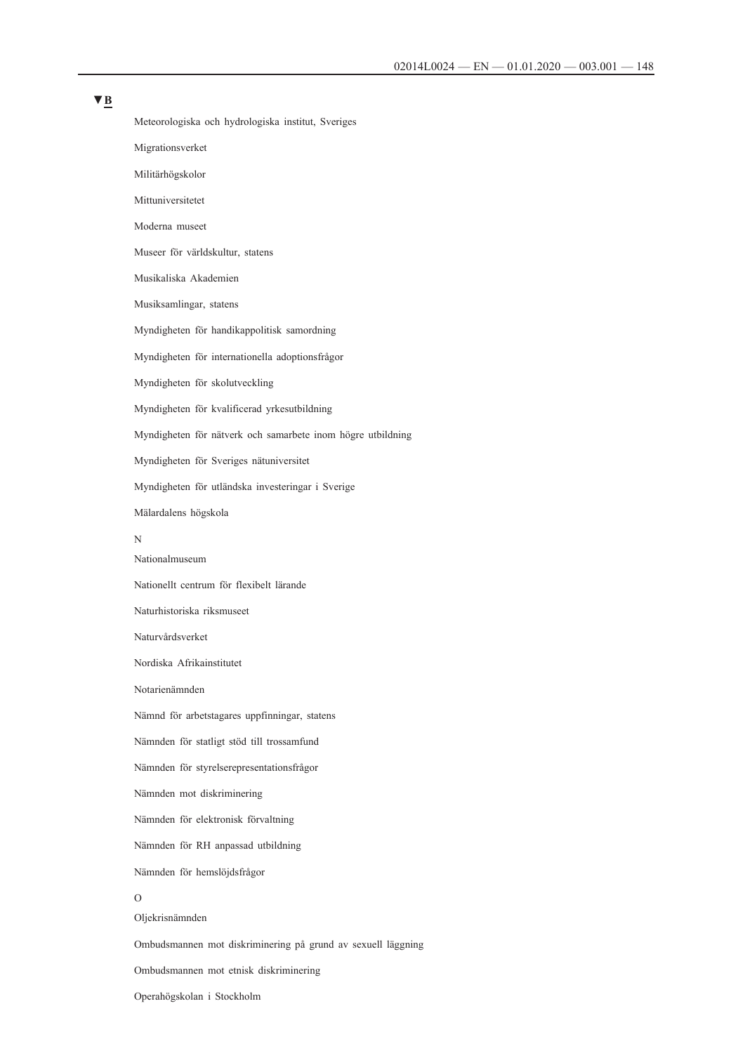Meteorologiska och hydrologiska institut, Sveriges Migrationsverket Militärhögskolor Mittuniversitetet Moderna museet Museer för världskultur, statens Musikaliska Akademien Musiksamlingar, statens Myndigheten för handikappolitisk samordning Myndigheten för internationella adoptionsfrågor Myndigheten för skolutveckling Myndigheten för kvalificerad yrkesutbildning Myndigheten för nätverk och samarbete inom högre utbildning Myndigheten för Sveriges nätuniversitet Myndigheten för utländska investeringar i Sverige Mälardalens högskola N Nationalmuseum Nationellt centrum för flexibelt lärande Naturhistoriska riksmuseet Naturvårdsverket Nordiska Afrikainstitutet Notarienämnden Nämnd för arbetstagares uppfinningar, statens Nämnden för statligt stöd till trossamfund Nämnden för styrelserepresentationsfrågor Nämnden mot diskriminering Nämnden för elektronisk förvaltning Nämnden för RH anpassad utbildning Nämnden för hemslöjdsfrågor O Oljekrisnämnden Ombudsmannen mot diskriminering på grund av sexuell läggning Ombudsmannen mot etnisk diskriminering

Operahögskolan i Stockholm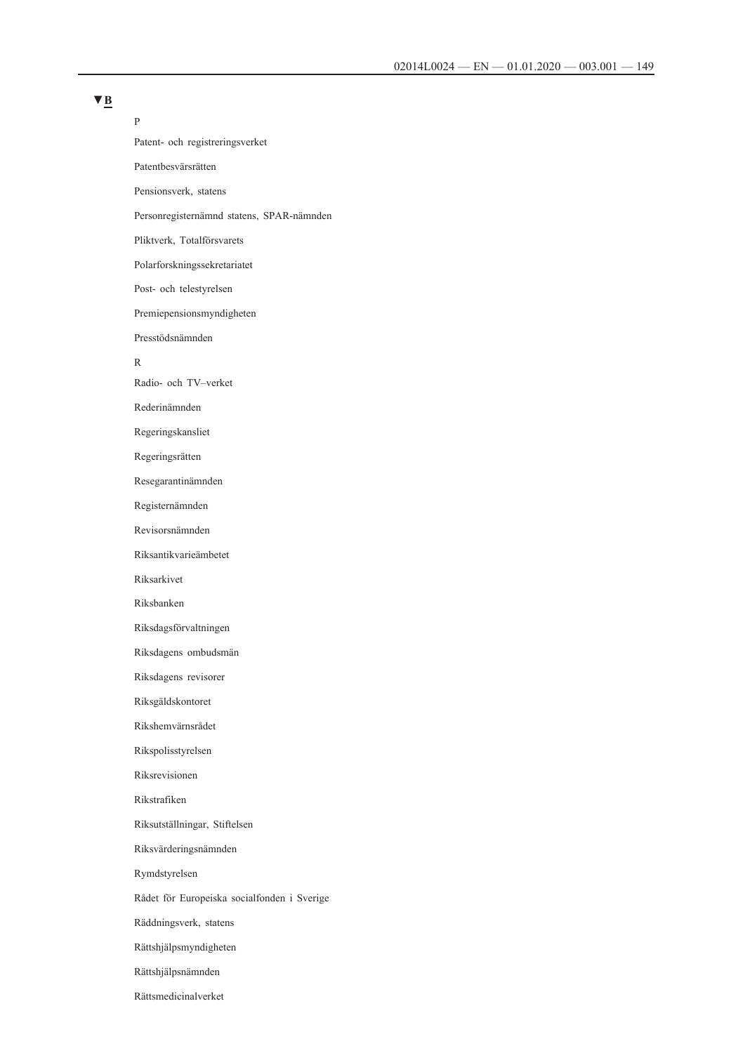P

Patent- och registreringsverket

Patentbesvärsrätten

Pensionsverk, statens

Personregisternämnd statens, SPAR-nämnden

Pliktverk, Totalförsvarets

Polarforskningssekretariatet

Post- och telestyrelsen

Premiepensionsmyndigheten

Presstödsnämnden

R

Radio- och TV–verket

Rederinämnden

Regeringskansliet

Regeringsrätten

Resegarantinämnden

Registernämnden

Revisorsnämnden

Riksantikvarieämbetet

Riksarkivet

Riksbanken

Riksdagsförvaltningen

Riksdagens ombudsmän

Riksdagens revisorer

Riksgäldskontoret

Rikshemvärnsrådet

Rikspolisstyrelsen

Riksrevisionen

Rikstrafiken

Riksutställningar, Stiftelsen

Riksvärderingsnämnden

Rymdstyrelsen

Rådet för Europeiska socialfonden i Sverige

Räddningsverk, statens

Rättshjälpsmyndigheten

Rättshjälpsnämnden

Rättsmedicinalverket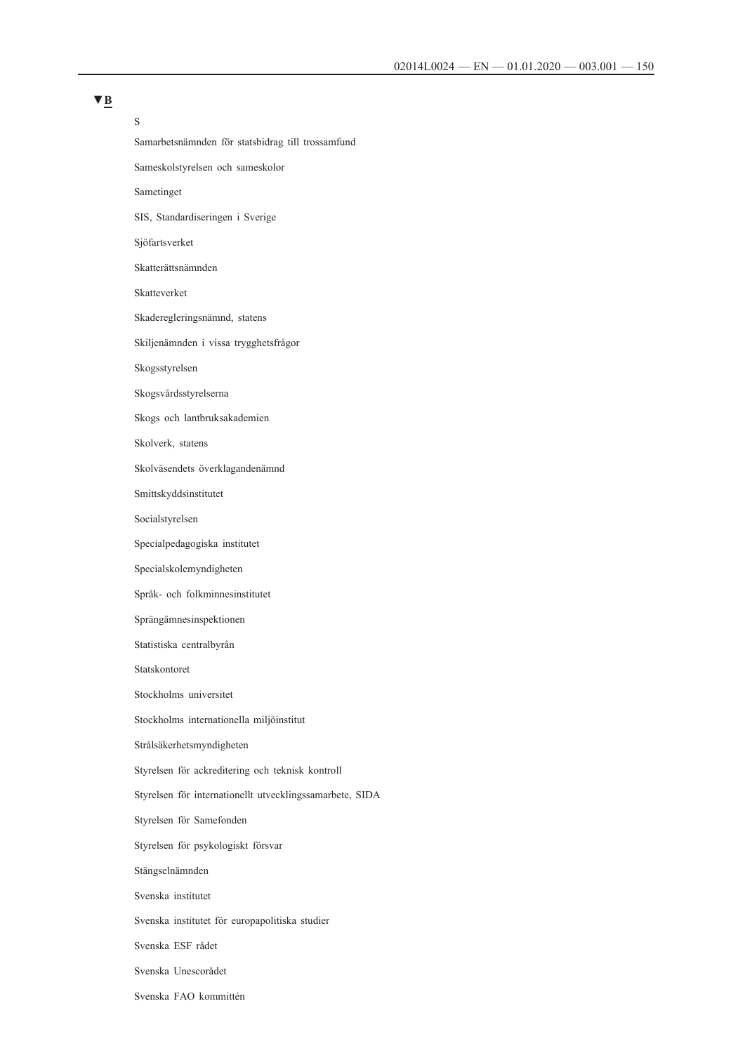| S                                                        |
|----------------------------------------------------------|
| Samarbetsnämnden för statsbidrag till trossamfund        |
| Sameskolstyrelsen och sameskolor                         |
| Sametinget                                               |
| SIS, Standardiseringen i Sverige                         |
| Sjöfartsverket                                           |
| Skatterättsnämnden                                       |
| Skatteverket                                             |
| Skaderegleringsnämnd, statens                            |
| Skiljenämnden i vissa trygghetsfrågor                    |
| Skogsstyrelsen                                           |
| Skogsvårdsstyrelserna                                    |
| Skogs och lantbruksakademien                             |
| Skolverk, statens                                        |
| Skolväsendets överklagandenämnd                          |
| Smittskyddsinstitutet                                    |
| Socialstyrelsen                                          |
| Specialpedagogiska institutet                            |
| Specialskolemyndigheten                                  |
| Språk- och folkminnesinstitutet                          |
| Sprängämnesinspektionen                                  |
| Statistiska centralbyrån                                 |
| Statskontoret                                            |
| Stockholms universitet                                   |
| Stockholms internationella miljöinstitut                 |
| Strålsäkerhetsmyndigheten                                |
| Styrelsen för ackreditering och teknisk kontroll         |
| Styrelsen för internationellt utvecklingssamarbete, SIDA |
| Styrelsen för Samefonden                                 |
| Styrelsen för psykologiskt försvar                       |
| Stängselnämnden                                          |
| Svenska institutet                                       |
| Svenska institutet för europapolitiska studier           |
| Svenska ESF rådet                                        |
| Svenska Unescorådet                                      |
| Svenska FAO kommittén                                    |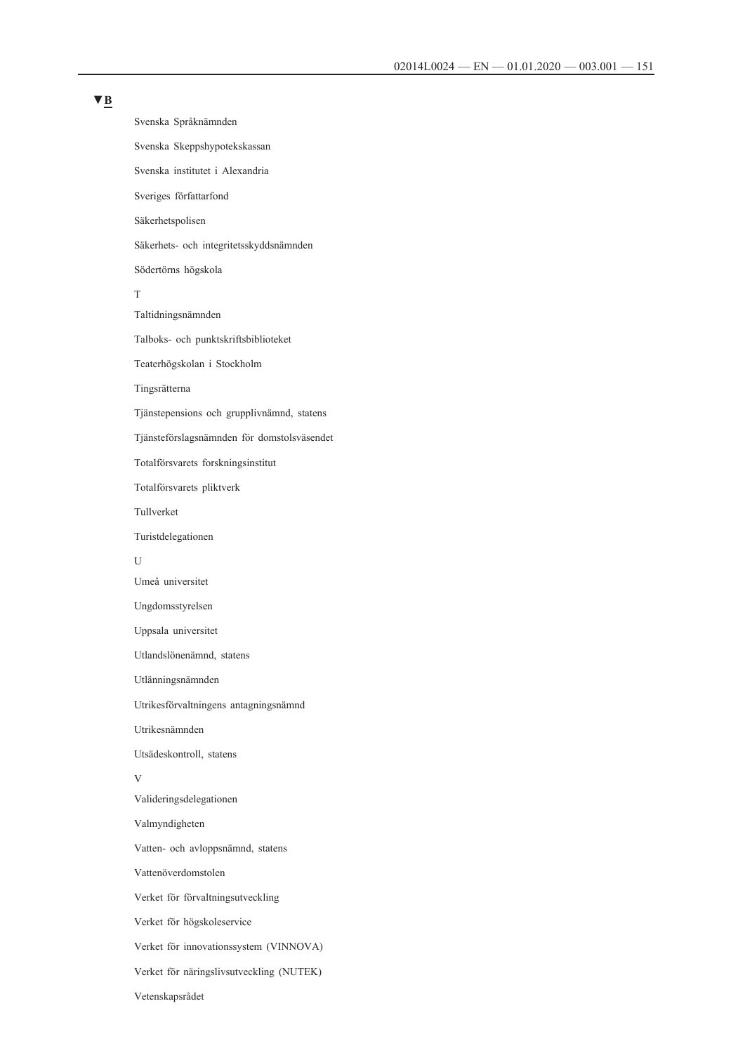Svenska Språknämnden Svenska Skeppshypotekskassan Svenska institutet i Alexandria Sveriges författarfond Säkerhetspolisen Säkerhets- och integritetsskyddsnämnden Södertörns högskola T Taltidningsnämnden Talboks- och punktskriftsbiblioteket Teaterhögskolan i Stockholm Tingsrätterna Tjänstepensions och grupplivnämnd, statens Tjänsteförslagsnämnden för domstolsväsendet Totalförsvarets forskningsinstitut Totalförsvarets pliktverk Tullverket Turistdelegationen U Umeå universitet Ungdomsstyrelsen Uppsala universitet Utlandslönenämnd, statens Utlänningsnämnden Utrikesförvaltningens antagningsnämnd Utrikesnämnden Utsädeskontroll, statens V Valideringsdelegationen Valmyndigheten Vatten- och avloppsnämnd, statens Vattenöverdomstolen Verket för förvaltningsutveckling Verket för högskoleservice Verket för innovationssystem (VINNOVA) Verket för näringslivsutveckling (NUTEK)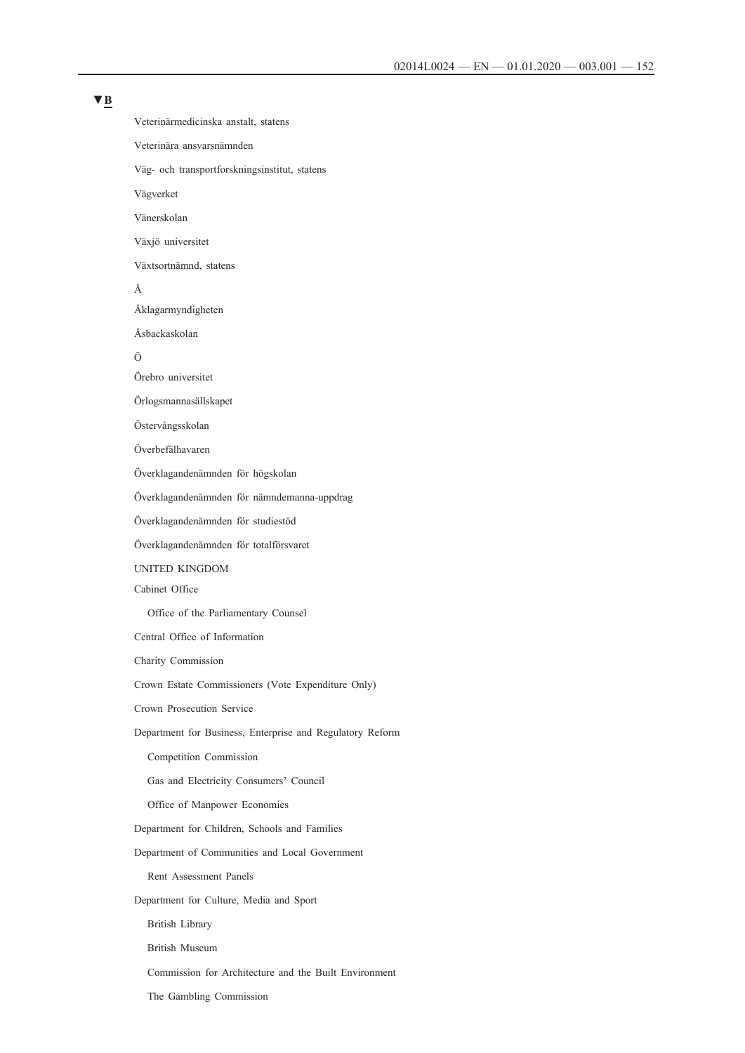Veterinärmedicinska anstalt, statens Veterinära ansvarsnämnden Väg- och transportforskningsinstitut, statens Vägverket Vänerskolan Växjö universitet Växtsortnämnd, statens Å Åklagarmyndigheten Åsbackaskolan Ö Örebro universitet Örlogsmannasällskapet Östervångsskolan Överbefälhavaren Överklagandenämnden för högskolan Överklagandenämnden för nämndemanna-uppdrag Överklagandenämnden för studiestöd Överklagandenämnden för totalförsvaret UNITED KINGDOM Cabinet Office Office of the Parliamentary Counsel Central Office of Information Charity Commission Crown Estate Commissioners (Vote Expenditure Only) Crown Prosecution Service Department for Business, Enterprise and Regulatory Reform Competition Commission Gas and Electricity Consumers' Council Office of Manpower Economics Department for Children, Schools and Families Department of Communities and Local Government Rent Assessment Panels Department for Culture, Media and Sport British Library British Museum Commission for Architecture and the Built Environment

The Gambling Commission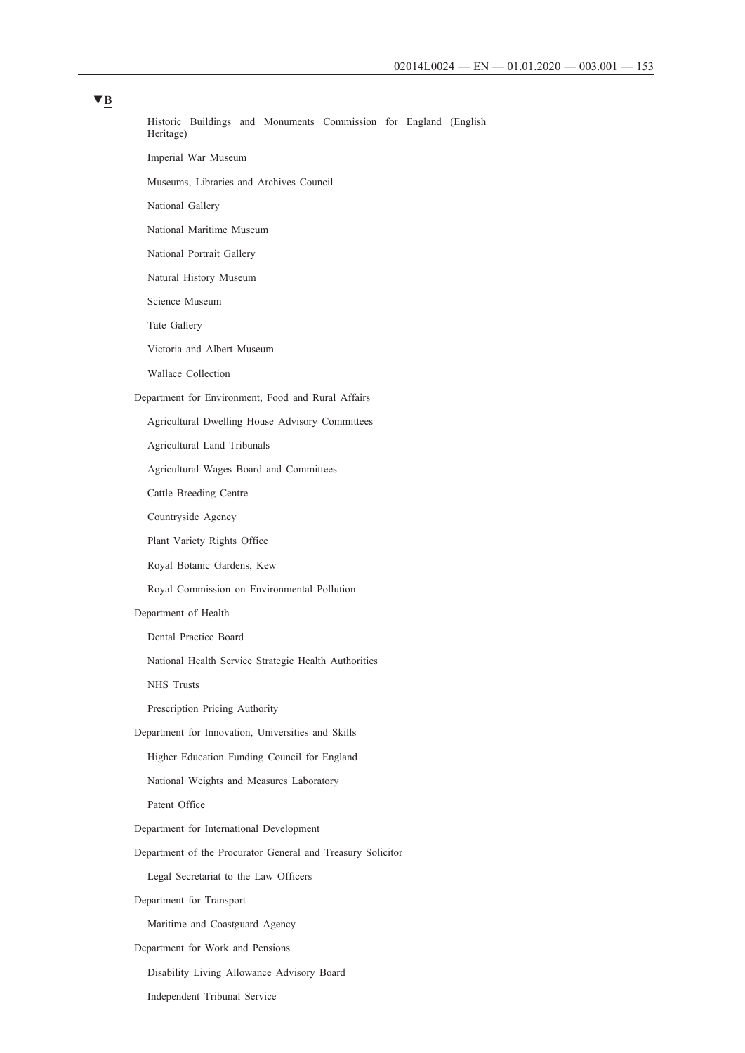Historic Buildings and Monuments Commission for England (English Heritage) Imperial War Museum Museums, Libraries and Archives Council National Gallery National Maritime Museum National Portrait Gallery Natural History Museum Science Museum Tate Gallery Victoria and Albert Museum Wallace Collection Department for Environment, Food and Rural Affairs Agricultural Dwelling House Advisory Committees Agricultural Land Tribunals Agricultural Wages Board and Committees Cattle Breeding Centre Countryside Agency Plant Variety Rights Office Royal Botanic Gardens, Kew

Royal Commission on Environmental Pollution

#### Department of Health

Dental Practice Board

National Health Service Strategic Health Authorities

NHS Trusts

Prescription Pricing Authority

### Department for Innovation, Universities and Skills

Higher Education Funding Council for England

National Weights and Measures Laboratory

Patent Office

Department for International Development

Department of the Procurator General and Treasury Solicitor

Legal Secretariat to the Law Officers

### Department for Transport

Maritime and Coastguard Agency

Department for Work and Pensions

Disability Living Allowance Advisory Board

Independent Tribunal Service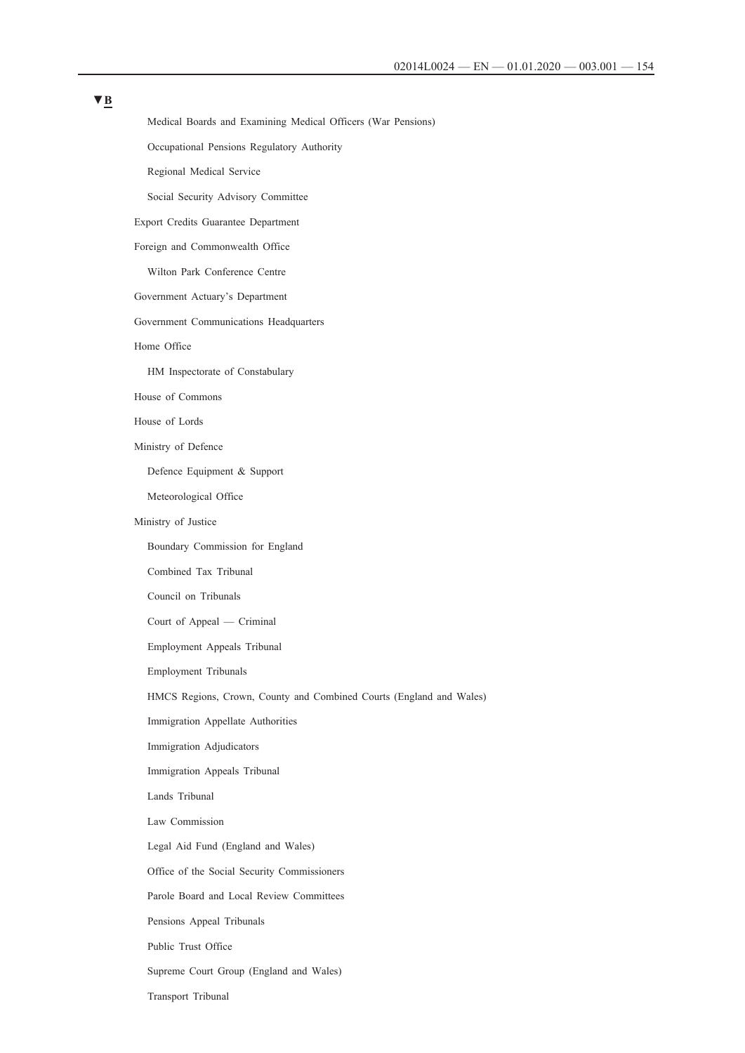Medical Boards and Examining Medical Officers (War Pensions) Occupational Pensions Regulatory Authority Regional Medical Service Social Security Advisory Committee Export Credits Guarantee Department Foreign and Commonwealth Office Wilton Park Conference Centre Government Actuary's Department Government Communications Headquarters Home Office HM Inspectorate of Constabulary House of Commons House of Lords Ministry of Defence Defence Equipment & Support Meteorological Office Ministry of Justice Boundary Commission for England Combined Tax Tribunal Council on Tribunals Court of Appeal — Criminal Employment Appeals Tribunal Employment Tribunals HMCS Regions, Crown, County and Combined Courts (England and Wales) Immigration Appellate Authorities Immigration Adjudicators Immigration Appeals Tribunal Lands Tribunal Law Commission Legal Aid Fund (England and Wales) Office of the Social Security Commissioners Parole Board and Local Review Committees Pensions Appeal Tribunals Public Trust Office Supreme Court Group (England and Wales) Transport Tribunal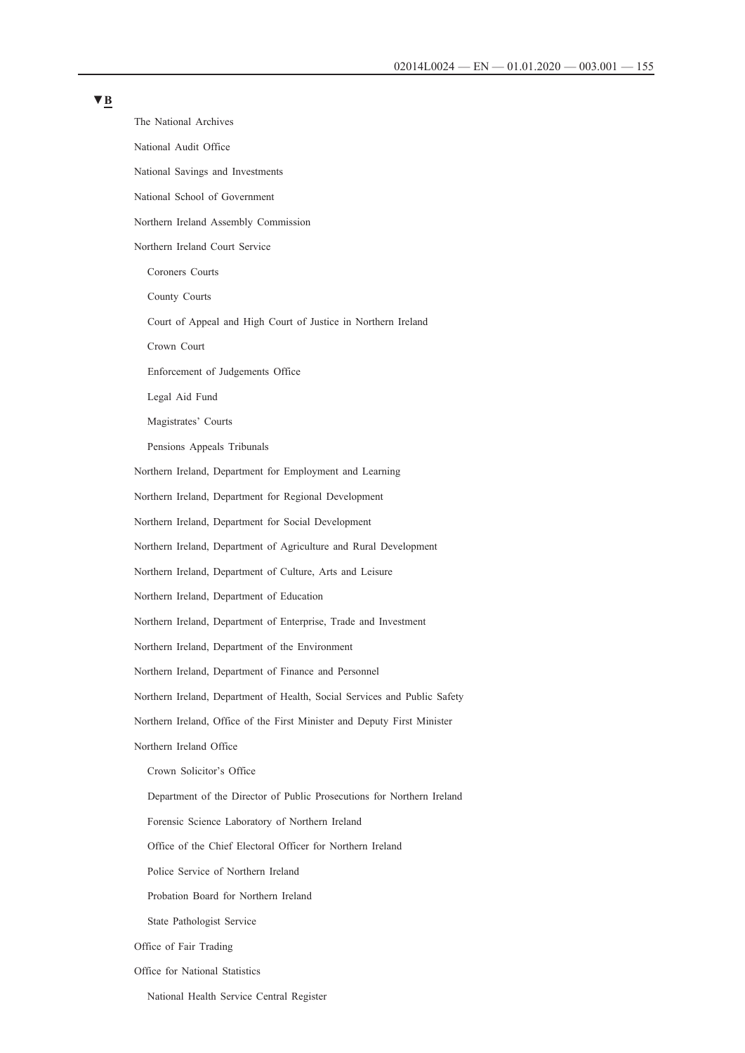The National Archives National Audit Office National Savings and Investments National School of Government Northern Ireland Assembly Commission Northern Ireland Court Service Coroners Courts County Courts Court of Appeal and High Court of Justice in Northern Ireland Crown Court Enforcement of Judgements Office Legal Aid Fund Magistrates' Courts Pensions Appeals Tribunals Northern Ireland, Department for Employment and Learning Northern Ireland, Department for Regional Development Northern Ireland, Department for Social Development Northern Ireland, Department of Agriculture and Rural Development Northern Ireland, Department of Culture, Arts and Leisure Northern Ireland, Department of Education Northern Ireland, Department of Enterprise, Trade and Investment Northern Ireland, Department of the Environment Northern Ireland, Department of Finance and Personnel Northern Ireland, Department of Health, Social Services and Public Safety Northern Ireland, Office of the First Minister and Deputy First Minister Northern Ireland Office Crown Solicitor's Office Department of the Director of Public Prosecutions for Northern Ireland Forensic Science Laboratory of Northern Ireland Office of the Chief Electoral Officer for Northern Ireland Police Service of Northern Ireland Probation Board for Northern Ireland State Pathologist Service Office of Fair Trading Office for National Statistics

**▼B**

National Health Service Central Register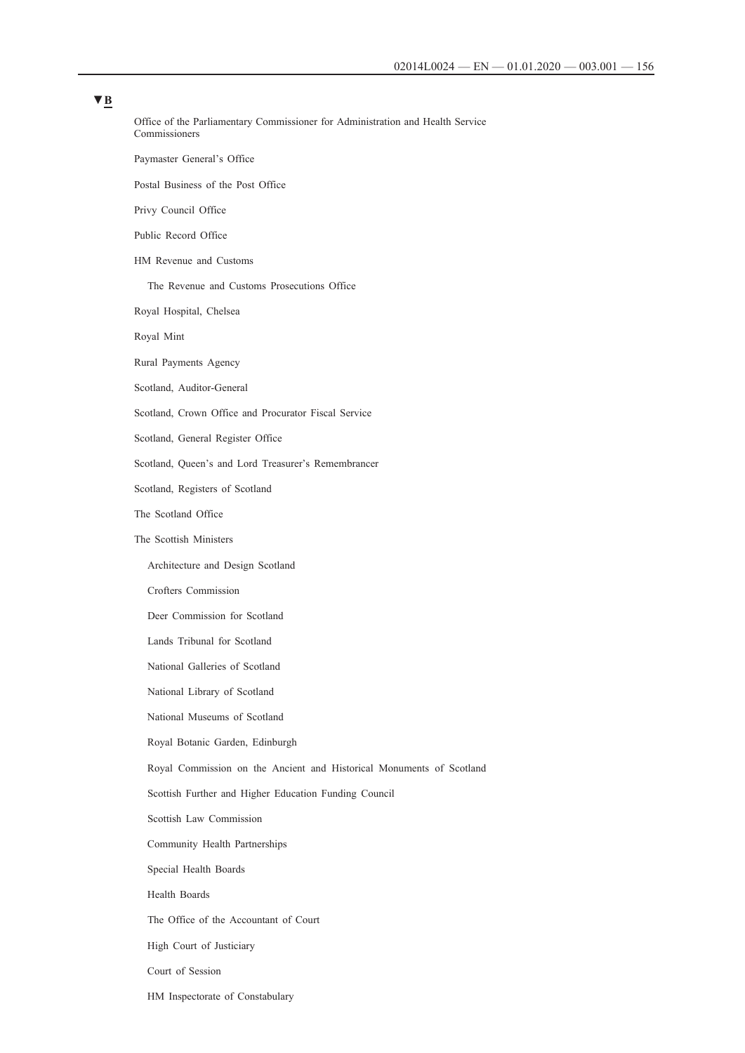Office of the Parliamentary Commissioner for Administration and Health Service Commissioners Paymaster General's Office Postal Business of the Post Office Privy Council Office Public Record Office HM Revenue and Customs The Revenue and Customs Prosecutions Office Royal Hospital, Chelsea Royal Mint Rural Payments Agency Scotland, Auditor-General Scotland, Crown Office and Procurator Fiscal Service Scotland, General Register Office Scotland, Queen's and Lord Treasurer's Remembrancer Scotland, Registers of Scotland The Scotland Office The Scottish Ministers Architecture and Design Scotland Crofters Commission Deer Commission for Scotland Lands Tribunal for Scotland National Galleries of Scotland National Library of Scotland National Museums of Scotland Royal Botanic Garden, Edinburgh Royal Commission on the Ancient and Historical Monuments of Scotland Scottish Further and Higher Education Funding Council Scottish Law Commission Community Health Partnerships Special Health Boards Health Boards The Office of the Accountant of Court High Court of Justiciary

Court of Session

HM Inspectorate of Constabulary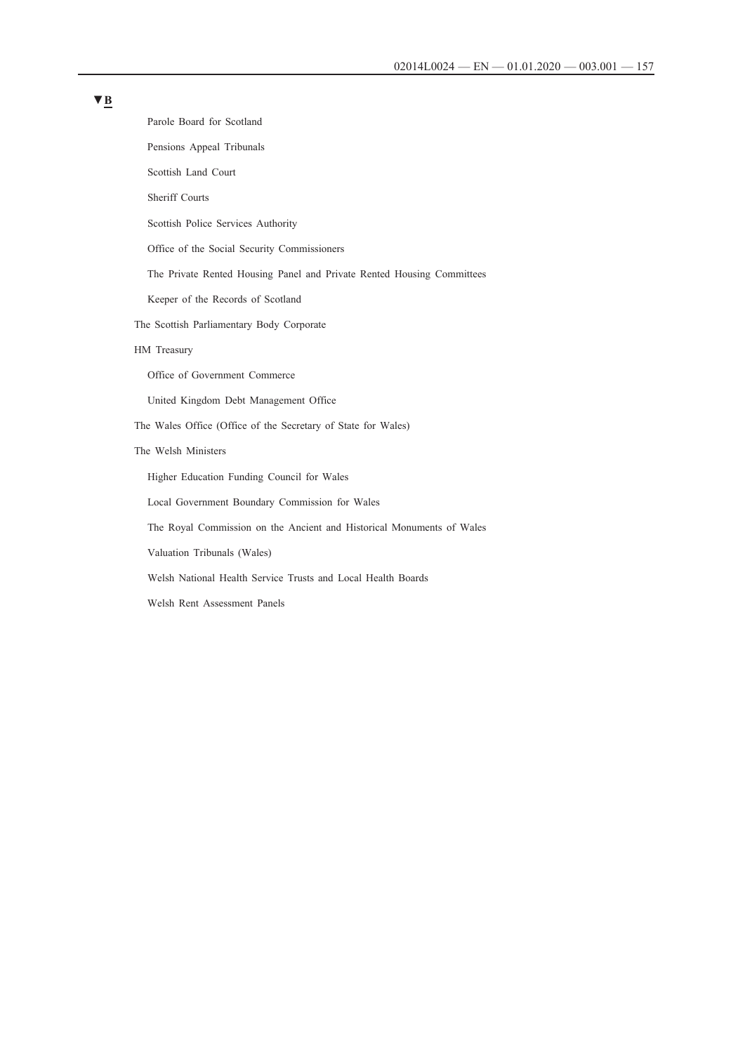Parole Board for Scotland Pensions Appeal Tribunals Scottish Land Court Sheriff Courts Scottish Police Services Authority Office of the Social Security Commissioners The Private Rented Housing Panel and Private Rented Housing Committees Keeper of the Records of Scotland The Scottish Parliamentary Body Corporate HM Treasury Office of Government Commerce United Kingdom Debt Management Office The Wales Office (Office of the Secretary of State for Wales) The Welsh Ministers Higher Education Funding Council for Wales Local Government Boundary Commission for Wales The Royal Commission on the Ancient and Historical Monuments of Wales Valuation Tribunals (Wales) Welsh National Health Service Trusts and Local Health Boards Welsh Rent Assessment Panels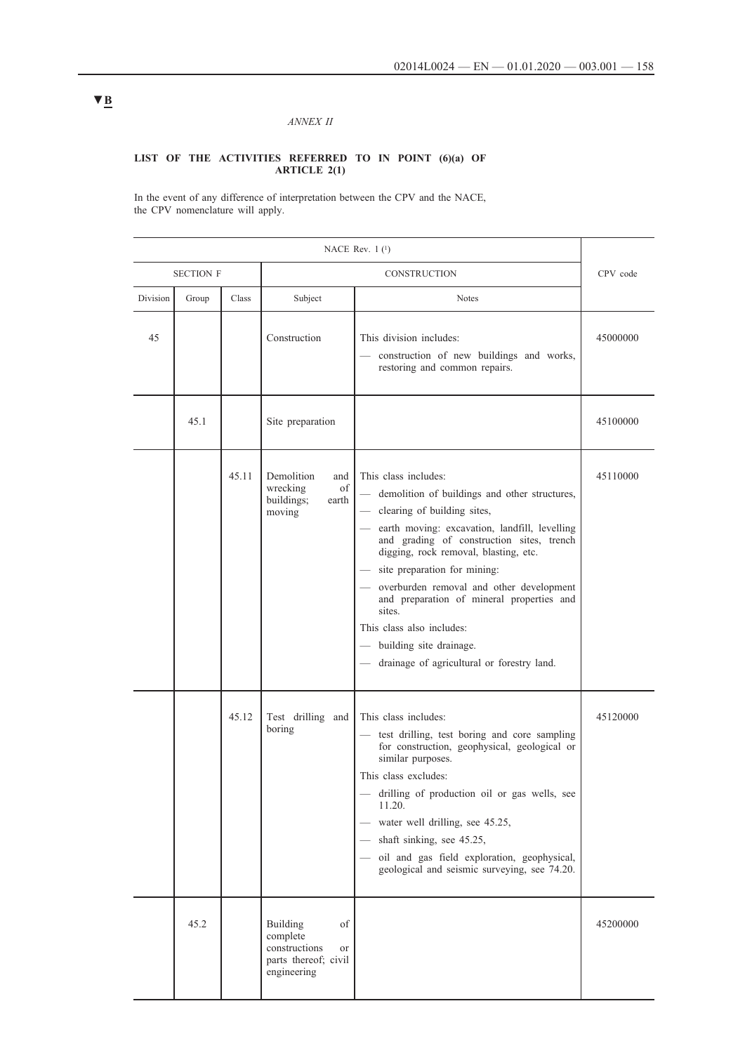### *ANNEX II*

#### **LIST OF THE ACTIVITIES REFERRED TO IN POINT (6)(a) OF ARTICLE 2(1)**

In the event of any difference of interpretation between the CPV and the NACE, the CPV nomenclature will apply.

| NACE Rev. $1(1)$ |       |              |                                                                                                 |                                                                                                                                                                                                                                                                                                                                                                                                                                                                                                |          |
|------------------|-------|--------------|-------------------------------------------------------------------------------------------------|------------------------------------------------------------------------------------------------------------------------------------------------------------------------------------------------------------------------------------------------------------------------------------------------------------------------------------------------------------------------------------------------------------------------------------------------------------------------------------------------|----------|
| <b>SECTION F</b> |       | CONSTRUCTION |                                                                                                 | CPV code                                                                                                                                                                                                                                                                                                                                                                                                                                                                                       |          |
| Division         | Group | Class        | Subject                                                                                         | <b>Notes</b>                                                                                                                                                                                                                                                                                                                                                                                                                                                                                   |          |
| 45               |       |              | Construction                                                                                    | This division includes:<br>construction of new buildings and works,<br>restoring and common repairs.                                                                                                                                                                                                                                                                                                                                                                                           | 45000000 |
|                  | 45.1  |              | Site preparation                                                                                |                                                                                                                                                                                                                                                                                                                                                                                                                                                                                                | 45100000 |
|                  |       | 45.11        | Demolition<br>and<br>wrecking<br>of<br>buildings;<br>earth<br>moving                            | This class includes:<br>- demolition of buildings and other structures,<br>- clearing of building sites,<br>earth moving: excavation, landfill, levelling<br>and grading of construction sites, trench<br>digging, rock removal, blasting, etc.<br>- site preparation for mining:<br>- overburden removal and other development<br>and preparation of mineral properties and<br>sites.<br>This class also includes:<br>- building site drainage.<br>drainage of agricultural or forestry land. | 45110000 |
|                  |       | 45.12        | Test drilling and<br>boring                                                                     | This class includes:<br>test drilling, test boring and core sampling<br>for construction, geophysical, geological or<br>similar purposes.<br>This class excludes:<br>- drilling of production oil or gas wells, see<br>11.20.<br>water well drilling, see 45.25,<br>shaft sinking, see 45.25,<br>oil and gas field exploration, geophysical,<br>geological and seismic surveying, see 74.20.                                                                                                   | 45120000 |
|                  | 45.2  |              | <b>Building</b><br>of<br>complete<br>constructions<br>or<br>parts thereof; civil<br>engineering |                                                                                                                                                                                                                                                                                                                                                                                                                                                                                                | 45200000 |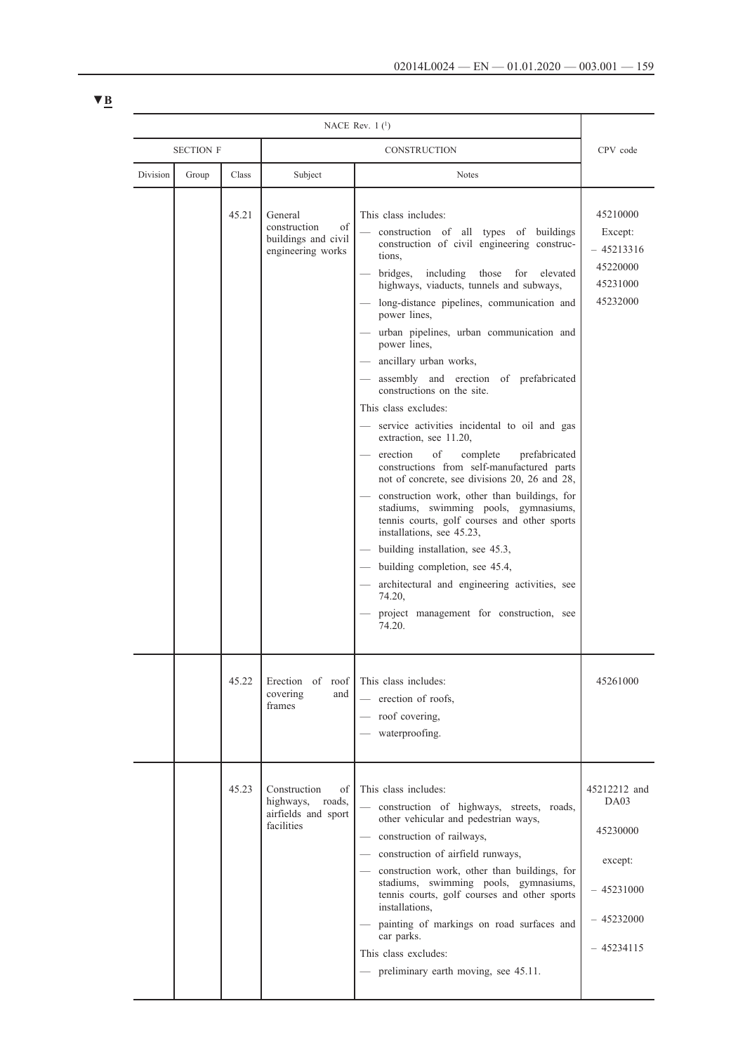|          | NACE Rev. $1(1)$ |       |                                                                             |                                                                                                                                                                                                                                                                                                                                                                                                                                                                                                                                                                                                                                                                                                                                                                                                                                                                                                                                                                                                                                                                                                                 |                                                                                          |
|----------|------------------|-------|-----------------------------------------------------------------------------|-----------------------------------------------------------------------------------------------------------------------------------------------------------------------------------------------------------------------------------------------------------------------------------------------------------------------------------------------------------------------------------------------------------------------------------------------------------------------------------------------------------------------------------------------------------------------------------------------------------------------------------------------------------------------------------------------------------------------------------------------------------------------------------------------------------------------------------------------------------------------------------------------------------------------------------------------------------------------------------------------------------------------------------------------------------------------------------------------------------------|------------------------------------------------------------------------------------------|
|          | <b>SECTION F</b> |       |                                                                             | <b>CONSTRUCTION</b>                                                                                                                                                                                                                                                                                                                                                                                                                                                                                                                                                                                                                                                                                                                                                                                                                                                                                                                                                                                                                                                                                             | CPV code                                                                                 |
| Division | Group            | Class | Subject                                                                     | <b>Notes</b>                                                                                                                                                                                                                                                                                                                                                                                                                                                                                                                                                                                                                                                                                                                                                                                                                                                                                                                                                                                                                                                                                                    |                                                                                          |
|          |                  | 45.21 | General<br>construction<br>of<br>buildings and civil<br>engineering works   | This class includes:<br>construction of all types of buildings<br>construction of civil engineering construc-<br>tions.<br>bridges.<br>including<br>those<br>for elevated<br>highways, viaducts, tunnels and subways,<br>- long-distance pipelines, communication and<br>power lines,<br>urban pipelines, urban communication and<br>power lines,<br>ancillary urban works,<br>assembly and erection of prefabricated<br>constructions on the site.<br>This class excludes:<br>service activities incidental to oil and gas<br>extraction, see 11.20,<br>erection<br>complete<br>prefabricated<br>of<br>$\overline{\phantom{0}}$<br>constructions from self-manufactured parts<br>not of concrete, see divisions 20, 26 and 28,<br>construction work, other than buildings, for<br>stadiums, swimming pools, gymnasiums,<br>tennis courts, golf courses and other sports<br>installations, see 45.23,<br>building installation, see 45.3,<br>- building completion, see 45.4,<br>architectural and engineering activities, see<br>$\frac{1}{2}$<br>74.20,<br>project management for construction, see<br>74.20. | 45210000<br>Except:<br>$-45213316$<br>45220000<br>45231000<br>45232000                   |
|          |                  | 45.22 | Erection of roof<br>covering<br>and<br>frames                               | This class includes:<br>- erection of roofs,<br>- roof covering,<br>waterproofing.                                                                                                                                                                                                                                                                                                                                                                                                                                                                                                                                                                                                                                                                                                                                                                                                                                                                                                                                                                                                                              | 45261000                                                                                 |
|          |                  | 45.23 | Construction<br>of<br>highways, roads,<br>airfields and sport<br>facilities | This class includes:<br>construction of highways, streets, roads,<br>other vehicular and pedestrian ways,<br>- construction of railways,<br>construction of airfield runways,<br>$\overline{\phantom{0}}$<br>construction work, other than buildings, for<br>stadiums, swimming pools, gymnasiums,<br>tennis courts, golf courses and other sports<br>installations.<br>painting of markings on road surfaces and<br>car parks.<br>This class excludes:<br>- preliminary earth moving, see 45.11.                                                                                                                                                                                                                                                                                                                                                                                                                                                                                                                                                                                                               | 45212212 and<br>DA03<br>45230000<br>except:<br>$-45231000$<br>$-45232000$<br>$-45234115$ |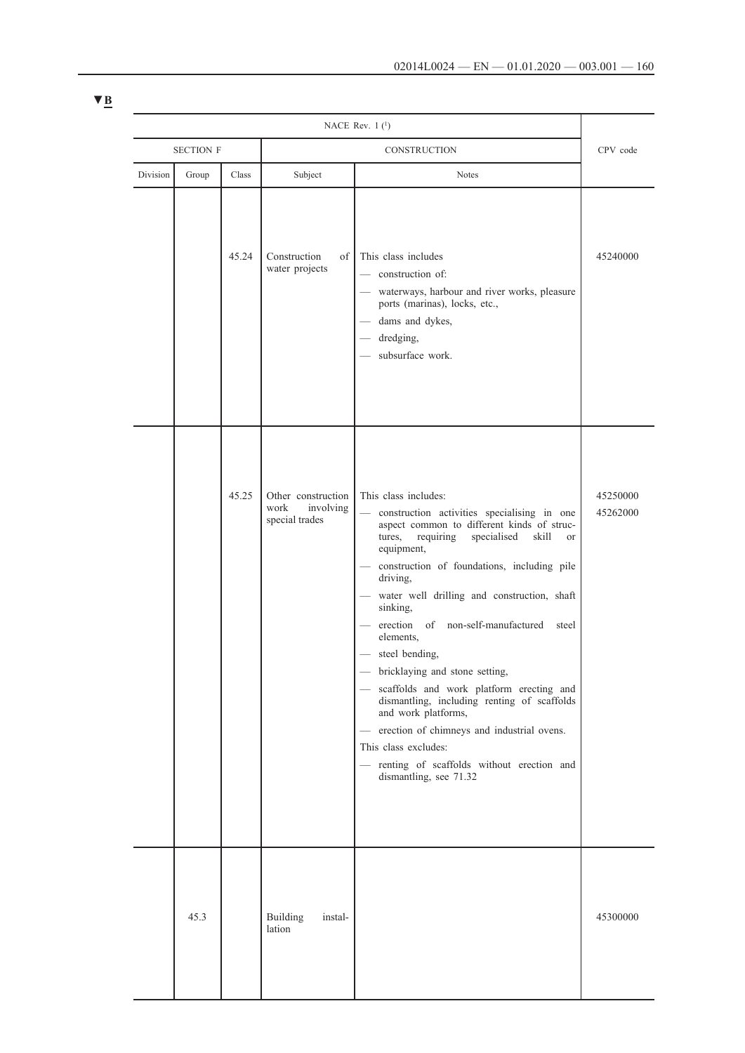|          | NACE Rev. $1(1)$ |       |                                                           |                                                                                                                                                                                                                                                                                                                                                                                                                                                                                                                                                                                                                                                                                                                                               |                      |
|----------|------------------|-------|-----------------------------------------------------------|-----------------------------------------------------------------------------------------------------------------------------------------------------------------------------------------------------------------------------------------------------------------------------------------------------------------------------------------------------------------------------------------------------------------------------------------------------------------------------------------------------------------------------------------------------------------------------------------------------------------------------------------------------------------------------------------------------------------------------------------------|----------------------|
|          | <b>SECTION F</b> |       | <b>CONSTRUCTION</b>                                       |                                                                                                                                                                                                                                                                                                                                                                                                                                                                                                                                                                                                                                                                                                                                               | CPV code             |
| Division | Group            | Class | Subject                                                   | <b>Notes</b>                                                                                                                                                                                                                                                                                                                                                                                                                                                                                                                                                                                                                                                                                                                                  |                      |
|          |                  | 45.24 | Construction<br>of<br>water projects                      | This class includes<br>- construction of:<br>- waterways, harbour and river works, pleasure<br>ports (marinas), locks, etc.,<br>dams and dykes,<br>- dredging,<br>subsurface work.<br>$\overline{\phantom{0}}$                                                                                                                                                                                                                                                                                                                                                                                                                                                                                                                                | 45240000             |
|          |                  | 45.25 | Other construction<br>involving<br>work<br>special trades | This class includes:<br>$\frac{1}{1}$<br>construction activities specialising in one<br>aspect common to different kinds of struc-<br>specialised<br>skill<br>tures,<br>requiring<br><sub>or</sub><br>equipment,<br>construction of foundations, including pile<br>$\frac{1}{2}$<br>driving,<br>- water well drilling and construction, shaft<br>sinking,<br>- erection of non-self-manufactured<br>steel<br>elements,<br>- steel bending,<br>bricklaying and stone setting,<br>scaffolds and work platform erecting and<br>dismantling, including renting of scaffolds<br>and work platforms,<br>erection of chimneys and industrial ovens.<br>This class excludes:<br>- renting of scaffolds without erection and<br>dismantling, see 71.32 | 45250000<br>45262000 |
|          | 45.3             |       | Building<br>instal-<br>lation                             |                                                                                                                                                                                                                                                                                                                                                                                                                                                                                                                                                                                                                                                                                                                                               | 45300000             |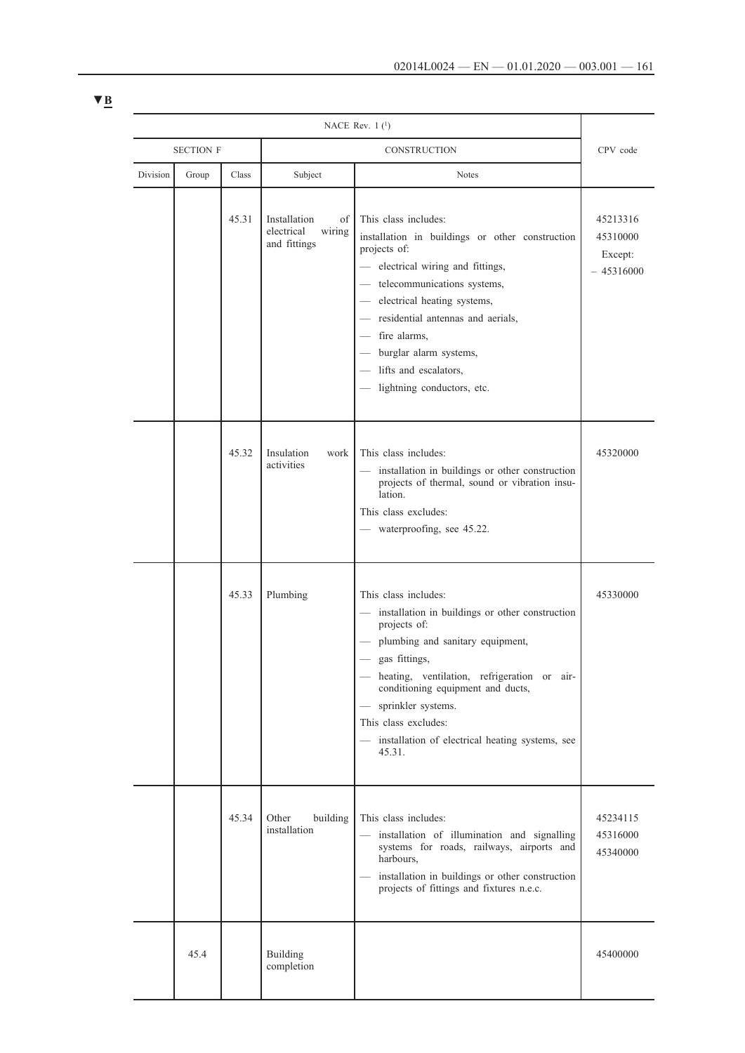| NACE Rev. $1(1)$ |                  |                                                            |                                                                                                                                                                                                                                                                                                                                                                        |                                                                                                                                                                                                                                                                                                                                                                           |                                  |
|------------------|------------------|------------------------------------------------------------|------------------------------------------------------------------------------------------------------------------------------------------------------------------------------------------------------------------------------------------------------------------------------------------------------------------------------------------------------------------------|---------------------------------------------------------------------------------------------------------------------------------------------------------------------------------------------------------------------------------------------------------------------------------------------------------------------------------------------------------------------------|----------------------------------|
|                  | <b>SECTION F</b> |                                                            |                                                                                                                                                                                                                                                                                                                                                                        | <b>CONSTRUCTION</b>                                                                                                                                                                                                                                                                                                                                                       | CPV code                         |
| Division         | Group<br>Class   |                                                            | Subject                                                                                                                                                                                                                                                                                                                                                                | <b>Notes</b>                                                                                                                                                                                                                                                                                                                                                              |                                  |
| 45.31            |                  | Installation<br>οf<br>electrical<br>wiring<br>and fittings | This class includes:<br>installation in buildings or other construction<br>projects of:<br>- electrical wiring and fittings,<br>- telecommunications systems,<br>- electrical heating systems,<br>- residential antennas and aerials,<br>- fire alarms,<br>burglar alarm systems,<br>$\overline{\phantom{0}}$<br>- lifts and escalators,<br>lightning conductors, etc. | 45213316<br>45310000<br>Except:<br>$-45316000$                                                                                                                                                                                                                                                                                                                            |                                  |
|                  |                  | 45.32                                                      | Insulation<br>work<br>activities                                                                                                                                                                                                                                                                                                                                       | This class includes:<br>installation in buildings or other construction<br>projects of thermal, sound or vibration insu-<br>lation.<br>This class excludes:<br>- waterproofing, see 45.22.                                                                                                                                                                                | 45320000                         |
|                  |                  | 45.33                                                      | Plumbing                                                                                                                                                                                                                                                                                                                                                               | This class includes:<br>installation in buildings or other construction<br>projects of:<br>plumbing and sanitary equipment,<br>gas fittings,<br>heating, ventilation, refrigeration or air-<br>conditioning equipment and ducts,<br>sprinkler systems.<br>$\overline{\phantom{0}}$<br>This class excludes:<br>- installation of electrical heating systems, see<br>45.31. | 45330000                         |
|                  |                  | 45.34                                                      | Other<br>building<br>installation                                                                                                                                                                                                                                                                                                                                      | This class includes:<br>installation of illumination and signalling<br>systems for roads, railways, airports and<br>harbours,<br>installation in buildings or other construction<br>projects of fittings and fixtures n.e.c.                                                                                                                                              | 45234115<br>45316000<br>45340000 |
|                  | 45.4             |                                                            | <b>Building</b><br>completion                                                                                                                                                                                                                                                                                                                                          |                                                                                                                                                                                                                                                                                                                                                                           | 45400000                         |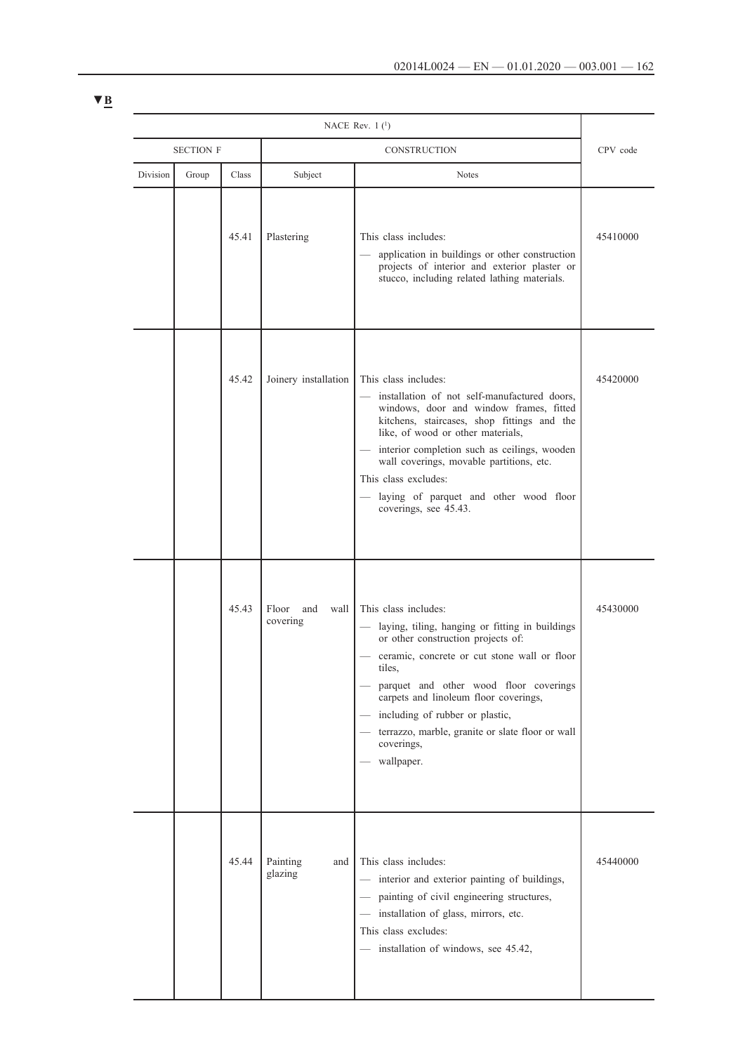|          | NACE Rev. $1(1)$ |       |                                  |                                                                                                                                                                                                                                                                                                                                                                                                           |          |
|----------|------------------|-------|----------------------------------|-----------------------------------------------------------------------------------------------------------------------------------------------------------------------------------------------------------------------------------------------------------------------------------------------------------------------------------------------------------------------------------------------------------|----------|
|          | <b>SECTION F</b> |       |                                  | <b>CONSTRUCTION</b>                                                                                                                                                                                                                                                                                                                                                                                       | CPV code |
| Division | Group            | Class | Subject                          | <b>Notes</b>                                                                                                                                                                                                                                                                                                                                                                                              |          |
|          |                  | 45.41 | Plastering                       | This class includes:<br>application in buildings or other construction<br>projects of interior and exterior plaster or<br>stucco, including related lathing materials.                                                                                                                                                                                                                                    | 45410000 |
|          |                  | 45.42 | Joinery installation             | This class includes:<br>installation of not self-manufactured doors,<br>windows, door and window frames, fitted<br>kitchens, staircases, shop fittings and the<br>like, of wood or other materials,<br>interior completion such as ceilings, wooden<br>wall coverings, movable partitions, etc.<br>This class excludes:<br>laying of parquet and other wood floor<br>coverings, see 45.43.                | 45420000 |
|          |                  | 45.43 | Floor<br>and<br>wall<br>covering | This class includes:<br>laying, tiling, hanging or fitting in buildings<br>$\overline{\phantom{0}}$<br>or other construction projects of:<br>ceramic, concrete or cut stone wall or floor<br>tiles,<br>parquet and other wood floor coverings<br>carpets and linoleum floor coverings,<br>including of rubber or plastic,<br>terrazzo, marble, granite or slate floor or wall<br>coverings,<br>wallpaper. | 45430000 |
|          |                  | 45.44 | Painting<br>and<br>glazing       | This class includes:<br>interior and exterior painting of buildings,<br>painting of civil engineering structures,<br>installation of glass, mirrors, etc.<br>$\qquad \qquad -$<br>This class excludes:<br>- installation of windows, see 45.42,                                                                                                                                                           | 45440000 |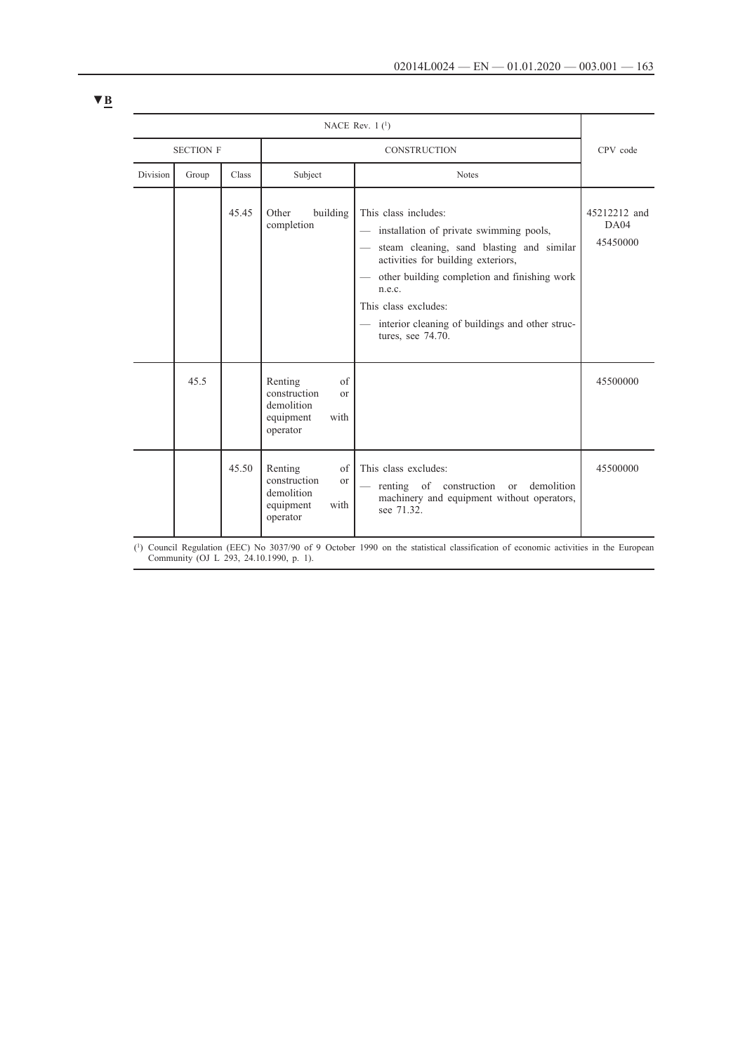| NACE Rev. $1(1)$ |       |              |                                                                                           |                                                                                                                                                                                                                                                                                                                |                                  |
|------------------|-------|--------------|-------------------------------------------------------------------------------------------|----------------------------------------------------------------------------------------------------------------------------------------------------------------------------------------------------------------------------------------------------------------------------------------------------------------|----------------------------------|
| <b>SECTION F</b> |       |              | <b>CONSTRUCTION</b>                                                                       |                                                                                                                                                                                                                                                                                                                | CPV code                         |
| <b>Division</b>  | Group | <b>Class</b> | Subject                                                                                   | <b>Notes</b>                                                                                                                                                                                                                                                                                                   |                                  |
|                  |       | 45.45        | building<br>Other<br>completion                                                           | This class includes:<br>- installation of private swimming pools,<br>steam cleaning, sand blasting and similar<br>activities for building exteriors,<br>other building completion and finishing work<br>n.e.c.<br>This class excludes:<br>interior cleaning of buildings and other struc-<br>tures, see 74.70. | 45212212 and<br>DA04<br>45450000 |
|                  | 45.5  |              | of<br>Renting<br>construction<br>$\alpha$<br>demolition<br>equipment<br>with<br>operator  |                                                                                                                                                                                                                                                                                                                | 45500000                         |
|                  |       | 45.50        | Renting<br>of<br>construction<br><b>or</b><br>demolition<br>equipment<br>with<br>operator | This class excludes:<br>renting of construction<br>demolition<br><b>or</b><br>machinery and equipment without operators,<br>see 71.32.                                                                                                                                                                         | 45500000                         |

(1) Council Regulation (EEC) No 3037/90 of 9 October 1990 on the statistical classification of economic activities in the European Community (OJ L 293, 24.10.1990, p. 1).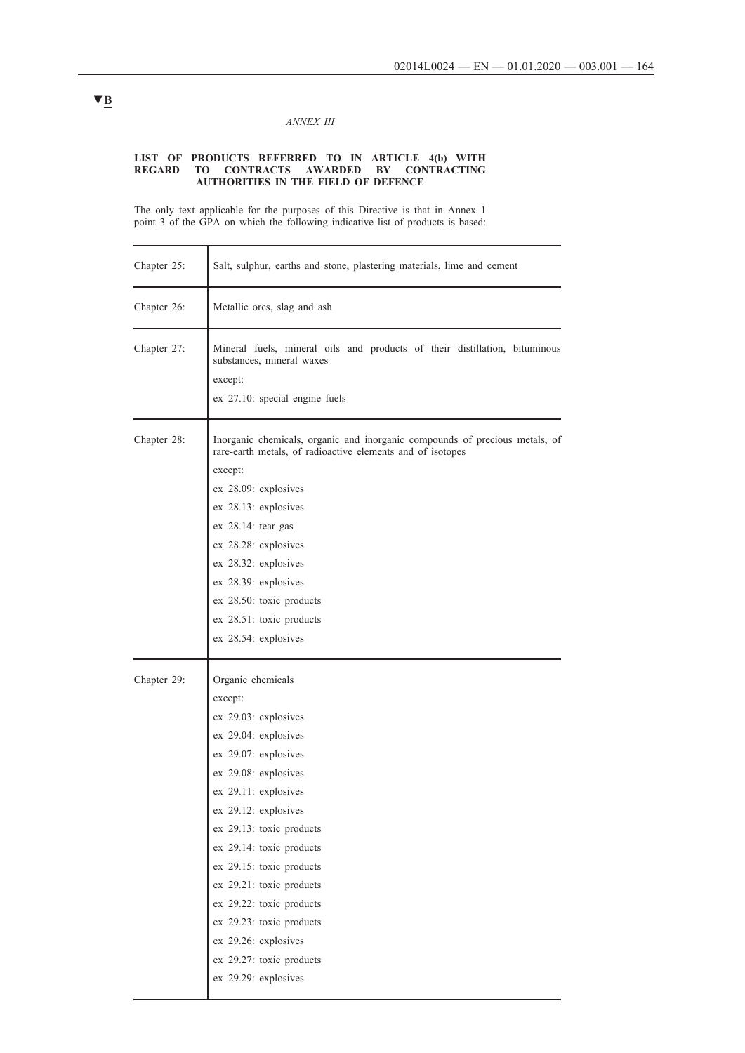### *ANNEX III*

#### **LIST OF PRODUCTS REFERRED TO IN ARTICLE 4(b) WITH REGARD TO CONTRACTS AWARDED BY CONTRACTING AUTHORITIES IN THE FIELD OF DEFENCE**

The only text applicable for the purposes of this Directive is that in Annex 1 point 3 of the GPA on which the following indicative list of products is based:

| Chapter 25:                                                                                                                                                         | Salt, sulphur, earths and stone, plastering materials, lime and cement                                                                                                                                                                                                                                                                                                                                                             |  |  |  |
|---------------------------------------------------------------------------------------------------------------------------------------------------------------------|------------------------------------------------------------------------------------------------------------------------------------------------------------------------------------------------------------------------------------------------------------------------------------------------------------------------------------------------------------------------------------------------------------------------------------|--|--|--|
| Chapter 26:                                                                                                                                                         | Metallic ores, slag and ash                                                                                                                                                                                                                                                                                                                                                                                                        |  |  |  |
| Chapter 27:<br>Mineral fuels, mineral oils and products of their distillation, bituminous<br>substances, mineral waxes<br>except:<br>ex 27.10: special engine fuels |                                                                                                                                                                                                                                                                                                                                                                                                                                    |  |  |  |
| Chapter 28:                                                                                                                                                         | Inorganic chemicals, organic and inorganic compounds of precious metals, of<br>rare-earth metals, of radioactive elements and of isotopes<br>except:<br>ex 28.09: explosives<br>ex 28.13: explosives<br>ex 28.14: tear gas<br>ex 28.28: explosives<br>ex 28.32: explosives<br>ex 28.39: explosives<br>ex 28.50: toxic products<br>ex 28.51: toxic products<br>ex 28.54: explosives                                                 |  |  |  |
| Chapter 29:                                                                                                                                                         | Organic chemicals<br>except:<br>ex 29.03: explosives<br>ex 29.04: explosives<br>ex 29.07: explosives<br>ex 29.08: explosives<br>ex 29.11: explosives<br>$ex$ 29.12: explosives<br>ex 29.13: toxic products<br>ex 29.14: toxic products<br>ex 29.15: toxic products<br>ex 29.21: toxic products<br>ex 29.22: toxic products<br>ex 29.23: toxic products<br>ex 29.26: explosives<br>ex 29.27: toxic products<br>ex 29.29: explosives |  |  |  |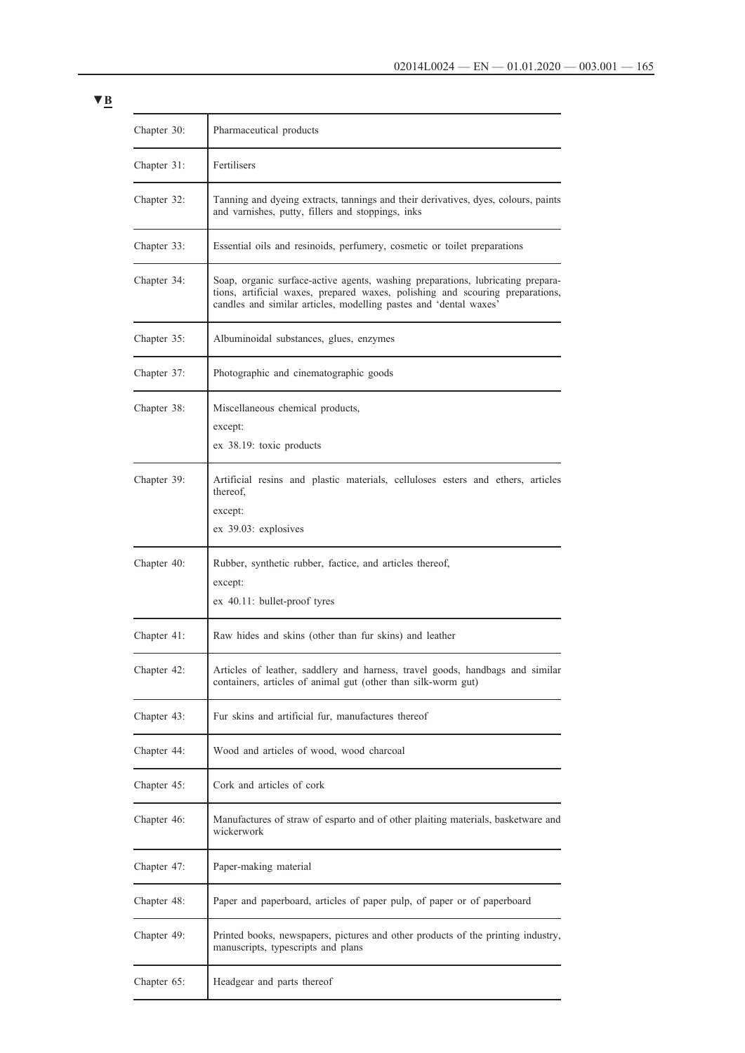| Chapter 30: | Pharmaceutical products                                                                                                                                                                                                               |
|-------------|---------------------------------------------------------------------------------------------------------------------------------------------------------------------------------------------------------------------------------------|
| Chapter 31: | Fertilisers                                                                                                                                                                                                                           |
| Chapter 32: | Tanning and dyeing extracts, tannings and their derivatives, dyes, colours, paints<br>and varnishes, putty, fillers and stoppings, inks                                                                                               |
| Chapter 33: | Essential oils and resinoids, perfumery, cosmetic or toilet preparations                                                                                                                                                              |
| Chapter 34: | Soap, organic surface-active agents, washing preparations, lubricating prepara-<br>tions, artificial waxes, prepared waxes, polishing and scouring preparations,<br>candles and similar articles, modelling pastes and 'dental waxes' |
| Chapter 35: | Albuminoidal substances, glues, enzymes                                                                                                                                                                                               |
| Chapter 37: | Photographic and cinematographic goods                                                                                                                                                                                                |
| Chapter 38: | Miscellaneous chemical products,<br>except:<br>ex 38.19: toxic products                                                                                                                                                               |
| Chapter 39: | Artificial resins and plastic materials, celluloses esters and ethers, articles<br>thereof,<br>except:<br>ex 39.03: explosives                                                                                                        |
| Chapter 40: | Rubber, synthetic rubber, factice, and articles thereof,<br>except:<br>ex 40.11: bullet-proof tyres                                                                                                                                   |
| Chapter 41: | Raw hides and skins (other than fur skins) and leather                                                                                                                                                                                |
| Chapter 42: | Articles of leather, saddlery and harness, travel goods, handbags and similar<br>containers, articles of animal gut (other than silk-worm gut)                                                                                        |
| Chapter 43: | Fur skins and artificial fur, manufactures thereof                                                                                                                                                                                    |
| Chapter 44: | Wood and articles of wood, wood charcoal                                                                                                                                                                                              |
| Chapter 45: | Cork and articles of cork                                                                                                                                                                                                             |
| Chapter 46: | Manufactures of straw of esparto and of other plaiting materials, basketware and<br>wickerwork                                                                                                                                        |
| Chapter 47: | Paper-making material                                                                                                                                                                                                                 |
| Chapter 48: | Paper and paperboard, articles of paper pulp, of paper or of paperboard                                                                                                                                                               |
| Chapter 49: | Printed books, newspapers, pictures and other products of the printing industry,<br>manuscripts, typescripts and plans                                                                                                                |
| Chapter 65: | Headgear and parts thereof                                                                                                                                                                                                            |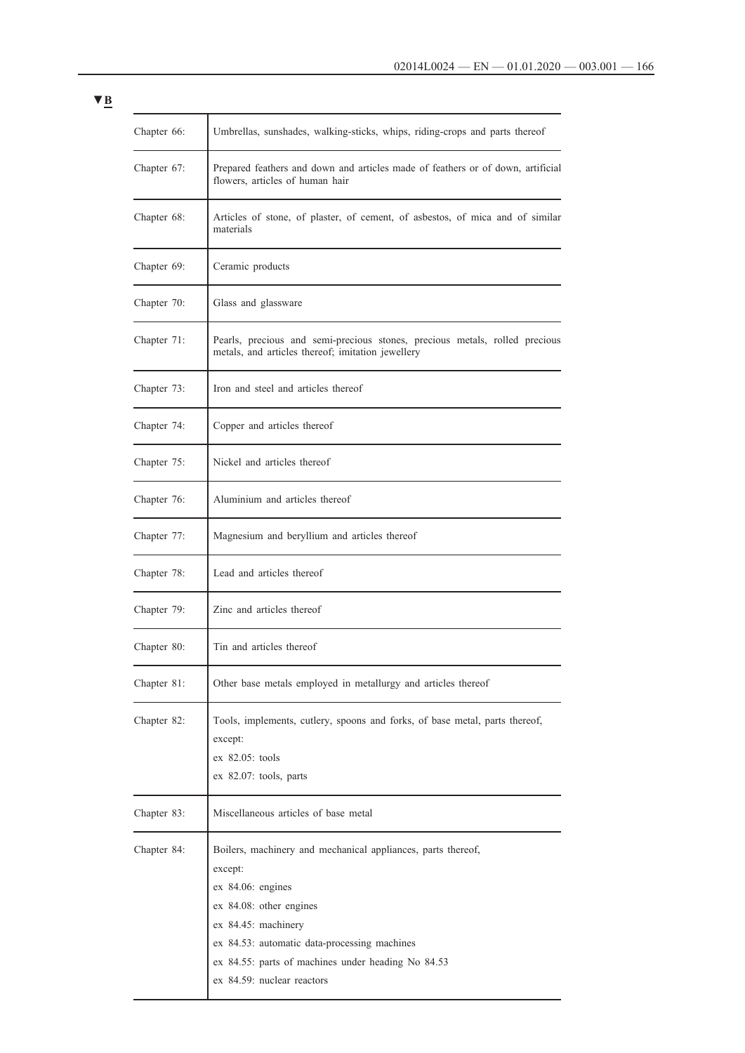| Chapter 66:                                                                                                                                     | Umbrellas, sunshades, walking-sticks, whips, riding-crops and parts thereof                                                                                                                                                                                                        |  |
|-------------------------------------------------------------------------------------------------------------------------------------------------|------------------------------------------------------------------------------------------------------------------------------------------------------------------------------------------------------------------------------------------------------------------------------------|--|
| Chapter 67:                                                                                                                                     | Prepared feathers and down and articles made of feathers or of down, artificial<br>flowers, articles of human hair                                                                                                                                                                 |  |
| Chapter 68:                                                                                                                                     | Articles of stone, of plaster, of cement, of asbestos, of mica and of similar<br>materials                                                                                                                                                                                         |  |
| Chapter 69:                                                                                                                                     | Ceramic products                                                                                                                                                                                                                                                                   |  |
| Chapter 70:                                                                                                                                     | Glass and glassware                                                                                                                                                                                                                                                                |  |
| Pearls, precious and semi-precious stones, precious metals, rolled precious<br>Chapter 71:<br>metals, and articles thereof; imitation jewellery |                                                                                                                                                                                                                                                                                    |  |
| Chapter 73:                                                                                                                                     | Iron and steel and articles thereof                                                                                                                                                                                                                                                |  |
| Chapter 74:                                                                                                                                     | Copper and articles thereof                                                                                                                                                                                                                                                        |  |
| Chapter 75:                                                                                                                                     | Nickel and articles thereof                                                                                                                                                                                                                                                        |  |
| Chapter 76:                                                                                                                                     | Aluminium and articles thereof                                                                                                                                                                                                                                                     |  |
| Chapter 77:                                                                                                                                     | Magnesium and beryllium and articles thereof                                                                                                                                                                                                                                       |  |
| Chapter 78:                                                                                                                                     | Lead and articles thereof                                                                                                                                                                                                                                                          |  |
| Chapter 79:                                                                                                                                     | Zinc and articles thereof                                                                                                                                                                                                                                                          |  |
| Chapter 80:                                                                                                                                     | Tin and articles thereof                                                                                                                                                                                                                                                           |  |
| Chapter 81:                                                                                                                                     | Other base metals employed in metallurgy and articles thereof                                                                                                                                                                                                                      |  |
| Chapter 82:                                                                                                                                     | Tools, implements, cutlery, spoons and forks, of base metal, parts thereof,<br>except:<br>ex 82.05: tools<br>ex 82.07: tools, parts                                                                                                                                                |  |
| Chapter 83:                                                                                                                                     | Miscellaneous articles of base metal                                                                                                                                                                                                                                               |  |
| Chapter 84:                                                                                                                                     | Boilers, machinery and mechanical appliances, parts thereof,<br>except:<br>ex 84.06: engines<br>ex 84.08: other engines<br>ex 84.45: machinery<br>ex 84.53: automatic data-processing machines<br>ex 84.55: parts of machines under heading No 84.53<br>ex 84.59: nuclear reactors |  |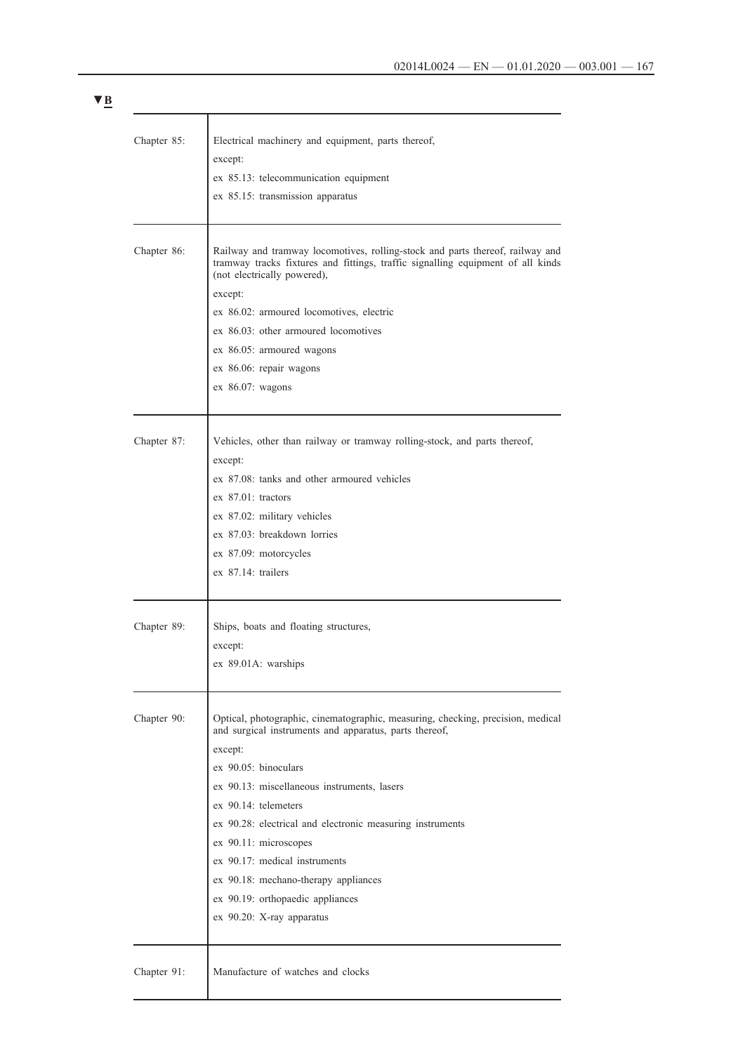| Chapter 85: | Electrical machinery and equipment, parts thereof,                                                                                                                                              |
|-------------|-------------------------------------------------------------------------------------------------------------------------------------------------------------------------------------------------|
|             | except:                                                                                                                                                                                         |
|             | ex 85.13: telecommunication equipment                                                                                                                                                           |
|             | ex 85.15: transmission apparatus                                                                                                                                                                |
| Chapter 86: | Railway and tramway locomotives, rolling-stock and parts thereof, railway and<br>tramway tracks fixtures and fittings, traffic signalling equipment of all kinds<br>(not electrically powered), |
|             | except:                                                                                                                                                                                         |
|             | ex 86.02: armoured locomotives, electric                                                                                                                                                        |
|             | ex 86.03: other armoured locomotives                                                                                                                                                            |
|             | ex 86.05: armoured wagons                                                                                                                                                                       |
|             | ex 86.06: repair wagons                                                                                                                                                                         |
|             | $ex 86.07$ : wagons                                                                                                                                                                             |
| Chapter 87: | Vehicles, other than railway or tramway rolling-stock, and parts thereof,                                                                                                                       |
|             | except:                                                                                                                                                                                         |
|             | ex 87.08: tanks and other armoured vehicles                                                                                                                                                     |
|             | $ex$ 87.01: tractors                                                                                                                                                                            |
|             | ex 87.02: military vehicles                                                                                                                                                                     |
|             | ex 87.03: breakdown lorries                                                                                                                                                                     |
|             | ex 87.09: motorcycles                                                                                                                                                                           |
|             | ex 87.14: trailers                                                                                                                                                                              |
|             |                                                                                                                                                                                                 |
| Chapter 89: | Ships, boats and floating structures,                                                                                                                                                           |
|             | except:                                                                                                                                                                                         |
|             | ex 89.01A: warships                                                                                                                                                                             |
| Chapter 90: | Optical, photographic, cinematographic, measuring, checking, precision, medical                                                                                                                 |
|             | and surgical instruments and apparatus, parts thereof,                                                                                                                                          |
|             | except:                                                                                                                                                                                         |
|             | $ex$ 90.05: binoculars                                                                                                                                                                          |
|             | ex 90.13: miscellaneous instruments, lasers                                                                                                                                                     |
|             | $ex$ 90.14: telemeters                                                                                                                                                                          |
|             | ex 90.28: electrical and electronic measuring instruments                                                                                                                                       |
|             | ex 90.11: microscopes                                                                                                                                                                           |
|             | ex 90.17: medical instruments                                                                                                                                                                   |
|             | ex 90.18: mechano-therapy appliances                                                                                                                                                            |
|             | ex 90.19: orthopaedic appliances                                                                                                                                                                |
|             | ex 90.20: X-ray apparatus                                                                                                                                                                       |
|             |                                                                                                                                                                                                 |
| Chapter 91: | Manufacture of watches and clocks                                                                                                                                                               |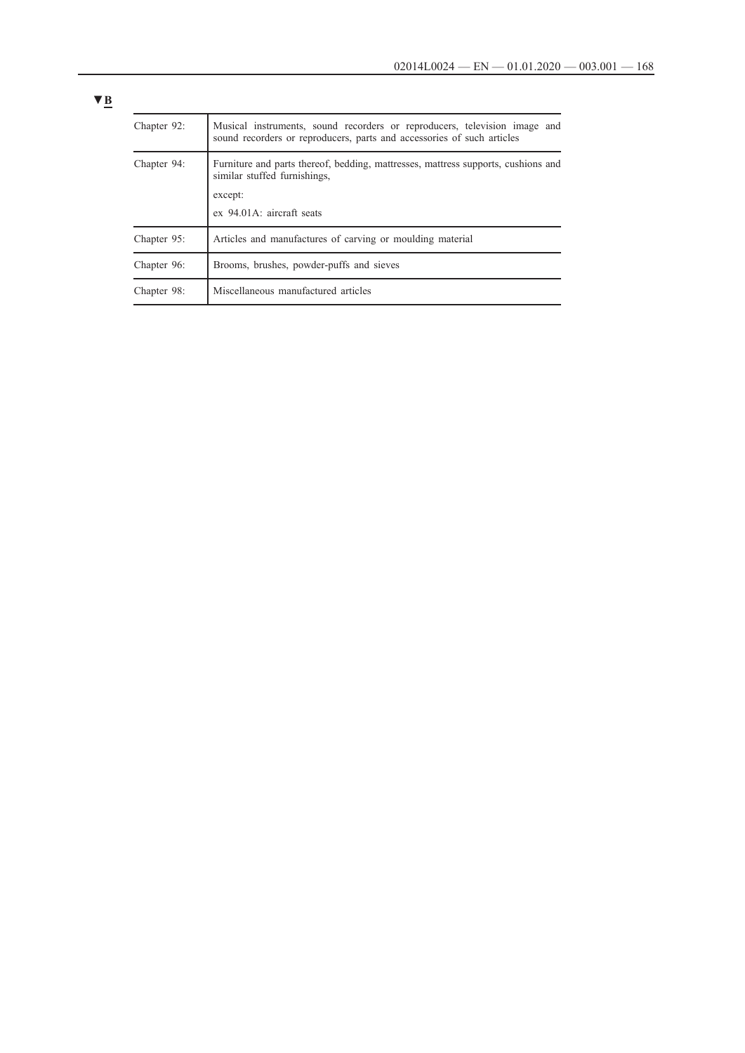| Chapter 92: | Musical instruments, sound recorders or reproducers, television image and<br>sound recorders or reproducers, parts and accessories of such articles |
|-------------|-----------------------------------------------------------------------------------------------------------------------------------------------------|
| Chapter 94: | Furniture and parts thereof, bedding, mattresses, mattress supports, cushions and<br>similar stuffed furnishings.<br>except:                        |
|             | $ex$ 94.01 A: aircraft seats                                                                                                                        |
| Chapter 95: | Articles and manufactures of carving or moulding material                                                                                           |
| Chapter 96: | Brooms, brushes, powder-puffs and sieves                                                                                                            |
| Chapter 98: | Miscellaneous manufactured articles                                                                                                                 |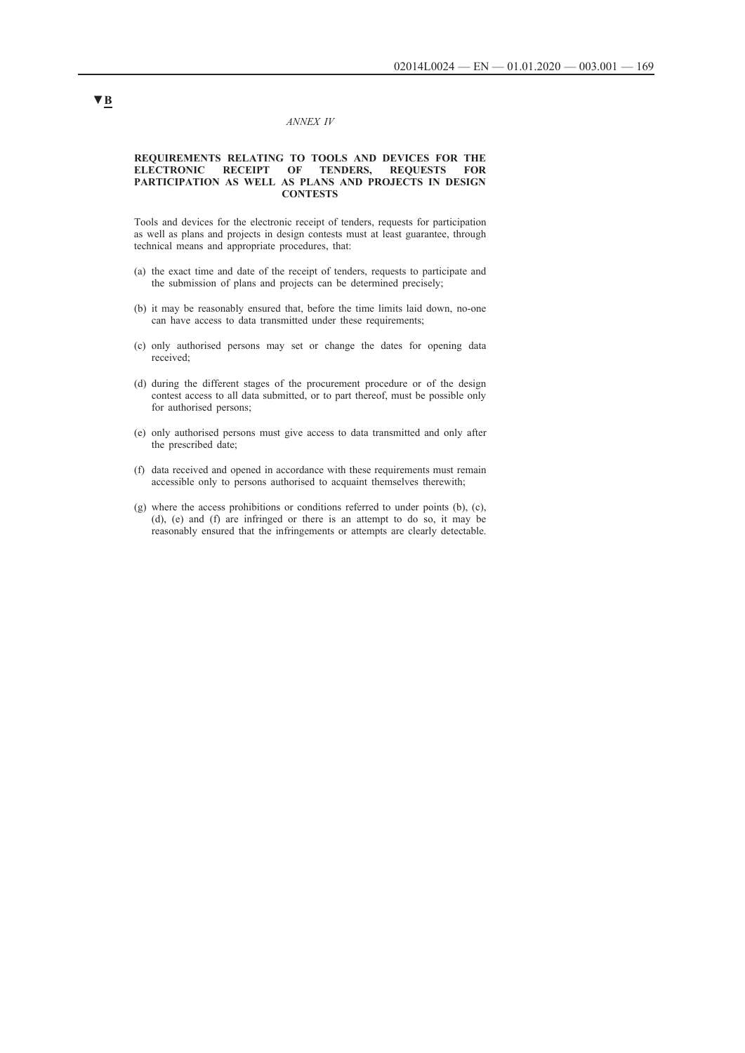#### *ANNEX IV*

#### **REQUIREMENTS RELATING TO TOOLS AND DEVICES FOR THE**  OF TENDERS, REQUESTS FOR **PARTICIPATION AS WELL AS PLANS AND PROJECTS IN DESIGN CONTESTS**

Tools and devices for the electronic receipt of tenders, requests for participation as well as plans and projects in design contests must at least guarantee, through technical means and appropriate procedures, that:

- (a) the exact time and date of the receipt of tenders, requests to participate and the submission of plans and projects can be determined precisely;
- (b) it may be reasonably ensured that, before the time limits laid down, no-one can have access to data transmitted under these requirements;
- (c) only authorised persons may set or change the dates for opening data received;
- (d) during the different stages of the procurement procedure or of the design contest access to all data submitted, or to part thereof, must be possible only for authorised persons;
- (e) only authorised persons must give access to data transmitted and only after the prescribed date;
- (f) data received and opened in accordance with these requirements must remain accessible only to persons authorised to acquaint themselves therewith;
- (g) where the access prohibitions or conditions referred to under points (b), (c), (d), (e) and (f) are infringed or there is an attempt to do so, it may be reasonably ensured that the infringements or attempts are clearly detectable.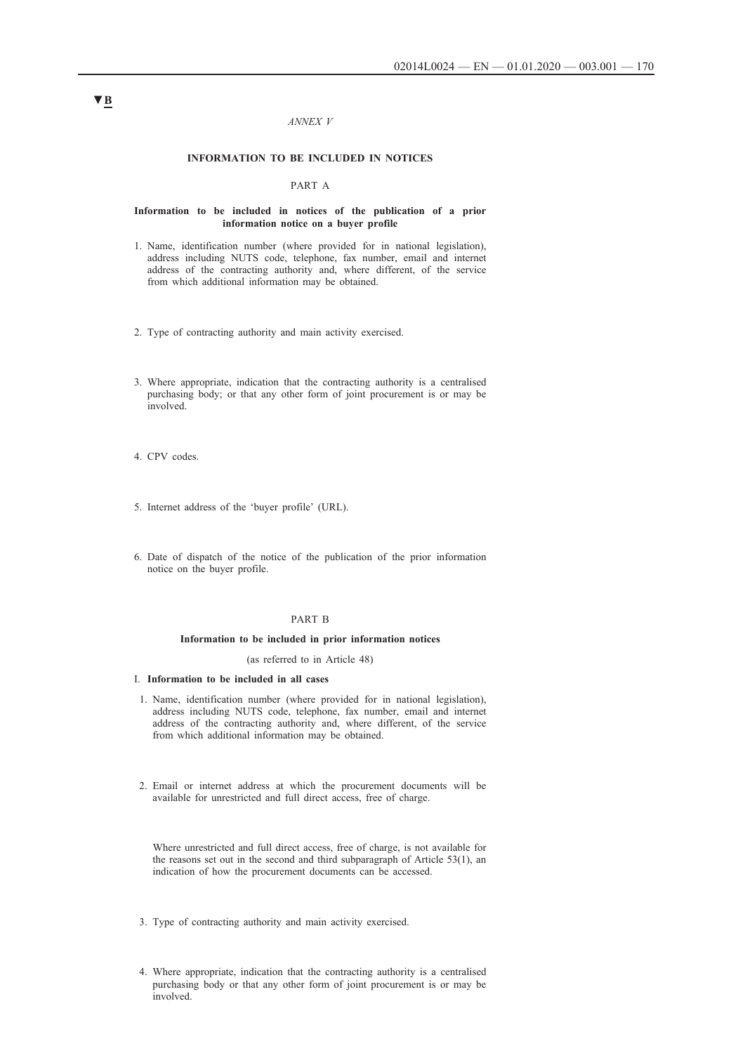#### *ANNEX V*

### **INFORMATION TO BE INCLUDED IN NOTICES**

### PART A

#### **Information to be included in notices of the publication of a prior information notice on a buyer profile**

- 1. Name, identification number (where provided for in national legislation), address including NUTS code, telephone, fax number, email and internet address of the contracting authority and, where different, of the service from which additional information may be obtained.
- 2. Type of contracting authority and main activity exercised.
- 3. Where appropriate, indication that the contracting authority is a centralised purchasing body; or that any other form of joint procurement is or may be involved.
- 4. CPV codes.
- 5. Internet address of the 'buyer profile' (URL).
- 6. Date of dispatch of the notice of the publication of the prior information notice on the buyer profile.

#### PART B

#### **Information to be included in prior information notices**

(as referred to in Article 48)

### I. **Information to be included in all cases**

- 1. Name, identification number (where provided for in national legislation), address including NUTS code, telephone, fax number, email and internet address of the contracting authority and, where different, of the service from which additional information may be obtained.
- 2. Email or internet address at which the procurement documents will be available for unrestricted and full direct access, free of charge.

Where unrestricted and full direct access, free of charge, is not available for the reasons set out in the second and third subparagraph of Article 53(1), an indication of how the procurement documents can be accessed.

- 3. Type of contracting authority and main activity exercised.
- 4. Where appropriate, indication that the contracting authority is a centralised purchasing body or that any other form of joint procurement is or may be involved.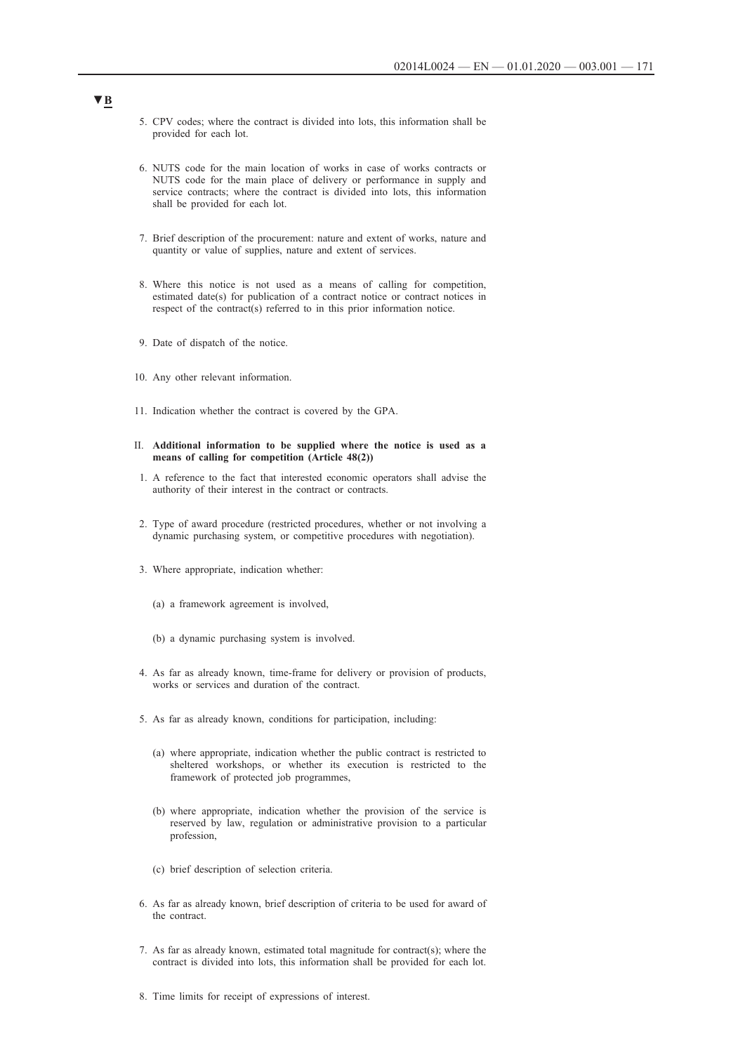- 5. CPV codes; where the contract is divided into lots, this information shall be provided for each lot.
- 6. NUTS code for the main location of works in case of works contracts or NUTS code for the main place of delivery or performance in supply and service contracts; where the contract is divided into lots, this information shall be provided for each lot.
- 7. Brief description of the procurement: nature and extent of works, nature and quantity or value of supplies, nature and extent of services.
- 8. Where this notice is not used as a means of calling for competition, estimated date(s) for publication of a contract notice or contract notices in respect of the contract(s) referred to in this prior information notice.
- 9. Date of dispatch of the notice.
- 10. Any other relevant information.
- 11. Indication whether the contract is covered by the GPA.
- II. **Additional information to be supplied where the notice is used as a means of calling for competition (Article 48(2))**
- 1. A reference to the fact that interested economic operators shall advise the authority of their interest in the contract or contracts.
- 2. Type of award procedure (restricted procedures, whether or not involving a dynamic purchasing system, or competitive procedures with negotiation).
- 3. Where appropriate, indication whether:
	- (a) a framework agreement is involved,
	- (b) a dynamic purchasing system is involved.
- 4. As far as already known, time-frame for delivery or provision of products, works or services and duration of the contract.
- 5. As far as already known, conditions for participation, including:
	- (a) where appropriate, indication whether the public contract is restricted to sheltered workshops, or whether its execution is restricted to the framework of protected job programmes,
	- (b) where appropriate, indication whether the provision of the service is reserved by law, regulation or administrative provision to a particular profession,
	- (c) brief description of selection criteria.
- 6. As far as already known, brief description of criteria to be used for award of the contract.
- 7. As far as already known, estimated total magnitude for contract(s); where the contract is divided into lots, this information shall be provided for each lot.
- 8. Time limits for receipt of expressions of interest.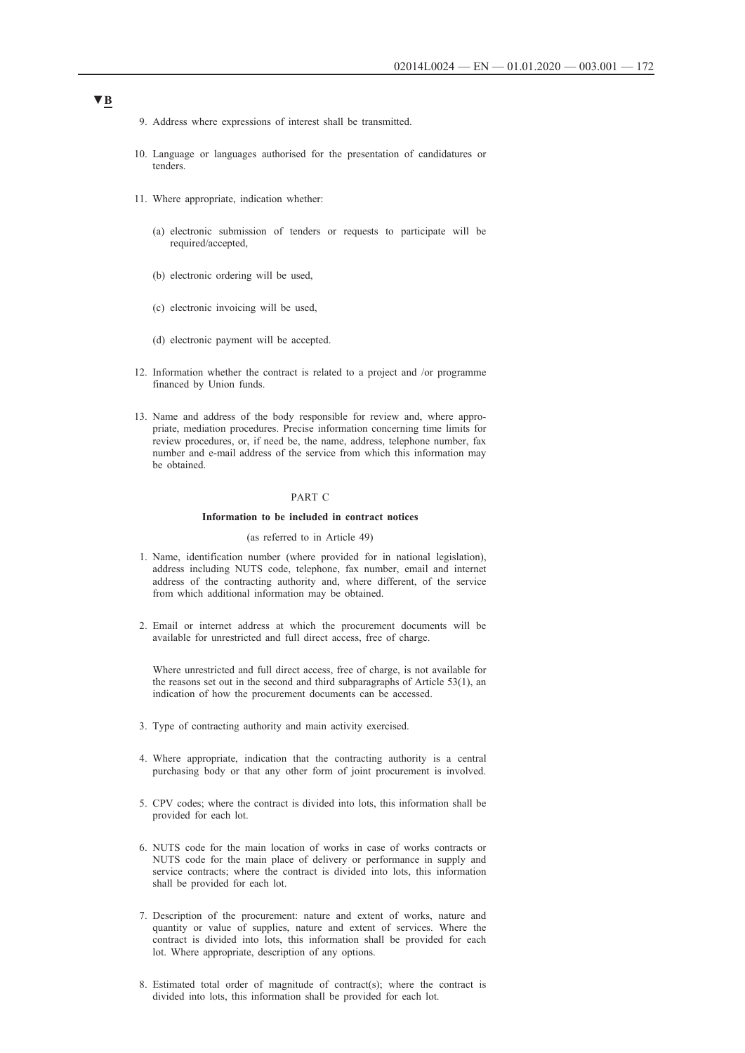- 9. Address where expressions of interest shall be transmitted.
- 10. Language or languages authorised for the presentation of candidatures or tenders.
- 11. Where appropriate, indication whether:
	- (a) electronic submission of tenders or requests to participate will be required/accepted,
	- (b) electronic ordering will be used,
	- (c) electronic invoicing will be used,
	- (d) electronic payment will be accepted.
- 12. Information whether the contract is related to a project and /or programme financed by Union funds.
- 13. Name and address of the body responsible for review and, where appropriate, mediation procedures. Precise information concerning time limits for review procedures, or, if need be, the name, address, telephone number, fax number and e-mail address of the service from which this information may be obtained.

#### PART C

#### **Information to be included in contract notices**

#### (as referred to in Article 49)

- 1. Name, identification number (where provided for in national legislation), address including NUTS code, telephone, fax number, email and internet address of the contracting authority and, where different, of the service from which additional information may be obtained.
- 2. Email or internet address at which the procurement documents will be available for unrestricted and full direct access, free of charge.

Where unrestricted and full direct access, free of charge, is not available for the reasons set out in the second and third subparagraphs of Article 53(1), an indication of how the procurement documents can be accessed.

- 3. Type of contracting authority and main activity exercised.
- 4. Where appropriate, indication that the contracting authority is a central purchasing body or that any other form of joint procurement is involved.
- 5. CPV codes; where the contract is divided into lots, this information shall be provided for each lot.
- 6. NUTS code for the main location of works in case of works contracts or NUTS code for the main place of delivery or performance in supply and service contracts; where the contract is divided into lots, this information shall be provided for each lot.
- 7. Description of the procurement: nature and extent of works, nature and quantity or value of supplies, nature and extent of services. Where the contract is divided into lots, this information shall be provided for each lot. Where appropriate, description of any options.
- 8. Estimated total order of magnitude of contract(s); where the contract is divided into lots, this information shall be provided for each lot.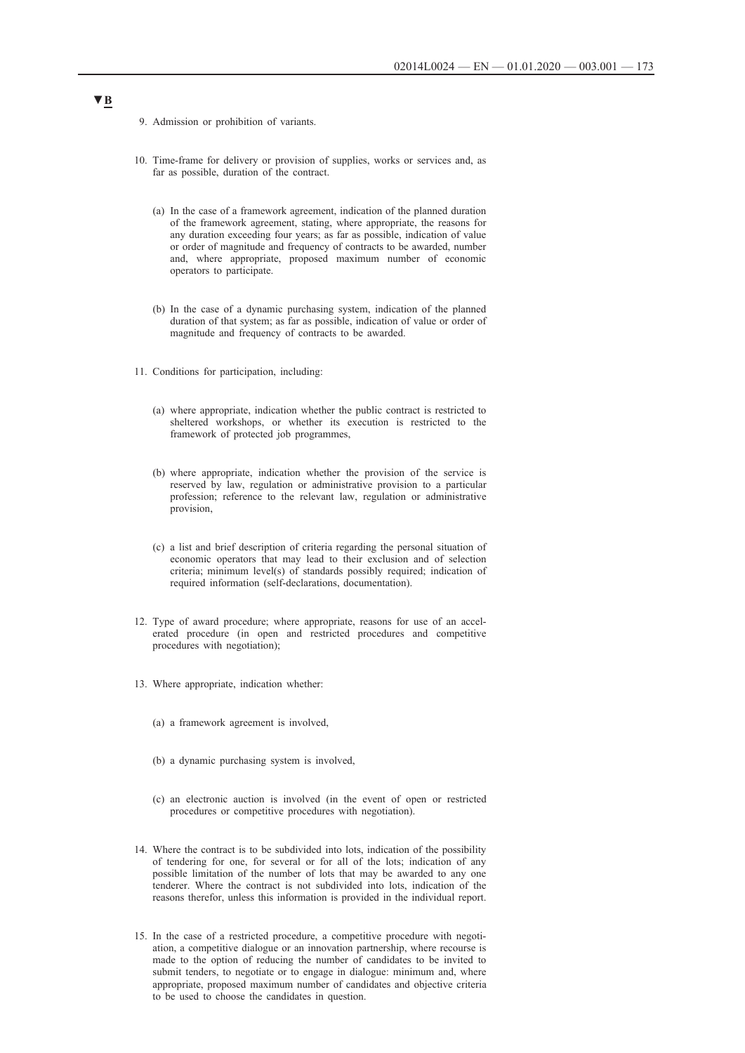- 9. Admission or prohibition of variants.
- 10. Time-frame for delivery or provision of supplies, works or services and, as far as possible, duration of the contract.
	- (a) In the case of a framework agreement, indication of the planned duration of the framework agreement, stating, where appropriate, the reasons for any duration exceeding four years; as far as possible, indication of value or order of magnitude and frequency of contracts to be awarded, number and, where appropriate, proposed maximum number of economic operators to participate.
	- (b) In the case of a dynamic purchasing system, indication of the planned duration of that system; as far as possible, indication of value or order of magnitude and frequency of contracts to be awarded.
- 11. Conditions for participation, including:
	- (a) where appropriate, indication whether the public contract is restricted to sheltered workshops, or whether its execution is restricted to the framework of protected job programmes,
	- (b) where appropriate, indication whether the provision of the service is reserved by law, regulation or administrative provision to a particular profession; reference to the relevant law, regulation or administrative provision,
	- (c) a list and brief description of criteria regarding the personal situation of economic operators that may lead to their exclusion and of selection criteria; minimum level(s) of standards possibly required; indication of required information (self-declarations, documentation).
- 12. Type of award procedure; where appropriate, reasons for use of an accelerated procedure (in open and restricted procedures and competitive procedures with negotiation);
- 13. Where appropriate, indication whether:
	- (a) a framework agreement is involved,
	- (b) a dynamic purchasing system is involved,
	- (c) an electronic auction is involved (in the event of open or restricted procedures or competitive procedures with negotiation).
- 14. Where the contract is to be subdivided into lots, indication of the possibility of tendering for one, for several or for all of the lots; indication of any possible limitation of the number of lots that may be awarded to any one tenderer. Where the contract is not subdivided into lots, indication of the reasons therefor, unless this information is provided in the individual report.
- 15. In the case of a restricted procedure, a competitive procedure with negotiation, a competitive dialogue or an innovation partnership, where recourse is made to the option of reducing the number of candidates to be invited to submit tenders, to negotiate or to engage in dialogue: minimum and, where appropriate, proposed maximum number of candidates and objective criteria to be used to choose the candidates in question.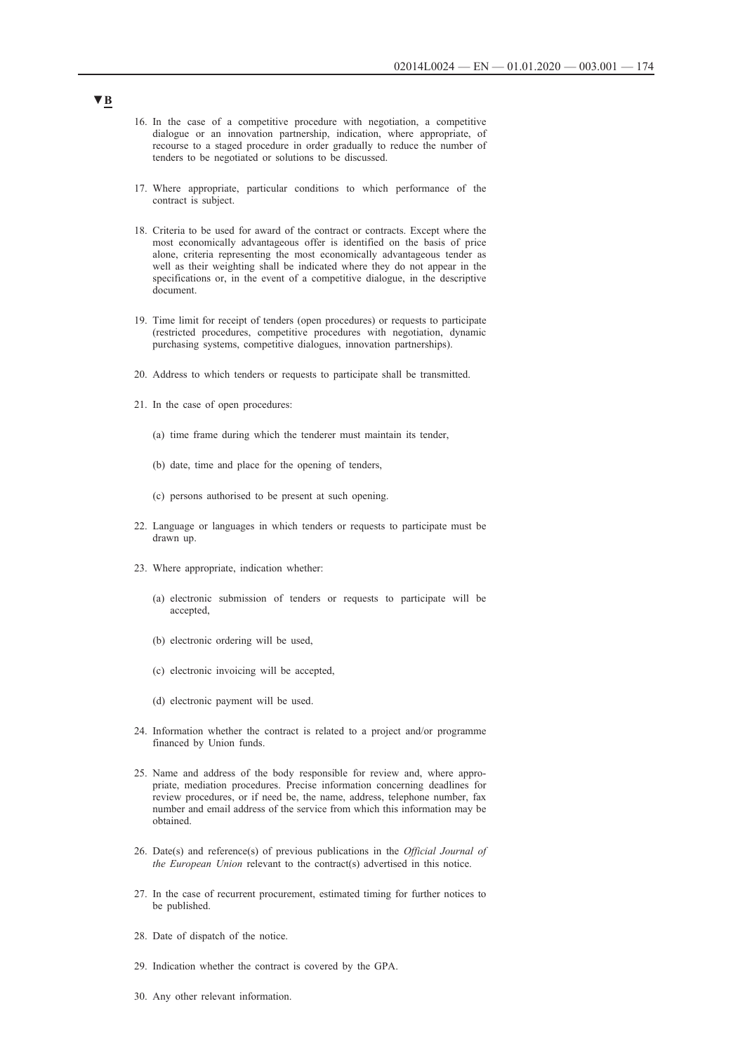- 16. In the case of a competitive procedure with negotiation, a competitive dialogue or an innovation partnership, indication, where appropriate, of recourse to a staged procedure in order gradually to reduce the number of tenders to be negotiated or solutions to be discussed.
- 17. Where appropriate, particular conditions to which performance of the contract is subject.
- 18. Criteria to be used for award of the contract or contracts. Except where the most economically advantageous offer is identified on the basis of price alone, criteria representing the most economically advantageous tender as well as their weighting shall be indicated where they do not appear in the specifications or, in the event of a competitive dialogue, in the descriptive document.
- 19. Time limit for receipt of tenders (open procedures) or requests to participate (restricted procedures, competitive procedures with negotiation, dynamic purchasing systems, competitive dialogues, innovation partnerships).
- 20. Address to which tenders or requests to participate shall be transmitted.
- 21. In the case of open procedures:
	- (a) time frame during which the tenderer must maintain its tender,
	- (b) date, time and place for the opening of tenders,
	- (c) persons authorised to be present at such opening.
- 22. Language or languages in which tenders or requests to participate must be drawn up.
- 23. Where appropriate, indication whether:
	- (a) electronic submission of tenders or requests to participate will be accepted,
	- (b) electronic ordering will be used,
	- (c) electronic invoicing will be accepted,
	- (d) electronic payment will be used.
- 24. Information whether the contract is related to a project and/or programme financed by Union funds.
- 25. Name and address of the body responsible for review and, where appropriate, mediation procedures. Precise information concerning deadlines for review procedures, or if need be, the name, address, telephone number, fax number and email address of the service from which this information may be obtained.
- 26. Date(s) and reference(s) of previous publications in the *Official Journal of the European Union* relevant to the contract(s) advertised in this notice.
- 27. In the case of recurrent procurement, estimated timing for further notices to be published.
- 28. Date of dispatch of the notice.
- 29. Indication whether the contract is covered by the GPA.
- 30. Any other relevant information.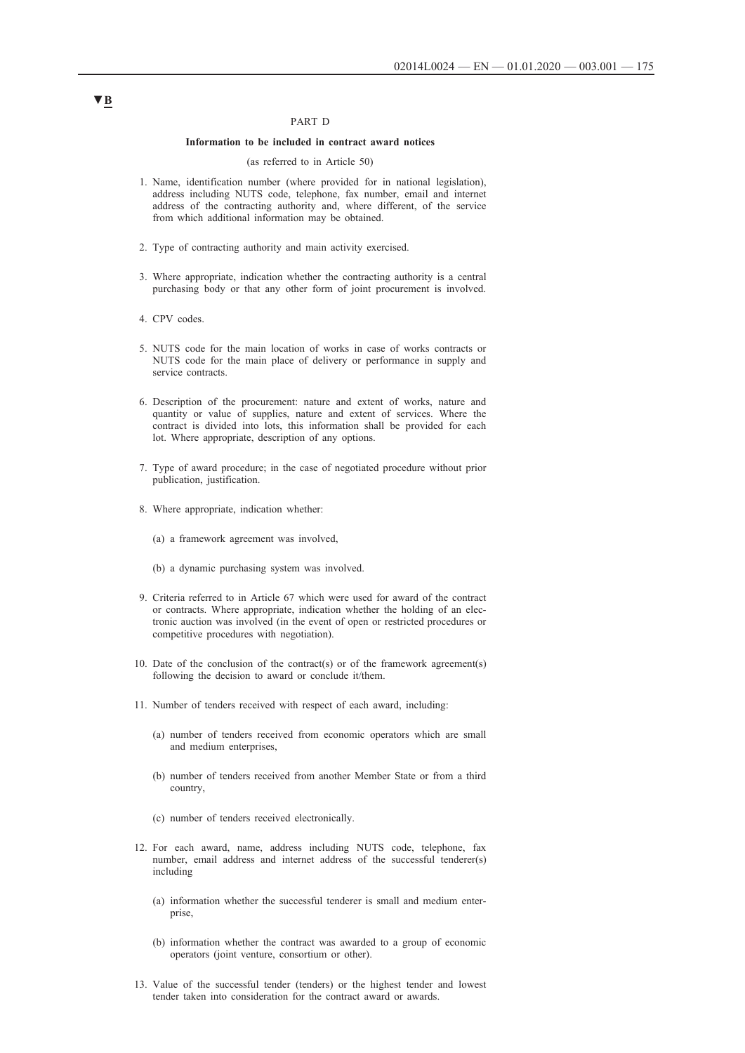### PART D

### **Information to be included in contract award notices**

### (as referred to in Article 50)

- 1. Name, identification number (where provided for in national legislation), address including NUTS code, telephone, fax number, email and internet address of the contracting authority and, where different, of the service from which additional information may be obtained.
- 2. Type of contracting authority and main activity exercised.
- 3. Where appropriate, indication whether the contracting authority is a central purchasing body or that any other form of joint procurement is involved.
- 4. CPV codes.
- 5. NUTS code for the main location of works in case of works contracts or NUTS code for the main place of delivery or performance in supply and service contracts.
- 6. Description of the procurement: nature and extent of works, nature and quantity or value of supplies, nature and extent of services. Where the contract is divided into lots, this information shall be provided for each lot. Where appropriate, description of any options.
- 7. Type of award procedure; in the case of negotiated procedure without prior publication, justification.
- 8. Where appropriate, indication whether:
	- (a) a framework agreement was involved,
	- (b) a dynamic purchasing system was involved.
- 9. Criteria referred to in Article 67 which were used for award of the contract or contracts. Where appropriate, indication whether the holding of an electronic auction was involved (in the event of open or restricted procedures or competitive procedures with negotiation).
- 10. Date of the conclusion of the contract(s) or of the framework agreement(s) following the decision to award or conclude it/them.
- 11. Number of tenders received with respect of each award, including:
	- (a) number of tenders received from economic operators which are small and medium enterprises,
	- (b) number of tenders received from another Member State or from a third country,
	- (c) number of tenders received electronically.
- 12. For each award, name, address including NUTS code, telephone, fax number, email address and internet address of the successful tenderer(s) including
	- (a) information whether the successful tenderer is small and medium enterprise,
	- (b) information whether the contract was awarded to a group of economic operators (joint venture, consortium or other).
- 13. Value of the successful tender (tenders) or the highest tender and lowest tender taken into consideration for the contract award or awards.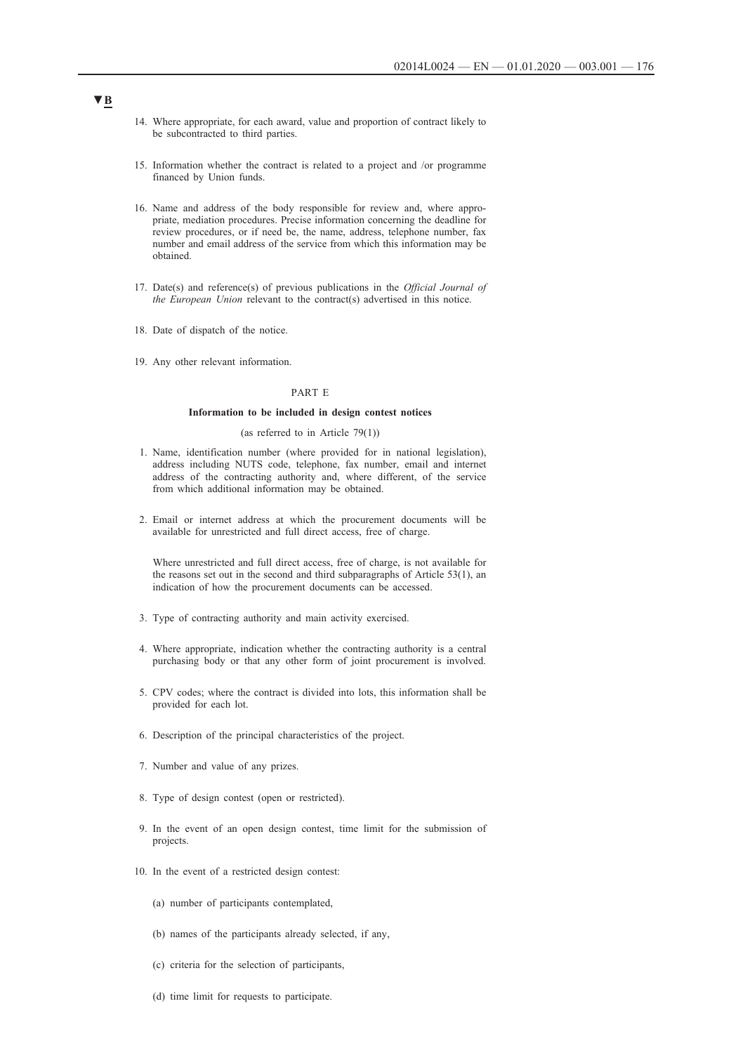- 14. Where appropriate, for each award, value and proportion of contract likely to be subcontracted to third parties.
- 15. Information whether the contract is related to a project and /or programme financed by Union funds.
- 16. Name and address of the body responsible for review and, where appropriate, mediation procedures. Precise information concerning the deadline for review procedures, or if need be, the name, address, telephone number, fax number and email address of the service from which this information may be obtained.
- 17. Date(s) and reference(s) of previous publications in the *Official Journal of the European Union* relevant to the contract(s) advertised in this notice.
- 18. Date of dispatch of the notice.
- 19. Any other relevant information.

#### PART E

#### **Information to be included in design contest notices**

### (as referred to in Article 79(1))

- 1. Name, identification number (where provided for in national legislation), address including NUTS code, telephone, fax number, email and internet address of the contracting authority and, where different, of the service from which additional information may be obtained.
- 2. Email or internet address at which the procurement documents will be available for unrestricted and full direct access, free of charge.

Where unrestricted and full direct access, free of charge, is not available for the reasons set out in the second and third subparagraphs of Article 53(1), an indication of how the procurement documents can be accessed.

- 3. Type of contracting authority and main activity exercised.
- 4. Where appropriate, indication whether the contracting authority is a central purchasing body or that any other form of joint procurement is involved.
- 5. CPV codes; where the contract is divided into lots, this information shall be provided for each lot.
- 6. Description of the principal characteristics of the project.
- 7. Number and value of any prizes.
- 8. Type of design contest (open or restricted).
- 9. In the event of an open design contest, time limit for the submission of projects.
- 10. In the event of a restricted design contest:
	- (a) number of participants contemplated,
	- (b) names of the participants already selected, if any,
	- (c) criteria for the selection of participants,
	- (d) time limit for requests to participate.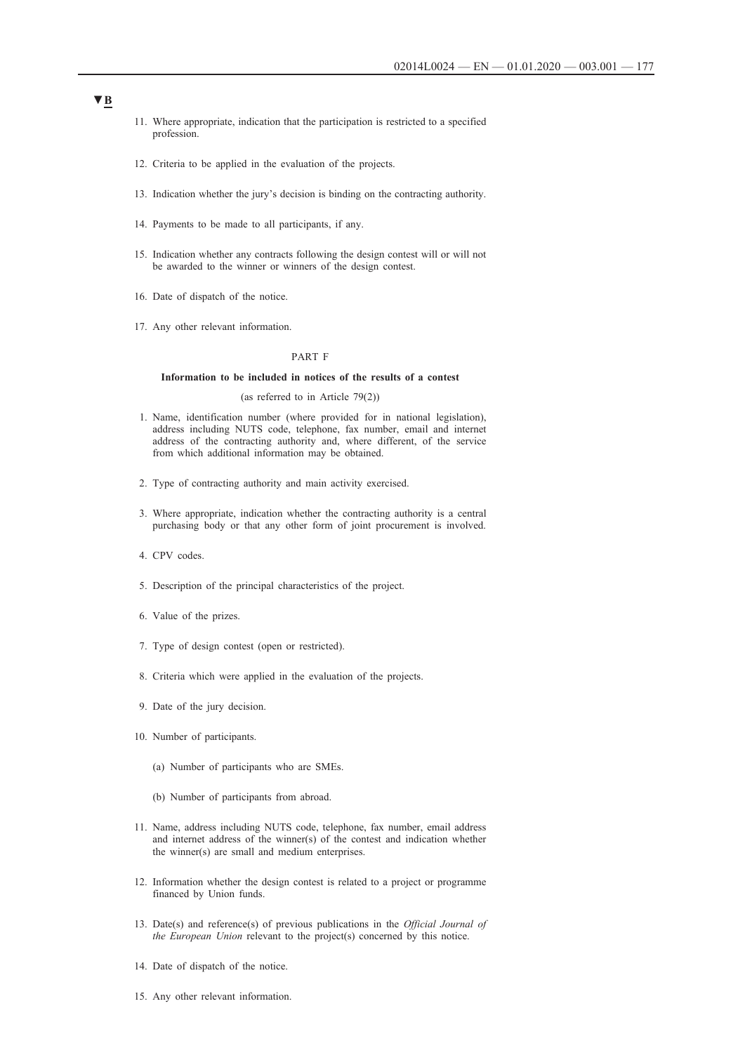- 11. Where appropriate, indication that the participation is restricted to a specified profession.
- 12. Criteria to be applied in the evaluation of the projects.
- 13. Indication whether the jury's decision is binding on the contracting authority.
- 14. Payments to be made to all participants, if any.
- 15. Indication whether any contracts following the design contest will or will not be awarded to the winner or winners of the design contest.
- 16. Date of dispatch of the notice.
- 17. Any other relevant information.

#### PART F

#### **Information to be included in notices of the results of a contest**

### (as referred to in Article 79(2))

- 1. Name, identification number (where provided for in national legislation), address including NUTS code, telephone, fax number, email and internet address of the contracting authority and, where different, of the service from which additional information may be obtained.
- 2. Type of contracting authority and main activity exercised.
- 3. Where appropriate, indication whether the contracting authority is a central purchasing body or that any other form of joint procurement is involved.
- 4. CPV codes.
- 5. Description of the principal characteristics of the project.
- 6. Value of the prizes.
- 7. Type of design contest (open or restricted).
- 8. Criteria which were applied in the evaluation of the projects.
- 9. Date of the jury decision.
- 10. Number of participants.
	- (a) Number of participants who are SMEs.
	- (b) Number of participants from abroad.
- 11. Name, address including NUTS code, telephone, fax number, email address and internet address of the winner(s) of the contest and indication whether the winner(s) are small and medium enterprises.
- 12. Information whether the design contest is related to a project or programme financed by Union funds.
- 13. Date(s) and reference(s) of previous publications in the *Official Journal of the European Union* relevant to the project(s) concerned by this notice.
- 14. Date of dispatch of the notice.
- 15. Any other relevant information.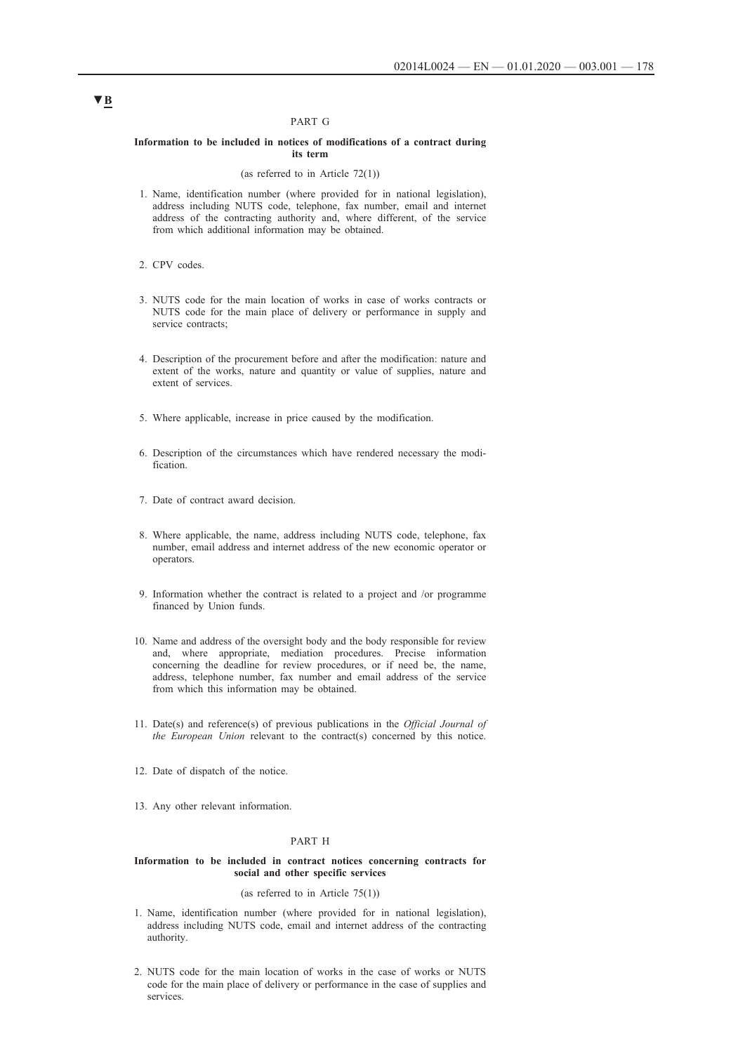#### PART G

#### **Information to be included in notices of modifications of a contract during its term**

#### (as referred to in Article 72(1))

- 1. Name, identification number (where provided for in national legislation), address including NUTS code, telephone, fax number, email and internet address of the contracting authority and, where different, of the service from which additional information may be obtained.
- 2. CPV codes.
- 3. NUTS code for the main location of works in case of works contracts or NUTS code for the main place of delivery or performance in supply and service contracts:
- 4. Description of the procurement before and after the modification: nature and extent of the works, nature and quantity or value of supplies, nature and extent of services.
- 5. Where applicable, increase in price caused by the modification.
- 6. Description of the circumstances which have rendered necessary the modification.
- 7. Date of contract award decision.
- 8. Where applicable, the name, address including NUTS code, telephone, fax number, email address and internet address of the new economic operator or operators.
- 9. Information whether the contract is related to a project and /or programme financed by Union funds.
- 10. Name and address of the oversight body and the body responsible for review and, where appropriate, mediation procedures. Precise information concerning the deadline for review procedures, or if need be, the name, address, telephone number, fax number and email address of the service from which this information may be obtained.
- 11. Date(s) and reference(s) of previous publications in the *Official Journal of the European Union* relevant to the contract(s) concerned by this notice.
- 12. Date of dispatch of the notice.
- 13. Any other relevant information.

#### PART H

#### **Information to be included in contract notices concerning contracts for social and other specific services**

#### (as referred to in Article 75(1))

- 1. Name, identification number (where provided for in national legislation), address including NUTS code, email and internet address of the contracting authority.
- 2. NUTS code for the main location of works in the case of works or NUTS code for the main place of delivery or performance in the case of supplies and services.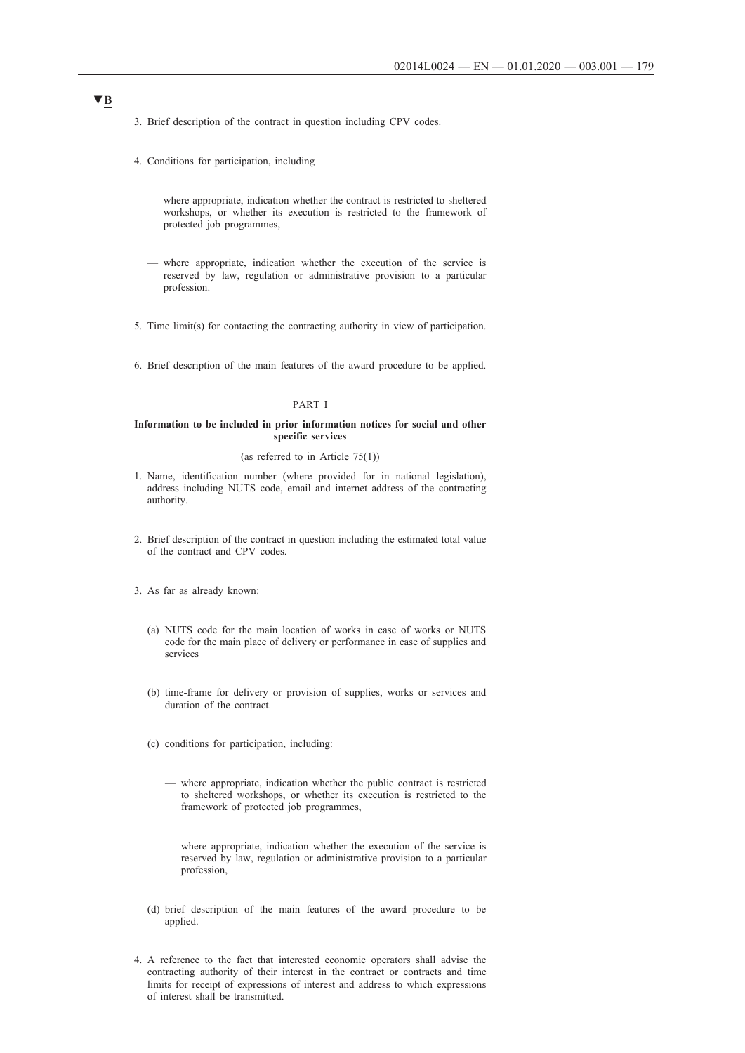- 3. Brief description of the contract in question including CPV codes.
- 4. Conditions for participation, including
	- where appropriate, indication whether the contract is restricted to sheltered workshops, or whether its execution is restricted to the framework of protected job programmes,
	- where appropriate, indication whether the execution of the service is reserved by law, regulation or administrative provision to a particular profession.
- 5. Time limit(s) for contacting the contracting authority in view of participation.
- 6. Brief description of the main features of the award procedure to be applied.

#### PART I

#### **Information to be included in prior information notices for social and other specific services**

#### (as referred to in Article 75(1))

- 1. Name, identification number (where provided for in national legislation), address including NUTS code, email and internet address of the contracting authority.
- 2. Brief description of the contract in question including the estimated total value of the contract and CPV codes.
- 3. As far as already known:
	- (a) NUTS code for the main location of works in case of works or NUTS code for the main place of delivery or performance in case of supplies and services
	- (b) time-frame for delivery or provision of supplies, works or services and duration of the contract.
	- (c) conditions for participation, including:
		- where appropriate, indication whether the public contract is restricted to sheltered workshops, or whether its execution is restricted to the framework of protected job programmes,
		- where appropriate, indication whether the execution of the service is reserved by law, regulation or administrative provision to a particular profession,
	- (d) brief description of the main features of the award procedure to be applied.
- 4. A reference to the fact that interested economic operators shall advise the contracting authority of their interest in the contract or contracts and time limits for receipt of expressions of interest and address to which expressions of interest shall be transmitted.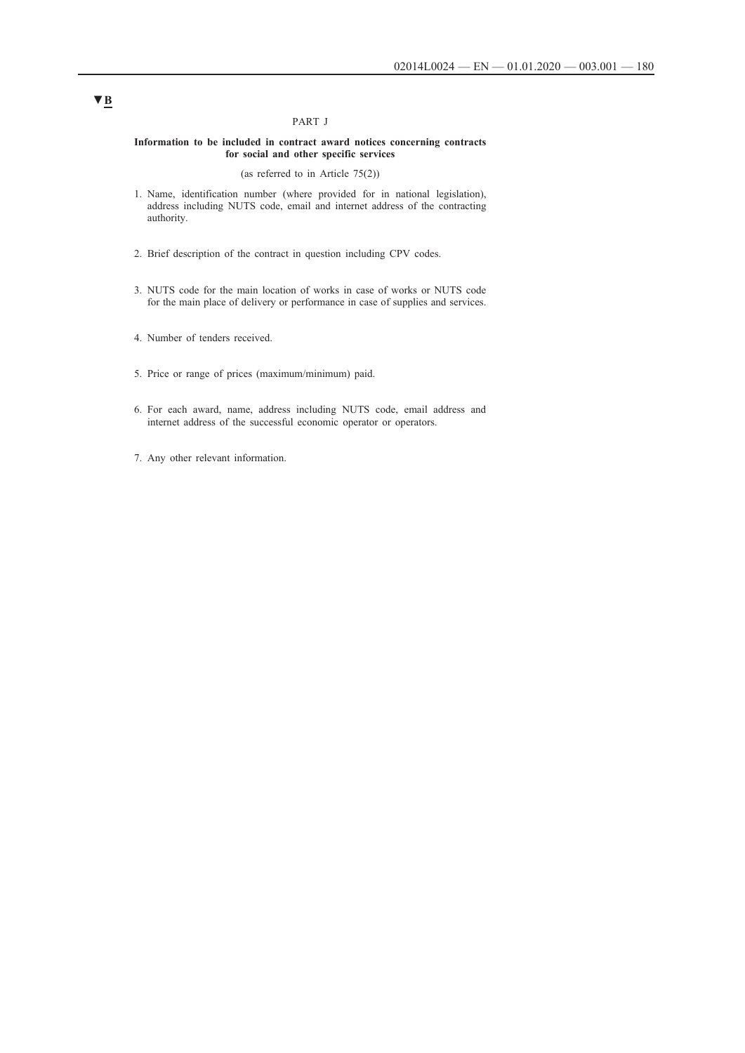#### PART J

#### **Information to be included in contract award notices concerning contracts for social and other specific services**

(as referred to in Article 75(2))

- 1. Name, identification number (where provided for in national legislation), address including NUTS code, email and internet address of the contracting authority.
- 2. Brief description of the contract in question including CPV codes.
- 3. NUTS code for the main location of works in case of works or NUTS code for the main place of delivery or performance in case of supplies and services.
- 4. Number of tenders received.
- 5. Price or range of prices (maximum/minimum) paid.
- 6. For each award, name, address including NUTS code, email address and internet address of the successful economic operator or operators.
- 7. Any other relevant information.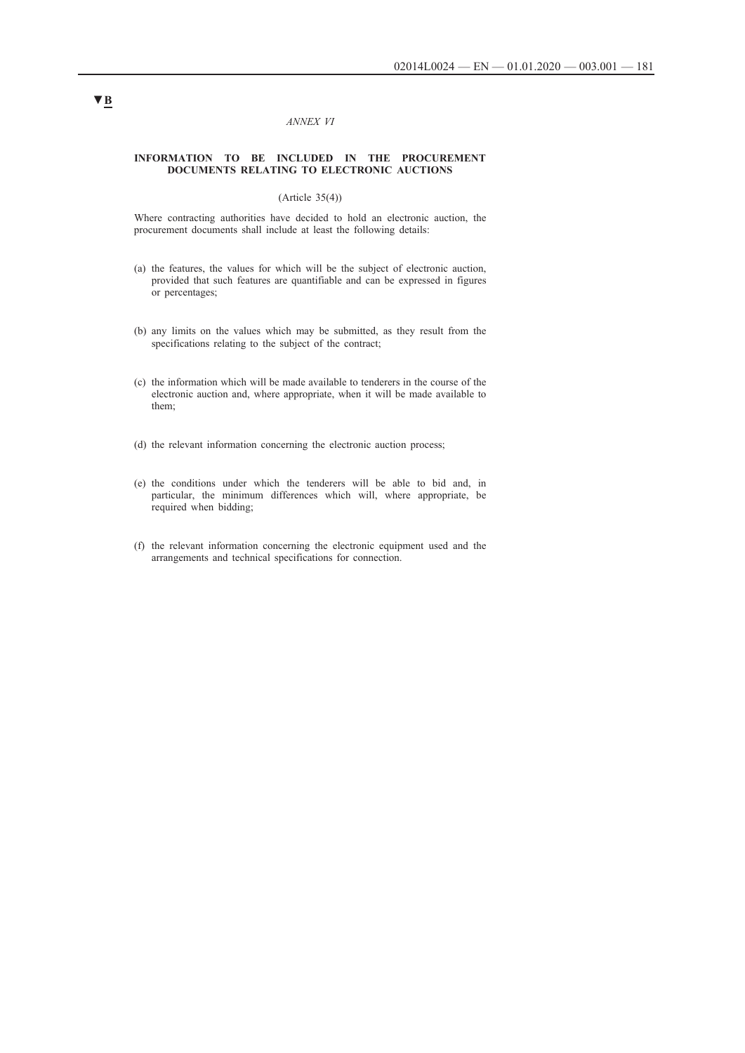#### *ANNEX VI*

#### **INFORMATION TO BE INCLUDED IN THE PROCUREMENT DOCUMENTS RELATING TO ELECTRONIC AUCTIONS**

#### (Article 35(4))

Where contracting authorities have decided to hold an electronic auction, the procurement documents shall include at least the following details:

- (a) the features, the values for which will be the subject of electronic auction, provided that such features are quantifiable and can be expressed in figures or percentages;
- (b) any limits on the values which may be submitted, as they result from the specifications relating to the subject of the contract;
- (c) the information which will be made available to tenderers in the course of the electronic auction and, where appropriate, when it will be made available to them;
- (d) the relevant information concerning the electronic auction process;
- (e) the conditions under which the tenderers will be able to bid and, in particular, the minimum differences which will, where appropriate, be required when bidding;
- (f) the relevant information concerning the electronic equipment used and the arrangements and technical specifications for connection.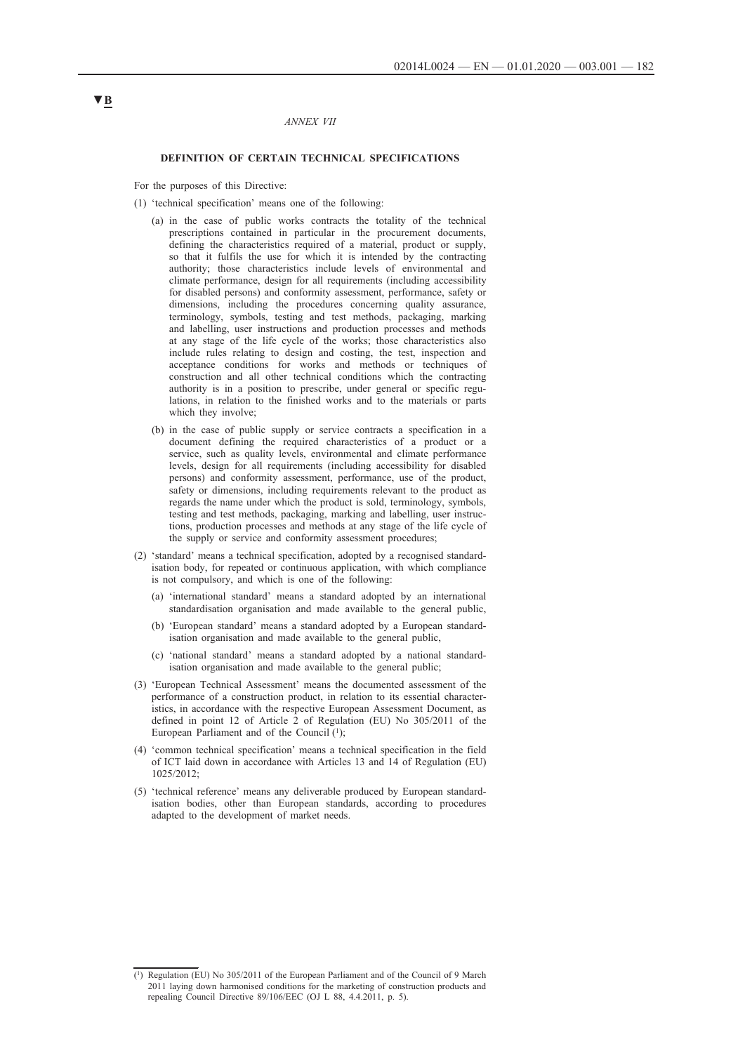#### *ANNEX VII*

#### **DEFINITION OF CERTAIN TECHNICAL SPECIFICATIONS**

For the purposes of this Directive:

- (1) 'technical specification' means one of the following:
	- (a) in the case of public works contracts the totality of the technical prescriptions contained in particular in the procurement documents, defining the characteristics required of a material, product or supply, so that it fulfils the use for which it is intended by the contracting authority; those characteristics include levels of environmental and climate performance, design for all requirements (including accessibility for disabled persons) and conformity assessment, performance, safety or dimensions, including the procedures concerning quality assurance, terminology, symbols, testing and test methods, packaging, marking and labelling, user instructions and production processes and methods at any stage of the life cycle of the works; those characteristics also include rules relating to design and costing, the test, inspection and acceptance conditions for works and methods or techniques of construction and all other technical conditions which the contracting authority is in a position to prescribe, under general or specific regulations, in relation to the finished works and to the materials or parts which they involve;
	- (b) in the case of public supply or service contracts a specification in a document defining the required characteristics of a product or a service, such as quality levels, environmental and climate performance levels, design for all requirements (including accessibility for disabled persons) and conformity assessment, performance, use of the product, safety or dimensions, including requirements relevant to the product as regards the name under which the product is sold, terminology, symbols, testing and test methods, packaging, marking and labelling, user instructions, production processes and methods at any stage of the life cycle of the supply or service and conformity assessment procedures;
- (2) 'standard' means a technical specification, adopted by a recognised standardisation body, for repeated or continuous application, with which compliance is not compulsory, and which is one of the following:
	- (a) 'international standard' means a standard adopted by an international standardisation organisation and made available to the general public,
	- (b) 'European standard' means a standard adopted by a European standardisation organisation and made available to the general public,
	- (c) 'national standard' means a standard adopted by a national standardisation organisation and made available to the general public;
- (3) 'European Technical Assessment' means the documented assessment of the performance of a construction product, in relation to its essential characteristics, in accordance with the respective European Assessment Document, as defined in point 12 of Article 2 of Regulation (EU) No 305/2011 of the European Parliament and of the Council  $(1)$ ;
- (4) 'common technical specification' means a technical specification in the field of ICT laid down in accordance with Articles 13 and 14 of Regulation (EU) 1025/2012;
- (5) 'technical reference' means any deliverable produced by European standardisation bodies, other than European standards, according to procedures adapted to the development of market needs.

<sup>(1)</sup> Regulation (EU) No 305/2011 of the European Parliament and of the Council of 9 March 2011 laying down harmonised conditions for the marketing of construction products and repealing Council Directive 89/106/EEC (OJ L 88, 4.4.2011, p. 5).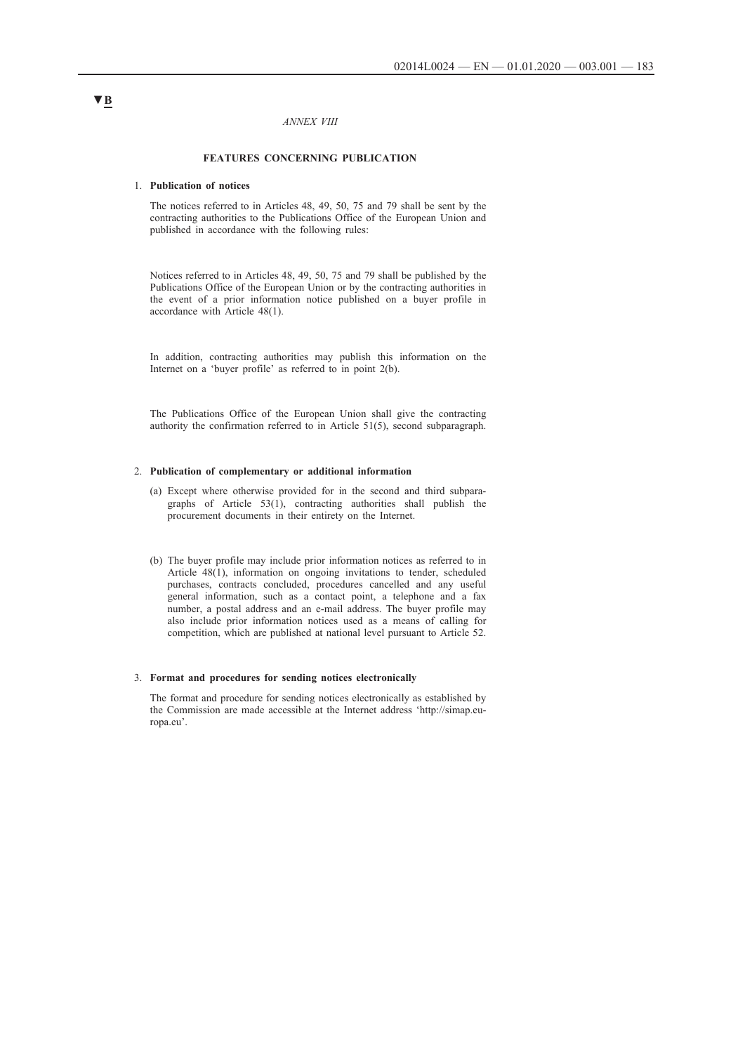#### *ANNEX VIII*

#### **FEATURES CONCERNING PUBLICATION**

#### 1. **Publication of notices**

The notices referred to in Articles 48, 49, 50, 75 and 79 shall be sent by the contracting authorities to the Publications Office of the European Union and published in accordance with the following rules:

Notices referred to in Articles 48, 49, 50, 75 and 79 shall be published by the Publications Office of the European Union or by the contracting authorities in the event of a prior information notice published on a buyer profile in accordance with Article 48(1).

In addition, contracting authorities may publish this information on the Internet on a 'buyer profile' as referred to in point 2(b).

The Publications Office of the European Union shall give the contracting authority the confirmation referred to in Article 51(5), second subparagraph.

#### 2. **Publication of complementary or additional information**

- (a) Except where otherwise provided for in the second and third subparagraphs of Article 53(1), contracting authorities shall publish the procurement documents in their entirety on the Internet.
- (b) The buyer profile may include prior information notices as referred to in Article 48(1), information on ongoing invitations to tender, scheduled purchases, contracts concluded, procedures cancelled and any useful general information, such as a contact point, a telephone and a fax number, a postal address and an e-mail address. The buyer profile may also include prior information notices used as a means of calling for competition, which are published at national level pursuant to Article 52.

#### 3. **Format and procedures for sending notices electronically**

The format and procedure for sending notices electronically as established by the Commission are made accessible at the Internet address 'http://simap.europa.eu'.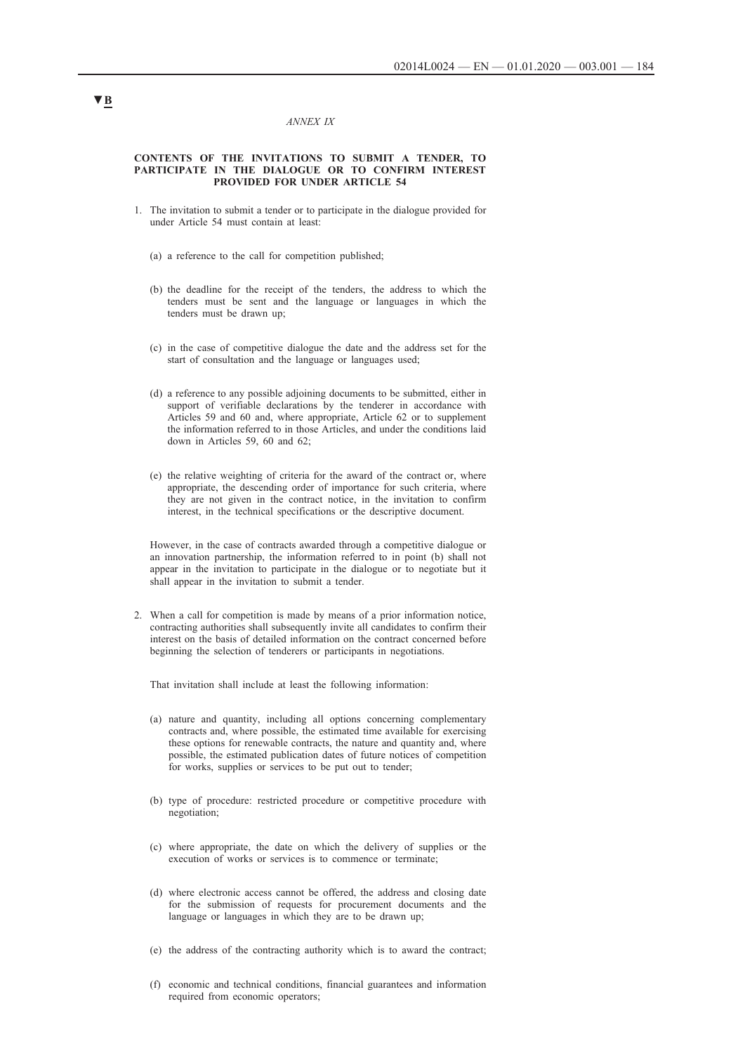#### *ANNEX IX*

#### **CONTENTS OF THE INVITATIONS TO SUBMIT A TENDER, TO PARTICIPATE IN THE DIALOGUE OR TO CONFIRM INTEREST PROVIDED FOR UNDER ARTICLE 54**

- 1. The invitation to submit a tender or to participate in the dialogue provided for under Article 54 must contain at least:
	- (a) a reference to the call for competition published;
	- (b) the deadline for the receipt of the tenders, the address to which the tenders must be sent and the language or languages in which the tenders must be drawn up;
	- (c) in the case of competitive dialogue the date and the address set for the start of consultation and the language or languages used;
	- (d) a reference to any possible adjoining documents to be submitted, either in support of verifiable declarations by the tenderer in accordance with Articles 59 and 60 and, where appropriate, Article 62 or to supplement the information referred to in those Articles, and under the conditions laid down in Articles 59, 60 and 62;
	- (e) the relative weighting of criteria for the award of the contract or, where appropriate, the descending order of importance for such criteria, where they are not given in the contract notice, in the invitation to confirm interest, in the technical specifications or the descriptive document.

However, in the case of contracts awarded through a competitive dialogue or an innovation partnership, the information referred to in point (b) shall not appear in the invitation to participate in the dialogue or to negotiate but it shall appear in the invitation to submit a tender.

2. When a call for competition is made by means of a prior information notice, contracting authorities shall subsequently invite all candidates to confirm their interest on the basis of detailed information on the contract concerned before beginning the selection of tenderers or participants in negotiations.

That invitation shall include at least the following information:

- (a) nature and quantity, including all options concerning complementary contracts and, where possible, the estimated time available for exercising these options for renewable contracts, the nature and quantity and, where possible, the estimated publication dates of future notices of competition for works, supplies or services to be put out to tender;
- (b) type of procedure: restricted procedure or competitive procedure with negotiation;
- (c) where appropriate, the date on which the delivery of supplies or the execution of works or services is to commence or terminate;
- (d) where electronic access cannot be offered, the address and closing date for the submission of requests for procurement documents and the language or languages in which they are to be drawn up;
- (e) the address of the contracting authority which is to award the contract;
- (f) economic and technical conditions, financial guarantees and information required from economic operators;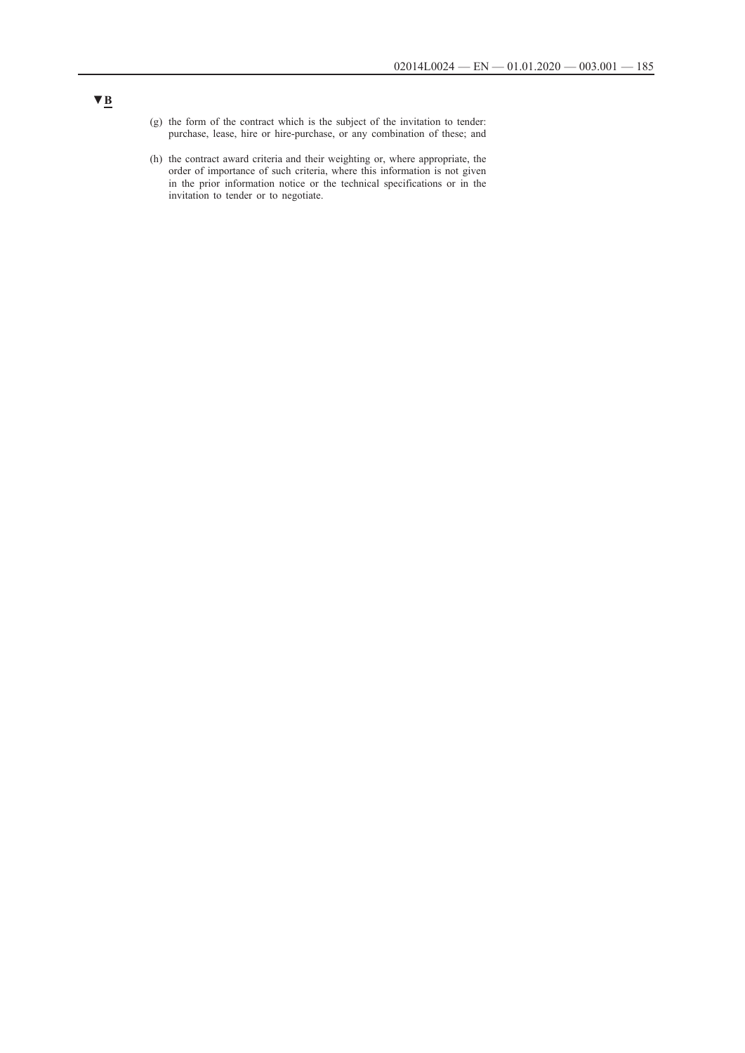- (g) the form of the contract which is the subject of the invitation to tender: purchase, lease, hire or hire-purchase, or any combination of these; and
- (h) the contract award criteria and their weighting or, where appropriate, the order of importance of such criteria, where this information is not given in the prior information notice or the technical specifications or in the invitation to tender or to negotiate.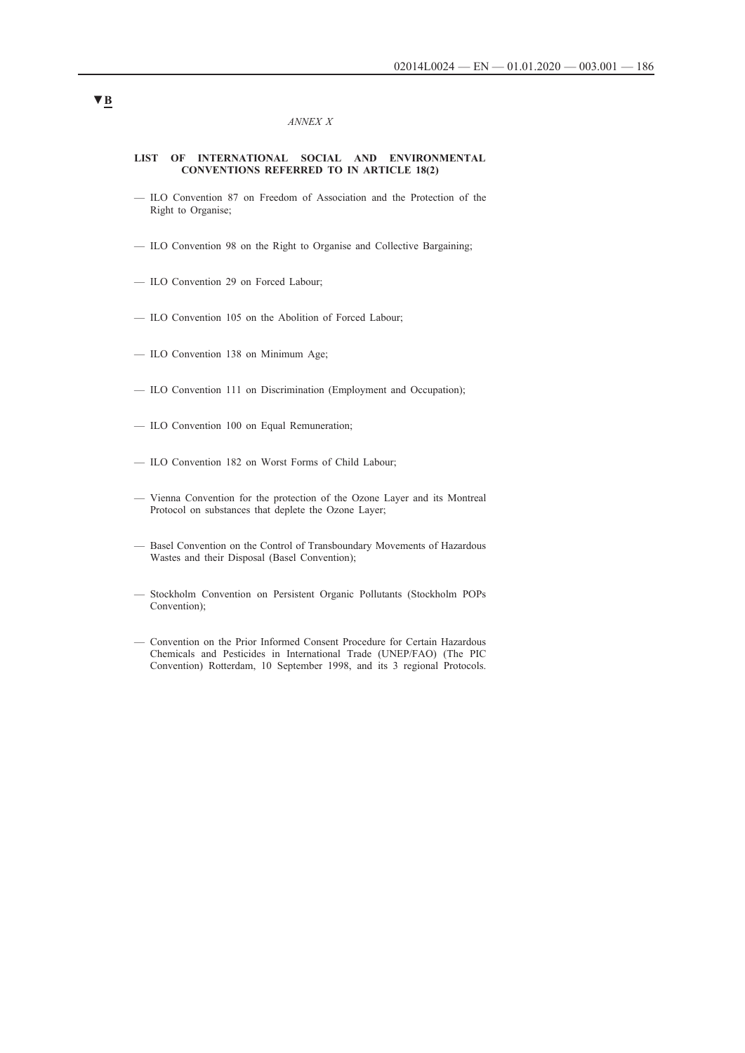#### *ANNEX X*

#### **LIST OF INTERNATIONAL SOCIAL AND ENVIRONMENTAL CONVENTIONS REFERRED TO IN ARTICLE 18(2)**

- ILO Convention 87 on Freedom of Association and the Protection of the Right to Organise;
- ILO Convention 98 on the Right to Organise and Collective Bargaining;
- ILO Convention 29 on Forced Labour;
- ILO Convention 105 on the Abolition of Forced Labour;
- ILO Convention 138 on Minimum Age;
- ILO Convention 111 on Discrimination (Employment and Occupation);
- ILO Convention 100 on Equal Remuneration;
- ILO Convention 182 on Worst Forms of Child Labour;
- Vienna Convention for the protection of the Ozone Layer and its Montreal Protocol on substances that deplete the Ozone Layer;
- Basel Convention on the Control of Transboundary Movements of Hazardous Wastes and their Disposal (Basel Convention);
- Stockholm Convention on Persistent Organic Pollutants (Stockholm POPs Convention);
- Convention on the Prior Informed Consent Procedure for Certain Hazardous Chemicals and Pesticides in International Trade (UNEP/FAO) (The PIC Convention) Rotterdam, 10 September 1998, and its 3 regional Protocols.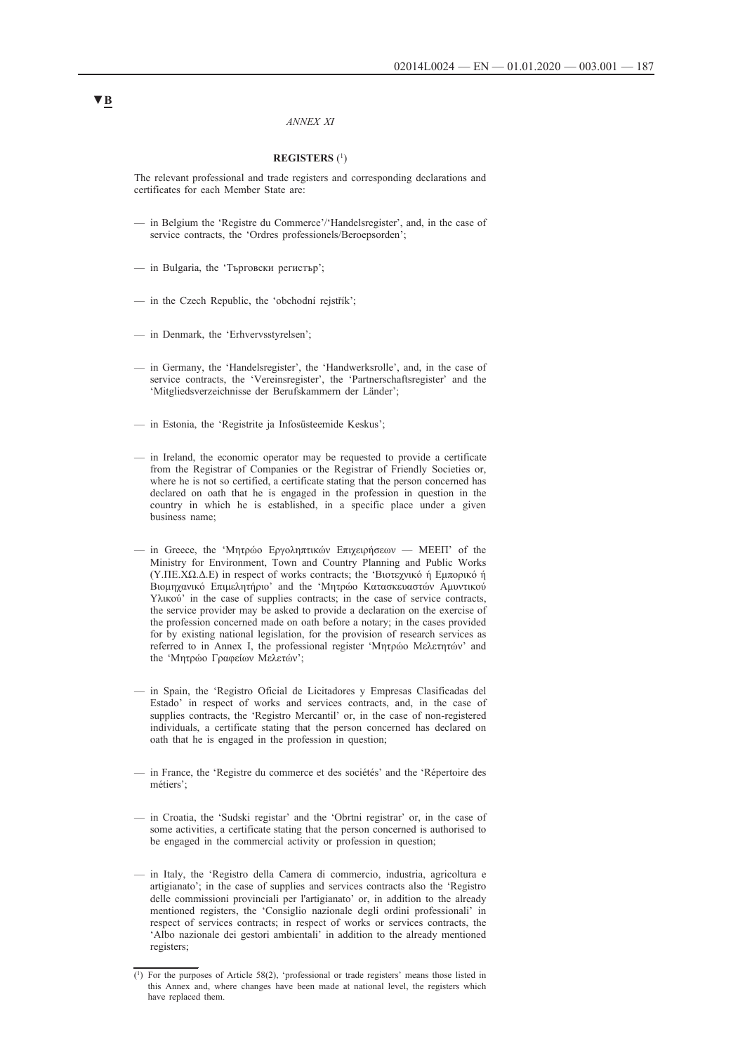#### *ANNEX XI*

#### **REGISTERS** (1)

The relevant professional and trade registers and corresponding declarations and certificates for each Member State are:

- in Belgium the 'Registre du Commerce'/'Handelsregister', and, in the case of service contracts, the 'Ordres professionels/Beroepsorden';
- in Bulgaria, the 'Търговски регистър';
- in the Czech Republic, the 'obchodní rejstřík';
- in Denmark, the 'Erhvervsstyrelsen';
- in Germany, the 'Handelsregister', the 'Handwerksrolle', and, in the case of service contracts, the 'Vereinsregister', the 'Partnerschaftsregister' and the 'Mitgliedsverzeichnisse der Berufskammern der Länder';
- in Estonia, the 'Registrite ja Infosüsteemide Keskus';
- in Ireland, the economic operator may be requested to provide a certificate from the Registrar of Companies or the Registrar of Friendly Societies or, where he is not so certified, a certificate stating that the person concerned has declared on oath that he is engaged in the profession in question in the country in which he is established, in a specific place under a given business name;
- $-$  in Greece, the 'Μητρώο Εργοληπτικών Επιχειρήσεων  $-$  MEEΠ' of the Ministry for Environment, Town and Country Planning and Public Works (Υ.ΠΕ.ΧΩ.Δ.Ε) in respect of works contracts; the 'Βιοτεχνικό ή Εμπορικό ή Βιομηχανικό Επιμελητήριο' and the 'Μητρώο Κατασκευαστών Αμυντικού Υλικού' in the case of supplies contracts; in the case of service contracts, the service provider may be asked to provide a declaration on the exercise of the profession concerned made on oath before a notary; in the cases provided for by existing national legislation, for the provision of research services as referred to in Annex I, the professional register 'Μητρώο Μελετητών' and the 'Μητρώο Γραφείων Μελετών';
- in Spain, the 'Registro Oficial de Licitadores y Empresas Clasificadas del Estado' in respect of works and services contracts, and, in the case of supplies contracts, the 'Registro Mercantil' or, in the case of non-registered individuals, a certificate stating that the person concerned has declared on oath that he is engaged in the profession in question;
- in France, the 'Registre du commerce et des sociétés' and the 'Répertoire des métiers'<sup>.</sup>
- in Croatia, the 'Sudski registar' and the 'Obrtni registrar' or, in the case of some activities, a certificate stating that the person concerned is authorised to be engaged in the commercial activity or profession in question;
- in Italy, the 'Registro della Camera di commercio, industria, agricoltura e artigianato'; in the case of supplies and services contracts also the 'Registro delle commissioni provinciali per l'artigianato' or, in addition to the already mentioned registers, the 'Consiglio nazionale degli ordini professionali' in respect of services contracts; in respect of works or services contracts, the 'Albo nazionale dei gestori ambientali' in addition to the already mentioned registers;

<sup>(1)</sup> For the purposes of Article 58(2), 'professional or trade registers' means those listed in this Annex and, where changes have been made at national level, the registers which have replaced them.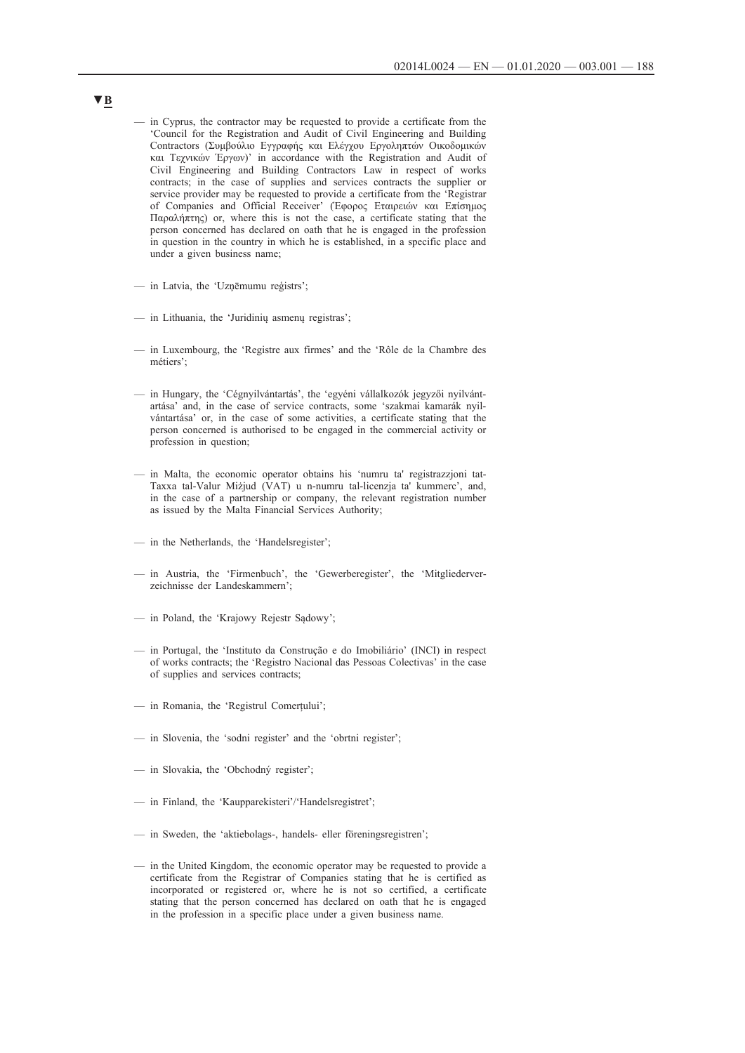- in Cyprus, the contractor may be requested to provide a certificate from the 'Council for the Registration and Audit of Civil Engineering and Building Contractors (Συμβούλιο Εγγραφής και Ελέγχου Εργοληπτών Οικοδομικών και Τεχνικών Έργων)' in accordance with the Registration and Audit of Civil Engineering and Building Contractors Law in respect of works contracts; in the case of supplies and services contracts the supplier or service provider may be requested to provide a certificate from the 'Registrar of Companies and Official Receiver' (Έφορος Εταιρειών και Επίσημος Παραλήπτης) or, where this is not the case, a certificate stating that the person concerned has declared on oath that he is engaged in the profession in question in the country in which he is established, in a specific place and under a given business name;
- in Latvia, the 'Uzņēmumu reģistrs';
- in Lithuania, the 'Juridinių asmenų registras';
- in Luxembourg, the 'Registre aux firmes' and the 'Rôle de la Chambre des métiers';
- in Hungary, the 'Cégnyilvántartás', the 'egyéni vállalkozók jegyzői nyilvántartása' and, in the case of service contracts, some 'szakmai kamarák nyilvántartása' or, in the case of some activities, a certificate stating that the person concerned is authorised to be engaged in the commercial activity or profession in question;
- in Malta, the economic operator obtains his 'numru ta' registrazzjoni tat-Taxxa tal-Valur Miżjud (VAT) u n-numru tal-licenzja ta' kummerc', and, in the case of a partnership or company, the relevant registration number as issued by the Malta Financial Services Authority;
- in the Netherlands, the 'Handelsregister';
- in Austria, the 'Firmenbuch', the 'Gewerberegister', the 'Mitgliederverzeichnisse der Landeskammern';
- in Poland, the 'Krajowy Rejestr Sądowy';
- in Portugal, the 'Instituto da Construção e do Imobiliário' (INCI) in respect of works contracts; the 'Registro Nacional das Pessoas Colectivas' in the case of supplies and services contracts;
- in Romania, the 'Registrul Comerțului';
- in Slovenia, the 'sodni register' and the 'obrtni register';
- in Slovakia, the 'Obchodný register';
- in Finland, the 'Kaupparekisteri'/'Handelsregistret';
- in Sweden, the 'aktiebolags-, handels- eller föreningsregistren';
- in the United Kingdom, the economic operator may be requested to provide a certificate from the Registrar of Companies stating that he is certified as incorporated or registered or, where he is not so certified, a certificate stating that the person concerned has declared on oath that he is engaged in the profession in a specific place under a given business name.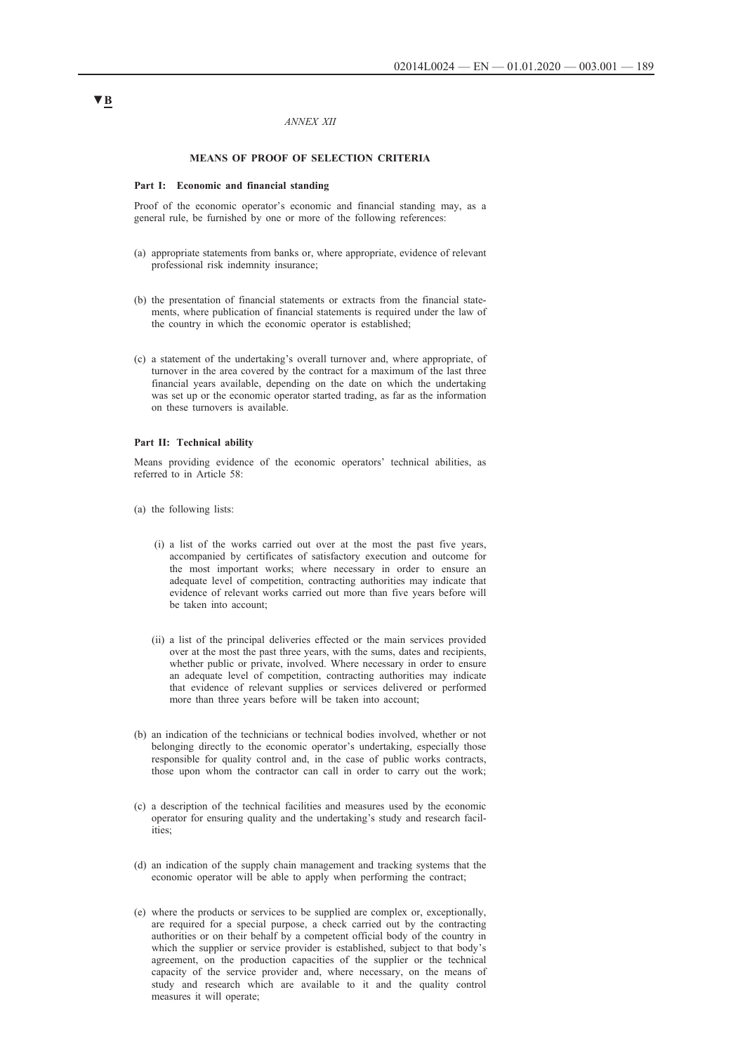#### *ANNEX XII*

#### **MEANS OF PROOF OF SELECTION CRITERIA**

#### **Part I: Economic and financial standing**

Proof of the economic operator's economic and financial standing may, as a general rule, be furnished by one or more of the following references:

- (a) appropriate statements from banks or, where appropriate, evidence of relevant professional risk indemnity insurance;
- (b) the presentation of financial statements or extracts from the financial statements, where publication of financial statements is required under the law of the country in which the economic operator is established;
- (c) a statement of the undertaking's overall turnover and, where appropriate, of turnover in the area covered by the contract for a maximum of the last three financial years available, depending on the date on which the undertaking was set up or the economic operator started trading, as far as the information on these turnovers is available.

#### **Part II: Technical ability**

Means providing evidence of the economic operators' technical abilities, as referred to in Article 58:

- (a) the following lists:
	- (i) a list of the works carried out over at the most the past five years, accompanied by certificates of satisfactory execution and outcome for the most important works; where necessary in order to ensure an adequate level of competition, contracting authorities may indicate that evidence of relevant works carried out more than five years before will be taken into account;
	- (ii) a list of the principal deliveries effected or the main services provided over at the most the past three years, with the sums, dates and recipients, whether public or private, involved. Where necessary in order to ensure an adequate level of competition, contracting authorities may indicate that evidence of relevant supplies or services delivered or performed more than three years before will be taken into account;
- (b) an indication of the technicians or technical bodies involved, whether or not belonging directly to the economic operator's undertaking, especially those responsible for quality control and, in the case of public works contracts, those upon whom the contractor can call in order to carry out the work;
- (c) a description of the technical facilities and measures used by the economic operator for ensuring quality and the undertaking's study and research facilities;
- (d) an indication of the supply chain management and tracking systems that the economic operator will be able to apply when performing the contract;
- (e) where the products or services to be supplied are complex or, exceptionally, are required for a special purpose, a check carried out by the contracting authorities or on their behalf by a competent official body of the country in which the supplier or service provider is established, subject to that body's agreement, on the production capacities of the supplier or the technical capacity of the service provider and, where necessary, on the means of study and research which are available to it and the quality control measures it will operate;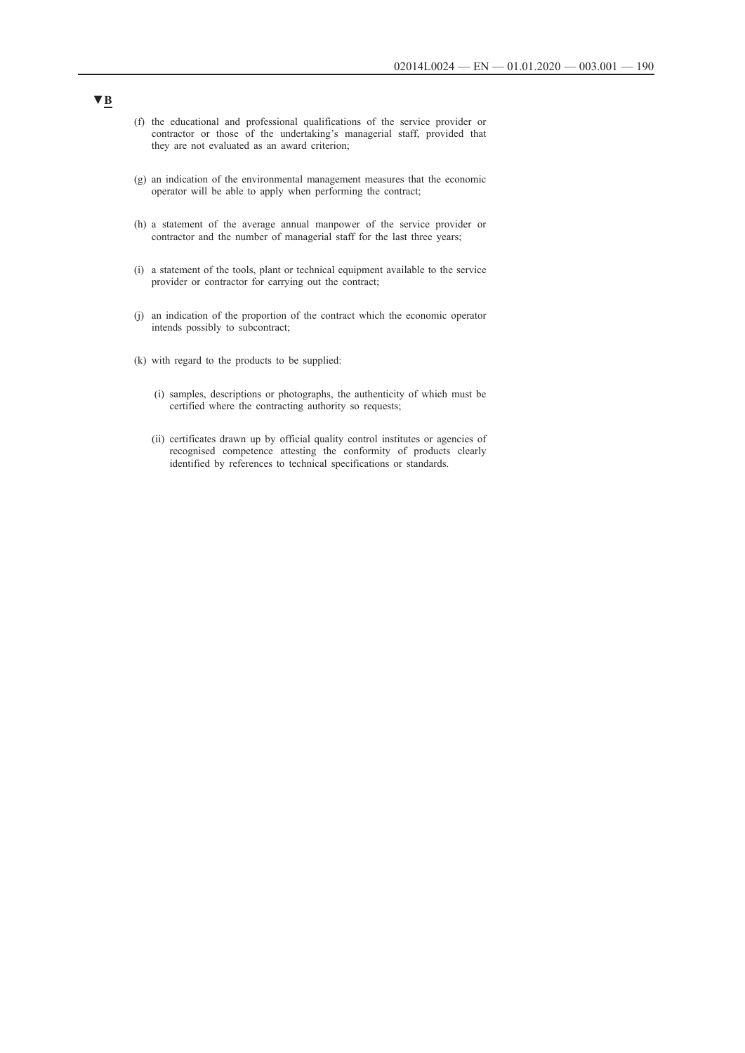- (f) the educational and professional qualifications of the service provider or contractor or those of the undertaking's managerial staff, provided that they are not evaluated as an award criterion;
- (g) an indication of the environmental management measures that the economic operator will be able to apply when performing the contract;
- (h) a statement of the average annual manpower of the service provider or contractor and the number of managerial staff for the last three years;
- (i) a statement of the tools, plant or technical equipment available to the service provider or contractor for carrying out the contract;
- (j) an indication of the proportion of the contract which the economic operator intends possibly to subcontract;
- (k) with regard to the products to be supplied:
	- (i) samples, descriptions or photographs, the authenticity of which must be certified where the contracting authority so requests;
	- (ii) certificates drawn up by official quality control institutes or agencies of recognised competence attesting the conformity of products clearly identified by references to technical specifications or standards.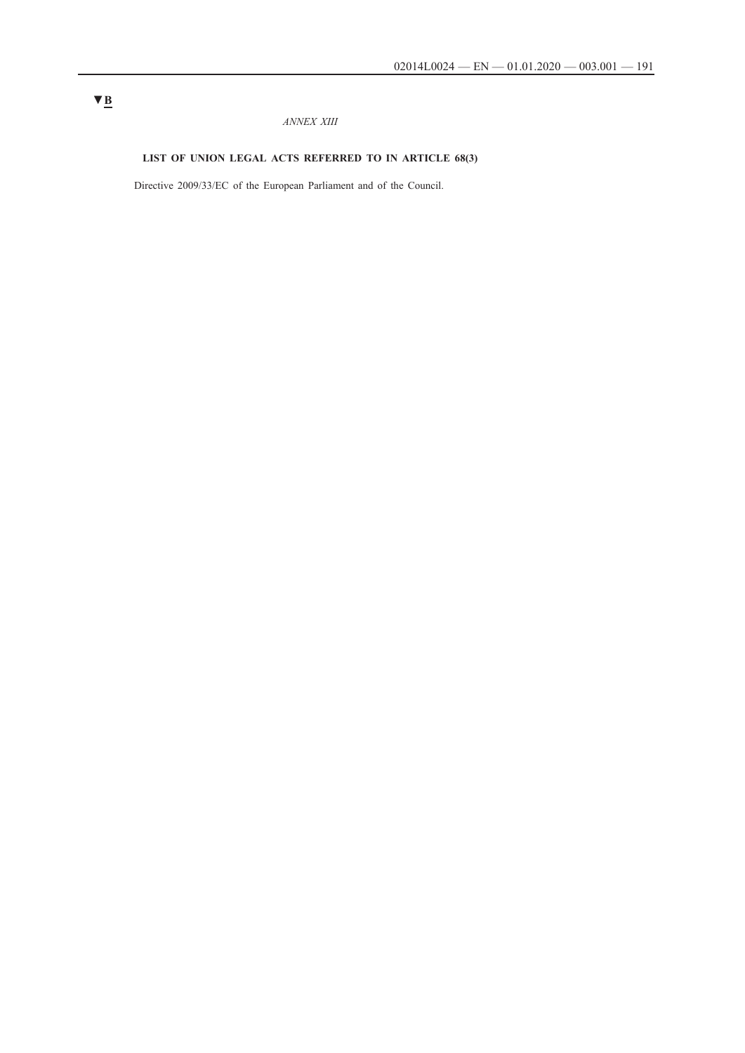### *ANNEX XIII*

## **LIST OF UNION LEGAL ACTS REFERRED TO IN ARTICLE 68(3)**

Directive 2009/33/EC of the European Parliament and of the Council.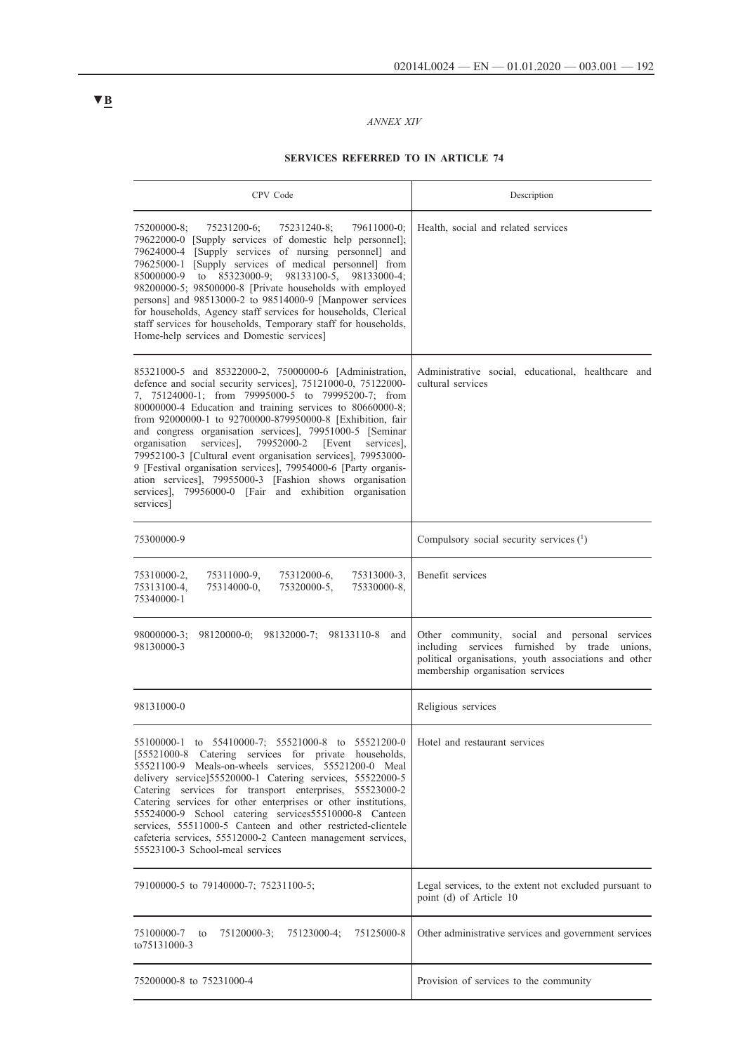## *ANNEX XIV*

# **SERVICES REFERRED TO IN ARTICLE 74**

| CPV Code                                                                                                                                                                                                                                                                                                                                                                                                                                                                                                                                                                                                                                                                                                   | Description                                                                                                                                                                                       |
|------------------------------------------------------------------------------------------------------------------------------------------------------------------------------------------------------------------------------------------------------------------------------------------------------------------------------------------------------------------------------------------------------------------------------------------------------------------------------------------------------------------------------------------------------------------------------------------------------------------------------------------------------------------------------------------------------------|---------------------------------------------------------------------------------------------------------------------------------------------------------------------------------------------------|
| $75200000-8;$<br>75231200-6;<br>75231240-8;<br>$79611000-0;$<br>79622000-0 [Supply services of domestic help personnel];<br>79624000-4 [Supply services of nursing personnel] and<br>79625000-1 [Supply services of medical personnel] from<br>85000000-9 to 85323000-9; 98133100-5, 98133000-4;<br>98200000-5; 98500000-8 [Private households with employed<br>persons] and 98513000-2 to 98514000-9 [Manpower services<br>for households, Agency staff services for households, Clerical<br>staff services for households, Temporary staff for households,<br>Home-help services and Domestic services]                                                                                                  | Health, social and related services                                                                                                                                                               |
| 85321000-5 and 85322000-2, 75000000-6 [Administration,<br>defence and social security services], 75121000-0, 75122000-<br>7, 75124000-1; from 79995000-5 to 79995200-7; from<br>80000000-4 Education and training services to 80660000-8;<br>from 92000000-1 to 92700000-879950000-8 [Exhibition, fair<br>and congress organisation services], 79951000-5 [Seminar<br>organisation<br>services],<br>79952000-2<br>Event<br>services].<br>79952100-3 [Cultural event organisation services], 79953000-<br>9 [Festival organisation services], 79954000-6 [Party organis-<br>ation services], 79955000-3 [Fashion shows organisation<br>services], 79956000-0 [Fair and exhibition organisation<br>services] | Administrative social, educational, healthcare and<br>cultural services                                                                                                                           |
| 75300000-9                                                                                                                                                                                                                                                                                                                                                                                                                                                                                                                                                                                                                                                                                                 | Compulsory social security services (1)                                                                                                                                                           |
| 75311000-9,<br>75313000-3,<br>75310000-2,<br>75312000-6,<br>75314000-0,<br>75330000-8,<br>75313100-4,<br>75320000-5,<br>75340000-1                                                                                                                                                                                                                                                                                                                                                                                                                                                                                                                                                                         | Benefit services                                                                                                                                                                                  |
| 98000000-3;<br>98120000-0; 98132000-7; 98133110-8<br>and<br>98130000-3                                                                                                                                                                                                                                                                                                                                                                                                                                                                                                                                                                                                                                     | Other community, social and personal services<br>including<br>services furnished by trade<br>unions.<br>political organisations, youth associations and other<br>membership organisation services |
| 98131000-0                                                                                                                                                                                                                                                                                                                                                                                                                                                                                                                                                                                                                                                                                                 | Religious services                                                                                                                                                                                |
| 55100000-1 to 55410000-7; 55521000-8 to 55521200-0<br>[55521000-8 Catering services for private households,<br>55521100-9 Meals-on-wheels services, 55521200-0 Meal<br>delivery service]55520000-1 Catering services, 55522000-5<br>Catering services for transport enterprises, 55523000-2<br>Catering services for other enterprises or other institutions,<br>55524000-9 School catering services55510000-8 Canteen<br>services, 55511000-5 Canteen and other restricted-clientele<br>cafeteria services, 55512000-2 Canteen management services,<br>55523100-3 School-meal services                                                                                                                    | Hotel and restaurant services                                                                                                                                                                     |
| 79100000-5 to 79140000-7; 75231100-5;                                                                                                                                                                                                                                                                                                                                                                                                                                                                                                                                                                                                                                                                      | Legal services, to the extent not excluded pursuant to<br>point (d) of Article 10                                                                                                                 |
| 75100000-7<br>$75120000-3$ ;<br>75123000-4;<br>75125000-8<br>to<br>to75131000-3                                                                                                                                                                                                                                                                                                                                                                                                                                                                                                                                                                                                                            | Other administrative services and government services                                                                                                                                             |
| 75200000-8 to 75231000-4                                                                                                                                                                                                                                                                                                                                                                                                                                                                                                                                                                                                                                                                                   | Provision of services to the community                                                                                                                                                            |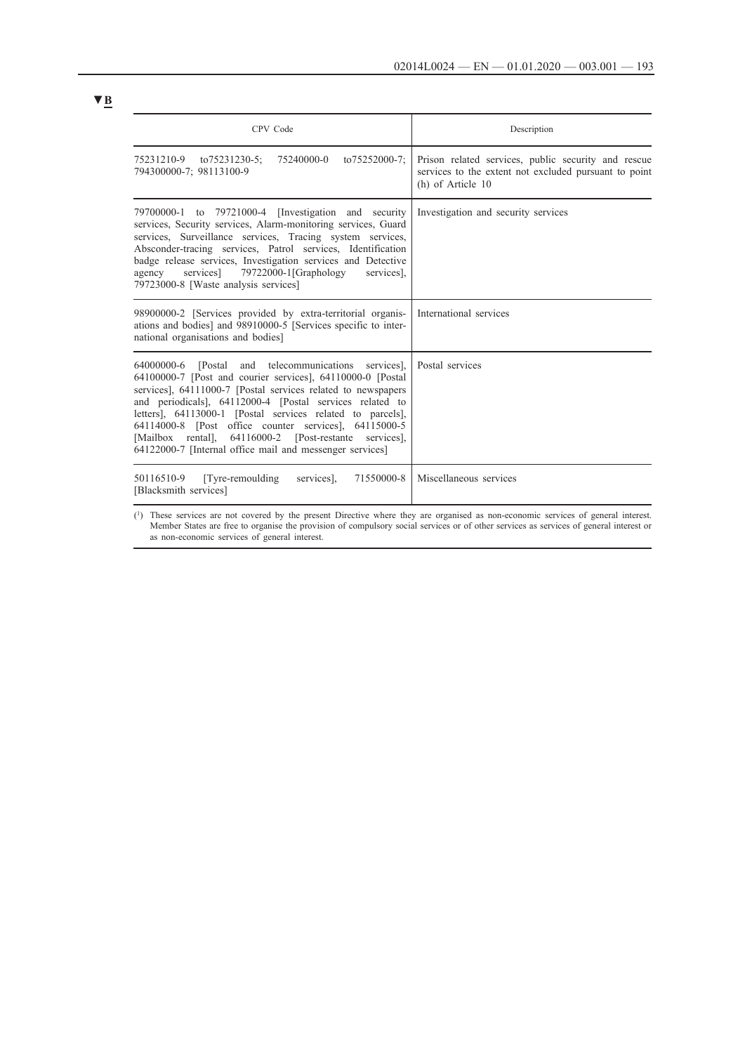| CPV Code                                                                                                                                                                                                                                                                                                                                                                                                                                                                                        | Description                                                                                                                       |
|-------------------------------------------------------------------------------------------------------------------------------------------------------------------------------------------------------------------------------------------------------------------------------------------------------------------------------------------------------------------------------------------------------------------------------------------------------------------------------------------------|-----------------------------------------------------------------------------------------------------------------------------------|
| 75231210-9 to 75231230-5; 75240000-0<br>$\frac{1075252000-7}{100}$<br>794300000-7; 98113100-9                                                                                                                                                                                                                                                                                                                                                                                                   | Prison related services, public security and rescue<br>services to the extent not excluded pursuant to point<br>(h) of Article 10 |
| 79700000-1 to 79721000-4 [Investigation and security<br>services, Security services, Alarm-monitoring services, Guard<br>services, Surveillance services, Tracing system services,<br>Absconder-tracing services, Patrol services, Identification<br>badge release services, Investigation services and Detective<br>79722000-1[Graphology<br>services]<br>services].<br>agency<br>79723000-8 [Waste analysis services]                                                                         | Investigation and security services                                                                                               |
| 98900000-2 [Services provided by extra-territorial organis-<br>ations and bodies] and 98910000-5 [Services specific to inter-<br>national organisations and bodies]                                                                                                                                                                                                                                                                                                                             | International services                                                                                                            |
| 64000000-6 [Postal and telecommunications services],<br>64100000-7 [Post and courier services], 64110000-0 [Postal<br>services], 64111000-7 [Postal services related to newspapers<br>and periodicals], 64112000-4 [Postal services related to<br>letters], 64113000-1 [Postal services related to parcels],<br>64114000-8 [Post office counter services], 64115000-5<br>[Mailbox rental], 64116000-2 [Post-restante]<br>services].<br>64122000-7 [Internal office mail and messenger services] | Postal services                                                                                                                   |
| 71550000-8<br>50116510-9<br>[Tyre-remoulding]<br>services.<br>[Blacksmith services]                                                                                                                                                                                                                                                                                                                                                                                                             | Miscellaneous services                                                                                                            |

(1) These services are not covered by the present Directive where they are organised as non-economic services of general interest. Member States are free to organise the provision of compulsory social services or of other services as services of general interest or as non-economic services of general interest.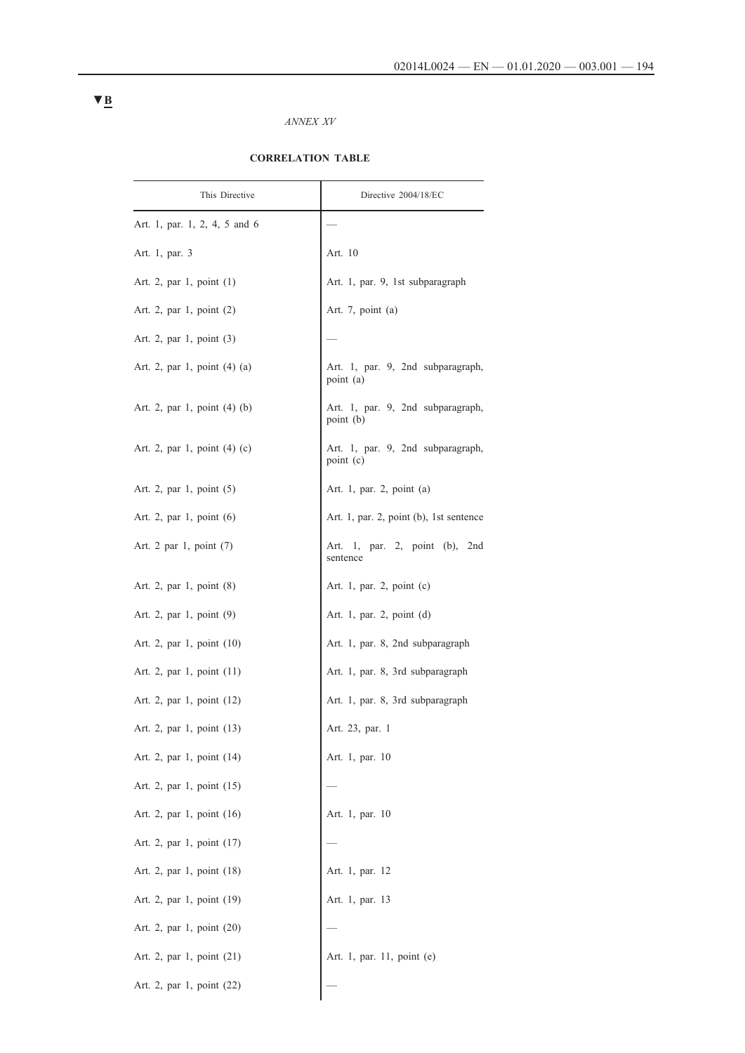## *ANNEX XV*

## **CORRELATION TABLE**

| This Directive                | Directive 2004/18/EC                                   |
|-------------------------------|--------------------------------------------------------|
| Art. 1, par. 1, 2, 4, 5 and 6 |                                                        |
| Art. 1, par. 3                | Art. 10                                                |
| Art. 2, par 1, point (1)      | Art. 1, par. 9, 1st subparagraph                       |
| Art. 2, par 1, point (2)      | Art. 7, point (a)                                      |
| Art. 2, par 1, point (3)      |                                                        |
| Art. 2, par 1, point (4) (a)  | Art. 1, par. 9, 2nd subparagraph,<br>point (a)         |
| Art. 2, par 1, point (4) (b)  | Art. 1, par. 9, 2nd subparagraph,<br>point (b)         |
| Art. 2, par 1, point (4) (c)  | Art. 1, par. 9, 2nd subparagraph,<br>point (c)         |
| Art. 2, par 1, point (5)      | Art. 1, par. 2, point (a)                              |
| Art. 2, par 1, point (6)      | Art. 1, par. 2, point (b), 1st sentence                |
| Art. 2 par 1, point (7)       | 2nd<br>Art.<br>1, par. 2, point<br>$(b)$ ,<br>sentence |
| Art. 2, par 1, point (8)      | Art. 1, par. 2, point (c)                              |
| Art. 2, par 1, point (9)      | Art. 1, par. 2, point $(d)$                            |
| Art. 2, par 1, point (10)     | Art. 1, par. 8, 2nd subparagraph                       |
| Art. 2, par 1, point (11)     | Art. 1, par. 8, 3rd subparagraph                       |
| Art. 2, par 1, point (12)     | Art. 1, par. 8, 3rd subparagraph                       |
| Art. 2, par 1, point (13)     | Art. 23, par. 1                                        |
| Art. 2, par 1, point (14)     | Art. 1, par. 10                                        |
| Art. 2, par 1, point (15)     |                                                        |
| Art. 2, par 1, point (16)     | Art. 1, par. 10                                        |
| Art. 2, par 1, point (17)     |                                                        |
| Art. 2, par 1, point (18)     | Art. 1, par. 12                                        |
| Art. 2, par 1, point (19)     | Art. 1, par. 13                                        |
| Art. 2, par 1, point (20)     |                                                        |
| Art. 2, par 1, point (21)     | Art. 1, par. 11, point (e)                             |
| Art. 2, par 1, point (22)     |                                                        |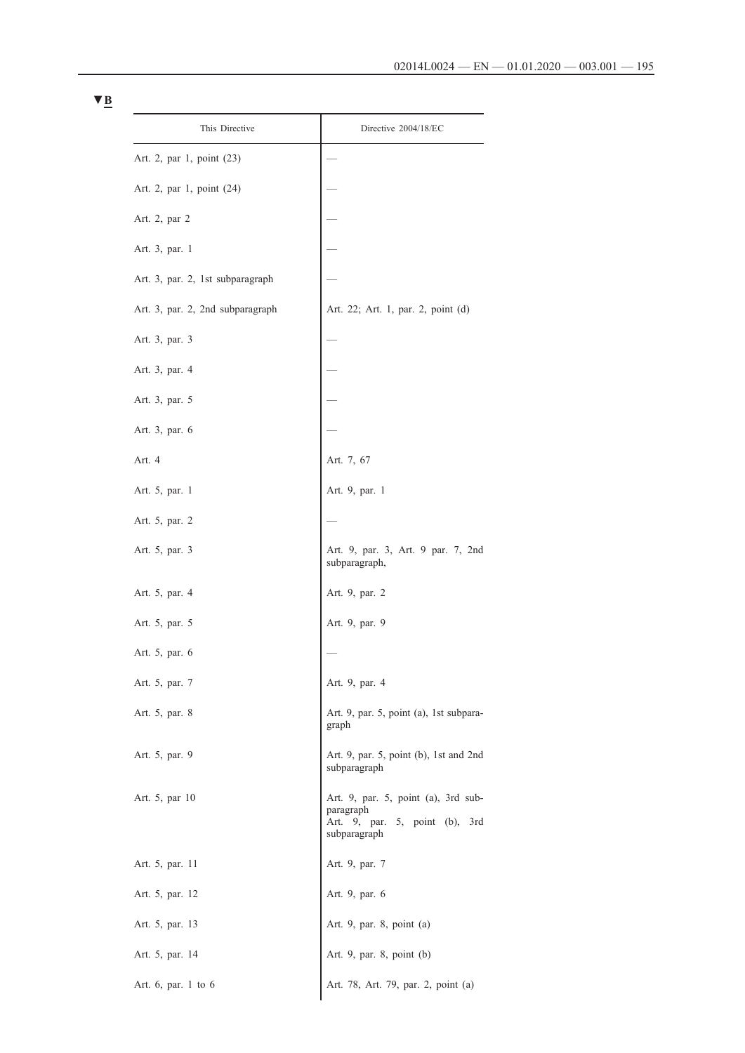| This Directive                   | Directive 2004/18/EC                                                                               |
|----------------------------------|----------------------------------------------------------------------------------------------------|
| Art. 2, par 1, point (23)        |                                                                                                    |
| Art. 2, par 1, point (24)        |                                                                                                    |
| Art. 2, par 2                    |                                                                                                    |
| Art. 3, par. 1                   |                                                                                                    |
| Art. 3, par. 2, 1st subparagraph |                                                                                                    |
| Art. 3, par. 2, 2nd subparagraph | Art. 22; Art. 1, par. 2, point (d)                                                                 |
| Art. 3, par. 3                   |                                                                                                    |
| Art. 3, par. 4                   |                                                                                                    |
| Art. 3, par. 5                   |                                                                                                    |
| Art. 3, par. 6                   |                                                                                                    |
| Art. 4                           | Art. 7, 67                                                                                         |
| Art. 5, par. 1                   | Art. 9, par. 1                                                                                     |
| Art. 5, par. 2                   |                                                                                                    |
| Art. 5, par. 3                   | Art. 9, par. 3, Art. 9 par. 7, 2nd<br>subparagraph,                                                |
| Art. 5, par. 4                   | Art. 9, par. 2                                                                                     |
| Art. 5, par. 5                   | Art. 9, par. 9                                                                                     |
| Art. 5, par. 6                   |                                                                                                    |
| Art. 5, par. 7                   | Art. 9, par. 4                                                                                     |
| Art. 5, par. 8                   | Art. 9, par. 5, point (a), 1st subpara-<br>graph                                                   |
| Art. 5, par. 9                   | Art. 9, par. 5, point $(b)$ , 1st and 2nd<br>subparagraph                                          |
| Art. 5, par 10                   | Art. 9, par. 5, point (a), 3rd sub-<br>paragraph<br>Art. 9, par. 5, point (b), 3rd<br>subparagraph |
| Art. 5, par. 11                  | Art. 9, par. 7                                                                                     |
| Art. 5, par. 12                  | Art. 9, par. 6                                                                                     |
| Art. 5, par. 13                  | Art. 9, par. 8, point (a)                                                                          |
| Art. 5, par. 14                  | Art. 9, par. 8, point (b)                                                                          |
| Art. 6, par. 1 to 6              | Art. 78, Art. 79, par. 2, point (a)                                                                |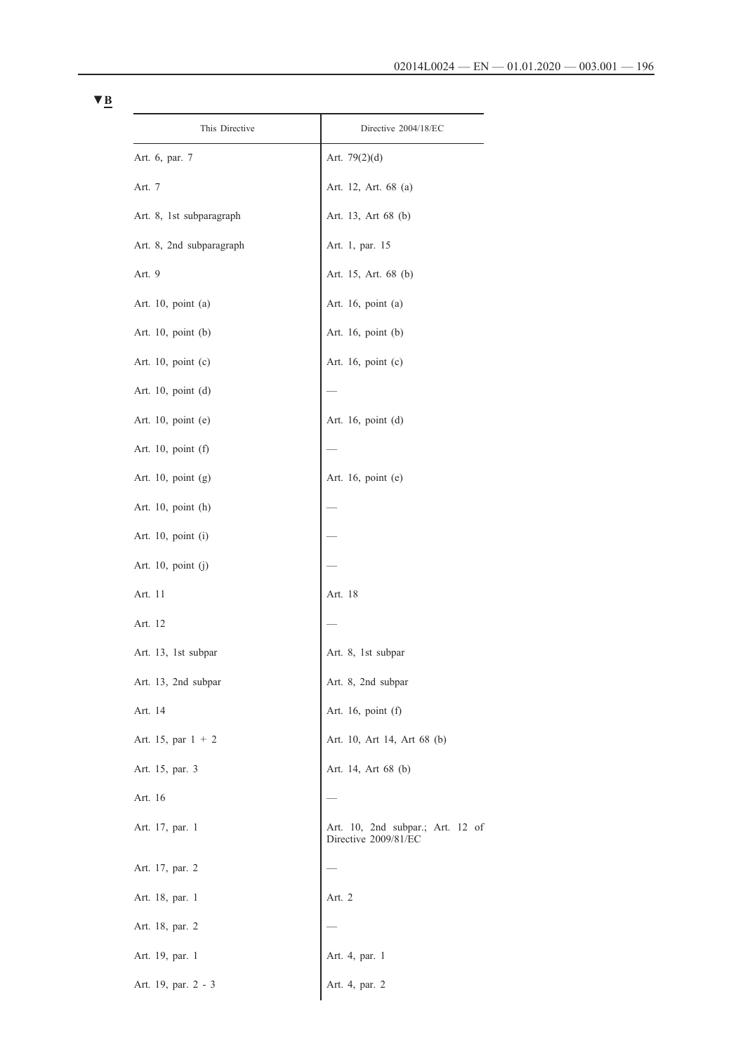| This Directive           | Directive 2004/18/EC                                     |
|--------------------------|----------------------------------------------------------|
| Art. 6, par. 7           | Art. $79(2)(d)$                                          |
| Art. 7                   | Art. 12, Art. 68 (a)                                     |
| Art. 8, 1st subparagraph | Art. 13, Art 68 (b)                                      |
| Art. 8, 2nd subparagraph | Art. 1, par. 15                                          |
| Art. 9                   | Art. 15, Art. 68 (b)                                     |
| Art. $10$ , point $(a)$  | Art. $16$ , point $(a)$                                  |
| Art. $10$ , point $(b)$  | Art. $16$ , point $(b)$                                  |
| Art. 10, point $(c)$     | Art. $16$ , point $(c)$                                  |
| Art. 10, point (d)       |                                                          |
| Art. $10$ , point (e)    | Art. $16$ , point $(d)$                                  |
| Art. 10, point $(f)$     |                                                          |
| Art. $10$ , point $(g)$  | Art. 16, point (e)                                       |
| Art. $10$ , point $(h)$  |                                                          |
| Art. 10, point (i)       |                                                          |
| Art. $10$ , point $(j)$  |                                                          |
| Art. 11                  | Art. 18                                                  |
| Art. 12                  |                                                          |
| Art. 13, 1st subpar      | Art. 8, 1st subpar                                       |
| Art. 13, 2nd subpar      | Art. 8, 2nd subpar                                       |
| Art. 14                  | Art. 16, point (f)                                       |
| Art. 15, par $1 + 2$     | Art. 10, Art 14, Art 68 (b)                              |
| Art. 15, par. 3          | Art. 14, Art 68 (b)                                      |
| Art. 16                  |                                                          |
| Art. 17, par. 1          | Art. 10, 2nd subpar.; Art. 12 of<br>Directive 2009/81/EC |
| Art. 17, par. 2          |                                                          |
| Art. 18, par. 1          | Art. 2                                                   |
| Art. 18, par. 2          |                                                          |
| Art. 19, par. 1          | Art. 4, par. 1                                           |
| Art. 19, par. 2 - 3      | Art. 4, par. 2                                           |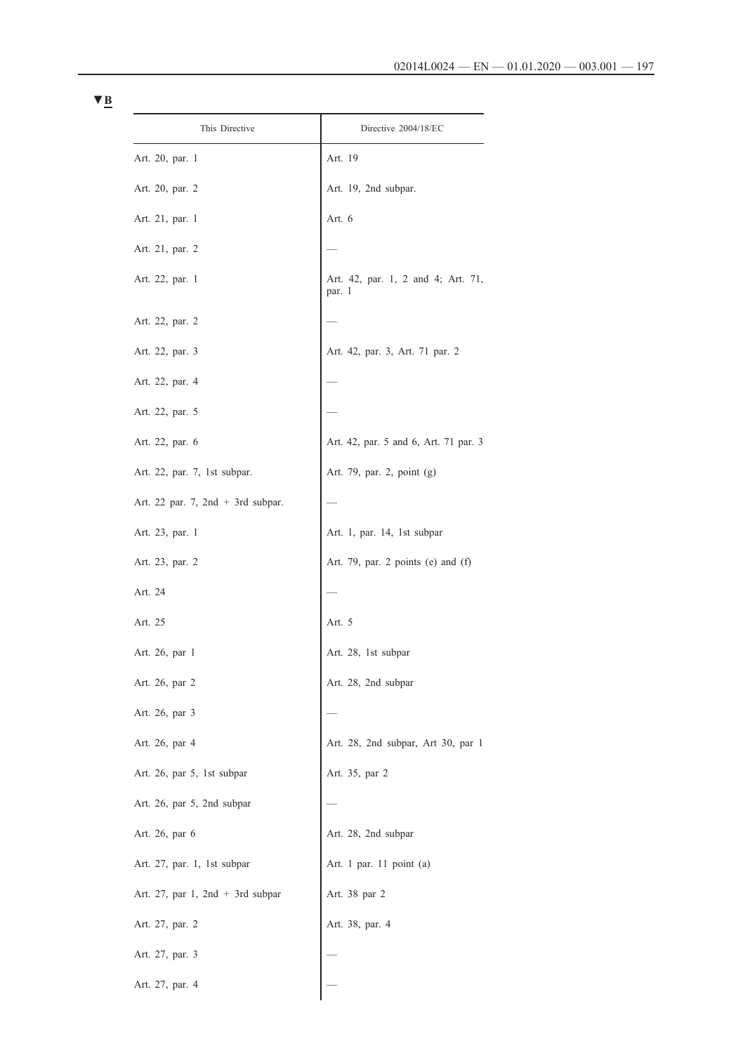| This Directive                        | Directive 2004/18/EC                         |
|---------------------------------------|----------------------------------------------|
| Art. 20, par. 1                       | Art. 19                                      |
| Art. 20, par. 2                       | Art. 19, 2nd subpar.                         |
| Art. 21, par. 1                       | Art. 6                                       |
| Art. 21, par. 2                       |                                              |
| Art. 22, par. 1                       | Art. 42, par. 1, 2 and 4; Art. 71,<br>par. 1 |
| Art. 22, par. 2                       |                                              |
| Art. 22, par. 3                       | Art. 42, par. 3, Art. 71 par. 2              |
| Art. 22, par. 4                       |                                              |
| Art. 22, par. 5                       |                                              |
| Art. 22, par. 6                       | Art. 42, par. 5 and 6, Art. 71 par. 3        |
| Art. 22, par. 7, 1st subpar.          | Art. 79, par. 2, point (g)                   |
| Art. 22 par. 7, 2nd $+$ 3rd subpar.   |                                              |
| Art. 23, par. 1                       | Art. 1, par. 14, 1st subpar                  |
| Art. 23, par. 2                       | Art. 79, par. 2 points (e) and $(f)$         |
| Art. 24                               |                                              |
| Art. 25                               | Art. 5                                       |
| Art. 26, par 1                        | Art. 28, 1st subpar                          |
| Art. 26, par 2                        | Art. 28, 2nd subpar                          |
| Art. 26, par 3                        |                                              |
| Art. 26, par 4                        | Art. 28, 2nd subpar, Art 30, par 1           |
| Art. 26, par 5, 1st subpar            | Art. 35, par 2                               |
| Art. 26, par 5, 2nd subpar            |                                              |
| Art. 26, par 6                        | Art. 28, 2nd subpar                          |
| Art. 27, par. 1, 1st subpar           | Art. 1 par. 11 point (a)                     |
| Art. 27, par $1$ , 2nd $+$ 3rd subpar | Art. 38 par 2                                |
| Art. 27, par. 2                       | Art. 38, par. 4                              |
| Art. 27, par. 3                       |                                              |
| Art. 27, par. 4                       |                                              |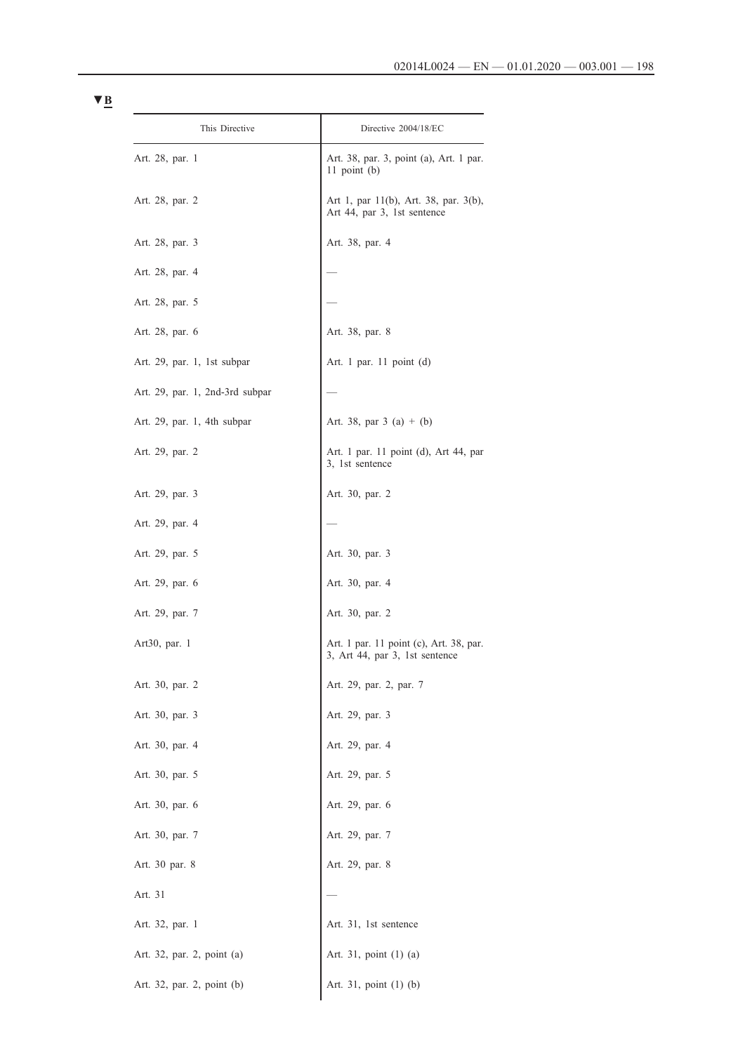| This Directive                  | Directive 2004/18/EC                                                      |
|---------------------------------|---------------------------------------------------------------------------|
| Art. 28, par. 1                 | Art. 38, par. 3, point (a), Art. 1 par.<br>11 point (b)                   |
| Art. 28, par. 2                 | Art 1, par 11(b), Art. 38, par. 3(b),<br>Art 44, par 3, 1st sentence      |
| Art. 28, par. 3                 | Art. 38, par. 4                                                           |
| Art. 28, par. 4                 |                                                                           |
| Art. 28, par. 5                 |                                                                           |
| Art. 28, par. 6                 | Art. 38, par. 8                                                           |
| Art. 29, par. 1, 1st subpar     | Art. 1 par. 11 point (d)                                                  |
| Art. 29, par. 1, 2nd-3rd subpar |                                                                           |
| Art. 29, par. 1, 4th subpar     | Art. 38, par 3 (a) + (b)                                                  |
| Art. 29, par. 2                 | Art. 1 par. 11 point (d), Art 44, par<br>3, 1st sentence                  |
| Art. 29, par. 3                 | Art. 30, par. 2                                                           |
| Art. 29, par. 4                 |                                                                           |
| Art. 29, par. 5                 | Art. 30, par. 3                                                           |
| Art. 29, par. 6                 | Art. 30, par. 4                                                           |
| Art. 29, par. 7                 | Art. 30, par. 2                                                           |
| Art30, par. 1                   | Art. 1 par. 11 point (c), Art. 38, par.<br>3, Art 44, par 3, 1st sentence |
| Art. 30, par. 2                 | Art. 29, par. 2, par. 7                                                   |
| Art. 30, par. 3                 | Art. 29, par. 3                                                           |
| Art. 30, par. 4                 | Art. 29, par. 4                                                           |
| Art. 30, par. 5                 | Art. 29, par. 5                                                           |
| Art. 30, par. 6                 | Art. 29, par. 6                                                           |
| Art. 30, par. 7                 | Art. 29, par. 7                                                           |
| Art. 30 par. 8                  | Art. 29, par. 8                                                           |
| Art. 31                         |                                                                           |
| Art. 32, par. 1                 | Art. 31, 1st sentence                                                     |
| Art. 32, par. 2, point (a)      | Art. 31, point (1) (a)<br>Art. 31, point (1) (b)                          |
| Art. 32, par. 2, point (b)      |                                                                           |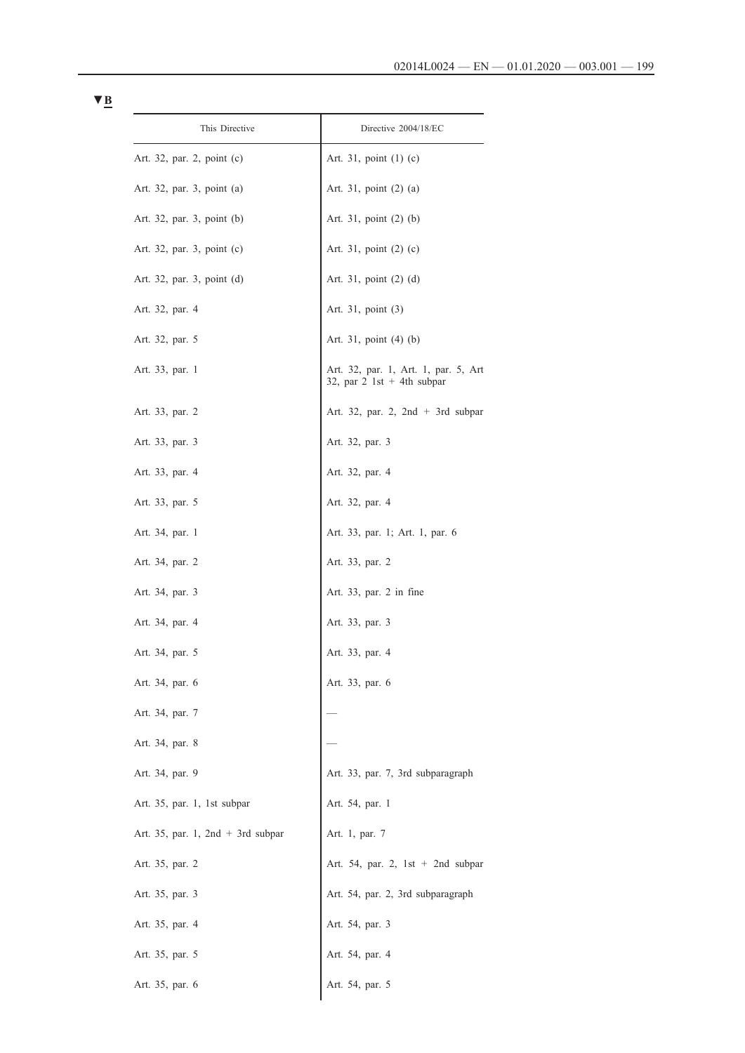| This Directive                      | Directive 2004/18/EC                                                  |
|-------------------------------------|-----------------------------------------------------------------------|
| Art. 32, par. 2, point (c)          | Art. 31, point $(1)$ (c)                                              |
| Art. 32, par. 3, point (a)          | Art. 31, point (2) (a)                                                |
| Art. 32, par. 3, point (b)          | Art. 31, point $(2)$ (b)                                              |
| Art. 32, par. 3, point (c)          | Art. 31, point $(2)$ $(c)$                                            |
| Art. 32, par. 3, point (d)          | Art. 31, point (2) (d)                                                |
| Art. 32, par. 4                     | Art. 31, point (3)                                                    |
| Art. 32, par. 5                     | Art. 31, point (4) (b)                                                |
| Art. 33, par. 1                     | Art. 32, par. 1, Art. 1, par. 5, Art<br>$32$ , par 2 1st + 4th subpar |
| Art. 33, par. 2                     | Art. 32, par. 2, $2nd + 3rd$ subpar                                   |
| Art. 33, par. 3                     | Art. 32, par. 3                                                       |
| Art. 33, par. 4                     | Art. 32, par. 4                                                       |
| Art. 33, par. 5                     | Art. 32, par. 4                                                       |
| Art. 34, par. 1                     | Art. 33, par. 1; Art. 1, par. 6                                       |
| Art. 34, par. 2                     | Art. 33, par. 2                                                       |
| Art. 34, par. 3                     | Art. 33, par. 2 in fine                                               |
| Art. 34, par. 4                     | Art. 33, par. 3                                                       |
| Art. 34, par. 5                     | Art. 33, par. 4                                                       |
| Art. 34, par. 6                     | Art. 33, par. 6                                                       |
| Art. 34, par. 7                     |                                                                       |
| Art. 34, par. 8                     |                                                                       |
| Art. 34, par. 9                     | Art. 33, par. 7, 3rd subparagraph                                     |
| Art. 35, par. 1, 1st subpar         | Art. 54, par. 1                                                       |
| Art. 35, par. 1, $2nd + 3rd$ subpar | Art. 1, par. 7                                                        |
| Art. 35, par. 2                     | Art. 54, par. 2, 1st + 2nd subpar                                     |
| Art. 35, par. 3                     | Art. 54, par. 2, 3rd subparagraph                                     |
| Art. 35, par. 4                     | Art. 54, par. 3                                                       |
| Art. 35, par. 5                     | Art. 54, par. 4                                                       |
| Art. 35, par. 6                     | Art. 54, par. 5                                                       |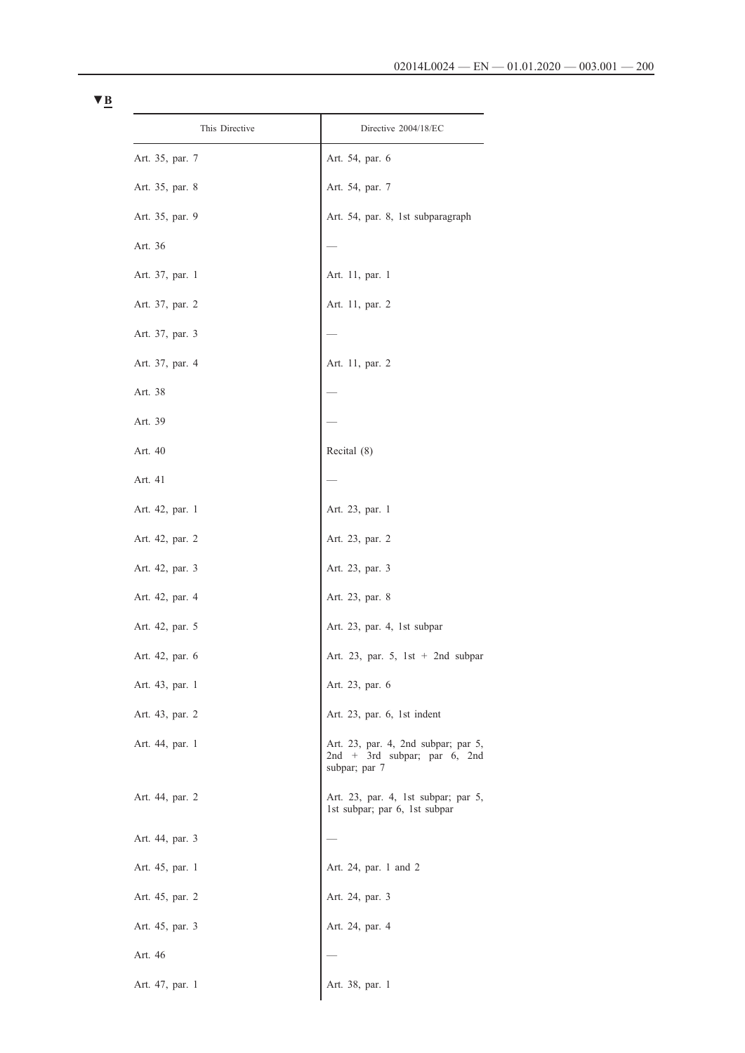| This Directive  | Directive 2004/18/EC                                                                   |
|-----------------|----------------------------------------------------------------------------------------|
| Art. 35, par. 7 | Art. 54, par. 6                                                                        |
| Art. 35, par. 8 | Art. 54, par. 7                                                                        |
| Art. 35, par. 9 | Art. 54, par. 8, 1st subparagraph                                                      |
| Art. 36         |                                                                                        |
| Art. 37, par. 1 | Art. 11, par. 1                                                                        |
| Art. 37, par. 2 | Art. 11, par. 2                                                                        |
| Art. 37, par. 3 |                                                                                        |
| Art. 37, par. 4 | Art. 11, par. 2                                                                        |
| Art. 38         |                                                                                        |
| Art. 39         |                                                                                        |
| Art. 40         | Recital (8)                                                                            |
| Art. 41         |                                                                                        |
| Art. 42, par. 1 | Art. 23, par. 1                                                                        |
| Art. 42, par. 2 | Art. 23, par. 2                                                                        |
| Art. 42, par. 3 | Art. 23, par. 3                                                                        |
| Art. 42, par. 4 | Art. 23, par. 8                                                                        |
| Art. 42, par. 5 | Art. 23, par. 4, 1st subpar                                                            |
| Art. 42, par. 6 | Art. 23, par. 5, 1st $+$ 2nd subpar                                                    |
| Art. 43, par. 1 | Art. 23, par. 6                                                                        |
| Art. 43, par. 2 | Art. 23, par. 6, 1st indent                                                            |
| Art. 44, par. 1 | Art. 23, par. 4, 2nd subpar; par 5,<br>$2nd + 3rd$ subpar; par 6, 2nd<br>subpar; par 7 |
| Art. 44, par. 2 | Art. 23, par. 4, 1st subpar; par 5,<br>1st subpar; par 6, 1st subpar                   |
| Art. 44, par. 3 |                                                                                        |
| Art. 45, par. 1 | Art. 24, par. 1 and 2                                                                  |
| Art. 45, par. 2 | Art. 24, par. 3                                                                        |
| Art. 45, par. 3 | Art. 24, par. 4                                                                        |
| Art. 46         |                                                                                        |
| Art. 47, par. 1 | Art. 38, par. 1                                                                        |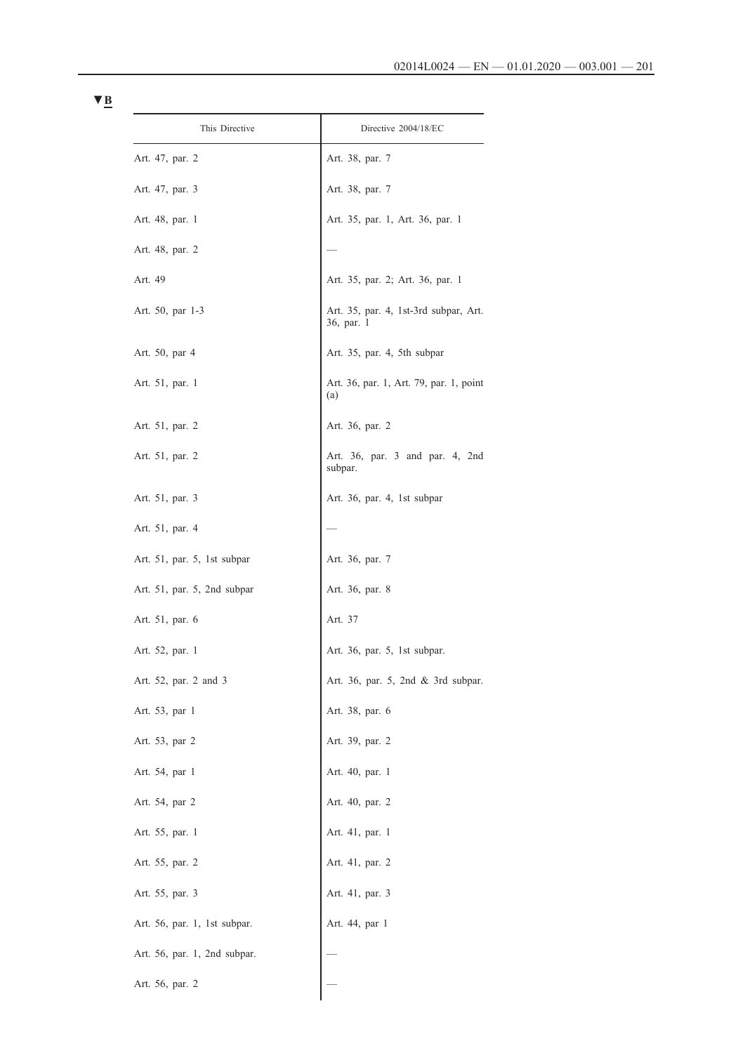| This Directive               | Directive 2004/18/EC                                |
|------------------------------|-----------------------------------------------------|
| Art. 47, par. 2              | Art. 38, par. 7                                     |
| Art. 47, par. 3              | Art. 38, par. 7                                     |
| Art. 48, par. 1              | Art. 35, par. 1, Art. 36, par. 1                    |
| Art. 48, par. 2              |                                                     |
| Art. 49                      | Art. 35, par. 2; Art. 36, par. 1                    |
| Art. 50, par 1-3             | Art. 35, par. 4, 1st-3rd subpar, Art.<br>36, par. 1 |
| Art. 50, par 4               | Art. 35, par. 4, 5th subpar                         |
| Art. 51, par. 1              | Art. 36, par. 1, Art. 79, par. 1, point<br>(a)      |
| Art. 51, par. 2              | Art. 36, par. 2                                     |
| Art. 51, par. 2              | Art. 36, par. 3 and par. 4, 2nd<br>subpar.          |
| Art. 51, par. 3              | Art. 36, par. 4, 1st subpar                         |
| Art. 51, par. 4              |                                                     |
| Art. 51, par. 5, 1st subpar  | Art. 36, par. 7                                     |
| Art. 51, par. 5, 2nd subpar  | Art. 36, par. 8                                     |
| Art. 51, par. 6              | Art. 37                                             |
| Art. 52, par. 1              | Art. 36, par. 5, 1st subpar.                        |
| Art. 52, par. 2 and 3        | Art. 36, par. 5, 2nd & 3rd subpar.                  |
| Art. 53, par 1               | Art. 38, par. 6                                     |
| Art. 53, par 2               | Art. 39, par. 2                                     |
| Art. 54, par 1               | Art. 40, par. 1                                     |
| Art. 54, par 2               | Art. 40, par. 2                                     |
| Art. 55, par. 1              | Art. 41, par. 1                                     |
| Art. 55, par. 2              | Art. 41, par. 2                                     |
| Art. 55, par. 3              | Art. 41, par. 3                                     |
| Art. 56, par. 1, 1st subpar. | Art. 44, par 1                                      |
| Art. 56, par. 1, 2nd subpar. |                                                     |
| Art. 56, par. 2              |                                                     |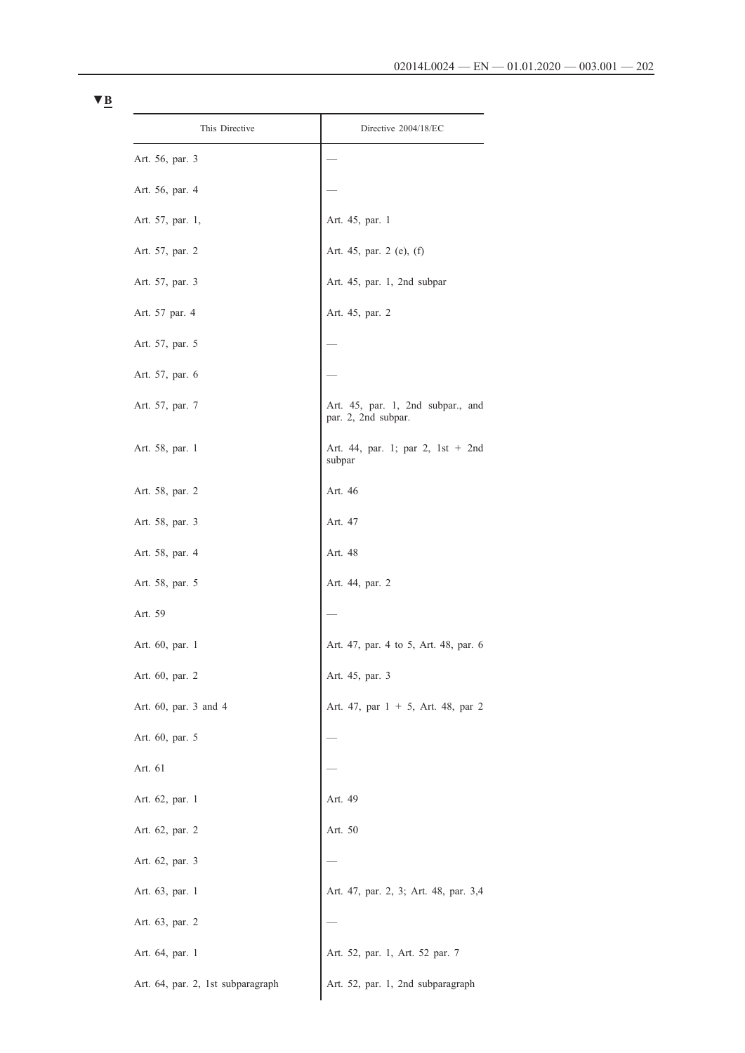| This Directive                    | Directive 2004/18/EC                                     |
|-----------------------------------|----------------------------------------------------------|
| Art. 56, par. 3                   |                                                          |
| Art. 56, par. 4                   |                                                          |
| Art. 57, par. 1,                  | Art. 45, par. 1                                          |
| Art. 57, par. 2                   | Art. 45, par. 2 (e), (f)                                 |
| Art. 57, par. 3                   | Art. 45, par. 1, 2nd subpar                              |
| Art. 57 par. 4                    | Art. 45, par. 2                                          |
| Art. 57, par. 5                   |                                                          |
| Art. 57, par. 6                   |                                                          |
| Art. 57, par. 7                   | Art. 45, par. 1, 2nd subpar., and<br>par. 2, 2nd subpar. |
| Art. 58, par. 1                   | Art. 44, par. 1; par 2, 1st + 2nd<br>subpar              |
| Art. 58, par. 2                   | Art. 46                                                  |
| Art. 58, par. 3                   | Art. 47                                                  |
| Art. 58, par. 4                   | Art. 48                                                  |
| Art. 58, par. 5                   | Art. 44, par. 2                                          |
| Art. 59                           |                                                          |
| Art. 60, par. 1                   | Art. 47, par. 4 to 5, Art. 48, par. 6                    |
| Art. 60, par. 2                   | Art. 45, par. 3                                          |
| Art. 60, par. 3 and 4             | Art. 47, par 1 + 5, Art. 48, par 2                       |
| Art. 60, par. 5                   |                                                          |
| Art. 61                           |                                                          |
| Art. 62, par. 1                   | Art. 49                                                  |
| Art. 62, par. 2                   | Art. 50                                                  |
| Art. 62, par. 3                   |                                                          |
| Art. 63, par. 1                   | Art. 47, par. 2, 3; Art. 48, par. 3,4                    |
| Art. 63, par. 2                   |                                                          |
| Art. 64, par. 1                   | Art. 52, par. 1, Art. 52 par. 7                          |
| Art. 64, par. 2, 1st subparagraph | Art. 52, par. 1, 2nd subparagraph                        |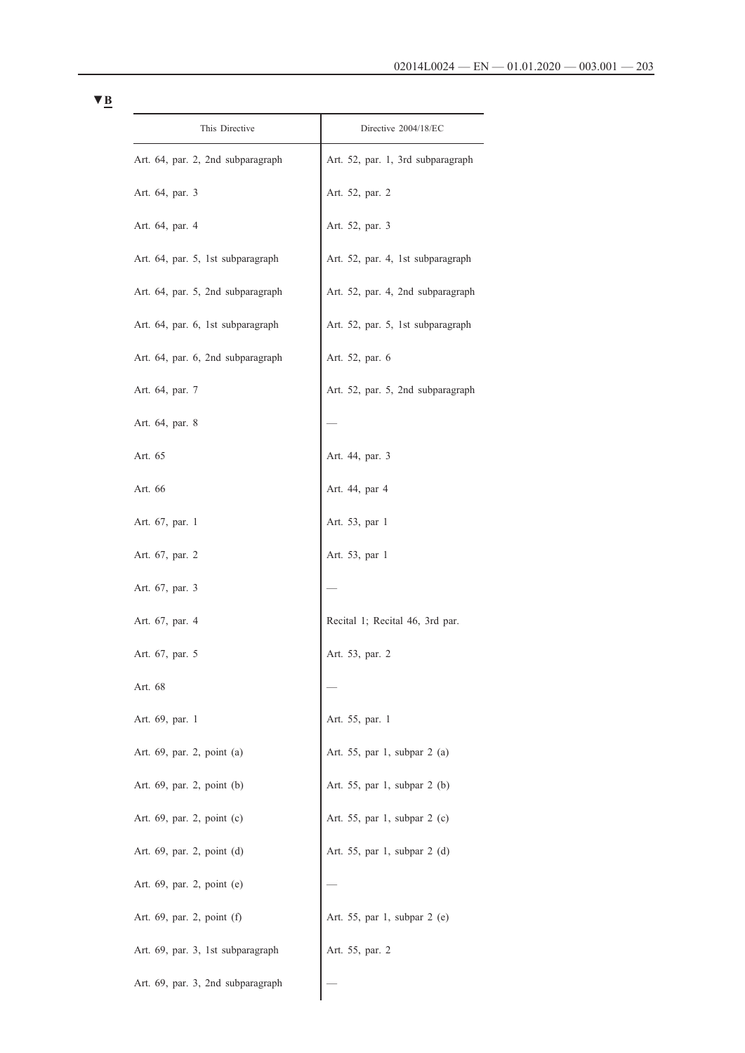| This Directive                    | Directive 2004/18/EC              |
|-----------------------------------|-----------------------------------|
| Art. 64, par. 2, 2nd subparagraph | Art. 52, par. 1, 3rd subparagraph |
| Art. 64, par. 3                   | Art. 52, par. 2                   |
| Art. 64, par. 4                   | Art. 52, par. 3                   |
| Art. 64, par. 5, 1st subparagraph | Art. 52, par. 4, 1st subparagraph |
| Art. 64, par. 5, 2nd subparagraph | Art. 52, par. 4, 2nd subparagraph |
| Art. 64, par. 6, 1st subparagraph | Art. 52, par. 5, 1st subparagraph |
| Art. 64, par. 6, 2nd subparagraph | Art. 52, par. 6                   |
| Art. 64, par. 7                   | Art. 52, par. 5, 2nd subparagraph |
| Art. 64, par. 8                   |                                   |
| Art. 65                           | Art. 44, par. 3                   |
| Art. 66                           | Art. 44, par 4                    |
| Art. 67, par. 1                   | Art. 53, par 1                    |
| Art. 67, par. 2                   | Art. 53, par 1                    |
| Art. 67, par. 3                   |                                   |
| Art. 67, par. 4                   | Recital 1; Recital 46, 3rd par.   |
| Art. 67, par. 5                   | Art. 53, par. 2                   |
| Art. 68                           |                                   |
| Art. 69, par. 1                   | Art. 55, par. 1                   |
| Art. 69, par. 2, point (a)        | Art. 55, par 1, subpar 2 (a)      |
| Art. 69, par. 2, point (b)        | Art. 55, par 1, subpar 2 (b)      |
| Art. 69, par. 2, point (c)        | Art. 55, par 1, subpar 2 (c)      |
| Art. 69, par. 2, point (d)        | Art. 55, par 1, subpar 2 (d)      |
| Art. 69, par. 2, point (e)        |                                   |
| Art. 69, par. 2, point (f)        | Art. 55, par 1, subpar 2 (e)      |
| Art. 69, par. 3, 1st subparagraph | Art. 55, par. 2                   |
| Art. 69, par. 3, 2nd subparagraph |                                   |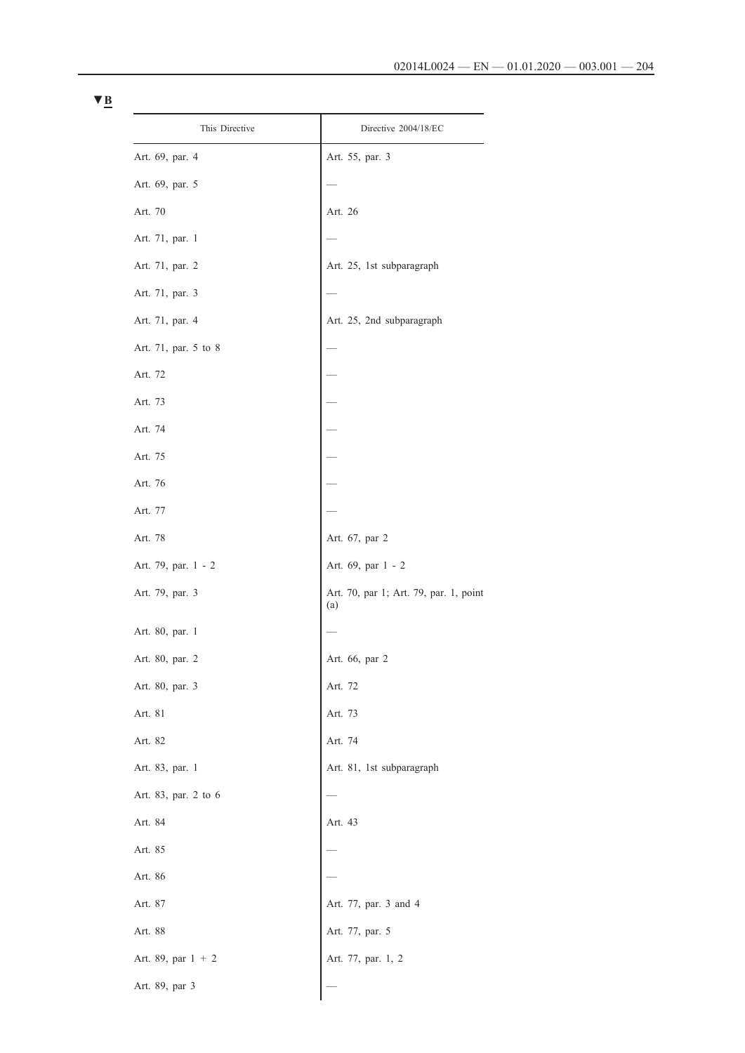| This Directive       | Directive 2004/18/EC                          |
|----------------------|-----------------------------------------------|
| Art. 69, par. 4      | Art. 55, par. 3                               |
| Art. 69, par. 5      |                                               |
| Art. 70              | Art. 26                                       |
| Art. 71, par. 1      |                                               |
| Art. 71, par. 2      | Art. 25, 1st subparagraph                     |
| Art. 71, par. 3      |                                               |
| Art. 71, par. 4      | Art. 25, 2nd subparagraph                     |
| Art. 71, par. 5 to 8 |                                               |
| Art. 72              |                                               |
| Art. 73              |                                               |
| Art. 74              |                                               |
| Art. 75              |                                               |
| Art. 76              |                                               |
| Art. 77              |                                               |
| Art. 78              | Art. 67, par 2                                |
| Art. 79, par. 1 - 2  | Art. 69, par 1 - 2                            |
| Art. 79, par. 3      | Art. 70, par 1; Art. 79, par. 1, point<br>(a) |
| Art. 80, par. 1      |                                               |
| Art. 80, par. 2      | Art. 66, par 2                                |
| Art. 80, par. 3      | Art. 72                                       |
| Art. 81              | Art. 73                                       |
| Art. 82              | Art. 74                                       |
| Art. 83, par. 1      | Art. 81, 1st subparagraph                     |
| Art. 83, par. 2 to 6 |                                               |
| Art. 84              | Art. 43                                       |
| Art. 85              |                                               |
| Art. 86              |                                               |
| Art. 87              | Art. 77, par. 3 and 4                         |
| Art. 88              | Art. 77, par. 5                               |
| Art. 89, par $1 + 2$ | Art. 77, par. 1, 2                            |
| Art. 89, par 3       |                                               |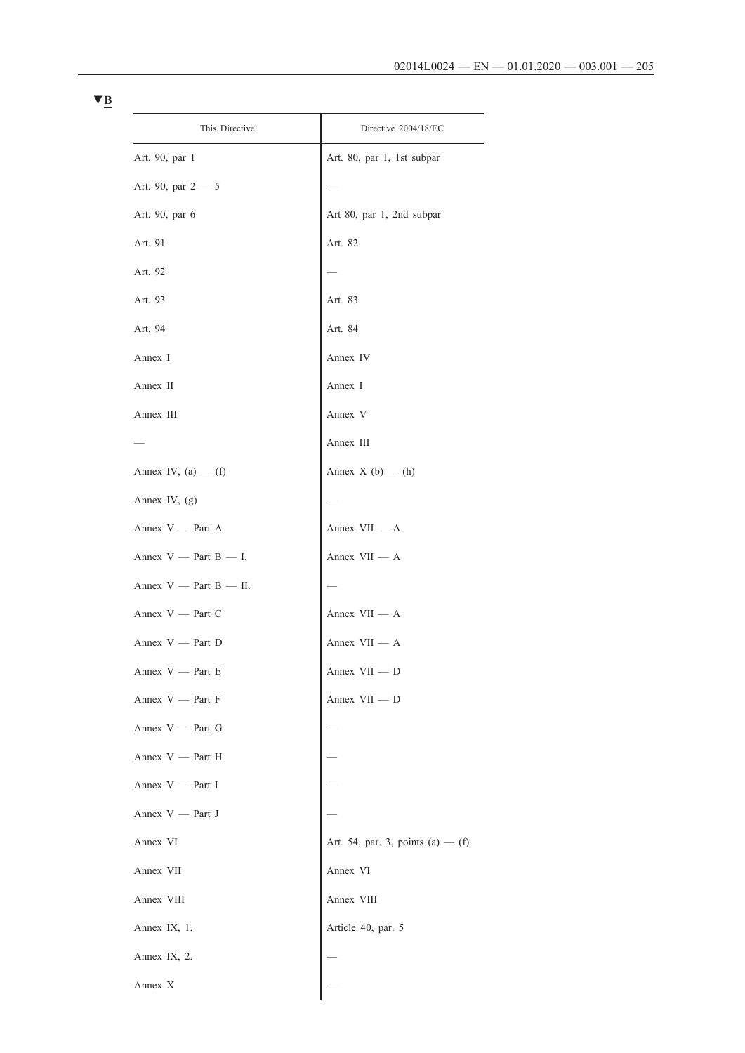| This Directive             | Directive 2004/18/EC                  |
|----------------------------|---------------------------------------|
| Art. 90, par 1             | Art. 80, par 1, 1st subpar            |
| Art. 90, par $2 - 5$       |                                       |
| Art. 90, par 6             | Art 80, par 1, 2nd subpar             |
| Art. 91                    | Art. 82                               |
| Art. 92                    |                                       |
| Art. 93                    | Art. 83                               |
| Art. 94                    | Art. 84                               |
| Annex I                    | Annex IV                              |
| Annex II                   | Annex I                               |
| Annex III                  | Annex V                               |
|                            | Annex III                             |
| Annex IV, $(a)$ — $(f)$    | Annex $X(b) - (h)$                    |
| Annex IV, (g)              |                                       |
| Annex $V - Part A$         | Annex $VII - A$                       |
| Annex $V$ — Part $B$ — I.  | Annex $VII - A$                       |
| Annex $V$ — Part $B$ — II. |                                       |
| Annex V - Part C           | Annex $VII - A$                       |
| Annex $V - Part D$         | Annex $VII - A$                       |
| Annex V - Part E           | Annex $VII - D$                       |
| Annex $V - Part F$         | Annex $VII - D$                       |
| Annex $V - Part G$         |                                       |
| Annex $V - Part H$         |                                       |
| Annex V - Part I           |                                       |
| Annex $V - Part J$         |                                       |
| Annex VI                   | Art. 54, par. 3, points $(a)$ - $(f)$ |
| Annex VII                  | Annex VI                              |
| Annex VIII                 | Annex VIII                            |
| Annex IX, 1.               | Article 40, par. 5                    |
| Annex IX, 2.               |                                       |
| Annex X                    |                                       |
|                            |                                       |